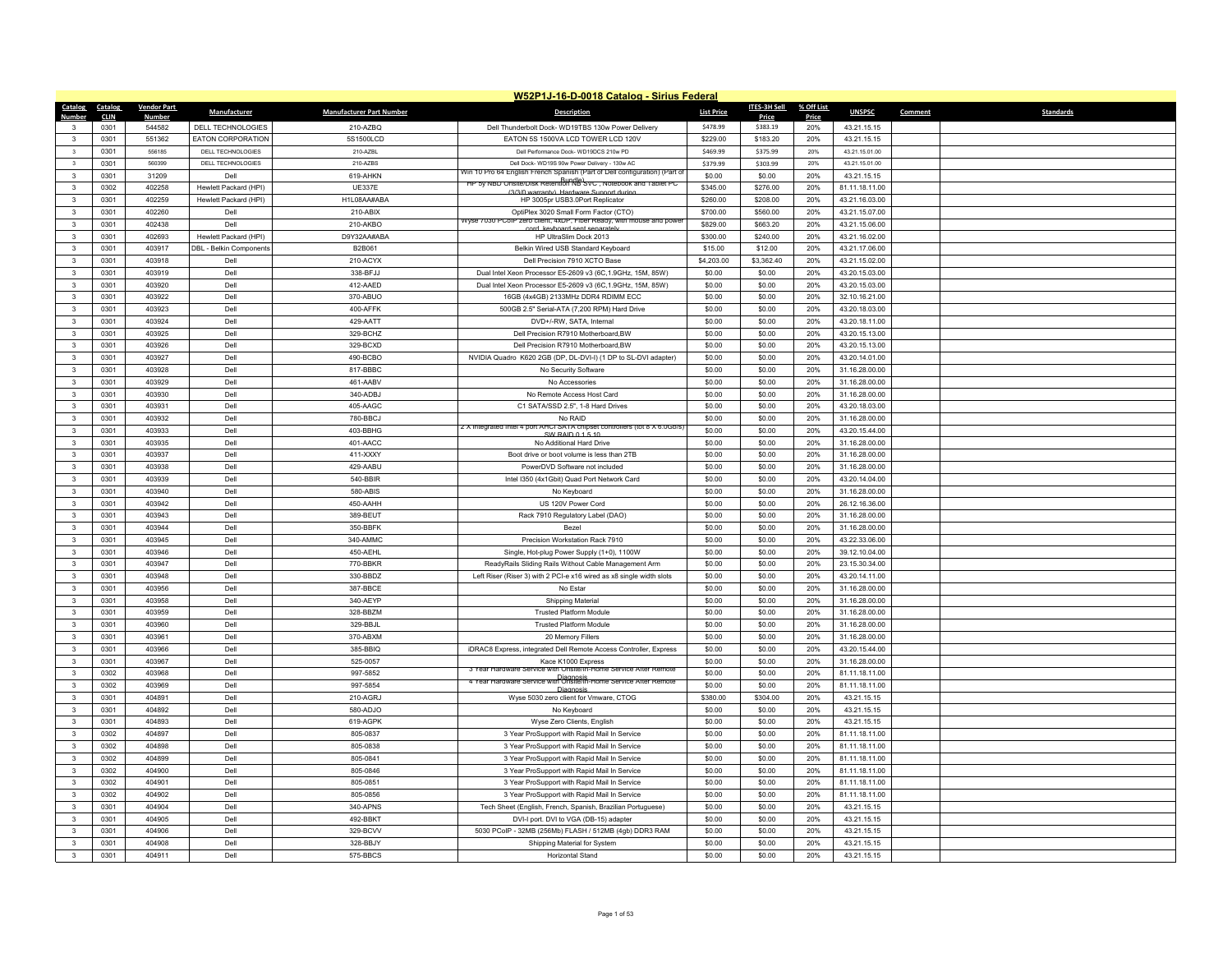|                         |             |                    |                                |                                 | W52P1J-16-D-0018 Catalog - Sirius Federal                                                                                 |                   |              |            |                |         |                  |
|-------------------------|-------------|--------------------|--------------------------------|---------------------------------|---------------------------------------------------------------------------------------------------------------------------|-------------------|--------------|------------|----------------|---------|------------------|
| Catalog                 | Catalog     | <b>Vendor Part</b> | <b>Manufacturer</b>            | <b>Manufacturer Part Number</b> | <b>Description</b>                                                                                                        | <b>List Price</b> | ITES-3H Sell | % Off List | <b>UNSPSC</b>  | Comment | <b>Standards</b> |
| Number                  | <b>CLIN</b> | <b>Number</b>      |                                |                                 |                                                                                                                           |                   | Price        | Price      |                |         |                  |
| $\mathbf{3}$            | 0301        | 544582             | DELL TECHNOLOGIES              | 210-AZBQ                        | Dell Thunderbolt Dock- WD19TBS 130w Power Delivery                                                                        | \$478.99          | \$383.19     | 20%        | 43.21.15.15    |         |                  |
| $\mathbf{3}$            | 0301        | 551362             | <b>EATON CORPORATION</b>       | 5S1500LCD                       | EATON 5S 1500VA LCD TOWER LCD 120V                                                                                        | \$229.00          | \$183.20     | 20%        | 43.21.15.15    |         |                  |
| $\overline{\mathbf{3}}$ | 0301        | 556185             | DELL TECHNOLOGIES              | 210-AZBL                        | Dell Performance Dock- WD19DCS 210w PD                                                                                    | \$469.99          | \$375.99     | 20%        | 43.21.15.01.00 |         |                  |
| $\overline{\mathbf{3}}$ | 0301        | 560399             | DELL TECHNOLOGIES              | 210-AZBS                        | Dell Dock-WD19S 90w Power Delivery - 130w AC<br>Win 10 Pro 64 English French Spanish (Part of Dell configuration) (Part o | \$379.99          | \$303.99     | 20%        | 43.21.15.01.00 |         |                  |
| $\mathbf{3}$            | 0301        | 31209              | Dell                           | 619-AHKN                        | <del>רור sy NBD Onsite/Disk Retention NB SvC , Notebook and Tablet PC</del>                                               | \$0.00            | \$0.00       | 20%        | 43.21.15.15    |         |                  |
| $\mathbf{3}$            | 0302        | 402258             | Hewlett Packard (HPI)          | <b>UE337E</b>                   | (3/3/0 warranty) Hardwar<br>Sunnort duri                                                                                  | \$345.00          | \$276.00     | 20%        | 81.11.18.11.00 |         |                  |
| $\mathbf{3}$            | 0301        | 402259             | Hewlett Packard (HPI)          | H1L08AA#ABA                     | HP 3005pr USB3.0Port Replicator                                                                                           | \$260.00          | \$208.00     | 20%        | 43.21.16.03.00 |         |                  |
| $\mathbf{3}$            | 0301        | 402260             | Dell                           | 210-ABIX                        | OptiPlex 3020 Small Form Factor (CTO)<br>Wyse 7030 PCoIP zero client, 4xDP, Fiber Ready, with mouse and powe              | \$700.00          | \$560.00     | 20%        | 43.21.15.07.00 |         |                  |
| $\mathbf{3}$            | 0301        | 402438             | Dell                           | 210-AKBO                        | cord keyboard sent separately                                                                                             | \$829.00          | \$663.20     | 20%        | 43.21.15.06.00 |         |                  |
| $\mathbf{3}$            | 0301        | 402693             | Hewlett Packard (HPI)          | D9Y32AA#ABA                     | HP UltraSlim Dock 2013                                                                                                    | \$300.00          | \$240.00     | 20%        | 43.21.16.02.00 |         |                  |
| $\mathbf{3}$            | 0301        | 403917             | <b>DBL - Belkin Components</b> | B2B061                          | Belkin Wired USB Standard Keyboard                                                                                        | \$15.00           | \$12.00      | 20%        | 43.21.17.06.00 |         |                  |
| $\mathbf{3}$            | 0301        | 403918             | Dell                           | 210-ACYX                        | Dell Precision 7910 XCTO Base                                                                                             | \$4,203.00        | \$3,362.40   | 20%        | 43.21.15.02.00 |         |                  |
| $\mathbf{3}$            | 0301        | 403919             | Dell                           | 338-BFJJ                        | Dual Intel Xeon Processor E5-2609 v3 (6C,1.9GHz, 15M, 85W)                                                                | \$0.00            | \$0.00       | 20%        | 43.20.15.03.00 |         |                  |
| $\mathbf{3}$            | 0301        | 403920             | Dell                           | 412-AAED                        | Dual Intel Xeon Processor E5-2609 v3 (6C,1.9GHz, 15M, 85W)                                                                | \$0.00            | \$0.00       | 20%        | 43.20.15.03.00 |         |                  |
| $\mathbf{3}$            | 0301        | 403922             | Dell                           | 370-ABUO                        | 16GB (4x4GB) 2133MHz DDR4 RDIMM ECC                                                                                       | \$0.00            | \$0.00       | 20%        | 32.10.16.21.00 |         |                  |
| $\overline{\mathbf{3}}$ | 0301        | 403923             | Dell                           | 400-AFFK                        | 500GB 2.5" Serial-ATA (7,200 RPM) Hard Drive                                                                              | \$0.00            | \$0.00       | 20%        | 43.20.18.03.00 |         |                  |
| $\mathbf{3}$            | 0301        | 403924             | Dell                           | 429-AATT                        | DVD+/-RW, SATA, Internal                                                                                                  | \$0.00            | \$0.00       | 20%        | 43.20.18.11.00 |         |                  |
| 3                       | 0301        | 403925             | Dell                           | 329-BCHZ                        | Dell Precision R7910 Motherboard, BW                                                                                      | \$0.00            | \$0.00       | 20%        | 43.20.15.13.00 |         |                  |
| $\overline{\mathbf{3}}$ | 0301        | 403926             | Dell                           | 329-BCXD                        | Dell Precision R7910 Motherboard, BW                                                                                      | \$0.00            | \$0.00       | 20%        | 43.20.15.13.00 |         |                  |
| $\mathbf{3}$            | 0301        | 403927             | Dell                           | 490-BCBO                        | NVIDIA Quadro K620 2GB (DP, DL-DVI-I) (1 DP to SL-DVI adapter)                                                            | \$0.00            | \$0.00       | 20%        | 43.20.14.01.00 |         |                  |
| $\mathbf{3}$            | 0301        | 403928             | Dell                           | 817-BBBC                        | No Security Software                                                                                                      | \$0.00            | \$0.00       | 20%        | 31.16.28.00.00 |         |                  |
| $\mathbf{3}$            | 0301        | 403929             | Dell                           | 461-AABV                        | No Accessories                                                                                                            | \$0.00            | \$0.00       | 20%        | 31.16.28.00.00 |         |                  |
| $\mathbf{3}$            | 0301        | 403930             | Dell                           | 340-ADBJ                        | No Remote Access Host Card                                                                                                | \$0.00            | \$0.00       | 20%        | 31.16.28.00.00 |         |                  |
| $\mathbf{3}$            | 0301        | 403931             | Dell                           | 405-AAGC                        | C1 SATA/SSD 2.5", 1-8 Hard Drives                                                                                         | \$0.00            | \$0.00       | 20%        | 43.20.18.03.00 |         |                  |
| $\mathbf{3}$            | 0301        | 403932             | Dell                           | 780-BBCJ                        | No RAID                                                                                                                   | \$0.00            | \$0.00       | 20%        | 31.16.28.00.00 |         |                  |
| $\mathbf{3}$            | 0301        | 403933             | Dell                           | 403-BBHG                        | 2 X Integrated Intel 4 port AHCI SATA chipset controllers (tot 8 X 6.0Gb/s<br>SW RAID 0.1.5.10                            | \$0.00            | \$0.00       | 20%        | 43.20.15.44.00 |         |                  |
| $\overline{\mathbf{3}}$ | 0301        | 403935             | Dell                           | 401-AACC                        | No Additional Hard Drive                                                                                                  | \$0.00            | \$0.00       | 20%        | 31.16.28.00.00 |         |                  |
| $\mathbf{3}$            | 0301        | 403937             | Dell                           | 411-XXXY                        | Boot drive or boot volume is less than 2TB                                                                                | \$0.00            | \$0.00       | 20%        | 31.16.28.00.00 |         |                  |
| $\mathbf{3}$            | 0301        | 403938             | Dell                           | 429-AABU                        | PowerDVD Software not included                                                                                            | \$0.00            | \$0.00       | 20%        | 31.16.28.00.00 |         |                  |
| $\mathbf{3}$            | 0301        | 403939             | Dell                           | 540-BBIR                        | Intel I350 (4x1Gbit) Quad Port Network Card                                                                               | \$0.00            | \$0.00       | 20%        | 43.20.14.04.00 |         |                  |
| $\overline{3}$          | 0301        | 403940             | Dell                           | 580-ABIS                        | No Keyboard                                                                                                               | \$0.00            | \$0.00       | 20%        | 31.16.28.00.00 |         |                  |
| $\mathbf{3}$            | 0301        | 403942             | Dell                           | 450-AAHH                        | US 120V Power Cord                                                                                                        | \$0.00            | \$0.00       | 20%        | 26.12.16.36.00 |         |                  |
| $\mathbf{3}$            | 0301        | 403943             | Dell                           | 389-BEUT                        | Rack 7910 Regulatory Label (DAO)                                                                                          | \$0.00            | \$0.00       | 20%        | 31.16.28.00.00 |         |                  |
| $\mathbf{3}$            | 0301        | 403944             | Dell                           | 350-BBFK                        | Beze                                                                                                                      | \$0.00            | \$0.00       | 20%        | 31.16.28.00.00 |         |                  |
| $\mathbf{3}$            | 0301        | 403945             | Dell                           | 340-AMMC                        | Precision Workstation Rack 7910                                                                                           | \$0.00            | \$0.00       | 20%        | 43.22.33.06.00 |         |                  |
| $\mathbf{3}$            | 0301        | 403946             | Dell                           | 450-AEHL                        | Single, Hot-plug Power Supply (1+0), 1100W                                                                                | \$0.00            | \$0.00       | 20%        | 39.12.10.04.00 |         |                  |
| $\mathbf{3}$            | 0301        | 403947             | Dell                           | 770-BBKR                        | ReadyRails Sliding Rails Without Cable Management Arm                                                                     | \$0.00            | \$0.00       | 20%        | 23.15.30.34.00 |         |                  |
| $\overline{\mathbf{3}}$ | 0301        | 403948             | Dell                           | 330-BBDZ                        | Left Riser (Riser 3) with 2 PCI-e x16 wired as x8 single width slots                                                      | \$0.00            | \$0.00       | 20%        | 43.20.14.11.00 |         |                  |
| $\mathbf{3}$            | 0301        | 403956             | Dell                           | 387-BBCE                        | No Esta                                                                                                                   | \$0.00            | \$0.00       | 20%        | 31.16.28.00.00 |         |                  |
| $\mathbf{3}$            | 0301        | 403958             | Dell                           | 340-AEYP                        | Shipping Material                                                                                                         | \$0.00            | \$0.00       | 20%        | 31.16.28.00.00 |         |                  |
| $\mathbf{3}$            | 0301        | 403959             | Dell                           | 328-BBZM                        | <b>Trusted Platform Module</b>                                                                                            | \$0.00            | \$0.00       | 20%        | 31.16.28.00.00 |         |                  |
| $\overline{\mathbf{3}}$ | 0301        | 403960             | Dell                           | 329-BBJL                        | <b>Trusted Platform Module</b>                                                                                            | \$0.00            | \$0.00       | 20%        | 31.16.28.00.00 |         |                  |
| $\mathbf{3}$            | 0301        | 403961             | Dell                           | 370-ABXM                        | 20 Memory Fillers                                                                                                         | \$0.00            | \$0.00       | 20%        | 31.16.28.00.00 |         |                  |
| $\overline{\mathbf{3}}$ | 0301        | 403966             | Dell                           | 385-BBIQ                        | iDRAC8 Express, integrated Dell Remote Access Controller, Express                                                         | \$0.00            | \$0.00       | 20%        | 43.20.15.44.00 |         |                  |
| $\overline{\mathbf{3}}$ | 0301        | 403967             | Dell                           | 525-0057                        | Kace K1000 Express                                                                                                        | \$0.00            | \$0.00       | 20%        | 31.16.28.00.00 |         |                  |
| $\mathbf{3}$            | 0302        | 403968             | Dell                           | 997-5852                        | 3 Year Hardware Service with Onsite/In-Home Service After Remote                                                          | \$0.00            | \$0.00       | 20%        | 81.11.18.11.00 |         |                  |
| $\overline{\mathbf{3}}$ | 0302        | 403969             | Dell                           | 997-5854                        | 4 Year Hardware Service with Onsite/In-Home Service Atter Remote<br>Diagnosis                                             | \$0.00            | \$0.00       | 20%        | 81.11.18.11.00 |         |                  |
| $\mathbf{3}$            | 0301        | 404891             | Dell                           | 210-AGRJ                        | Wyse 5030 zero client for Vmware, CTOG                                                                                    | \$380.00          | \$304.00     | 20%        | 43.21.15.15    |         |                  |
| $\mathbf{3}$            | 0301        | 404892             | Dell                           | 580-ADJO                        | No Keyboard                                                                                                               | \$0.00            | \$0.00       | 20%        | 43.21.15.15    |         |                  |
| $\mathbf{3}$            | 0301        | 404893             | Dell                           | 619-AGPK                        | Wyse Zero Clients, English                                                                                                | \$0.00            | \$0.00       | 20%        | 43.21.15.15    |         |                  |
| $\overline{\mathbf{3}}$ | 0302        | 404897             | Dell                           | 805-0837                        | 3 Year ProSupport with Rapid Mail In Service                                                                              | \$0.00            | \$0.00       | 20%        | 81.11.18.11.00 |         |                  |
| $\mathbf{3}$            | 0302        | 404898             | Dell                           | 805-0838                        | 3 Year ProSupport with Rapid Mail In Service                                                                              | \$0.00            | \$0.00       | 20%        | 81.11.18.11.00 |         |                  |
| $\mathbf{3}$            | 0302        | 404899             | Dell                           | 805-0841                        | 3 Year ProSupport with Rapid Mail In Service                                                                              | \$0.00            | \$0.00       | 20%        | 81.11.18.11.00 |         |                  |
| $\mathbf{3}$            | 0302        | 404900             | Dell                           | 805-0846                        | 3 Year ProSupport with Rapid Mail In Service                                                                              | \$0.00            | \$0.00       | 20%        | 81.11.18.11.00 |         |                  |
| 3                       | 0302        | 404901             | Dell                           | 805-0851                        | 3 Year ProSupport with Rapid Mail In Service                                                                              | \$0.00            | \$0.00       | 20%        | 81.11.18.11.00 |         |                  |
| $\mathbf{3}$            | 0302        | 404902             | Dell                           | 805-0856                        | 3 Year ProSupport with Rapid Mail In Service                                                                              | \$0.00            | \$0.00       | 20%        | 81.11.18.11.00 |         |                  |
| $\overline{\mathbf{3}}$ | 0301        | 404904             | Dell                           | 340-APNS                        | Tech Sheet (English, French, Spanish, Brazilian Portuguese)                                                               | \$0.00            | \$0.00       | 20%        | 43.21.15.15    |         |                  |
| $\mathbf{3}$            | 0301        | 404905             | Dell                           | 492-BBKT                        | DVI-I port. DVI to VGA (DB-15) adapter                                                                                    | \$0.00            | \$0.00       | 20%        | 43.21.15.15    |         |                  |
| $\mathbf{3}$            | 0301        | 404906             | Dell                           | 329-BCVV                        | 5030 PCoIP - 32MB (256Mb) FLASH / 512MB (4gb) DDR3 RAM                                                                    | \$0.00            | \$0.00       | 20%        | 43.21.15.15    |         |                  |
| $\overline{3}$          | 0301        | 404908             | Dell                           | 328-BBJY                        | Shipping Material for System                                                                                              | \$0.00            | \$0.00       | 20%        | 43.21.15.15    |         |                  |
| 3                       | 0301        | 404911             | Dell                           | 575-BBCS                        | Horizontal Stand                                                                                                          | \$0.00            | \$0.00       | 20%        | 43.21.15.15    |         |                  |
|                         |             |                    |                                |                                 |                                                                                                                           |                   |              |            |                |         |                  |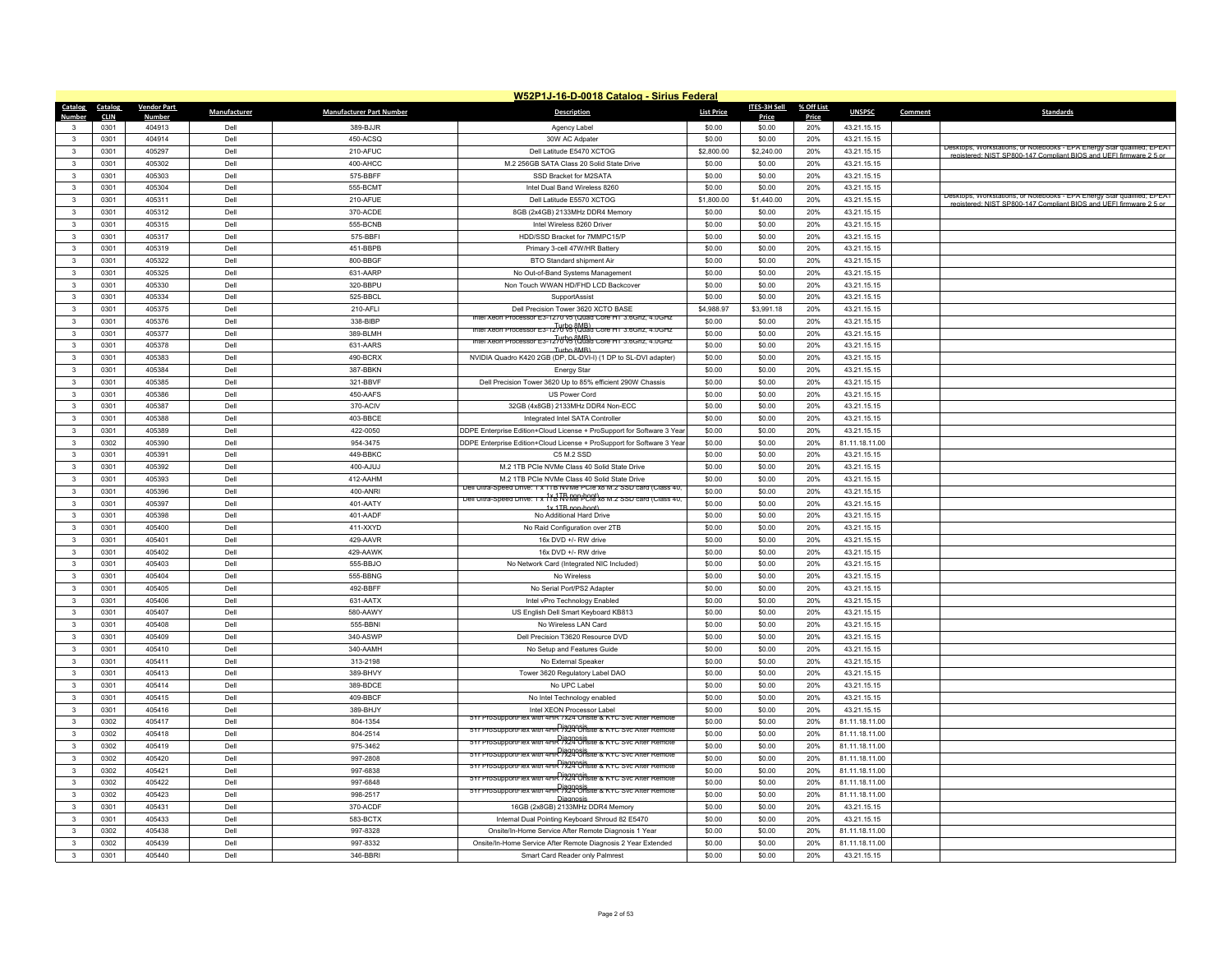|                                         |                     |                         |              |                                 | W52P1J-16-D-0018 Catalog - Sirius Federal                                                                           |                   |                  |              |                            |         |                                                                         |
|-----------------------------------------|---------------------|-------------------------|--------------|---------------------------------|---------------------------------------------------------------------------------------------------------------------|-------------------|------------------|--------------|----------------------------|---------|-------------------------------------------------------------------------|
| Catalog                                 | Catalog             | <b>Vendor Part</b>      | Manufacturer | <b>Manufacturer Part Number</b> | <b>Description</b>                                                                                                  | <b>List Price</b> | ITES-3H Sell     | % Off List   | <b>UNSPSC</b>              | Comment | <b>Standards</b>                                                        |
| Number<br>$\mathbf{3}$                  | <b>CLIN</b><br>0301 | <b>Number</b><br>404913 | Dell         | 389-BJJR                        | Agency Label                                                                                                        | \$0.00            | Price<br>\$0.00  | Price<br>20% | 43.21.15.15                |         |                                                                         |
| $\mathbf{3}$                            | 0301                | 404914                  | Dell         | 450-ACSQ                        | 30W AC Adpater                                                                                                      | \$0.00            | \$0.00           | 20%          | 43.21.15.15                |         |                                                                         |
| $\mathbf{3}$                            | 0301                | 405297                  | Dell         | 210-AFUC                        | Dell Latitude E5470 XCTOG                                                                                           | \$2,800.00        | \$2,240.00       | 20%          | 43.21.15.15                |         | Desktops, Workstations, or Notebooks - EPA Energy Star qualified; EPEAT |
| $\mathbf{3}$                            | 0301                | 405302                  | Dell         | 400-AHCC                        | M.2 256GB SATA Class 20 Solid State Drive                                                                           | \$0.00            | \$0.00           | 20%          | 43.21.15.15                |         | registered: NIST SP800-147 Compliant BIOS and UFFI firmware 2.5 or      |
| $\overline{\mathbf{3}}$                 | 0301                | 405303                  | Dell         | 575-BBFF                        | SSD Bracket for M2SATA                                                                                              | \$0.00            | \$0.00           | 20%          | 43.21.15.15                |         |                                                                         |
| 3                                       | 0301                | 405304                  | Dell         | 555-BCMT                        | Intel Dual Band Wireless 8260                                                                                       | \$0.00            | \$0.00           | 20%          | 43.21.15.15                |         |                                                                         |
| $\mathbf{3}$                            | 0301                | 405311                  | Dell         | 210-AFUE                        | Dell Latitude E5570 XCTOG                                                                                           | \$1,800.00        | \$1,440.00       | 20%          | 43.21.15.15                |         | Desktops, Workstations, or Notebooks - EPA Energy Star qualified; EPEAT |
| $\mathbf{3}$                            | 0301                | 405312                  | Dell         | 370-ACDE                        | 8GB (2x4GB) 2133MHz DDR4 Memory                                                                                     | \$0.00            | \$0.00           | 20%          | 43.21.15.15                |         | registered: NIST SP800-147 Compliant BIOS and LIFFL firmware 2.5 or     |
| $\mathbf{3}$                            | 0301                | 405315                  | Dell         | 555-BCNB                        | Intel Wireless 8260 Driver                                                                                          | \$0.00            | \$0.00           | 20%          | 43.21.15.15                |         |                                                                         |
| $\mathbf{3}$                            | 0301                | 405317                  | Dell         | 575-BBFI                        | HDD/SSD Bracket for 7MMPC15/P                                                                                       | \$0.00            | \$0.00           | 20%          | 43.21.15.15                |         |                                                                         |
| $\mathbf{3}$                            | 0301                | 405319                  | Dell         | 451-BBPB                        | Primary 3-cell 47W/HR Battery                                                                                       | \$0.00            | \$0.00           | 20%          | 43.21.15.15                |         |                                                                         |
| $\mathbf{3}$                            | 0301                | 405322                  | Dell         | 800-BBGF                        | BTO Standard shipment Air                                                                                           | \$0.00            | \$0.00           | 20%          | 43.21.15.15                |         |                                                                         |
| $\mathbf{3}$                            | 0301                | 405325                  | Dell         | 631-AARP                        | No Out-of-Band Systems Management                                                                                   | \$0.00            | \$0.00           | 20%          | 43.21.15.15                |         |                                                                         |
| $\overline{\mathbf{3}}$                 | 0301                | 405330                  | Dell         | 320-BBPU                        | Non Touch WWAN HD/FHD LCD Backcover                                                                                 | \$0.00            | \$0.00           | 20%          | 43.21.15.15                |         |                                                                         |
| $\mathbf{3}$                            | 0301                | 405334                  | Dell         | 525-BBCL                        | SupportAssist                                                                                                       | \$0.00            | \$0.00           | 20%          | 43.21.15.15                |         |                                                                         |
| $\mathbf{3}$                            | 0301                | 405375                  | Dell         | 210-AFLI                        | Dell Precision Tower 3620 XCTO BASE                                                                                 | \$4,988.97        | \$3,991.18       | 20%          | 43.21.15.15                |         |                                                                         |
| $\mathbf{3}$                            | 0301                | 405376                  | Dell         | 338-BIBP                        | Intel Xeon Processor E3-1270 v5 (Quad Core HT 3.6Ghz, 4.0GHz                                                        | \$0.00            | \$0.00           | 20%          | 43.21.15.15                |         |                                                                         |
| 3                                       | 0301                | 405377                  | Dell         | 389-BLMH                        | Intel Xeon Processor E3-1270 VS (Quad Core HT 3.6Ghz, 4.0GHz)                                                       | \$0.00            | \$0.00           | 20%          | 43.21.15.15                |         |                                                                         |
| $\overline{\mathbf{3}}$                 | 0301                | 405378                  | Dell         | 631-AARS                        | Turbo 8MB)<br>Intel Xeon Processor E3-1270 VS (Quad Core HT 3.6Ghz, 4.0GHz)                                         | \$0.00            | \$0.00           | 20%          | 43.21.15.15                |         |                                                                         |
| $\mathbf{3}$                            | 0301                | 405383                  | Dell         | 490-BCRX                        | Turbo 8MB)<br>NVIDIA Quadro K420 2GB (DP, DL-DVI-I) (1 DP to SL-DVI adapter)                                        | \$0.00            | \$0.00           | 20%          | 43.21.15.15                |         |                                                                         |
|                                         |                     |                         |              |                                 |                                                                                                                     |                   |                  |              |                            |         |                                                                         |
| $\mathbf{3}$<br>$\overline{\mathbf{3}}$ | 0301<br>0301        | 405384<br>405385        | Dell<br>Dell | 387-BBKN<br>321-BBVF            | <b>Energy Star</b><br>Dell Precision Tower 3620 Up to 85% efficient 290W Chassis                                    | \$0.00<br>\$0.00  | \$0.00<br>\$0.00 | 20%<br>20%   | 43.21.15.15<br>43.21.15.15 |         |                                                                         |
| $\mathbf{3}$                            | 0301                | 405386                  | Dell         | 450-AAFS                        | <b>US Power Cord</b>                                                                                                | \$0.00            | \$0.00           | 20%          | 43.21.15.15                |         |                                                                         |
|                                         |                     |                         |              |                                 |                                                                                                                     |                   |                  |              |                            |         |                                                                         |
| $\mathbf{3}$<br>$\mathbf{3}$            | 0301                | 405387                  | Dell<br>Dell | 370-ACIV                        | 32GB (4x8GB) 2133MHz DDR4 Non-ECC                                                                                   | \$0.00            | \$0.00           | 20%          | 43.21.15.15                |         |                                                                         |
|                                         | 0301                | 405388                  |              | 403-BBCE                        | Integrated Intel SATA Controller                                                                                    | \$0.00            | \$0.00           | 20%          | 43.21.15.15                |         |                                                                         |
| $\mathbf{3}$                            | 0301                | 405389                  | Dell<br>Dell | 422-0050                        | DDPE Enterprise Edition+Cloud License + ProSupport for Software 3 Year                                              | \$0.00            | \$0.00           | 20%          | 43.21.15.15                |         |                                                                         |
| $\mathbf{3}$<br>$\mathbf{3}$            | 0302                | 405390                  |              | 954-3475                        | DDPE Enterprise Edition+Cloud License + ProSupport for Software 3 Year                                              | \$0.00            | \$0.00           | 20%          | 81.11.18.11.00             |         |                                                                         |
|                                         | 0301                | 405391                  | Dell         | 449-BBKC                        | C5 M.2 SSD                                                                                                          | \$0.00            | \$0.00           | 20%          | 43.21.15.15                |         |                                                                         |
| $\mathbf{3}$                            | 0301                | 405392                  | Dell         | 400-AJUJ                        | M.2 1TB PCIe NVMe Class 40 Solid State Drive                                                                        | \$0.00            | \$0.00           | 20%          | 43.21.15.15                |         |                                                                         |
| $\mathbf{3}$                            | 0301                | 405393                  | Dell         | 412-AAHM                        | M.2 1TB PCIe NVMe Class 40 Solid State Drive<br>Dell Ultra-Speed Drive: 1 x 11B NVMe PCle x8 M.2 SSD card (Class 40 | \$0.00            | \$0.00           | 20%          | 43.21.15.15                |         |                                                                         |
| $\overline{\mathbf{3}}$                 | 0301                | 405396                  | Dell         | 400-ANRI                        | Dell Ultra-Speed Drive: 1 x 11 d RR Mar PCla'xs                            M.2 SSD card (Class 40,                  | \$0.00            | \$0.00           | 20%          | 43.21.15.15                |         |                                                                         |
| $\mathbf{3}$                            | 0301                | 405397                  | Dell         | 401-AATY                        | 1x 1TR non-hoot)                                                                                                    | \$0.00            | \$0.00           | 20%          | 43.21.15.15                |         |                                                                         |
| $\mathbf{3}$                            | 0301                | 405398                  | Dell         | 401-AADF                        | No Additional Hard Drive                                                                                            | \$0.00            | \$0.00           | 20%          | 43.21.15.15                |         |                                                                         |
| $\overline{\mathbf{3}}$                 | 0301                | 405400                  | Dell         | 411-XXYD                        | No Raid Configuration over 2TB                                                                                      | \$0.00            | \$0.00           | 20%          | 43.21.15.15                |         |                                                                         |
| $\overline{\mathbf{3}}$                 | 0301                | 405401                  | Dell         | 429-AAVR                        | 16x DVD +/- RW drive                                                                                                | \$0.00            | \$0.00           | 20%          | 43.21.15.15                |         |                                                                         |
| $\mathbf{3}$                            | 0301                | 405402                  | Dell         | 429-AAWK                        | 16x DVD +/- RW drive                                                                                                | \$0.00            | \$0.00           | 20%          | 43.21.15.15                |         |                                                                         |
| $\mathbf{3}$                            | 0301                | 405403                  | Dell         | 555-BBJO                        | No Network Card (Integrated NIC Included)                                                                           | \$0.00            | \$0.00           | 20%          | 43.21.15.15                |         |                                                                         |
| $\mathbf{3}$                            | 0301                | 405404                  | Dell         | 555-BBNG                        | No Wireless                                                                                                         | \$0.00            | \$0.00           | 20%          | 43.21.15.15                |         |                                                                         |
| $\mathbf{3}$                            | 0301                | 405405                  | Dell         | 492-BBFF                        | No Serial Port/PS2 Adapter                                                                                          | \$0.00            | \$0.00           | 20%          | 43.21.15.15                |         |                                                                         |
| $\mathbf{3}$                            | 0301                | 405406                  | Dell         | 631-AATX                        | Intel vPro Technology Enabled                                                                                       | \$0.00            | \$0.00           | 20%          | 43.21.15.15                |         |                                                                         |
| $\mathbf{3}$                            | 0301                | 405407                  | Dell         | 580-AAWY                        | US English Dell Smart Keyboard KB813                                                                                | \$0.00            | \$0.00           | 20%          | 43.21.15.15                |         |                                                                         |
| $\mathbf{3}$                            | 0301                | 405408                  | Dell         | 555-BBNI                        | No Wireless LAN Card                                                                                                | \$0.00            | \$0.00           | 20%          | 43.21.15.15                |         |                                                                         |
| $\overline{\mathbf{3}}$                 | 0301                | 405409                  | Dell         | 340-ASWP                        | Dell Precision T3620 Resource DVD                                                                                   | \$0.00            | \$0.00           | 20%          | 43.21.15.15                |         |                                                                         |
| $\mathbf{3}$                            | 0301                | 405410                  | Dell         | 340-AAMH                        | No Setup and Features Guide                                                                                         | \$0.00            | \$0.00           | 20%          | 43.21.15.15                |         |                                                                         |
| $\mathbf{3}$                            | 0301                | 405411                  | Dell         | 313-2198                        | No External Speaker                                                                                                 | \$0.00            | \$0.00           | 20%          | 43.21.15.15                |         |                                                                         |
| $\mathbf{3}$                            | 0301                | 405413                  | Dell         | 389-BHVY                        | Tower 3620 Regulatory Label DAO                                                                                     | \$0.00            | \$0.00           | 20%          | 43.21.15.15                |         |                                                                         |
| $\mathbf{3}$<br>$\overline{\mathbf{3}}$ | 0301<br>0301        | 405414<br>405415        | Dell<br>Dell | 389-BDCE                        | No UPC Label                                                                                                        | \$0.00<br>\$0.00  | \$0.00           | 20%<br>20%   | 43.21.15.15                |         |                                                                         |
|                                         |                     |                         |              | 409-BBCF                        | No Intel Technology enabled                                                                                         |                   | \$0.00           |              | 43.21.15.15                |         |                                                                         |
| $\mathbf{3}$                            | 0301                | 405416                  | Dell         | 389-BHJY                        | Intel XEON Processor Label<br>5Yr ProSupportFlex with 4HR /x24 Onsite & KYC Svc After Remote                        | \$0.00            | \$0.00           | 20%          | 43.21.15.15                |         |                                                                         |
| $\mathbf{3}$                            | 0302                | 405417                  | Dell         | 804-1354                        | 5Yr ProSupportFlex with 4HR 7x24 Onsite & KYC Svc After Remote                                                      | \$0.00            | \$0.00           | 20%          | 81.11.18.11.00             |         |                                                                         |
| $\mathbf{3}$                            | 0302                | 405418                  | Dell         | 804-2514                        | 5Yr ProSupportFlex with 4HR 7x24 Onsite & KYC Svc After Remote                                                      | \$0.00            | \$0.00           | 20%          | 81.11.18.11.00             |         |                                                                         |
| $\mathbf{3}$                            | 0302                | 405419                  | Dell         | 975-3462                        | 5Yr ProSupportFlex with 4HR 7x24 Onsite & KYC Svc After Remote                                                      | \$0.00            | \$0.00           | 20%          | 81.11.18.11.00             |         |                                                                         |
| $\mathbf{3}$                            | 0302                | 405420                  | Dell         | 997-2808                        | 5Yr ProSupportFlex with 4HR 7x24 Onsite & KYC Svc After Remote                                                      | \$0.00            | \$0.00           | 20%          | 81.11.18.11.00             |         |                                                                         |
| $\overline{\mathbf{3}}$                 | 0302                | 405421                  | Dell         | 997-6838                        | 5Yr ProSupportFlex with 4HR 7x24 Onsite & KYC Svc After Remote                                                      | \$0.00            | \$0.00           | 20%          | 81.11.18.11.00             |         |                                                                         |
| $\overline{\mathbf{3}}$                 | 0302                | 405422                  | Dell         | 997-6848                        | 5Yr ProSupportFlex with 4HR 7x24 Onsite & KYC Svc After Remote                                                      | \$0.00            | \$0.00           | 20%          | 81.11.18.11.00             |         |                                                                         |
| $\mathbf{3}$                            | 0302                | 405423                  | Dell         | 998-2517                        | Diagnosis                                                                                                           | \$0.00            | \$0.00           | 20%          | 81.11.18.11.00             |         |                                                                         |
| $\mathbf{3}$                            | 0301                | 405431                  | Dell         | 370-ACDF                        | 16GB (2x8GB) 2133MHz DDR4 Memory                                                                                    | \$0.00            | \$0.00           | 20%          | 43.21.15.15                |         |                                                                         |
| $\mathbf{3}$                            | 0301                | 405433                  | Dell         | 583-BCTX                        | Internal Dual Pointing Keyboard Shroud 82 E5470                                                                     | \$0.00            | \$0.00           | 20%          | 43.21.15.15                |         |                                                                         |
| $\mathbf{3}$                            | 0302                | 405438                  | Dell         | 997-8328                        | Onsite/In-Home Service After Remote Diagnosis 1 Year                                                                | \$0.00            | \$0.00           | 20%          | 81.11.18.11.00             |         |                                                                         |
| $\overline{\mathbf{3}}$                 | 0302                | 405439                  | Dell         | 997-8332                        | Onsite/In-Home Service After Remote Diagnosis 2 Year Extended                                                       | \$0.00            | \$0.00           | 20%          | 81.11.18.11.00             |         |                                                                         |
| $\mathbf{3}$                            | 0301                | 405440                  | Dell         | 346-BBRI                        | Smart Card Reader only Palmrest                                                                                     | \$0.00            | \$0.00           | 20%          | 43.21.15.15                |         |                                                                         |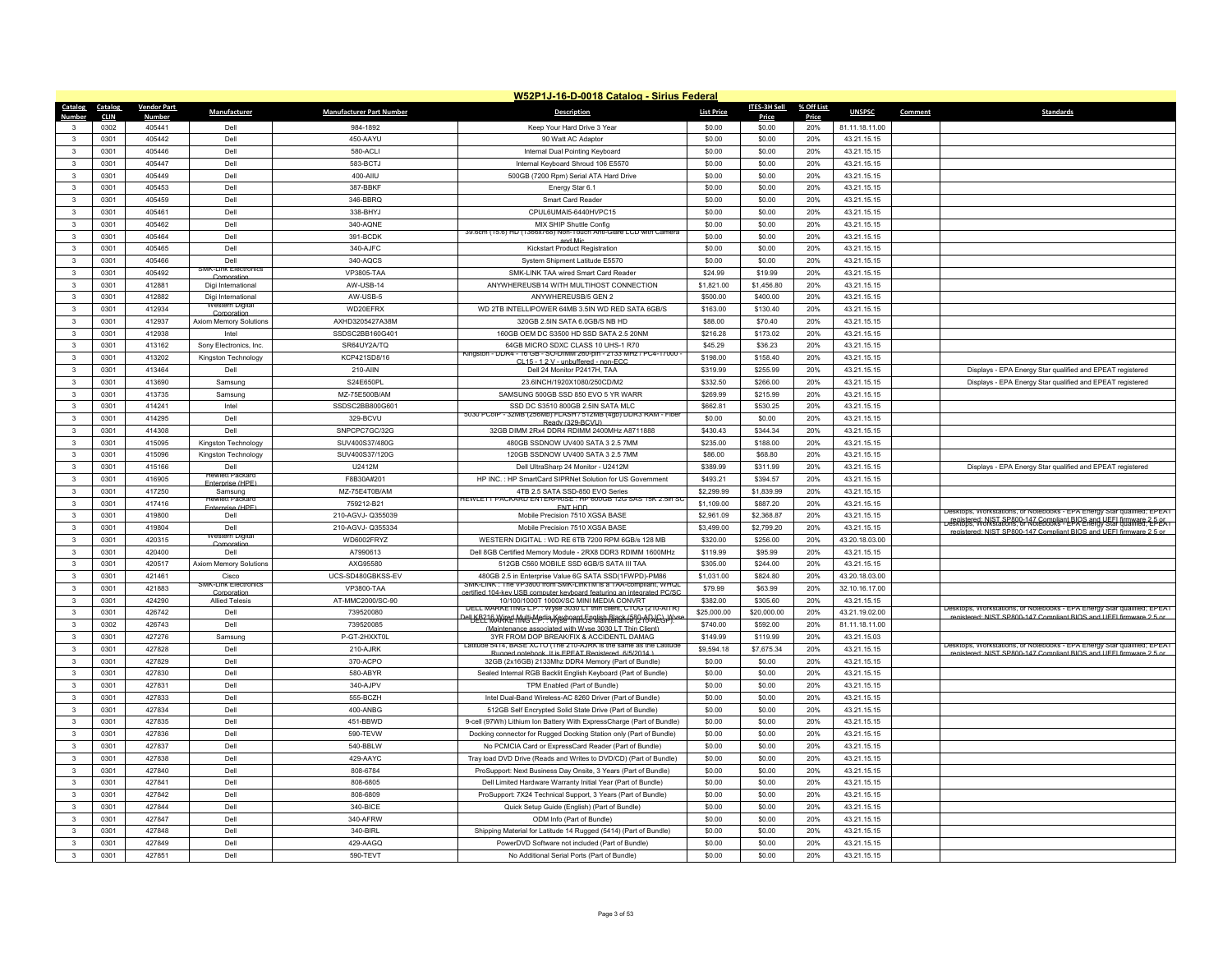|                         |             |                    |                                       |                                 | W52P1J-16-D-0018 Catalog - Sirius Federal                                                                               |                   |              |            |                |         |                                                                                                                                                |
|-------------------------|-------------|--------------------|---------------------------------------|---------------------------------|-------------------------------------------------------------------------------------------------------------------------|-------------------|--------------|------------|----------------|---------|------------------------------------------------------------------------------------------------------------------------------------------------|
| Catalog                 | Catalog     | <b>Vendor Part</b> | Manufacturer                          | <b>Manufacturer Part Number</b> | <b>Description</b>                                                                                                      | <b>List Price</b> | ITES-3H Sell | % Off List | <b>UNSPSC</b>  | Comment | <b>Standards</b>                                                                                                                               |
| Number                  | <b>CLIN</b> | <b>Number</b>      |                                       |                                 |                                                                                                                         |                   | Price        | Price      |                |         |                                                                                                                                                |
| $\mathbf{3}$            | 0302        | 405441             | Dell                                  | 984-1892                        | Keep Your Hard Drive 3 Year                                                                                             | \$0.00            | \$0.00       | 20%        | 81.11.18.11.00 |         |                                                                                                                                                |
| $\mathbf{3}$            | 0301        | 405442             | Dell                                  | 450-AAYU                        | 90 Watt AC Adaptor                                                                                                      | \$0.00            | \$0.00       | 20%        | 43.21.15.15    |         |                                                                                                                                                |
| $\mathbf{3}$            | 0301        | 405446             | Dell                                  | 580-ACLI                        | Internal Dual Pointing Keyboard                                                                                         | \$0.00            | \$0.00       | 20%        | 43.21.15.15    |         |                                                                                                                                                |
| $\mathbf{3}$            | 0301        | 405447             | Dell                                  | 583-BCTJ                        | Internal Keyboard Shroud 106 E5570                                                                                      | \$0.00            | \$0.00       | 20%        | 43.21.15.15    |         |                                                                                                                                                |
| $\mathbf{3}$            | 0301        | 405449             | Dell                                  | 400-AIIU                        | 500GB (7200 Rpm) Serial ATA Hard Drive                                                                                  | \$0.00            | \$0.00       | 20%        | 43.21.15.15    |         |                                                                                                                                                |
| -3                      | 0301        | 405453             | Dell                                  | 387-BBKF                        | Energy Star 6.1                                                                                                         | \$0.00            | \$0.00       | 20%        | 43 21 15 15    |         |                                                                                                                                                |
| $\mathbf{3}$            | 0301        | 405459             | Dell                                  | 346-BBRQ                        | Smart Card Reade                                                                                                        | \$0.00            | \$0.00       | 20%        | 43.21.15.15    |         |                                                                                                                                                |
| $\mathbf{3}$            | 0301        | 405461             | Dell                                  | 338-BHYJ                        | CPUL6UMAI5-6440HVPC15                                                                                                   | \$0.00            | \$0.00       | 20%        | 43.21.15.15    |         |                                                                                                                                                |
| $\mathbf{3}$            | 0301        | 405462             | Dell                                  | 340-AQNE                        | MIX SHIP Shuttle Config<br>39.6cm (15.6) HD (1<br>366x/68) Non-Touch Anti-Glare LCD with Camera                         | \$0.00            | \$0.00       | 20%        | 43 21 15 15    |         |                                                                                                                                                |
| $\mathbf{3}$            | 0301        | 405464             | Dell                                  | 391-BCDK                        | and Mic                                                                                                                 | \$0.00            | \$0.00       | 20%        | 43.21.15.15    |         |                                                                                                                                                |
| $\overline{\mathbf{3}}$ | 0301        | 405465             | Dell                                  | 340-AJFC                        | Kickstart Product Registration                                                                                          | \$0.00            | \$0.00       | 20%        | 43.21.15.15    |         |                                                                                                                                                |
| $\mathbf{3}$            | 0301        | 405466             | Dell<br>SMK-Link Electronic           | 340-AOCS                        | System Shipment Latitude E5570                                                                                          | \$0.00            | \$0.00       | 20%        | 43 21 15 15    |         |                                                                                                                                                |
| $\mathbf{3}$            | 0301        | 405492             | Corporation                           | <b>VP3805-TAA</b>               | SMK-LINK TAA wired Smart Card Reader                                                                                    | \$24.99           | \$19.99      | 20%        | 43.21.15.15    |         |                                                                                                                                                |
| $\overline{\mathbf{3}}$ | 0301        | 412881             | Digi International                    | AW-USB-14                       | ANYWHEREUSB14 WITH MULTIHOST CONNECTION                                                                                 | \$1,821.00        | \$1,456.80   | 20%        | 43.21.15.15    |         |                                                                                                                                                |
| $\overline{\mathbf{3}}$ | 0301        | 412882             | Digi International<br>vestern Digital | AW-USB-5                        | ANYWHEREUSB/5 GEN 2                                                                                                     | \$500.00          | \$400.00     | 20%        | 43.21.15.15    |         |                                                                                                                                                |
| $\overline{\mathbf{3}}$ | 0301        | 412934             | Cornoratio                            | WD20FFRX                        | WD 2TB INTELLIPOWER 64MB 3.5IN WD RED SATA 6GB/S                                                                        | \$163.00          | \$130.40     | 20%        | 43.21.15.15    |         |                                                                                                                                                |
| $\overline{\mathbf{3}}$ | 0301        | 412937             | <b>Axiom Memory Solutions</b>         | AXHD3205427A38M                 | 320GB 2.5IN SATA 6.0GB/S NB HD                                                                                          | \$88.00           | \$70.40      | 20%        | 43.21.15.15    |         |                                                                                                                                                |
| $\mathbf{3}$            | 0301        | 412938             | Intel                                 | SSDSC2BB160G401                 | 160GB OEM DC S3500 HD SSD SATA 2.5 20NM                                                                                 | \$216.28          | \$173.02     | 20%        | 43.21.15.15    |         |                                                                                                                                                |
| $\mathbf{3}$            | 0301        | 413162             | Sony Electronics, Inc.                | SR64UY2A/TQ                     | 64GB MICRO SDXC CLASS 10 UHS-1 R70<br>Kingston - DDR4 - 16 GB - SO-DIMM 260-bin - 2133 MHz / PC4-17000                  | \$45.29           | \$36.23      | 20%        | 43 21 15 15    |         |                                                                                                                                                |
| $\overline{\mathbf{3}}$ | 0301        | 413202             | Kingston Technology                   | KCP421SD8/16                    | CI 15 - 1 2 V - unbuffered - non-EC0                                                                                    | \$198.00          | \$158.40     | 20%        | 43.21.15.15    |         |                                                                                                                                                |
| $\mathbf{3}$            | 0301        | 413464             | Dell                                  | 210-AIIN                        | Dell 24 Monitor P2417H, TAA                                                                                             | \$319.99          | \$255.99     | 20%        | 43.21.15.15    |         | Displays - EPA Energy Star qualified and EPEAT registered                                                                                      |
| $\overline{\mathbf{3}}$ | 0301        | 413690             | Samsung                               | S24F650PI                       | 23 6INCH/1920X1080/250CD/M2                                                                                             | \$332.50          | \$266.00     | 20%        | 43.21.15.15    |         | Displays - EPA Energy Star qualified and EPEAT registered                                                                                      |
| $\mathbf{3}$            | 0301        | 413735             | Samsung                               | MZ-75E500B/AM                   | SAMSUNG 500GB SSD 850 EVO 5 YR WARR                                                                                     | \$269.99          | \$215.99     | 20%        | 43.21.15.15    |         |                                                                                                                                                |
| $\mathbf{3}$            | 0301        | 414241             | Intel                                 | SSDSC2BB800G601                 | SSD DC S3510 800GB 2.5IN SATA MLC<br>5030 PCoIP - 32MB (256Mb) FLASH / 512MB (4gb) DDR3 RAM - Fiber                     | \$662.81          | \$530.25     | 20%        | 43.21.15.15    |         |                                                                                                                                                |
| $\mathbf{R}$            | 0301        | 414295             | Dell                                  | 329-BCVU                        | Ready (329-BCVU)                                                                                                        | \$0.00            | \$0.00       | 20%        | 43.21.15.15    |         |                                                                                                                                                |
| $\mathbf{3}$            | 0301        | 414308             | Dell                                  | SNPCPC7GC/32G                   | 32GB DIMM 2Rx4 DDR4 RDIMM 2400MHz A8711888                                                                              | \$430.43          | \$344.34     | 20%        | 43 21 15 15    |         |                                                                                                                                                |
| $\mathbf{3}$            | 0301        | 415095             | Kingston Technology                   | SUV400S37/480G                  | 480GB SSDNOW UV400 SATA 3 2.5 7MM                                                                                       | \$235.00          | \$188.00     | 20%        | 43.21.15.15    |         |                                                                                                                                                |
| $\overline{\mathbf{3}}$ | 0301        | 415096             | Kingston Technology                   | SUV400S37/120G                  | 120GB SSDNOW UV400 SATA 3 2.5 7MM                                                                                       | \$86.00           | \$68.80      | 20%        | 43.21.15.15    |         |                                                                                                                                                |
| $\mathbf{3}$            | 0301        | 415166             | Dell<br>Hewlett Packard               | U2412M                          | Dell UltraSharp 24 Monitor - U2412M                                                                                     | \$389.99          | \$311.99     | 20%        | 43.21.15.15    |         | Displays - EPA Energy Star qualified and EPEAT registered                                                                                      |
| $\mathbf{3}$            | 0301        | 416905             | Enternrise (HPF                       | F8B30A#201                      | HP INC.: HP SmartCard SIPRNet Solution for US Government                                                                | \$493.21          | \$394.57     | 20%        | 43.21.15.15    |         |                                                                                                                                                |
| $\overline{3}$          | 0301        | 417250             | Samsung<br>ewlett Packar              | MZ-75E4T0B/AM                   | 4TB 2.5 SATA SSD-850 EVO Series<br>IEWLETT PACKARD ENTERPRISE : HP 600GB 12G SAS 15K 2.5in S                            | \$2,299.99        | \$1,839.99   | 20%        | 43.21.15.15    |         |                                                                                                                                                |
| $\mathbf{3}$            | 0301        | 417416             | Enternrise (HPF                       | 759212-B21                      | <b>ENT HDD</b>                                                                                                          | \$1.109.00        | \$887.20     | 20%        | 43 21 15 15    |         | Desktops, Workstations, or Notebooks - EPA Energy Star qualified; EPEAT                                                                        |
| $\mathbf{3}$            | 0301        | 419800             | Dell                                  | 210-AGVJ-Q355039                | Mobile Precision 7510 XGSA BASE                                                                                         | \$2,961.09        | \$2,368.87   | 20%        | 43.21.15.15    |         | registered: NIST SP800-147 Compliant BIOS and UEEL firmware 2.5 or<br>Desktops, Workstations, or Notebooks - EPA Energy Star qualified; EPEA I |
| $\overline{3}$          | 0301        | 419804             | Dell<br>Western Digital               | 210-AGVJ-Q355334                | Mobile Precision 7510 XGSA BASE                                                                                         | \$3,499.00        | \$2,799.20   | 20%        | 43.21.15.15    |         | registered: NIST SP800-147 Compliant BIOS and UFFI firmware 2.5 or                                                                             |
| $\mathbf{3}$            | 0301        | 420315             | ornorat                               | WD6002FRYZ                      | WESTERN DIGITAL : WD RE 6TB 7200 RPM 6GB/s 128 MB                                                                       | \$320.00          | \$256.00     | 20%        | 43.20.18.03.00 |         |                                                                                                                                                |
| $\mathbf{3}$            | 0301        | 420400             | Dell                                  | A7990613                        | Dell 8GB Certified Memory Module - 2RX8 DDR3 RDIMM 1600MHz                                                              | \$119.99          | \$95.99      | 20%        | 43.21.15.15    |         |                                                                                                                                                |
| $\mathbf{3}$            | 0301        | 420517             | Axiom Memory Solutions                | AXG95580                        | 512GB C560 MOBILE SSD 6GB/S SATA III TAA                                                                                | \$305.00          | \$244.00     | 20%        | 43.21.15.15    |         |                                                                                                                                                |
| $\mathbf{3}$            | 0301        | 421461             | Cisco<br>SMK-Link Electron            | UCS-SD480GBKSS-FV               | 480GB 2.5 in Enterprise Value 6G SATA SSD(1FWPD)-PM86<br>SMK-LINK : The VP3800 from SMK-LinkTM is a TAA-compliant, WHQL | \$1,031.00        | \$824.80     | 20%        | 43.20.18.03.00 |         |                                                                                                                                                |
| $\mathbf{3}$            | 0301        | 421883             | Corporation                           | VP3800-TAA                      | certified 104-key USB computer keyboard featuring an integrated PC/SC                                                   | \$79.99           | \$63.99      | 20%        | 32.10.16.17.00 |         |                                                                                                                                                |
| $\mathbf{3}$            | 0301        | 424290             | <b>Allied Telesis</b>                 | AT-MMC2000/SC-90                | 10/100/1000T 1000X/SC MINI MEDIA CONVRT<br>DELL MARKETING L.P. : Wyse 3030 LT thin client, CTOG (210-AITR)              | \$382.00          | \$305.60     | 20%        | 43.21.15.15    |         | Desktops, Workstations, or Notebooks - EPA Energy Star qualified; EPEAT                                                                        |
| 3                       | 0301        | 426742             | Dell                                  | 739520080                       | <del>rell KE21 &amp; Wiked Multi-Media Keyboard English Black (580-AD ICC V) vs</del>                                   | \$25,000.00       | \$20,000.00  | 20%        | 43.21.19.02.00 |         | registered: NIST SP800-147 Compliant BIOS and LIFFL firmware 2.5 or                                                                            |
| $\overline{\mathbf{3}}$ | 0302        | 426743             | Dell                                  | 739520085                       | Maintenance associated with Wyse 3030 LT Thin Client                                                                    | \$740.00          | \$592.00     | 20%        | 81.11.18.11.00 |         |                                                                                                                                                |
| $\overline{3}$          | 0301        | 427276             | Samsung                               | P-GT-2HXXT0L                    | 3YR FROM DOP BREAK/FIX & ACCIDENTL DAMAG<br>Latitude 5414, BASE XCTO (The 210-AJRK is the same as the Latitude          | \$149.99          | \$119.99     | 20%        | 43.21.15.03    |         | Desktops, Workstations, or Notebooks - EPA Energy Star qualified; EPEAT                                                                        |
| $\mathbf{3}$            | 0301        | 427828             | Dell                                  | 210-AJRK                        | Rugged notebook It is FPFAT Registered 6/5/2014 )                                                                       | \$9,594.18        | \$7,675.34   | 20%        | 43.21.15.15    |         | registered: NIST SP800-147 Compliant BIOS and UFFI firmware 2.5 or                                                                             |
| $\mathbf{3}$            | 0301        | 427829             | Dell                                  | 370-ACPO                        | 32GB (2x16GB) 2133Mhz DDR4 Memory (Part of Bundle)                                                                      | \$0.00            | \$0.00       | 20%        | 43.21.15.15    |         |                                                                                                                                                |
| $\mathbf{3}$            | 0301        | 427830             | Dell                                  | 580-ABYR                        | Sealed Internal RGB Backlit English Keyboard (Part of Bundle)                                                           | \$0.00            | \$0.00       | 20%        | 43.21.15.15    |         |                                                                                                                                                |
| $\mathbf{3}$            | 0301        | 427831             | Dell                                  | 340-AJPV                        | TPM Enabled (Part of Bundle)                                                                                            | \$0.00            | \$0.00       | 20%        | 43.21.15.15    |         |                                                                                                                                                |
| $\mathbf{3}$            | 0301        | 427833             | Dell                                  | 555-BCZH                        | Intel Dual-Band Wireless-AC 8260 Driver (Part of Bundle)                                                                | \$0.00            | \$0.00       | 20%        | 43.21.15.15    |         |                                                                                                                                                |
| $\mathbf{3}$            | 0301        | 427834             | Dell                                  | 400-ANBG                        | 512GB Self Encrypted Solid State Drive (Part of Bundle)                                                                 | \$0.00            | \$0.00       | 20%        | 43.21.15.15    |         |                                                                                                                                                |
| $\mathbf{3}$            | 0301        | 427835             | Dell                                  | 451-BBWD                        | 9-cell (97Wh) Lithium Ion Battery With ExpressCharge (Part of Bundle)                                                   | \$0.00            | \$0.00       | 20%        | 43.21.15.15    |         |                                                                                                                                                |
| $\mathbf{3}$            | 0301        | 427836             | Dell                                  | 590-TEVW                        | Docking connector for Rugged Docking Station only (Part of Bundle)                                                      | \$0.00            | \$0.00       | 20%        | 43.21.15.15    |         |                                                                                                                                                |
| $\mathbf{3}$            | 0301        | 427837             | Dell                                  | 540-BBLW                        | No PCMCIA Card or ExpressCard Reader (Part of Bundle)                                                                   | \$0.00            | \$0.00       | 20%        | 43.21.15.15    |         |                                                                                                                                                |
| $\mathbf{3}$            | 0301        | 427838             | Dell                                  | 429-AAYC                        | Tray load DVD Drive (Reads and Writes to DVD/CD) (Part of Bundle)                                                       | \$0.00            | \$0.00       | 20%        | 43.21.15.15    |         |                                                                                                                                                |
| $\mathbf{3}$            | 0301        | 427840             | Dell                                  | 808-6784                        | ProSupport: Next Business Day Onsite, 3 Years (Part of Bundle)                                                          | \$0.00            | \$0.00       | 20%        | 43.21.15.15    |         |                                                                                                                                                |
| $\mathbf{3}$            | 0301        | 427841             | Dell                                  | 808-6805                        | Dell Limited Hardware Warranty Initial Year (Part of Bundle)                                                            | \$0.00            | \$0.00       | 20%        | 43.21.15.15    |         |                                                                                                                                                |
| $\mathbf{3}$            | 0301        | 427842             | Dell                                  | 808-6809                        | ProSupport: 7X24 Technical Support, 3 Years (Part of Bundle)                                                            | \$0.00            | \$0.00       | 20%        | 43.21.15.15    |         |                                                                                                                                                |
| $\mathbf{3}$            | 0301        | 427844             | Dell                                  | 340-BICE                        | Quick Setup Guide (English) (Part of Bundle)                                                                            | \$0.00            | \$0.00       | 20%        | 43.21.15.15    |         |                                                                                                                                                |
| $\mathbf{3}$            | 0301        | 427847             | Dell                                  | 340-AFRW                        | ODM Info (Part of Bundle)                                                                                               | \$0.00            | \$0.00       | 20%        | 43.21.15.15    |         |                                                                                                                                                |
| $\mathbf{R}$            | 0301        | 427848             | Del                                   | 340-BIRL                        | Shipping Material for Latitude 14 Rugged (5414) (Part of Bundle)                                                        | \$0.00            | \$0.00       | 20%        | 43.21.15.15    |         |                                                                                                                                                |
| $\overline{\mathbf{3}}$ | 0301        | 427849             | Del                                   | 429-AAGQ                        | PowerDVD Software not included (Part of Bundle)                                                                         | \$0.00            | \$0.00       | 20%        | 43.21.15.15    |         |                                                                                                                                                |
| $\mathbf{3}$            | 0301        | 427851             | Dell                                  | 590-TEVT                        | No Additional Serial Ports (Part of Bundle)                                                                             | \$0.00            | \$0.00       | 20%        | 43.21.15.15    |         |                                                                                                                                                |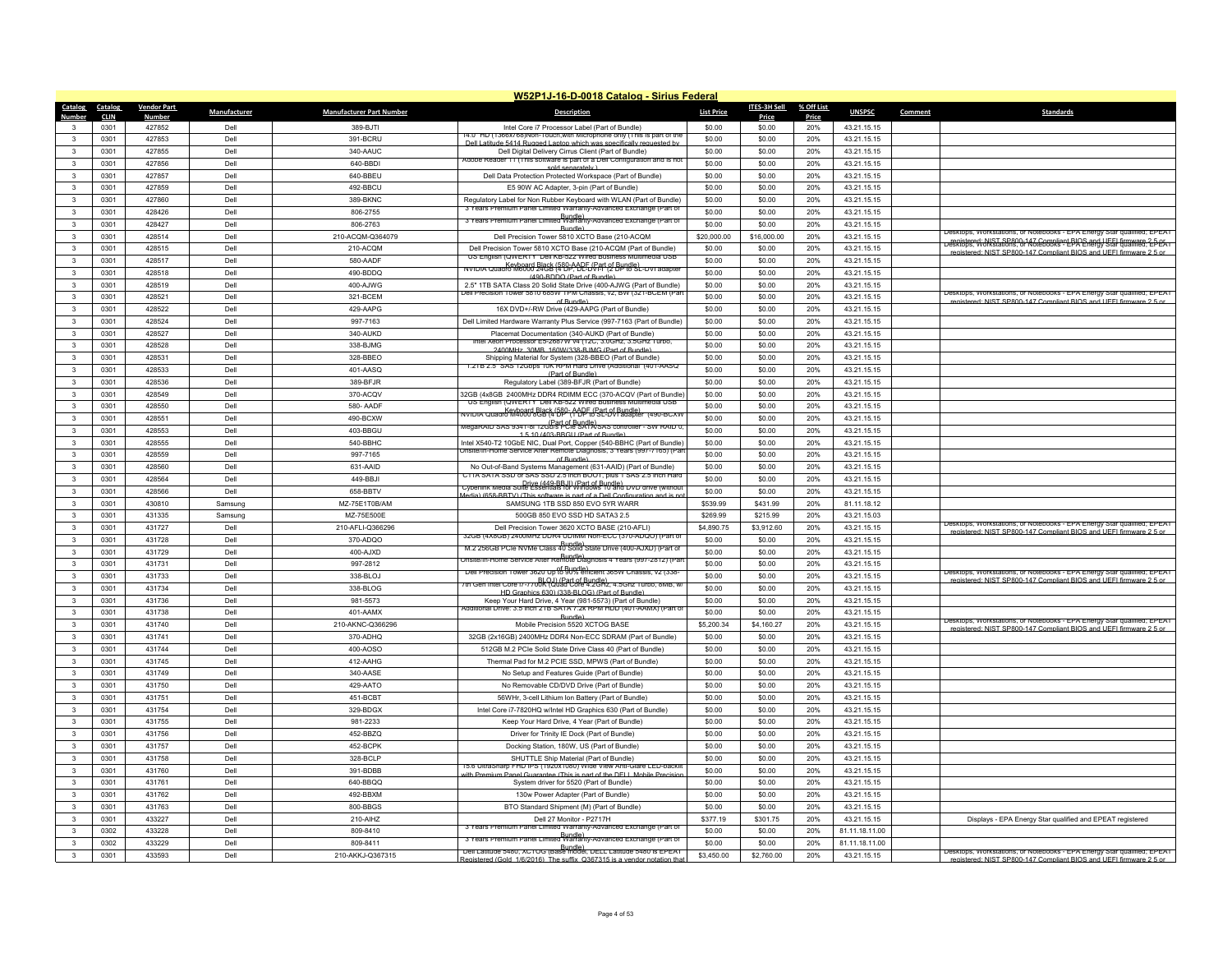|                 |             |                    |              |                                 | W52P1J-16-D-0018 Catalog - Sirius Federal                                                                                                |                   |              |            |                |         |                                                                                                                                                    |
|-----------------|-------------|--------------------|--------------|---------------------------------|------------------------------------------------------------------------------------------------------------------------------------------|-------------------|--------------|------------|----------------|---------|----------------------------------------------------------------------------------------------------------------------------------------------------|
| Catalog Catalog |             | <b>Vendor Part</b> | Manufacturer | <b>Manufacturer Part Number</b> | <b>Description</b>                                                                                                                       | <b>List Price</b> | ITES-3H Sell | % Off List | <b>UNSPSC</b>  | Comment | <b>Standards</b>                                                                                                                                   |
| Number          | <b>CLIN</b> | <b>Number</b>      |              |                                 |                                                                                                                                          |                   | Price        | Price      |                |         |                                                                                                                                                    |
| $\mathbf{3}$    | 0301        | 427852             | Dell         | 389-BJTI                        | Intel Core i7 Processor Label (Part of Bundle)<br>14.0" HD (1366x/68)Non-Touch,with Microphone only (This is part of the                 | \$0.00            | \$0.00       | 20%        | 43.21.15.15    |         |                                                                                                                                                    |
| $\mathbf{R}$    | 0301        | 427853             | Dell         | 391-BCRU                        | Dell Latitude 5414 Rugged Lanton which was specifically reg                                                                              | \$0.00            | \$0.00       | 20%        | 43 21 15 15    |         |                                                                                                                                                    |
| $\mathbf{3}$    | 0301        | 427855             | Dell         | 340-AAUC                        | Dell Digital Delivery Cirrus Client (Part of Bundle)<br>Adobe Reader 11 (This software is part of a Dell Configuration and is not        | \$0.00            | \$0.00       | 20%        | 43.21.15.15    |         |                                                                                                                                                    |
| $\mathbf{3}$    | 0301        | 427856             | Dell         | 640-BBDI                        | sold separately )                                                                                                                        | \$0.00            | \$0.00       | 20%        | 43.21.15.15    |         |                                                                                                                                                    |
| $\mathbf{R}$    | 0301        | 427857             | Dell         | 640-BBEU                        | Dell Data Protection Protected Workspace (Part of Bundle)                                                                                | \$0.00            | \$0.00       | 20%        | 43.21.15.15    |         |                                                                                                                                                    |
| 3               | 0301        | 427859             | Dell         | 492-BBCU                        | E5 90W AC Adapter, 3-pin (Part of Bundle)                                                                                                | \$0.00            | \$0.00       | 20%        | 43 21 15 15    |         |                                                                                                                                                    |
| 3               | 0301        | 427860             | Dell         | 389-BKNC                        | Regulatory Label for Non Rubber Keyboard with WLAN (Part of Bundle)<br>3 Years Premium Panel Limited Warranty-Advanced Exchange (Part of | \$0.00            | \$0.00       | 20%        | 43.21.15.15    |         |                                                                                                                                                    |
| $\mathbf{R}$    | 0301        | 428426             | Dell         | 806-2755                        | 3 Years Premium Panel Limited Warranty-Advanced Exchange (Part of                                                                        | \$0.00            | \$0.00       | 20%        | 43.21.15.15    |         |                                                                                                                                                    |
| 3               | 0301        | 428427             | Dell         | 806-2763                        | Bundle)                                                                                                                                  | \$0.00            | \$0.00       | 20%        | 43.21.15.15    |         |                                                                                                                                                    |
| $\mathbf{3}$    | 0301        | 428514             | Dell         | 210-ACQM-Q364079                | Dell Precision Tower 5810 XCTO Base (210-ACQM                                                                                            | \$20,000.00       | \$16,000.00  | 20%        | 43.21.15.15    |         | Desktops, Workstations, or Notebooks - EPA Energy Star qualified; EPEAT<br>Desktops, Workstations, or Notebooks - EPIQ Energy 5 EL HULMARE, 2-P-EA |
| $\mathbf{3}$    | 0301        | 428515             | Dell         | 210-ACQM                        | Dell Precision Tower 5810 XCTO Base (210-ACQM (Part of Bundle)                                                                           | \$0.00            | \$0.00       | 20%        | 43.21.15.15    |         | registered: NIST SP800-147 Compliant RIOS and LIFFL firmware 2.5 or                                                                                |
| 3               | 0301        | 428517             | Dell         | 580-AADF                        | US English (QWERTY Dell KB-522 Wired Business Multimedia USB<br>NVIDIA Quadro M6000 24GB (580P, DCFL/Part (2 BPP 8 E-DVI adapter         | \$0.00            | \$0.00       | 20%        | 43.21.15.15    |         |                                                                                                                                                    |
| $\mathbf{3}$    | 0301        | 428518             | Dell         | 490-BDDQ                        | (490-BDDO (Part of Bundle)                                                                                                               | \$0.00            | \$0.00       | 20%        | 43.21.15.15    |         |                                                                                                                                                    |
| 3               | 0301        | 428519             | Dell         | 400-AJWG                        | 2.5" 1TB SATA Class 20 Solid State Drive (400-AJWG (Part of Bundle)                                                                      | \$0.00            | \$0.00       | 20%        | 43.21.15.15    |         |                                                                                                                                                    |
| $\mathbf{R}$    | 0301        | 428521             | Dell         | 321-BCEM                        | Dell Precision Tower 5810 685W TPM Chassis, v2, BW (321-BCEM (Par<br>of Bundle)                                                          | \$0.00            | \$0.00       | 20%        | 43.21.15.15    |         | Desktops, Workstations, or Notebooks - EPA Energy Star qualified; EPEAT<br>registered: NIST SP800-147 Compliant BIOS and UFFI firmware 2.5 o       |
| $\mathbf{3}$    | 0301        | 428522             | Dell         | 429-AAPG                        | 16X DVD+/-RW Drive (429-AAPG (Part of Bundle)                                                                                            | \$0.00            | \$0.00       | 20%        | 43.21.15.15    |         |                                                                                                                                                    |
| 3               | 0301        | 428524             | Dell         | 997-7163                        | Dell Limited Hardware Warranty Plus Service (997-7163 (Part of Bundle)                                                                   | \$0.00            | \$0.00       | 20%        | 43.21.15.15    |         |                                                                                                                                                    |
| $\mathbf{R}$    | 0301        | 428527             | Dell         | 340-AUKD                        | Placemat Documentation (340-AUKD (Part of Bundle)                                                                                        | \$0.00            | \$0.00       | 20%        | 43.21.15.15    |         |                                                                                                                                                    |
| $\mathbf{3}$    | 0301        | 428528             | Dell         | 338-BJMG                        | Xeon Processor E5-268/W v4 (12C, 3.0GHz, 3.5GHz Turt                                                                                     | \$0.00            | \$0.00       | 20%        | 43.21.15.15    |         |                                                                                                                                                    |
| 3               | 0301        | 428531             | Dell         | 328-BBEO                        | 2400MHz 30MB 160W/338-BJMG (Part of Bundle)<br>Shipping Material for System (328-BBEO (Part of Bundle)                                   | \$0.00            | \$0.00       | 20%        | 43.21.15.15    |         |                                                                                                                                                    |
| 3               | 0301        | 428533             | Dell         | 401-AASQ                        | <u>ו 215 ב.ס את 12Gpps וטולו הוא הוא דו 1.215 באפריה של 1.215 ב.</u>                                                                     | \$0.00            | \$0.00       | 20%        | 43.21.15.15    |         |                                                                                                                                                    |
| $\mathbf{3}$    | 0301        | 428536             | Dell         | 389-BFJR                        | (Part of Bundle)<br>Regulatory Label (389-BFJR (Part of Bundle)                                                                          | \$0.00            | \$0.00       | 20%        | 43.21.15.15    |         |                                                                                                                                                    |
| 3               | 0301        | 428549             | Dell         | 370-ACQV                        | 32GB (4x8GB 2400MHz DDR4 RDIMM ECC (370-ACQV (Part of Bundle                                                                             | \$0.00            | \$0.00       | 20%        | 43.21.15.15    |         |                                                                                                                                                    |
| 3               | 0301        | 428550             | Dell         | 580- AADF                       | US English (QWERTY Dell KB-522 Wired Business Multimedia USB                                                                             | \$0.00            | \$0.00       | 20%        | 43.21.15.15    |         |                                                                                                                                                    |
| 3               | 0301        | 428551             | Dell         | 490-BCXW                        | NVIDIA Quadro M4000 898 (4 DP - AADF (Part of Bundle)<br>NVIDIA Quadro M4000 898 (4 DP - (1 DP to SL-DVI adapter - (490-BCXW             | \$0.00            | \$0.00       | 20%        | 43.21.15.15    |         |                                                                                                                                                    |
| $\mathbf{3}$    | 0301        | 428553             | Dell         | 403-BBGU                        | wegaRAID SAS 9341-8i 12GB/st-cfle SATASSAS controller - SW RAID บ                                                                        | \$0.00            | \$0.00       | 20%        | 43.21.15.15    |         |                                                                                                                                                    |
| $\mathbf{3}$    | 0301        | 428555             | Dell         | 540-BBHC                        | 1.5.10 (403-RRGLL (Part of Bundle)<br>Intel X540-T2 10GbE NIC, Dual Port, Copper (540-BBHC (Part of Bundle)                              | \$0.00            | \$0.00       | 20%        | 43.21.15.15    |         |                                                                                                                                                    |
| $\mathbf{3}$    | 0301        | 428559             | Dell         | 997-7165                        | Insite/In-Home Service After Remote Diagnosis, 3 Years (997-7165) (Pa                                                                    | \$0.00            | \$0.00       | 20%        |                |         |                                                                                                                                                    |
| $\mathbf{3}$    |             |                    |              |                                 | of Bundle                                                                                                                                |                   |              |            | 43.21.15.15    |         |                                                                                                                                                    |
|                 | 0301        | 428560             | Dell         | 631-AAID                        | No Out-of-Band Systems Management (631-AAID) (Part of Bundle)<br>C11A SATA SSD or SAS SSD 2.5 inch BOOT, plus 1 SAS 2.5 inch Hard        | \$0.00            | \$0.00       | 20%        | 43.21.15.15    |         |                                                                                                                                                    |
| 3               | 0301        | 428564             | Dell         | 449-BBJI                        | Cyberlink Media Suite Essentials for Windows 10 and DVD drive (without                                                                   | \$0.00            | \$0.00       | 20%        | 43.21.15.15    |         |                                                                                                                                                    |
| $\mathbf{R}$    | 0301        | 428566             | Dell         | 658-BBTV                        | ledia) (658-BBTV) (This software is nart of a Dell Configuration                                                                         | \$0.00            | \$0.00       | 20%        | 43.21.15.15    |         |                                                                                                                                                    |
| $\mathbf{3}$    | 0301        | 430810             | Samsung      | MZ-75E1T0B/AM                   | SAMSUNG 1TB SSD 850 EVO 5YR WARR                                                                                                         | \$539.99          | \$431.99     | 20%        | 81.11.18.12    |         |                                                                                                                                                    |
| $\mathbf{3}$    | 0301        | 431335             | Samsung      | MZ-75E500E                      | 500GB 850 EVO SSD HD SATA3 2.5                                                                                                           | \$269.99          | \$215.99     | 20%        | 43.21.15.03    |         | Desktops, Workstations, or Notebooks - EPA Energy Star qualified; EPEAT                                                                            |
| $\mathbf{3}$    | 0301        | 431727             | Dell         | 210-AFLI-Q366296                | Dell Precision Tower 3620 XCTO BASE (210-AFLI)<br>32GB (4X8GB) 2400MHz DDR4 UDIMM Non-ECC (370-ADQO) (Part of                            | \$4,890.75        | \$3,912.60   | 20%        | 43.21.15.15    |         | registered: NIST SP800-147 Compliant BIOS and UEFI firmware 2.5 or                                                                                 |
| 3               | 0301        | 431728             | Dell         | 370-ADQO                        | M.2 256GB PCIe NVMe Class 40 Solid State Drive (400-AJXD) (Part of                                                                       | \$0.00            | \$0.00       | 20%        | 43.21.15.15    |         |                                                                                                                                                    |
| $\mathbf{3}$    | 0301        | 431729             | Dell         | 400-AJXD                        | Dinsite/In-Home Service After Remote Diagnosis 4 Years (997-2812) (Par                                                                   | \$0.00            | \$0.00       | 20%        | 43.21.15.15    |         |                                                                                                                                                    |
| $\mathbf{3}$    | 0301        | 431731             | Dell         | 997-2812                        | Dell Precision Tower 3620 Up to 9U% efficient 365W Chassis, v2 (338-                                                                     | \$0.00            | \$0.00       | 20%        | 43.21.15.15    |         | Desktops, Workstations, or Notebooks - EPA Energy Star qualified; EPEAT                                                                            |
| 3               | 0301        | 431733             | Dell         | 338-BLOJ                        | rth Gen Intel Core  /-//00k?duad Core 4.2GBz, 4.5Ghz   urbo, 8MB, w                                                                      | \$0.00            | \$0.00       | 20%        | 43 21 15 15    |         | registered: NIST SP800-147 Compliant BIOS and UFFI firmware 2.5 or                                                                                 |
| $\mathbf{3}$    | 0301        | 431734             | Dell         | 338-BLOG                        | HD Graphics 630) (338-BLOG) (Part of Bundle).                                                                                            | \$0.00            | \$0.00       | 20%        | 43.21.15.15    |         |                                                                                                                                                    |
| 3               | 0301        | 431736             | Dell         | 981-5573                        | Keep Your Hard Drive, 4 Year (981-5573) (Part of Bundle)                                                                                 | \$0.00            | \$0.00       | 20%        | 43.21.15.15    |         |                                                                                                                                                    |
| 3               | 0301        | 431738             | Dell         | 401-AAMX                        | Additional Drive: 3.5 inch 2TB SATA 7.2k RPM HDD (401-AAMX) (Part o<br>Bundle)                                                           | \$0.00            | \$0.00       | 20%        | 43.21.15.15    |         |                                                                                                                                                    |
| $\mathbf{3}$    | 0301        | 431740             | Dell         | 210-AKNC-Q366296                | Mobile Precision 5520 XCTOG BASE                                                                                                         | \$5,200.34        | \$4,160.27   | 20%        | 43.21.15.15    |         | Desktops, Workstations, or Notebooks - EPA Energy Star qualified; EPEAT<br>nistered: NIST SP800-147 Compliant RIOS and LIFFI firm                  |
| 3               | 0301        | 431741             | Dell         | 370-ADHQ                        | 32GB (2x16GB) 2400MHz DDR4 Non-ECC SDRAM (Part of Bundle)                                                                                | \$0.00            | \$0.00       | 20%        | 43.21.15.15    |         |                                                                                                                                                    |
| 3               | 0301        | 431744             | Dell         | 400-AOSO                        | 512GB M.2 PCle Solid State Drive Class 40 (Part of Bundle)                                                                               | \$0.00            | \$0.00       | 20%        | 43.21.15.15    |         |                                                                                                                                                    |
| $\mathbf{3}$    | 0301        | 431745             | Dell         | 412-AAHG                        | Thermal Pad for M.2 PCIE SSD, MPWS (Part of Bundle)                                                                                      | \$0.00            | \$0.00       | 20%        | 43.21.15.15    |         |                                                                                                                                                    |
| $\mathbf{3}$    | 0301        | 431749             | Dell         | 340-AASE                        | No Setup and Features Guide (Part of Bundle)                                                                                             | \$0.00            | \$0.00       | 20%        | 43.21.15.15    |         |                                                                                                                                                    |
| 3               | 0301        | 431750             | Dell         | 429-AATO                        | No Removable CD/DVD Drive (Part of Bundle)                                                                                               | \$0.00            | \$0.00       | 20%        | 43.21.15.15    |         |                                                                                                                                                    |
| $\mathbf{R}$    | 0301        | 431751             | Dell         | 451-BCBT                        | 56WHr, 3-cell Lithium Ion Battery (Part of Bundle)                                                                                       | \$0.00            | \$0.00       | 20%        | 43.21.15.15    |         |                                                                                                                                                    |
| $\mathbf{3}$    | 0301        | 431754             | Dell         | 329-BDGX                        | Intel Core i7-7820HQ w/Intel HD Graphics 630 (Part of Bundle)                                                                            | \$0.00            | \$0.00       | 20%        | 43.21.15.15    |         |                                                                                                                                                    |
| $\mathbf{3}$    | 0301        | 431755             | Dell         | 981-2233                        | Keep Your Hard Drive, 4 Year (Part of Bundle)                                                                                            | \$0.00            | \$0.00       | 20%        | 43.21.15.15    |         |                                                                                                                                                    |
| $\mathbf{R}$    | 0301        | 431756             | Dell         | 452-BBZQ                        | Driver for Trinity IE Dock (Part of Bundle)                                                                                              | \$0.00            | \$0.00       | 20%        | 43.21.15.15    |         |                                                                                                                                                    |
| $\mathbf{3}$    | 0301        | 431757             | Dell         | 452-BCPK                        | Docking Station, 180W, US (Part of Bundle)                                                                                               | \$0.00            | \$0.00       | 20%        | 43.21.15.15    |         |                                                                                                                                                    |
| 3               | 0301        | 431758             | Dell         | 328-BCLP                        | SHUTTLE Ship Material (Part of Bundle)                                                                                                   | \$0.00            | \$0.00       | 20%        | 43.21.15.15    |         |                                                                                                                                                    |
| $\mathbf{R}$    | 0301        | 431760             | Dell         | 391-BDBB                        | 15.6 UltraSharp FHD IPS (1920x1080) Wide View Anti-Glare LED-backli                                                                      | \$0.00            | \$0.00       | 20%        | 43.21.15.15    |         |                                                                                                                                                    |
| 3               | 0301        | 431761             | Dell         | 640-BBOO                        | with Premium Panel Guarantee (This is nart of the DFI L Mobile Precision<br>System driver for 5520 (Part of Bundle)                      | \$0.00            | \$0.00       | 20%        | 43 21 15 15    |         |                                                                                                                                                    |
| $\mathbf{3}$    | 0301        | 431762             | Dell         | 492-BBXM                        | 130w Power Adapter (Part of Bundle)                                                                                                      | \$0.00            | \$0.00       | 20%        | 43.21.15.15    |         |                                                                                                                                                    |
| $\mathbf{R}$    | 0301        | 431763             | Dell         | 800-BBGS                        | BTO Standard Shipment (M) (Part of Bundle)                                                                                               | \$0.00            | \$0.00       | 20%        | 43.21.15.15    |         |                                                                                                                                                    |
| $\mathbf{R}$    | 0301        | 433227             | Dell         | 210-AIHZ                        | Dell 27 Monitor - P2717H                                                                                                                 | \$377.19          | \$301.75     | 20%        | 43 21 15 15    |         | Displays - EPA Energy Star qualified and EPEAT registered                                                                                          |
| $\mathbf{3}$    | 0302        | 433228             | Dell         | 809-8410                        | 3 Years Premium Panel Limited Warranty-Advanced Exchange (Part of                                                                        | \$0.00            | \$0.00       | 20%        | 81.11.18.11.00 |         |                                                                                                                                                    |
| $\mathbf{R}$    | 0302        | 433229             | Dell         | 809-8411                        | Bundle)<br>3 Years Premium Panel Limited Warranty-Advanced Exchange (Part of                                                             | \$0.00            | \$0.00       | 20%        | 81.11.18.11.00 |         |                                                                                                                                                    |
|                 |             | 433593             | Dell         |                                 | Dell Latitude 5480, XCTOG (Base model, DELL Latitude 5480 is EPEAT                                                                       |                   |              |            |                |         | Jesktops, Workstations, or Notebooks - EPA Energy Star qualified; EPEAT                                                                            |
| $\mathbf{R}$    | 0301        |                    |              | 210-AKKJ-Q367315                | Registered (Gold, 1/6/2016). The suffix 0367315 is a vendor notation that                                                                | \$3,450.00        | \$2,760.00   | 20%        | 43.21.15.15    |         | registered: NIST SP800-147 Compliant BIOS and LIFFI firmware 2.5 or                                                                                |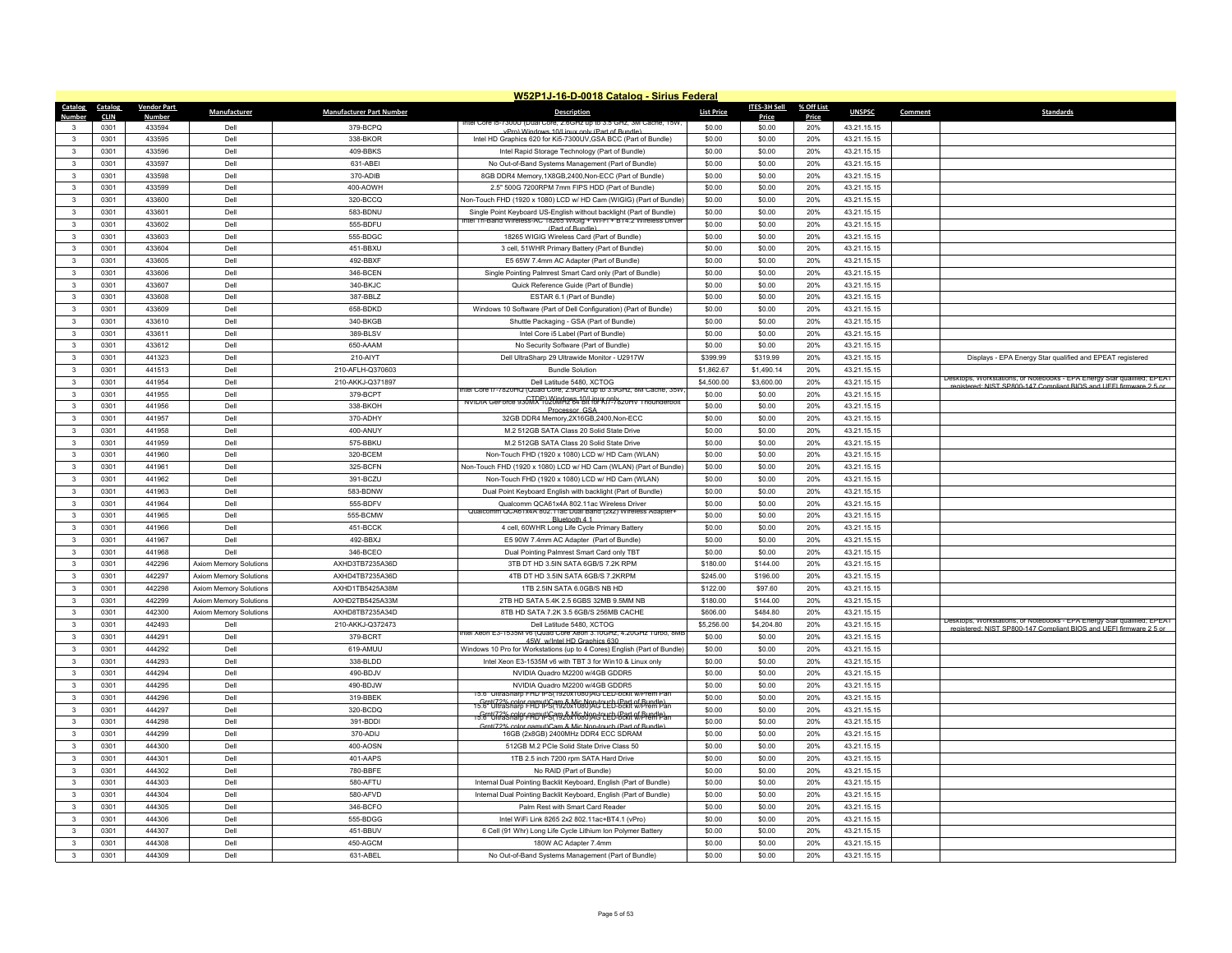|                              | W52P1J-16-D-0018 Catalog - Sirius Federal |                        |                        |                                      |                                                                                                                                              |                          |                          |            |                            |         |                                                                         |  |
|------------------------------|-------------------------------------------|------------------------|------------------------|--------------------------------------|----------------------------------------------------------------------------------------------------------------------------------------------|--------------------------|--------------------------|------------|----------------------------|---------|-------------------------------------------------------------------------|--|
| Catalog                      | Catalog                                   | <b>Vendor Part</b>     | Manufacturer           | <b>Manufacturer Part Number</b>      | <b>Description</b>                                                                                                                           | <b>List Price</b>        | ITES-3H Sell             | % Off List | <b>UNSPSC</b>              | Comment | <b>Standards</b>                                                        |  |
| Numhei                       | <b>CLIN</b>                               | <b>Numbe</b><br>433594 |                        |                                      | itel Core Ib-73000 (Dual Co                                                                                                                  |                          | Price<br>\$0.00          | Price      |                            |         |                                                                         |  |
| $\mathbf{R}$                 | 0301<br>0301                              | 433595                 | Dell<br>Dell           | 379-BCPQ<br>338-BKOR                 | vPro) Windows 10/Linux only (Part of Bundle)                                                                                                 | \$0.00                   |                          | 20%        | 43.21.15.15                |         |                                                                         |  |
|                              |                                           |                        | Dell                   |                                      | Intel HD Graphics 620 for Ki5-7300UV, GSA BCC (Part of Bundle)                                                                               | \$0.00                   | \$0.00<br>\$0.00         | 20%        | 43.21.15.15                |         |                                                                         |  |
| 3                            | 0301                                      | 433596                 |                        | 409-BBKS                             | Intel Rapid Storage Technology (Part of Bundle)                                                                                              | \$0.00                   |                          | 20%        | 43.21.15.15                |         |                                                                         |  |
| 3                            | 0301                                      | 433597                 | Dell                   | 631-ABEI                             | No Out-of-Band Systems Management (Part of Bundle)                                                                                           | \$0.00                   | \$0.00                   | 20%        | 43.21.15.15                |         |                                                                         |  |
| 3                            | 0301                                      | 433598                 | Dell                   | 370-ADIB                             | 8GB DDR4 Memory, 1X8GB, 2400, Non-ECC (Part of Bundle)                                                                                       | \$0.00                   | \$0.00                   | 20%        | 43.21.15.15                |         |                                                                         |  |
| 3                            | 0301                                      | 433599                 | Dell                   | 400-AOWH                             | 2.5" 500G 7200RPM 7mm FIPS HDD (Part of Bundle)                                                                                              | \$0.00                   | \$0.00                   | 20%        | 43.21.15.15                |         |                                                                         |  |
| 3                            | 0301                                      | 433600                 | Dell                   | 320-BCCQ                             | Non-Touch FHD (1920 x 1080) LCD w/ HD Cam (WIGIG) (Part of Bundle)                                                                           | \$0.00                   | \$0.00                   | 20%        | 43.21.15.15                |         |                                                                         |  |
| 3                            | 0301                                      | 433601                 | Dell                   | 583-BDNU                             | Single Point Keyboard US-English without backlight (Part of Bundle)<br>ntel Tri-Band Wireless-AC 18265 WiGig + Wi-Fi + BT4.2 Wireless Driver | \$0.00                   | \$0.00                   | 20%        | 43.21.15.15                |         |                                                                         |  |
| 3                            | 0301                                      | 433602                 | Dell                   | 555-BDFU                             | (Part of Bu                                                                                                                                  | \$0.00                   | \$0.00                   | 20%        | 43.21.15.15                |         |                                                                         |  |
| $\mathbf{3}$                 | 0301                                      | 433603                 | Dell                   | 555-BDGC                             | 18265 WIGIG Wireless Card (Part of Bundle)                                                                                                   | \$0.00                   | \$0.00                   | 20%        | 43.21.15.15                |         |                                                                         |  |
| 3                            | 0301                                      | 433604                 | Dell<br>Dell           | 451-BBXU                             | 3 cell, 51WHR Primary Battery (Part of Bundle)                                                                                               | \$0.00<br>\$0.00         | \$0.00                   | 20%        | 43.21.15.15                |         |                                                                         |  |
| 3<br>$\mathbf{3}$            | 0301                                      | 433605                 |                        | 492-BBXF                             | E5 65W 7.4mm AC Adapter (Part of Bundle)                                                                                                     |                          | \$0.00                   | 20%        | 43.21.15.15                |         |                                                                         |  |
| 3                            | 0301<br>0301                              | 433606<br>433607       | Dell<br>Dell           | 346-BCEN<br>340-BKJC                 | Single Pointing Palmrest Smart Card only (Part of Bundle)                                                                                    | \$0.00<br>\$0.00         | \$0.00<br>\$0.00         | 20%<br>20% | 43.21.15.15                |         |                                                                         |  |
|                              |                                           |                        | Dell                   |                                      | Quick Reference Guide (Part of Bundle)                                                                                                       | \$0.00                   |                          |            | 43.21.15.15                |         |                                                                         |  |
| $\mathbf{3}$<br>$\mathbf{3}$ | 0301                                      | 433608                 | Dell                   | 387-BBLZ                             | ESTAR 6.1 (Part of Bundle)                                                                                                                   |                          | \$0.00                   | 20%        | 43.21.15.15                |         |                                                                         |  |
| 3                            | 0301<br>0301                              | 433609<br>433610       | Dell                   | 658-BDKD<br>340-BKGB                 | Windows 10 Software (Part of Dell Configuration) (Part of Bundle)                                                                            | \$0.00<br>\$0.00         | \$0.00<br>\$0.00         | 20%<br>20% | 43.21.15.15<br>43.21.15.15 |         |                                                                         |  |
| 3                            | 0301                                      | 433611                 | Dell                   | 389-BLSV                             | Shuttle Packaging - GSA (Part of Bundle)                                                                                                     | \$0.00                   |                          | 20%        |                            |         |                                                                         |  |
| $\mathbf{3}$                 | 0301                                      | 433612                 | Dell                   | 650-AAAM                             | Intel Core i5 Label (Part of Bundle)                                                                                                         | \$0.00                   | \$0.00<br>\$0.00         | 20%        | 43.21.15.15                |         |                                                                         |  |
| $\mathbf{3}$                 |                                           |                        |                        |                                      | No Security Software (Part of Bundle)                                                                                                        |                          |                          |            | 43.21.15.15                |         |                                                                         |  |
|                              | 0301                                      | 441323                 | Dell                   | 210-AIYT                             | Dell UltraSharp 29 Ultrawide Monitor - U2917W                                                                                                | \$399.99                 | \$319.99                 | 20%        | 43.21.15.15                |         | Displays - EPA Energy Star qualified and EPEAT registered               |  |
| $\mathbf{3}$<br>$\mathbf{3}$ | 0301<br>0301                              | 441513<br>441954       | Dell<br>Dell           | 210-AFLH-Q370603<br>210-AKKJ-Q371897 | <b>Bundle Solution</b><br>Dell Latitude 5480, XCTOG                                                                                          | \$1,862.67<br>\$4,500.00 | \$1,490.14<br>\$3,600.00 | 20%<br>20% | 43.21.15.15<br>43.21.15.15 |         | Desktops, Workstations, or Notebooks - EPA Energy Star qualified: EPEAT |  |
| $\mathbf{3}$                 | 0301                                      | 441955                 | Dell                   | 379-BCPT                             | ntel Core i7-7820HQ (Quad Core, 2.9GHz up to 3.9GHz, 8M Cache, 35W                                                                           | \$0.00                   | \$0.00                   | 20%        | 43.21.15.15                |         | egistered: NIST SP800-147 Compliant BIOS and LIFFI firmware 2.5 or      |  |
| 3                            | 0301                                      | 441956                 | Dell                   | 338-BKOH                             | NVIDIA Ger orce 930MX 1020MHz 64 Bit for Ki7-7820HV Thounderbolt                                                                             | \$0.00                   | \$0.00                   | 20%        | 43.21.15.15                |         |                                                                         |  |
| $\mathbf{R}$                 | 0301                                      | 441957                 | Dell                   | 370-ADHY                             | Processor GSA                                                                                                                                | \$0.00                   | \$0.00                   | 20%        |                            |         |                                                                         |  |
| $\mathbf{3}$                 | 0301                                      | 441958                 | Dell                   | 400-ANUY                             | 32GB DDR4 Memory,2X16GB,2400,Non-ECC                                                                                                         | \$0.00                   | \$0.00                   | 20%        | 43.21.15.15<br>43 21 15 15 |         |                                                                         |  |
| $\mathbf{3}$                 | 0301                                      | 441959                 | Dell                   | 575-BBKU                             | M.2 512GB SATA Class 20 Solid State Drive<br>M.2 512GB SATA Class 20 Solid State Drive                                                       | \$0.00                   | \$0.00                   | 20%        | 43.21.15.15                |         |                                                                         |  |
| $\mathbf{3}$                 | 0301                                      | 441960                 | Dell                   |                                      |                                                                                                                                              | \$0.00                   | \$0.00                   | 20%        |                            |         |                                                                         |  |
|                              | 0301                                      | 441961                 | Dell                   | 320-BCEM<br>325-BCFN                 | Non-Touch FHD (1920 x 1080) LCD w/ HD Cam (WLAN)<br>Non-Touch FHD (1920 x 1080) LCD w/ HD Cam (WLAN) (Part of Bundle)                        | \$0.00                   | \$0.00                   | 20%        | 43.21.15.15                |         |                                                                         |  |
| 3<br>$\mathbf{3}$            |                                           |                        |                        |                                      |                                                                                                                                              |                          |                          |            | 43.21.15.15                |         |                                                                         |  |
| $\mathbf{3}$                 | 0301                                      | 441962                 | Dell                   | 391-BCZU                             | Non-Touch FHD (1920 x 1080) LCD w/ HD Cam (WLAN)                                                                                             | \$0.00                   | \$0.00                   | 20%        | 43.21.15.15                |         |                                                                         |  |
| 3                            | 0301<br>0301                              | 441963<br>441964       | Dell<br>Dell           | 583-BDNW<br>555-BDFV                 | Dual Point Keyboard English with backlight (Part of Bundle)<br>Qualcomm QCA61x4A 802.11ac Wireless Driver                                    | \$0.00<br>\$0.00         | \$0.00<br>\$0.00         | 20%<br>20% | 43.21.15.15<br>43.21.15.15 |         |                                                                         |  |
| $\mathbf{3}$                 | 0301                                      | 441965                 | Dell                   | 555-BCMW                             | Qualcomm QCA61x4A 802.11ac Dual Band (2x2) Wireless Adapter+                                                                                 | \$0.00                   | \$0.00                   | 20%        | 43.21.15.15                |         |                                                                         |  |
| $\mathbf{3}$                 | 0301                                      | 441966                 | Dell                   | 451-BCCK                             | Bluetooth 4 1<br>4 cell, 60WHR Long Life Cycle Primary Battery                                                                               | \$0.00                   | \$0.00                   | 20%        | 43.21.15.15                |         |                                                                         |  |
| $\mathbf{R}$                 | 0301                                      | 441967                 | Dell                   | 492-BBXJ                             | E5 90W 7.4mm AC Adapter (Part of Bundle)                                                                                                     | \$0.00                   | \$0.00                   | 20%        | 43.21.15.15                |         |                                                                         |  |
| $\mathbf{3}$                 | 0301                                      | 441968                 | Dell                   | 346-BCEO                             | Dual Pointing Palmrest Smart Card only TBT                                                                                                   | \$0.00                   | \$0.00                   | 20%        | 43.21.15.15                |         |                                                                         |  |
| 3                            | 0301                                      | 442296                 | Axiom Memory Solutions | AXHD3TB7235A36D                      | 3TB DT HD 3.5IN SATA 6GB/S 7.2K RPM                                                                                                          | \$180.00                 | \$144.00                 | 20%        | 43.21.15.15                |         |                                                                         |  |
| 3                            | 0301                                      | 442297                 | Axiom Memory Solutions | AXHD4TB7235A36D                      | 4TB DT HD 3.5IN SATA 6GB/S 7.2KRPM                                                                                                           | \$245.00                 | \$196.00                 | 20%        | 43.21.15.15                |         |                                                                         |  |
| $\mathbf{3}$                 | 0301                                      | 442298                 | Axiom Memory Solutions | AXHD1TB5425A38M                      | 1TB 2.5IN SATA 6.0GB/S NB HD                                                                                                                 | \$122.00                 | \$97.60                  | 20%        | 43.21.15.15                |         |                                                                         |  |
| 3                            | 0301                                      | 442299                 | Axiom Memory Solutions | AXHD2TB5425A33M                      | 2TB HD SATA 5.4K 2.5 6GBS 32MB 9.5MM NB                                                                                                      | \$180.00                 | \$144.00                 | 20%        | 43.21.15.15                |         |                                                                         |  |
| 3                            | 0301                                      | 442300                 | Axiom Memory Solutions | AXHD8TB7235A34D                      | 8TB HD SATA 7.2K 3.5 6GB/S 256MB CACHE                                                                                                       | \$606.00                 | \$484.80                 | 20%        | 43.21.15.15                |         |                                                                         |  |
| $\mathbf{3}$                 | 0301                                      | 442493                 | Dell                   | 210-AKKJ-Q372473                     | Dell Latitude 5480, XCTOG                                                                                                                    | \$5,256.00               | \$4,204.80               | 20%        | 43.21.15.15                |         | Desktops, Workstations, or Notebooks - EPA Energy Star qualified; EPEAT |  |
| 3                            | 0301                                      | 444291                 | Dell                   | 379-BCRT                             | ntel Xeon E3-1535M v6 (Quad Core Xeon 3.10GHz, 4.20GHz Turbo, 8M                                                                             | \$0.00                   | \$0.00                   | 20%        | 43.21.15.15                |         | d: NIST SP800-147 Compliant RIOS and LIFFL fin                          |  |
| $\mathbf{3}$                 | 0301                                      | 444292                 | Dell                   | 619-AMUU                             | 45W w/Intel HD Graphics 630<br>Windows 10 Pro for Workstations (up to 4 Cores) English (Part of Bundle)                                      | \$0.00                   | \$0.00                   | 20%        | 43.21.15.15                |         |                                                                         |  |
| $\mathbf{3}$                 | 0301                                      | 444293                 | Dell                   | 338-BLDD                             | Intel Xeon E3-1535M v6 with TBT 3 for Win10 & Linux only                                                                                     | \$0.00                   | \$0.00                   | 20%        | 43.21.15.15                |         |                                                                         |  |
| $\mathbf{3}$                 | 0301                                      | 444294                 | Dell                   | 490-BDJV                             | NVIDIA Quadro M2200 w/4GB GDDR5                                                                                                              | \$0.00                   | \$0.00                   | 20%        | 43.21.15.15                |         |                                                                         |  |
| 3                            | 0301                                      | 444295                 | Dell                   | 490-BDJW                             | NVIDIA Quadro M2200 w/4GB GDDR5                                                                                                              | \$0.00                   | \$0.00                   | 20%        | 43.21.15.15                |         |                                                                         |  |
| $\mathbf{3}$                 | 0301                                      | 444296                 | Dell                   | 319-BBEK                             | 15.6" UltraSharp FHD IPS(1920x1080)AG LED-bckit w/                                                                                           | \$0.00                   | \$0.00                   | 20%        | 43.21.15.15                |         |                                                                         |  |
| 3                            | 0301                                      | 444297                 | Dell                   | 320-BCDQ                             | . Grnt(72% color gamyt)Cam & Mic Non-to-Lieb-Cart of Bundle)                                                                                 | \$0.00                   | \$0.00                   | 20%        | 43.21.15.15                |         |                                                                         |  |
| 3                            | 0301                                      | 444298                 | Dell                   | 391-BDDI                             | . Grat(72% color camut) Cam & Mic Non-to-LEb-Cent of Bundle)<br>Grnt(72% color gamut)Cam & Mic Non-touch (Part of Bundle                     | \$0.00                   | \$0.00                   | 20%        | 43.21.15.15                |         |                                                                         |  |
| $\mathbf{3}$                 | 0301                                      | 444299                 | Dell                   | 370-ADIJ                             | 16GB (2x8GB) 2400MHz DDR4 ECC SDRAM                                                                                                          | \$0.00                   | \$0.00                   | 20%        | 43.21.15.15                |         |                                                                         |  |
| $\mathbf{3}$                 | 0301                                      | 444300                 | Dell                   | 400-AOSN                             | 512GB M.2 PCIe Solid State Drive Class 50                                                                                                    | \$0.00                   | \$0.00                   | 20%        | 43.21.15.15                |         |                                                                         |  |
| $\mathbf{3}$                 | 0301                                      | 444301                 | Dell                   | 401-AAPS                             | 1TB 2.5 inch 7200 rpm SATA Hard Drive                                                                                                        | \$0.00                   | \$0.00                   | 20%        | 43.21.15.15                |         |                                                                         |  |
| $\mathbf{3}$                 | 0301                                      | 444302                 | Dell                   | 780-BBFE                             | No RAID (Part of Bundle)                                                                                                                     | \$0.00                   | \$0.00                   | 20%        | 43.21.15.15                |         |                                                                         |  |
| 3                            | 0301                                      | 444303                 | Dell                   | 580-AFTU                             | Internal Dual Pointing Backlit Keyboard, English (Part of Bundle)                                                                            | \$0.00                   | \$0.00                   | 20%        | 43.21.15.15                |         |                                                                         |  |
| $\mathbf{3}$                 | 0301                                      | 444304                 | Dell                   | 580-AFVD                             | Internal Dual Pointing Backlit Keyboard, English (Part of Bundle)                                                                            | \$0.00                   | \$0.00                   | 20%        | 43.21.15.15                |         |                                                                         |  |
| $\mathbf{R}$                 | 0301                                      | 444305                 | Dell                   | 346-BCFO                             | Palm Rest with Smart Card Reader                                                                                                             | \$0.00                   | \$0.00                   | 20%        | 43.21.15.15                |         |                                                                         |  |
| 3                            | 0301                                      | 444306                 | Dell                   | 555-BDGG                             | Intel WiFi Link 8265 2x2 802.11ac+BT4.1 (vPro)                                                                                               | \$0.00                   | \$0.00                   | 20%        | 43 21 15 15                |         |                                                                         |  |
| $\mathbf{3}$                 | 0301                                      | 444307                 | Dell                   | 451-BBUV                             | 6 Cell (91 Whr) Long Life Cycle Lithium Ion Polymer Battery                                                                                  | \$0.00                   | \$0.00                   | 20%        | 43.21.15.15                |         |                                                                         |  |
| $\mathbf{3}$                 | 0301                                      | 444308                 | Dell                   | 450-AGCM                             | 180W AC Adapter 7.4mm                                                                                                                        | \$0.00                   | \$0.00                   | 20%        | 43.21.15.15                |         |                                                                         |  |
| 3                            | 0301                                      | 444309                 | Dell                   | 631-ABEL                             | No Out-of-Band Systems Management (Part of Bundle)                                                                                           | \$0.00                   | \$0.00                   | 20%        | 43.21.15.15                |         |                                                                         |  |
|                              |                                           |                        |                        |                                      |                                                                                                                                              |                          |                          |            |                            |         |                                                                         |  |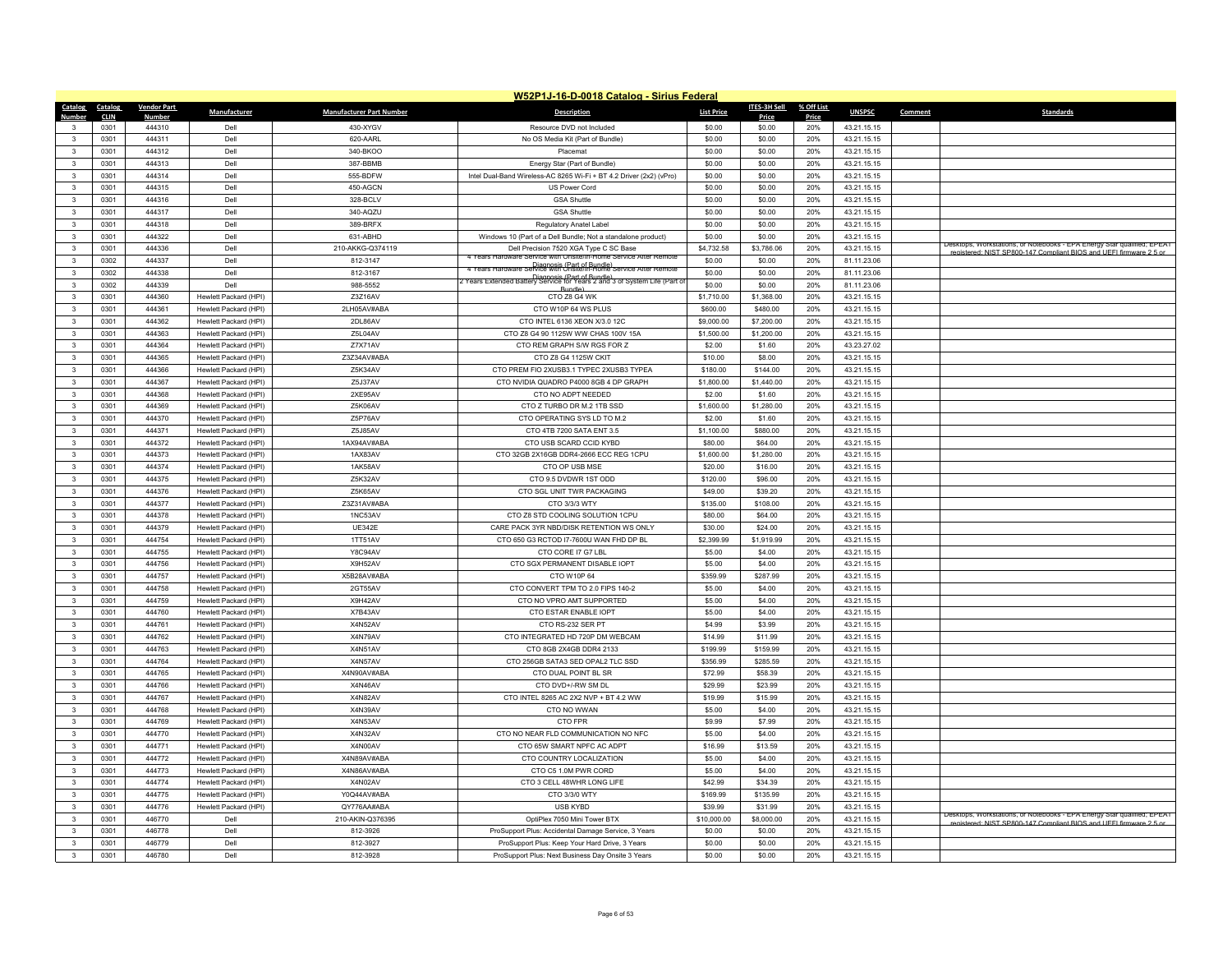|                              |                     |                    |                       |                                 | W52P1J-16-D-0018 Catalog - Sirius Federal                                                                |                      |                      |              |                            |         |                                                                         |
|------------------------------|---------------------|--------------------|-----------------------|---------------------------------|----------------------------------------------------------------------------------------------------------|----------------------|----------------------|--------------|----------------------------|---------|-------------------------------------------------------------------------|
| Catalog                      | Catalog             | <b>Vendor Part</b> | Manufacturer          | <b>Manufacturer Part Number</b> | <b>Description</b>                                                                                       | <b>List Price</b>    | ITES-3H Sell         | % Off List   | <b>UNSPSC</b>              | Comment | <b>Standards</b>                                                        |
| Number<br>3                  | <b>CLIN</b><br>0301 | Number<br>444310   | Dell                  | 430-XYGV                        | Resource DVD not Included                                                                                | \$0.00               | Price<br>\$0.00      | Price<br>20% | 43.21.15.15                |         |                                                                         |
| $\mathbf{3}$                 | 0301                | 444311             | Dell                  | 620-AARI                        | No OS Media Kit (Part of Bundle)                                                                         | \$0.00               | \$0.00               | 20%          | 43.21.15.15                |         |                                                                         |
| $\mathbf{3}$                 | 0301                | 444312             | Dell                  | 340-BKOO                        | Placemat                                                                                                 | \$0.00               | \$0.00               | 20%          | 43.21.15.15                |         |                                                                         |
|                              |                     |                    |                       |                                 |                                                                                                          |                      |                      |              |                            |         |                                                                         |
| $\mathbf{3}$<br>$\mathbf{R}$ | 0301<br>0301        | 444313<br>444314   | Dell<br>Dell          | 387-BBMB<br>555-BDFW            | Energy Star (Part of Bundle)                                                                             | \$0.00               | \$0.00               | 20%<br>20%   | 43.21.15.15                |         |                                                                         |
|                              | 0301                | 444315             | Dell                  | 450-AGCN                        | Intel Dual-Band Wireless-AC 8265 Wi-Fi + BT 4.2 Driver (2x2) (vPro)                                      | \$0.00<br>\$0.00     | \$0.00<br>\$0.00     | 20%          | 43.21.15.15                |         |                                                                         |
| 3<br>3                       |                     |                    |                       |                                 | US Power Cord                                                                                            |                      |                      |              | 43.21.15.15                |         |                                                                         |
| $\mathbf{R}$                 | 0301<br>0301        | 444316<br>444317   | Dell<br>Dell          | 328-BCLV                        | <b>GSA Shuttle</b>                                                                                       | \$0.00<br>\$0.00     | \$0.00               | 20%<br>20%   | 43.21.15.15                |         |                                                                         |
|                              |                     | 444318             |                       | 340-AQZU                        | <b>GSA Shuttle</b>                                                                                       |                      | \$0.00<br>\$0.00     |              | 43.21.15.15                |         |                                                                         |
| 3<br>$\mathbf{3}$            | 0301                |                    | Dell<br>Dell          | 389-BRFX                        | Regulatory Anatel Label                                                                                  | \$0.00<br>\$0.00     |                      | 20%          | 43.21.15.15                |         |                                                                         |
|                              | 0301                | 444322             |                       | 631-ABHD                        | Windows 10 (Part of a Dell Bundle; Not a standalone product)                                             |                      | \$0.00               | 20%          | 43.21.15.15                |         | Desktops, workstations, or Notebooks - EPA Energy Star qualified; EPEAT |
| $\mathbf{3}$<br>3            | 0301<br>0302        | 444336<br>444337   | Dell<br>Dell          | 210-AKKG-Q374119                | Dell Precision 7520 XGA Type C SC Base<br>ears Hardware Service with Onsite/In-Home Service After Remot  | \$4,732.58<br>\$0.00 | \$3,786.06<br>\$0.00 | 20%<br>20%   | 43.21.15.15<br>81.11.23.06 |         | egistered: NIST SP800-147 Compliant BIOS and LIFFL firm<br>vare 2.5 or  |
| $\mathbf{3}$                 |                     | 444338             | Dell                  | 812-3147                        | Diagnosis (Part of Bundle)<br>The Years Hardware Service with Unsite/In-Home Service After Remote        |                      |                      | 20%          |                            |         |                                                                         |
|                              | 0302                |                    |                       | 812-3167                        | Diagnosis (Part of Bundle)<br>Z Years Extended Battery Service for Years 2 and 3 of System Life (Part of | \$0.00               | \$0.00               |              | 81.11.23.06                |         |                                                                         |
| $\mathbf{3}$                 | 0302                | 444339             | Dell                  | 988-5552                        | Bundle)                                                                                                  | \$0.00               | \$0.00               | 20%          | 81.11.23.06                |         |                                                                         |
| 3                            | 0301                | 444360             | Hewlett Packard (HPI) | Z3Z16AV                         | CTO Z8 G4 WK                                                                                             | \$1,710.00           | \$1,368.00           | 20%          | 43.21.15.15                |         |                                                                         |
| $\mathbf{3}$                 | 0301                | 444361             | Hewlett Packard (HPI) | 2LH05AV#ABA                     | CTO W10P 64 WS PLUS                                                                                      | \$600.00             | \$480.00             | 20%          | 43.21.15.15                |         |                                                                         |
| 3                            | 0301                | 444362             | Hewlett Packard (HPI) | 2DL86AV                         | CTO INTEL 6136 XEON X/3.0 12C                                                                            | \$9,000.00           | \$7,200.00           | 20%          | 43.21.15.15                |         |                                                                         |
| 3                            | 0301                | 444363             | Hewlett Packard (HPI) | Z5L04AV                         | CTO Z8 G4 90 1125W WW CHAS 100V 15A                                                                      | \$1,500.00           | \$1,200.00           | 20%          | 43.21.15.15                |         |                                                                         |
| $\mathbf{3}$                 | 0301                | 444364             | Hewlett Packard (HPI) | Z7X71AV                         | CTO REM GRAPH S/W RGS FOR Z                                                                              | \$2.00               | \$1.60               | 20%          | 43.23.27.02                |         |                                                                         |
| 3                            | 0301                | 444365             | Hewlett Packard (HPI) | Z3Z34AV#ABA                     | CTO Z8 G4 1125W CKIT                                                                                     | \$10.00              | \$8.00               | 20%          | 43.21.15.15                |         |                                                                         |
| 3                            | 0301                | 444366             | Hewlett Packard (HPI) | Z5K34AV                         | CTO PREM FIO 2XUSB3.1 TYPEC 2XUSB3 TYPEA                                                                 | \$180.00             | \$144.00             | 20%          | 43.21.15.15                |         |                                                                         |
| $\mathbf{3}$                 | 0301                | 444367             | Hewlett Packard (HPI) | Z5J37AV                         | CTO NVIDIA QUADRO P4000 8GB 4 DP GRAPH                                                                   | \$1,800.00           | \$1,440.00           | 20%          | 43.21.15.15                |         |                                                                         |
| 3                            | 0301                | 444368             | Hewlett Packard (HPI) | 2XE95AV                         | CTO NO ADPT NEEDED                                                                                       | \$2.00               | \$1.60               | 20%          | 43.21.15.15                |         |                                                                         |
| 3                            | 0301                | 444369             | Hewlett Packard (HPI) | Z5K06AV                         | CTO Z TURBO DR M.2 1TB SSD                                                                               | \$1,600.00           | \$1,280.00           | 20%          | 43.21.15.15                |         |                                                                         |
| $\mathbf{3}$                 | 0301                | 444370             | Hewlett Packard (HPI) | Z5P76AV                         | CTO OPERATING SYS LD TO M.2                                                                              | \$2.00               | \$1.60               | 20%          | 43.21.15.15                |         |                                                                         |
| 3                            | 0301                | 444371             | Hewlett Packard (HPI) | Z5J85AV                         | CTO 4TB 7200 SATA ENT 3.5                                                                                | \$1,100.00           | \$880.00             | 20%          | 43.21.15.15                |         |                                                                         |
| $\mathbf{3}$                 | 0301                | 444372             | Hewlett Packard (HPI) | 1AX94AV#ABA                     | CTO USB SCARD CCID KYBD                                                                                  | \$80.00              | \$64.00              | 20%          | 43.21.15.15                |         |                                                                         |
| $\mathbf{3}$                 | 0301                | 444373             | Hewlett Packard (HPI) | 1AX83AV                         | CTO 32GB 2X16GB DDR4-2666 ECC REG 1CPU                                                                   | \$1,600.00           | \$1,280.00           | 20%          | 43.21.15.15                |         |                                                                         |
| $\mathbf{3}$                 | 0301                | 444374             | Hewlett Packard (HPI) | 1AK58AV                         | CTO OP USB MSE                                                                                           | \$20.00              | \$16.00              | 20%          | 43.21.15.15                |         |                                                                         |
| 3                            | 0301                | 444375             | Hewlett Packard (HPI) | Z5K32AV                         | CTO 9.5 DVDWR 1ST ODD                                                                                    | \$120.00             | \$96.00              | 20%          | 43.21.15.15                |         |                                                                         |
| 3                            | 0301                | 444376             | Hewlett Packard (HPI) | Z5K65AV                         | CTO SGL UNIT TWR PACKAGING                                                                               | \$49.00              | \$39.20              | 20%          | 43.21.15.15                |         |                                                                         |
| 3                            | 0301                | 444377             | Hewlett Packard (HPI) | Z3Z31AV#ABA                     | CTO 3/3/3 WTY                                                                                            | \$135.00             | \$108.00             | 20%          | 43.21.15.15                |         |                                                                         |
| $\mathbf{3}$                 | 0301                | 444378             | Hewlett Packard (HPI) | 1NC53AV                         | CTO Z8 STD COOLING SOLUTION 1CPU                                                                         | \$80.00              | \$64.00              | 20%          | 43.21.15.15                |         |                                                                         |
| $\mathbf{3}$                 | 0301                | 444379             | Hewlett Packard (HPI) | <b>UE342E</b>                   | CARE PACK 3YR NBD/DISK RETENTION WS ONLY                                                                 | \$30.00              | \$24.00              | 20%          | 43.21.15.15                |         |                                                                         |
| 3                            | 0301                | 444754             | Hewlett Packard (HPI) | 1TT51AV                         | CTO 650 G3 RCTOD I7-7600U WAN FHD DP BL                                                                  | \$2,399.99           | \$1,919.99           | 20%          | 43.21.15.15                |         |                                                                         |
| $\mathbf{3}$                 | 0301                | 444755             | Hewlett Packard (HPI) | Y8C94AV                         | CTO CORE I7 G7 LBL                                                                                       | \$5.00               | \$4.00               | 20%          | 43.21.15.15                |         |                                                                         |
| 3                            | 0301                | 444756             | Hewlett Packard (HPI) | X9H52AV                         | CTO SGX PERMANENT DISABLE IOPT                                                                           | \$5.00               | \$4.00               | 20%          | 43.21.15.15                |         |                                                                         |
| 3                            | 0301                | 444757             | Hewlett Packard (HPI) | X5B28AV#ABA                     | CTO W10P 64                                                                                              | \$359.99             | \$287.99             | 20%          | 43.21.15.15                |         |                                                                         |
| $\mathbf{3}$                 | 0301                | 444758             | Hewlett Packard (HPI) | 2GT55AV                         | CTO CONVERT TPM TO 2.0 FIPS 140-2                                                                        | \$5.00               | \$4.00               | 20%          | 43.21.15.15                |         |                                                                         |
| 3                            | 0301                | 444759             | Hewlett Packard (HPI) | X9H42AV                         | CTO NO VPRO AMT SUPPORTED                                                                                | \$5.00               | \$4.00               | 20%          | 43.21.15.15                |         |                                                                         |
| 3                            | 0301                | 444760             | Hewlett Packard (HPI) | X7B43AV                         | CTO ESTAR ENABLE IOPT                                                                                    | \$5.00               | \$4.00               | 20%          | 43.21.15.15                |         |                                                                         |
| $\mathbf{3}$                 | 0301                | 444761             | Hewlett Packard (HPI) | X4N52AV                         | CTO RS-232 SER PT                                                                                        | \$4.99               | \$3.99               | 20%          | 43.21.15.15                |         |                                                                         |
| 3                            | 0301                | 444762             | Hewlett Packard (HPI) | X4N79AV                         | CTO INTEGRATED HD 720P DM WEBCAM                                                                         | \$14.99              | \$11.99              | 20%          | 43.21.15.15                |         |                                                                         |
| 3                            | 0301                | 444763             | Hewlett Packard (HPI) | X4N51AV                         | CTO 8GB 2X4GB DDR4 2133                                                                                  | \$199.99             | \$159.99             | 20%          | 43.21.15.15                |         |                                                                         |
| $\mathbf{3}$                 | 0301                | 444764             | Hewlett Packard (HPI) | X4N57AV                         | CTO 256GB SATA3 SED OPAL2 TLC SSD                                                                        | \$356.99             | \$285.59             | 20%          | 43.21.15.15                |         |                                                                         |
| $\mathbf{3}$                 | 0301                | 444765             | Hewlett Packard (HPI) | X4N90AV#ABA                     | CTO DUAL POINT BL SR                                                                                     | \$72.99              | \$58.39              | 20%          | 43.21.15.15                |         |                                                                         |
| 3                            | 0301                | 444766             | Hewlett Packard (HPI) | X4N46AV                         | CTO DVD+/-RW SM DL                                                                                       | \$29.99              | \$23.99              | 20%          | 43.21.15.15                |         |                                                                         |
| $\mathbf{3}$                 | 0301                | 444767             | Hewlett Packard (HPI) | X4N82AV                         | CTO INTEL 8265 AC 2X2 NVP + BT 4.2 WW                                                                    | \$19.99              | \$15.99              | 20%          | 43.21.15.15                |         |                                                                         |
| $\mathbf{3}$                 | 0301                | 444768             | Hewlett Packard (HPI) | X4N39AV                         | CTO NO WWAN                                                                                              | \$5.00               | \$4.00               | 20%          | 43.21.15.15                |         |                                                                         |
| 3                            | 0301                | 444769             | Hewlett Packard (HPI) | X4N53AV                         | CTO FPR                                                                                                  | \$9.99               | \$7.99               | 20%          | 43.21.15.15                |         |                                                                         |
| $\mathbf{3}$                 | 0301                | 444770             | Hewlett Packard (HPI) | X4N32AV                         | CTO NO NEAR FLD COMMUNICATION NO NFC                                                                     | \$5.00               | \$4.00               | 20%          | 43.21.15.15                |         |                                                                         |
| $\mathbf{3}$                 | 0301                | 444771             | Hewlett Packard (HPI) | X4N00AV                         | CTO 65W SMART NPFC AC ADPT                                                                               | \$16.99              | \$13.59              | 20%          | 43.21.15.15                |         |                                                                         |
| 3                            | 0301                | 444772             | Hewlett Packard (HPI) | X4N89AV#ABA                     | CTO COUNTRY LOCALIZATION                                                                                 | \$5.00               | \$4.00               | 20%          | 43.21.15.15                |         |                                                                         |
| $\mathbf{R}$                 | 0301                | 444773             | Hewlett Packard (HPI) | X4N86AV#ABA                     | CTO C5 1.0M PWR CORD                                                                                     | \$5.00               | \$4.00               | 20%          | 43.21.15.15                |         |                                                                         |
| 3                            | 0301                | 444774             | Hewlett Packard (HPI) | X4N02AV                         | CTO 3 CELL 48WHR LONG LIFE                                                                               | \$42.99              | \$34.39              | 20%          | 43.21.15.15                |         |                                                                         |
| $\mathbf{3}$                 | 0301                | 444775             | Hewlett Packard (HPI) | Y0Q44AV#ABA                     | CTO 3/3/0 WTY                                                                                            | \$169.99             | \$135.99             | 20%          | 43.21.15.15                |         |                                                                         |
| $\mathbf{R}$                 | 0301                | 444776             | Hewlett Packard (HPI) | QY776AA#ABA                     | <b>USB KYBD</b>                                                                                          | \$39.99              | \$31.99              | 20%          | 43.21.15.15                |         | Desktops, Workstations, or Notebooks - EPA Energy Star qualified; EPEAT |
| 3                            | 0301                | 446770             | Dell                  | 210-AKIN-Q376395                | OptiPlex 7050 Mini Tower BTX                                                                             | \$10,000.00          | \$8,000.00           | 20%          | 43.21.15.15                |         | registered: NIST SP800-147 Compliant BIOS and UFFI firmware 2.5 or      |
| $\mathbf{3}$                 | 0301                | 446778             | Dell                  | 812-3926                        | ProSupport Plus: Accidental Damage Service, 3 Years                                                      | \$0.00               | \$0.00               | 20%          | 43.21.15.15                |         |                                                                         |
| 3                            | 0301                | 446779             | Dell                  | 812-3927                        | ProSupport Plus: Keep Your Hard Drive, 3 Years                                                           | \$0.00               | \$0.00               | 20%          | 43.21.15.15                |         |                                                                         |
| 3                            | 0301                | 446780             | Dell                  | 812-3928                        | ProSupport Plus: Next Business Day Onsite 3 Years                                                        | \$0.00               | \$0.00               | 20%          | 43.21.15.15                |         |                                                                         |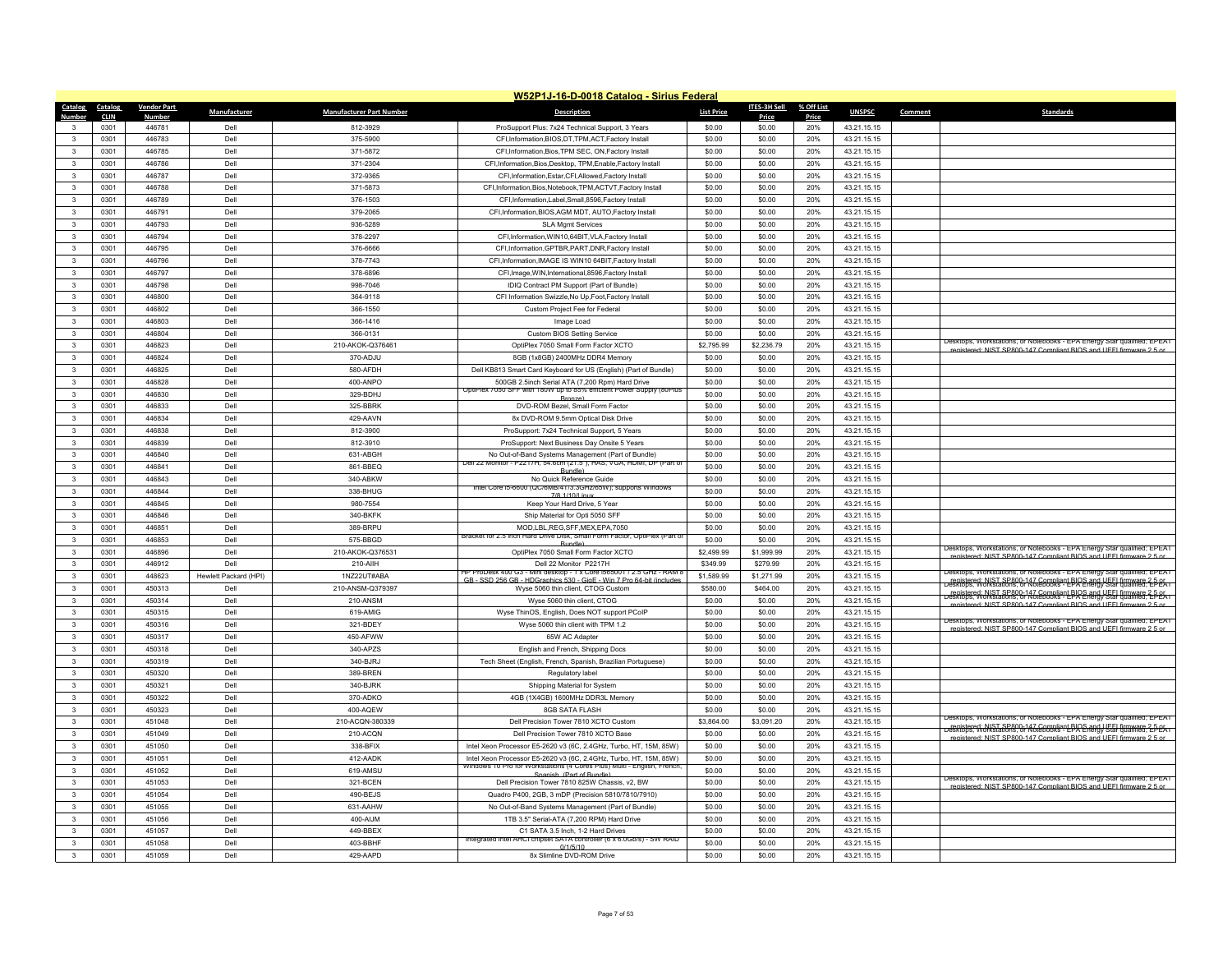|                        |                     |                         |                       |                                 | W52P1J-16-D-0018 Catalog - Sirius Federal                                                                                                      |                   |                 |              |               |         |                                                                                                                                                                                                                   |
|------------------------|---------------------|-------------------------|-----------------------|---------------------------------|------------------------------------------------------------------------------------------------------------------------------------------------|-------------------|-----------------|--------------|---------------|---------|-------------------------------------------------------------------------------------------------------------------------------------------------------------------------------------------------------------------|
| Catalog                | Catalog             | <b>Vendor Part</b>      | Manufacturer          | <b>Manufacturer Part Number</b> | <b>Description</b>                                                                                                                             | <b>List Price</b> | ITES-3H Sell    | % Off List   | <b>UNSPSC</b> | Comment | <b>Standards</b>                                                                                                                                                                                                  |
| Number<br>$\mathbf{3}$ | <b>CLIN</b><br>0301 | <b>Number</b><br>446781 | Dell                  | 812-3929                        | ProSupport Plus: 7x24 Technical Support, 3 Years                                                                                               | \$0.00            | Price<br>\$0.00 | Price<br>20% | 43.21.15.15   |         |                                                                                                                                                                                                                   |
| $\mathbf{3}$           | 0301                | 446783                  | Dell                  | 375-5900                        | CFI.Information.BIOS.DT.TPM.ACT.Factory Install                                                                                                | \$0.00            | \$0.00          | 20%          | 43.21.15.15   |         |                                                                                                                                                                                                                   |
| $\mathbf{3}$           | 0301                | 446785                  | Dell                  | 371-5872                        | CFI, Information, Bios, TPM SEC, ON, Factory Install                                                                                           | \$0.00            | \$0.00          | 20%          | 43.21.15.15   |         |                                                                                                                                                                                                                   |
| $\mathbf{3}$           | 0301                | 446786                  | Dell                  | 371-2304                        | CFI, Information, Bios, Desktop, TPM, Enable, Factory Install                                                                                  | \$0.00            | \$0.00          | 20%          | 43.21.15.15   |         |                                                                                                                                                                                                                   |
| $\mathbf{3}$           | 0301                | 446787                  | Dell                  | 372-9365                        | CFI, Information, Estar, CFI, Allowed, Factory Install                                                                                         | \$0.00            | \$0.00          | 20%          | 43.21.15.15   |         |                                                                                                                                                                                                                   |
| 3                      | 0301                | 446788                  | Dell                  | 371-5873                        | CFI.Information.Bios.Notebook.TPM.ACTVT.Factory Install                                                                                        | \$0.00            | \$0.00          | 20%          | 43.21.15.15   |         |                                                                                                                                                                                                                   |
| 3                      | 0301                | 446789                  | Dell                  | 376-1503                        | CFI, Information, Label, Small, 8596, Factory Install                                                                                          | \$0.00            | \$0.00          | 20%          | 43.21.15.15   |         |                                                                                                                                                                                                                   |
| $\mathbf{R}$           | 0301                | 446791                  | Dell                  | 379-2065                        | CFI, Information, BIOS, AGM MDT, AUTO, Factory Install                                                                                         | \$0.00            | \$0.00          | 20%          | 43.21.15.15   |         |                                                                                                                                                                                                                   |
| 3                      | 0301                | 446793                  | Dell                  | 936-5289                        | SI A Mamt Services                                                                                                                             | \$0.00            | \$0.00          | 20%          | 43.21.15.15   |         |                                                                                                                                                                                                                   |
| $\mathbf{3}$           | 0301                | 446794                  | Dell                  | 378-2297                        | CFI, Information, WIN10, 64BIT, VLA, Factory Install                                                                                           | \$0.00            | \$0.00          | 20%          | 43.21.15.15   |         |                                                                                                                                                                                                                   |
| $\mathbf{3}$           | 0301                | 446795                  | Dell                  | 376-6666                        | CFI, Information, GPTBR, PART, DNR, Factory Install                                                                                            | \$0.00            | \$0.00          | 20%          | 43.21.15.15   |         |                                                                                                                                                                                                                   |
| 3                      | 0301                | 446796                  | Dell                  | 378-7743                        | CFI, Information, IMAGE IS WIN10 64BIT, Factory Install                                                                                        | \$0.00            | \$0.00          | 20%          | 43.21.15.15   |         |                                                                                                                                                                                                                   |
| $\mathbf{3}$           | 0301                | 446797                  | Dell                  | 378-6896                        | CFI, Image, WIN, International, 8596, Factory Install                                                                                          | \$0.00            | \$0.00          | 20%          | 43.21.15.15   |         |                                                                                                                                                                                                                   |
| $\mathbf{3}$           | 0301                | 446798                  | Dell                  | 998-7046                        | IDIQ Contract PM Support (Part of Bundle)                                                                                                      | \$0.00            | \$0.00          | 20%          | 43.21.15.15   |         |                                                                                                                                                                                                                   |
| 3                      | 0301                | 446800                  | Dell                  | 364-9118                        | CFI Information Swizzle, No Up, Foot, Factory Install                                                                                          | \$0.00            | \$0.00          | 20%          | 43.21.15.15   |         |                                                                                                                                                                                                                   |
| $\mathbf{3}$           | 0301                | 446802                  | Dell                  | 366-1550                        | Custom Project Fee for Federal                                                                                                                 | \$0.00            | \$0.00          | 20%          | 43.21.15.15   |         |                                                                                                                                                                                                                   |
| 3                      | 0301                | 446803                  | Dell                  | 366-1416                        | Image Load                                                                                                                                     | \$0.00            | \$0.00          | 20%          | 43.21.15.15   |         |                                                                                                                                                                                                                   |
| 3                      | 0301                | 446804                  | Dell                  | 366-0131                        | Custom BIOS Setting Service                                                                                                                    | \$0.00            | \$0.00          | 20%          | 43.21.15.15   |         |                                                                                                                                                                                                                   |
| $\mathbf{3}$           | 0301                | 446823                  | Dell                  | 210-AKOK-Q376461                | OptiPlex 7050 Small Form Factor XCTO                                                                                                           | \$2,795.99        | \$2,236.79      | 20%          | 43.21.15.15   |         | Desktops, Workstations, or Notebooks - EPA Energy Star qualified; EPEAT                                                                                                                                           |
| 3                      | 0301                | 446824                  | Dell                  | 370-ADJU                        | 8GB (1x8GB) 2400MHz DDR4 Memory                                                                                                                | \$0.00            | \$0.00          | 20%          | 43.21.15.15   |         | registered: NIST SP800-147 Compliant BIOS and UFFI firmware 2.5 or                                                                                                                                                |
| $\mathbf{3}$           | 0301                | 446825                  | Dell                  | 580-AFDH                        | Dell KB813 Smart Card Keyboard for US (English) (Part of Bundle)                                                                               | \$0.00            | \$0.00          | 20%          | 43.21.15.15   |         |                                                                                                                                                                                                                   |
| $\mathbf{3}$           | 0301                | 446828                  | Dell                  | 400-ANPO                        | 500GB 2.5inch Serial ATA (7,200 Rpm) Hard Drive                                                                                                | \$0.00            | \$0.00          | 20%          | 43.21.15.15   |         |                                                                                                                                                                                                                   |
| 3                      | 0301                | 446830                  | Dell                  | 329-BDHJ                        | OptiPlex /050 SFF with 180W up to 85% efficient Power Supply (80Plus<br><b>Bronze</b> )                                                        | \$0.00            | \$0.00          | 20%          | 43.21.15.15   |         |                                                                                                                                                                                                                   |
| 3                      | 0301                | 446833                  | Dell                  | 325-BBRK                        | DVD-ROM Bezel, Small Form Factor                                                                                                               | \$0.00            | \$0.00          | 20%          | 43.21.15.15   |         |                                                                                                                                                                                                                   |
| $\mathbf{3}$           | 0301                | 446834                  | Dell                  | 429-AAVN                        | 8x DVD-ROM 9.5mm Optical Disk Drive                                                                                                            | \$0.00            | \$0.00          | 20%          | 43.21.15.15   |         |                                                                                                                                                                                                                   |
| 3                      | 0301                | 446838                  | Dell                  | 812-3900                        | ProSupport: 7x24 Technical Support, 5 Years                                                                                                    | \$0.00            | \$0.00          | 20%          | 43.21.15.15   |         |                                                                                                                                                                                                                   |
| $\mathbf{3}$           | 0301                | 446839                  | Dell                  | 812-3910                        | ProSupport: Next Business Day Onsite 5 Years                                                                                                   | \$0.00            | \$0.00          | 20%          | 43.21.15.15   |         |                                                                                                                                                                                                                   |
| $\mathbf{3}$           | 0301                | 446840                  | Dell                  | 631-ABGH                        | No Out-of-Band Systems Management (Part of Bundle)                                                                                             | \$0.00            | \$0.00          | 20%          | 43.21.15.15   |         |                                                                                                                                                                                                                   |
| $\mathbf{3}$           | 0301                | 446841                  | Dell                  | 861-BBEQ                        | Dell 22 Monitor - P2217H, 54.6cm (21.5"), HAS, VGA, HDMI, DP (Part of                                                                          | \$0.00            | \$0.00          | 20%          | 43.21.15.15   |         |                                                                                                                                                                                                                   |
| 3                      | 0301                | 446843                  | Dell                  | 340-ABKW                        | Bundle)<br>No Quick Reference Guide                                                                                                            | \$0.00            | \$0.00          | 20%          | 43.21.15.15   |         |                                                                                                                                                                                                                   |
| 3                      | 0301                | 446844                  | Dell                  | 338-BHUG                        | Intel Core i5-6600 (QC/6MB/41/3.3GHz/65W); supports Windows<br>7/8 1/10/Linux                                                                  | \$0.00            | \$0.00          | 20%          | 43.21.15.15   |         |                                                                                                                                                                                                                   |
| 3                      | 0301                | 446845                  | Dell                  | 980-7554                        | Keep Your Hard Drive, 5 Year                                                                                                                   | \$0.00            | \$0.00          | 20%          | 43.21.15.15   |         |                                                                                                                                                                                                                   |
| $\mathbf{3}$           | 0301                | 446846                  | Dell                  | 340-BKFK                        | Ship Material for Opti 5050 SFF                                                                                                                | \$0.00            | \$0.00          | 20%          | 43.21.15.15   |         |                                                                                                                                                                                                                   |
| $\mathbf{3}$           | 0301                | 446851                  | Dell                  | 389-BRPU                        | MOD,LBL,REG,SFF,MEX,EPA,7050                                                                                                                   | \$0.00            | \$0.00          | 20%          | 43.21.15.15   |         |                                                                                                                                                                                                                   |
| 3                      | 0301                | 446853                  | Dell                  | 575-BBGD                        | Bracket for 2.5 inch Hard Drive Disk, Small Form Factor, OptiPlex (Part of<br>Rundle)                                                          | \$0.00            | \$0.00          | 20%          | 43.21.15.15   |         |                                                                                                                                                                                                                   |
| $\mathbf{3}$           | 0301                | 446896                  | Dell                  | 210-AKOK-Q376531                | OptiPlex 7050 Small Form Factor XCTO                                                                                                           | \$2,499.99        | \$1,999.99      | 20%          | 43.21.15.15   |         | Desktops, Workstations, or Notebooks - EPA Energy Star qualified; EPEAT<br>registered: NIST SP800-147 Compliant BIOS and LIEEL firmware 2.5 o                                                                     |
| 3                      | 0301                | 446912                  | Dell                  | 210-AIIH                        | Dell 22 Monitor P2217H                                                                                                                         | \$349.99          | \$279.99        | 20%          | 43.21.15.15   |         |                                                                                                                                                                                                                   |
| 3                      | 0301                | 448623                  | Hewlett Packard (HPI) | 1N722UT#ABA                     | HP ProDesk 400 G3<br>- Mini desktop - 1 x Core (565001 / 2.5 GHz - RAM<br>GB - SSD 256 GB - HDGraphics 530 - GigF - Win 7 Pro 64-bit (include: | \$1,589.99        | \$1,271.99      | 20%          | 43.21.15.15   |         | Desktops, Workstations, or Notebooks - EPA Energy Star qualified; EPEAT                                                                                                                                           |
| $\mathbf{3}$           | 0301                | 450313                  | Dell                  | 210-ANSM-Q379397                | Wyse 5060 thin client, CTOG Custom                                                                                                             | \$580.00          | \$464.00        | 20%          | 43.21.15.15   |         | Principle HIST SPR00-147 Compliant BIOS and UEEL firmware 2-5-25<br>Desktops, Workstations, or Notebooks - EPA Energy Star qualified; EPEAT                                                                       |
| 3                      | 0301                | 450314                  | Dell                  | 210-ANSM                        | Wyse 5060 thin client, CTOG                                                                                                                    | \$0.00            | \$0.00          | 20%          | 43.21.15.15   |         | registered: NIST SP800-147 Compliant BIOS and UEEL firmware 2.5 or Notebooks - EPA Energy Star Gualities: LPEAT<br>registered: NIST SP800-147 Compliant BIOS and LIFFLfir                                         |
| 3                      | 0301                | 450315                  | Dell                  | 619-AMIG                        | Wyse ThinOS, English, Does NOT support PCoIP                                                                                                   | \$0.00            | \$0.00          | 20%          | 43.21.15.15   |         |                                                                                                                                                                                                                   |
| $\mathbf{3}$           | 0301                | 450316                  | Dell                  | 321-BDEY                        | Wyse 5060 thin client with TPM 1.2                                                                                                             | \$0.00            | \$0.00          | 20%          | 43.21.15.15   |         | Desktops, Workstations, or Notebooks - EPA Energy Star qualified; EPEAT<br>Lered: NIST SP800-147 Compliant BIOS and LIFFL firm                                                                                    |
| 3                      | 0301                | 450317                  | Dell                  | 450-AFWW                        | 65W AC Adapter                                                                                                                                 | \$0.00            | \$0.00          | 20%          | 43.21.15.15   |         |                                                                                                                                                                                                                   |
| 3                      | 0301                | 450318                  | Dell                  | 340-APZS                        | English and French, Shipping Docs                                                                                                              | \$0.00            | \$0.00          | 20%          | 43.21.15.15   |         |                                                                                                                                                                                                                   |
| $\mathbf{3}$           | 0301                | 450319                  | Dell                  | 340-BJRJ                        | Tech Sheet (English, French, Spanish, Brazilian Portuguese)                                                                                    | \$0.00            | \$0.00          | 20%          | 43.21.15.15   |         |                                                                                                                                                                                                                   |
| $\mathbf{3}$           | 0301                | 450320                  | Dell                  | 389-BREN                        | Regulatory label                                                                                                                               | \$0.00            | \$0.00          | 20%          | 43.21.15.15   |         |                                                                                                                                                                                                                   |
| 3                      | 0301                | 450321                  | Dell                  | 340-BJRK                        | Shipping Material for System                                                                                                                   | \$0.00            | \$0.00          | 20%          | 43.21.15.15   |         |                                                                                                                                                                                                                   |
| $\mathbf{3}$           | 0301                | 450322                  | Dell                  | $370 - ADKO$                    | 4GB (1X4GB) 1600MHz DDR3L Memory                                                                                                               | \$0.00            | \$0.00          | 20%          | 43.21.15.15   |         |                                                                                                                                                                                                                   |
| $\mathbf{3}$           | 0301                | 450323                  | Dell                  | 400-AQEW                        | <b>8GB SATA FLASH</b>                                                                                                                          | \$0.00            | \$0.00          | 20%          | 43.21.15.15   |         |                                                                                                                                                                                                                   |
| $\mathbf{3}$           | 0301                | 451048                  | Dell                  | 210-ACQN-380339                 | Dell Precision Tower 7810 XCTO Custom                                                                                                          | \$3,864.00        | \$3,091.20      | 20%          | 43.21.15.15   |         | Desktops, Workstations, or Notebooks - EPA Energy Star qualified; EPEAT<br>registered: NIST SP800-147 Compliant BIOS and UEEL firmware 2-DeSktops, Workstations, or Notebooks - EPA Energy Star qualified; 2-DEAT |
| $\mathbf{3}$           | 0301                | 451049                  | Dell                  | 210-ACQN                        | Dell Precision Tower 7810 XCTO Base                                                                                                            | \$0.00            | \$0.00          | 20%          | 43.21.15.15   |         | istered: NIST SP800-147 Compliant RIOS and LIFFI firmware 2.5 or                                                                                                                                                  |
| $\mathbf{3}$           | 0301                | 451050                  | Dell                  | 338-BFIX                        | Intel Xeon Processor E5-2620 v3 (6C, 2.4GHz, Turbo, HT, 15M, 85W)                                                                              | \$0.00            | \$0.00          | 20%          | 43.21.15.15   |         |                                                                                                                                                                                                                   |
| $\mathbf{3}$           | 0301                | 451051                  | Dell                  | 412-AADK                        | Intel Xeon Processor E5-2620 v3 (6C, 2.4GHz, Turbo, HT, 15M, 85W)                                                                              | \$0.00            | \$0.00          | 20%          | 43.21.15.15   |         |                                                                                                                                                                                                                   |
| $\mathbf{R}$           | 0301                | 451052                  | Dell                  | 619-AMSU                        | Windows 10 Pro for Workstations (4 Cores Plus) Multi - English, French,<br>Spanish (Part of Bundle)                                            | \$0.00            | \$0.00          | 20%          | 43.21.15.15   |         |                                                                                                                                                                                                                   |
| 3                      | 0301                | 451053                  | Dell                  | 321-BCEN                        | Dell Precision Tower 7810 825W Chassis, v2, BW                                                                                                 | \$0.00            | \$0.00          | 20%          | 43.21.15.15   |         | Desktops, Workstations, or Notebooks - EPA Energy Star qualified; EPEAT<br>egistered: NIST SP800-147 Compliant BIOS and LIFFL fire                                                                                |
| $\mathbf{3}$           | 0301                | 451054                  | Dell                  | 490-BEJS                        | Quadro P400, 2GB, 3 mDP (Precision 5810/7810/7910)                                                                                             | \$0.00            | \$0.00          | 20%          | 43.21.15.15   |         |                                                                                                                                                                                                                   |
| $\mathbf{R}$           | 0301                | 451055                  | Dell                  | 631-AAHW                        | No Out-of-Band Systems Management (Part of Bundle)                                                                                             | \$0.00            | \$0.00          | 20%          | 43.21.15.15   |         |                                                                                                                                                                                                                   |
| 3                      | 0301                | 451056                  | Dell                  | 400-AIJM                        | 1TB 3.5" Serial-ATA (7.200 RPM) Hard Drive                                                                                                     | \$0.00            | \$0.00          | 20%          | 43.21.15.15   |         |                                                                                                                                                                                                                   |
| $\mathbf{3}$           | 0301                | 451057                  | Dell                  | 449-BBEX                        | C1 SATA 3.5 Inch, 1-2 Hard Drives                                                                                                              | \$0.00            | \$0.00          | 20%          | 43.21.15.15   |         |                                                                                                                                                                                                                   |
| 3                      | 0301                | 451058                  | Dell                  | 403-BBHF                        | Integrated Intel AHCI chipset SATA controller (6 x 6.0Gb/s) - SW RAID<br>0/1/5/10                                                              | \$0.00            | \$0.00          | 20%          | 43.21.15.15   |         |                                                                                                                                                                                                                   |
| 3                      | 0301                | 451059                  | Dell                  | 429-AAPD                        | 8x Slimline DVD-ROM Drive                                                                                                                      | \$0.00            | \$0.00          | 20%          | 43.21.15.15   |         |                                                                                                                                                                                                                   |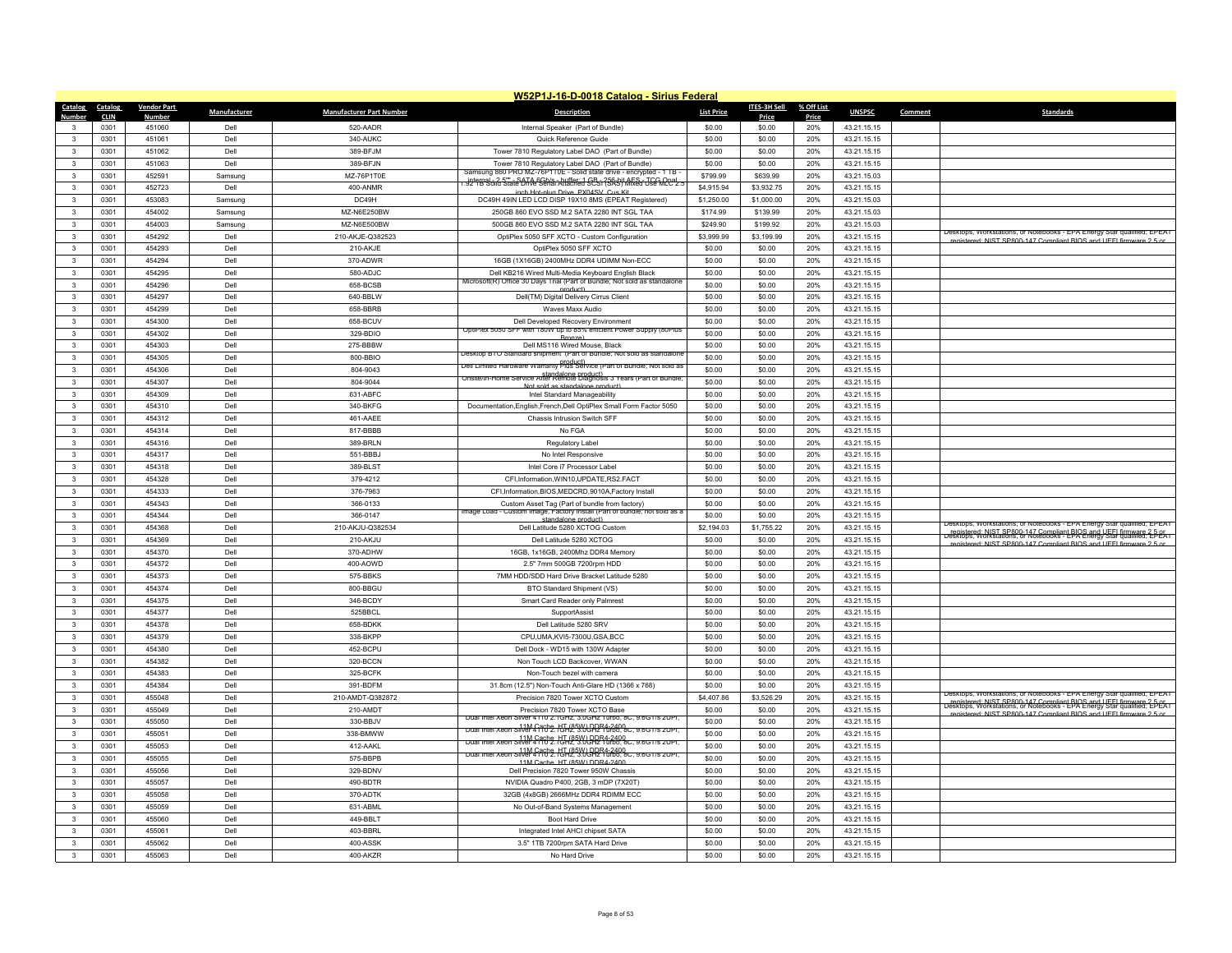|                         | W52P1J-16-D-0018 Catalog - Sirius Federal |                        |              |                                 |                                                                                                                                                         |                   |                  |              |                            |         |                                                                                                                                                |  |
|-------------------------|-------------------------------------------|------------------------|--------------|---------------------------------|---------------------------------------------------------------------------------------------------------------------------------------------------------|-------------------|------------------|--------------|----------------------------|---------|------------------------------------------------------------------------------------------------------------------------------------------------|--|
| Catalog                 | Catalog                                   | <b>Vendor Part</b>     | Manufacturer | <b>Manufacturer Part Number</b> | <b>Description</b>                                                                                                                                      | <b>List Price</b> | ITES-3H Sell     | % Off List   | <b>UNSPSC</b>              | Comment | <b>Standards</b>                                                                                                                               |  |
| Number                  | <b>CLIN</b><br>0301                       | <b>Numbe</b><br>451060 | Dell         | 520-AADR                        | Internal Speaker (Part of Bundle)                                                                                                                       | \$0.00            | Price<br>\$0.00  | Price<br>20% | 43.21.15.15                |         |                                                                                                                                                |  |
| $\mathbf{R}$            | 0301                                      | 451061                 | Dell         | 340-AUKC                        | Quick Reference Guide                                                                                                                                   | \$0.00            | \$0.00           | 20%          | 43.21.15.15                |         |                                                                                                                                                |  |
| 3                       | 0301                                      | 451062                 | Dell         | 389-BFJM                        | Tower 7810 Regulatory Label DAO (Part of Bundle)                                                                                                        | \$0.00            | \$0.00           | 20%          | 43.21.15.15                |         |                                                                                                                                                |  |
| $\mathbf{3}$            | 0301                                      | 451063                 | Dell         | 389-BFJN                        | Tower 7810 Regulatory Label DAO (Part of Bundle)                                                                                                        | \$0.00            | \$0.00           | 20%          | 43.21.15.15                |         |                                                                                                                                                |  |
| $\mathbf{3}$            | 0301                                      | 452591                 | Samsung      | MZ-76P1T0E                      | Samsung 860 PRO MZ-76P110E - Solid state drive - encrypted - 1 1B -                                                                                     | \$799.99          | \$639.99         | 20%          | 43.21.15.03                |         |                                                                                                                                                |  |
| 3                       | 0301                                      | 452723                 | Dell         | 400-ANMR                        | <u>,jpterpel 5, 3 strate OTA: Seblat Audient al SB 5 ?SA sit AFS 3 JSE MCC 1. .</u>                                                                     | \$4,915.94        | \$3.932.75       | 20%          | 43.21.15.15                |         |                                                                                                                                                |  |
| $\mathbf{3}$            | 0301                                      | 453083                 | Samsung      | DC49H                           | inch Hot-plug Drive PX04SV Cus Kit<br>DC49H 49IN LED LCD DISP 19X10 8MS (EPEAT Registered)                                                              | \$1,250.00        | \$1,000.00       | 20%          | 43.21.15.03                |         |                                                                                                                                                |  |
| $\mathbf{3}$            | 0301                                      | 454002                 | Samsung      | MZ-N6E250BW                     | 250GB 860 EVO SSD M.2 SATA 2280 INT SGL TAA                                                                                                             | \$174.99          | \$139.99         | 20%          | 43.21.15.03                |         |                                                                                                                                                |  |
| 3                       | 0301                                      | 454003                 | Samsung      | MZ-N6F500BW                     | 500GB 860 EVO SSD M.2 SATA 2280 INT SGL TAA                                                                                                             | \$249.90          | \$199.92         | 20%          | 43.21.15.03                |         |                                                                                                                                                |  |
| $\mathbf{3}$            | 0301                                      | 454292                 | Dell         | 210-AKJE-Q382523                | OptiPlex 5050 SFF XCTO - Custom Configuration                                                                                                           | \$3,999.99        | \$3,199.99       | 20%          | 43.21.15.15                |         | Jesktops, Workstations, or Notebooks - EPA Energy Star qualified; EPEAT                                                                        |  |
| 3                       | 0301                                      | 454293                 | Dell         | 210-AKJE                        | OptiPlex 5050 SFF XCTO                                                                                                                                  | \$0.00            | \$0.00           | 20%          | 43.21.15.15                |         | registered: NIST SP800-147 Compliant BIOS and UFFI firmware 2.5 or                                                                             |  |
| 3                       | 0301                                      | 454294                 | Dell         | 370-ADWR                        | 16GB (1X16GB) 2400MHz DDR4 UDIMM Non-ECC                                                                                                                | \$0.00            | \$0.00           | 20%          | 43.21.15.15                |         |                                                                                                                                                |  |
| $\mathbf{3}$            | 0301                                      | 454295                 | Dell         | 580-ADJC                        | Dell KB216 Wired Multi-Media Keyboard English Black                                                                                                     | \$0.00            | \$0.00           | 20%          | 43.21.15.15                |         |                                                                                                                                                |  |
| 3                       | 0301                                      | 454296                 | Dell         | 658-BCSB                        | Microsoft(R) Office 30 Days Trial (Part of Bundle; Not sold as standalone<br>product)                                                                   | \$0.00            | \$0.00           | 20%          | 43.21.15.15                |         |                                                                                                                                                |  |
| $\mathbf{3}$            | 0301                                      | 454297                 | Dell         | 640-BBLW                        | Dell(TM) Digital Delivery Cirrus Client                                                                                                                 | \$0.00            | \$0.00           | 20%          | 43.21.15.15                |         |                                                                                                                                                |  |
| $\mathbf{3}$            | 0301                                      | 454299                 | Dell         | 658-BBRB                        | <b>Waves Maxx Audio</b>                                                                                                                                 | \$0.00            | \$0.00           | 20%          | 43.21.15.15                |         |                                                                                                                                                |  |
| 3                       | 0301                                      | 454300                 | Dell         | 658-BCUV                        | Dell Developed Recovery Environmen                                                                                                                      | \$0.00            | \$0.00           | 20%          | 43.21.15.15                |         |                                                                                                                                                |  |
| $\mathbf{3}$            | 0301                                      | 454302                 | Dell         | 329-BDIO                        | OptiPlex 5050 SFF with 180W up to 85% efficient Power Supply (80Plus<br>Bronze)                                                                         | \$0.00            | \$0.00           | 20%          | 43.21.15.15                |         |                                                                                                                                                |  |
| $\mathbf{3}$            | 0301                                      | 454303                 | Dell         | 275-BBBW                        | Dell MS116 Wired Mouse, Black                                                                                                                           | \$0.00            | \$0.00           | 20%          | 43.21.15.15                |         |                                                                                                                                                |  |
| $\mathbf{3}$            | 0301                                      | 454305                 | Dell         | 800-BBIO                        | Desktop BTO Standard shipment (Part of Bundle; Not sold as standalon<br>שפו בווחונפס Haroware warranty Pf09! לפולים (Product ו- שפום שפות השפות שפום as | \$0.00            | \$0.00           | 20%          | 43.21.15.15                |         |                                                                                                                                                |  |
| $\mathbf{3}$            | 0301                                      | 454306                 | Dell         | 804-9043                        | standalone product)<br>Disite/In-Home Service After Remote Diagnosis 3 Years (Part of Bundle                                                            | \$0.00            | \$0.00           | 20%          | 43.21.15.15                |         |                                                                                                                                                |  |
| $\overline{\mathbf{3}}$ | 0301                                      | 454307                 | Dell         | 804-9044                        | Not sold as standalone product)                                                                                                                         | \$0.00            | \$0.00           | 20%          | 43.21.15.15                |         |                                                                                                                                                |  |
| $\mathbf{3}$            | 0301                                      | 454309                 | Dell         | 631-ABFC                        | Intel Standard Manageability                                                                                                                            | \$0.00            | \$0.00           | 20%          | 43.21.15.15                |         |                                                                                                                                                |  |
| $\mathbf{3}$            | 0301                                      | 454310                 | Dell         | 340-BKFG                        | Documentation, English, French, Dell OptiPlex Small Form Factor 5050                                                                                    | \$0.00            | \$0.00           | 20%          | 43.21.15.15                |         |                                                                                                                                                |  |
| $\mathbf{3}$            | 0301                                      | 454312                 | Dell         | 461-AAEE                        | Chassis Intrusion Switch SFF                                                                                                                            | \$0.00            | \$0.00           | 20%          | 43.21.15.15                |         |                                                                                                                                                |  |
| 3                       | 0301                                      | 454314                 | Dell         | 817-BBBB                        | No FGA                                                                                                                                                  | \$0.00            | \$0.00           | 20%          | 43.21.15.15                |         |                                                                                                                                                |  |
| $\mathbf{3}$            | 0301                                      | 454316                 | Dell         | 389-BRLN                        | Regulatory Label                                                                                                                                        | \$0.00            | \$0.00           | 20%          | 43.21.15.15                |         |                                                                                                                                                |  |
| $\mathbf{3}$            | 0301                                      | 454317                 | Dell         | 551-BBBJ                        | No Intel Responsive                                                                                                                                     | \$0.00            | \$0.00           | 20%          | 43.21.15.15                |         |                                                                                                                                                |  |
| 3                       | 0301                                      | 454318                 | Dell         | 389-BLST                        | Intel Core i7 Processor Label                                                                                                                           | \$0.00            | \$0.00           | 20%          | 43.21.15.15                |         |                                                                                                                                                |  |
| 3<br>$\mathbf{3}$       | 0301                                      | 454328<br>454333       | Dell<br>Dell | 379-4212                        | CFI, Information, WIN10, UPDATE, RS2.FACT                                                                                                               | \$0.00            | \$0.00           | 20%          | 43.21.15.15                |         |                                                                                                                                                |  |
| 3                       | 0301<br>0301                              | 454343                 | Dell         | 376-7963<br>366-0133            | CFI, Information, BIOS, MEDCRD, 9010A, Factory Install<br>Custom Asset Tag (Part of bundle from factory)                                                | \$0.00<br>\$0.00  | \$0.00<br>\$0.00 | 20%<br>20%   | 43.21.15.15<br>43.21.15.15 |         |                                                                                                                                                |  |
| $\mathbf{3}$            | 0301                                      | 454344                 | Dell         | 366-0147                        | mage Load - Custom Image, Factory Install (Part of bundle; not sold as a                                                                                | \$0.00            | \$0.00           | 20%          | 43.21.15.15                |         |                                                                                                                                                |  |
| $\mathbf{3}$            | 0301                                      | 454368                 | Dell         | 210-AKJU-Q382534                | standalone product)<br>Dell Latitude 5280 XCTOG Custom                                                                                                  | \$2,194.03        | \$1,755.22       | 20%          | 43.21.15.15                |         | Desktops, Workstations, or Notebooks - EPA Energy Star qualified; EPEAT                                                                        |  |
| 3                       | 0301                                      | 454369                 | Dell         | 210-AK.IU                       | Dell Latitude 5280 XCTOG                                                                                                                                | \$0.00            | \$0.00           | 20%          | 43 21 15 15                |         | registered: NIST SP800-147 Compliant BIOS and UEFL firmware 2-5 or<br>Desktops, Workstations, or Notebooks - EPA Energy Star qualified; EPEA i |  |
| $\mathbf{3}$            | 0301                                      | 454370                 | Dell         | 370-ADHW                        | 16GB, 1x16GB, 2400Mhz DDR4 Memory                                                                                                                       | \$0.00            | \$0.00           | 20%          | 43.21.15.15                |         | registered: NIST SP800-147 Compliant BIOS and LIFFL firm                                                                                       |  |
| $\mathbf{3}$            | 0301                                      | 454372                 | Dell         | 400-AOWD                        | 2.5" 7mm 500GB 7200rpm HDD                                                                                                                              | \$0.00            | \$0.00           | 20%          | 43.21.15.15                |         |                                                                                                                                                |  |
| 3                       | 0301                                      | 454373                 | Dell         | 575-BBKS                        | 7MM HDD/SDD Hard Drive Bracket Latitude 5280                                                                                                            | \$0.00            | \$0.00           | 20%          | 43.21.15.15                |         |                                                                                                                                                |  |
| $\mathbf{3}$            | 0301                                      | 454374                 | Dell         | 800-BBGU                        | BTO Standard Shipment (VS)                                                                                                                              | \$0.00            | \$0.00           | 20%          | 43.21.15.15                |         |                                                                                                                                                |  |
| $\mathbf{3}$            | 0301                                      | 454375                 | Dell         | 346-BCDY                        | Smart Card Reader only Palmrest                                                                                                                         | \$0.00            | \$0.00           | 20%          | 43.21.15.15                |         |                                                                                                                                                |  |
| 3                       | 0301                                      | 454377                 | Dell         | 525BBCI                         | SupportAssist                                                                                                                                           | \$0.00            | \$0.00           | 20%          | 43.21.15.15                |         |                                                                                                                                                |  |
| $\mathbf{3}$            | 0301                                      | 454378                 | Dell         | 658-BDKK                        | Dell Latitude 5280 SRV                                                                                                                                  | \$0.00            | \$0.00           | 20%          | 43.21.15.15                |         |                                                                                                                                                |  |
| $\mathbf{3}$            | 0301                                      | 454379                 | Dell         | 338-BKPP                        | CPU,UMA,KVI5-7300U,GSA,BCC                                                                                                                              | \$0.00            | \$0.00           | 20%          | 43.21.15.15                |         |                                                                                                                                                |  |
| 3                       | 0301                                      | 454380                 | Dell         | 452-BCPU                        | Dell Dock - WD15 with 130W Adapter                                                                                                                      | \$0.00            | \$0.00           | 20%          | 43.21.15.15                |         |                                                                                                                                                |  |
| $\overline{\mathbf{3}}$ | 0301                                      | 454382                 | Dell         | 320-BCCN                        | Non Touch LCD Backcover, WWAN                                                                                                                           | \$0.00            | \$0.00           | 20%          | 43.21.15.15                |         |                                                                                                                                                |  |
| 3                       | 0301                                      | 454383                 | Dell         | 325-BCFK                        | Non-Touch bezel with camera                                                                                                                             | \$0.00            | \$0.00           | 20%          | 43.21.15.15                |         |                                                                                                                                                |  |
| $\mathbf{R}$            | 0301                                      | 454384                 | Dell         | 391-BDFM                        | 31.8cm (12.5") Non-Touch Anti-Glare HD (1366 x 768)                                                                                                     | \$0.00            | \$0.00           | 20%          | 43.21.15.15                |         | Desktops, Workstations, or Notebooks - EPA Energy Star qualified; EPEAT                                                                        |  |
| $\mathbf{3}$            | 0301                                      | 455048                 | Dell         | 210-AMDT-Q382872                | Precision 7820 Tower XCTO Custom                                                                                                                        | \$4,407.86        | \$3,526.29       | 20%          | 43.21.15.15                |         | registered: NIST SP800-147 Compliant BIOS and UFEL firmware 2-5-05.<br>Desktops: Workstations. or Notebooks - EPA Energy Stal qualified: EPEAT |  |
| 3                       | 0301                                      | 455049                 | Dell         | 210-AMDT                        | Precision 7820 Tower XCTO Base<br>Dual Intel Xeon Silver 4110 2.1GHz, 3.0GHz Turbo, 8C, 9.6GT/s 2UPT.                                                   | \$0.00            | \$0.00           | 20%          | 43.21.15.15                |         | registered: NIST SP800-147 Compliant BIOS and UFFI firmware 2.5 or                                                                             |  |
| $\mathbf{3}$            | 0301                                      | 455050                 | Dell         | 330-BBJV                        | Dual Intel Xeon Silver 4110 2.13 H2 2.30 CRP 1000, 8C, 9.6G 1/8 20PI                                                                                    | \$0.00            | \$0.00           | 20%          | 43.21.15.15                |         |                                                                                                                                                |  |
| $\mathbf{3}$            | 0301                                      | 455051                 | Dell         | 338-BMWW                        | Dual Intel Xeon Silver 4110 2. HTH 2. 300 BD R4-2400 C. 9.6G 1/8 20PI.                                                                                  | \$0.00            | \$0.00           | 20%          | 43.21.15.15                |         |                                                                                                                                                |  |
| 3                       | 0301                                      | 455053                 | Dell         | 412-AAKL                        | Dual Intel Xeon Silver 4110 2.14 18 990 DDR4-2400 c, 9.6G 1/8 20PI,                                                                                     | \$0.00            | \$0.00           | 20%          | 43.21.15.15                |         |                                                                                                                                                |  |
| 3<br>$\mathbf{3}$       | 0301<br>0301                              | 455055<br>455056       | Dell<br>Dell | 575-BBPB<br>329-BDNV            | 11M Cache HT (85W) DDR4-2400<br>Dell Precision 7820 Tower 950W Chassis                                                                                  | \$0.00<br>\$0.00  | \$0.00<br>\$0.00 | 20%<br>20%   | 43.21.15.15<br>43.21.15.15 |         |                                                                                                                                                |  |
| $\mathbf{3}$            | 0301                                      | 455057                 | Dell         | 490-BDTR                        | NVIDIA Quadro P400, 2GB, 3 mDP (7X20T)                                                                                                                  | \$0.00            | \$0.00           | 20%          | 43.21.15.15                |         |                                                                                                                                                |  |
| $\mathbf{3}$            | 0301                                      | 455058                 | Dell         | 370-ADTK                        | 32GB (4x8GB) 2666MHz DDR4 RDIMM ECC                                                                                                                     | \$0.00            | \$0.00           | 20%          | 43.21.15.15                |         |                                                                                                                                                |  |
| $\mathbf{3}$            | 0301                                      | 455059                 | Dell         | 631-ABML                        | No Out-of-Band Systems Management                                                                                                                       | \$0.00            | \$0.00           | 20%          | 43.21.15.15                |         |                                                                                                                                                |  |
|                         | 0301                                      | 455060                 | Dell         | 449-BBLT                        | Boot Hard Drive                                                                                                                                         | \$0.00            | \$0.00           | 20%          | 43.21.15.15                |         |                                                                                                                                                |  |
| 3                       | 0301                                      | 455061                 | Dell         | 403-BBRL                        | Integrated Intel AHCI chipset SATA                                                                                                                      | \$0.00            | \$0.00           | 20%          | 43.21.15.15                |         |                                                                                                                                                |  |
| $\mathbf{R}$            | 0301                                      | 455062                 | Dell         | 400-ASSK                        | 3.5" 1TB 7200rpm SATA Hard Drive                                                                                                                        | \$0.00            | \$0.00           | 20%          | 43.21.15.15                |         |                                                                                                                                                |  |
| $\mathbf{R}$            | 0301                                      | 455063                 | Dell         | 400-AKZR                        | No Hard Drive                                                                                                                                           | \$0.00            | \$0.00           | 20%          | 43.21.15.15                |         |                                                                                                                                                |  |
|                         |                                           |                        |              |                                 |                                                                                                                                                         |                   |                  |              |                            |         |                                                                                                                                                |  |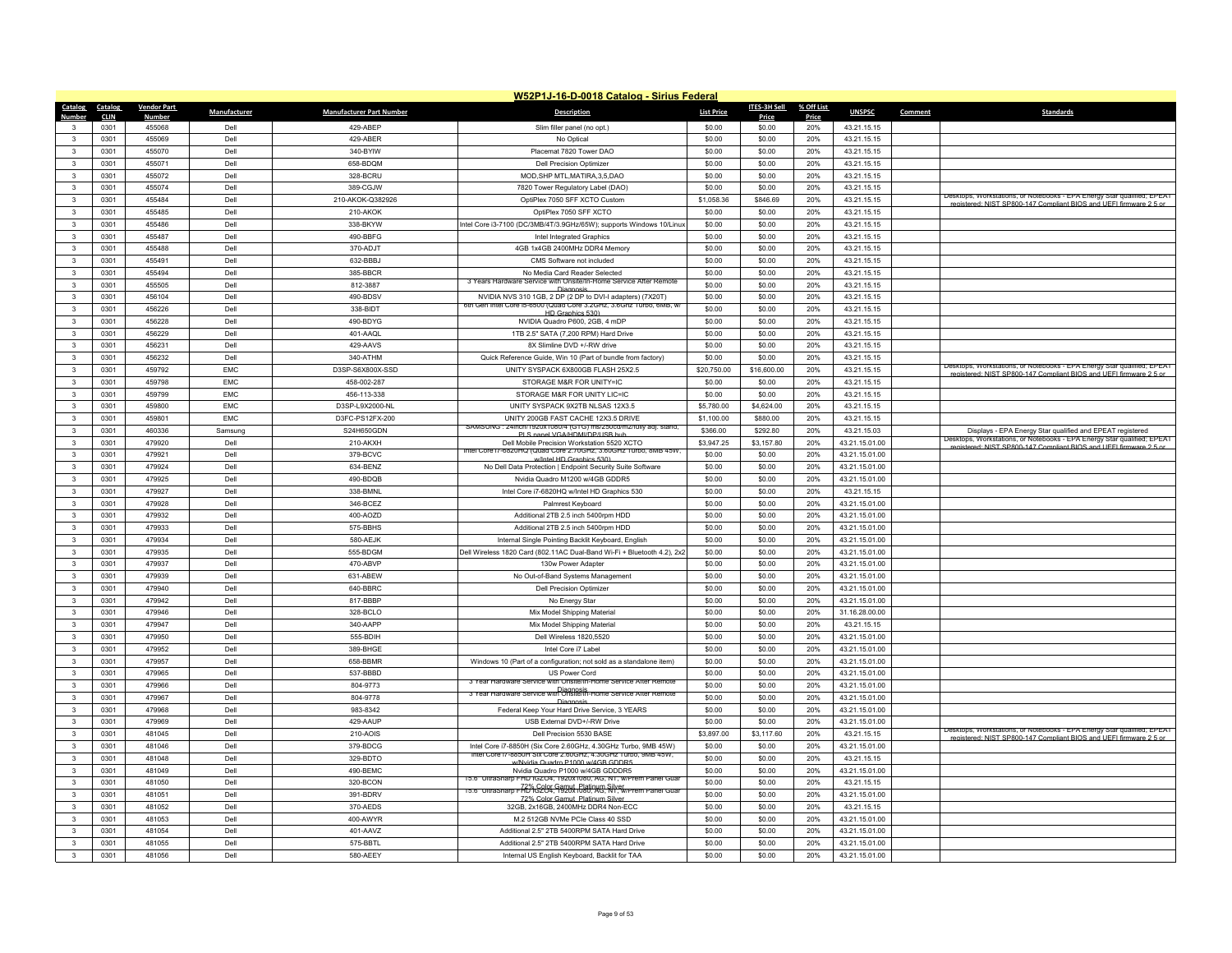|                        |              |                    |              |                                 | W52P1J-16-D-0018 Catalog - Sirius Federal                                                           |                   |                  |            |                            |         |                                                                                                                                                |
|------------------------|--------------|--------------------|--------------|---------------------------------|-----------------------------------------------------------------------------------------------------|-------------------|------------------|------------|----------------------------|---------|------------------------------------------------------------------------------------------------------------------------------------------------|
| Catalog                | Catalog      | <b>Vendor Part</b> | Manufacturer | <b>Manufacturer Part Number</b> | <b>Description</b>                                                                                  | <b>List Price</b> | ITES-3H Sell     | % Off List | <b>UNSPSC</b>              | Comment | <b>Standards</b>                                                                                                                               |
| Number<br>$\mathbf{3}$ | <b>CLIN</b>  | <b>Number</b>      |              |                                 |                                                                                                     |                   | Price            | Price      |                            |         |                                                                                                                                                |
| $\mathbf{3}$           | 0301<br>0301 | 455068<br>455069   | Dell<br>Dell | 429-ABEP<br>429-ABFR            | Slim filler panel (no opt.)<br>No Optical                                                           | \$0.00<br>\$0.00  | \$0.00<br>\$0.00 | 20%<br>20% | 43.21.15.15<br>43.21.15.15 |         |                                                                                                                                                |
| $\mathbf{3}$           | 0301         | 455070             | Dell         | 340-BYIW                        | Placemat 7820 Tower DAO                                                                             | \$0.00            | \$0.00           | 20%        | 43.21.15.15                |         |                                                                                                                                                |
| $\mathbf{3}$           | 0301         | 455071             | Dell         | 658-BDQM                        | <b>Dell Precision Optimizer</b>                                                                     | \$0.00            | \$0.00           | 20%        | 43.21.15.15                |         |                                                                                                                                                |
| $\mathbf{R}$           | 0301         | 455072             | Dell         | 328-BCRU                        | MOD, SHP MTL, MATIRA, 3,5, DAO                                                                      | \$0.00            | \$0.00           | 20%        | 43.21.15.15                |         |                                                                                                                                                |
| 3                      | 0301         | 455074             | Dell         | 389-CGJW                        | 7820 Tower Regulatory Label (DAO)                                                                   | \$0.00            | \$0.00           | 20%        | 43 21 15 15                |         |                                                                                                                                                |
| 3                      | 0301         | 455484             | Dell         | 210-AKOK-Q382926                | OptiPlex 7050 SFF XCTO Custom                                                                       | \$1,058.36        | \$846.69         | 20%        | 43.21.15.15                |         | Desktops, Workstations, or Notebooks - EPA Energy Star qualified; EPEAT                                                                        |
| $\mathbf{R}$           | 0301         | 455485             | Dell         | 210-AKOK                        | OptiPlex 7050 SFF XCTO                                                                              | \$0.00            | \$0.00           | 20%        | 43.21.15.15                |         | registered: NIST SP800-147 Compliant BIOS and LIFEL firmware 2.5 or                                                                            |
| 3                      | 0301         | 455486             | Dell         | 338-BKYW                        | Intel Core i3-7100 (DC/3MB/4T/3.9GHz/65W); supports Windows 10/Linux                                | \$0.00            | \$0.00           | 20%        | 43.21.15.15                |         |                                                                                                                                                |
| $\mathbf{3}$           | 0301         | 455487             | Dell         | 490-BBFG                        | Intel Integrated Graphics                                                                           | \$0.00            | \$0.00           | 20%        | 43.21.15.15                |         |                                                                                                                                                |
| $\mathbf{3}$           | 0301         | 455488             | Dell         | 370-ADJT                        | 4GB 1x4GB 2400MHz DDR4 Memory                                                                       | \$0.00            | \$0.00           | 20%        | 43.21.15.15                |         |                                                                                                                                                |
| 3                      | 0301         | 455491             | Dell         | 632-BBBJ                        | CMS Software not included                                                                           | \$0.00            | \$0.00           | 20%        | 43.21.15.15                |         |                                                                                                                                                |
| $\mathbf{3}$           | 0301         | 455494             | Dell         | 385-BBCR                        | No Media Card Reader Selected                                                                       | \$0.00            | \$0.00           | 20%        | 43.21.15.15                |         |                                                                                                                                                |
| 3                      | 0301         | 455505             | Dell         | 812-3887                        | 3 Years Hardware Service with Onsite/In-Home Service After Remote                                   | \$0.00            | \$0.00           | 20%        | 43.21.15.15                |         |                                                                                                                                                |
| 3                      | 0301         | 456104             | Dell         | 490-BDSV                        | Diagnosis<br>NVIDIA NVS 310 1GB, 2 DP (2 DP to DVI-I adapters) (7X20T)                              | \$0.00            | \$0.00           | 20%        | 43.21.15.15                |         |                                                                                                                                                |
| $\mathbf{3}$           | 0301         | 456226             | Dell         | 338-BIDT                        | ith Gen Intel Core ib-6500 (Quad Core 3.2GHz, 3.6Ghz Turbo, 6MB                                     | \$0.00            | \$0.00           | 20%        | 43.21.15.15                |         |                                                                                                                                                |
| 3                      | 0301         | 456228             | Dell         | 490-BDYG                        | HD Graphics 530)<br>NVIDIA Quadro P600, 2GB, 4 mDP                                                  | \$0.00            | \$0.00           | 20%        | 43.21.15.15                |         |                                                                                                                                                |
| 3                      | 0301         | 456229             | Dell         | 401-AAQL                        | 1TB 2.5" SATA (7,200 RPM) Hard Drive                                                                | \$0.00            | \$0.00           | 20%        | 43.21.15.15                |         |                                                                                                                                                |
| $\mathbf{3}$           | 0301         | 456231             | Dell         | 429-AAVS                        | 8X Slimline DVD +/-RW drive                                                                         | \$0.00            | \$0.00           | 20%        | 43.21.15.15                |         |                                                                                                                                                |
| 3                      | 0301         | 456232             | Dell         | 340-ATHM                        | Quick Reference Guide, Win 10 (Part of bundle from factory)                                         | \$0.00            | \$0.00           | 20%        | 43.21.15.15                |         |                                                                                                                                                |
| 3                      | 0301         | 459792             | EMC          | D3SP-S6X800X-SSD                | UNITY SYSPACK 6X800GB FLASH 25X2.5                                                                  | \$20,750.00       | \$16,600.00      | 20%        | 43.21.15.15                |         | Desktops, workstations, or ivotebooks - EPA Energy Star qualified; EPEAT                                                                       |
| $\mathbf{3}$           | 0301         | 459798             | EMC          | 458-002-287                     | STORAGE M&R FOR UNITY=IC                                                                            | \$0.00            | \$0.00           | 20%        | 43.21.15.15                |         | registered: NIST SP800-147 Compliant RIOS and LIFFL firmware 2.5 or                                                                            |
| 3                      | 0301         | 459799             | <b>EMC</b>   | 456-113-338                     | STORAGE M&R FOR UNITY LIC=IC                                                                        | \$0.00            | \$0.00           | 20%        | 43.21.15.15                |         |                                                                                                                                                |
| 3                      | 0301         | 459800             | <b>EMC</b>   | D3SP-L9X2000-NL                 | UNITY SYSPACK 9X2TB NLSAS 12X3.5                                                                    | \$5,780.00        | \$4,624.00       | 20%        | 43.21.15.15                |         |                                                                                                                                                |
| $\mathbf{3}$           | 0301         | 459801             | FMC          | D3FC-PS12FX-200                 | UNITY 200GB FAST CACHE 12X3.5 DRIVE                                                                 | \$1,100.00        | \$880.00         | 20%        | 43.21.15.15                |         |                                                                                                                                                |
| $\mathbf{3}$           | 0301         | 460336             | Samsung      | S24H650GDN                      | SAMSUNG: 24inch/1920x1080/4 (GTG) ms/250cd/m2/fully adj. stand.                                     | \$366.00          | \$292.80         | 20%        | 43.21.15.03                |         | Displays - EPA Energy Star qualified and EPEAT registered                                                                                      |
| $\mathbf{3}$           | 0301         | 479920             | Dell         | 210-AKXH                        | PLS nanel VGA/HDMI/DP/LISB bub<br>Dell Mobile Precision Workstation 5520 XCTO                       | \$3,947.25        | \$3,157.80       | 20%        | 43.21.15.01.00             |         | Desktops, Workstations, or Notebooks - EPA Energy Star qualified; EPEAT                                                                        |
| $\mathbf{3}$           | 0301         | 479921             | Dell         | 379-BCVC                        | htel Core i/-6820HQ (Quad Core 2./0GHz, 3.60GHz, lurbo, 8MB 45W                                     | \$0.00            | \$0.00           | 20%        | 43.21.15.01.00             |         | registered: NIST SP800-147 Compliant BIOS and LIFFI firmware 2.5 or                                                                            |
| $\mathbf{3}$           | 0301         | 479924             | Dell         | 634-BENZ                        | w/Intel HD Graphics 530<br>No Dell Data Protection   Endpoint Security Suite Software               | \$0.00            | \$0.00           | 20%        | 43.21.15.01.00             |         |                                                                                                                                                |
| 3                      | 0301         | 479925             | Dell         | 490-BDQB                        | Nvidia Quadro M1200 w/4GB GDDR5                                                                     | \$0.00            | \$0.00           | 20%        | 43.21.15.01.00             |         |                                                                                                                                                |
| $\mathbf{3}$           | 0301         | 479927             | Dell         | 338-BMNL                        | Intel Core i7-6820HQ w/Intel HD Graphics 530                                                        | \$0.00            | \$0.00           | 20%        | 43.21.15.15                |         |                                                                                                                                                |
| $\mathbf{3}$           | 0301         | 479928             | Dell         | 346-BCEZ                        | Palmrest Keyboard                                                                                   | \$0.00            | \$0.00           | 20%        | 43.21.15.01.00             |         |                                                                                                                                                |
| $\mathbf{3}$           | 0301         | 479932             | Dell         | 400-AOZD                        | Additional 2TB 2.5 inch 5400rpm HDD                                                                 | \$0.00            | \$0.00           | 20%        | 43.21.15.01.00             |         |                                                                                                                                                |
| $\mathbf{3}$           | 0301         | 479933             | Dell         | 575-BBHS                        | Additional 2TB 2.5 inch 5400rpm HDD                                                                 | \$0.00            | \$0.00           | 20%        | 43.21.15.01.00             |         |                                                                                                                                                |
| 3                      | 0301         | 479934             | Dell         | 580-AEJK                        | Internal Single Pointing Backlit Keyboard, English                                                  | \$0.00            | \$0.00           | 20%        | 43.21.15.01.00             |         |                                                                                                                                                |
| $\mathbf{3}$           | 0301         | 479935             | Dell         | 555-BDGM                        | Dell Wireless 1820 Card (802.11AC Dual-Band Wi-Fi + Bluetooth 4.2), 2x2                             | \$0.00            | \$0.00           | 20%        | 43.21.15.01.00             |         |                                                                                                                                                |
| $\mathbf{3}$           | 0301         | 479937             | Dell         | 470-ABVP                        | 130w Power Adapter                                                                                  | \$0.00            | \$0.00           | 20%        | 43.21.15.01.00             |         |                                                                                                                                                |
| 3                      | 0301         | 479939             | Dell         | 631-ABFW                        | No Out-of-Band Systems Management                                                                   | \$0.00            | \$0.00           | 20%        | 43.21.15.01.00             |         |                                                                                                                                                |
| $\mathbf{3}$           | 0301         | 479940             | Dell         | 640-BBRC                        | <b>Dell Precision Optimize</b>                                                                      | \$0.00            | \$0.00           | 20%        | 43.21.15.01.00             |         |                                                                                                                                                |
| 3                      | 0301         | 479942             | Dell         | 817-BBBP                        | No Energy Star                                                                                      | \$0.00            | \$0.00           | 20%        | 43.21.15.01.00             |         |                                                                                                                                                |
| 3                      | 0301         | 479946             | Dell         | 328-BCLO                        | Mix Model Shipping Material                                                                         | \$0.00            | \$0.00           | 20%        | 31.16.28.00.00             |         |                                                                                                                                                |
| $\mathbf{3}$           | 0301         | 479947             | Dell         | 340-AAPP                        | Mix Model Shipping Material                                                                         | \$0.00            | \$0.00           | 20%        | 43.21.15.15                |         |                                                                                                                                                |
| 3                      | 0301         | 479950             | Dell         | 555-BDIH                        | Dell Wireless 1820,5520                                                                             | \$0.00            | \$0.00           | 20%        | 43.21.15.01.00             |         |                                                                                                                                                |
| 3                      | 0301         | 479952             | Dell         | 389-BHGE                        | Intel Core i7 Label                                                                                 | \$0.00            | \$0.00           | 20%        | 43.21.15.01.00             |         |                                                                                                                                                |
| $\mathbf{3}$           | 0301         | 479957             | Dell         | 658-BBMR                        | Windows 10 (Part of a configuration; not sold as a standalone item)                                 | \$0.00            | \$0.00           | 20%        | 43.21.15.01.00             |         |                                                                                                                                                |
| $\mathbf{3}$           | 0301         | 479965             | Dell         | 537-BBBD                        | US Power Cord                                                                                       | \$0.00            | \$0.00           | 20%        | 43.21.15.01.00             |         |                                                                                                                                                |
| 3                      | 0301         | 479966             | Dell         | 804-9773                        | 3 Year Hardware Service with Onsite/In-Home Service After Remote                                    | \$0.00            | \$0.00           | 20%        | 43.21.15.01.00             |         |                                                                                                                                                |
| $\mathbf{3}$           | 0301         | 479967             | Dell         | 804-9778                        | Diagnosis<br>3 Year Hardware Service with Onsite/In-Home Service After Remote<br>Diagnosis          | \$0.00            | \$0.00           | 20%        | 43.21.15.01.00             |         |                                                                                                                                                |
| $\mathbf{3}$           | 0301         | 479968             | Dell         | 983-8342                        | Federal Keep Your Hard Drive Service, 3 YEARS                                                       | \$0.00            | \$0.00           | 20%        | 43.21.15.01.00             |         |                                                                                                                                                |
| $\mathbf{3}$           | 0301         | 479969             | Dell         | 429-AAUP                        | USB External DVD+/-RW Drive                                                                         | \$0.00            | \$0.00           | 20%        | 43.21.15.01.00             |         |                                                                                                                                                |
| $\mathbf{R}$           | 0301         | 481045             | Dell         | 210-AOIS                        | Dell Precision 5530 BASE                                                                            | \$3,897.00        | \$3,117.60       | 20%        | 43.21.15.15                |         | Desktops, Workstations, or Notebooks - EPA Energy Star qualified; EPEAT<br>registered: NIST SP800-147 Compliant RIOS and LIFFI firmware 2.5 or |
| $\mathbf{3}$           | 0301         | 481046             | Dell         | 379-BDCG                        | Intel Core i7-8850H (Six Core 2.60GHz, 4.30GHz Turbo, 9MB 45W)                                      | \$0.00            | \$0.00           | 20%        | 43.21.15.01.00             |         |                                                                                                                                                |
| 3                      | 0301         | 481048             | Dell         | 329-BDTO                        | Intel Core I/-8850H Six Core 2,60GHz, 4,30GHz Turbo, 9MB 45W,<br>w/Nvidia Quadro P1000 w/4GB GDDR5  | \$0.00            | \$0.00           | 20%        | 43.21.15.15                |         |                                                                                                                                                |
| $\mathbf{R}$           | 0301         | 481049             | Dell         | 490-BEMC                        | Nvidia Quadro P1000 w/4GB GDDDR5                                                                    | \$0.00            | \$0.00           | 20%        | 43.21.15.01.00             |         |                                                                                                                                                |
| 3                      | 0301         | 481050             | Dell         | 320-BCON                        | 15.6" UltraSharp FHD IGZO4, 1920x1080, AG, NT, w/Prem Panel Gua                                     | \$0.00            | \$0.00           | 20%        | 43.21.15.15                |         |                                                                                                                                                |
| $\mathbf{3}$           | 0301         | 481051             | Dell         | 391-BDRV                        | 15.6" UltraSharp FAB" G204, 9920*1080, AG, NY, W/Prem Panel Guar<br>72% Color Gamut, Platinum Silve | \$0.00            | \$0.00           | 20%        | 43.21.15.01.00             |         |                                                                                                                                                |
| $\mathbf{R}$           | 0301         | 481052             | Dell         | 370-AEDS                        | 32GB, 2x16GB, 2400MHz DDR4 Non-ECC                                                                  | \$0.00            | \$0.00           | 20%        | 43.21.15.15                |         |                                                                                                                                                |
| 3                      | 0301         | 481053             | Dell         | 400-AWYR                        | M 2 512GB NVMe PCIe Class 40 SSD                                                                    | \$0.00            | \$0.00           | 20%        | 43 21 15 01 00             |         |                                                                                                                                                |
| $\mathbf{3}$           | 0301         | 481054             | Dell         | 401-AAVZ                        | Additional 2.5" 2TB 5400RPM SATA Hard Drive                                                         | \$0.00            | \$0.00           | 20%        | 43.21.15.01.00             |         |                                                                                                                                                |
| $\mathbf{R}$           | 0301         | 481055             | Dell         | 575-BBTL                        | Additional 2.5" 2TB 5400RPM SATA Hard Drive                                                         | \$0.00            | \$0.00           | 20%        | 43.21.15.01.00             |         |                                                                                                                                                |
| 3                      | 0301         | 481056             | Dell         | 580-AEEY                        | Internal US English Keyboard, Backlit for TAA                                                       | \$0.00            | \$0.00           | 20%        | 43.21.15.01.00             |         |                                                                                                                                                |
|                        |              |                    |              |                                 |                                                                                                     |                   |                  |            |                            |         |                                                                                                                                                |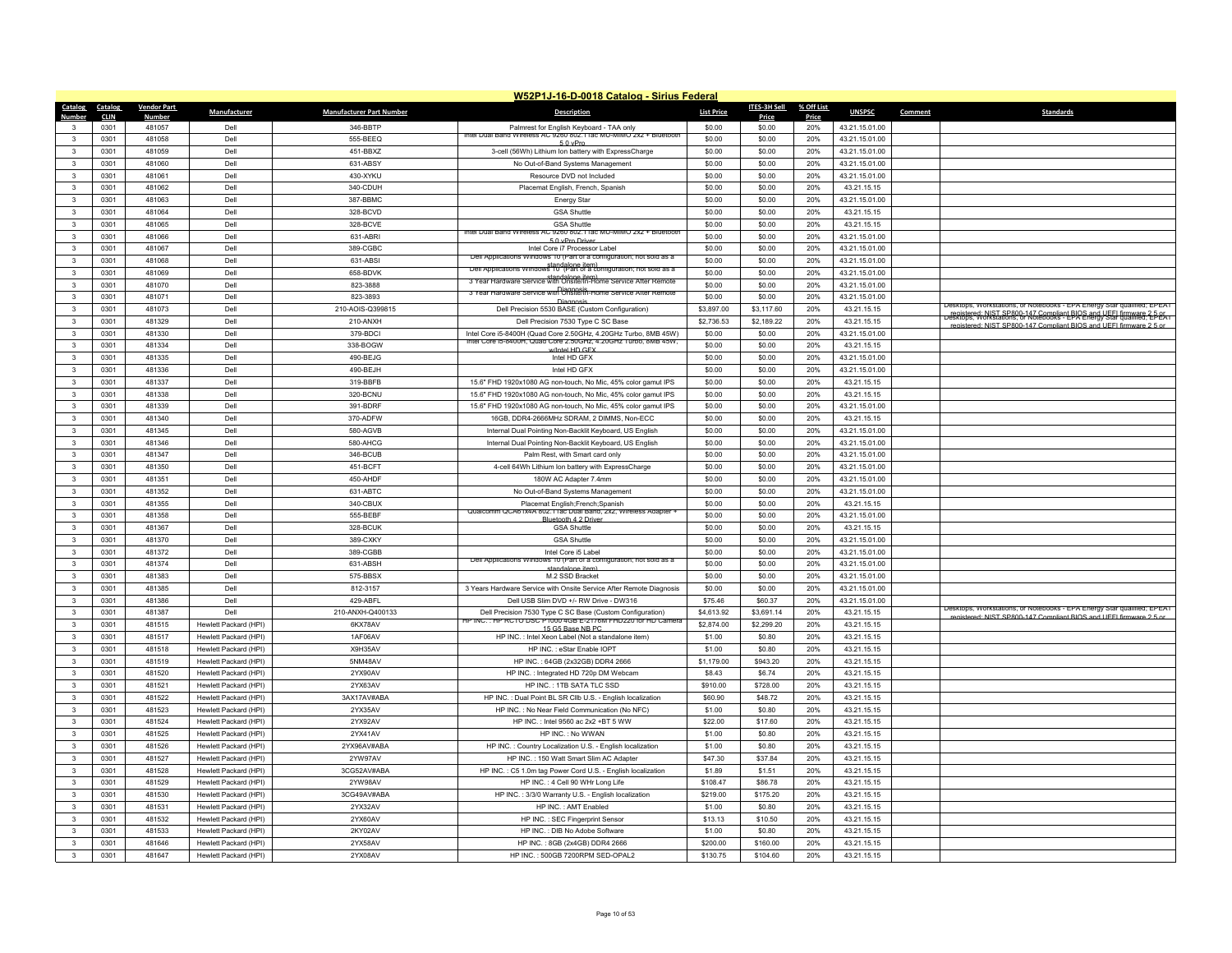|                              | W52P1J-16-D-0018 Catalog - Sirius Federal |                    |                                                |                                 |                                                                                                                                    |                      |                      |            |                            |                                                                         |  |  |
|------------------------------|-------------------------------------------|--------------------|------------------------------------------------|---------------------------------|------------------------------------------------------------------------------------------------------------------------------------|----------------------|----------------------|------------|----------------------------|-------------------------------------------------------------------------|--|--|
| Catalog                      | Catalog                                   | <b>Vendor Part</b> | Manufacturer                                   | <b>Manufacturer Part Number</b> | <b>Description</b>                                                                                                                 | <b>List Price</b>    | <b>ITES-3H Sell</b>  | % Off List | <b>UNSPSC</b>              | Comment<br><b>Standards</b>                                             |  |  |
| Numher                       | <b>CLIN</b>                               | <b>Numbe</b>       |                                                |                                 |                                                                                                                                    |                      | Price                | Price      |                            |                                                                         |  |  |
| 3                            | 0301                                      | 481057             | Dell                                           | 346-BBTP                        | Palmrest for English Keyboard - TAA only<br>Intel Dual Band Wireless AC 9260 802.11ac MU-MIMO 2x2 + Bluetooth                      | \$0.00               | \$0.00               | 20%        | 43.21.15.01.00             |                                                                         |  |  |
| $\mathbf{R}$                 | 0301                                      | 481058             | Dell                                           | 555-BEEQ                        | 5.0 vPm                                                                                                                            | \$0.00               | \$0.00               | 20%        | 43.21.15.01.00             |                                                                         |  |  |
| $\mathbf{3}$                 | 0301                                      | 481059             | Dell                                           | 451-BBXZ                        | 3-cell (56Wh) Lithium Ion battery with ExpressCharge                                                                               | \$0.00               | \$0.00               | 20%        | 43.21.15.01.00             |                                                                         |  |  |
| $\mathbf{3}$                 | 0301                                      | 481060             | Dell                                           | 631-ABSY                        | No Out-of-Band Systems Management                                                                                                  | \$0.00               | \$0.00               | 20%        | 43.21.15.01.00             |                                                                         |  |  |
| $\mathbf{3}$                 | 0301                                      | 481061             | Dell                                           | 430-XYKU                        | Resource DVD not Included                                                                                                          | \$0.00               | \$0.00               | 20%        | 43.21.15.01.00             |                                                                         |  |  |
| 3                            | 0301                                      | 481062             | Dell                                           | 340-CDUH                        | Placemat English, French, Spanish                                                                                                  | \$0.00               | \$0.00               | 20%        | 43.21.15.15                |                                                                         |  |  |
| $\mathbf{3}$                 | 0301                                      | 481063             | Dell                                           | 387-BBMC                        | <b>Energy Star</b>                                                                                                                 | \$0.00               | \$0.00               | 20%        | 43.21.15.01.00             |                                                                         |  |  |
| $\mathbf{3}$                 | 0301                                      | 481064             | Dell                                           | 328-BCVD                        | <b>GSA Shuttle</b>                                                                                                                 | \$0.00               | \$0.00               | 20%        | 43.21.15.15                |                                                                         |  |  |
| 3                            | 0301                                      | 481065             | Dell                                           | 328-BCVE                        | GSA Shuttle<br>AC 9260 802.11ac MU-MIMO 2x2 + Bluetoot<br>Intel Dual Band Wireless                                                 | \$0.00               | \$0.00               | 20%        | 43.21.15.15                |                                                                         |  |  |
| $\overline{\mathbf{3}}$      | 0301                                      | 481066             | Dell                                           | 631-ABRI                        | 5.0 vPro Drive                                                                                                                     | \$0.00               | \$0.00               | 20%        | 43.21.15.01.00             |                                                                         |  |  |
| 3                            | 0301                                      | 481067             | Dell                                           | 389-CGBC                        | Intel Core i7 Processor Label<br>Dell Applications Windows 10 (Part of a configuration; not sold as a                              | \$0.00               | \$0.00               | 20%        | 43.21.15.01.00             |                                                                         |  |  |
| 3                            | 0301                                      | 481068             | Dell                                           | 631-ABSI                        | Dell Applications Windows 10 <sup>-</sup> (Part of a configuration; not sold as a                                                  | \$0.00               | \$0.00               | 20%        | 43.21.15.01.00             |                                                                         |  |  |
| $\overline{\mathbf{3}}$      | 0301                                      | 481069             | Dell                                           | 658-BDVK                        | 3 Year Hardware Service with Onsite/In-Home Service Atter Remote                                                                   | \$0.00               | \$0.00               | 20%        | 43.21.15.01.00             |                                                                         |  |  |
| 3                            | 0301                                      | 481070             | Dell                                           | 823-3888                        | 3 Year Hardware Service with Onsite/In-Home Service After Remote                                                                   | \$0.00               | \$0.00               | 20%        | 43.21.15.01.00             |                                                                         |  |  |
| $\mathbf{3}$                 | 0301                                      | 481071             | Dell                                           | 823-3893                        | Diagnosis                                                                                                                          | \$0.00               | \$0.00               | 20%        | 43.21.15.01.00             | Ktops, workstations, or ivotebooks - EPA Energy Star qualified; EPEAT   |  |  |
| $\mathbf{3}$                 | 0301                                      | 481073             | Dell                                           | 210-AOIS-Q399815                | Dell Precision 5530 BASE (Custom Configuration)                                                                                    | \$3,897.00           | \$3,117.60           | 20%        | 43.21.15.15                | registered: NIST SP800-147 Compliant BIOS and UFEL firmware 2-5-05      |  |  |
| 3                            | 0301                                      | 481329             | Dell                                           | 210-ANXH                        | Dell Precision 7530 Type C SC Base                                                                                                 | \$2,736.53           | \$2,189.22           | 20%        | 43.21.15.15                | registered: NIST SP800-147 Compliant BIOS and LIFEL firm                |  |  |
| 3                            | 0301                                      | 481330             | Dell                                           | 379-BDCI                        | Intel Core i5-8400H (Quad Core 2.50GHz, 4.20GHz Turbo, 8MB 45W)<br>Intel Core is 8400H, Quad Core 2.50GHz, 4.20GHz Turbo, 8MB 45W, | \$0.00               | \$0.00               | 20%        | 43.21.15.01.00             |                                                                         |  |  |
| $\mathbf{3}$                 | 0301                                      | 481334             | Dell                                           | 338-BOGW                        | w/Intel HD GFX                                                                                                                     | \$0.00               | \$0.00               | 20%        | 43.21.15.15                |                                                                         |  |  |
| $\mathbf{3}$                 | 0301                                      | 481335             | Dell                                           | 490-BEJG                        | Intel HD GFX                                                                                                                       | \$0.00               | \$0.00               | 20%        | 43.21.15.01.00             |                                                                         |  |  |
| $\mathbf{3}$                 | 0301                                      | 481336             | Dell                                           | 490-BEJH                        | Intel HD GFX                                                                                                                       | \$0.00               | \$0.00               | 20%        | 43.21.15.01.00             |                                                                         |  |  |
| $\mathbf{3}$                 | 0301                                      | 481337             | Dell                                           | 319-BBFB                        | 15.6" FHD 1920x1080 AG non-touch, No Mic, 45% color gamut IPS                                                                      | \$0.00               | \$0.00               | 20%        | 43.21.15.15                |                                                                         |  |  |
| 3                            | 0301                                      | 481338             | Dell                                           | 320-BCNU                        | 15.6" FHD 1920x1080 AG non-touch, No Mic, 45% color gamut IPS                                                                      | \$0.00               | \$0.00               | 20%        | 43.21.15.15                |                                                                         |  |  |
| 3                            | 0301                                      | 481339             | Dell                                           | 391-BDRF                        | 15.6" FHD 1920x1080 AG non-touch, No Mic, 45% color gamut IPS                                                                      | \$0.00               | \$0.00               | 20%        | 43.21.15.01.00             |                                                                         |  |  |
| $\mathbf{3}$                 | 0301                                      | 481340             | Dell                                           | 370-ADFW                        | 16GB, DDR4-2666MHz SDRAM, 2 DIMMS, Non-ECC                                                                                         | \$0.00               | \$0.00               | 20%        | 43.21.15.15                |                                                                         |  |  |
| 3                            | 0301                                      | 481345             | Dell                                           | 580-AGVB                        | Internal Dual Pointing Non-Backlit Keyboard, US English                                                                            | \$0.00               | \$0.00               | 20%        | 43.21.15.01.00             |                                                                         |  |  |
| $\mathbf{3}$                 | 0301                                      | 481346             | Dell                                           | 580-AHCG                        | Internal Dual Pointing Non-Backlit Keyboard, US English                                                                            | \$0.00               | \$0.00               | 20%        | 43.21.15.01.00             |                                                                         |  |  |
| $\mathbf{3}$                 | 0301                                      | 481347             | Dell                                           | 346-BCUB                        | Palm Rest, with Smart card only                                                                                                    | \$0.00               | \$0.00               | 20%        | 43.21.15.01.00             |                                                                         |  |  |
| 3                            | 0301                                      | 481350             | Dell                                           | 451-BCFT                        | 4-cell 64Wh Lithium Ion battery with ExpressCharge                                                                                 | \$0.00               | \$0.00               | 20%        | 43.21.15.01.00             |                                                                         |  |  |
| $\mathbf{3}$                 | 0301                                      | 481351             | Dell                                           | 450-AHDF                        | 180W AC Adapter 7.4mm                                                                                                              | \$0.00               | \$0.00               | 20%        | 43.21.15.01.00             |                                                                         |  |  |
| $\mathbf{3}$                 | 0301                                      | 481352<br>481355   | Dell<br>Dell                                   | 631-ABTC<br>340-CBUX            | No Out-of-Band Systems Management                                                                                                  | \$0.00<br>\$0.00     | \$0.00               | 20%        | 43.21.15.01.00             |                                                                         |  |  |
| 3                            | 0301                                      |                    |                                                |                                 | Placemat English: French: Spanish<br>Qualcomm QCA61x4A 802.11ac Dual Band, 2x2, Wireless Adapter                                   |                      | \$0.00               | 20%        | 43.21.15.15                |                                                                         |  |  |
| $\mathbf{3}$                 | 0301                                      | 481358             | Dell                                           | 555-BEBF                        | <b>Sluetooth 4.2 Driv</b>                                                                                                          | \$0.00               | \$0.00               | 20%        | 43.21.15.01.00             |                                                                         |  |  |
| $\mathbf{3}$                 | 0301                                      | 481367             | Dell                                           | 328-BCUK                        | <b>GSA Shuttle</b>                                                                                                                 | \$0.00               | \$0.00               | 20%        | 43.21.15.15                |                                                                         |  |  |
| 3                            | 0301                                      | 481370             | Dell                                           | 389-CXKY                        | <b>GSA Shuttle</b>                                                                                                                 | \$0.00               | \$0.00               | 20%        | 43.21.15.01.00             |                                                                         |  |  |
| $\mathbf{3}$                 | 0301                                      | 481372             | Dell                                           | 389-CGBB                        | Intel Core i5 Label<br>Dell Applications Windows 10 (Part of a configuration: not sold as a                                        | \$0.00               | \$0.00               | 20%        | 43.21.15.01.00             |                                                                         |  |  |
| 3                            | 0301                                      | 481374             | Dell                                           | 631-ABSH                        | standalone item                                                                                                                    | \$0.00               | \$0.00               | 20%        | 43.21.15.01.00             |                                                                         |  |  |
| 3<br>$\mathbf{3}$            | 0301<br>0301                              | 481383             | Dell<br>Dell                                   | 575-BBSX                        | M.2 SSD Bracket                                                                                                                    | \$0.00               | \$0.00               | 20%        | 43.21.15.01.00             |                                                                         |  |  |
|                              |                                           | 481385             |                                                | 812-3157                        | 3 Years Hardware Service with Onsite Service After Remote Diagnosis                                                                | \$0.00               | \$0.00               | 20%        | 43.21.15.01.00             |                                                                         |  |  |
| $\mathbf{3}$                 | 0301                                      | 481386             | Dell                                           | 429-ABFL                        | Dell USB Slim DVD +/- RW Drive - DW316                                                                                             | \$75.46              | \$60.37              | 20%        | 43.21.15.01.00             | Desktops, Workstations, or Notebooks - EPA Energy Star qualified; EPEAT |  |  |
| 3                            | 0301<br>0301                              | 481387<br>481515   | Dell                                           | 210-ANXH-Q400133<br>6KX78AV     | Dell Precision 7530 Type C SC Base (Custom Configuration)<br>INC. : HP RCTO DSC P1000 4GB E-2176M FHD220 for HD Camera             | \$4,613.92           | \$3,691.14           | 20%<br>20% | 43.21.15.15                | ered: NIST SP800-147 Compliant RIOS and LIFFI firmware 2.5 or           |  |  |
| $\mathbf{3}$<br>$\mathbf{3}$ | 0301                                      | 481517             | Hewlett Packard (HPI)<br>Hewlett Packard (HPI) | 1AF06AV                         | 15 G5 Base NB PC<br>HP INC. : Intel Xeon Label (Not a standalone item)                                                             | \$2,874.00<br>\$1.00 | \$2,299.20<br>\$0.80 | 20%        | 43.21.15.15<br>43.21.15.15 |                                                                         |  |  |
| $\mathbf{3}$                 | 0301                                      | 481518             | Hewlett Packard (HPI)                          | X9H35AV                         | HP INC.: eStar Enable IOPT                                                                                                         | \$1.00               | \$0.80               | 20%        | 43.21.15.15                |                                                                         |  |  |
| $\mathbf{3}$                 | 0301                                      | 481519             |                                                | 5NM48AV                         |                                                                                                                                    |                      |                      | 20%        |                            |                                                                         |  |  |
| $\mathbf{3}$                 | 0301                                      | 481520             | Hewlett Packard (HPI)                          | 2YX90AV                         | HP INC.: 64GB (2x32GB) DDR4 2666<br>HP INC.: Integrated HD 720p DM Webcam                                                          | \$1,179.00<br>\$8.43 | \$943.20<br>\$6.74   | 20%        | 43.21.15.15<br>43.21.15.15 |                                                                         |  |  |
| 3                            | 0301                                      | 481521             | Hewlett Packard (HPI)<br>Hewlett Packard (HPI) | 2YX63AV                         | HP INC.: 1TB SATA TLC SSD                                                                                                          | \$910.00             | \$728.00             | 20%        | 43.21.15.15                |                                                                         |  |  |
| $\mathbf{R}$                 | 0301                                      | 481522             | Hewlett Packard (HPI)                          | 3AX17AV#ABA                     | HP INC.: Dual Point BL SR ClIb U.S. - English localization                                                                         | \$60.90              | \$48.72              | 20%        | 43.21.15.15                |                                                                         |  |  |
| 3                            | 0301                                      | 481523             | Hewlett Packard (HPI)                          | 2YX35AV                         | HP INC.: No Near Field Communication (No NFC)                                                                                      | \$1.00               | \$0.80               | 20%        | 43.21.15.15                |                                                                         |  |  |
| $\mathbf{3}$                 | 0301                                      | 481524             | Hewlett Packard (HPI)                          | 2YX92AV                         | HP INC.: Intel 9560 ac 2x2 +BT 5 WW                                                                                                | \$22.00              | \$17.60              | 20%        | 43.21.15.15                |                                                                         |  |  |
| $\mathbf{3}$                 | 0301                                      | 481525             | Hewlett Packard (HPI)                          | 2YX41AV                         | HP INC.: No WWAN                                                                                                                   | \$1.00               | \$0.80               | 20%        | 43.21.15.15                |                                                                         |  |  |
| 3                            | 0301                                      | 481526             | Hewlett Packard (HPI)                          | 2YX96AV#ABA                     | HP INC.: Country Localization U.S. - English localization                                                                          | \$1.00               | \$0.80               | 20%        | 43.21.15.15                |                                                                         |  |  |
| $\mathbf{3}$                 | 0301                                      | 481527             | Hewlett Packard (HPI)                          | 2YW97AV                         | HP INC.: 150 Watt Smart Slim AC Adapter                                                                                            | \$47.30              | \$37.84              | 20%        | 43.21.15.15                |                                                                         |  |  |
| $\mathbf{3}$                 | 0301                                      | 481528             | Hewlett Packard (HPI)                          | 3CG52AV#ABA                     | HP INC.: C5 1.0m tag Power Cord U.S. - English localization                                                                        | \$1.89               | \$1.51               | 20%        | 43.21.15.15                |                                                                         |  |  |
| 3                            | 0301                                      | 481529             | Hewlett Packard (HPI)                          | 2YW98AV                         | HP INC.: 4 Cell 90 WHr Long Life                                                                                                   | \$108.47             | \$86.78              | 20%        | 43.21.15.15                |                                                                         |  |  |
| $\overline{\mathbf{3}}$      | 0301                                      | 481530             | Hewlett Packard (HPI)                          | 3CG49AV#ABA                     | HP INC.: 3/3/0 Warranty U.S. - English localization                                                                                | \$219.00             | \$175.20             | 20%        | 43.21.15.15                |                                                                         |  |  |
| $\mathbf{3}$                 | 0301                                      | 481531             | Hewlett Packard (HPI)                          | 2YX32AV                         | HP INC.: AMT Enabled                                                                                                               | \$1.00               | \$0.80               | 20%        | 43.21.15.15                |                                                                         |  |  |
| 3                            | 0301                                      | 481532             | Hewlett Packard (HPI)                          | 2YX60AV                         | HP INC.: SEC Fingerprint Sensor                                                                                                    | \$13.13              | \$10.50              | 20%        | 43.21.15.15                |                                                                         |  |  |
| $\mathbf{R}$                 | 0301                                      | 481533             | Hewlett Packard (HPI)                          | 2KY02AV                         | HP INC.: DIB No Adobe Software                                                                                                     | \$1.00               | \$0.80               | 20%        | 43.21.15.15                |                                                                         |  |  |
| $\mathbf{3}$                 | 0301                                      | 481646             | Hewlett Packard (HPI)                          | 2YX58AV                         | HP INC : 8GB (2x4GB) DDR4 2666                                                                                                     | \$200.00             | \$160.00             | 20%        | 43.21.15.15                |                                                                         |  |  |
| 3                            | 0301                                      | 481647             | Hewlett Packard (HPI)                          | 2YX08AV                         | HP INC.: 500GB 7200RPM SED-OPAL2                                                                                                   | \$130.75             | \$104.60             | 20%        | 43.21.15.15                |                                                                         |  |  |
|                              |                                           |                    |                                                |                                 |                                                                                                                                    |                      |                      |            |                            |                                                                         |  |  |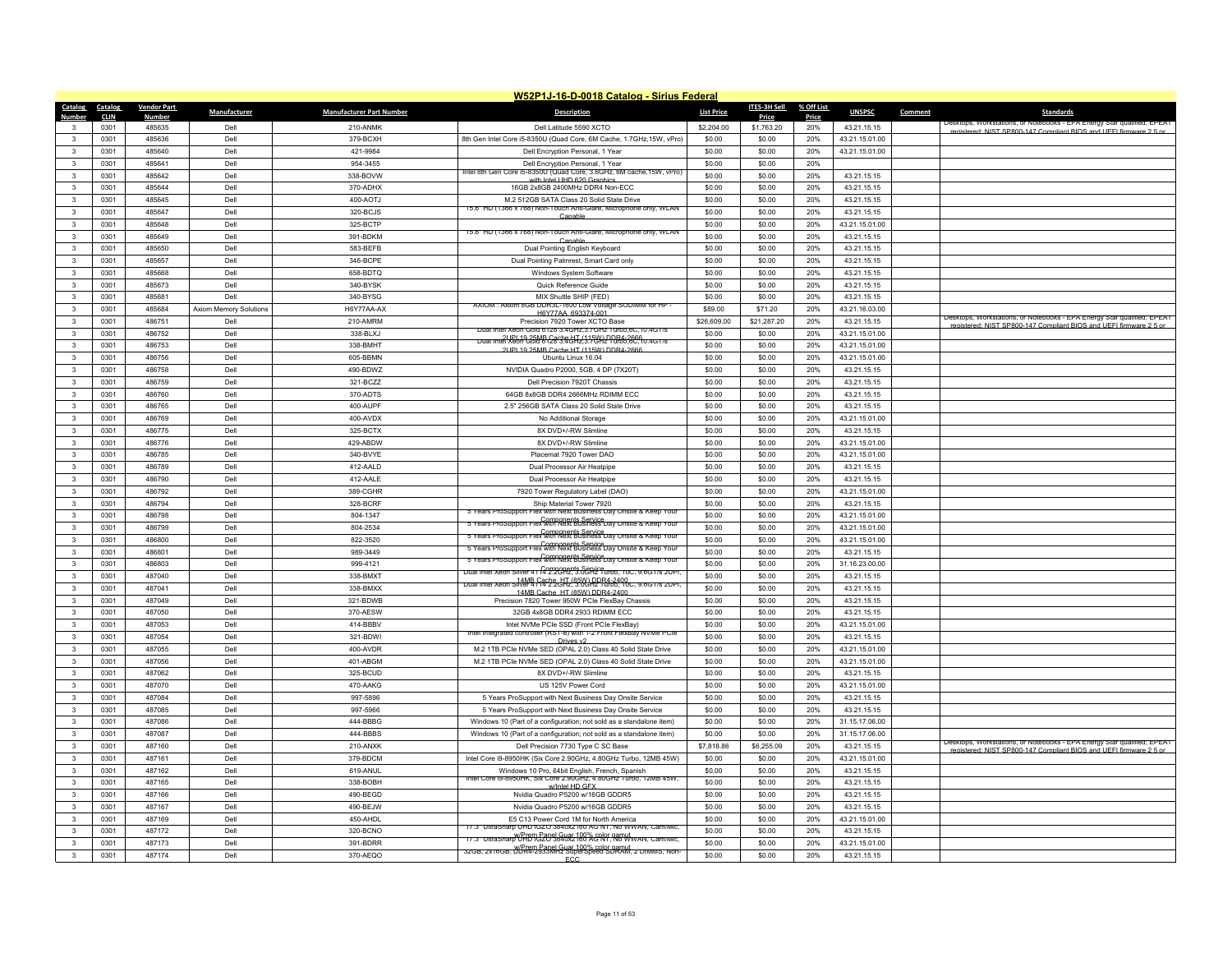|                              |              |                    |                        |                                 | W52P1J-16-D-0018 Catalog - Sirius Federal                                                                      |                   |                  |            |                |                                                                          |
|------------------------------|--------------|--------------------|------------------------|---------------------------------|----------------------------------------------------------------------------------------------------------------|-------------------|------------------|------------|----------------|--------------------------------------------------------------------------|
| Catalog Catalog              |              | <b>Vendor Part</b> | Manufacturer           | <b>Manufacturer Part Number</b> | <b>Description</b>                                                                                             | <b>List Price</b> | ITES-3H Sell     | % Off List | <b>UNSPSC</b>  | Comment<br><b>Standards</b>                                              |
| Number                       | <b>CLIN</b>  | <b>Number</b>      |                        |                                 |                                                                                                                |                   | Price            | Price      |                | Desktops, workstations, or ivotebooks - EPA Energy Star qualified; EPEAT |
| 3                            | 0301         | 485635             | Dell                   | 210-ANMK                        | Dell Latitude 5590 XCTO                                                                                        | \$2,204.00        | \$1,763.20       | 20%        | 43.21.15.15    | registered: NIST SP800-147 Compliant RIOS and LIFFI firmware 2.5 or      |
| $\mathbf{3}$                 | 0301         | 485636             | Dell                   | 379-BCXH                        | 8th Gen Intel Core i5-8350U (Quad Core, 6M Cache, 1.7GHz, 15W, vPro)                                           | \$0.00            | \$0.00           | 20%        | 43.21.15.01.00 |                                                                          |
| $\mathbf{3}$                 | 0301         | 485640             | Dell                   | 421-9984                        | Dell Encryption Personal, 1 Year                                                                               | \$0.00            | \$0.00           | 20%        | 43.21.15.01.00 |                                                                          |
| $\mathbf{3}$                 | 0301         | 485641             | Dell                   | 954-3455                        | Dell Encryption Personal, 1 Year<br>ntel 8th Gen Core i5-8350U (Quad Core, 3.6GHz, 6M cache, 15W, vPro)        | \$0.00            | \$0.00           | 20%        |                |                                                                          |
| $\mathbf{3}$                 | 0301         | 485642             | Dell                   | 338-BOVW                        | with Intel UHD 620 Graphics                                                                                    | \$0.00            | \$0.00           | 20%        | 43.21.15.15    |                                                                          |
| 3                            | 0301         | 485644             | Dell                   | 370-ADHX                        | 16GB 2x8GB 2400MHz DDR4 Non-ECC                                                                                | \$0.00            | \$0.00           | 20%        | 43.21.15.15    |                                                                          |
| 3                            | 0301         | 485645             | Dell                   | 400-AOTJ                        | M.2 512GB SATA Class 20 Solid State Drive                                                                      | \$0.00            | \$0.00           | 20%        | 43.21.15.15    |                                                                          |
| $\mathbf{R}$                 | 0301         | 485647             | Dell                   | 320-BCJS                        | 15.6" HD (1366 x /68) Non-Touch Anti-Glare, Microphone only, WLAN<br>Canabl                                    | \$0.00            | \$0.00           | 20%        | 43.21.15.15    |                                                                          |
| $\mathbf{3}$                 | 0301         | 485648             | Dell                   | 325-BCTP                        |                                                                                                                | \$0.00            | \$0.00           | 20%        | 43.21.15.01.00 |                                                                          |
| $\mathbf{3}$                 | 0301         | 485649             | Dell                   | 391-BDKM                        | 15.6" HD (1366 x /68) Non-Touch Anti-Glare, Microphone only, WLAN<br>Canable                                   | \$0.00            | \$0.00           | 20%        | 43.21.15.15    |                                                                          |
| $\mathbf{3}$                 | 0301         | 485650             | Dell                   | 583-BEFB                        | Dual Pointing English Keyboard                                                                                 | \$0.00            | \$0.00           | 20%        | 43.21.15.15    |                                                                          |
| 3                            | 0301         | 485657             | Dell                   | 346-BCPE                        | Dual Pointing Palmrest, Smart Card only                                                                        | \$0.00            | \$0.00           | 20%        | 43.21.15.15    |                                                                          |
| $\mathbf{3}$                 | 0301         | 485668             | Dell                   | 658-BDTQ                        | Windows System Software                                                                                        | \$0.00            | \$0.00           | 20%        | 43.21.15.15    |                                                                          |
| $\mathbf{3}$                 | 0301         | 485673             | Dell                   | 340-BYSK                        | Quick Reference Guide                                                                                          | \$0.00            | \$0.00           | 20%        | 43.21.15.15    |                                                                          |
| $\mathbf{3}$                 | 0301         | 485681             | Dell                   | 340-BYSG                        | MIX Shuttle SHIP (FED)                                                                                         | \$0.00            | \$0.00           | 20%        | 43.21.15.15    |                                                                          |
| $\overline{\mathbf{3}}$      | 0301         | 485684             | Axiom Memory Solutions | H6Y77AA-AX                      | AXIOM : AXIOM 8GB DDR3L-1600 LOW VOItage SODIMM for HP                                                         | \$89.00           | \$71.20          | 20%        | 43.21.16.03.00 |                                                                          |
| $\mathbf{3}$                 | 0301         | 486751             | Dell                   | 210-AMRM                        | H6Y77AA 693374-001<br>Precision 7920 Tower XCTO Base                                                           | \$26,609.00       | \$21,287.20      | 20%        | 43.21.15.15    | Desktops, Workstations, or Notebooks - EPA Energy Star qualified; EPEAT  |
| 3                            | 0301         | 486752             | Dell                   | 338-BLXJ                        | Dual Intel Xeon Gold 6128 3.4GHz, 3. / GHz Turbo, 6C, 10.4GT/s                                                 | \$0.00            | \$0.00           | 20%        | 43.21.15.01.00 | registered: NIST SP800-147 Compliant BIOS and LIFFL firmware 2.5 or      |
| $\mathbf{3}$                 | 0301         | 486753             | Dell                   | 338-BMHT                        | Dual Intel Xeon Gold 6128 3.4GHz 4.15W) DDR4-2666<br>Dual Intel Xeon Gold 6128 3.4GHz 4.17GHz 1006.6C.10.4GT/s | \$0.00            | \$0.00           | 20%        | 43.21.15.01.00 |                                                                          |
| $\mathbf{3}$                 | 0301         | 486756             | Dell                   | 605-BBMN                        | 2UPL19 25MB Cache HT (115W) DDR4-2666<br>Ubuntu Linux 16.04                                                    | \$0.00            | \$0.00           | 20%        | 43.21.15.01.00 |                                                                          |
|                              |              |                    |                        |                                 |                                                                                                                |                   |                  |            |                |                                                                          |
| $\mathbf{3}$<br>$\mathbf{3}$ | 0301<br>0301 | 486758<br>486759   | Dell<br>Dell           | 490-BDWZ<br>321-BCZZ            | NVIDIA Quadro P2000, 5GB, 4 DP (7X20T)<br>Dell Precision 7920T Chassis                                         | \$0.00<br>\$0.00  | \$0.00<br>\$0.00 | 20%<br>20% | 43.21.15.15    |                                                                          |
|                              |              |                    |                        |                                 |                                                                                                                |                   |                  |            | 43.21.15.15    |                                                                          |
| $\mathbf{3}$                 | 0301         | 486760             | Dell                   | 370-ADTS                        | 64GB 8x8GB DDR4 2666MHz RDIMM ECC                                                                              | \$0.00            | \$0.00           | 20%        | 43.21.15.15    |                                                                          |
| $\mathbf{3}$                 | 0301         | 486765             | Dell                   | 400-AUPF                        | 2.5" 256GB SATA Class 20 Solid State Drive                                                                     | \$0.00            | \$0.00           | 20%        | 43.21.15.15    |                                                                          |
| $\mathbf{R}$                 | 0301         | 486769             | Dell                   | 400-AVDX                        | No Additional Storage                                                                                          | \$0.00            | \$0.00           | 20%        | 43.21.15.01.00 |                                                                          |
| 3                            | 0301         | 486775             | Dell                   | 325-BCTX                        | 8X DVD+/-RW Slimline                                                                                           | \$0.00            | \$0.00           | 20%        | 43.21.15.15    |                                                                          |
| $\mathbf{3}$                 | 0301         | 486776             | Dell                   | 429-ABDW                        | 8X DVD+/-RW Slimline                                                                                           | \$0.00            | \$0.00           | 20%        | 43.21.15.01.00 |                                                                          |
| $\mathbf{R}$                 | 0301         | 486785             | Dell                   | 340-BVYE                        | Placemat 7920 Tower DAO                                                                                        | \$0.00            | \$0.00           | 20%        | 43.21.15.01.00 |                                                                          |
| 3                            | 0301         | 486789             | Dell                   | 412-AALD                        | Dual Processor Air Heatpipe                                                                                    | \$0.00            | \$0.00           | 20%        | 43.21.15.15    |                                                                          |
| $\mathbf{3}$                 | 0301         | 486790             | Dell                   | 412-AALE                        | Dual Processor Air Heatpipe                                                                                    | \$0.00            | \$0.00           | 20%        | 43.21.15.15    |                                                                          |
| $\mathbf{3}$                 | 0301         | 486792             | Dell                   | 389-CGHR                        | 7920 Tower Regulatory Label (DAO)                                                                              | \$0.00            | \$0.00           | 20%        | 43.21.15.01.00 |                                                                          |
| $\mathbf{3}$                 | 0301         | 486794             | Dell                   | 328-BCRF                        | Ship Material Tower 7920                                                                                       | \$0.00            | \$0.00           | 20%        | 43.21.15.15    |                                                                          |
| $\mathbf{3}$                 | 0301         | 486798             | Dell                   | 804-1347                        | 5 Years ProSupport Flex with Next Business Day Onsite & Keep Your                                              | \$0.00            | \$0.00           | 20%        | 43.21.15.01.00 |                                                                          |
| $\mathbf{3}$                 | 0301         | 486799             | Dell                   | 804-2534                        | 5 Years ProSupport Flex with Next Business Day Onsite & Keep Your                                              | \$0.00            | \$0.00           | 20%        | 43.21.15.01.00 |                                                                          |
| 3                            | 0301         | 486800             | Dell                   | 822-3520                        | Components Service<br>S Years ProSupport Flex with Next Business Day Onsite & Keep Your                        | \$0.00            | \$0.00           | 20%        | 43.21.15.01.00 |                                                                          |
| $\overline{\mathbf{3}}$      | 0301         | 486801             | Dell                   | 989-3449                        | 5 Years ProSupport Flex with Next Business Day Onsite & Keep Your                                              | \$0.00            | \$0.00           | 20%        | 43.21.15.15    |                                                                          |
| $\mathbf{3}$                 | 0301         | 486803             | Dell                   | 999-4121                        | 5 Years ProSupport Flex with Next Business Day Onsite & Keep Your                                              | \$0.00            | \$0.00           | 20%        | 31.16.23.00.00 |                                                                          |
| 3                            | 0301         | 487040             | Dell                   | 338-BMXT                        | Dual Intel Xeon Silver 4114 2.20 PP. 3.0 CH2 Turbo, 10C, 9.6G 1/s 2UPI,                                        | \$0.00            | \$0.00           | 20%        | 43.21.15.15    |                                                                          |
| $\overline{\mathbf{3}}$      | 0301         | 487041             | Dell                   | 338-BMXX                        | Siver 4 (14 2.25 Hz. 3.00 Hz Turbo, 10 c, 9.6G T/s 2UP<br><b>Dual Intel Xeon</b>                               | \$0.00            | \$0.00           | 20%        | 43.21.15.15    |                                                                          |
| $\mathbf{3}$                 | 0301         | 487049             | Dell                   | 321-BDWB                        | 14MB Cache HT (85W) DDR4-2400<br>Precision 7820 Tower 950W PCIe FlexBay Chassis                                | \$0.00            | \$0.00           | 20%        | 43.21.15.15    |                                                                          |
| 3                            | 0301         | 487050             | Dell                   | 370-AESW                        | 32GB 4x8GB DDR4 2933 RDIMM ECC                                                                                 | \$0.00            | \$0.00           | 20%        | 43.21.15.15    |                                                                          |
| $\mathbf{3}$                 | 0301         | 487053             | Dell                   | 414-BBBV                        | Intel NVMe PCIe SSD (Front PCIe FlexBay)                                                                       | \$0.00            | \$0.00           | 20%        | 43.21.15.01.00 |                                                                          |
| $\mathbf{3}$                 | 0301         | 487054             | Del                    | 321-BDWI                        | Intel Integrated controller (RS1-e) with 1-2 Front FlexBay NVMe PCle                                           | \$0.00            | \$0.00           | 20%        | 43.21.15.15    |                                                                          |
| $\mathbf{3}$                 | 0301         | 487055             | Dell                   | 400-AVDR                        | Drives v2<br>M.2 1TB PCIe NVMe SED (OPAL 2.0) Class 40 Solid State Drive                                       | \$0.00            | \$0.00           | 20%        | 43.21.15.01.00 |                                                                          |
| $\mathbf{A}$                 |              |                    | Dell                   |                                 |                                                                                                                |                   |                  |            |                |                                                                          |
|                              | 0301         | 487056             |                        | 401-ABGM                        | M.2 1TB PCIe NVMe SED (OPAL 2.0) Class 40 Solid State Drive                                                    | \$0.00            | \$0.00           | 20%        | 43.21.15.01.00 |                                                                          |
| 3                            | 0301         | 487062             | Dell                   | 325-BCUD                        | 8X DVD+/-RW Slimline                                                                                           | \$0.00            | \$0.00           | 20%        | 43.21.15.15    |                                                                          |
| 3<br>$\mathbf{R}$            | 0301         | 487070             | Dell<br>Dell           | 470-AAKG                        | US 125V Power Cord                                                                                             | \$0.00            | \$0.00           | 20%        | 43.21.15.01.00 |                                                                          |
|                              | 0301         | 487084             |                        | 997-5896                        | 5 Years ProSupport with Next Business Day Onsite Service                                                       | \$0.00            | \$0.00           | 20%        | 43.21.15.15    |                                                                          |
| 3                            | 0301         | 487085             | Dell                   | 997-5966                        | 5 Years ProSupport with Next Business Day Onsite Service                                                       | \$0.00            | \$0.00           | 20%        | 43.21.15.15    |                                                                          |
| $\mathbf{3}$                 | 0301         | 487086             | Dell                   | 444-BBBG                        | Windows 10 (Part of a configuration; not sold as a standalone item)                                            | \$0.00            | \$0.00           | 20%        | 31.15.17.06.00 |                                                                          |
| $\mathbf{3}$                 | 0301         | 487087             | Dell                   | 444-BBBS                        | Windows 10 (Part of a configuration; not sold as a standalone item)                                            | \$0.00            | \$0.00           | 20%        | 31.15.17.06.00 | Desktops, Workstations, or Notebooks - EPA Energy Star qualified; EPEAT  |
| 3                            | 0301         | 487160             | Dell                   | 210-ANXK                        | Dell Precision 7730 Type C SC Base                                                                             | \$7,818.86        | \$6,255.09       | 20%        | 43.21.15.15    | registered: NIST SP800-147 Compliant RIOS and LIFFI firmware 2.5 or      |
| $\mathbf{3}$                 | 0301         | 487161             | Dell                   | 379-BDCM                        | Intel Core i9-8950HK (Six Core 2.90GHz, 4.80GHz Turbo, 12MB 45W)                                               | \$0.00            | \$0.00           | 20%        | 43.21.15.01.00 |                                                                          |
| $\mathbf{3}$                 | 0301         | 487162             | Dell                   | 619-ANUL                        | Windows 10 Pro, 64bit English, French, Spanish                                                                 | \$0.00            | \$0.00           | 20%        | 43.21.15.15    |                                                                          |
| 3                            | 0301         | 487165             | Dell                   | 338-BOBH                        | Intel Core I9-8950HK, Six Core 2.90GHz, 4.80GHz Turbo, 12MB 45W,<br>w/Intel HD GEX                             | \$0.00            | \$0.00           | 20%        | 43.21.15.15    |                                                                          |
| $\overline{\mathbf{3}}$      | 0301         | 487166             | Dell                   | 490-BEGD                        | Nvidia Quadro P5200 w/16GB GDDR5                                                                               | \$0.00            | \$0.00           | 20%        | 43.21.15.15    |                                                                          |
| $\mathbf{3}$                 | 0301         | 487167             | Dell                   | 490-BEJW                        | Nvidia Quadro P5200 w/16GB GDDR5                                                                               | \$0.00            | \$0.00           | 20%        | 43.21.15.15    |                                                                          |
| 3                            | 0301         | 487169             | Dell                   | 450-AHDI                        | E5 C13 Power Cord 1M for North America                                                                         | \$0.00            | \$0.00           | 20%        | 43.21.15.01.00 |                                                                          |
| $\mathbf{R}$                 | 0301         | 487172             | Dell                   | 320-BCNO                        | 17.3" UltraSharp UHD IGZO 3840x2160 AG NT, No WWAN, Cam/Mic                                                    | \$0.00            | \$0.00           | 20%        | 43.21.15.15    |                                                                          |
|                              | 0301         | 487173             | Dell                   | 391-BDRR                        | 17.3" Ultrasharp UHBMG20964005-180%GNP No Www. Cam/Mic.                                                        | \$0.00            | \$0.00           | 20%        | 43.21.15.01.00 |                                                                          |
| 3                            | 0301         | 487174             | Dell                   | 370-AEQO                        | 32GB, 2x16GB, DDR4-2933MH2 SuperSpeed SORAM, 2 DIMMS, Non-                                                     | \$0.00            | \$0.00           | 20%        | 43.21.15.15    |                                                                          |
|                              |              |                    |                        |                                 | ECC.                                                                                                           |                   |                  |            |                |                                                                          |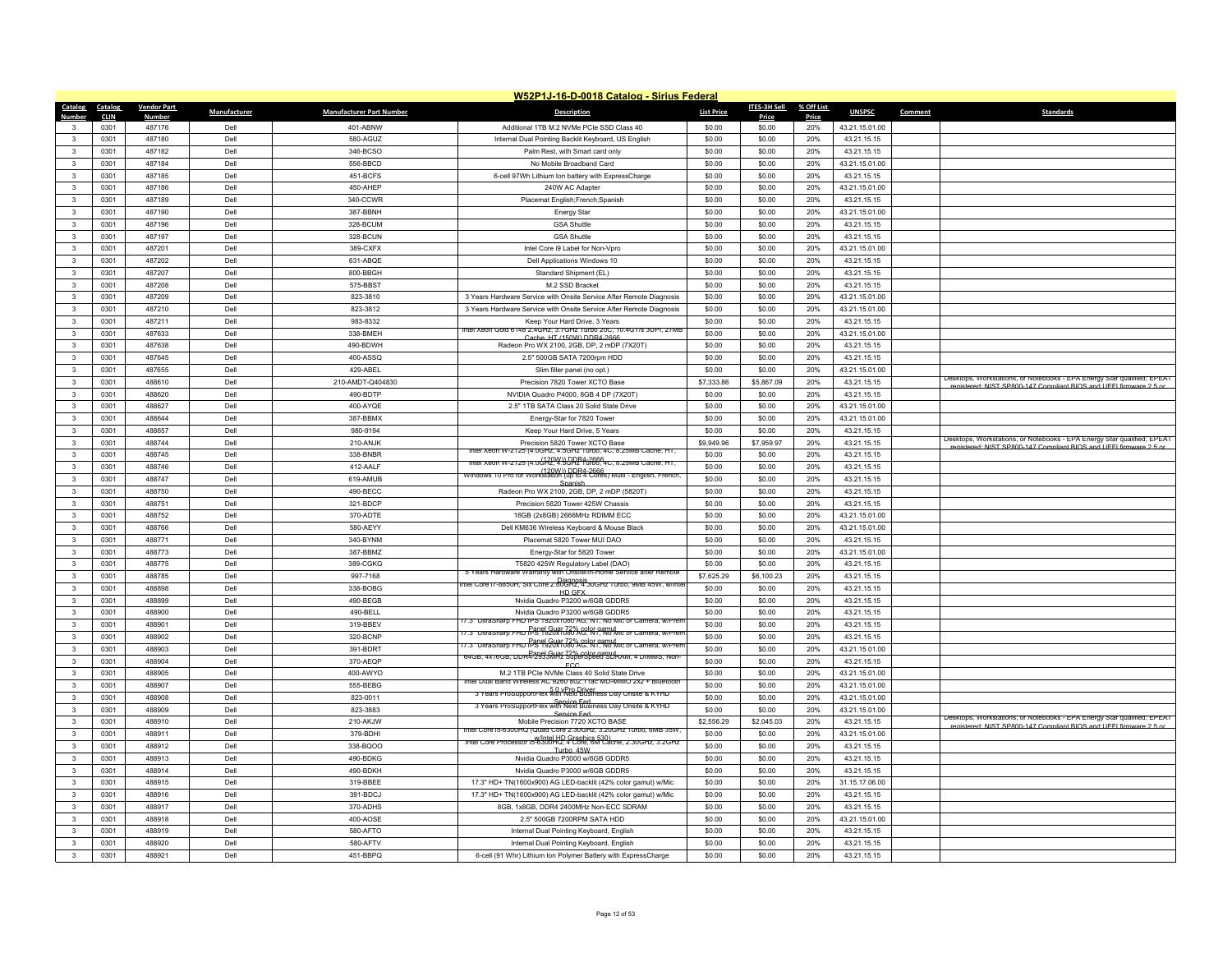|                                         |              |                    |              |                                 | W52P1J-16-D-0018 Catalog - Sirius Federal                                                    |                   |                  |            |                               |         |                                                                                                                                                |
|-----------------------------------------|--------------|--------------------|--------------|---------------------------------|----------------------------------------------------------------------------------------------|-------------------|------------------|------------|-------------------------------|---------|------------------------------------------------------------------------------------------------------------------------------------------------|
| Catalog                                 | Catalog      | <b>Vendor Part</b> | Manufacturer | <b>Manufacturer Part Number</b> | <b>Description</b>                                                                           | <b>List Price</b> | ITES-3H Sell     | % Off List | <b>UNSPSC</b>                 | Comment | <b>Standards</b>                                                                                                                               |
| Number                                  | <b>CLIN</b>  | <b>Number</b>      |              |                                 |                                                                                              |                   | Price            | Price      |                               |         |                                                                                                                                                |
| $\mathbf{3}$<br>$\mathbf{3}$            | 0301<br>0301 | 487176<br>487180   | Dell<br>Dell | 401-ABNW<br>580-AGUZ            | Additional 1TB M.2 NVMe PCIe SSD Class 40                                                    | \$0.00<br>\$0.00  | \$0.00<br>\$0.00 | 20%<br>20% | 43.21.15.01.00<br>43.21.15.15 |         |                                                                                                                                                |
|                                         |              | 487182             | Dell         | 346-BCSO                        | Internal Dual Pointing Backlit Keyboard, US English                                          | \$0.00            |                  |            |                               |         |                                                                                                                                                |
| $\mathbf{3}$                            | 0301         |                    |              |                                 | Palm Rest, with Smart card only                                                              |                   | \$0.00           | 20%        | 43.21.15.15                   |         |                                                                                                                                                |
| $\mathbf{3}$<br>$\overline{\mathbf{3}}$ | 0301         | 487184<br>487185   | Dell<br>Dell | 556-BBCD<br>451-BCFS            | No Mobile Broadband Card                                                                     | \$0.00            | \$0.00           | 20%<br>20% | 43.21.15.01.00<br>43.21.15.15 |         |                                                                                                                                                |
|                                         | 0301<br>0301 | 487186             | Dell         | 450-AHEP                        | 6-cell 97Wh Lithium Ion battery with ExpressCharge<br>240W AC Adapte                         | \$0.00<br>\$0.00  | \$0.00<br>\$0.00 | 20%        | 43.21.15.01.00                |         |                                                                                                                                                |
| $\mathbf{3}$<br>$\mathbf{3}$            | 0301         | 487189             | Dell         | 340-CCWR                        | Placemat English; French; Spanish                                                            | \$0.00            | \$0.00           | 20%        | 43.21.15.15                   |         |                                                                                                                                                |
| $\mathbf{R}$                            | 0301         | 487190             | Dell         | 387-BBNH                        |                                                                                              | \$0.00            | \$0.00           | 20%        | 43.21.15.01.00                |         |                                                                                                                                                |
| $\mathbf{3}$                            | 0301         | 487196             | Dell         | 328-BCUM                        | <b>Energy Star</b><br><b>GSA Shuttle</b>                                                     | \$0.00            | \$0.00           | 20%        | 43.21.15.15                   |         |                                                                                                                                                |
| $\mathbf{3}$                            | 0301         | 487197             | Dell         | 328-BCUN                        | <b>GSA Shuttle</b>                                                                           | \$0.00            | \$0.00           | 20%        | 43.21.15.15                   |         |                                                                                                                                                |
| $\mathbf{3}$                            | 0301         | 487201             | Dell         | 389-CXFX                        | Intel Core i9 Label for Non-Vpro                                                             | \$0.00            | \$0.00           | 20%        | 43.21.15.01.00                |         |                                                                                                                                                |
| $\mathbf{3}$                            | 0301         | 487202             | Dell         | 631-ABQE                        | Dell Applications Windows 10                                                                 | \$0.00            | \$0.00           | 20%        | 43.21.15.15                   |         |                                                                                                                                                |
| $\mathbf{3}$                            | 0301         | 487207             | Dell         | 800-BBGH                        | Standard Shipment (EL)                                                                       | \$0.00            | \$0.00           | 20%        | 43.21.15.15                   |         |                                                                                                                                                |
| $\mathbf{3}$                            | 0301         | 487208             | Dell         | 575-BBST                        | M.2 SSD Bracket                                                                              | \$0.00            | \$0.00           | 20%        | 43.21.15.15                   |         |                                                                                                                                                |
| $\mathbf{3}$                            | 0301         | 487209             | Dell         | 823-3810                        | 3 Years Hardware Service with Onsite Service After Remote Diagnosis                          | \$0.00            | \$0.00           | 20%        | 43.21.15.01.00                |         |                                                                                                                                                |
| $\overline{\mathbf{3}}$                 | 0301         | 487210             | Dell         | 823-3812                        | 3 Years Hardware Service with Onsite Service After Remote Diagnosis                          | \$0.00            | \$0.00           | 20%        | 43.21.15.01.00                |         |                                                                                                                                                |
| $\mathbf{3}$                            | 0301         | 487211             | Dell         | 983-8332                        | Keep Your Hard Drive, 3 Years                                                                | \$0.00            | \$0.00           | 20%        | 43.21.15.15                   |         |                                                                                                                                                |
| 3                                       | 0301         | 487633             | Dell         | 338-BMEH                        | ntel Xeon Gold 6148 2.4GHz, 3.7GHz Turbo 20C, 10.4GT/s 3UPI, 27MB                            | \$0.00            | \$0.00           | 20%        | 43.21.15.01.00                |         |                                                                                                                                                |
| $\overline{\mathbf{3}}$                 | 0301         | 487638             | Dell         | 490-BDWH                        | Cache, HT (150W) DDR4-2666<br>Radeon Pro WX 2100, 2GB, DP, 2 mDP (7X20T)                     | \$0.00            | \$0.00           | 20%        | 43.21.15.15                   |         |                                                                                                                                                |
| $\mathbf{3}$                            | 0301         | 487645             | Dell         | 400-ASSQ                        | 2.5" 500GB SATA 7200rpm HDD                                                                  | \$0.00            | \$0.00           | 20%        | 43.21.15.15                   |         |                                                                                                                                                |
| $\mathbf{3}$                            | 0301         | 487655             | Dell         | 429-ABEL                        | Slim filler panel (no opt.)                                                                  | \$0.00            | \$0.00           | 20%        | 43.21.15.01.00                |         |                                                                                                                                                |
| $\overline{\mathbf{3}}$                 | 0301         | 488610             | Dell         | 210-AMDT-Q404830                | Precision 7820 Tower XCTO Base                                                               | \$7,333.86        | \$5,867.09       | 20%        | 43.21.15.15                   |         | Desktops, Workstations, or Notebooks - EPA Energy Star qualified; EPEAT                                                                        |
| $\overline{\mathbf{3}}$                 | 0301         | 488620             | Dell         | 490-BDTP                        | NVIDIA Quadro P4000, 8GB 4 DP (7X20T)                                                        | \$0.00            | \$0.00           | 20%        | 43.21.15.15                   |         | stered: NIST SP800-147 Compliant RIOS and LIFFL firm                                                                                           |
| $\mathbf{3}$                            | 0301         | 488627             | Dell         | 400-AYQE                        | 2.5" 1TB SATA Class 20 Solid State Drive                                                     | \$0.00            | \$0.00           | 20%        | 43.21.15.01.00                |         |                                                                                                                                                |
| $\mathbf{3}$                            | 0301         | 488644             | Dell         | 387-BBMX                        | Energy-Star for 7820 Tower                                                                   | \$0.00            | \$0.00           | 20%        | 43.21.15.01.00                |         |                                                                                                                                                |
| $\overline{\mathbf{3}}$                 | 0301         | 488657             | Dell         | 980-9194                        | Keep Your Hard Drive, 5 Years                                                                | \$0.00            | \$0.00           | 20%        | 43.21.15.15                   |         |                                                                                                                                                |
| $\mathbf{3}$                            | 0301         | 488744             | Del          | 210-ANJK                        | Precision 5820 Tower XCTO Base                                                               | \$9,949.96        | \$7,959.97       | 20%        | 43.21.15.15                   |         | Desktops, Workstations, or Notebooks - EPA Energy Star qualified; EPEAT                                                                        |
| $\mathbf{3}$                            | 0301         | 488745             | Dell         | 338-BNBR                        | tel Xeon W-2125 (4.0GHz, 4.5GHz Turbo, 4C, 8.25MB Cache, HT,                                 | \$0.00            | \$0.00           | 20%        | 43.21.15.15                   |         | registered: NIST SP800-147 Compliant BIOS and LIFFI firmware 2.5 or                                                                            |
| $\mathbf{3}$                            | 0301         | 488746             | Dell         | 412-AALF                        | The Xeon W-2125 (4.0GHz, 4.5GHz Turbo, 4C, 8.25MB Cache, HT,                                 | \$0.00            | \$0.00           | 20%        | 43.21.15.15                   |         |                                                                                                                                                |
| $\mathbf{3}$                            | 0301         | 488747             | Dell         | 619-AMUB                        | (120W)) DDR4-2666<br>Windows 10 Pro for Workstation (up to 4 Cores) Multi - English, French, | \$0.00            | \$0.00           | 20%        | 43.21.15.15                   |         |                                                                                                                                                |
| $\mathbf{3}$                            | 0301         | 488750             | Dell         | 490-BECC                        | Radeon Pro WX 2100, 2GB, DP, 2 mDP (5820T)                                                   | \$0.00            | \$0.00           | 20%        | 43.21.15.15                   |         |                                                                                                                                                |
| $\overline{\mathbf{3}}$                 | 0301         | 488751             | Dell         | 321-BDCP                        | Precision 5820 Tower 425W Chassis                                                            | \$0.00            | \$0.00           | 20%        | 43.21.15.15                   |         |                                                                                                                                                |
| $\mathbf{3}$                            | 0301         | 488752             | Dell         | 370-ADTE                        | 16GB (2x8GB) 2666MHz RDIMM ECC                                                               | \$0.00            | \$0.00           | 20%        | 43.21.15.01.00                |         |                                                                                                                                                |
| $\overline{\mathbf{3}}$                 | 0301         | 488766             | Dell         | 580-AEYY                        | Dell KM636 Wireless Keyboard & Mouse Black                                                   | \$0.00            | \$0.00           | 20%        | 43.21.15.01.00                |         |                                                                                                                                                |
| $\overline{\mathbf{3}}$                 | 0301         | 488771             | Dell         | 340-BYNM                        | Placemat 5820 Tower MUI DAO                                                                  | \$0.00            | \$0.00           | 20%        | 43.21.15.15                   |         |                                                                                                                                                |
| $\overline{\mathbf{3}}$                 | 0301         | 488773             | Dell         | 387-BBMZ                        | Energy-Star for 5820 Tower                                                                   | \$0.00            | \$0.00           | 20%        | 43.21.15.01.00                |         |                                                                                                                                                |
| $\mathbf{3}$                            | 0301         | 488775             | Dell         | 389-CGKG                        | T5820 425W Regulatory Label (DAO)                                                            | \$0.00            | \$0.00           | 20%        | 43.21.15.15                   |         |                                                                                                                                                |
| $\mathbf{3}$                            | 0301         | 488785             | Dell         | 997-7168                        | 5 Years Hardware Warranty with Onsite/In-Home Service after Remote                           | \$7,625.29        | \$6,100.23       | 20%        | 43.21.15.15                   |         |                                                                                                                                                |
| $\overline{\mathbf{3}}$                 | 0301         | 488898             | Dell         | 338-BOBG                        | Diagnosis<br>htel Core i7-8850H, Six Core 2.60GHz, 4.30GHz Turbo, 9MB 45W, w/Int             | \$0.00            | \$0.00           | 20%        | 43.21.15.15                   |         |                                                                                                                                                |
| $\mathbf{3}$                            | 0301         | 488899             | Dell         | 490-BEGB                        | HD GFX<br>Nvidia Quadro P3200 w/6GB GDDR5                                                    | \$0.00            | \$0.00           | 20%        | 43.21.15.15                   |         |                                                                                                                                                |
| $\overline{\mathbf{3}}$                 | 0301         | 488900             | Dell         | 490-BELL                        | Nvidia Quadro P3200 w/6GB GDDR5                                                              | \$0.00            | \$0.00           | 20%        | 43.21.15.15                   |         |                                                                                                                                                |
| $\overline{\mathbf{3}}$                 | 0301         | 488901             | Dell         | 319-BBEV                        | 7.3" UltraSharp FHD IPS 1920x1080 AG, NT, No Mic or Camera, w/Pren                           | \$0.00            | \$0.00           | 20%        | 43.21.15.15                   |         |                                                                                                                                                |
| $\overline{\mathbf{3}}$                 | 0301         | 488902             | Dell         | 320-BCNP                        | דר.ש " Ultrasharp ו-HD PS ל-1920 ה-1920 ה-12% (Color ∩americ camera. w/Pren                  | \$0.00            | \$0.00           | 20%        | 43.21.15.15                   |         |                                                                                                                                                |
| $\mathbf{3}$                            | 0301         | 488903             | Dell         | 391-BDRT                        | 17.3" UltraSharp FHD PS 1920x1030 AG, NT, No Mic or Camera, w/Pren                           | \$0.00            | \$0.00           | 20%        | 43.21.15.01.00                |         |                                                                                                                                                |
| $\mathbf{3}$                            | 0301         | 488904             | Dell         | 370-AEQP                        | 64GB, 4x16GB, DDR4-2933MHz 30perSpeed SDRAM, 4 DIMMS, Non-<br><b>ECC</b>                     | \$0.00            | \$0.00           | 20%        | 43.21.15.15                   |         |                                                                                                                                                |
| $\mathbf{3}$                            | 0301         | 488905             | Dell         | 400-AWYO                        | M.2 1TB PCle NVMe Class 40 Solid State Drive                                                 | \$0.00            | \$0.00           | 20%        | 43.21.15.01.00                |         |                                                                                                                                                |
| $\mathbf{3}$                            | 0301         | 488907             | Dell         | 555-BEBG                        | Intel Dual Band Wireless AC 9260 802.11ac MU-MIMO 2x2 + Bluetooth                            | \$0.00            | \$0.00           | 20%        | 43.21.15.01.00                |         |                                                                                                                                                |
| $\overline{\mathbf{3}}$                 | 0301         | 488908             | Del          | 823-0011                        | 3 Years ProSupportFlex with Next Business Day Onsite & KYHD                                  | \$0.00            | \$0.00           | 20%        | 43.21.15.01.00                |         |                                                                                                                                                |
| $\mathbf{3}$                            | 0301         | 488909             | Dell         | 823-3883                        | Service Fed<br>3 Years ProSupportFlex with Next Business Day Onsite & KYHD<br>Service Fed    | \$0.00            | \$0.00           | 20%        | 43.21.15.01.00                |         |                                                                                                                                                |
| $\mathbf{3}$                            | 0301         | 488910             | Dell         | 210-AKJW                        | Mobile Precision 7720 XCTO BASE                                                              | \$2,556.29        | \$2,045.03       | 20%        | 43.21.15.15                   |         | Desktops, Workstations, or Notebooks - EPA Energy Star qualified; EPEAT<br>registered: NIST SP800-147 Compliant RIOS and LIFFI firmware 2.5 or |
| $\mathbf{3}$                            | 0301         | 488911             | Dell         | 379-BDHI                        | htel Core i5-6300HQ (Quad Core 2.30GHz, 3.20GHz Turbo, 6MB 35W                               | \$0.00            | \$0.00           | 20%        | 43.21.15.01.00                |         |                                                                                                                                                |
| $\mathbf{3}$                            | 0301         | 488912             | Dell         | 338-BQOO                        | Intel Core Processor i5-6300HD, 4 Core, 6M Cache, 2.30GHz, 3.2GHz<br>Turbo 45V               | \$0.00            | \$0.00           | 20%        | 43.21.15.15                   |         |                                                                                                                                                |
| $\mathbf{3}$                            | 0301         | 488913             | Dell         | 490-BDKG                        | Nvidia Quadro P3000 w/6GB GDDR5                                                              | \$0.00            | \$0.00           | 20%        | 43.21.15.15                   |         |                                                                                                                                                |
| $\mathbf{3}$                            | 0301         | 488914             | Dell         | 490-BDKH                        | Nvidia Quadro P3000 w/6GB GDDR5                                                              | \$0.00            | \$0.00           | 20%        | 43.21.15.15                   |         |                                                                                                                                                |
| $\overline{\mathbf{3}}$                 | 0301         | 488915             | Dell         | 319-BBEE                        | 17.3" HD+ TN(1600x900) AG LED-backlit (42% color gamut) w/Mic                                | \$0.00            | \$0.00           | 20%        | 31.15.17.06.00                |         |                                                                                                                                                |
| $\mathbf{3}$                            | 0301         | 488916             | Dell         | 391-BDCJ                        | 17.3" HD+ TN(1600x900) AG LED-backlit (42% color gamut) w/Mic                                | \$0.00            | \$0.00           | 20%        | 43.21.15.15                   |         |                                                                                                                                                |
| $\mathbf{R}$                            | 0301         | 488917             | Dell         | 370-ADHS                        | 8GB, 1x8GB, DDR4 2400MHz Non-ECC SDRAM                                                       | \$0.00            | \$0.00           | 20%        | 43.21.15.15                   |         |                                                                                                                                                |
| $\mathbf{3}$                            | 0301         | 488918             | Dell         | 400-AOSE                        | 2.5" 500GB 7200RPM SATA HDD                                                                  | \$0.00            | \$0.00           | 20%        | 43.21.15.01.00                |         |                                                                                                                                                |
| $\mathbf{3}$                            | 0301         | 488919             | Dell         | 580-AFTO                        | Internal Dual Pointing Keyboard, English                                                     | \$0.00            | \$0.00           | 20%        | 43.21.15.15                   |         |                                                                                                                                                |
| $\mathbf{3}$                            | 0301         | 488920             | Dell         | 580-AFTV                        | Internal Dual Pointing Keyboard, English                                                     | \$0.00            | \$0.00           | 20%        | 43.21.15.15                   |         |                                                                                                                                                |
| $\mathbf{3}$                            | 0301         | 488921             | Dell         | 451-BBPQ                        | 6-cell (91 Whr) Lithium Ion Polymer Battery with ExpressCharge                               | \$0.00            | \$0.00           | 20%        | 43.21.15.15                   |         |                                                                                                                                                |
|                                         |              |                    |              |                                 |                                                                                              |                   |                  |            |                               |         |                                                                                                                                                |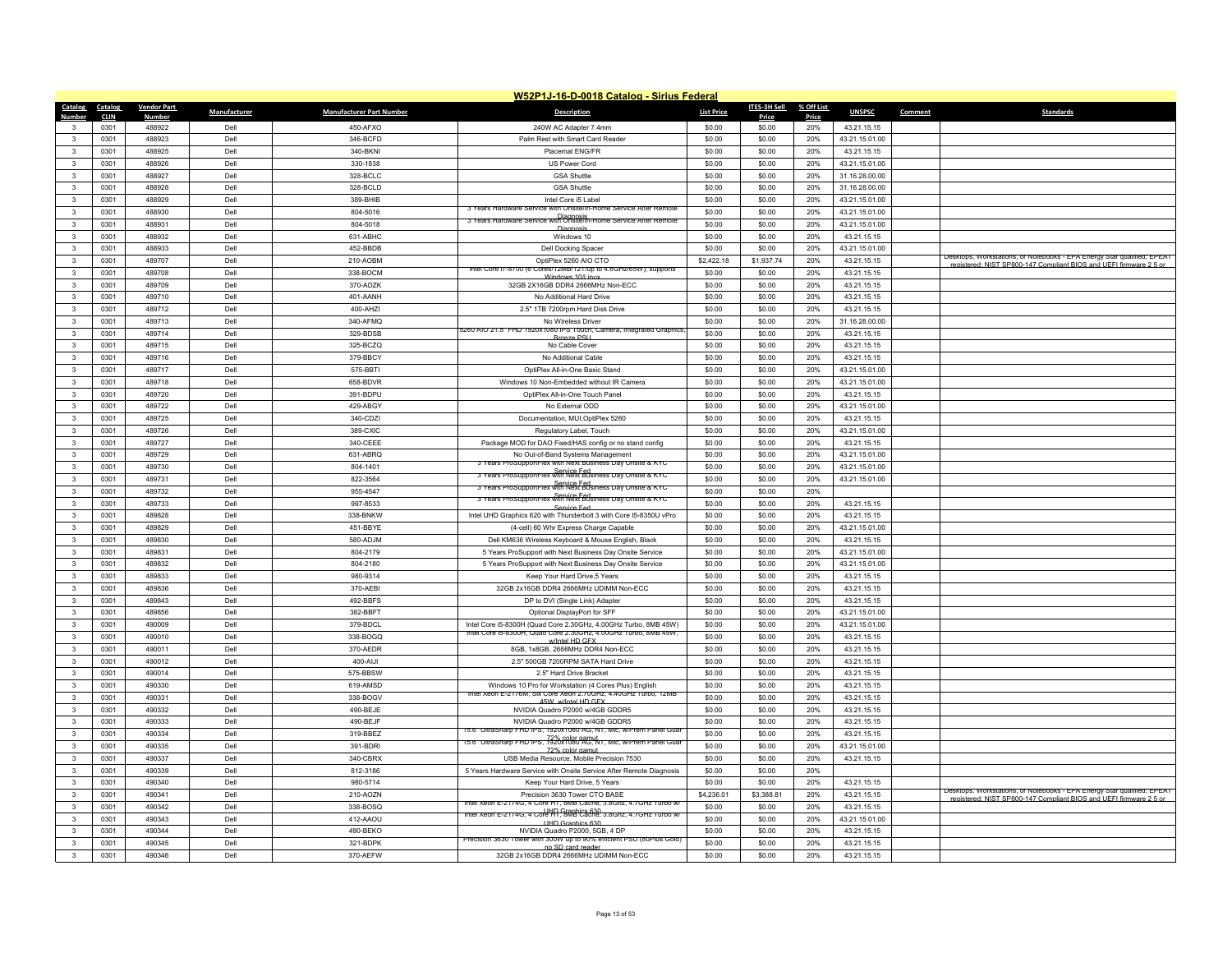|                         | W52P1J-16-D-0018 Catalog - Sirius Federal |                         |                     |                                 |                                                                                                 |                   |                        |              |                |                                                                                                                                                |  |
|-------------------------|-------------------------------------------|-------------------------|---------------------|---------------------------------|-------------------------------------------------------------------------------------------------|-------------------|------------------------|--------------|----------------|------------------------------------------------------------------------------------------------------------------------------------------------|--|
| <b>Catalog</b>          | Catalog                                   | <b>Vendor Part</b>      | <b>Manufacturer</b> | <b>Manufacturer Part Number</b> | <b>Description</b>                                                                              | <b>List Price</b> | ITES-3H Sell           | % Off List   | <b>UNSPSC</b>  | <b>Standards</b><br>Comment                                                                                                                    |  |
| Number<br>3             | <b>CLIN</b><br>0301                       | <u>Number</u><br>488922 | Dell                | $450-AFXO$                      | 240W AC Adapter 7.4mm                                                                           | \$0.00            | <b>Price</b><br>\$0.00 | Price<br>20% | 43.21.15.15    |                                                                                                                                                |  |
| $\mathbf{3}$            | 0301                                      | 488923                  | Dell                | 346-BCFD                        | Palm Rest with Smart Card Reader                                                                | \$0.00            | \$0.00                 | 20%          | 43.21.15.01.00 |                                                                                                                                                |  |
| 3                       | 0301                                      | 488925                  | Dell                | 340-BKNI                        | Placemat ENG/FR                                                                                 | \$0.00            | \$0.00                 | 20%          | 43.21.15.15    |                                                                                                                                                |  |
| 3                       | 0301                                      | 488926                  | Dell                | 330-1838                        | US Power Cord                                                                                   | \$0.00            | \$0.00                 | 20%          | 43.21.15.01.00 |                                                                                                                                                |  |
| $\mathbf{3}$            | 0301                                      | 488927                  | Dell                | 328-BCLC                        | <b>GSA Shuttle</b>                                                                              | \$0.00            | \$0.00                 | 20%          | 31.16.28.00.00 |                                                                                                                                                |  |
| $\mathbf{3}$            | 0301                                      | 488928                  | Dell                | 328-BCLD                        | <b>GSA Shuttle</b>                                                                              | \$0.00            | \$0.00                 | 20%          | 31.16.28.00.00 |                                                                                                                                                |  |
| $\mathbf{3}$            | 0301                                      | 488929                  | Dell                | 389-BHIB                        | Intel Core i5 Label                                                                             | \$0.00            | \$0.00                 | 20%          | 43.21.15.01.00 |                                                                                                                                                |  |
| $\mathbf{3}$            | 0301                                      | 488930                  | Dell                | 804-5016                        | 3 Years Hardware Ser<br>ice with Onsite/In-Home Service After Rem                               | \$0.00            | \$0.00                 | 20%          | 43.21.15.01.00 |                                                                                                                                                |  |
| $\mathbf{3}$            | 0301                                      | 488931                  | Dell                | 804-5018                        | Diagnosis<br>3 Years Hardware Service with Onsite/In-Home Service After Remote                  | \$0.00            | \$0.00                 | 20%          | 43.21.15.01.00 |                                                                                                                                                |  |
| $\mathbf{3}$            | 0301                                      | 488932                  | Dell                | 631-ABHC                        | <b>Diagnosis</b><br>Windows 10                                                                  | \$0.00            | \$0.00                 | 20%          | 43.21.15.15    |                                                                                                                                                |  |
| $\mathbf{3}$            | 0301                                      | 488933                  | Dell                | 452-BBDB                        | Dell Docking Space                                                                              | \$0.00            | \$0.00                 | 20%          | 43.21.15.01.00 |                                                                                                                                                |  |
| $\mathbf{3}$            | 0301                                      | 489707                  | Dell                | 210-AOBM                        | OptiPlex 5260 AIO CTO                                                                           | \$2,422.18        | \$1,937.74             | 20%          | 43.21.15.15    | Desktops, Workstations, or Notebooks - EPA Energy Star qualified; EPEAT                                                                        |  |
| $\mathbf{3}$            | 0301                                      | 489708                  | Dell                | 338-BOCM                        | Intel Core 17-8700 (6 Cores/12MB/121/up to 4.6GHz/65W); supports                                | \$0.00            | \$0.00                 | 20%          | 43.21.15.15    | registered: NIST SP800-147 Compliant BIOS and LIFEL firmware 2.5 or                                                                            |  |
| $\mathbf{3}$            | 0301                                      | 489709                  | Dell                | 370-ADZK                        | Windows 10/Linux<br>32GB 2X16GB DDR4 2666MHz Non-ECC                                            | \$0.00            | \$0.00                 | 20%          | 43.21.15.15    |                                                                                                                                                |  |
| 3                       | 0301                                      | 489710                  | Dell                | 401-AANH                        | No Additional Hard Drive                                                                        | \$0.00            | \$0.00                 | 20%          | 43.21.15.15    |                                                                                                                                                |  |
| $\mathbf{3}$            | 0301                                      | 489712                  | Dell                | 400-AHZI                        | 2.5" 1TB 7200rpm Hard Disk Drive                                                                | \$0.00            | \$0.00                 | 20%          | 43.21.15.15    |                                                                                                                                                |  |
| $\mathbf{3}$            | 0301                                      | 489713                  | Dell                | 340-AFMQ                        | No Wireless Drive                                                                               | \$0.00            | \$0.00                 | 20%          | 31.16.28.00.00 |                                                                                                                                                |  |
| 3                       | 0301                                      | 489714                  | Dell                | 329-BDSB                        | 260 AIO 21.5" FHD 1920x1080 IPS Touch, Camera, Integrated Graphic                               | \$0.00            | \$0.00                 | 20%          | 43.21.15.15    |                                                                                                                                                |  |
| $\mathbf{3}$            | 0301                                      | 489715                  | Dell                | 325-BCZQ                        | <b>Bronze PSU</b><br>No Cable Cover                                                             | \$0.00            | \$0.00                 | 20%          | 43.21.15.15    |                                                                                                                                                |  |
| $\mathbf{3}$            | 0301                                      | 489716                  | Dell                | 379-BBCY                        | No Additional Cable                                                                             | \$0.00            | \$0.00                 | 20%          | 43.21.15.15    |                                                                                                                                                |  |
| 3                       | 0301                                      | 489717                  | Dell                | 575-BBTI                        | OptiPlex All-in-One Basic Stand                                                                 | \$0.00            | \$0.00                 | 20%          | 43.21.15.01.00 |                                                                                                                                                |  |
| $\mathbf{3}$            | 0301                                      | 489718                  | Dell                | 658-BDVR                        | Windows 10 Non-Embedded without IR Camera                                                       | \$0.00            | \$0.00                 | 20%          | 43.21.15.01.00 |                                                                                                                                                |  |
| $\mathbf{3}$            | 0301                                      | 489720                  | Dell                | 391-BDPU                        | OptiPlex All-in-One Touch Panel                                                                 | \$0.00            | \$0.00                 | 20%          | 43.21.15.15    |                                                                                                                                                |  |
| 3                       | 0301                                      | 489722                  | Dell                | 429-ABGY                        | No External ODD                                                                                 | \$0.00            | \$0.00                 | 20%          | 43.21.15.01.00 |                                                                                                                                                |  |
| $\mathbf{3}$            | 0301                                      | 489725                  | Dell                | 340-CDZI                        | Documentation, MUI, OptiPlex 5260                                                               | \$0.00            | \$0.00                 | 20%          | 43.21.15.15    |                                                                                                                                                |  |
| $\mathbf{3}$            | 0301                                      | 489726                  | Dell                | 389-CXIC                        | Regulatory Label, Touch                                                                         | \$0.00            | \$0.00                 | 20%          | 43.21.15.01.00 |                                                                                                                                                |  |
| 3                       | 0301                                      | 489727                  | Dell                | 340-CEEE                        | Package MOD for DAO Fixed/HAS config or no stand config                                         | \$0.00            | \$0.00                 | 20%          | 43.21.15.15    |                                                                                                                                                |  |
| $\overline{\mathbf{3}}$ | 0301                                      | 489729                  | Dell                | 631-ABRQ                        | No Out-of-Band Systems Management                                                               | \$0.00            | \$0.00                 | 20%          | 43.21.15.01.00 |                                                                                                                                                |  |
| $\mathbf{3}$            | 0301                                      | 489730                  | Dell                | 804-1401                        | 3 Years ProSupportFlex with Next Business Day Onsite & KYC                                      | \$0.00            | \$0.00                 | 20%          | 43.21.15.01.00 |                                                                                                                                                |  |
| 3                       | 0301                                      | 489731                  | Dell                | 822-3564                        | 3 Years ProSupportFlex with Next Business Day Onsite & KYC                                      | \$0.00            | \$0.00                 | 20%          | 43.21.15.01.00 |                                                                                                                                                |  |
| $\mathbf{3}$            | 0301                                      | 489732                  | Dell                | 955-4547                        | 3 Years ProSupportFlex with Next Business Day Onsite & KYC                                      | \$0.00            | \$0.00                 | 20%          |                |                                                                                                                                                |  |
| $\mathbf{3}$            | 0301                                      | 489733                  | Dell                | 997-8533                        | 3 Years ProSupportFlex with Next Business Day Onsite & KYC                                      | \$0.00            | \$0.00                 | 20%          | 43.21.15.15    |                                                                                                                                                |  |
| $\mathbf{3}$            | 0301                                      | 489828                  | Dell                | 338-BNKW                        | Service Fed<br>Intel UHD Graphics 620 with Thunderbolt 3 with Core I5-8350U vPro                | \$0.00            | \$0.00                 | 20%          | 43.21.15.15    |                                                                                                                                                |  |
| $\mathbf{R}$            | 0301                                      | 489829                  | Dell                | 451-BBYE                        | (4-cell) 60 Whr Express Charge Capable                                                          | \$0.00            | \$0.00                 | 20%          | 43.21.15.01.00 |                                                                                                                                                |  |
| 3                       | 0301                                      | 489830                  | Dell                | 580-AD.IM                       | Dell KM636 Wireless Keyboard & Mouse English, Black                                             | \$0.00            | \$0.00                 | 20%          | 43.21.15.15    |                                                                                                                                                |  |
| $\mathbf{3}$            | 0301                                      | 489831                  | Dell                | 804-2179                        | 5 Years ProSupport with Next Business Day Onsite Service                                        | \$0.00            | \$0.00                 | 20%          | 43.21.15.01.00 |                                                                                                                                                |  |
| $\mathbf{R}$            | 0301                                      | 489832                  | Dell                | 804-2180                        | 5 Years ProSupport with Next Business Day Onsite Service                                        | \$0.00            | \$0.00                 | 20%          | 43.21.15.01.00 |                                                                                                                                                |  |
| $\mathbf{3}$            | 0301                                      | 489833                  | Dell                | 980-9314                        | Keep Your Hard Drive.5 Years                                                                    | \$0.00            | \$0.00                 | 20%          | 43.21.15.15    |                                                                                                                                                |  |
| $\mathbf{3}$            | 0301                                      | 489836                  | Dell                | 370-AEBI                        | 32GB 2x16GB DDR4 2666MHz UDIMM Non-ECC                                                          | \$0.00            | \$0.00                 | 20%          | 43.21.15.15    |                                                                                                                                                |  |
| $\mathbf{3}$            | 0301                                      | 489843                  | Dell                | 492-BBFS                        | DP to DVI (Single Link) Adapter                                                                 | \$0.00            | \$0.00                 | 20%          | 43.21.15.15    |                                                                                                                                                |  |
| $\mathbf{3}$            | 0301                                      | 489856                  | Dell                | 382-BBFT                        | Optional DisplayPort for SFF                                                                    | \$0.00            | \$0.00                 | 20%          | 43.21.15.01.00 |                                                                                                                                                |  |
| $\mathbf{3}$            | 0301                                      | 490009                  | Dell                | 379-BDCL                        | Intel Core i5-8300H (Quad Core 2.30GHz, 4.00GHz Turbo, 8MB 45W)                                 | \$0.00            | \$0.00                 | 20%          | 43.21.15.01.00 |                                                                                                                                                |  |
| $\mathbf{3}$            | 0301                                      | 490010                  | Dell                | 338-BOGQ                        | Intel Core is-8300H, Quad Core 2.30GHz, 4.00GHz Turbo, 8MB 45W,<br>w/Intel HD GFX               | \$0.00            | \$0.00                 | 20%          | 43.21.15.15    |                                                                                                                                                |  |
| 3                       | 0301                                      | 490011                  | Dell                | 370-AEDR                        | 8GB, 1x8GB, 2666MHz DDR4 Non-ECC                                                                | \$0.00            | \$0.00                 | 20%          | 43.21.15.15    |                                                                                                                                                |  |
| $\overline{\mathbf{3}}$ | 0301                                      | 490012                  | Dell                | 400-ALI                         | 2.5" 500GB 7200RPM SATA Hard Drive                                                              | \$0.00            | \$0.00                 | 20%          | 43.21.15.15    |                                                                                                                                                |  |
| $\mathbf{3}$            | 0301                                      | 490014                  | Dell                | 575-BBSW                        | 2.5" Hard Drive Bracket                                                                         | \$0.00            | \$0.00                 | 20%          | 43.21.15.15    |                                                                                                                                                |  |
| 3                       | 0301                                      | 490330                  | Dell                | 619-AMSD                        | Windows 10 Pro for Workstation (4 Cores Plus) English                                           | \$0.00            | \$0.00                 | 20%          | 43.21.15.15    |                                                                                                                                                |  |
| $\mathbf{3}$            | 0301                                      | 490331                  | Dell                | 338-BOGV                        | ntel Xeon E-2176M, Six Core Xeon 2.70GHz, 4.40GHz Turbo, 12MB<br>45W w/Intel HD GFX             | \$0.00            | \$0.00                 | 20%          | 43.21.15.15    |                                                                                                                                                |  |
| $\mathbf{3}$            | 0301                                      | 490332                  | Dell                | 490-BEJE                        | NVIDIA Quadro P2000 w/4GB GDDR5                                                                 | \$0.00            | \$0.00                 | 20%          | 43.21.15.15    |                                                                                                                                                |  |
| $\mathbf{3}$            | 0301                                      | 490333                  | Dell                | 490-BEJF                        | NVIDIA Quadro P2000 w/4GB GDDR5                                                                 | \$0.00            | \$0.00                 | 20%          | 43.21.15.15    |                                                                                                                                                |  |
| $\mathbf{3}$            | 0301                                      | 490334                  | Dell                | 319-BBEZ                        | 15.6" UltraSharp FHD IPS, 1920x1080 AG, NT, Mic, w/Prem Panel Guar                              | \$0.00            | \$0.00                 | 20%          | 43.21.15.15    |                                                                                                                                                |  |
| $\mathbf{3}$            | 0301                                      | 490335                  | Dell                | 391-BDRI                        | 15.6" UltraSharp FHD IPS, 1920x10801AG, NT, Mic, w/Prem Panel Guar<br>72% color as              | \$0.00            | \$0.00                 | 20%          | 43.21.15.01.00 |                                                                                                                                                |  |
| 3                       | 0301                                      | 490337                  | Dell                | 340-CBRX                        | USB Media Resource, Mobile Precision 7530                                                       | \$0.00            | \$0.00                 | 20%          | 43.21.15.15    |                                                                                                                                                |  |
| $\mathbf{R}$            | 0301                                      | 490339                  | Dell                | 812-3186                        | 5 Years Hardware Service with Onsite Service After Remote Diagnosis                             | \$0.00            | \$0.00                 | 20%          |                |                                                                                                                                                |  |
| 3                       | 0301                                      | 490340                  | Dell                | 980-5714                        | Keep Your Hard Drive, 5 Years                                                                   | \$0.00            | \$0.00                 | 20%          | 43.21.15.15    |                                                                                                                                                |  |
| $\mathbf{3}$            | 0301                                      | 490341                  | Dell                | 210-AOZN                        | Precision 3630 Tower CTO BASE                                                                   | \$4,236.01        | \$3,388.81             | 20%          | 43.21.15.15    | Desktops, Workstations, or Notebooks - EPA Energy Star qualified; EPEAT<br>registered: NIST SP800-147 Compliant BIOS and LIFEL firmware 2.5 or |  |
| $\mathbf{R}$            | 0301                                      | 490342                  | Dell                | 338-BOSQ                        | Intel Xeon E-2174G, 4 Core HT, 8MB Cache, 3.8Ghz, 4.7GHz Turbo w                                | \$0.00            | \$0.00                 | 20%          | 43.21.15.15    |                                                                                                                                                |  |
| 3                       | 0301                                      | 490343                  | Dell                | 412-AAOU                        | Intel Xeon E-2174G, 4 Core HI, Sraphics 630, 3.8Ghz, 4.7GHz Turbo w/<br><b>UHD Graphics 630</b> | \$0.00            | \$0.00                 | 20%          | 43.21.15.01.00 |                                                                                                                                                |  |
| $\mathbf{3}$            | 0301                                      | 490344                  | Dell                | 490-BEKO                        | NVIDIA Quadro P2000, 5GB, 4 DP                                                                  | \$0.00            | \$0.00                 | 20%          | 43.21.15.15    |                                                                                                                                                |  |
| 3                       | 0301                                      | 490345                  | Dell                | 321-BDPK                        | Precision 3630 Tower with 300W up to 90% efficient PSU (80Plus Gold)<br>no SD card reader       | \$0.00            | \$0.00                 | 20%          | 43.21.15.15    |                                                                                                                                                |  |
| 3                       | 0301                                      | 490346                  | Dell                | 370-AEFW                        | 32GB 2x16GB DDR4 2666MHz UDIMM Non-ECC                                                          | \$0.00            | \$0.00                 | 20%          | 43.21.15.15    |                                                                                                                                                |  |
|                         |                                           |                         |                     |                                 |                                                                                                 |                   |                        |              |                |                                                                                                                                                |  |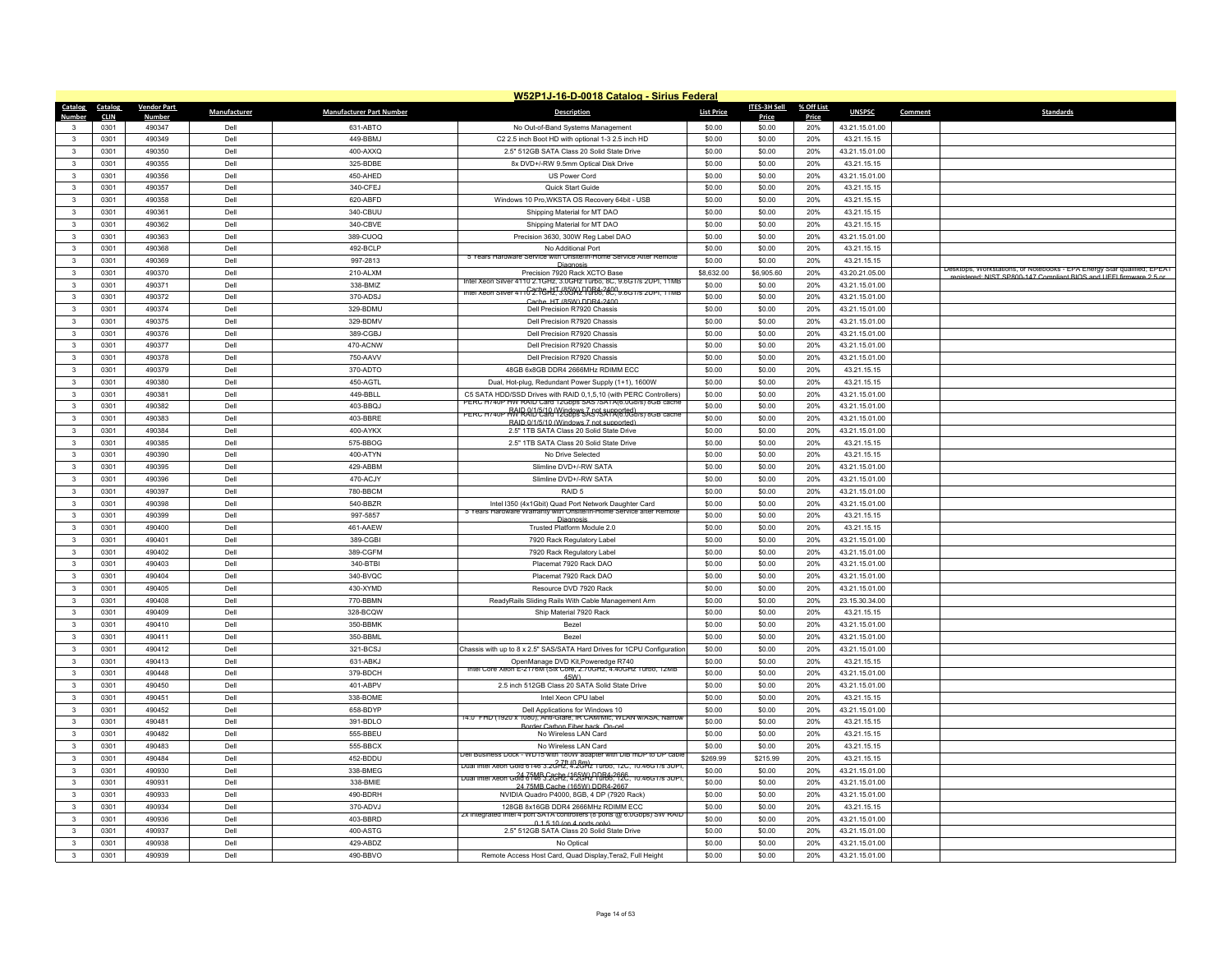|                                         | W52P1J-16-D-0018 Catalog - Sirius Federal |                    |              |                                 |                                                                                                                                        |                   |              |            |                |         |                                                                                                                                               |  |
|-----------------------------------------|-------------------------------------------|--------------------|--------------|---------------------------------|----------------------------------------------------------------------------------------------------------------------------------------|-------------------|--------------|------------|----------------|---------|-----------------------------------------------------------------------------------------------------------------------------------------------|--|
| Catalog                                 | Catalog                                   | <b>Vendor Part</b> | Manufacturer | <b>Manufacturer Part Number</b> | <b>Description</b>                                                                                                                     | <b>List Price</b> | ITES-3H Sell | % Off List | <b>UNSPSC</b>  | Comment | <b>Standards</b>                                                                                                                              |  |
| Number                                  | <b>CLIN</b>                               | <b>Number</b>      |              |                                 |                                                                                                                                        |                   | Price        | Price      |                |         |                                                                                                                                               |  |
| $\mathbf{3}$                            | 0301                                      | 490347             | Dell         | 631-ABTO                        | No Out-of-Band Systems Management                                                                                                      | \$0.00            | \$0.00       | 20%        | 43.21.15.01.00 |         |                                                                                                                                               |  |
| $\mathbf{3}$                            | 0301                                      | 490349             | Dell         | 449-BBMJ                        | C2 2.5 inch Boot HD with optional 1-3 2.5 inch HD                                                                                      | \$0.00            | \$0.00       | 20%        | 43.21.15.15    |         |                                                                                                                                               |  |
| $\mathbf{3}$                            | 0301                                      | 490350             | Dell         | 400-AXXQ                        | 2.5" 512GB SATA Class 20 Solid State Drive                                                                                             | \$0.00            | \$0.00       | 20%        | 43.21.15.01.00 |         |                                                                                                                                               |  |
| $\mathbf{3}$                            | 0301                                      | 490355             | Dell         | 325-BDBE                        | 8x DVD+/-RW 9.5mm Optical Disk Drive                                                                                                   | \$0.00            | \$0.00       | 20%        | 43.21.15.15    |         |                                                                                                                                               |  |
| $\overline{\mathbf{3}}$                 | 0301                                      | 490356             | Dell         | 450-AHED                        | US Power Cord                                                                                                                          | \$0.00            | \$0.00       | 20%        | 43.21.15.01.00 |         |                                                                                                                                               |  |
| 3                                       | 0301                                      | 490357             | Dell         | 340-CFFJ                        | Quick Start Guide                                                                                                                      | \$0.00            | \$0.00       | 20%        | 43.21.15.15    |         |                                                                                                                                               |  |
| $\mathbf{3}$                            | 0301                                      | 490358             | Dell         | 620-ABFD                        | Windows 10 Pro, WKSTA OS Recovery 64bit - USB                                                                                          | \$0.00            | \$0.00       | 20%        | 43.21.15.15    |         |                                                                                                                                               |  |
| $\mathbf{3}$                            | 0301                                      | 490361             | Dell         | 340-CBUU                        | Shipping Material for MT DAO                                                                                                           | \$0.00            | \$0.00       | 20%        | 43.21.15.15    |         |                                                                                                                                               |  |
| $\mathbf{3}$                            | 0301                                      | 490362             | Dell         | 340-CBVE                        | Shipping Material for MT DAO                                                                                                           | \$0.00            | \$0.00       | 20%        | 43.21.15.15    |         |                                                                                                                                               |  |
| $\mathbf{3}$                            | 0301                                      | 490363             | Dell         | 389-CUOQ                        | Precision 3630, 300W Reg Label DAO                                                                                                     | \$0.00            | \$0.00       | 20%        | 43.21.15.01.00 |         |                                                                                                                                               |  |
| $\mathbf{3}$                            | 0301                                      | 490368             | Dell         | 492-BCLP                        | No Additional Port                                                                                                                     | \$0.00            | \$0.00       | 20%        | 43.21.15.15    |         |                                                                                                                                               |  |
| $\mathbf{3}$                            | 0301                                      | 490369             | Dell         | 997-2813                        | 5 Years Hardware Ser<br>ce with Onsite/In-Home Service After Remote<br>Diagne                                                          | \$0.00            | \$0.00       | 20%        | 43.21.15.15    |         |                                                                                                                                               |  |
| $\mathbf{3}$                            | 0301                                      | 490370             | Dell         | 210-ALXM                        | Precision 7920 Rack XCTO Base                                                                                                          | \$8,632.00        | \$6,905.60   | 20%        | 43.20.21.05.00 |         | Desktops, Workstations, or Notebooks - EPA Energy Star qualified; EPEAT<br>registered: NIST SP800-147 Compliant BIOS and UEEI firmware 2.5 or |  |
| $\overline{\mathbf{3}}$                 | 0301                                      | 490371             | Dell         | 338-BMIZ                        | intel Xeon Silver 4110 2.1GHz, 3.0GHz Turbo, 8C, 9.6GT/s 2OPI, 11ME                                                                    | \$0.00            | \$0.00       | 20%        | 43.21.15.01.00 |         |                                                                                                                                               |  |
| $\mathbf{3}$                            | 0301                                      | 490372             | Dell         | 370-ADSJ                        | Intel Xeon Silver 4110 2.1GHz, 3.0GHz Turbo, 8C, 9.6G1/s 2UPI, 11MB                                                                    | \$0.00            | \$0.00       | 20%        | 43.21.15.01.00 |         |                                                                                                                                               |  |
| $\overline{\mathbf{3}}$                 | 0301                                      | 490374             | Dell         | 329-BDMU                        | Cache HT (85W) DDR4-2400<br>Dell Precision R7920 Chassis                                                                               | \$0.00            | \$0.00       | 20%        | 43.21.15.01.00 |         |                                                                                                                                               |  |
| $\mathbf{3}$                            | 0301                                      | 490375             | Dell         | 329-BDMV                        | Dell Precision R7920 Chassis                                                                                                           | \$0.00            | \$0.00       | 20%        | 43.21.15.01.00 |         |                                                                                                                                               |  |
| $\mathbf{3}$                            | 0301                                      | 490376             | Dell         | 389-CGBJ                        | Dell Precision R7920 Chassis                                                                                                           | \$0.00            | \$0.00       | 20%        | 43.21.15.01.00 |         |                                                                                                                                               |  |
| $\overline{\mathbf{3}}$                 | 0301                                      | 490377             | Dell         | 470-ACNW                        | Dell Precision R7920 Chassis                                                                                                           | \$0.00            | \$0.00       | 20%        | 43.21.15.01.00 |         |                                                                                                                                               |  |
|                                         |                                           |                    |              |                                 |                                                                                                                                        |                   |              |            |                |         |                                                                                                                                               |  |
| $\mathbf{3}$                            | 0301                                      | 490378             | Dell         | 750-AAVV                        | Dell Precision R7920 Chassis                                                                                                           | \$0.00            | \$0.00       | 20%        | 43.21.15.01.00 |         |                                                                                                                                               |  |
| $\mathbf{3}$                            | 0301                                      | 490379             | Dell         | 370-ADTO                        | 48GB 6x8GB DDR4 2666MHz RDIMM ECC                                                                                                      | \$0.00            | \$0.00       | 20%        | 43.21.15.15    |         |                                                                                                                                               |  |
| $\mathbf{3}$                            | 0301                                      | 490380             | Dell         | 450-AGTL                        | Dual, Hot-plug, Redundant Power Supply (1+1), 1600W                                                                                    | \$0.00            | \$0.00       | 20%        | 43.21.15.15    |         |                                                                                                                                               |  |
| $\mathbf{3}$                            | 0301                                      | 490381             | Dell         | 449-BBLL                        | C5 SATA HDD/SSD Drives with RAID 0,1,5,10 (with PERC Controllers)<br>PERC H740P HW RAID Card 12Gbps SAS /SATA(6.0Gb/s) 8GB cache       | \$0.00            | \$0.00       | 20%        | 43.21.15.01.00 |         |                                                                                                                                               |  |
| $\mathbf{3}$                            | 0301                                      | 490382             | Dell         | 403-BBQJ                        | PERC H740P RM RAID Card 12Gbps SAS SATA(6.0Gb/s) 8GB cache                                                                             | \$0.00            | \$0.00       | 20%        | 43.21.15.01.00 |         |                                                                                                                                               |  |
| $\mathbf{3}$                            | 0301                                      | 490383             | Dell         | 403-BBRE                        | RAID 0/1/5/10 (Windows 7 not supported)                                                                                                | \$0.00            | \$0.00       | 20%        | 43.21.15.01.00 |         |                                                                                                                                               |  |
| $\overline{\mathbf{3}}$                 | 0301                                      | 490384             | Dell         | 400-AYKX                        | 2.5" 1TB SATA Class 20 Solid State Drive                                                                                               | \$0.00            | \$0.00       | 20%        | 43.21.15.01.00 |         |                                                                                                                                               |  |
| $\mathbf{3}$                            | 0301                                      | 490385             | Dell         | 575-BBOG                        | 2.5" 1TB SATA Class 20 Solid State Drive                                                                                               | \$0.00            | \$0.00       | 20%        | 43.21.15.15    |         |                                                                                                                                               |  |
| $\mathbf{3}$                            | 0301                                      | 490390             | Dell         | 400-ATYN                        | No Drive Selected                                                                                                                      | \$0.00            | \$0.00       | 20%        | 43.21.15.15    |         |                                                                                                                                               |  |
| $\mathbf{3}$                            | 0301                                      | 490395             | Dell         | 429-ABBM                        | Slimline DVD+/-RW SATA                                                                                                                 | \$0.00            | \$0.00       | 20%        | 43.21.15.01.00 |         |                                                                                                                                               |  |
| $\mathbf{3}$                            | 0301                                      | 490396             | Dell         | 470-ACJY                        | Slimline DVD+/-RW SATA                                                                                                                 | \$0.00            | \$0.00       | 20%        | 43.21.15.01.00 |         |                                                                                                                                               |  |
| $\overline{3}$                          | 0301                                      | 490397             | Dell         | 780-BBCM                        | RAID <sub>5</sub>                                                                                                                      | \$0.00            | \$0.00       | 20%        | 43.21.15.01.00 |         |                                                                                                                                               |  |
| $\mathbf{3}$                            | 0301                                      | 490398             | Dell         | 540-BBZR                        | Intel I350 (4x1Gbit) Quad Port Network Daughter Card                                                                                   | \$0.00            | \$0.00       | 20%        | 43.21.15.01.00 |         |                                                                                                                                               |  |
| $\mathbf{3}$                            | 0301                                      | 490399             | Dell         | 997-5857                        | 5 Years Hardware Warranty with Onsite/In-Home Service after Remote                                                                     | \$0.00            | \$0.00       | 20%        | 43.21.15.15    |         |                                                                                                                                               |  |
| $\mathbf{3}$                            | 0301                                      | 490400             | Dell         | 461-AAEW                        | Diagnosi<br>Trusted Platform Module 2.0                                                                                                | \$0.00            | \$0.00       | 20%        | 43.21.15.15    |         |                                                                                                                                               |  |
| 3                                       | 0301                                      | 490401             | Dell         | 389-CGBI                        | 7920 Rack Regulatory Label                                                                                                             | \$0.00            | \$0.00       | 20%        | 43.21.15.01.00 |         |                                                                                                                                               |  |
| $\overline{\mathbf{3}}$                 | 0301                                      | 490402             | Dell         | 389-CGFM                        | 7920 Rack Regulatory Label                                                                                                             | \$0.00            | \$0.00       | 20%        | 43.21.15.01.00 |         |                                                                                                                                               |  |
| $\mathbf{3}$                            | 0301                                      | 490403             | Dell         | 340-BTBI                        | Placemat 7920 Rack DAO                                                                                                                 | \$0.00            | \$0.00       | 20%        | 43.21.15.01.00 |         |                                                                                                                                               |  |
|                                         | 0301                                      | 490404             | Dell         | 340-BVQC                        | Placemat 7920 Rack DAO                                                                                                                 | \$0.00            | \$0.00       | 20%        | 43.21.15.01.00 |         |                                                                                                                                               |  |
| $\mathbf{3}$<br>$\overline{\mathbf{3}}$ | 0301                                      | 490405             | Dell         | 430-XYMD                        |                                                                                                                                        | \$0.00            | \$0.00       | 20%        |                |         |                                                                                                                                               |  |
|                                         |                                           |                    |              |                                 | Resource DVD 7920 Rack                                                                                                                 |                   |              |            | 43.21.15.01.00 |         |                                                                                                                                               |  |
| $\mathbf{3}$                            | 0301                                      | 490408             | Dell         | 770-BBMN                        | ReadyRails Sliding Rails With Cable Management Arm                                                                                     | \$0.00            | \$0.00       | 20%        | 23.15.30.34.00 |         |                                                                                                                                               |  |
| $\mathbf{3}$                            | 0301                                      | 490409             | Dell         | 328-BCQW                        | Ship Material 7920 Rack                                                                                                                | \$0.00            | \$0.00       | 20%        | 43.21.15.15    |         |                                                                                                                                               |  |
| $\mathbf{3}$                            | 0301                                      | 490410             | Dell         | 350-BBMK                        | <b>Bezel</b>                                                                                                                           | \$0.00            | \$0.00       | 20%        | 43.21.15.01.00 |         |                                                                                                                                               |  |
| $\mathbf{3}$                            | 0301                                      | 490411             | Dell         | 350-BBML                        | Bezel                                                                                                                                  | \$0.00            | \$0.00       | 20%        | 43.21.15.01.00 |         |                                                                                                                                               |  |
| $\mathbf{3}$                            | 0301                                      | 490412             | Dell         | 321-BCSJ                        | Chassis with up to 8 x 2.5" SAS/SATA Hard Drives for 1CPU Configuration                                                                | \$0.00            | \$0.00       | 20%        | 43.21.15.01.00 |         |                                                                                                                                               |  |
| $\overline{\mathbf{3}}$                 | 0301                                      | 490413             | Dell         | 631-ABKJ                        | OpenManage DVD Kit, Poweredge R740<br>Intel Core Xeon E-2176M (Six Core, 2.70GHz, 4.40GHz Turbo, 12MB                                  | \$0.00            | \$0.00       | 20%        | 43.21.15.15    |         |                                                                                                                                               |  |
| $\mathbf{3}$                            | 0301                                      | 490448             | Dell         | 379-BDCH                        | 45W)                                                                                                                                   | \$0.00            | \$0.00       | 20%        | 43.21.15.01.00 |         |                                                                                                                                               |  |
| $\mathbf{3}$                            | 0301                                      | 490450             | Dell         | 401-ABPV                        | 2.5 inch 512GB Class 20 SATA Solid State Drive                                                                                         | \$0.00            | \$0.00       | 20%        | 43.21.15.01.00 |         |                                                                                                                                               |  |
| $\mathbf{3}$                            | 0301                                      | 490451             | Dell         | 338-BOME                        | Intel Xeon CPU label                                                                                                                   | \$0.00            | \$0.00       | 20%        | 43.21.15.15    |         |                                                                                                                                               |  |
| $\mathbf{3}$                            | 0301                                      | 490452             | Dell         | 658-BDYP                        | Dell Applications for Windows 10                                                                                                       | \$0.00            | \$0.00       | 20%        | 43.21.15.01.00 |         |                                                                                                                                               |  |
| $\mathbf{3}$                            | 0301                                      | 490481             | Dell         | 391-BDLO                        | 14.0" FHD (1920 x 1080), Anti-Giare, IR CAM/Mic, WLAN w/ASA, Narrov<br>Border Carbon Fiber back On-ce                                  | \$0.00            | \$0.00       | 20%        | 43.21.15.15    |         |                                                                                                                                               |  |
| $\overline{\mathbf{3}}$                 | 0301                                      | 490482             | Dell         | 555-BBEU                        | No Wireless LAN Card                                                                                                                   | \$0.00            | \$0.00       | 20%        | 43.21.15.15    |         |                                                                                                                                               |  |
| $\mathbf{3}$                            | 0301                                      | 490483             | Dell         | 555-BBCX                        | No Wireless LAN Card                                                                                                                   | \$0.00            | \$0.00       | 20%        | 43.21.15.15    |         |                                                                                                                                               |  |
| $\mathbf{3}$                            | 0301                                      | 490484             | Dell         | 452-BDDU                        | Jell Business Dock - WD15 with 180W adapter with DiB mDP to DP cable                                                                   | \$269.99          | \$215.99     | 20%        | 43.21.15.15    |         |                                                                                                                                               |  |
| $\mathbf{3}$                            | 0301                                      | 490930             | Dell         | 338-BMEG                        | Dual Intel Xeon Gold 6146 3.2GHz, 4.2GHz Turbo, 12C, 10.46GT/s 3UPI                                                                    | \$0.00            | \$0.00       | 20%        | 43.21.15.01.00 |         |                                                                                                                                               |  |
| $\overline{\mathbf{3}}$                 | 0301                                      | 490931             | Dell         | 338-BMIF                        | Dual Intel Xeon Gold 6146 3.2GH <u>e (165W) DDR4-2666</u><br>Dual Intel Xeon Gold 6146 3.2GH <u>e (165W) DDR4-2666, 10.46GT/s</u> 3UPI | \$0.00            | \$0.00       | 20%        | 43.21.15.01.00 |         |                                                                                                                                               |  |
| $\overline{\mathbf{3}}$                 | 0301                                      | 490933             | Dell         | 490-BDRH                        | 24 75MB Cache (165W) DDR4-2667<br>NVIDIA Quadro P4000, 8GB, 4 DP (7920 Rack)                                                           | \$0.00            | \$0.00       | 20%        | 43.21.15.01.00 |         |                                                                                                                                               |  |
| $\mathbf{3}$                            | 0301                                      | 490934             | Dell         | 370-ADVJ                        | 128GB 8x16GB DDR4 2666MHz RDIMM ECC                                                                                                    | \$0.00            | \$0.00       | 20%        | 43.21.15.15    |         |                                                                                                                                               |  |
|                                         |                                           |                    | Dell         | 403-BBRD                        | Zx integrated intel 4 port SATA controllers (8 ports @ 6.0Gbps) SW RAID                                                                | \$0.00            |              |            |                |         |                                                                                                                                               |  |
| 3<br>$\mathbf{3}$                       | 0301                                      | 490936             |              |                                 | 0.1.5.10 (on 4 ports on                                                                                                                |                   | \$0.00       | 20%        | 43.21.15.01.00 |         |                                                                                                                                               |  |
|                                         | 0301                                      | 490937             | Dell         | 400-ASTG                        | 2.5" 512GB SATA Class 20 Solid State Drive                                                                                             | \$0.00            | \$0.00       | 20%        | 43.21.15.01.00 |         |                                                                                                                                               |  |
| 3                                       | 0301                                      | 490938             | Del          | 429-ABDZ                        | No Optical                                                                                                                             | \$0.00            | \$0.00       | 20%        | 43.21.15.01.00 |         |                                                                                                                                               |  |
| $\mathbf{3}$                            | 0301                                      | 490939             | Dell         | 490-BBVO                        | Remote Access Host Card, Quad Display, Tera2, Full Height                                                                              | \$0.00            | \$0.00       | 20%        | 43.21.15.01.00 |         |                                                                                                                                               |  |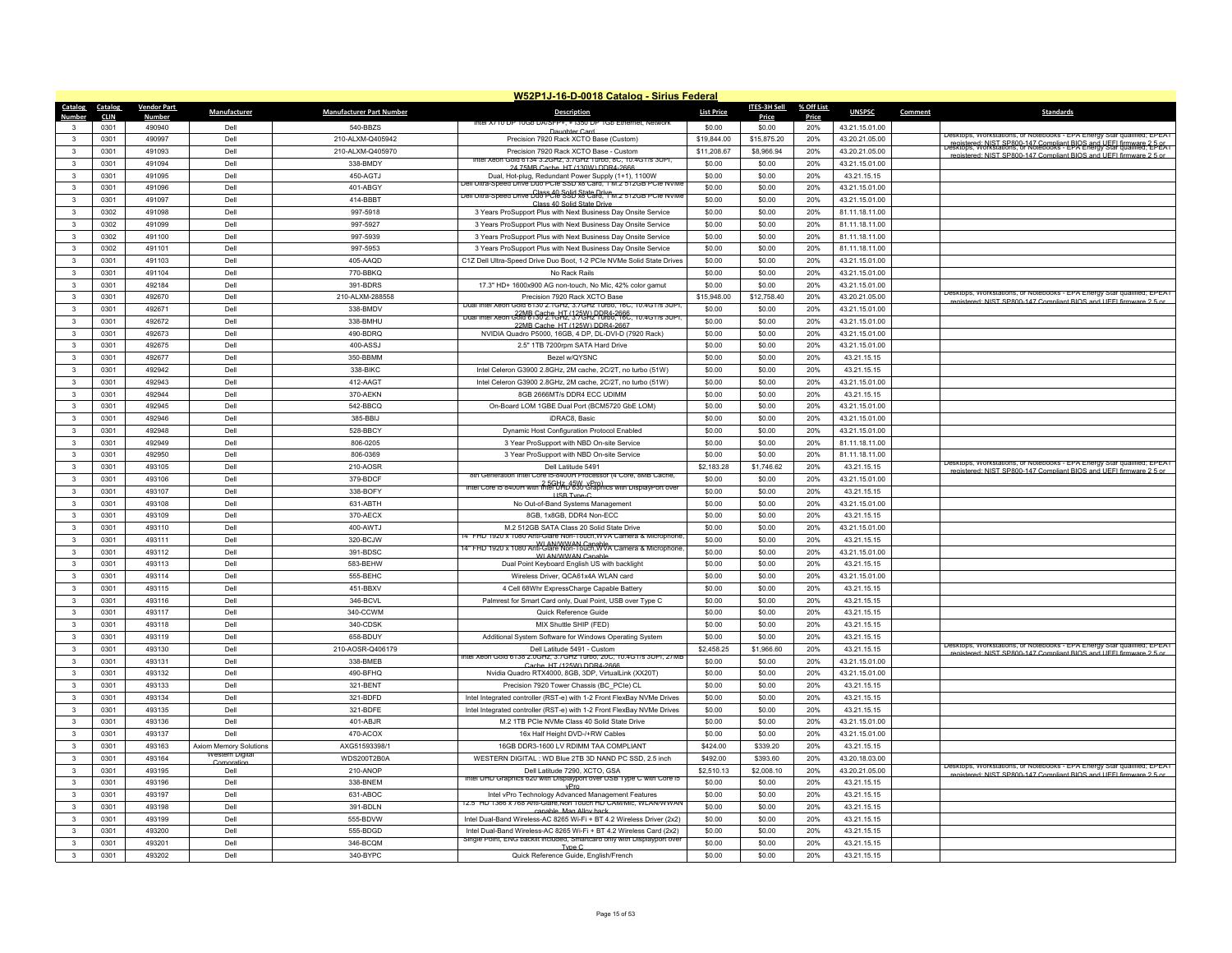|                         | W52P1J-16-D-0018 Catalog - Sirius Federal |                        |                               |                                      |                                                                                                                          |                            |                           |            |                                  |                                                                                                                                               |  |  |
|-------------------------|-------------------------------------------|------------------------|-------------------------------|--------------------------------------|--------------------------------------------------------------------------------------------------------------------------|----------------------------|---------------------------|------------|----------------------------------|-----------------------------------------------------------------------------------------------------------------------------------------------|--|--|
| Catalog                 | Catalog                                   | <b>Vendor Part</b>     | Manufacturer                  | <b>Manufacturer Part Number</b>      | <b>Description</b>                                                                                                       | <b>List Price</b>          | ITES-3H Sell              | % Off List | <b>UNSPSC</b>                    | Comment<br><b>Standards</b>                                                                                                                   |  |  |
| Numhei                  | <b>CLIN</b>                               | <b>Numbe</b><br>490940 |                               | 540-BBZS                             | ιτει χ/ τυ υ                                                                                                             | \$0.00                     | Price                     | Price      |                                  |                                                                                                                                               |  |  |
| $\mathbf{R}$            | 0301<br>0301                              | 490997                 | Dell<br>Dell                  |                                      | Daughter Card                                                                                                            |                            | \$0.00                    | 20%        | 43.21.15.01.00                   | Jesktops, Workstations, or Notebooks - EPA Energy Star qualified; EPEAT                                                                       |  |  |
|                         | 0301                                      | 491093                 | Dell                          | 210-ALXM-Q405942<br>210-ALXM-Q405970 | Precision 7920 Rack XCTO Base (Custom)<br>Precision 7920 Rack XCTO Base - Custom                                         | \$19,844.00<br>\$11,208.67 | \$15,875.20<br>\$8,966.94 | 20%<br>20% | 43.20.21.05.00<br>43.20.21.05.00 | Fenistered: NIST SP800-147 Compliant BIOS and UEEL firmware 2-DEAT<br>Desktops. Workstations, or Notebooks - EPA Energy Star qualified; EDEAT |  |  |
| $\mathbf{3}$            |                                           |                        |                               |                                      | on Gold 6134 3.2GHz, 3.7GHz Turbo, 8C, 10.4GT/s 3UPI                                                                     |                            |                           |            |                                  | registered: NIST SP800-147 Compliant BIOS and UFFI firmware 2.5 or                                                                            |  |  |
| $\mathbf{3}$            | 0301                                      | 491094                 | Dell                          | 338-BMDY                             | 24 75MB Cache, HT (130W) DDR4-2666                                                                                       | \$0.00                     | \$0.00                    | 20%        | 43.21.15.01.00                   |                                                                                                                                               |  |  |
| $\mathbf{3}$            | 0301                                      | 491095                 | Dell                          | 450-AGTJ                             | Dual, Hot-plug, Redundant Power Supply (1+1), 1100W<br>Jeli Ultra-Speed Drive Duo PCIe SSD X8 Card, 1 M.Z 51ZGB PCIE NVM | \$0.00                     | \$0.00                    | 20%        | 43.21.15.15                      |                                                                                                                                               |  |  |
| 3                       | 0301                                      | 491096                 | Dell                          | 401-ABGY                             | Dell Ultra-Speed Drive Duas 49 Seld State Drive<br>Dell Ultra-Speed Drive Duas 49 Card State Drive                       | \$0.00                     | \$0.00                    | 20%        | 43.21.15.01.00                   |                                                                                                                                               |  |  |
| $\mathbf{3}$            | 0301                                      | 491097                 | Dell                          | 414-BBBT                             | Class 40 Solid State Driv                                                                                                | \$0.00                     | \$0.00                    | 20%        | 43.21.15.01.00                   |                                                                                                                                               |  |  |
| $\mathbf{3}$            | 0302                                      | 491098                 | Dell                          | 997-5918                             | 3 Years ProSupport Plus with Next Business Day Onsite Service                                                            | \$0.00                     | \$0.00                    | 20%        | 81.11.18.11.00                   |                                                                                                                                               |  |  |
| 3                       | 0302                                      | 491099                 | Dell                          | 997-5927                             | 3 Years ProSupport Plus with Next Business Day Onsite Service                                                            | \$0.00                     | \$0.00                    | 20%        | 81.11.18.11.00                   |                                                                                                                                               |  |  |
| $\overline{\mathbf{3}}$ | 0302                                      | 491100                 | Dell                          | 997-5939                             | 3 Years ProSupport Plus with Next Business Day Onsite Service                                                            | \$0.00                     | \$0.00                    | 20%        | 81.11.18.11.00                   |                                                                                                                                               |  |  |
| 3                       | 0302                                      | 491101                 | Dell                          | 997-5953                             | 3 Years ProSupport Plus with Next Business Day Onsite Service                                                            | \$0.00                     | \$0.00                    | 20%        | 81.11.18.11.00                   |                                                                                                                                               |  |  |
| 3                       | 0301                                      | 491103                 | Dell                          | 405-AAQD                             | C1Z Dell Ultra-Speed Drive Duo Boot, 1-2 PCIe NVMe Solid State Drives                                                    | \$0.00                     | \$0.00                    | 20%        | 43.21.15.01.00                   |                                                                                                                                               |  |  |
| $\mathbf{A}$            | 0301                                      | 491104                 | Dell                          | 770-BBKQ                             | No Rack Rails                                                                                                            | \$0.00                     | \$0.00                    | 20%        | 43.21.15.01.00                   |                                                                                                                                               |  |  |
| 3                       | 0301                                      | 492184                 | Del                           | 391-BDRS                             | 17.3" HD+ 1600x900 AG non-touch, No Mic, 42% color gamut                                                                 | \$0.00                     | \$0.00                    | 20%        | 43.21.15.01.00                   | Desktops, Workstations, or Notebooks - EPA Energy Star qualified; EPEAT                                                                       |  |  |
| $\mathbf{3}$            | 0301                                      | 492670                 | Dell                          | 210-ALXM-288558                      | Precision 7920 Rack XCTO Base<br>,010 6130 2.1GMZ, 3.7GMZ TUNOO, 16C,                                                    | \$15,948.00                | \$12,758.40               | 20%        | 43.20.21.05.00                   | registered: NIST SP800-147 Compliant BIOS and UFFI firmware 2.5 or                                                                            |  |  |
| $\mathbf{3}$            | 0301                                      | 492671                 | Dell                          | 338-BMDV                             | Dual Intel Xeon Gold 81502.1GHz (325 Yr 2008-2666, 10.4G1/s 3UPT)                                                        | \$0.00                     | \$0.00                    | 20%        | 43.21.15.01.00                   |                                                                                                                                               |  |  |
| 3                       | 0301                                      | 492672                 | Dell                          | 338-BMHL                             | 22MR Cache, HT (125W) DDR4-2667                                                                                          | \$0.00                     | \$0.00                    | 20%        | 43.21.15.01.00                   |                                                                                                                                               |  |  |
| 3                       | 0301                                      | 492673                 | Dell                          | 490-BDRQ                             | NVIDIA Quadro P5000, 16GB, 4 DP, DL-DVI-D (7920 Rack)                                                                    | \$0.00                     | \$0.00                    | 20%        | 43.21.15.01.00                   |                                                                                                                                               |  |  |
| $\mathbf{3}$            | 0301                                      | 492675                 | Dell                          | 400-ASSJ                             | 2.5" 1TB 7200rpm SATA Hard Drive                                                                                         | \$0.00                     | \$0.00                    | 20%        | 43.21.15.01.00                   |                                                                                                                                               |  |  |
| $\mathbf{3}$            | 0301                                      | 492677                 | Dell                          | 350-BBMM                             | Bezel w/QYSNC                                                                                                            | \$0.00                     | \$0.00                    | 20%        | 43.21.15.15                      |                                                                                                                                               |  |  |
| 3                       | 0301                                      | 492942                 | Dell                          | 338-BIKC                             | Intel Celeron G3900 2.8GHz, 2M cache, 2C/2T, no turbo (51W)                                                              | \$0.00                     | \$0.00                    | 20%        | 43.21.15.15                      |                                                                                                                                               |  |  |
| $\mathbf{3}$            | 0301                                      | 492943                 | Dell                          | 412-AAGT                             | Intel Celeron G3900 2.8GHz, 2M cache, 2C/2T, no turbo (51W)                                                              | \$0.00                     | \$0.00                    | 20%        | 43.21.15.01.00                   |                                                                                                                                               |  |  |
| 3                       | 0301                                      | 492944                 | Dell                          | 370-AEKN                             | 8GB 2666MT/s DDR4 ECC UDIMM                                                                                              | \$0.00                     | \$0.00                    | 20%        | 43.21.15.15                      |                                                                                                                                               |  |  |
| 3                       | 0301                                      | 492945                 | Dell                          | 542-BBCQ                             | On-Board LOM 1GBE Dual Port (BCM5720 GbE LOM)                                                                            | \$0.00                     | \$0.00                    | 20%        | 43.21.15.01.00                   |                                                                                                                                               |  |  |
| $\mathbf{R}$            | 0301                                      | 492946                 | Dell                          | 385-BBIJ                             | iDRAC8, Basic                                                                                                            | \$0.00                     | \$0.00                    | 20%        | 43.21.15.01.00                   |                                                                                                                                               |  |  |
| 3                       | 0301                                      | 492948                 | Dell                          | 528-BBCY                             | Dynamic Host Configuration Protocol Enabled                                                                              | \$0.00                     | \$0.00                    | 20%        | 43.21.15.01.00                   |                                                                                                                                               |  |  |
| $\mathbf{3}$            | 0301                                      | 492949                 | Dell                          | 806-0205                             | 3 Year ProSupport with NBD On-site Service                                                                               | \$0.00                     | \$0.00                    | 20%        | 81.11.18.11.00                   |                                                                                                                                               |  |  |
| $\mathbf{3}$            | 0301                                      | 492950                 | Dell                          | 806-0369                             | 3 Year ProSupport with NBD On-site Service                                                                               | \$0.00                     | \$0.00                    | 20%        | 81.11.18.11.00                   |                                                                                                                                               |  |  |
| 3                       | 0301                                      | 493105                 | Dell                          | 210-AOSR                             | Dell Latitude 5491                                                                                                       | \$2.183.28                 | \$1,746.62                | 20%        | 43.21.15.15                      | Desktops, Workstations, or Notebooks - EPA Energy Star qualified; EPEAT<br>registered: NIST SP800-147 Compliant BIOS and UFFI firmware 2.5 or |  |  |
| $\mathbf{3}$            | 0301                                      | 493106                 | Dell                          | 379-BDCF                             | 8th Generation Intel Core i5-8400H Processor (4 Core, 8MB Cache,                                                         | \$0.00                     | \$0.00                    | 20%        | 43.21.15.01.00                   |                                                                                                                                               |  |  |
| $\mathbf{3}$            | 0301                                      | 493107                 | Del                           | 338-BOFY                             | Intel Core is 8400H with Intel UHL 630 Graphics with DisplayPort over<br><b>LISB Type-C</b>                              | \$0.00                     | \$0.00                    | 20%        | 43.21.15.15                      |                                                                                                                                               |  |  |
| 3                       | 0301                                      | 493108                 | Dell                          | 631-ABTH                             | No Out-of-Band Systems Management                                                                                        | \$0.00                     | \$0.00                    | 20%        | 43.21.15.01.00                   |                                                                                                                                               |  |  |
| $\mathbf{3}$            | 0301                                      | 493109                 | Dell                          | 370-AECX                             | 8GB, 1x8GB, DDR4 Non-ECC                                                                                                 | \$0.00                     | \$0.00                    | 20%        | 43.21.15.15                      |                                                                                                                                               |  |  |
| 3                       | 0301                                      | 493110                 | Dell                          | 400-AWTJ                             | M.2 512GB SATA Class 20 Solid State Drive                                                                                | \$0.00                     | \$0.00                    | 20%        | 43.21.15.01.00                   |                                                                                                                                               |  |  |
| 3                       | 0301                                      | 493111                 | Dell                          | 320-BCJW                             | 4" FHD 1920 x 1080 Anti-Glare Non-Touch, WVA Camera & Microphone                                                         | \$0.00                     | \$0.00                    | 20%        | 43.21.15.15                      |                                                                                                                                               |  |  |
| $\mathbf{3}$            | 0301                                      | 493112                 | Dell                          | 391-BDSC                             | I4" FHD 1920 x 1080 Anti-Glare Non-Touch, WVA Camera & Microphone<br>WI AN/WWAN Canable                                  | \$0.00                     | \$0.00                    | 20%        | 43.21.15.01.00                   |                                                                                                                                               |  |  |
| 3                       | 0301                                      | 493113                 | Dell                          | 583-BEHW                             | Dual Point Keyboard English US with backlight                                                                            | \$0.00                     | \$0.00                    | 20%        | 43.21.15.15                      |                                                                                                                                               |  |  |
| 3                       | 0301                                      | 493114                 | Dell                          | 555-BEHC                             | Wireless Driver, QCA61x4A WLAN card                                                                                      | \$0.00                     | \$0.00                    | 20%        | 43.21.15.01.00                   |                                                                                                                                               |  |  |
| $\mathbf{3}$            | 0301                                      | 493115                 | Dell                          | 451-BBXV                             | 4 Cell 68Whr ExpressCharge Capable Battery                                                                               | \$0.00                     | \$0.00                    | 20%        | 43.21.15.15                      |                                                                                                                                               |  |  |
| $\mathbf{3}$            | 0301                                      | 493116                 | Dell                          | 346-BCVL                             | Palmrest for Smart Card only, Dual Point, USB over Type C                                                                | \$0.00                     | \$0.00                    | 20%        | 43.21.15.15                      |                                                                                                                                               |  |  |
| 3                       | 0301                                      | 493117                 | Dell                          | 340-CCWM                             | Quick Reference Guide                                                                                                    | \$0.00                     | \$0.00                    | 20%        | 43.21.15.15                      |                                                                                                                                               |  |  |
| $\mathbf{3}$            | 0301                                      | 493118                 | Dell                          | 340-CDSK                             | MIX Shuttle SHIP (FED)                                                                                                   | \$0.00                     | \$0.00                    | 20%        | 43.21.15.15                      |                                                                                                                                               |  |  |
| $\mathbf{3}$            | 0301                                      | 493119                 | Dell                          | 658-BDUY                             | Additional System Software for Windows Operating System                                                                  | \$0.00                     | \$0.00                    | 20%        | 43.21.15.15                      |                                                                                                                                               |  |  |
| $\mathbf{3}$            | 0301                                      | 493130                 | Dell                          | 210-AOSR-Q406179                     | Dell Latitude 5491 - Custom                                                                                              | \$2,458.25                 | \$1,966.60                | 20%        | 43.21.15.15                      | Desktops, Workstations, or Notebooks - EPA Energy Star qualified; EPEAT<br>registered: NIST SP800-147 Compliant BIOS and UFFI firmware 2.5 or |  |  |
| $\mathbf{R}$            | 0301                                      | 493131                 | Dell                          | 338-BMEB                             | ntel Xeon Gold 6138 2.0GHz, 3.7GHz Turbo, 20C, 10.4GT/s 3UPI, 27MB<br>Cache, HT (125W) DDR4-2666                         | \$0.00                     | \$0.00                    | 20%        | 43.21.15.01.00                   |                                                                                                                                               |  |  |
| $\mathbf{3}$            | 0301                                      | 493132                 | Dell                          | 490-BFHQ                             | Nvidia Quadro RTX4000, 8GB, 3DP, VirtualLink (XX20T)                                                                     | \$0.00                     | \$0.00                    | 20%        | 43.21.15.01.00                   |                                                                                                                                               |  |  |
| 3                       | 0301                                      | 493133                 | Dell                          | 321-BENT                             | Precision 7920 Tower Chassis (BC PCIe) CL                                                                                | \$0.00                     | \$0.00                    | 20%        | 43.21.15.15                      |                                                                                                                                               |  |  |
| $\mathbf{R}$            | 0301                                      | 493134                 | Dell                          | 321-BDFD                             | Intel Integrated controller (RST-e) with 1-2 Front FlexBay NVMe Drives                                                   | \$0.00                     | \$0.00                    | 20%        | 43.21.15.15                      |                                                                                                                                               |  |  |
| 3                       | 0301                                      | 493135                 | Dell                          | 321-BDFE                             | Intel Integrated controller (RST-e) with 1-2 Front FlexBay NVMe Drives                                                   | \$0.00                     | \$0.00                    | 20%        | 43 21 15 15                      |                                                                                                                                               |  |  |
| $\mathbf{3}$            | 0301                                      | 493136                 | Dell                          | 401-ABJR                             | M.2 1TB PCIe NVMe Class 40 Solid State Drive                                                                             | \$0.00                     | \$0.00                    | 20%        | 43.21.15.01.00                   |                                                                                                                                               |  |  |
| $\mathbf{3}$            | 0301                                      | 493137                 | Dell                          | 470-ACOX                             | 16x Half Height DVD-/+RW Cables                                                                                          | \$0.00                     | \$0.00                    | 20%        | 43.21.15.01.00                   |                                                                                                                                               |  |  |
| 3                       | 0301                                      | 493163                 | <b>Axiom Memory Solutions</b> | AXG51593398/1                        | 16GB DDR3-1600 LV RDIMM TAA COMPLIANT                                                                                    | \$424.00                   | \$339.20                  | 20%        | 43.21.15.15                      |                                                                                                                                               |  |  |
| $\mathbf{3}$            | 0301                                      | 493164                 | Western Digital<br>Cornora    | WDS200T2B0A                          | WESTERN DIGITAL : WD Blue 2TB 3D NAND PC SSD, 2.5 inch                                                                   | \$492.00                   | \$393.60                  | 20%        | 43.20.18.03.00                   |                                                                                                                                               |  |  |
| $\mathbf{3}$            | 0301                                      | 493195                 | Del                           | 210-ANOP                             | Dell Latitude 7290, XCTO, GSA                                                                                            | \$2,510.13                 | \$2,008.10                | 20%        | 43.20.21.05.00                   | Desktops, Workstations, or Notebooks - EPA Energy Star qualified; EPEAT<br>registered: NIST SP800-147 Compliant BIOS and UFFI firmware 2.5 or |  |  |
| 3                       | 0301                                      | 493196                 | Dell                          | 338-BNFM                             | Intel UHD Graphics 620 with Displayport over USB Type C with Core ib                                                     | \$0.00                     | \$0.00                    | 20%        | 43.21.15.15                      |                                                                                                                                               |  |  |
| $\overline{\mathbf{3}}$ | 0301                                      | 493197                 | Dell                          | 631-ABOC                             | Intel vPro Technology Advanced Management Features                                                                       | \$0.00                     | \$0.00                    | 20%        | 43.21.15.15                      |                                                                                                                                               |  |  |
| 3                       | 0301                                      | 493198                 | Dell                          | 391-BDLN                             | 12.5" HD 1366 x 768 Anti-Glare.Non_Touch HD CAM/Mic. WLAN/WWAI<br>canable. Mag Alloy hack                                | \$0.00                     | \$0.00                    | 20%        | 43.21.15.15                      |                                                                                                                                               |  |  |
| 3                       | 0301                                      | 493199                 | Dell                          | 555-BDVW                             | Intel Dual-Band Wireless-AC 8265 Wi-Fi + BT 4.2 Wireless Driver (2x2)                                                    | \$0.00                     | \$0.00                    | 20%        | 43.21.15.15                      |                                                                                                                                               |  |  |
| $\mathbf{R}$            | 0301                                      | 493200                 | Dell                          | 555-BDGD                             | Intel Dual-Band Wireless-AC 8265 Wi-Fi + BT 4.2 Wireless Card (2x2)                                                      | \$0.00                     | \$0.00                    | 20%        | 43.21.15.15                      |                                                                                                                                               |  |  |
|                         | 0301                                      | 493201                 | <b>Del</b>                    | 346-BCQM                             | Single Point, ENG backlit included, Smartcard only with Displayport over<br>Tyne C                                       | \$0.00                     | \$0.00                    | 20%        | 43.21.15.15                      |                                                                                                                                               |  |  |
| 3                       | 0301                                      | 493202                 | Dell                          | 340-BYPC                             | Quick Reference Guide, English/French                                                                                    | \$0.00                     | \$0.00                    | 20%        | 43.21.15.15                      |                                                                                                                                               |  |  |
|                         |                                           |                        |                               |                                      |                                                                                                                          |                            |                           |            |                                  |                                                                                                                                               |  |  |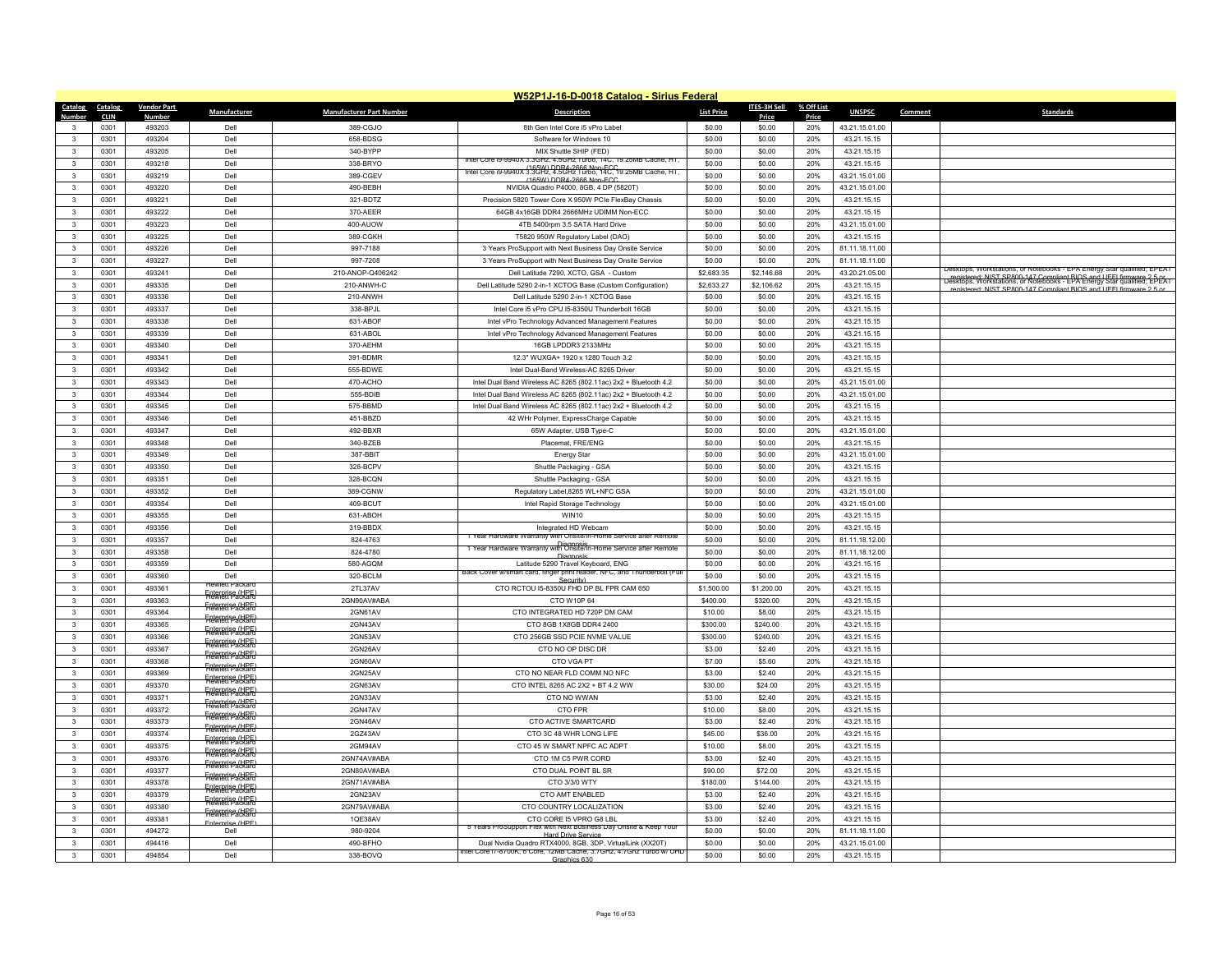|                              | W52P1J-16-D-0018 Catalog - Sirius Federal |                    |                                            |                                 |                                                                                                                                 |                   |                  |            |                               |         |                                                                                                                                                  |  |
|------------------------------|-------------------------------------------|--------------------|--------------------------------------------|---------------------------------|---------------------------------------------------------------------------------------------------------------------------------|-------------------|------------------|------------|-------------------------------|---------|--------------------------------------------------------------------------------------------------------------------------------------------------|--|
| Catalog                      | Catalog                                   | <b>Vendor Part</b> | Manufacturer                               | <b>Manufacturer Part Number</b> | <b>Description</b>                                                                                                              | <b>List Price</b> | ITES-3H Sell     | % Off List | <b>UNSPSC</b>                 | Comment | <b>Standards</b>                                                                                                                                 |  |
| Number                       | <b>CLIN</b>                               | <b>Number</b>      |                                            |                                 |                                                                                                                                 |                   | Price            | Price      |                               |         |                                                                                                                                                  |  |
| $\mathbf{3}$                 | 0301                                      | 493203             | Dell                                       | 389-CGJO                        | 8th Gen Intel Core i5 vPro Label                                                                                                | \$0.00            | \$0.00           | 20%        | 43.21.15.01.00                |         |                                                                                                                                                  |  |
| $\mathbf{3}$                 | 0301                                      | 493204<br>493205   | Dell<br>Dell                               | 658-BDSG<br>340-BYPP            | Software for Windows 10                                                                                                         | \$0.00<br>\$0.00  | \$0.00           | 20%<br>20% | 43.21.15.15                   |         |                                                                                                                                                  |  |
| $\mathbf{3}$                 | 0301                                      |                    |                                            |                                 | MIX Shuttle SHIP (FED)<br>Intel Core (9-9940X 3.3GHz, 4.5GHz Turbo, 14C, 19.25MB Cache, HT,                                     |                   | \$0.00           |            | 43.21.15.15                   |         |                                                                                                                                                  |  |
| $\mathbf{3}$<br>$\mathbf{R}$ | 0301<br>0301                              | 493218<br>493219   | Dell<br>Dell                               | 338-BRYO                        | Intel Core i9-9940X 3.3GHz, 4.5GHz Turbo, 14C, 19.25MB Cache, HT,                                                               | \$0.00            | \$0.00           | 20%<br>20% | 43.21.15.15<br>43.21.15.01.00 |         |                                                                                                                                                  |  |
|                              | 0301                                      | 493220             | Dell                                       | 389-CGEV<br>490-BEBH            | (165W) DDR4-2666 Non-ECC<br>NVIDIA Quadro P4000, 8GB, 4 DP (5820T)                                                              | \$0.00<br>\$0.00  | \$0.00<br>\$0.00 | 20%        | 43.21.15.01.00                |         |                                                                                                                                                  |  |
| 3<br>$\mathbf{3}$            | 0301                                      | 493221             | Dell                                       | 321-BDTZ                        | Precision 5820 Tower Core X 950W PCIe FlexBay Chassis                                                                           | \$0.00            | \$0.00           | 20%        | 43.21.15.15                   |         |                                                                                                                                                  |  |
| $\mathbf{R}$                 | 0301                                      | 493222             | Dell                                       | 370-AEER                        | 64GB 4x16GB DDR4 2666MHz UDIMM Non-ECC                                                                                          | \$0.00            | \$0.00           | 20%        | 43.21.15.15                   |         |                                                                                                                                                  |  |
| 3                            | 0301                                      | 493223             | Dell                                       | 400-AUOW                        | 4TB 5400rpm 3.5 SATA Hard Drive                                                                                                 | \$0.00            | \$0.00           | 20%        | 43.21.15.01.00                |         |                                                                                                                                                  |  |
| $\mathbf{3}$                 | 0301                                      | 493225             | Dell                                       | 389-CGKH                        | T5820 950W Regulatory Label (DAO)                                                                                               | \$0.00            | \$0.00           | 20%        | 43.21.15.15                   |         |                                                                                                                                                  |  |
| $\mathbf{3}$                 | 0301                                      | 493226             | Dell                                       | 997-7188                        | 3 Years ProSupport with Next Business Day Onsite Service                                                                        | \$0.00            | \$0.00           | 20%        | 81.11.18.11.00                |         |                                                                                                                                                  |  |
| 3                            | 0301                                      | 493227             | Dell                                       | 997-7208                        | 3 Years ProSupport with Next Business Day Onsite Service                                                                        | \$0.00            | \$0.00           | 20%        | 81.11.18.11.00                |         |                                                                                                                                                  |  |
| $\mathbf{3}$                 | 0301                                      | 493241             | Dell                                       | 210-ANOP-Q406242                | Dell Latitude 7290, XCTO, GSA - Custom                                                                                          | \$2,683.35        | \$2,146.68       | 20%        | 43.20.21.05.00                |         | Desktops, Workstations, or Notebooks - EPA Energy Star qualified; EPEAT                                                                          |  |
| $\mathbf{3}$                 | 0301                                      | 493335             | Dell                                       | 210-ANWH-C                      | Dell Latitude 5290 2-in-1 XCTOG Base (Custom Configuration)                                                                     | \$2,633.27        | \$2,106.62       | 20%        | 43.21.15.15                   |         | registered: NIST SP800-147 Compliant BIOS and UEEL firmware 2-DeCATE.<br>Desktops, Workstations, or Notebooks - EPA Energy Star qualified; EPEAT |  |
| 3                            | 0301                                      | 493336             | Dell                                       | 210-ANWH                        | Dell Latitude 5290 2-in-1 XCTOG Base                                                                                            | \$0.00            | \$0.00           | 20%        | 43.21.15.15                   |         | registered: NIST SP800-147 Compliant BIOS and UFFI firmware 2.5 or                                                                               |  |
| $\mathbf{3}$                 | 0301                                      | 493337             | Dell                                       | 338-BPJL                        | Intel Core i5 vPro CPU I5-8350U Thunderbolt 16GB                                                                                | \$0.00            | \$0.00           | 20%        | 43.21.15.15                   |         |                                                                                                                                                  |  |
| $\mathbf{3}$                 | 0301                                      | 493338             | Dell                                       | 631-ABOF                        | Intel vPro Technology Advanced Management Features                                                                              | \$0.00            | \$0.00           | 20%        | 43.21.15.15                   |         |                                                                                                                                                  |  |
| 3                            | 0301                                      | 493339             | Dell                                       | 631-ABOL                        | Intel vPro Technology Advanced Management Features                                                                              | \$0.00            | \$0.00           | 20%        | 43.21.15.15                   |         |                                                                                                                                                  |  |
| $\mathbf{3}$                 | 0301                                      | 493340             | Dell                                       | 370-AEHM                        | 16GB LPDDR3 2133MHz                                                                                                             | \$0.00            | \$0.00           | 20%        | 43.21.15.15                   |         |                                                                                                                                                  |  |
| 3                            | 0301                                      | 493341             | Dell                                       | 391-BDMR                        | 12.3" WUXGA+ 1920 x 1280 Touch 3:2                                                                                              | \$0.00            | \$0.00           | 20%        | 43.21.15.15                   |         |                                                                                                                                                  |  |
| $\mathbf{3}$                 | 0301                                      | 493342             | Dell                                       | 555-BDWE                        | Intel Dual-Band Wireless-AC 8265 Driver                                                                                         | \$0.00            | \$0.00           | 20%        | 43.21.15.15                   |         |                                                                                                                                                  |  |
| $\mathbf{3}$                 | 0301                                      | 493343             | Dell                                       | 470-ACHO                        | Intel Dual Band Wireless AC 8265 (802.11ac) 2x2 + Bluetooth 4.2                                                                 | \$0.00            | \$0.00           | 20%        | 43.21.15.01.00                |         |                                                                                                                                                  |  |
| 3                            | 0301                                      | 493344             | Dell                                       | 555-BDIB                        | Intel Dual Band Wireless AC 8265 (802.11ac) 2x2 + Bluetooth 4.2                                                                 | \$0.00            | \$0.00           | 20%        | 43.21.15.01.00                |         |                                                                                                                                                  |  |
| 3                            | 0301                                      | 493345             | Dell                                       | 575-BBMD                        | Intel Dual Band Wireless AC 8265 (802.11ac) 2x2 + Bluetooth 4.2                                                                 | \$0.00            | \$0.00           | 20%        | 43.21.15.15                   |         |                                                                                                                                                  |  |
| $\mathbf{3}$                 | 0301                                      | 493346             | Dell                                       | 451-BBZD                        | 42 WHr Polymer, ExpressCharge Capable                                                                                           | \$0.00            | \$0.00           | 20%        | 43.21.15.15                   |         |                                                                                                                                                  |  |
| 3                            | 0301                                      | 493347             | Dell                                       | 492-BBXR                        | 65W Adapter, USB Type-C                                                                                                         | \$0.00            | \$0.00           | 20%        | 43.21.15.01.00                |         |                                                                                                                                                  |  |
| $\mathbf{3}$                 | 0301                                      | 493348             | Dell                                       | 340-BZEB                        | Placemat, FRE/ENG                                                                                                               | \$0.00            | \$0.00           | 20%        | 43.21.15.15                   |         |                                                                                                                                                  |  |
| $\mathbf{3}$                 | 0301                                      | 493349             | Dell                                       | 387-BBIT                        | <b>Energy Star</b>                                                                                                              | \$0.00            | \$0.00           | 20%        | 43.21.15.01.00                |         |                                                                                                                                                  |  |
| 3                            | 0301                                      | 493350             | Dell                                       | 328-BCPV                        | Shuttle Packaging - GSA                                                                                                         | \$0.00            | \$0.00           | 20%        | 43.21.15.15                   |         |                                                                                                                                                  |  |
| 3                            | 0301                                      | 493351             | Dell                                       | 328-BCQN                        | Shuttle Packaging - GSA                                                                                                         | \$0.00            | \$0.00           | 20%        | 43.21.15.15                   |         |                                                                                                                                                  |  |
| $\mathbf{3}$                 | 0301                                      | 493352             | Dell                                       | 389-CGNW                        | Regulatory Label, 8265 WL+NFC GSA                                                                                               | \$0.00            | \$0.00           | 20%        | 43.21.15.01.00                |         |                                                                                                                                                  |  |
| 3                            | 0301                                      | 493354             | Dell                                       | 409-BCUT                        | Intel Rapid Storage Technology                                                                                                  | \$0.00            | \$0.00           | 20%        | 43.21.15.01.00                |         |                                                                                                                                                  |  |
| $\mathbf{3}$                 | 0301                                      | 493355             | Dell                                       | 631-ABOH                        | <b>WIN10</b>                                                                                                                    | \$0.00            | \$0.00           | 20%        | 43.21.15.15                   |         |                                                                                                                                                  |  |
| $\mathbf{3}$                 | 0301                                      | 493356             | Dell                                       | 319-BBDX                        | Integrated HD Webcam                                                                                                            | \$0.00            | \$0.00           | 20%        | 43.21.15.15                   |         |                                                                                                                                                  |  |
| 3                            | 0301                                      | 493357             | Dell                                       | 824-4763                        | 1 Year Hardware Warranty with Onsite/In-Home Service after Remote                                                               | \$0.00            | \$0.00           | 20%        | 81.11.18.12.00                |         |                                                                                                                                                  |  |
| $\mathbf{3}$                 | 0301                                      | 493358             | Dell                                       | 824-4780                        | 1 Year Hardware Warranty with Onsite/In-Home Service after Remote<br>Diganopic                                                  | \$0.00            | \$0.00           | 20%        | 81.11.18.12.00                |         |                                                                                                                                                  |  |
| $\mathbf{3}$                 | 0301                                      | 493359             | Dell                                       | 580-AGQM                        | Latitude 5290 Travel Keyboard, ENG                                                                                              | \$0.00            | \$0.00           | 20%        | 43.21.15.15                   |         |                                                                                                                                                  |  |
| 3                            | 0301                                      | 493360             | Dell                                       | 320-BCLM                        | Back Cover w/smart card, finger print reader, NFC, and Thunderbolt (Ful<br>Security)                                            | \$0.00            | \$0.00           | 20%        | 43.21.15.15                   |         |                                                                                                                                                  |  |
| $\mathbf{3}$                 | 0301                                      | 493361             | lewlett Packard<br><b>Faterprise (HPF)</b> | 2TL37AV                         | CTO RCTOU I5-8350U FHD DP BL FPR CAM 650                                                                                        | \$1,500.00        | \$1,200.00       | 20%        | 43.21.15.15                   |         |                                                                                                                                                  |  |
| $\overline{\mathbf{3}}$      | 0301                                      | 493363             | <b>Figterieti Packard</b>                  | 2GN90AV#ABA                     | CTO W10P 64                                                                                                                     | \$400.00          | \$320.00         | 20%        | 43.21.15.15                   |         |                                                                                                                                                  |  |
| 3                            | 0301                                      | 493364             | <b>Frewrett Packard</b>                    | 2GN61AV                         | CTO INTEGRATED HD 720P DM CAM                                                                                                   | \$10.00           | \$8.00           | 20%        | 43.21.15.15                   |         |                                                                                                                                                  |  |
| $\mathbf{3}$                 | 0301                                      | 493365             | <b>Fretorett PackaFd</b>                   | 2GN43AV                         | CTO 8GB 1X8GB DDR4 2400                                                                                                         | \$300.00          | \$240.00         | 20%        | 43.21.15.15                   |         |                                                                                                                                                  |  |
| $\mathbf{3}$                 | 0301                                      | 493366             | <b>Faterprise (HPF)</b>                    | 2GN53AV                         | CTO 256GB SSD PCIE NVME VALUE                                                                                                   | \$300.00          | \$240.00         | 20%        | 43.21.15.15                   |         |                                                                                                                                                  |  |
| $\mathbf{3}$                 | 0301                                      | 493367             | Fnterprise (HPF)<br>Flewlett Packard       | 2GN26AV                         | CTO NO OP DISC DR                                                                                                               | \$3.00            | \$2.40           | 20%        | 43.21.15.15                   |         |                                                                                                                                                  |  |
| $\mathbf{3}$                 | 0301                                      | 493368             | <b>Figteriet Packard</b>                   | 2GN60AV                         | CTO VGA PT                                                                                                                      | \$7.00            | \$5.60           | 20%        | 43.21.15.15                   |         |                                                                                                                                                  |  |
| $\mathbf{3}$                 | 0301                                      | 493369             | Frewrett Packard                           | 2GN25AV                         | CTO NO NEAR FLD COMM NO NFC                                                                                                     | \$3.00            | \$2.40           | 20%        | 43.21.15.15                   |         |                                                                                                                                                  |  |
| 3                            | 0301                                      | 493370             | Frewrett Packard                           | 2GN63AV                         | CTO INTEL 8265 AC 2X2 + BT 4.2 WW                                                                                               | \$30.00           | \$24.00          | 20%        | 43.21.15.15                   |         |                                                                                                                                                  |  |
| $\mathbf{3}$                 | 0301                                      | 493371             | Enterprise (HPF                            | 2GN33AV                         | CTO NO WWAN                                                                                                                     | \$3.00            | \$2.40           | 20%        | 43.21.15.15                   |         |                                                                                                                                                  |  |
| $\overline{\mathbf{3}}$      | 0301                                      | 493372             | <b>Faterari se (HPF</b>                    | 2GN47AV                         | CTO FPR                                                                                                                         | \$10.00           | \$8.00           | 20%        | 43.21.15.15                   |         |                                                                                                                                                  |  |
| $\mathbf{3}$                 | 0301                                      | 493373             | <b>Frewrett Packard</b>                    | 2GN46AV                         | CTO ACTIVE SMARTCARD                                                                                                            | \$3.00            | \$2.40           | 20%        | 43.21.15.15                   |         |                                                                                                                                                  |  |
| $\mathbf{3}$                 | 0301                                      | 493374             | <b>Figteriet Packard</b>                   | 2GZ43AV                         | CTO 3C 48 WHR LONG LIFE                                                                                                         | \$45.00           | \$36.00          | 20%        | 43.21.15.15                   |         |                                                                                                                                                  |  |
| $\mathbf{3}$                 | 0301                                      | 493375             | Frewreri Packard                           | 2GM94AV                         | CTO 45 W SMART NPFC AC ADPT                                                                                                     | \$10.00           | \$8.00           | 20%        | 43.21.15.15                   |         |                                                                                                                                                  |  |
| $\mathbf{3}$                 | 0301                                      | 493376             | <b>Faterprise (HPF)</b>                    | 2GN74AV#ABA                     | CTO 1M C5 PWR CORD                                                                                                              | \$3.00            | \$2.40           | 20%        | 43.21.15.15                   |         |                                                                                                                                                  |  |
| $\mathbf{3}$                 | 0301                                      | 493377             | Enterprise (HPE)                           | 2GN80AV#ABA                     | CTO DUAL POINT BL SR                                                                                                            | \$90.00           | \$72.00          | 20%        | 43.21.15.15                   |         |                                                                                                                                                  |  |
| $\mathbf{3}$                 | 0301                                      | 493378             | Frewreri se (HPF)                          | 2GN71AV#ABA                     | CTO 3/3/0 WTY                                                                                                                   | \$180.00          | \$144.00         | 20%        | 43.21.15.15                   |         |                                                                                                                                                  |  |
| $\mathbf{3}$<br>$\mathbf{R}$ | 0301                                      | 493379             | Frewrett Packard                           | 2GN23AV                         | CTO AMT ENABLED                                                                                                                 | \$3.00            | \$2.40           | 20%        | 43.21.15.15                   |         |                                                                                                                                                  |  |
|                              | 0301                                      | 493380             | <b>Fretorett PackaFd</b>                   | 2GN79AV#ABA                     | CTO COUNTRY LOCALIZATION                                                                                                        | \$3.00            | \$2,40           | 20%        | 43.21.15.15                   |         |                                                                                                                                                  |  |
| 3                            | 0301                                      | 493381             | Fnterprise (HPF)                           | 1QE38AV                         | CTO CORE I5 VPRO G8 LBL<br>5 Years ProSupport Flex with Next Business Day Onsite & Keep Your                                    | \$3.00            | \$2,40           | 20%        | 43.21.15.15                   |         |                                                                                                                                                  |  |
| $\mathbf{3}$                 | 0301                                      | 494272             | Dell                                       | 980-9204                        | <b>Hard Drive Service</b>                                                                                                       | \$0.00            | \$0.00           | 20%        | 81.11.18.11.00                |         |                                                                                                                                                  |  |
| 3                            | 0301                                      | 494416<br>494854   | Dell                                       | 490-BFHO                        | Dual Nvidia Quadro RTX4000, 8GB, 3DP, VirtualLink (XX20T)<br>tel Core 17-8700K, 6 Core, 12MB Cache, 3.7GHz, 4.7Ghz Turbo w/ UHI | \$0.00            | \$0.00           | 20%        | 43.21.15.01.00                |         |                                                                                                                                                  |  |
| 3                            | 0301                                      |                    | Dell                                       | 338-BOVQ                        | Graphics 630                                                                                                                    | \$0.00            | \$0.00           | 20%        | 43.21.15.15                   |         |                                                                                                                                                  |  |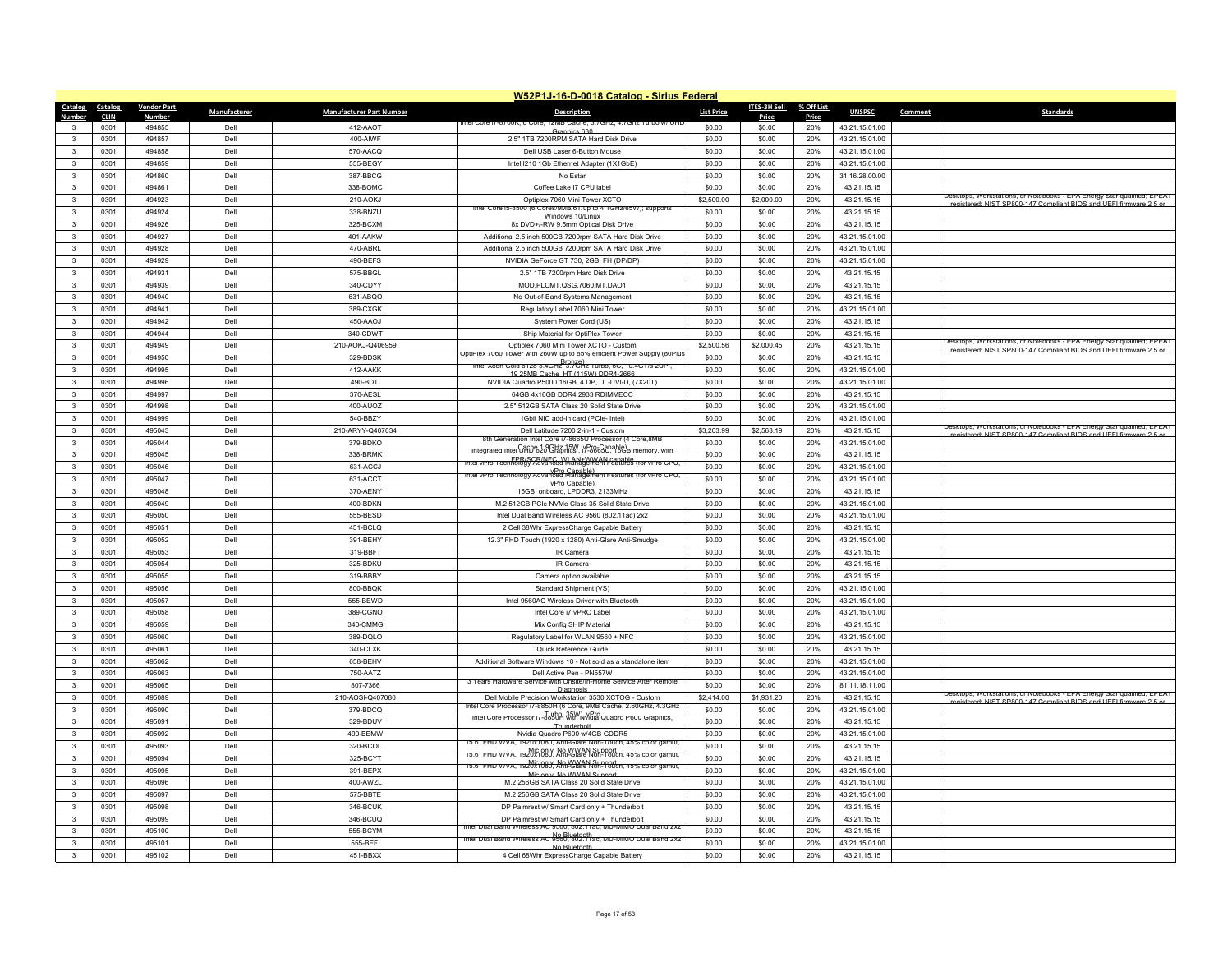|                              |              |                    |              |                                 | W52P1J-16-D-0018 Catalog - Sirius Federal                                                                                            |                   |                  |            |                               |         |                                                                                                                                               |
|------------------------------|--------------|--------------------|--------------|---------------------------------|--------------------------------------------------------------------------------------------------------------------------------------|-------------------|------------------|------------|-------------------------------|---------|-----------------------------------------------------------------------------------------------------------------------------------------------|
| Catalog                      | Catalog      | <b>Vendor Part</b> | Manufacturer | <b>Manufacturer Part Number</b> | Description                                                                                                                          | <b>List Price</b> | ITES-3H Sell     | % Off List | <b>UNSPSC</b>                 | Comment | <b>Standards</b>                                                                                                                              |
| Number                       | <b>CLIN</b>  | <b>Number</b>      |              |                                 | ttel Core 17-8700K, 6 Core, 12MB (                                                                                                   |                   | Price            | Price      |                               |         |                                                                                                                                               |
| $\mathbf{3}$                 | 0301<br>0301 | 494855<br>494857   | Dell<br>Dell | 412-AAOT<br>400-AIWF            | Granhics 630                                                                                                                         | \$0.00<br>\$0.00  | \$0.00<br>\$0.00 | 20%<br>20% | 43.21.15.01.00                |         |                                                                                                                                               |
| $\mathbf{3}$<br>$\mathbf{3}$ |              | 494858             | Del          |                                 | 2.5" 1TB 7200RPM SATA Hard Disk Drive                                                                                                | \$0.00            |                  | 20%        | 43.21.15.01.00                |         |                                                                                                                                               |
|                              | 0301         |                    |              | 570-AACQ                        | Dell USB Laser 6-Button Mouse                                                                                                        |                   | \$0.00           |            | 43.21.15.01.00                |         |                                                                                                                                               |
| $\mathbf{3}$<br>$\mathbf{R}$ | 0301         | 494859<br>494860   | Dell<br>Dell | 555-BEGY                        | Intel I210 1Gb Ethernet Adapter (1X1GbE)                                                                                             | \$0.00<br>\$0.00  | \$0.00           | 20%<br>20% | 43.21.15.01.00                |         |                                                                                                                                               |
|                              | 0301<br>0301 | 494861             | Dell         | 387-BBCG<br>338-BOMC            | No Estar<br>Coffee Lake I7 CPU label                                                                                                 | \$0.00            | \$0.00<br>\$0.00 | 20%        | 31.16.28.00.00<br>43.21.15.15 |         |                                                                                                                                               |
| 3<br>$\mathbf{3}$            | 0301         | 494923             | Dell         | 210-AOKJ                        | Optiplex 7060 Mini Tower XCTO                                                                                                        | \$2,500.00        | \$2,000.00       | 20%        | 43.21.15.15                   |         | Desktops, Workstations, or Notebooks - EPA Energy Star qualified; EPEAT                                                                       |
| $\mathbf{R}$                 | 0301         | 494924             | Dell         | 338-BNZU                        | Intel Core is 8500 (6 Cores/9MB/61/up to 4.1GHz/65W); supports                                                                       | \$0.00            | \$0.00           | 20%        | 43.21.15.15                   |         | registered: NIST SP800-147 Compliant BIOS and HEEL firmware 2.5 or                                                                            |
| 3                            | 0301         | 494926             | Dell         | 325-BCXM                        | Windows 10/Linux<br>8x DVD+/-RW 9.5mm Optical Disk Drive                                                                             | \$0.00            | \$0.00           | 20%        | 43.21.15.15                   |         |                                                                                                                                               |
| $\mathbf{3}$                 | 0301         | 494927             | Dell         | 401-AAKW                        | Additional 2.5 inch 500GB 7200rpm SATA Hard Disk Drive                                                                               | \$0.00            | \$0.00           | 20%        | 43.21.15.01.00                |         |                                                                                                                                               |
| $\mathbf{3}$                 | 0301         | 494928             | Dell         | 470-ABRL                        | Additional 2.5 inch 500GB 7200rpm SATA Hard Disk Drive                                                                               | \$0.00            | \$0.00           | 20%        | 43.21.15.01.00                |         |                                                                                                                                               |
| 3                            | 0301         | 494929             | Dell         | 490-BEFS                        | NVIDIA GeForce GT 730, 2GB, FH (DP/DP)                                                                                               | \$0.00            | \$0.00           | 20%        | 43.21.15.01.00                |         |                                                                                                                                               |
| $\mathbf{3}$                 | 0301         | 494931             | Dell         | 575-BBGL                        | 2.5" 1TB 7200rpm Hard Disk Drive                                                                                                     | \$0.00            | \$0.00           | 20%        | 43.21.15.15                   |         |                                                                                                                                               |
| $\mathbf{3}$                 | 0301         | 494939             | Dell         | 340-CDYY                        | MOD,PLCMT,QSG,7060,MT,DAO1                                                                                                           | \$0.00            | \$0.00           | 20%        | 43.21.15.15                   |         |                                                                                                                                               |
| 3                            | 0301         | 494940             | Dell         | 631-ABQO                        | No Out-of-Band Systems Management                                                                                                    | \$0.00            | \$0.00           | 20%        | 43.21.15.15                   |         |                                                                                                                                               |
| $\mathbf{3}$                 | 0301         | 494941             | Dell         | 389-CXGK                        | Regulatory Label 7060 Mini Tower                                                                                                     | \$0.00            | \$0.00           | 20%        | 43.21.15.01.00                |         |                                                                                                                                               |
| 3                            | 0301         | 494942             | Dell         | 450-AAOJ                        | System Power Cord (US)                                                                                                               | \$0.00            | \$0.00           | 20%        | 43.21.15.15                   |         |                                                                                                                                               |
| 3                            | 0301         | 494944             | Dell         | 340-CDWT                        | Ship Material for OptiPlex Tower                                                                                                     | \$0.00            | \$0.00           | 20%        | 43.21.15.15                   |         |                                                                                                                                               |
| $\mathbf{3}$                 | 0301         | 494949             | Dell         | 210-AOKJ-Q406959                | Optiplex 7060 Mini Tower XCTO - Custom                                                                                               | \$2,500.56        | \$2,000.45       | 20%        | 43.21.15.15                   |         | Jesktops, Workstations, or Notebooks - EPA Energy Star qualified; EPEA I                                                                      |
| 3                            | 0301         | 494950             | Dell         | 329-BDSK                        | JotiPlex 7060 Tower with 260W up to 85% efficient Power Supply (80Plu                                                                | \$0.00            | \$0.00           | 20%        | 43.21.15.15                   |         | registered: NIST SP800-147 Compliant BIOS and UFFI firmware 2.5 or                                                                            |
| $\mathbf{3}$                 | 0301         | 494995             | Dell         | 412-AAKK                        | <u>Rronze) ו-Rronze</u><br>, http://www.nter.xeon.com/soci/terminalsocient/state="http://www.nter.com                                | \$0.00            | \$0.00           | 20%        | 43.21.15.01.00                |         |                                                                                                                                               |
| $\mathbf{3}$                 | 0301         | 494996             | Dell         | 490-BDTI                        | 19.25MR Cache, HT (115W) DDR4-2666<br>NVIDIA Quadro P5000 16GB, 4 DP, DL-DVI-D, (7X20T)                                              | \$0.00            | \$0.00           | 20%        | 43.21.15.01.00                |         |                                                                                                                                               |
| 3                            | 0301         | 494997             | Dell         | 370-AESL                        | 64GB 4x16GB DDR4 2933 RDIMMECC                                                                                                       | \$0.00            | \$0.00           | 20%        | 43.21.15.15                   |         |                                                                                                                                               |
| 3                            | 0301         | 494998             | Dell         | 400-AUOZ                        | 2.5" 512GB SATA Class 20 Solid State Drive                                                                                           | \$0.00            | \$0.00           | 20%        | 43.21.15.01.00                |         |                                                                                                                                               |
| $\mathbf{3}$                 | 0301         | 494999             | Dell         | 540-BBZY                        | 1Gbit NIC add-in card (PCIe- Intel)                                                                                                  | \$0.00            | \$0.00           | 20%        | 43.21.15.01.00                |         |                                                                                                                                               |
| $\mathbf{3}$                 | 0301         | 495043             | Dell         | 210-ARYY-Q407034                | Dell Latitude 7200 2-in-1 - Custom                                                                                                   | \$3,203.99        | \$2,563.19       | 20%        | 43.21.15.15                   |         | Desktops, Workstations, or Notebooks - EPA Energy Star qualified; EPEAT                                                                       |
| $\mathbf{3}$                 | 0301         | 495044             | Dell         | 379-BDKO                        | ration Intel Core 1/-8665U Processor (4 Core.8MB                                                                                     | \$0.00            | \$0.00           | 20%        | 43.21.15.01.00                |         | egistered: NIST SP800-147 Compliant BIOS and UEEL firmware 2.5 o                                                                              |
| $\mathbf{3}$                 | 0301         | 495045             | Dell         | 338-BRMK                        | ntegrated Intel <del>CAO 620 GHz 15W, vPro Canable)</del><br>htegrated Intel CAO 620 GHzphics , i <i>f-8</i> 6650, 16GB memory, with | \$0.00            | \$0.00           | 20%        | 43.21.15.15                   |         |                                                                                                                                               |
| $\mathbf{3}$                 | 0301         | 495046             | Dell         | 631-ACCJ                        | FPR/SCR/NEC_WLAN+WWAN.canable<br>Intel vPro Technology Advanced Management Features (for vPro CPU)                                   | \$0.00            | \$0.00           | 20%        | 43.21.15.01.00                |         |                                                                                                                                               |
| 3                            | 0301         | 495047             | Dell         | 631-ACCT                        | Intel vPro Technology Advanced Management Features (for vPro CPU,                                                                    | \$0.00            | \$0.00           | 20%        | 43.21.15.01.00                |         |                                                                                                                                               |
| $\mathbf{3}$                 | 0301         | 495048             | Dell         | 370-AENY                        | vPro Canable)<br>16GB, onboard, LPDDR3, 2133MHz                                                                                      | \$0.00            | \$0.00           | 20%        | 43.21.15.15                   |         |                                                                                                                                               |
| $\mathbf{3}$                 | 0301         | 495049             | Dell         | 400-BDKN                        | M.2 512GB PCIe NVMe Class 35 Solid State Drive                                                                                       | \$0.00            | \$0.00           | 20%        | 43.21.15.01.00                |         |                                                                                                                                               |
| $\mathbf{3}$                 | 0301         | 495050             | Dell         | 555-BESD                        | Intel Dual Band Wireless AC 9560 (802.11ac) 2x2                                                                                      | \$0.00            | \$0.00           | 20%        | 43.21.15.01.00                |         |                                                                                                                                               |
| $\mathbf{3}$                 | 0301         | 495051             | Dell         | 451-BCLQ                        | 2 Cell 38Whr ExpressCharge Capable Battery                                                                                           | \$0.00            | \$0.00           | 20%        | 43.21.15.15                   |         |                                                                                                                                               |
| 3                            | 0301         | 495052             | Dell         | 391-BEHY                        | 12.3" FHD Touch (1920 x 1280) Anti-Glare Anti-Smudge                                                                                 | \$0.00            | \$0.00           | 20%        | 43.21.15.01.00                |         |                                                                                                                                               |
| $\mathbf{3}$                 | 0301         | 495053             | Dell         | 319-BBFT                        | IR Camera                                                                                                                            | \$0.00            | \$0.00           | 20%        | 43.21.15.15                   |         |                                                                                                                                               |
| $\mathbf{3}$                 | 0301         | 495054             | Dell         | 325-BDKU                        | IR Camera                                                                                                                            | \$0.00            | \$0.00           | 20%        | 43.21.15.15                   |         |                                                                                                                                               |
| 3                            | 0301         | 495055             | Dell         | 319-BBBY                        | Camera option available                                                                                                              | \$0.00            | \$0.00           | 20%        | 43.21.15.15                   |         |                                                                                                                                               |
| $\mathbf{3}$                 | 0301         | 495056             | Dell         | 800-BBQK                        | Standard Shipment (VS)                                                                                                               | \$0.00            | \$0.00           | 20%        | 43.21.15.01.00                |         |                                                                                                                                               |
| 3                            | 0301         | 495057             | Dell         | 555-BEWD                        | Intel 9560AC Wireless Driver with Bluetooth                                                                                          | \$0.00            | \$0.00           | 20%        | 43.21.15.01.00                |         |                                                                                                                                               |
| 3                            | 0301         | 495058             | Dell         | 389-CGNO                        | Intel Core i7 vPRO Labe                                                                                                              | \$0.00            | \$0.00           | 20%        | 43.21.15.01.00                |         |                                                                                                                                               |
| $\mathbf{3}$                 | 0301         | 495059             | Dell         | 340-CMMG                        | Mix Config SHIP Material                                                                                                             | \$0.00            | \$0.00           | 20%        | 43.21.15.15                   |         |                                                                                                                                               |
| $\mathbf{3}$                 | 0301         | 495060             | Dell         | 389-DQLO                        | Regulatory Label for WLAN 9560 + NFC                                                                                                 | \$0.00            | \$0.00           | 20%        | 43.21.15.01.00                |         |                                                                                                                                               |
| $\mathbf{3}$                 | 0301         | 495061             | Dell         | 340-CLXK                        | Quick Reference Guide                                                                                                                | \$0.00            | \$0.00           | 20%        | 43.21.15.15                   |         |                                                                                                                                               |
| $\mathbf{3}$                 | 0301         | 495062             | Dell         | 658-BEHV                        | Additional Software Windows 10 - Not sold as a standalone item                                                                       | \$0.00            | \$0.00           | 20%        | 43.21.15.01.00                |         |                                                                                                                                               |
| $\mathbf{3}$                 | 0301         | 495063             | Dell         | 750-AATZ                        | Dell Active Pen - PN557W                                                                                                             | \$0.00            | \$0.00           | 20%        | 43.21.15.01.00                |         |                                                                                                                                               |
| 3                            | 0301         | 495065             | Dell         | 807-7366                        | 3 Years Hardware Service with Onsite/In-Home Service After Remote<br>Diagnosis                                                       | \$0.00            | \$0.00           | 20%        | 81.11.18.11.00                |         |                                                                                                                                               |
| $\mathbf{3}$                 | 0301         | 495089             | Dell         | 210-AOSI-Q407080                | Dell Mobile Precision Workstation 3530 XCTOG - Custom                                                                                | \$2,414.00        | \$1,931.20       | 20%        | 43.21.15.15                   |         | Jesktops, Workstations, or Notebooks - EPA Energy Star qualified; EPEAT<br>registered: NIST SP800-147 Compliant BIOS and UFFI firmware 2.5 or |
| $\mathbf{3}$                 | 0301         | 495090             | Dell         | 379-BDCQ                        | Intel Core Processor I/-8850H (6 Core, 9MB Cache, 2.60GHz, 4.3GHz                                                                    | \$0.00            | \$0.00           | 20%        | 43.21.15.01.00                |         |                                                                                                                                               |
| $\mathbf{3}$                 | 0301         | 495091             | Dell         | 329-BDUV                        | Turbo, 35W), yPro.<br>Intel Core Processor i/-8850H with Nyidia Quadro P600 Graphics,<br>Thunderbolt                                 | \$0.00            | \$0.00           | 20%        | 43.21.15.15                   |         |                                                                                                                                               |
| $\mathbf{R}$                 | 0301         | 495092             | Dell         | 490-BEMW                        | Nvidia Quadro P600 w/4GB GDDR5                                                                                                       | \$0.00            | \$0.00           | 20%        | 43.21.15.01.00                |         |                                                                                                                                               |
| $\mathbf{3}$                 | 0301         | 495093             | Dell         | 320-BCOL                        | 15.6" FHD WVA, 1920x1080, Anti-Glare Non-Touch, 45% color gamut                                                                      | \$0.00            | \$0.00           | 20%        | 43.21.15.15                   |         |                                                                                                                                               |
| $\mathbf{3}$                 | 0301         | 495094             | Dell         | 325-BCYT                        | 15.6" FHD WVA, 1920 508 Anti-Glare Non-Touch, 45% color gamut,                                                                       | \$0.00            | \$0.00           | 20%        | 43.21.15.15                   |         |                                                                                                                                               |
| $\mathbf{3}$                 | 0301         | 495095             | Dell         | 391-BEPX                        | 15.6" FHD WVA, 1920 41080, Anti-Glare Non-Touch, 45% color gamut,<br>Mic only No WWAN Support                                        | \$0.00            | \$0.00           | 20%        | 43.21.15.01.00                |         |                                                                                                                                               |
| $\mathbf{3}$                 | 0301         | 495096             | Dell         | 400-AWZL                        | M.2 256GB SATA Class 20 Solid State Drive                                                                                            | \$0.00            | \$0.00           | 20%        | 43.21.15.01.00                |         |                                                                                                                                               |
| $\mathbf{3}$                 | 0301         | 495097             | Dell         | 575-BBTE                        | M.2 256GB SATA Class 20 Solid State Drive                                                                                            | \$0.00            | \$0.00           | 20%        | 43.21.15.01.00                |         |                                                                                                                                               |
| $\mathbf{R}$                 | 0301         | 495098             | Dell         | 346-BCUK                        | DP Palmrest w/ Smart Card only + Thunderbolt                                                                                         | \$0.00            | \$0.00           | 20%        | 43.21.15.15                   |         |                                                                                                                                               |
| 3                            | 0301         | 495099             | Dell         | 346-BCUQ                        | DP Palmrest w/ Smart Card only + Thunderbolt                                                                                         | \$0.00            | \$0.00           | 20%        | 43.21.15.15                   |         |                                                                                                                                               |
| $\mathbf{3}$                 | 0301         | 495100             | Dell         | 555-BCYM                        | Intel Dual Band Wireless AC 9560, 802.11ac, MU-MIMO Dual Band 2x2                                                                    | \$0.00            | \$0.00           | 20%        | 43.21.15.15                   |         |                                                                                                                                               |
| 3                            | 0301         | 495101             | Dell         | 555-BEFI                        | Intel Dual Band Wireless AC 9560, 802.11ac, MU-MIMO Dual Band 2x2<br>No Bluetooth                                                    | \$0.00            | \$0.00           | 20%        | 43.21.15.01.00                |         |                                                                                                                                               |
| $\mathbf{R}$                 | 0301         | 495102             | Dell         | 451-BBXX                        | 4 Cell 68Whr ExpressCharge Capable Battery                                                                                           | \$0.00            | \$0.00           | 20%        | 43.21.15.15                   |         |                                                                                                                                               |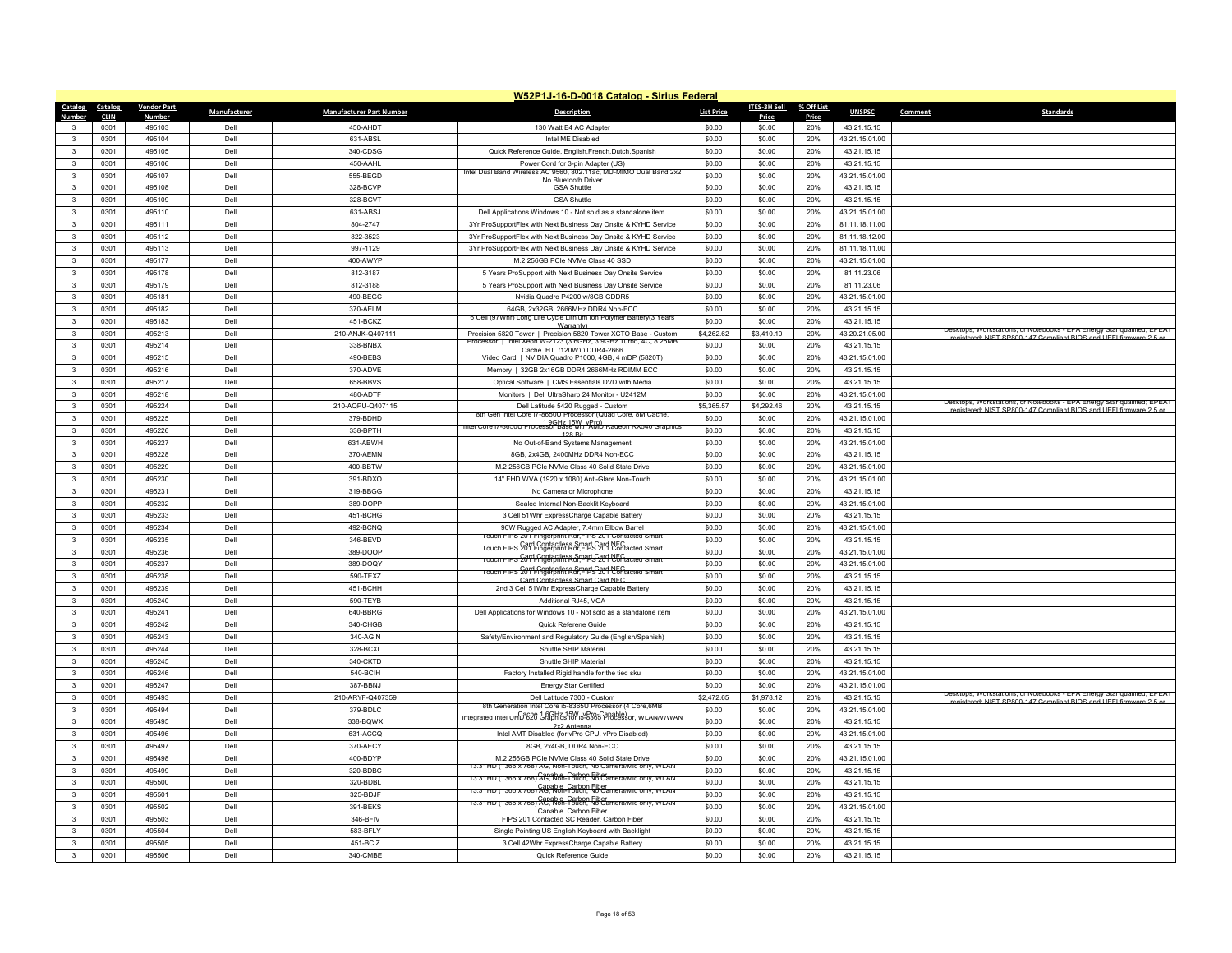|                              | W52P1J-16-D-0018 Catalog - Sirius Federal |                         |              |                                 |                                                                                                                                         |                   |                  |              |                                  |         |                                                                                                                                               |  |
|------------------------------|-------------------------------------------|-------------------------|--------------|---------------------------------|-----------------------------------------------------------------------------------------------------------------------------------------|-------------------|------------------|--------------|----------------------------------|---------|-----------------------------------------------------------------------------------------------------------------------------------------------|--|
| Catalog                      | Catalog                                   | <b>Vendor Part</b>      | Manufacturer | <b>Manufacturer Part Number</b> | <b>Description</b>                                                                                                                      | <b>List Price</b> | ITES-3H Sell     | % Off List   | <b>UNSPSC</b>                    | Comment | <b>Standards</b>                                                                                                                              |  |
| Number<br>3                  | <b>CLIN</b><br>0301                       | <b>Number</b><br>495103 | Dell         | 450-AHDT                        | 130 Watt E4 AC Adapter                                                                                                                  | \$0.00            | Price<br>\$0.00  | Price<br>20% | 43.21.15.15                      |         |                                                                                                                                               |  |
| $\mathbf{3}$                 | 0301                                      | 495104                  | Dell         | 631-ABSI                        | Intel MF Disabled                                                                                                                       | \$0.00            | \$0.00           | 20%          | 43.21.15.01.00                   |         |                                                                                                                                               |  |
| $\mathbf{3}$                 | 0301                                      | 495105                  | Dell         | 340-CDSG                        | Quick Reference Guide, English, French, Dutch, Spanish                                                                                  | \$0.00            | \$0.00           | 20%          | 43.21.15.15                      |         |                                                                                                                                               |  |
|                              |                                           |                         |              |                                 |                                                                                                                                         |                   |                  |              |                                  |         |                                                                                                                                               |  |
| $\mathbf{3}$<br>$\mathbf{3}$ | 0301<br>0301                              | 495106                  | Dell<br>Dell | 450-AAHL                        | Power Cord for 3-pin Adapter (US)<br>Intel Dual Band Wireless AC 9560, 802.11ac, MU-MIMO Dual Band 2x2                                  | \$0.00            | \$0.00           | 20%<br>20%   | 43.21.15.15                      |         |                                                                                                                                               |  |
|                              | 0301                                      | 495107<br>495108        | Dell         | 555-BEGD<br>328-BCVP            | No Bluetooth Drive                                                                                                                      | \$0.00<br>\$0.00  | \$0.00<br>\$0.00 | 20%          | 43.21.15.01.00<br>43.21.15.15    |         |                                                                                                                                               |  |
| 3<br>3                       |                                           |                         |              |                                 | <b>GSA Shuttle</b>                                                                                                                      |                   |                  |              |                                  |         |                                                                                                                                               |  |
| $\mathbf{R}$                 | 0301<br>0301                              | 495109<br>495110        | Dell<br>Dell | 328-BCVT<br>631-ABSJ            | <b>GSA Shuttle</b>                                                                                                                      | \$0.00<br>\$0.00  | \$0.00           | 20%<br>20%   | 43.21.15.15                      |         |                                                                                                                                               |  |
|                              | 0301                                      | 495111                  | Dell         | 804-2747                        | Dell Applications Windows 10 - Not sold as a standalone item.                                                                           | \$0.00            | \$0.00<br>\$0.00 | 20%          | 43.21.15.01.00<br>81.11.18.11.00 |         |                                                                                                                                               |  |
| 3<br>$\mathbf{3}$            |                                           |                         | Dell         |                                 | 3Yr ProSupportFlex with Next Business Day Onsite & KYHD Service                                                                         |                   |                  |              |                                  |         |                                                                                                                                               |  |
|                              | 0301                                      | 495112                  |              | 822-3523                        | 3Yr ProSupportFlex with Next Business Day Onsite & KYHD Service                                                                         | \$0.00            | \$0.00           | 20%          | 81.11.18.12.00                   |         |                                                                                                                                               |  |
| $\mathbf{3}$                 | 0301<br>0301                              | 495113<br>495177        | Dell<br>Dell | 997-1129<br>400-AWYP            | 3Yr ProSupportFlex with Next Business Day Onsite & KYHD Service<br>M.2 256GB PCIe NVMe Class 40 SSD                                     | \$0.00<br>\$0.00  | \$0.00<br>\$0.00 | 20%<br>20%   | 81.11.18.11.00<br>43.21.15.01.00 |         |                                                                                                                                               |  |
| 3<br>$\mathbf{3}$            |                                           |                         | Dell         |                                 |                                                                                                                                         |                   |                  |              |                                  |         |                                                                                                                                               |  |
|                              | 0301                                      | 495178                  |              | 812-3187                        | 5 Years ProSupport with Next Business Day Onsite Service                                                                                | \$0.00            | \$0.00           | 20%          | 81.11.23.06                      |         |                                                                                                                                               |  |
| $\mathbf{3}$                 | 0301                                      | 495179                  | Dell         | 812-3188                        | 5 Years ProSupport with Next Business Day Onsite Service                                                                                | \$0.00            | \$0.00           | 20%          | 81.11.23.06                      |         |                                                                                                                                               |  |
| 3                            | 0301                                      | 495181                  | Dell         | 490-BEGC                        | Nvidia Quadro P4200 w/8GB GDDR5                                                                                                         | \$0.00            | \$0.00           | 20%          | 43.21.15.01.00                   |         |                                                                                                                                               |  |
| $\mathbf{3}$                 | 0301                                      | 495182                  | Dell         | 370-AELM                        | 64GB, 2x32GB, 2666MHz DDR4 Non-ECC<br>6 Cell (97Whr) Long Life Cycle Lithium Ion Polymer Battery(3 Years                                | \$0.00            | \$0.00           | 20%          | 43.21.15.15                      |         |                                                                                                                                               |  |
| 3                            | 0301                                      | 495183                  | Dell         | 451-BCKZ                        | Warranty)                                                                                                                               | \$0.00            | \$0.00           | 20%          | 43.21.15.15                      |         | Desktops, Workstations, or Notebooks - EPA Energy Star qualified; EPEAT                                                                       |  |
| 3                            | 0301                                      | 495213                  | Dell         | 210-ANJK-Q407111                | Precision 5820 Tower   Precision 5820 Tower XCTO Base - Custom<br>Processor   Intel Xeon W-2123 (3.6GHz, 3.9GHz Turbo, 4C, 8.25MB       | \$4,262.62        | \$3,410.10       | 20%          | 43.20.21.05.00                   |         | egistered: NIST SP800-147 Compliant BIOS and UFFI firmware 2.5 or                                                                             |  |
| $\mathbf{3}$                 | 0301                                      | 495214                  | Dell         | 338-BNBX                        | Cache HT (120W) ) DDR4-266                                                                                                              | \$0.00            | \$0.00           | 20%          | 43.21.15.15                      |         |                                                                                                                                               |  |
| 3                            | 0301                                      | 495215                  | Dell         | 490-BEBS                        | Video Card   NVIDIA Quadro P1000, 4GB, 4 mDP (5820T)                                                                                    | \$0.00            | \$0.00           | 20%          | 43.21.15.01.00                   |         |                                                                                                                                               |  |
| 3                            | 0301                                      | 495216                  | Dell         | 370-ADVE                        | Memory   32GB 2x16GB DDR4 2666MHz RDIMM ECC                                                                                             | \$0.00            | \$0.00           | 20%          | 43.21.15.15                      |         |                                                                                                                                               |  |
| $\mathbf{3}$                 | 0301                                      | 495217                  | Dell         | 658-BBVS                        | Optical Software   CMS Essentials DVD with Media                                                                                        | \$0.00            | \$0.00           | 20%          | 43.21.15.15                      |         |                                                                                                                                               |  |
| 3                            | 0301                                      | 495218                  | Dell         | 480-ADTF                        | Monitors   Dell UltraSharp 24 Monitor - U2412M                                                                                          | \$0.00            | \$0.00           | 20%          | 43.21.15.01.00                   |         | Desktops, Workstations, or Notebooks - EPA Energy Star qualified; EPEAT                                                                       |  |
| $\mathbf{3}$                 | 0301                                      | 495224                  | Dell         | 210-AQPU-Q407115                | Dell Latitude 5420 Rugged - Custom                                                                                                      | \$5,365.57        | \$4,292.46       | 20%          | 43.21.15.15                      |         | registered: NIST SP800-147 Compliant BIOS and UFFI firmware 2.5 or                                                                            |  |
| $\mathbf{3}$                 | 0301                                      | 495225                  | Dell         | 379-BDHD                        | 8th Gen Intel Core I/-8650U Processor (Quad Core, 8M Cache<br>Intel Core 17-8650U Processor Base with AMD Radeon RX540 Graphics         | \$0.00            | \$0.00           | 20%          | 43.21.15.01.00                   |         |                                                                                                                                               |  |
| 3                            | 0301                                      | 495226                  | Dell         | 338-BPTH                        | 128 Rit                                                                                                                                 | \$0.00            | \$0.00           | 20%          | 43.21.15.15                      |         |                                                                                                                                               |  |
| $\mathbf{3}$                 | 0301                                      | 495227                  | Dell         | 631-ABWH                        | No Out-of-Band Systems Management                                                                                                       | \$0.00            | \$0.00           | 20%          | 43.21.15.01.00                   |         |                                                                                                                                               |  |
| $\mathbf{3}$                 | 0301                                      | 495228                  | Dell         | 370-AEMN                        | 8GB, 2x4GB, 2400MHz DDR4 Non-ECC                                                                                                        | \$0.00            | \$0.00           | 20%          | 43.21.15.15                      |         |                                                                                                                                               |  |
| $\mathbf{3}$                 | 0301                                      | 495229                  | Dell         | 400-BBTW                        | M.2 256GB PCIe NVMe Class 40 Solid State Drive                                                                                          | \$0.00            | \$0.00           | 20%          | 43.21.15.01.00                   |         |                                                                                                                                               |  |
| 3                            | 0301                                      | 495230                  | Dell         | 391-BDXO                        | 14" FHD WVA (1920 x 1080) Anti-Glare Non-Touch                                                                                          | \$0.00            | \$0.00           | 20%          | 43.21.15.01.00                   |         |                                                                                                                                               |  |
| 3                            | 0301                                      | 495231                  | Del          | 319-BBGG                        | No Camera or Microphone                                                                                                                 | \$0.00            | \$0.00           | 20%          | 43.21.15.15                      |         |                                                                                                                                               |  |
| 3                            | 0301                                      | 495232                  | Dell         | 389-DOPP                        | Sealed Internal Non-Backlit Keyboard                                                                                                    | \$0.00            | \$0.00           | 20%          | 43.21.15.01.00                   |         |                                                                                                                                               |  |
| $\mathbf{3}$                 | 0301                                      | 495233                  | Dell         | 451-BCHG                        | 3 Cell 51Whr ExpressCharge Capable Battery                                                                                              | \$0.00            | \$0.00           | 20%          | 43.21.15.15                      |         |                                                                                                                                               |  |
| $\mathbf{3}$                 | 0301                                      | 495234                  | Dell         | 492-BCNQ                        | 90W Rugged AC Adapter, 7.4mm Elbow Barrel                                                                                               | \$0.00            | \$0.00           | 20%          | 43.21.15.01.00                   |         |                                                                                                                                               |  |
| 3                            | 0301                                      | 495235                  | Dell         | 346-BFVD                        | ouch FIPS 201 Fingerprint Rdr, FIPS 201 Contacted Smar                                                                                  | \$0.00            | \$0.00           | 20%          | 43.21.15.15                      |         |                                                                                                                                               |  |
| $\mathbf{3}$                 | 0301                                      | 495236                  | Dell         | 389-DOOP                        | rouch FIPS 2011 Contactless Smart C201 NEC.<br>Touch FIPS 2011 Finaerbrint Rdr. F1PS 201 Contacted Smart                                | \$0.00            | \$0.00           | 20%          | 43.21.15.01.00                   |         |                                                                                                                                               |  |
| 3                            | 0301                                      | 495237                  | Dell         | 389-DOQY                        | rouch FIPS 2011 Contactless Smart C201 만등C<br>Touch FIPS 2011 Engerprint Rar, FIPS 201 만등Chtacted Smart                                 | \$0.00            | \$0.00           | 20%          | 43.21.15.01.00                   |         |                                                                                                                                               |  |
| 3                            | 0301                                      | 495238                  | Dell         | 590-TFX7                        | ouch FIPS 2011 Contactless Smart C201 NEC.<br>Iouch FIPS 2011 Ingerprint Rdr.FIPS 201 Contacted Smar<br>Card Contactless Smart Card NFC | \$0.00            | \$0.00           | 20%          | 43.21.15.15                      |         |                                                                                                                                               |  |
| $\mathbf{3}$                 | 0301                                      | 495239                  | Dell         | 451-BCHH                        | 2nd 3 Cell 51Whr ExpressCharge Capable Battery                                                                                          | \$0.00            | \$0.00           | 20%          | 43.21.15.15                      |         |                                                                                                                                               |  |
| 3                            | 0301                                      | 495240                  | Dell         | 590-TEYB                        | Additional RJ45, VGA                                                                                                                    | \$0.00            | \$0.00           | 20%          | 43.21.15.15                      |         |                                                                                                                                               |  |
| 3                            | 0301                                      | 495241                  | Dell         | 640-BBRG                        | Dell Applications for Windows 10 - Not sold as a standalone item                                                                        | \$0.00            | \$0.00           | 20%          | 43.21.15.01.00                   |         |                                                                                                                                               |  |
| $\mathbf{3}$                 | 0301                                      | 495242                  | Dell         | 340-CHGB                        | Quick Referene Guide                                                                                                                    | \$0.00            | \$0.00           | 20%          | 43.21.15.15                      |         |                                                                                                                                               |  |
| 3                            | 0301                                      | 495243                  | Dell         | 340-AGIN                        | Safety/Environment and Regulatory Guide (English/Spanish)                                                                               | \$0.00            | \$0.00           | 20%          | 43.21.15.15                      |         |                                                                                                                                               |  |
| 3                            | 0301                                      | 495244                  | Dell         | 328-BCXL                        | Shuttle SHIP Material                                                                                                                   | \$0.00            | \$0.00           | 20%          | 43.21.15.15                      |         |                                                                                                                                               |  |
| $\mathbf{3}$                 | 0301                                      | 495245                  | Dell         | 340-CKTD                        | Shuttle SHIP Material                                                                                                                   | \$0.00            | \$0.00           | 20%          | 43.21.15.15                      |         |                                                                                                                                               |  |
| $\mathbf{3}$                 | 0301                                      | 495246                  | Dell         | 540-BCIH                        | Factory Installed Rigid handle for the tied sku                                                                                         | \$0.00            | \$0.00           | 20%          | 43.21.15.01.00                   |         |                                                                                                                                               |  |
| 3                            | 0301                                      | 495247                  | Dell         | 387-BBNJ                        | <b>Energy Star Certified</b>                                                                                                            | \$0.00            | \$0.00           | 20%          | 43.21.15.01.00                   |         |                                                                                                                                               |  |
| $\mathbf{3}$                 | 0301                                      | 495493                  | Dell         | 210-ARYF-Q407359                | Dell Latitude 7300 - Custom                                                                                                             | \$2,472.65        | \$1,978.12       | 20%          | 43.21.15.15                      |         | Desktops, Workstations, or Notebooks - EPA Energy Star qualified; EPEAT<br>registered: NIST SP800-147 Compliant BIOS and UFFI firmware 2.5 or |  |
| $\mathbf{3}$                 | 0301                                      | 495494                  | Dell         | 379-BDLC                        | 8th Generation Intel Core in-8365U Processor (4 Core 6MB)                                                                               | \$0.00            | \$0.00           | 20%          | 43.21.15.01.00                   |         |                                                                                                                                               |  |
| $\mathbf{3}$                 | 0301                                      | 495495                  | Dell         | 338-BQWX                        | Integrated Intel UHD 620 Graphics for ib-8365 Processor, WLAN/WWAN<br>2x2 Antenn:                                                       | \$0.00            | \$0.00           | 20%          | 43.21.15.15                      |         |                                                                                                                                               |  |
| $\mathbf{3}$                 | 0301                                      | 495496                  | Dell         | 631-ACCQ                        | Intel AMT Disabled (for vPro CPU, vPro Disabled)                                                                                        | \$0.00            | \$0.00           | 20%          | 43.21.15.01.00                   |         |                                                                                                                                               |  |
| $\mathbf{3}$                 | 0301                                      | 495497                  | Dell         | 370-AECY                        | 8GB, 2x4GB, DDR4 Non-ECC                                                                                                                | \$0.00            | \$0.00           | 20%          | 43.21.15.15                      |         |                                                                                                                                               |  |
| $\mathbf{3}$                 | 0301                                      | 495498                  | Dell         | 400-BDYP                        | M.2 256GB PCIe NVMe Class 40 Solid State Drive                                                                                          | \$0.00            | \$0.00           | 20%          | 43.21.15.01.00                   |         |                                                                                                                                               |  |
| $\mathbf{3}$                 | 0301                                      | 495499                  | Dell         | 320-BDBC                        | 13.3" HD (1366 x /68) AG, Non-Touch, No Camera/Mic only, WLAN                                                                           | \$0.00            | \$0.00           | 20%          | 43.21.15.15                      |         |                                                                                                                                               |  |
| 3                            | 0301                                      | 495500                  | Dell         | 320-BDBL                        | Capable, Carbon Fiber<br>13.3" HD (1366 x 768) AG, Non-Touch, No Camera/Mic only, WLAN                                                  | \$0.00            | \$0.00           | 20%          | 43.21.15.15                      |         |                                                                                                                                               |  |
| $\mathbf{3}$                 | 0301                                      | 495501                  | Dell         | 325-BDJF                        | 13.3" HD (1366 x 768) AG, Non-Touch, No Camera/Mic only, WLAN                                                                           | \$0.00            | \$0.00           | 20%          | 43.21.15.15                      |         |                                                                                                                                               |  |
| $\mathbf{R}$                 | 0301                                      | 495502                  | Dell         | 391-BEKS                        | 13.3" HD (1366 x /68) AG, Non-Touch, No Camera/Mic only, WLAN                                                                           | \$0.00            | \$0.00           | 20%          | 43.21.15.01.00                   |         |                                                                                                                                               |  |
| 3                            | 0301                                      | 495503                  | Dell         | 346-BFIV                        | Canable, Carbon Fibe<br>FIPS 201 Contacted SC Reader, Carbon Fiber                                                                      | \$0.00            | \$0.00           | 20%          | 43.21.15.15                      |         |                                                                                                                                               |  |
| $\mathbf{3}$                 | 0301                                      | 495504                  | Dell         | 583-BFLY                        | Single Pointing US English Keyboard with Backlight                                                                                      | \$0.00            | \$0.00           | 20%          | 43.21.15.15                      |         |                                                                                                                                               |  |
| 3                            | 0301                                      | 495505                  | Dell         | 451-BCIZ                        | 3 Cell 42Whr ExpressCharge Capable Battery                                                                                              | \$0.00            | \$0.00           | 20%          | 43.21.15.15                      |         |                                                                                                                                               |  |
| 3                            | 0301                                      | 495506                  | Dell         | 340-CMBE                        | Quick Reference Guide                                                                                                                   | \$0.00            | \$0.00           | 20%          | 43.21.15.15                      |         |                                                                                                                                               |  |
|                              |                                           |                         |              |                                 |                                                                                                                                         |                   |                  |              |                                  |         |                                                                                                                                               |  |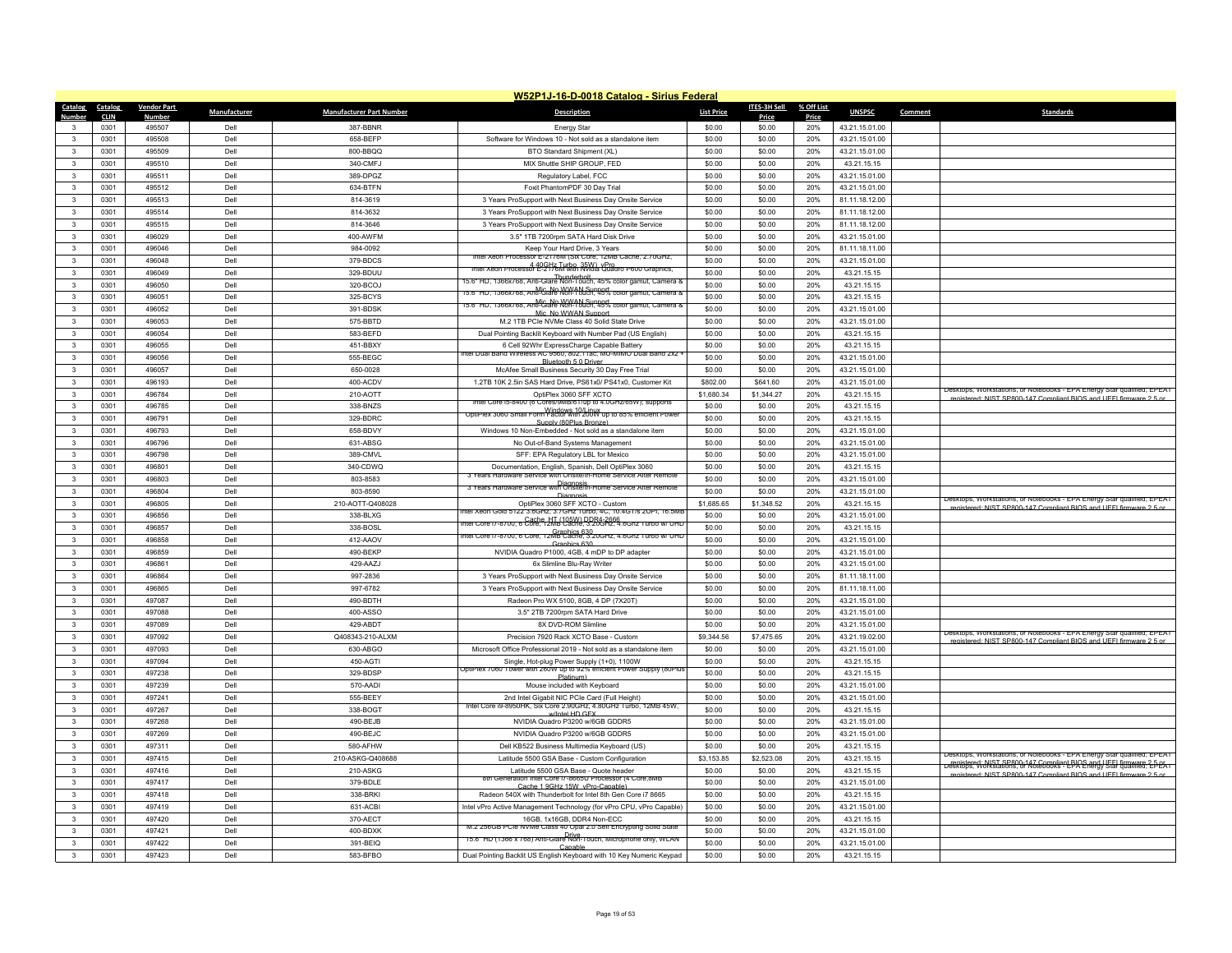|                         | W52P1J-16-D-0018 Catalog - Sirius Federal |                         |              |                                 |                                                                                                                                                 |                   |                  |              |                                  |                                                                                                                                                                                                                            |  |  |
|-------------------------|-------------------------------------------|-------------------------|--------------|---------------------------------|-------------------------------------------------------------------------------------------------------------------------------------------------|-------------------|------------------|--------------|----------------------------------|----------------------------------------------------------------------------------------------------------------------------------------------------------------------------------------------------------------------------|--|--|
| Catalog                 | Catalog                                   | <b>Vendor Part</b>      | Manufacturer | <b>Manufacturer Part Number</b> | <b>Description</b>                                                                                                                              | <b>List Price</b> | ITES-3H Sell     | % Off List   | <b>UNSPSC</b>                    | <b>Standards</b><br>Comment                                                                                                                                                                                                |  |  |
| Number<br>3             | <b>CLIN</b><br>0301                       | <b>Number</b><br>495507 | Dell         | 387-BBNR                        | <b>Energy Star</b>                                                                                                                              | \$0.00            | Price<br>\$0.00  | Price<br>20% | 43.21.15.01.00                   |                                                                                                                                                                                                                            |  |  |
| $\mathbf{3}$            | 0301                                      | 495508                  | Dell         | 658-BEEP                        | Software for Windows 10 - Not sold as a standalone item                                                                                         | \$0.00            | \$0.00           | 20%          | 43.21.15.01.00                   |                                                                                                                                                                                                                            |  |  |
| $\mathbf{3}$            | 0301                                      | 495509                  | Dell         | 800-BBQQ                        | BTO Standard Shipment (XL)                                                                                                                      | \$0.00            | \$0.00           | 20%          | 43.21.15.01.00                   |                                                                                                                                                                                                                            |  |  |
| $\mathbf{3}$            | 0301                                      | 495510                  | Dell         | 340-CMFJ                        | MIX Shuttle SHIP GROUP, FED                                                                                                                     | \$0.00            | \$0.00           | 20%          | 43.21.15.15                      |                                                                                                                                                                                                                            |  |  |
| $\mathbf{R}$            | 0301                                      | 495511                  | Dell         | 389-DPGZ                        |                                                                                                                                                 | \$0.00            | \$0.00           | 20%          | 43.21.15.01.00                   |                                                                                                                                                                                                                            |  |  |
| 3                       | 0301                                      | 495512                  | Dell         | 634-BTFN                        | Regulatory Label, FCC<br>Foxit PhantomPDF 30 Day Trial                                                                                          | \$0.00            | \$0.00           | 20%          | 43.21.15.01.00                   |                                                                                                                                                                                                                            |  |  |
| 3                       | 0301                                      | 495513                  | Dell         | 814-3619                        | 3 Years ProSupport with Next Business Day Onsite Service                                                                                        | \$0.00            | \$0.00           | 20%          | 81.11.18.12.00                   |                                                                                                                                                                                                                            |  |  |
| $\mathbf{R}$            | 0301                                      | 495514                  | Dell         | 814-3632                        | 3 Years ProSupport with Next Business Day Onsite Service                                                                                        | \$0.00            | \$0.00           | 20%          | 81.11.18.12.00                   |                                                                                                                                                                                                                            |  |  |
| 3                       | 0301                                      | 495515                  | Dell         | 814-3646                        | 3 Years ProSupport with Next Business Day Onsite Service                                                                                        | \$0.00            | \$0.00           | 20%          | 81.11.18.12.00                   |                                                                                                                                                                                                                            |  |  |
| $\mathbf{3}$            | 0301                                      | 496029                  | Dell         | 400-AWFM                        | 3.5" 1TB 7200rpm SATA Hard Disk Drive                                                                                                           | \$0.00            | \$0.00           | 20%          | 43.21.15.01.00                   |                                                                                                                                                                                                                            |  |  |
| $\mathbf{3}$            | 0301                                      | 496046                  | Dell         | 984-0092                        | Keep Your Hard Drive, 3 Years                                                                                                                   | \$0.00            | \$0.00           | 20%          | 81.11.18.11.00                   |                                                                                                                                                                                                                            |  |  |
| 3                       | 0301                                      | 496048                  | Dell         | 379-BDCS                        | tel Xeon Processor E-2176M (Six Core, 12MB Cache, 2.70GHz                                                                                       | \$0.00            | \$0.00           | 20%          | 43.21.15.01.00                   |                                                                                                                                                                                                                            |  |  |
| $\mathbf{3}$            | 0301                                      | 496049                  | Dell         | 329-BDUU                        | Intel Xeon Processor E-2176M with Nyidia Quadro P600 Graphics,                                                                                  | \$0.00            | \$0.00           | 20%          | 43.21.15.15                      |                                                                                                                                                                                                                            |  |  |
| $\mathbf{3}$            | 0301                                      | 496050                  | Dell         | 320-BCOJ                        | Thunderbolt<br>15.6" HD, 1366x768, Anti-Glare Non-Touch, 45% color gamut, Camera &                                                              | \$0.00            | \$0.00           | 20%          | 43.21.15.15                      |                                                                                                                                                                                                                            |  |  |
| $\mathbf{3}$            | 0301                                      | 496051                  | Dell         | 325-BCYS                        | Mic_No WWAN Support<br>15.6" HD, 1366x768, Anti-Glare Non-Touch, 45% color gamut, Camera &                                                      | \$0.00            | \$0.00           | 20%          | 43.21.15.15                      |                                                                                                                                                                                                                            |  |  |
| $\mathbf{3}$            | 0301                                      | 496052                  | Dell         | 391-BDSK                        |                                                                                                                                                 | \$0.00            | \$0.00           | 20%          |                                  |                                                                                                                                                                                                                            |  |  |
| $\mathbf{3}$            | 0301                                      | 496053                  | Dell         | 575-BBTD                        | Mic_No WWAN Sunnort<br>M.2 1TB PCIe NVMe Class 40 Solid State Drive                                                                             | \$0.00            | \$0.00           | 20%          | 43.21.15.01.00<br>43.21.15.01.00 |                                                                                                                                                                                                                            |  |  |
| 3                       | 0301                                      | 496054                  | Dell         | 583-BEFD                        |                                                                                                                                                 | \$0.00            |                  | 20%          |                                  |                                                                                                                                                                                                                            |  |  |
| $\mathbf{3}$            | 0301                                      | 496055                  | Dell         |                                 | Dual Pointing Backlit Keyboard with Number Pad (US English)                                                                                     |                   | \$0.00<br>\$0.00 | 20%          | 43.21.15.15                      |                                                                                                                                                                                                                            |  |  |
|                         |                                           |                         |              | 451-BBXY                        | 6 Cell 92Whr ExpressCharge Capable Battery<br>ntel Dual Band Wireless AC 9560, 802.11ac, MU-MIMO Dual Band 2x2                                  | \$0.00            |                  |              | 43.21.15.15                      |                                                                                                                                                                                                                            |  |  |
| $\mathbf{3}$            | 0301                                      | 496056                  | Dell         | 555-BEGC                        | Bluetooth 5.0 Driver                                                                                                                            | \$0.00            | \$0.00           | 20%          | 43.21.15.01.00                   |                                                                                                                                                                                                                            |  |  |
| $\mathbf{3}$            | 0301                                      | 496057                  | Dell         | 650-0028                        | McAfee Small Business Security 30 Day Free Trial                                                                                                | \$0.00            | \$0.00           | 20%          | 43.21.15.01.00                   |                                                                                                                                                                                                                            |  |  |
| $\mathbf{3}$            | 0301                                      | 496193                  | Dell         | 400-ACDV                        | 1.2TB 10K 2.5in SAS Hard Drive, PS61x0/ PS41x0, Customer Kit                                                                                    | \$802.00          | \$641.60         | 20%          | 43.21.15.01.00                   | Desktops, Workstations, or Notebooks - EPA Energy Star qualified; EPEAT                                                                                                                                                    |  |  |
| $\mathbf{3}$            | 0301                                      | 496784                  | Dell         | 210-AOTT                        | OptiPlex 3060 SFF XCTO<br>Intel Core i5-8400 (6 Cores/9MB/61/up to 4.0GHz/65W); supports                                                        | \$1,680.34        | \$1,344.27       | 20%          | 43.21.15.15                      | registered: NIST SP800-147 Compliant BIOS and UFFI firmware 2.5 or                                                                                                                                                         |  |  |
| 3                       | 0301                                      | 496785                  | Dell         | 338-BNZS                        | Windows 10/Library to 85% efficient Power                                                                                                       | \$0.00            | \$0.00           | 20%          | 43.21.15.15                      |                                                                                                                                                                                                                            |  |  |
| $\mathbf{R}$            | 0301                                      | 496791                  | Dell         | 329-BDRC                        | Sunnly (80Plus Bronze)                                                                                                                          | \$0.00            | \$0.00           | 20%          | 43.21.15.15                      |                                                                                                                                                                                                                            |  |  |
| 3                       | 0301                                      | 496793                  | Dell         | 658-BDVY                        | Windows 10 Non-Embedded - Not sold as a standalone item                                                                                         | \$0.00            | \$0.00           | 20%          | 43.21.15.01.00                   |                                                                                                                                                                                                                            |  |  |
| $\mathbf{3}$            | 0301                                      | 496796                  | Dell         | 631-ABSG                        | No Out-of-Band Systems Management                                                                                                               | \$0.00            | \$0.00           | 20%          | 43.21.15.01.00                   |                                                                                                                                                                                                                            |  |  |
| $\mathbf{R}$            | 0301                                      | 496798                  | Dell         | 389-CMVL                        | SFF: EPA Regulatory LBL for Mexico                                                                                                              | \$0.00            | \$0.00           | 20%          | 43.21.15.01.00                   |                                                                                                                                                                                                                            |  |  |
| 3                       | 0301                                      | 496801                  | Dell         | 340-CDWO                        | Documentation, English, Spanish, Dell OptiPlex 3060<br>3 Years Hardware Service with Onsite/In-Home Service After Remote                        | \$0.00            | \$0.00           | 20%          | 43.21.15.15                      |                                                                                                                                                                                                                            |  |  |
| $\mathbf{3}$            | 0301                                      | 496803                  | Dell         | 803-8583                        | 3 Years Hardware Service with Onsite/In-Home Service After Remote                                                                               | \$0.00            | \$0.00           | 20%          | 43.21.15.01.00                   |                                                                                                                                                                                                                            |  |  |
| $\mathbf{3}$            | 0301                                      | 496804                  | Dell         | 803-8590                        | Diagnosis                                                                                                                                       | \$0.00            | \$0.00           | 20%          | 43.21.15.01.00                   | Jesktops, Workstations, or Notebooks - EPA Energy Star qualified; EPEAT                                                                                                                                                    |  |  |
| $\mathbf{3}$            | 0301                                      | 496805                  | Dell         | 210-AOTT-Q408028                | OptiPlex 3060 SFF XCTO - Custom<br>ntel Xeon Gold 5122 3.6GHz, 3.7GHz Turbo, 4C, 10.4GT/s 2UPT, 16.5Mb                                          | \$1,685.65        | \$1,348.52       | 20%          | 43.21.15.15                      | registered: NIST SP800-147 Compliant BIOS and LIFFL firmware 2.5 or                                                                                                                                                        |  |  |
| $\mathbf{3}$            | 0301                                      | 496856                  | Dell         | 338-BLXG                        | ntel Core i7-8700, 6 Cache, HT (105W) DDR4-2666.<br>htel Core i7-8700, 6 Core, 12MB Cache, 3.20GHz, 4.6Ghz Turbo w/ UHD                         | \$0.00            | \$0.00           | 20%          | 43.21.15.01.00                   |                                                                                                                                                                                                                            |  |  |
| $\mathbf{3}$            | 0301                                      | 496857                  | Dell         | 338-BOSL                        | Graphics 630<br>Intel Core I/-8700, 6 Core, 12MB Cache, 3.20GHz, 4.6Ghz Turbo w/ UHD                                                            | \$0.00            | \$0.00           | 20%          | 43.21.15.15                      |                                                                                                                                                                                                                            |  |  |
| 3                       | 0301                                      | 496858                  | Dell         | 412-AAOV                        | Graphics 630                                                                                                                                    | \$0.00            | \$0.00           | 20%          | 43.21.15.01.00                   |                                                                                                                                                                                                                            |  |  |
| $\overline{\mathbf{3}}$ | 0301                                      | 496859                  | Dell         | 490-BEKP                        | NVIDIA Quadro P1000, 4GB, 4 mDP to DP adapter                                                                                                   | \$0.00            | \$0.00           | 20%          | 43.21.15.01.00                   |                                                                                                                                                                                                                            |  |  |
| $\mathbf{3}$            | 0301                                      | 496861                  | Dell         | 429-AAZJ                        | 6x Slimline Blu-Ray Writer                                                                                                                      | \$0.00            | \$0.00           | 20%          | 43.21.15.01.00                   |                                                                                                                                                                                                                            |  |  |
| 3                       | 0301                                      | 496864                  | Dell         | 997-2836                        | 3 Years ProSupport with Next Business Day Onsite Service                                                                                        | \$0.00            | \$0.00           | 20%          | 81.11.18.11.00                   |                                                                                                                                                                                                                            |  |  |
| $\overline{\mathbf{3}}$ | 0301                                      | 496865                  | Dell         | 997-6782                        | 3 Years ProSupport with Next Business Day Onsite Service                                                                                        | \$0.00            | \$0.00           | 20%          | 81.11.18.11.00                   |                                                                                                                                                                                                                            |  |  |
| $\mathbf{3}$            | 0301                                      | 497087                  | Dell         | 490-BDTH                        | Radeon Pro WX 5100, 8GB, 4 DP (7X20T)                                                                                                           | \$0.00            | \$0.00           | 20%          | 43.21.15.01.00                   |                                                                                                                                                                                                                            |  |  |
| 3                       | 0301                                      | 497088                  | Dell         | 400-ASSO                        | 3.5" 2TB 7200rpm SATA Hard Drive                                                                                                                | \$0.00            | \$0.00           | 20%          | 43.21.15.01.00                   |                                                                                                                                                                                                                            |  |  |
| $\mathbf{3}$            | 0301                                      | 497089                  | Dell         | 429-ABDT                        | 8X DVD-ROM Slimline                                                                                                                             | \$0.00            | \$0.00           | 20%          | 43.21.15.01.00                   | Jesktops, Workstations, or Notebooks - EPA Energy Star qualified; EPEAT                                                                                                                                                    |  |  |
| $\mathbf{3}$            | 0301                                      | 497092                  | Dell         | Q408343-210-ALXM                | Precision 7920 Rack XCTO Base - Custom                                                                                                          | \$9,344.56        | \$7,475.65       | 20%          | 43.21.19.02.00                   | registered: NIST SP800-147 Compliant BIOS and UEFI firmware 2.5 or                                                                                                                                                         |  |  |
| $\mathbf{3}$            | 0301                                      | 497093                  | Dell         | 630-ABGO                        | Microsoft Office Professional 2019 - Not sold as a standalone item                                                                              | \$0.00            | \$0.00           | 20%          | 43.21.15.01.00                   |                                                                                                                                                                                                                            |  |  |
| $\mathbf{R}$            | 0301                                      | 497094                  | Dell         | 450-AGT                         | Single, Hot-plug Power Supply (1+0), 1100W<br>OptiPlex 7060 Tower with 260W up to 92% efficient Power Supply (80Plus                            | \$0.00            | \$0.00           | 20%          | 43.21.15.15                      |                                                                                                                                                                                                                            |  |  |
| 3                       | 0301                                      | 497238                  | Dell         | 329-BDSP                        | <b>Plating</b>                                                                                                                                  | \$0.00            | \$0.00           | 20%          | 43.21.15.15                      |                                                                                                                                                                                                                            |  |  |
| 3                       | 0301                                      | 497239                  | Dell         | 570-AADI                        | Mouse included with Keyboard                                                                                                                    | \$0.00            | \$0.00           | 20%          | 43.21.15.01.00                   |                                                                                                                                                                                                                            |  |  |
| $\mathbf{R}$            | 0301                                      | 497241                  | Dell         | 555-BEEY                        | 2nd Intel Gigabit NIC PCIe Card (Full Height)<br>Intel Core I9-8950HK, Six Core 2.90GHz, 4.80GHz Turbo, 12MB 45W                                | \$0.00            | \$0.00           | 20%          | 43.21.15.01.00                   |                                                                                                                                                                                                                            |  |  |
| 3                       | 0301                                      | 497267                  | Dell         | 338-BOGT                        | w/Intel HD GFX                                                                                                                                  | \$0.00            | \$0.00           | 20%          | 43.21.15.15                      |                                                                                                                                                                                                                            |  |  |
| $\mathbf{3}$            | 0301                                      | 497268                  | Dell         | 490-BEJB                        | NVIDIA Quadro P3200 w/6GB GDDR5                                                                                                                 | \$0.00            | \$0.00           | 20%          | 43.21.15.01.00                   |                                                                                                                                                                                                                            |  |  |
| $\mathbf{3}$            | 0301                                      | 497269                  | Dell         | 490-BEJC                        | NVIDIA Quadro P3200 w/6GB GDDR5                                                                                                                 | \$0.00            | \$0.00           | 20%          | 43.21.15.01.00                   |                                                                                                                                                                                                                            |  |  |
| 3                       | 0301                                      | 497311                  | Dell         | 580-AFHW                        | Dell KB522 Business Multimedia Keyboard (US)                                                                                                    | \$0.00            | \$0.00           | 20%          | 43.21.15.15                      |                                                                                                                                                                                                                            |  |  |
| $\mathbf{3}$            | 0301                                      | 497415                  | Dell         | 210-ASKG-Q408688                | Latitude 5500 GSA Base - Custom Configuration                                                                                                   | \$3,153.85        | \$2,523.08       | 20%          | 43.21.15.15                      | Desktops, Workstations, or Notebooks - EPA Energy Star qualified; EPEAT<br>registered: NIST SP800-147 Compliant BIOS and UEEL firmware 2-5-PC.<br>Desktops, Workstations, or Notebooks - EPA Energy Star qualified; EPEA i |  |  |
| $\mathbf{3}$            | 0301                                      | 497416                  | Dell         | 210-ASKG                        | Latitude 5500 GSA Base - Quote heade                                                                                                            | \$0.00            | \$0.00           | 20%          | 43.21.15.15                      | registered: NIST SP800-147 Compliant BIOS and UFFI firmware 2.5 or                                                                                                                                                         |  |  |
| 3                       | 0301                                      | 497417                  | Dell         | 379-BDI F                       | 8th Generation Intel Core i/-8665U Processor (4 Core,8MB<br>Cache 1 9GHz 15W vPro-Canable                                                       | \$0.00            | \$0.00           | 20%          | 43.21.15.01.00                   |                                                                                                                                                                                                                            |  |  |
| $\overline{\mathbf{3}}$ | 0301                                      | 497418                  | Dell         | 338-BRKI                        | Radeon 540X with Thunderbolt for Intel 8th Gen Core i7 8665                                                                                     | \$0.00            | \$0.00           | 20%          | 43.21.15.15                      |                                                                                                                                                                                                                            |  |  |
| $\mathbf{3}$            | 0301                                      | 497419                  | Dell         | 631-ACBI                        | Intel vPro Active Management Technology (for vPro CPU, vPro Capable)                                                                            | \$0.00            | \$0.00           | 20%          | 43.21.15.01.00                   |                                                                                                                                                                                                                            |  |  |
| 3                       | 0301                                      | 497420                  | Dell         | 370-AECT                        | 16GB 1x16GB DDR4 Non-FCC                                                                                                                        | \$0.00            | \$0.00           | 20%          | 43.21.15.15                      |                                                                                                                                                                                                                            |  |  |
| $\mathbf{R}$            | 0301                                      | 497421                  | Dell         | 400-BDXK                        | M.2 256GB PCIe NVMe Class 40 Opal 2.0 Self Encrypting Solid State<br>Drive<br>15.6" HD (1366 x /68) Anti-Glare Non-Touch, Microphone only, WLAN | \$0.00            | \$0.00           | 20%          | 43.21.15.01.00                   |                                                                                                                                                                                                                            |  |  |
|                         | 0301                                      | 497422                  | Dell         | 391-BEIQ                        | Canable                                                                                                                                         | \$0.00            | \$0.00           | 20%          | 43.21.15.01.00                   |                                                                                                                                                                                                                            |  |  |
| 3                       | 0301                                      | 497423                  | Dell         | 583-BFBO                        | Dual Pointing Backlit US English Keyboard with 10 Key Numeric Keypad                                                                            | \$0.00            | \$0.00           | 20%          | 43.21.15.15                      |                                                                                                                                                                                                                            |  |  |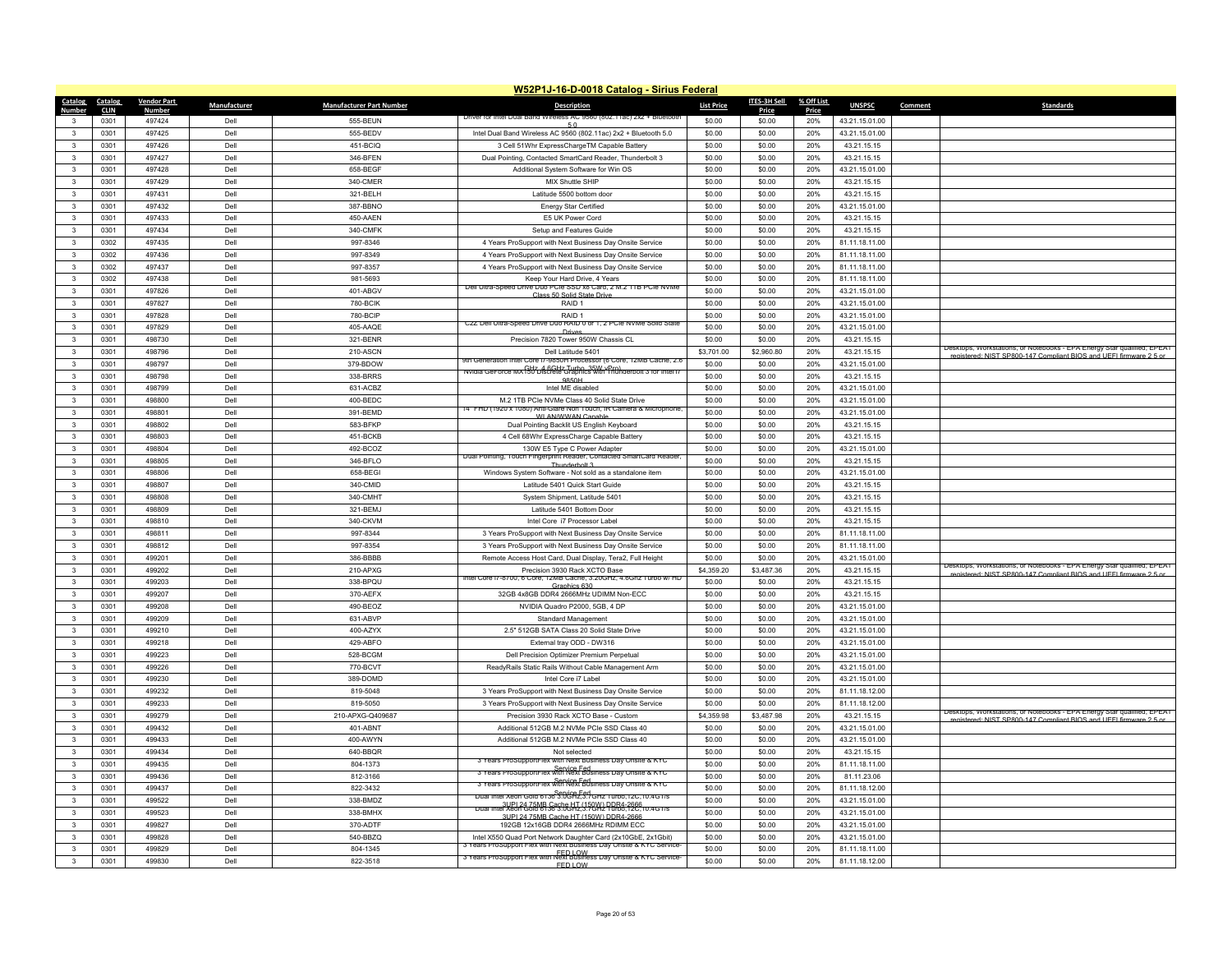|                         | W52P1J-16-D-0018 Catalog - Sirius Federal |                    |              |                                 |                                                                                                                                       |                   |              |            |                |         |                                                                                                                                               |
|-------------------------|-------------------------------------------|--------------------|--------------|---------------------------------|---------------------------------------------------------------------------------------------------------------------------------------|-------------------|--------------|------------|----------------|---------|-----------------------------------------------------------------------------------------------------------------------------------------------|
| Catalog                 | Catalog                                   | <b>Vendor Part</b> | Manufacturer | <b>Manufacturer Part Number</b> | <b>Description</b>                                                                                                                    | <b>List Price</b> | ITES-3H Sell | % Off List | <b>UNSPSC</b>  | Comment | <b>Standards</b>                                                                                                                              |
| Number                  | <b>CLIN</b>                               | <b>Numbe</b>       |              |                                 | Driver for Intel Dual Band Wireless AC 9560 (802.11ac) 2x2 + Bluetooth                                                                |                   | Price        | Price      |                |         |                                                                                                                                               |
| 3                       | 0301                                      | 497424             | Dell         | 555-BFUN                        |                                                                                                                                       | \$0.00            | \$0.00       | 20%        | 43.21.15.01.00 |         |                                                                                                                                               |
| $\mathbf{3}$            | 0301                                      | 497425             | Dell         | 555-BEDV                        | Intel Dual Band Wireless AC 9560 (802.11ac) 2x2 + Bluetooth 5.0                                                                       | \$0.00            | \$0.00       | 20%        | 43.21.15.01.00 |         |                                                                                                                                               |
| 3                       | 0301                                      | 497426             | Dell         | 451-BCIQ                        | 3 Cell 51Whr ExpressChargeTM Capable Battery                                                                                          | \$0.00            | \$0.00       | 20%        | 43.21.15.15    |         |                                                                                                                                               |
| $\mathbf{3}$            | 0301                                      | 497427             | Dell         | 346-BFEN                        | Dual Pointing, Contacted SmartCard Reader, Thunderbolt 3                                                                              | \$0.00            | \$0.00       | 20%        | 43 21 15 15    |         |                                                                                                                                               |
| $\overline{\mathbf{3}}$ | 0301                                      | 497428             | Dell         | 658-BEGF                        | Additional System Software for Win OS                                                                                                 | \$0.00            | \$0.00       | 20%        | 43.21.15.01.00 |         |                                                                                                                                               |
| $\mathbf{3}$            | 0301                                      | 497429             | Dell         | 340-CMER                        | MIX Shuttle SHIP                                                                                                                      | \$0.00            | \$0.00       | 20%        | 43.21.15.15    |         |                                                                                                                                               |
| 3                       | 0301                                      | 497431             | Dell         | 321-BFI H                       | Latitude 5500 bottom door                                                                                                             | \$0.00            | \$0.00       | 20%        | 43.21.15.15    |         |                                                                                                                                               |
| $\overline{3}$          | 0301                                      | 497432             | Dell         | 387-BBNO                        | <b>Energy Star Certified</b>                                                                                                          | \$0.00            | \$0.00       | 20%        | 43.21.15.01.00 |         |                                                                                                                                               |
| $\mathbf{3}$            | 0301                                      | 497433             | Dell         | 450-AAEN                        | E5 UK Power Cord                                                                                                                      | \$0.00            | \$0.00       | 20%        | 43.21.15.15    |         |                                                                                                                                               |
| $\mathbf{3}$            | 0301                                      | 497434             | Dell         | 340-CMFK                        | Setup and Features Guide                                                                                                              | \$0.00            | \$0.00       | 20%        | 43.21.15.15    |         |                                                                                                                                               |
| $\mathbf{3}$            | 0302                                      | 497435             | Dell         | 997-8346                        | 4 Years ProSupport with Next Business Day Onsite Service                                                                              | \$0.00            | \$0.00       | 20%        | 81.11.18.11.00 |         |                                                                                                                                               |
| $\mathbf{3}$            | 0302                                      | 497436             | Dell         | 997-8349                        | 4 Years ProSupport with Next Business Day Onsite Service                                                                              | \$0.00            | \$0.00       | 20%        | 81.11.18.11.00 |         |                                                                                                                                               |
| $\mathbf{3}$            | 0302                                      | 497437             | Dell         | 997-8357                        | 4 Years ProSupport with Next Business Day Onsite Service                                                                              | \$0.00            | \$0.00       | 20%        | 81.11.18.11.00 |         |                                                                                                                                               |
| 3                       | 0302                                      | 497438             | Dell         | 981-5693                        | Keep Your Hard Drive, 4 Years                                                                                                         | \$0.00            | \$0.00       | 20%        | 81.11.18.11.00 |         |                                                                                                                                               |
| $\mathbf{3}$            | 0301                                      | 497826             | Dell         | 401-ABGV                        | Dell Ultra-Speed Drive Duo PCIe SSD x8 Card, 2 M.2 11B PCIe NVMe                                                                      | \$0.00            | \$0.00       | 20%        | 43.21.15.01.00 |         |                                                                                                                                               |
| $\mathbf{3}$            | 0301                                      | 497827             | Dell         | 780-BCIK                        | Class 50 Solid State Dri<br>RAID <sub>1</sub>                                                                                         | \$0.00            | \$0.00       | 20%        |                |         |                                                                                                                                               |
|                         |                                           | 497828             | Dell         | 780-BCIP                        | RAID <sub>1</sub>                                                                                                                     | \$0.00            | \$0.00       | 20%        | 43.21.15.01.00 |         |                                                                                                                                               |
| $\mathbf{3}$            | 0301                                      |                    |              |                                 | C2Z Dell Ultra-Speed Drive Duo RAID 0 or 1, 2 PCIe NVMe Solid State                                                                   |                   |              |            | 43.21.15.01.00 |         |                                                                                                                                               |
| $\overline{\mathbf{3}}$ | 0301                                      | 497829             | Dell         | 405-AAQE                        | Drive                                                                                                                                 | \$0.00            | \$0.00       | 20%        | 43.21.15.01.00 |         |                                                                                                                                               |
| 3                       | 0301                                      | 498730             | Dell         | 321-BENR                        | Precision 7820 Tower 950W Chassis CL                                                                                                  | \$0.00            | \$0.00       | 20%        | 43.21.15.15    |         | Jesktops, Workstations, or Notebooks - EPA Energy Star qualified; EPEAT                                                                       |
| $\mathbf{3}$            | 0301                                      | 498796             | Dell         | <b>210-ASCN</b>                 | Dell Latitude 5401<br>9th Generation Intel Core i7-9850H Processor (6 Core, 12MB Cache, 2.6                                           | \$3,701.00        | \$2,960.80   | 20%        | 43.21.15.15    |         | registered: NIST SP800-147 Compliant BIOS and HEEL firmware 2.5 or                                                                            |
| $\overline{3}$          | 0301                                      | 498797             | Dell         | 379-BDOW                        | Nvidia GeForce MX SHz 4 6GHz Turbo, 35W vPro)                                                                                         | \$0.00            | \$0.00       | 20%        | 43.21.15.01.00 |         |                                                                                                                                               |
| $\mathbf{3}$            | 0301                                      | 498798             | Dell         | 338-BRRS                        | 9850H                                                                                                                                 | \$0.00            | \$0.00       | 20%        | 43.21.15.15    |         |                                                                                                                                               |
| $\mathbf{3}$            | 0301                                      | 498799             | Dell         | 631-ACBZ                        | Intel MF disabled                                                                                                                     | \$0.00            | \$0.00       | 20%        | 43.21.15.01.00 |         |                                                                                                                                               |
| $\overline{3}$          | 0301                                      | 498800             | Dell         | 400-BEDC                        | M.2 1TB PCIe NVMe Class 40 Solid State Drive                                                                                          | \$0.00            | \$0.00       | 20%        | 43.21.15.01.00 |         |                                                                                                                                               |
| $\mathbf{3}$            | 0301                                      | 498801             | Dell         | 391-BEMD                        | 4" FHD (1920 x 1080) Anti-Glare Non Touch, IR Camera & Microphone<br>WI AN/WWAN Canable                                               | \$0.00            | \$0.00       | 20%        | 43.21.15.01.00 |         |                                                                                                                                               |
| $\mathbf{3}$            | 0301                                      | 498802             | Dell         | 583-BFKP                        | Dual Pointing Backlit US English Keyboard                                                                                             | \$0.00            | \$0.00       | 20%        | 43.21.15.15    |         |                                                                                                                                               |
| $\mathbf{3}$            | 0301                                      | 498803             | Dell         | 451-BCKB                        | 4 Cell 68Whr ExpressCharge Capable Battery                                                                                            | \$0.00            | \$0.00       | 20%        | 43.21.15.15    |         |                                                                                                                                               |
| $\mathbf{3}$            | 0301                                      | 498804             | Dell         | 492-BCOZ                        | 130W E5 Type C Power Adapter                                                                                                          | \$0.00            | \$0.00       | 20%        | 43.21.15.01.00 |         |                                                                                                                                               |
| $\mathbf{3}$            | 0301                                      | 498805             | Del          | 346-BFLO                        | Dual Pointing, Touch Fingerprint Reader, Contacted SmartCard Reader<br>Thunderbolt 3                                                  | \$0.00            | \$0.00       | 20%        | 43.21.15.15    |         |                                                                                                                                               |
| $\mathbf{3}$            | 0301                                      | 498806             | Dell         | 658-BEGI                        | Windows System Software - Not sold as a standalone item                                                                               | \$0.00            | \$0.00       | 20%        | 43.21.15.01.00 |         |                                                                                                                                               |
| $\overline{\mathbf{3}}$ | 0301                                      | 498807             | Dell         | 340-CMID                        | Latitude 5401 Quick Start Guide                                                                                                       | \$0.00            | \$0.00       | 20%        | 43.21.15.15    |         |                                                                                                                                               |
| 3                       | 0301                                      | 498808             | Dell         | 340-CMHT                        | System Shipment, Latitude 5401                                                                                                        | \$0.00            | \$0.00       | 20%        | 43.21.15.15    |         |                                                                                                                                               |
| 3                       | 0301                                      | 498809             | Dell         | 321-BEMJ                        | Latitude 5401 Bottom Door                                                                                                             | \$0.00            | \$0.00       | 20%        | 43.21.15.15    |         |                                                                                                                                               |
| $\overline{3}$          | 0301                                      | 498810             | Dell         | 340-CKVM                        | Intel Core i7 Processor Label                                                                                                         | \$0.00            | \$0.00       | 20%        | 43.21.15.15    |         |                                                                                                                                               |
| $\mathbf{3}$            | 0301                                      | 498811             | Dell         | 997-8344                        | 3 Years ProSupport with Next Business Day Onsite Service                                                                              | \$0.00            | \$0.00       | 20%        | 81.11.18.11.00 |         |                                                                                                                                               |
| $\mathbf{3}$            | 0301                                      | 498812             | Dell         | 997-8354                        | 3 Years ProSupport with Next Business Day Onsite Service                                                                              | \$0.00            | \$0.00       | 20%        | 81.11.18.11.00 |         |                                                                                                                                               |
| $\overline{\mathbf{3}}$ | 0301                                      | 499201             | Dell         | 386-BBBB                        | Remote Access Host Card, Dual Display, Tera2, Full Height                                                                             | \$0.00            | \$0.00       | 20%        | 43.21.15.01.00 |         |                                                                                                                                               |
| $\mathbf{3}$            | 0301                                      | 499202             | Dell         | 210-APXG                        | Precision 3930 Rack XCTO Base                                                                                                         | \$4,359.20        | \$3,487.36   | 20%        | 43.21.15.15    |         | Desktops, Workstations, or Notebooks - EPA Energy Star qualified; EPEAT                                                                       |
| $\mathbf{3}$            |                                           |                    |              |                                 | ntel Core (7-8700, 6 Core, 12MB Cache, 3.20GHz, 4.6Ghz, lurbo w/ HD                                                                   |                   |              |            |                |         | enistered: NIST SP800-147 Compliant RIOS and LIFFI firmware 2.5 or                                                                            |
|                         | 0301                                      | 499203             | Dell         | 338-BPQU                        | Graphics 630                                                                                                                          | \$0.00            | \$0.00       | 20%        | 43.21.15.15    |         |                                                                                                                                               |
| $\mathbf{3}$            | 0301                                      | 499207             | Dell         | 370-AEFX                        | 32GB 4x8GB DDR4 2666MHz UDIMM Non-ECC                                                                                                 | \$0.00            | \$0.00       | 20%        | 43.21.15.15    |         |                                                                                                                                               |
| $\mathbf{3}$            | 0301                                      | 499208             | Dell         | 490-BEOZ                        | NVIDIA Quadro P2000, 5GB, 4 DP                                                                                                        | \$0.00            | \$0.00       | 20%        | 43.21.15.01.00 |         |                                                                                                                                               |
| 3                       | 0301                                      | 499209             | Dell         | 631-ABVP                        | Standard Management                                                                                                                   | \$0.00            | \$0.00       | 20%        | 43.21.15.01.00 |         |                                                                                                                                               |
| 3                       | 0301                                      | 499210             | Dell         | 400-AZYX                        | 2.5" 512GB SATA Class 20 Solid State Drive                                                                                            | \$0.00            | \$0.00       | 20%        | 43.21.15.01.00 |         |                                                                                                                                               |
| $\overline{\mathbf{3}}$ | 0301                                      | 499218             | Dell         | 429-ABFO                        | External tray ODD - DW316                                                                                                             | \$0.00            | \$0.00       | 20%        | 43.21.15.01.00 |         |                                                                                                                                               |
| 3                       | 0301                                      | 499223             | Dell         | 528-BCGM                        | Dell Precision Optimizer Premium Perpetual                                                                                            | \$0.00            | \$0.00       | 20%        | 43.21.15.01.00 |         |                                                                                                                                               |
| $\mathbf{3}$            | 0301                                      | 499226             | Dell         | 770-BCVT                        | ReadyRails Static Rails Without Cable Management Arm                                                                                  | \$0.00            | \$0.00       | 20%        | 43.21.15.01.00 |         |                                                                                                                                               |
| $\overline{\mathbf{3}}$ | 0301                                      | 499230             | Dell         | 389-DOMD                        | Intel Core i7 Label                                                                                                                   | \$0.00            | \$0.00       | 20%        | 43.21.15.01.00 |         |                                                                                                                                               |
| $\mathbf{3}$            | 0301                                      | 499232             | Dell         | 819-5048                        | 3 Years ProSupport with Next Business Day Onsite Service                                                                              | \$0.00            | \$0.00       | 20%        | 81.11.18.12.00 |         |                                                                                                                                               |
| $\mathbf{3}$            | 0301                                      | 499233             | Dell         | 819-5050                        | 3 Years ProSupport with Next Business Day Onsite Service                                                                              | \$0.00            | \$0.00       | 20%        | 81.11.18.12.00 |         |                                                                                                                                               |
| $\mathbf{3}$            | 0301                                      | 499279             | Dell         | 210-APXG-Q409687                | Precision 3930 Rack XCTO Base - Custom                                                                                                | \$4,359.98        | \$3,487.98   | 20%        | 43.21.15.15    |         | Desktops, Workstations, or Notebooks - EPA Energy Star qualified; EPEAT<br>registered: NIST SP800-147 Compliant BIOS and UFFI firmware 2.5 or |
| $\mathbf{3}$            | 0301                                      | 499432             | Dell         | 401-ABNT                        | Additional 512GB M.2 NVMe PCIe SSD Class 40                                                                                           | \$0.00            | \$0.00       | 20%        | 43.21.15.01.00 |         |                                                                                                                                               |
| 3                       | 0301                                      | 499433             | Dell         | 400-AWYN                        | Additional 512GB M.2 NVMe PCIe SSD Class 40                                                                                           | \$0.00            | \$0.00       | 20%        | 43.21.15.01.00 |         |                                                                                                                                               |
| $\mathbf{3}$            | 0301                                      | 499434             | Dell         | 640-BBQR                        | Not selected                                                                                                                          | \$0.00            | \$0.00       | 20%        | 43.21.15.15    |         |                                                                                                                                               |
| $\mathbf{3}$            | 0301                                      | 499435             | Dell         | 804-1373                        | 3 Years ProSupportFlex with Next Business Day Onsite & KYC                                                                            | \$0.00            | \$0.00       | 20%        | 81.11.18.11.00 |         |                                                                                                                                               |
| $\mathbf{3}$            | 0301                                      | 499436             | Dell         | 812-3166                        | Service Fed<br>3 Years ProSupportFlex with Next Business Day Onsite & KYC                                                             | \$0.00            | \$0.00       | 20%        | 81.11.23.06    |         |                                                                                                                                               |
| $\mathbf{3}$            | 0301                                      | 499437             | Dell         | 822-3432                        | 3 Years ProSupportFlex with Next Business Day Onsite & KYC                                                                            | \$0.00            | \$0.00       | 20%        | 81.11.18.12.00 |         |                                                                                                                                               |
| $\mathbf{3}$            | 0301                                      | 499522             | Dell         | 338-BMDZ                        | <u>риантиен хеол Gold 6136 3.0GRz,3.7GHz типо,12С,10.4G1/9</u>                                                                        | \$0.00            | \$0.00       | 20%        | 43.21.15.01.00 |         |                                                                                                                                               |
|                         |                                           |                    |              |                                 | Dual Intel Xeon Gold 81 56 3.0 44 5 3.2 9 44 20 45 10.4 5 17 5                                                                        |                   |              |            |                |         |                                                                                                                                               |
| 3                       | 0301                                      | 499523             | Dell         | 338-BMHX                        | 3LIPL24 75MB Cache HT (150W) DDR4-2666                                                                                                | \$0.00            | \$0.00       | 20%        | 43.21.15.01.00 |         |                                                                                                                                               |
| $\mathbf{3}$            | 0301                                      | 499827             | Dell         | 370-ADTF                        | 192GB 12x16GB DDR4 2666MHz RDIMM FCC                                                                                                  | \$0.00            | \$0.00       | 20%        | 43.21.15.01.00 |         |                                                                                                                                               |
| $\mathbf{3}$            | 0301                                      | 499828             | Dell         | 540-BBZQ                        | Intel X550 Quad Port Network Daughter Card (2x10GbE, 2x1Gbit)<br>3 Years ProSupport Flex with Next Business Day Onsite & KYC Service- | \$0.00            | \$0.00       | 20%        | 43.21.15.01.00 |         |                                                                                                                                               |
| 3                       | 0301                                      | 499829             | Dell         | 804-1345                        | 3 Years Prosupport Fiex with Next Business Day Onsite & KYC Service-                                                                  | \$0.00            | \$0.00       | 20%        | 81.11.18.11.00 |         |                                                                                                                                               |
| 3                       | 0301                                      | 499830             | Dell         | 822-3518                        | <b>FED LOW</b>                                                                                                                        | \$0.00            | \$0.00       | 20%        | 81.11.18.12.00 |         |                                                                                                                                               |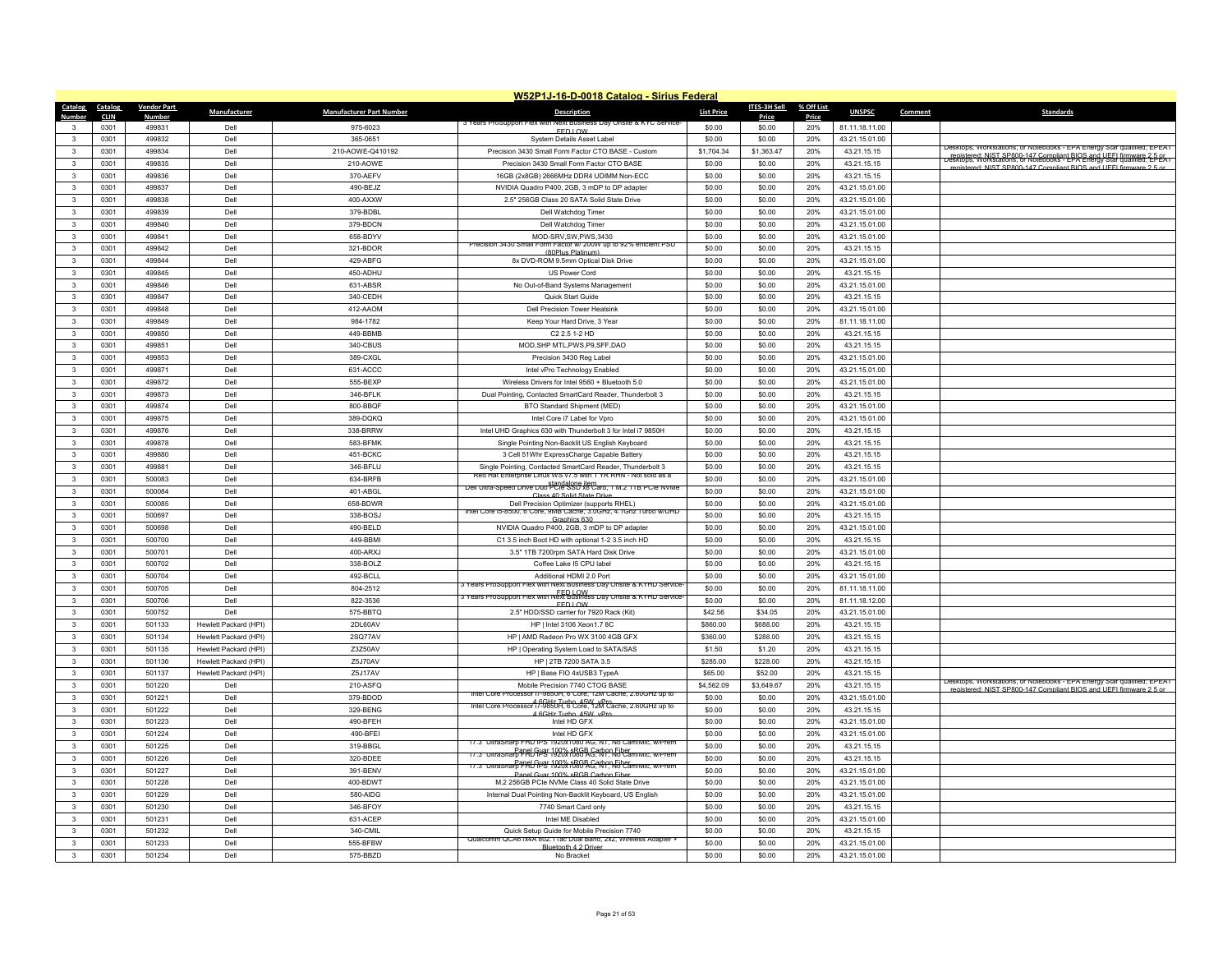|                              | W52P1J-16-D-0018 Catalog - Sirius Federal |                    |                       |                                 |                                                                                                                              |                   |              |            |                |                                                                                                                                               |  |
|------------------------------|-------------------------------------------|--------------------|-----------------------|---------------------------------|------------------------------------------------------------------------------------------------------------------------------|-------------------|--------------|------------|----------------|-----------------------------------------------------------------------------------------------------------------------------------------------|--|
| Catalog                      | Catalog                                   | <b>Vendor Part</b> | Manufacturer          | <b>Manufacturer Part Number</b> | <b>Description</b>                                                                                                           | <b>List Price</b> | ITES-3H Sell | % Off List | <b>UNSPSC</b>  | Comment<br><b>Standards</b>                                                                                                                   |  |
| Number                       | <b>CLIN</b>                               | <b>Number</b>      |                       |                                 | 3 Years ProSupport Flex<br>Day Onsite & KYC Service                                                                          |                   | Price        | Price      |                |                                                                                                                                               |  |
| 3                            | 0301                                      | 499831             | Dell                  | 975-6023                        | <b>FED LOW</b>                                                                                                               | \$0.00            | \$0.00       | 20%        | 81.11.18.11.00 |                                                                                                                                               |  |
| $\mathbf{3}$<br>$\mathbf{3}$ | 0301                                      | 499832<br>499834   | Dell<br>Dell          | 365-0651                        | System Details Asset Label                                                                                                   | \$0.00            | \$0.00       | 20%<br>20% | 43.21.15.01.00 | Jesktops, Workstations, or Notebooks - EPA Energy Star qualified; EPEAT                                                                       |  |
|                              | 0301                                      |                    |                       | 210-AOWE-Q410192                | Precision 3430 Small Form Factor CTO BASE - Custom                                                                           | \$1,704.34        | \$1,363.47   |            | 43.21.15.15    | registered: NIST SP800-147 Compliant BIOS and UEEL firmware 2.5 or<br>Desktops, Workstations, or Notebooks - EPA Energy Star qualified; EPEAT |  |
| $\mathbf{3}$<br>$\mathbf{R}$ | 0301                                      | 499835             | Dell                  | 210-AOWE                        | Precision 3430 Small Form Factor CTO BASE                                                                                    | \$0.00            | \$0.00       | 20%        | 43.21.15.15    | registered: NIST SP800-147 Compliant BIOS and UFFI firmware 2.5 or                                                                            |  |
|                              | 0301                                      | 499836             | Dell                  | 370-AEFV                        | 16GB (2x8GB) 2666MHz DDR4 UDIMM Non-ECC                                                                                      | \$0.00            | \$0.00       | 20%        | 43.21.15.15    |                                                                                                                                               |  |
| 3                            | 0301                                      | 499837             | Dell                  | 490-BEJZ                        | NVIDIA Quadro P400, 2GB, 3 mDP to DP adapter                                                                                 | \$0.00            | \$0.00       | 20%        | 43.21.15.01.00 |                                                                                                                                               |  |
| 3                            | 0301                                      | 499838             | Dell                  | 400-AXXW                        | 2.5" 256GB Class 20 SATA Solid State Drive                                                                                   | \$0.00            | \$0.00       | 20%        | 43.21.15.01.00 |                                                                                                                                               |  |
| $\mathbf{R}$                 | 0301                                      | 499839             | Dell                  | 379-BDBI                        | Dell Watchdog Timer                                                                                                          | \$0.00            | \$0.00       | 20%        | 43.21.15.01.00 |                                                                                                                                               |  |
| 3                            | 0301                                      | 499840             | Dell                  | 379-BDCN                        | Dell Watchdog Timer                                                                                                          | \$0.00            | \$0.00       | 20%        | 43.21.15.01.00 |                                                                                                                                               |  |
| $\mathbf{3}$                 | 0301                                      | 499841             | Dell                  | 658-BDYV                        | MOD-SRV, SW, PWS, 3430<br>recision 3430 Small Form Factor W/ 200W up to 92% emclent PSO                                      | \$0.00            | \$0.00       | 20%        | 43.21.15.01.00 |                                                                                                                                               |  |
| $\mathbf{3}$                 | 0301                                      | 499842             | Dell                  | 321-BDOR                        | (80Plus Platinum                                                                                                             | \$0.00            | \$0.00       | 20%        | 43.21.15.15    |                                                                                                                                               |  |
| 3                            | 0301                                      | 499844             | Dell                  | 429-ABFG                        | 8x DVD-ROM 9.5mm Optical Disk Drive                                                                                          | \$0.00            | \$0.00       | 20%        | 43.21.15.01.00 |                                                                                                                                               |  |
| $\mathbf{3}$                 | 0301                                      | 499845             | Dell                  | 450-ADHU                        | US Power Cord                                                                                                                | \$0.00            | \$0.00       | 20%        | 43.21.15.15    |                                                                                                                                               |  |
| $\mathbf{3}$                 | 0301                                      | 499846             | Dell                  | 631-ABSR                        | No Out-of-Band Systems Management                                                                                            | \$0.00            | \$0.00       | 20%        | 43.21.15.01.00 |                                                                                                                                               |  |
| 3                            | 0301                                      | 499847             | Dell                  | 340-CEDH                        | Quick Start Guide                                                                                                            | \$0.00            | \$0.00       | 20%        | 43.21.15.15    |                                                                                                                                               |  |
| $\mathbf{3}$                 | 0301                                      | 499848             | Dell                  | 412-AAOM                        | Dell Precision Tower Heatsink                                                                                                | \$0.00            | \$0.00       | 20%        | 43.21.15.01.00 |                                                                                                                                               |  |
| 3                            | 0301                                      | 499849             | Dell                  | 984-1782                        | Keep Your Hard Drive, 3 Year                                                                                                 | \$0.00            | \$0.00       | 20%        | 81.11.18.11.00 |                                                                                                                                               |  |
| 3                            | 0301                                      | 499850             | Dell                  | 449-BBMB                        | C2 2.5 1-2 HD                                                                                                                | \$0.00            | \$0.00       | 20%        | 43.21.15.15    |                                                                                                                                               |  |
| $\mathbf{3}$                 | 0301                                      | 499851             | Dell                  | 340-CBUS                        | MOD, SHP MTL, PWS, P9, SFF, DAO                                                                                              | \$0.00            | \$0.00       | 20%        | 43.21.15.15    |                                                                                                                                               |  |
| 3                            | 0301                                      | 499853             | Dell                  | 389-CXGL                        | Precision 3430 Reg Label                                                                                                     | \$0.00            | \$0.00       | 20%        | 43.21.15.01.00 |                                                                                                                                               |  |
| $\mathbf{3}$                 | 0301                                      | 499871             | Dell                  | 631-ACCC                        | Intel vPro Technology Enabled                                                                                                | \$0.00            | \$0.00       | 20%        | 43.21.15.01.00 |                                                                                                                                               |  |
| $\mathbf{3}$                 | 0301                                      | 499872             | Dell                  | 555-BEXP                        | Wireless Drivers for Intel 9560 + Bluetooth 5.0                                                                              | \$0.00            | \$0.00       | 20%        | 43.21.15.01.00 |                                                                                                                                               |  |
| 3                            | 0301                                      | 499873             | Dell                  | 346-BFLK                        | Dual Pointing, Contacted SmartCard Reader, Thunderbolt 3                                                                     | \$0.00            | \$0.00       | 20%        | 43.21.15.15    |                                                                                                                                               |  |
| 3                            | 0301                                      | 499874             | Dell                  | 800-BBQF                        | BTO Standard Shipment (MED)                                                                                                  | \$0.00            | \$0.00       | 20%        | 43.21.15.01.00 |                                                                                                                                               |  |
| $\mathbf{3}$                 | 0301                                      | 499875             | Dell                  | 389-DQKQ                        | Intel Core i7 Label for Vpro                                                                                                 | \$0.00            | \$0.00       | 20%        | 43.21.15.01.00 |                                                                                                                                               |  |
| 3                            | 0301                                      | 499876             | Dell                  | 338-BRRW                        | Intel UHD Graphics 630 with Thunderbolt 3 for Intel i7 9850H                                                                 | \$0.00            | \$0.00       | 20%        | 43.21.15.15    |                                                                                                                                               |  |
| $\mathbf{3}$                 | 0301                                      | 499878             | Dell                  | 583-BFMK                        | Single Pointing Non-Backlit US English Keyboard                                                                              | \$0.00            | \$0.00       | 20%        | 43.21.15.15    |                                                                                                                                               |  |
| $\mathbf{3}$                 | 0301                                      | 499880             | Dell                  | 451-BCKC                        | 3 Cell 51Whr ExpressCharge Capable Battery                                                                                   | \$0.00            | \$0.00       | 20%        | 43.21.15.15    |                                                                                                                                               |  |
| $\mathbf{3}$                 | 0301                                      | 499881             | Dell                  | 346-BFLU                        | Single Pointing, Contacted SmartCard Reader, Thunderbolt 3<br>Red Hat Enterprise Linux WS v/.5 with 1 YR RHN - Not sold as a | \$0.00            | \$0.00       | 20%        | 43.21.15.15    |                                                                                                                                               |  |
| 3                            | 0301                                      | 500083             | Dell                  | 634-BRFB                        | Dell Ultra-Speed Drive Duo PCIe SSD x8 Card, 1 M.2 11 B PCIe NVMe                                                            | \$0.00            | \$0.00       | 20%        | 43.21.15.01.00 |                                                                                                                                               |  |
| 3                            | 0301                                      | 500084             | Dell                  | 401-ABGL                        | Class 40 Solid State Drive                                                                                                   | \$0.00            | \$0.00       | 20%        | 43.21.15.01.00 |                                                                                                                                               |  |
| 3                            | 0301                                      | 500085             | Dell                  | 658-BDWR                        | Dell Precision Optimizer (supports RHEL)<br>Intel Core is-8500, 6 Core, 9MB Cache, 3.0GHz, 4.1Ghz Turbo w/UHD                | \$0.00            | \$0.00       | 20%        | 43.21.15.01.00 |                                                                                                                                               |  |
| $\mathbf{3}$                 | 0301                                      | 500697             | Dell                  | 338-BOSJ                        | Graphics 630                                                                                                                 | \$0.00            | \$0.00       | 20%        | 43.21.15.15    |                                                                                                                                               |  |
| $\mathbf{3}$                 | 0301                                      | 500698             | Dell                  | 490-BELD                        | NVIDIA Quadro P400, 2GB, 3 mDP to DP adapter                                                                                 | \$0.00            | \$0.00       | 20%        | 43.21.15.01.00 |                                                                                                                                               |  |
| 3                            | 0301                                      | 500700             | Dell                  | 449-BBMI                        | C1 3.5 inch Boot HD with optional 1-2 3.5 inch HD                                                                            | \$0.00            | \$0.00       | 20%        | 43.21.15.15    |                                                                                                                                               |  |
| $\mathbf{3}$                 | 0301                                      | 500701             | Dell                  | 400-ARXJ                        | 3.5" 1TB 7200rpm SATA Hard Disk Drive                                                                                        | \$0.00            | \$0.00       | 20%        | 43.21.15.01.00 |                                                                                                                                               |  |
| 3                            | 0301                                      | 500702             | Dell                  | 338-BOLZ                        | Coffee Lake I5 CPU label                                                                                                     | \$0.00            | \$0.00       | 20%        | 43.21.15.15    |                                                                                                                                               |  |
| 3                            | 0301                                      | 500704             | Dell                  | 492-BCLL                        | Additional HDMI 2.0 Port<br>3 Years ProSupport Flex with Next Business Day Onsite & KYHD Service                             | \$0.00            | \$0.00       | 20%        | 43.21.15.01.00 |                                                                                                                                               |  |
| $\mathbf{3}$                 | 0301                                      | 500705             | Dell                  | 804-2512                        | 3 Years ProSupport Flex with Next Business Day Onsite & KYHD Service-                                                        | \$0.00            | \$0.00       | 20%        | 81.11.18.11.00 |                                                                                                                                               |  |
| 3                            | 0301                                      | 500706             | Dell                  | 822-3536                        | <b>FEDLOW</b>                                                                                                                | \$0.00            | \$0.00       | 20%        | 81.11.18.12.00 |                                                                                                                                               |  |
| 3                            | 0301                                      | 500752             | Dell                  | 575-BBTQ                        | 2.5" HDD/SSD carrier for 7920 Rack (Kit)                                                                                     | \$42.56           | \$34.05      | 20%        | 43.21.15.01.00 |                                                                                                                                               |  |
| $\mathbf{3}$                 | 0301                                      | 501133             | Hewlett Packard (HPI) | 2DL60AV                         | HP   Intel 3106 Xeon1.7 8C                                                                                                   | \$860.00          | \$688.00     | 20%        | 43.21.15.15    |                                                                                                                                               |  |
| 3                            | 0301                                      | 501134             | Hewlett Packard (HPI) | 2SQ77AV                         | HP   AMD Radeon Pro WX 3100 4GB GFX                                                                                          | \$360.00          | \$288.00     | 20%        | 43.21.15.15    |                                                                                                                                               |  |
| 3                            | 0301                                      | 501135             | Hewlett Packard (HPI) | Z3Z50AV                         | HP   Operating System Load to SATA/SAS                                                                                       | \$1.50            | \$1.20       | 20%        | 43.21.15.15    |                                                                                                                                               |  |
| $\mathbf{3}$                 | 0301                                      | 501136             | Hewlett Packard (HPI) | Z5J70AV                         | HP   2TB 7200 SATA 3.5                                                                                                       | \$285.00          | \$228.00     | 20%        | 43.21.15.15    |                                                                                                                                               |  |
| $\mathbf{3}$                 | 0301                                      | 501137             | Hewlett Packard (HPI) | Z5J17AV                         | HP   Base FIO 4xUSB3 TypeA                                                                                                   | \$65.00           | \$52.00      | 20%        | 43.21.15.15    | Desktops, Workstations, or Notebooks - EPA Energy Star qualified; EPEAT                                                                       |  |
| 3                            | 0301                                      | 501220             | Dell                  | 210-ASFQ                        | Mobile Precision 7740 CTOG BASE<br>tel Core Processor i / -9850H, 6 Core, 12M Cache, 2.60GHz up to                           | \$4,562.09        | \$3,649.67   | 20%        | 43.21.15.15    | registered: NIST SP800-147 Compliant RIOS and LIFFI firmware 2.5 or                                                                           |  |
| $\mathbf{3}$                 | 0301                                      | 501221             | Dell                  | 379-BDOD                        | 4 6GHz Turbo 45W VPro True 7.500Hz up to                                                                                     | \$0.00            | \$0.00       | 20%        | 43.21.15.01.00 |                                                                                                                                               |  |
| $\mathbf{3}$                 | 0301                                      | 501222             | Dell                  | 329-BENG                        | 4.6GHz Turbo. 45W vPr                                                                                                        | \$0.00            | \$0.00       | 20%        | 43.21.15.15    |                                                                                                                                               |  |
| $\mathbf{3}$                 | 0301                                      | 501223             | Dell                  | 490-BFEH                        | Intel HD GFX                                                                                                                 | \$0.00            | \$0.00       | 20%        | 43.21.15.01.00 |                                                                                                                                               |  |
| $\mathbf{3}$                 | 0301                                      | 501224             | Dell                  | 490-BFEI                        | Intel HD GFX<br>17.3" UltraSharp FHD IPS 1920x1080 AG, NT, No Cam/Mic, w/Prem                                                | \$0.00            | \$0.00       | 20%        | 43.21.15.01.00 |                                                                                                                                               |  |
| $\mathbf{3}$                 | 0301                                      | 501225             | Dell                  | 319-BBGL                        | 17.3" UltraSharp FRL GPS 1920 RBG AG, NT, No Cam/Mic, w/Prem                                                                 | \$0.00            | \$0.00       | 20%        | 43.21.15.15    |                                                                                                                                               |  |
| 3                            | 0301                                      | 501226             | Dell                  | 320-BDEE                        | Panel Guard 100% R&G B.Garbon Fiber                                                                                          | \$0.00            | \$0.00       | 20%        | 43.21.15.15    |                                                                                                                                               |  |
| $\mathbf{R}$                 | 0301                                      | 501227             | Dell                  | 391-BENV                        | Panel Guar 100% sRGB Carbon Fiber                                                                                            | \$0.00            | \$0.00       | 20%        | 43.21.15.01.00 |                                                                                                                                               |  |
| 3                            | 0301                                      | 501228             | Dell                  | 400-BDWT                        | M.2 256GB PCIe NVMe Class 40 Solid State Drive                                                                               | \$0.00            | \$0.00       | 20%        | 43.21.15.01.00 |                                                                                                                                               |  |
| $\mathbf{3}$                 | 0301                                      | 501229             | Dell                  | 580-AIDG                        | Internal Dual Pointing Non-Backlit Keyboard, US English                                                                      | \$0.00            | \$0.00       | 20%        | 43.21.15.01.00 |                                                                                                                                               |  |
| $\mathbf{R}$                 | 0301                                      | 501230             | Dell                  | 346-BFOY                        | 7740 Smart Card only                                                                                                         | \$0.00            | \$0.00       | 20%        | 43.21.15.15    |                                                                                                                                               |  |
| 3                            | 0301                                      | 501231             | Dell                  | 631-ACEP                        | Intel ME Disabled                                                                                                            | \$0.00            | \$0.00       | 20%        | 43.21.15.01.00 |                                                                                                                                               |  |
| $\mathbf{3}$                 | 0301                                      | 501232             | Dell                  | 340-CMIL                        | Quick Setup Guide for Mobile Precision 7740<br>Qualcomm QCA61x4A 802.11ac Dual Band, 2x2, Wireless Adapter +                 | \$0.00            | \$0.00       | 20%        | 43.21.15.15    |                                                                                                                                               |  |
| 3                            | 0301                                      | 501233             | Dell                  | 555-BFBW                        | Rluetooth 4.2 Driv                                                                                                           | \$0.00            | \$0.00       | 20%        | 43.21.15.01.00 |                                                                                                                                               |  |
| 3                            | 0301                                      | 501234             | Dell                  | 575-BBZD                        | No Bracket                                                                                                                   | \$0.00            | \$0.00       | 20%        | 43.21.15.01.00 |                                                                                                                                               |  |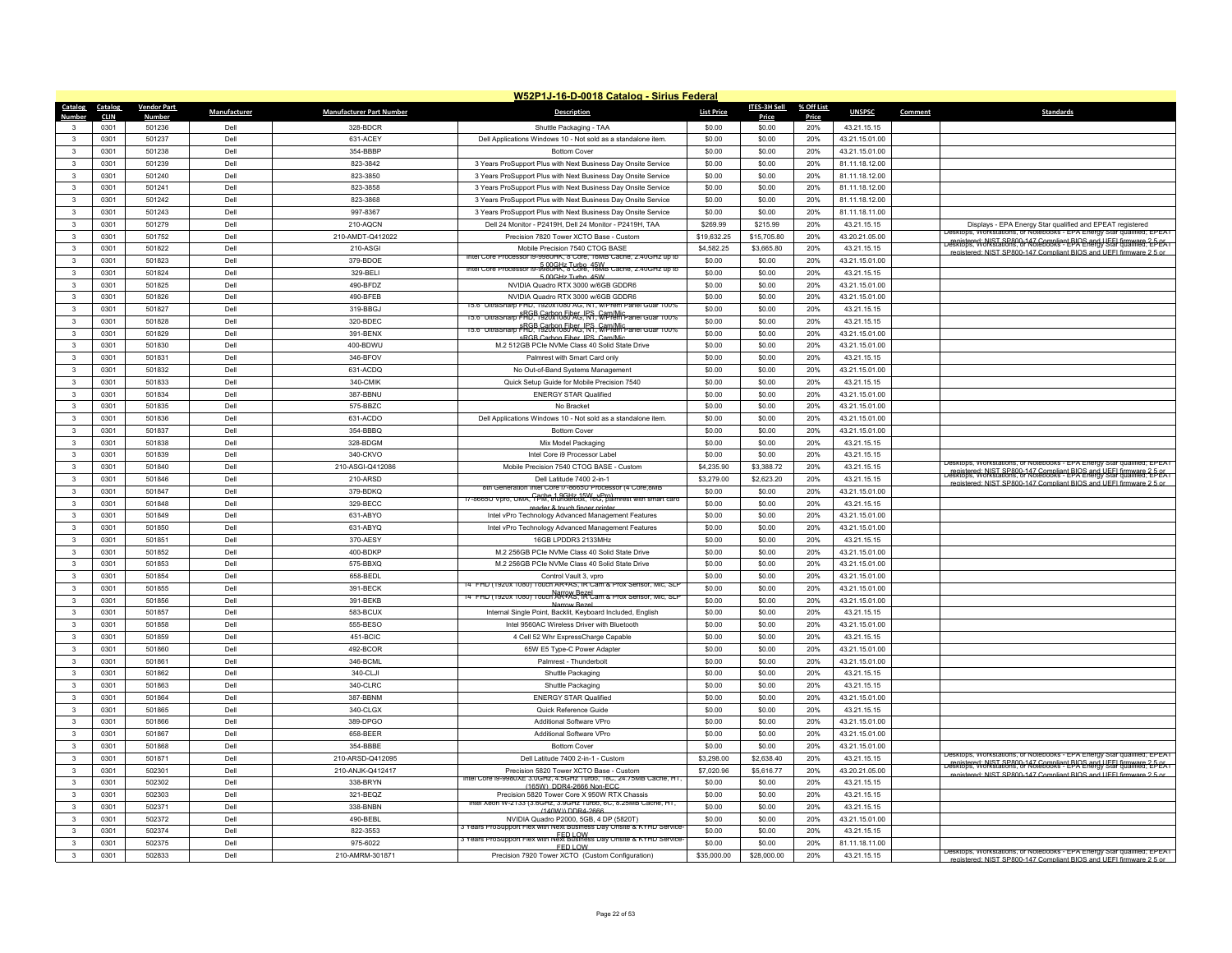|                         | W52P1J-16-D-0018 Catalog - Sirius Federal |                        |              |                                 |                                                                                    |                      |                 |              |                               |         |                                                                                                                                                 |  |
|-------------------------|-------------------------------------------|------------------------|--------------|---------------------------------|------------------------------------------------------------------------------------|----------------------|-----------------|--------------|-------------------------------|---------|-------------------------------------------------------------------------------------------------------------------------------------------------|--|
| Catalog                 | Catalog                                   | <b>Vendor Part</b>     | Manufacturer | <b>Manufacturer Part Number</b> | <b>Description</b>                                                                 | <b>List Price</b>    | ITES-3H Sell    | % Off List   | <b>UNSPSC</b>                 | Comment | <b>Standards</b>                                                                                                                                |  |
| Numhei                  | <b>CLIN</b><br>0301                       | <b>Numbe</b><br>501236 | Dell         | 328-BDCR                        | Shuttle Packaging - TAA                                                            | \$0.00               | Price<br>\$0.00 | Price<br>20% | 43.21.15.15                   |         |                                                                                                                                                 |  |
| $\mathbf{R}$            | 0301                                      | 501237                 | Dell         | 631-ACEY                        | Dell Applications Windows 10 - Not sold as a standalone item.                      | \$0.00               | \$0.00          | 20%          | 43.21.15.01.00                |         |                                                                                                                                                 |  |
| $\mathbf{3}$            | 0301                                      | 501238                 | Dell         | 354-BBBP                        | <b>Bottom Cover</b>                                                                | \$0.00               | \$0.00          | 20%          | 43.21.15.01.00                |         |                                                                                                                                                 |  |
| $\mathbf{3}$            | 0301                                      | 501239                 | Dell         | 823-3842                        | 3 Years ProSupport Plus with Next Business Day Onsite Service                      | \$0.00               | \$0.00          | 20%          | 81.11.18.12.00                |         |                                                                                                                                                 |  |
| $\mathbf{3}$            | 0301                                      | 501240                 | Dell         | 823-3850                        | 3 Years ProSupport Plus with Next Business Day Onsite Service                      | \$0.00               | \$0.00          | 20%          | 81.11.18.12.00                |         |                                                                                                                                                 |  |
| $\mathbf{R}$            | 0301                                      | 501241                 | Dell         | 823-3858                        | 3 Years ProSupport Plus with Next Business Day Onsite Service                      | \$0.00               | \$0.00          | 20%          | 81.11.18.12.00                |         |                                                                                                                                                 |  |
| $\mathbf{3}$            | 0301                                      | 501242                 | Dell         | 823-3868                        | 3 Years ProSupport Plus with Next Business Day Onsite Service                      | \$0.00               | \$0.00          | 20%          | 81.11.18.12.00                |         |                                                                                                                                                 |  |
| $\mathbf{3}$            | 0301                                      | 501243                 | Dell         | 997-8367                        | 3 Years ProSupport Plus with Next Business Day Onsite Service                      | \$0.00               | \$0.00          | 20%          | 81.11.18.11.00                |         |                                                                                                                                                 |  |
| 3                       | 0301                                      | 501279                 | Dell         | 210-AQCN                        | Dell 24 Monitor - P2419H, Dell 24 Monitor - P2419H, TAA                            | \$269.99             | \$215.99        | 20%          | 43.21.15.15                   |         | Displays - EPA Energy Star qualified and EPEAT registered                                                                                       |  |
| $\overline{\mathbf{3}}$ | 0301                                      | 501752                 | Dell         | 210-AMDT-Q412022                | Precision 7820 Tower XCTO Base - Custom                                            | \$19,632.25          | \$15,705.80     | 20%          | 43.20.21.05.00                |         | tops, Workstations, or Notebooks - EPA Energy Star qualified; EPEA                                                                              |  |
| 3                       | 0301                                      | 501822                 | Del          | 210-ASGI                        | Mobile Precision 7540 CTOG BASE                                                    | \$4,582.25           | \$3,665.80      | 20%          | 43.21.15.15                   |         | espistered: NIST SP800-147 Compliant BIQ∧   JEEI firmware 2-P-eA                                                                                |  |
| 3                       | 0301                                      | 501823                 | Dell         | 379-BDOE                        | Intel Core Processor (9-9980HK, 8 Core, 16MB Cache, 2,40GHz up to                  | \$0.00               | \$0.00          | 20%          | 43.21.15.01.00                |         | registered: NIST SP800-147 Compliant RIOS and LIFFL firms<br>are 2.5 or                                                                         |  |
| $\overline{\mathbf{3}}$ | 0301                                      | 501824                 | Dell         | 329-BELI                        | Intel Core Processor is-9980 AK, 8 Cope, 16 MB Cache, 2.4 UGHz up to               | \$0.00               | \$0.00          | 20%          | 43.21.15.15                   |         |                                                                                                                                                 |  |
| 3                       | 0301                                      | 501825                 | Dell         | 490-BFDZ                        | 5.00GHz Turbo 45W<br>NVIDIA Quadro RTX 3000 w/6GB GDDR6                            | \$0.00               | \$0.00          | 20%          | 43.21.15.01.00                |         |                                                                                                                                                 |  |
| $\mathbf{3}$            | 0301                                      | 501826                 | Dell         | 490-BFEB                        | NVIDIA Quadro RTX 3000 w/6GB GDDR6                                                 | \$0.00               | \$0.00          | 20%          | 43.21.15.01.00                |         |                                                                                                                                                 |  |
| $\mathbf{3}$            | 0301                                      | 501827                 | Dell         | 319-BBGJ                        | arp FHD, 1920X1080 AG, NT, W/Prem Pane                                             | \$0.00               | \$0.00          | 20%          | 43.21.15.15                   |         |                                                                                                                                                 |  |
| 3                       | 0301                                      | 501828                 | Dell         | 320-BDEC                        | <u>15.6" UltraSharp RRGB 192020050 RG, IRS, Cam Mic Janel Guar 100%</u>            | \$0.00               | \$0.00          | 20%          | 43.21.15.15                   |         |                                                                                                                                                 |  |
| 3                       | 0301                                      | 501829                 | Dell         | 391-BENX                        | 15.6" UltraSharp FRGP G202050 50 RG RS Capp Mic Panel Guar 100%                    | \$0.00               | \$0.00          | 20%          | 43.21.15.01.00                |         |                                                                                                                                                 |  |
| $\mathbf{3}$            | 0301                                      | 501830                 | Dell         | 400-BDWU                        | sRGB Carbon Fiber IPS Cam/Mic<br>M.2 512GB PCIe NVMe Class 40 Solid State Drive    | \$0.00               | \$0.00          | 20%          | 43.21.15.01.00                |         |                                                                                                                                                 |  |
| 3                       | 0301                                      | 501831                 | Dell         | 346-BFOV                        | Palmrest with Smart Card only                                                      | \$0.00               | \$0.00          | 20%          | 43.21.15.15                   |         |                                                                                                                                                 |  |
| $\mathbf{3}$            | 0301                                      | 501832                 | Dell         | 631-ACDQ                        |                                                                                    | \$0.00               | \$0.00          | 20%          |                               |         |                                                                                                                                                 |  |
| $\mathbf{3}$            | 0301                                      | 501833                 | Dell         | 340-CMIK                        | No Out-of-Band Systems Management                                                  | \$0.00               | \$0.00          | 20%          | 43.21.15.01.00<br>43.21.15.15 |         |                                                                                                                                                 |  |
| $\mathbf{3}$            | 0301                                      | 501834                 | Dell         | 387-BBNU                        | Quick Setup Guide for Mobile Precision 7540<br><b>ENERGY STAR Qualified</b>        | \$0.00               | \$0.00          | 20%          | 43.21.15.01.00                |         |                                                                                                                                                 |  |
| $\mathbf{3}$            | 0301                                      | 501835                 | Dell         | 575-BBZC                        | No Bracket                                                                         | \$0.00               | \$0.00          | 20%          | 43.21.15.01.00                |         |                                                                                                                                                 |  |
| $\mathbf{3}$            | 0301                                      | 501836                 | Dell         | 631-ACDO                        |                                                                                    |                      | \$0.00          | 20%          | 43.21.15.01.00                |         |                                                                                                                                                 |  |
| 3                       | 0301                                      | 501837                 | Dell         | 354-BBBQ                        | Dell Applications Windows 10 - Not sold as a standalone item.                      | \$0.00<br>\$0.00     | \$0.00          | 20%          | 43.21.15.01.00                |         |                                                                                                                                                 |  |
| $\mathbf{3}$            | 0301                                      | 501838                 | Dell         | 328-BDGM                        | <b>Bottom Cover</b><br>Mix Model Packaging                                         | \$0.00               | \$0.00          | 20%          | 43.21.15.15                   |         |                                                                                                                                                 |  |
| $\mathbf{3}$            |                                           |                        | Dell         |                                 |                                                                                    |                      | \$0.00          | 20%          |                               |         |                                                                                                                                                 |  |
| 3                       | 0301<br>0301                              | 501839<br>501840       | Dell         | 340-CKVO<br>210-ASGI-Q412086    | Intel Core i9 Processor Label<br>Mobile Precision 7540 CTOG BASE - Custom          | \$0.00<br>\$4,235.90 | \$3,388.72      | 20%          | 43.21.15.15<br>43.21.15.15    |         | Jesktops, Workstations, or Notebooks - EPA Energy Star qualified; EPEAT                                                                         |  |
| $\overline{\mathbf{3}}$ | 0301                                      | 501846                 | Dell         | 210-ARSD                        | Dell Latitude 7400 2-in-1                                                          | \$3,279.00           | \$2,623.20      | 20%          | 43.21.15.15                   |         | registered: NIST SP800-147 Compliant BIOS and UEEL firmware 2-5-05<br>Desktops, Workstations, or Notebooks - EPA Energy Star qualified; EPEA i  |  |
| $\overline{\mathbf{3}}$ | 0301                                      | 501847                 | Del          | 379-BDKQ                        | 8th Generation Intel Core i/-8665U Processor (4 Core,8ME                           | \$0.00               | \$0.00          | 20%          | 43.21.15.01.00                |         | registered: NIST SP800-147 Compliant BIOS and LIFFI firmware 2.5 or                                                                             |  |
| 3                       | 0301                                      | 501848                 | Dell         | 329-BECC                        | 17-8665U Vpro, UMA, CPM, thunderbolt, 16G, palmrest with smart card                | \$0.00               | \$0.00          | 20%          | 43.21.15.15                   |         |                                                                                                                                                 |  |
| $\mathbf{3}$            | 0301                                      | 501849                 | Dell         | 631-ABYO                        | reader & touch finger printe<br>Intel vPro Technology Advanced Management Features | \$0.00               | \$0.00          | 20%          | 43.21.15.01.00                |         |                                                                                                                                                 |  |
| 3                       | 0301                                      | 501850                 | Dell         | 631-ABYQ                        | Intel vPro Technology Advanced Management Features                                 | \$0.00               | \$0.00          | 20%          | 43.21.15.01.00                |         |                                                                                                                                                 |  |
| 3                       | 0301                                      | 501851                 | Dell         | 370-AESY                        | 16GB LPDDR3 2133MHz                                                                | \$0.00               | \$0.00          | 20%          | 43.21.15.15                   |         |                                                                                                                                                 |  |
| $\mathbf{3}$            | 0301                                      | 501852                 | Dell         | 400-BDKF                        | M.2 256GB PCIe NVMe Class 40 Solid State Drive                                     | \$0.00               | \$0.00          | 20%          | 43.21.15.01.00                |         |                                                                                                                                                 |  |
| 3                       | 0301                                      | 501853                 | Dell         | 575-BBXQ                        | M.2 256GB PCIe NVMe Class 40 Solid State Drive                                     | \$0.00               | \$0.00          | 20%          | 43.21.15.01.00                |         |                                                                                                                                                 |  |
| $\mathbf{3}$            | 0301                                      | 501854                 | Dell         | 658-BEDL                        | Control Vault 3, vpro                                                              | \$0.00               | \$0.00          | 20%          | 43.21.15.01.00                |         |                                                                                                                                                 |  |
| $\mathbf{3}$            | 0301                                      | 501855                 | Dell         | 391-BFCK                        | 14" FHD (1920x 1080)<br>Touch AR+AS. IR Cam & Prox Sensor, Mic. SLF                | \$0.00               | \$0.00          | 20%          | 43.21.15.01.00                |         |                                                                                                                                                 |  |
| $\mathbf{3}$            | 0301                                      | 501856                 | Dell         | 391-BEKB                        | 14" FHD (1920x 1080) Touch ARTAS, IR Cam & Prox Sensor, Mic, SLP                   | \$0.00               | \$0.00          | 20%          | 43.21.15.01.00                |         |                                                                                                                                                 |  |
| 3                       | 0301                                      | 501857                 | Dell         | 583-BCUX                        | Internal Single Point, Backlit, Keyboard Included, English                         | \$0.00               | \$0.00          | 20%          | 43.21.15.15                   |         |                                                                                                                                                 |  |
| $\mathbf{3}$            | 0301                                      | 501858                 | Dell         | 555-BESO                        | Intel 9560AC Wireless Driver with Bluetooth                                        | \$0.00               | \$0.00          | 20%          | 43.21.15.01.00                |         |                                                                                                                                                 |  |
| $\mathbf{3}$            | 0301                                      | 501859                 | Dell         | 451-BCIC                        | 4 Cell 52 Whr ExpressCharge Capable                                                | \$0.00               | \$0.00          | 20%          | 43.21.15.15                   |         |                                                                                                                                                 |  |
| $\mathbf{3}$            | 0301                                      | 501860                 | Dell         | 492-BCOR                        | 65W E5 Type-C Power Adapte                                                         | \$0.00               | \$0.00          | 20%          | 43.21.15.01.00                |         |                                                                                                                                                 |  |
| $\mathbf{3}$            | 0301                                      | 501861                 | Dell         | 346-BCML                        | Palmrest - Thunderbolt                                                             | \$0.00               | \$0.00          | 20%          | 43.21.15.01.00                |         |                                                                                                                                                 |  |
| $\mathbf{3}$            | 0301                                      | 501862                 | Dell         | 340-CLJI                        | Shuttle Packaging                                                                  | \$0.00               | \$0.00          | 20%          | 43.21.15.15                   |         |                                                                                                                                                 |  |
| $\mathbf{3}$            | 0301                                      | 501863                 | Dell         | 340-CLRC                        | Shuttle Packaging                                                                  | \$0.00               | \$0.00          | 20%          | 43.21.15.15                   |         |                                                                                                                                                 |  |
| $\mathbf{R}$            | 0301                                      | 501864                 | Dell         | 387-BBNM                        | <b>ENERGY STAR Qualified</b>                                                       | \$0.00               | \$0.00          | 20%          | 43.21.15.01.00                |         |                                                                                                                                                 |  |
| $\mathbf{3}$            | 0301                                      | 501865                 | Dell         | 340-CLGX                        | Quick Reference Guide                                                              | \$0.00               | \$0.00          | 20%          | 43.21.15.15                   |         |                                                                                                                                                 |  |
| $\mathbf{3}$            | 0301                                      | 501866                 | Dell         | 389-DPGO                        | Additional Software VPro                                                           | \$0.00               | \$0.00          | 20%          | 43.21.15.01.00                |         |                                                                                                                                                 |  |
| $\mathbf{3}$            | 0301                                      | 501867                 | Dell         | 658-BEER                        | Additional Software VPro                                                           | \$0.00               | \$0.00          | 20%          | 43.21.15.01.00                |         |                                                                                                                                                 |  |
| 3                       | 0301                                      | 501868                 | Dell         | 354-BBBE                        | <b>Bottom Cover</b>                                                                | \$0.00               | \$0.00          | 20%          | 43.21.15.01.00                |         |                                                                                                                                                 |  |
| $\mathbf{3}$            | 0301                                      | 501871                 | Dell         | 210-ARSD-Q412095                | Dell Latitude 7400 2-in-1 - Custom                                                 | \$3,298.00           | \$2,638.40      | 20%          | 43.21.15.15                   |         | Desktops, Workstations, or Notebooks - EPA Energy Star qualified; EPEAT                                                                         |  |
| $\mathbf{3}$            | 0301                                      | 502301                 | Dell         | 210-ANJK-Q412417                | Precision 5820 Tower XCTO Base - Custom                                            | \$7,020.96           | \$5,616.77      | 20%          | 43.20.21.05.00                |         | registered: NIST SP800-147 Compliant BIOS and UEEL firmware 2-5-05.<br>Desktops, Workstations, or Notebooks - EPA Energy Star qualified; EPEA i |  |
| 3                       | 0301                                      | 502302                 | Dell         | 338-BRYN                        | , Intel Core i9-9980XE 3.0GHz, 4.5GHz Turbo, 18C, 24.75MB Cache, HT                | \$0.00               | \$0.00          | 20%          | 43.21.15.15                   |         | registered: NIST SP800-147 Compliant BIOS and UFFI firmware 2.5 or                                                                              |  |
| $\overline{\mathbf{3}}$ | 0301                                      | 502303                 | Dell         | 321-BEQZ                        | (165W) DDR4-2666 Non-EC0<br>Precision 5820 Tower Core X 950W RTX Chassis           | \$0.00               | \$0.00          | 20%          | 43.21.15.15                   |         |                                                                                                                                                 |  |
| $\mathbf{3}$            | 0301                                      | 502371                 | Dell         | 338-BNBN                        | Intel Xeon W-2133 (3.6GHz, 3.9GHz Turbo, 6C, 8.25MB Cache, HT,                     | \$0.00               | \$0.00          | 20%          | 43.21.15.15                   |         |                                                                                                                                                 |  |
| 3                       | 0301                                      | 502372                 | Dell         | 490-BFBI                        | (140W)) DDR4-2666<br>NVIDIA Quadro P2000, 5GB, 4 DP (5820T)                        | \$0.00               | \$0.00          | 20%          | 43.21.15.01.00                |         |                                                                                                                                                 |  |
| $\mathbf{R}$            | 0301                                      | 502374                 | Dell         | 822-3553                        | Years ProSupport Flex with Next Business Day Onsite & KYHD Service                 | \$0.00               | \$0.00          | 20%          | 43.21.15.15                   |         |                                                                                                                                                 |  |
|                         | 0301                                      | 502375                 | <b>Del</b>   | 975-6022                        | FED LOW<br>Tears ProSupport Flex with Next Business Day Onsite & KYHD Service      | \$0.00               | \$0.00          | 20%          | 81.11.18.11.00                |         |                                                                                                                                                 |  |
| 3                       | 0301                                      | 502833                 | Dell         | 210-AMRM-301871                 | FED LOW<br>Precision 7920 Tower XCTO (Custom Configuration)                        | \$35,000.00          | \$28,000.00     | 20%          | 43.21.15.15                   |         | Desktops, Workstations, or Notebooks - EPA Energy Star qualified; EPEAT                                                                         |  |
|                         |                                           |                        |              |                                 |                                                                                    |                      |                 |              |                               |         | registered: NIST SP800-147 Compliant RIOS and LIFFI firmware 2.5 or                                                                             |  |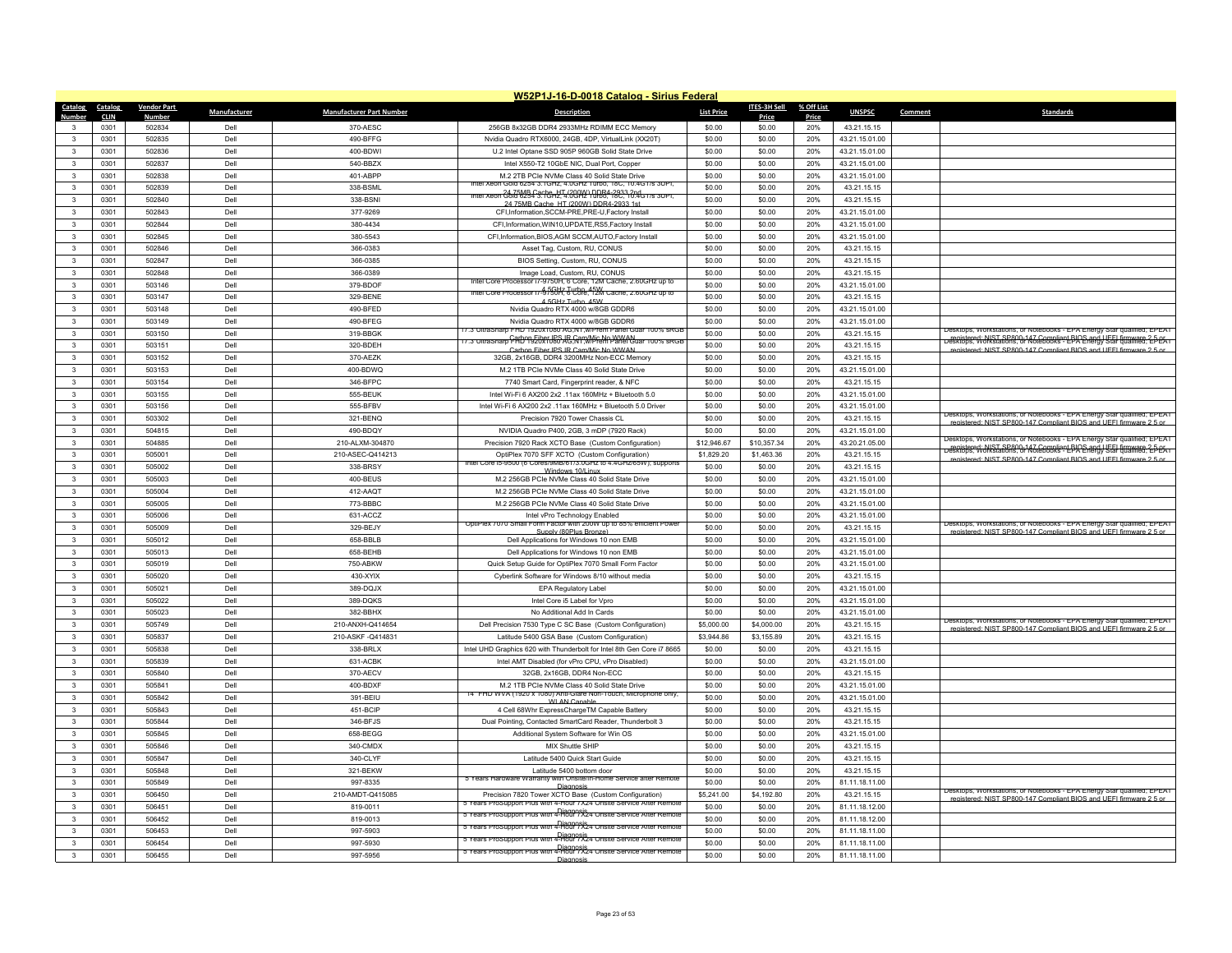|                   | W52P1J-16-D-0018 Catalog - Sirius Federal |                    |              |                                 |                                                                                                                               |                   |                  |            |                |                                                                                                                                               |  |  |
|-------------------|-------------------------------------------|--------------------|--------------|---------------------------------|-------------------------------------------------------------------------------------------------------------------------------|-------------------|------------------|------------|----------------|-----------------------------------------------------------------------------------------------------------------------------------------------|--|--|
| Catalog Catalog   |                                           | <b>Vendor Part</b> | Manufacturer | <b>Manufacturer Part Number</b> | <b>Description</b>                                                                                                            | <b>List Price</b> | ITES-3H Sell     | % Off List | <b>UNSPSC</b>  | <b>Standards</b><br>Comment                                                                                                                   |  |  |
| Number            | <b>CLIN</b>                               | <b>Number</b>      |              |                                 |                                                                                                                               |                   | Price            | Price      |                |                                                                                                                                               |  |  |
| 3<br>$\mathbf{R}$ | 0301<br>0301                              | 502834<br>502835   | Dell<br>Dell | 370-AESC<br>490-BFFG            | 256GB 8x32GB DDR4 2933MHz RDIMM ECC Memory<br>Nvidia Quadro RTX6000, 24GB, 4DP, VirtualLink (XX20T)                           | \$0.00<br>\$0.00  | \$0.00<br>\$0.00 | 20%<br>20% | 43.21.15.15    |                                                                                                                                               |  |  |
| $\mathbf{3}$      |                                           | 502836             | Dell         | 400-BDWI                        |                                                                                                                               |                   |                  | 20%        | 43.21.15.01.00 |                                                                                                                                               |  |  |
|                   | 0301                                      |                    |              |                                 | U.2 Intel Optane SSD 905P 960GB Solid State Drive                                                                             | \$0.00            | \$0.00           |            | 43.21.15.01.00 |                                                                                                                                               |  |  |
| $\mathbf{3}$      | 0301                                      | 502837             | Dell         | 540-BBZX                        | Intel X550-T2 10GbE NIC, Dual Port, Copper                                                                                    | \$0.00            | \$0.00           | 20%        | 43.21.15.01.00 |                                                                                                                                               |  |  |
| $\mathbf{R}$      | 0301                                      | 502838             | Dell         | 401-ABPP                        | M.2 2TB PCle NVMe Class 40 Solid State Drive<br>1/6254 3.1GHZ, 4.0GHZ TUIDO, 18C, 10.4GT/S                                    | \$0.00            | \$0.00           | 20%        | 43.21.15.01.00 |                                                                                                                                               |  |  |
| 3                 | 0301                                      | 502839             | Dell         | 338-BSML                        | Intel Xeon Cold 6254 3.1GHz, 4.0CHz 10DB4-2933.2nd Jrs 3UPI,                                                                  | \$0.00            | \$0.00           | 20%        | 43.21.15.15    |                                                                                                                                               |  |  |
| 3                 | 0301                                      | 502840             | Dell         | 338-BSNI                        | 24 75MR Cache, HT (200W) DDR4-2933 1st                                                                                        | \$0.00            | \$0.00           | 20%        | 43.21.15.15    |                                                                                                                                               |  |  |
| $\mathbf{R}$      | 0301                                      | 502843             | Dell         | 377-9269                        | CFI.Information.SCCM-PRE.PRE-U.Factory Install                                                                                | \$0.00            | \$0.00           | 20%        | 43.21.15.01.00 |                                                                                                                                               |  |  |
| 3                 | 0301                                      | 502844             | Dell         | 380-4434                        | CFI, Information, WIN10, UPDATE, RS5, Factory Install                                                                         | \$0.00            | \$0.00           | 20%        | 43.21.15.01.00 |                                                                                                                                               |  |  |
| $\mathbf{3}$      | 0301                                      | 502845             | Dell         | 380-5543                        | CFI, Information, BIOS, AGM SCCM, AUTO, Factory Install                                                                       | \$0.00            | \$0.00           | 20%        | 43.21.15.01.00 |                                                                                                                                               |  |  |
| $\mathbf{3}$      | 0301                                      | 502846             | Dell         | 366-0383                        | Asset Tag, Custom, RU, CONUS                                                                                                  | \$0.00            | \$0.00           | 20%        | 43.21.15.15    |                                                                                                                                               |  |  |
| 3                 | 0301                                      | 502847             | Dell         | 366-0385                        | BIOS Setting, Custom, RU, CONUS                                                                                               | \$0.00            | \$0.00           | 20%        | 43.21.15.15    |                                                                                                                                               |  |  |
| $\mathbf{3}$      | 0301                                      | 502848             | Dell         | 366-0389                        | Image Load, Custom, RU, CONUS<br>Intel Core Processor i/-9/50H, 6 Core, 12M Cache, 2.60GHz up to                              | \$0.00            | \$0.00           | 20%        | 43.21.15.15    |                                                                                                                                               |  |  |
| $\mathbf{3}$      | 0301                                      | 503146             | Dell         | 379-BDOF                        | intel Core Processor i7-9750H, 6 Core, 12M Cache, 2.60GHz up to                                                               | \$0.00            | \$0.00           | 20%        | 43.21.15.01.00 |                                                                                                                                               |  |  |
| 3                 | 0301                                      | 503147             | Dell         | 329-RENE                        | 4.5GHz Turbo 45W                                                                                                              | \$0.00            | \$0.00           | 20%        | 43.21.15.15    |                                                                                                                                               |  |  |
| $\mathbf{3}$      | 0301                                      | 503148             | Dell         | 490-BFED                        | Nvidia Quadro RTX 4000 w/8GB GDDR6                                                                                            | \$0.00            | \$0.00           | 20%        | 43.21.15.01.00 |                                                                                                                                               |  |  |
| 3                 | 0301                                      | 503149             | Dell         | 490-BFEG                        | Nvidia Quadro RTX 4000 w/8GB GDDR6<br>17.3"UltraSharp FHD 1920x1080 AG,NT,w/Prem Panel Guar 100% sRGE                         | \$0.00            | \$0.00           | 20%        | 43.21.15.01.00 | Desktops, Workstations, or Notebooks - EPA Energy Star qualified; EPEAT                                                                       |  |  |
| 3                 | 0301                                      | 503150             | Dell         | 319-BBGK                        | 7.3"Ultrasharp Carbon Fiber JPS IR Cam/Mic No WWAN                                                                            | \$0.00            | \$0.00           | 20%        | 43.21.15.15    | registered: NIST SP800-147 Compliant BIOS and UEEL firmware 2-5-1-<br>Desktops, Workstations, or Notebooks - EPA Energy Star qualified; EPEAT |  |  |
| $\mathbf{3}$      | 0301                                      | 503151             | Dell         | 320-BDEH                        | Carbon Fiber IPS IR Cam/Mic No WWAN                                                                                           | \$0.00            | \$0.00           | 20%        | 43.21.15.15    | registered: NIST SP800-147 Compliant BIOS and UFFI firmware 2.5 or                                                                            |  |  |
| 3                 | 0301                                      | 503152             | Dell         | 370-AEZK                        | 32GB, 2x16GB, DDR4 3200MHz Non-ECC Memory                                                                                     | \$0.00            | \$0.00           | 20%        | 43.21.15.15    |                                                                                                                                               |  |  |
| 3                 | 0301                                      | 503153             | Dell         | 400-BDWQ                        | M.2 1TB PCIe NVMe Class 40 Solid State Drive                                                                                  | \$0.00            | \$0.00           | 20%        | 43.21.15.01.00 |                                                                                                                                               |  |  |
| $\mathbf{3}$      | 0301                                      | 503154             | Dell         | 346-BFPC                        | 7740 Smart Card, Fingerprint reader, & NFC                                                                                    | \$0.00            | \$0.00           | 20%        | 43.21.15.15    |                                                                                                                                               |  |  |
| 3                 | 0301                                      | 503155             | Dell         | 555-BEUK                        | Intel Wi-Fi 6 AX200 2x2 .11ax 160MHz + Bluetooth 5.0                                                                          | \$0.00            | \$0.00           | 20%        | 43.21.15.01.00 |                                                                                                                                               |  |  |
| 3                 | 0301                                      | 503156             | Dell         | 555-BFBV                        | Intel Wi-Fi 6 AX200 2x2 .11ax 160MHz + Bluetooth 5.0 Driver                                                                   | \$0.00            | \$0.00           | 20%        | 43.21.15.01.00 | Jesktops, Workstations, or Notebooks - EPA Energy Star qualified; EPEAT                                                                       |  |  |
| $\mathbf{3}$      | 0301                                      | 503302             | Dell         | 321-BENQ                        | Precision 7920 Tower Chassis CL                                                                                               | \$0.00            | \$0.00           | 20%        | 43.21.15.15    | d: NIST SP800-147 Compliant RIOS and LIFFL firm                                                                                               |  |  |
| 3                 | 0301                                      | 504815             | Dell         | 490-BDQY                        | NVIDIA Quadro P400, 2GB, 3 mDP (7920 Rack)                                                                                    | \$0.00            | \$0.00           | 20%        | 43.21.15.01.00 | Desktops, Workstations, or Notebooks - EPA Energy Star qualified; EPEAT                                                                       |  |  |
| $\mathbf{3}$      | 0301                                      | 504885             | Dell         | 210-ALXM-304870                 | Precision 7920 Rack XCTO Base (Custom Configuration)                                                                          | \$12,946.67       | \$10,357.34      | 20%        | 43.20.21.05.00 | registered: NIST SP800-147 Compliant BIOS and UFEL firmware 2-DeSktops, Workstations, or Notebooks - EPA Energy Star qualified; EDEAT         |  |  |
| $\mathbf{3}$      | 0301                                      | 505001             | Dell         | 210-ASEC-Q414213                | OptiPlex 7070 SFF XCTO (Custom Configuration)<br>ntel Core i5-9500 (6 Cores/9MB/61/3.0GHz to 4.4GHz/65W); supports            | \$1,829.20        | \$1,463.36       | 20%        | 43.21.15.15    | registered: NIST SP800-147 Compliant BIOS and UFFI firmware 2.5 or                                                                            |  |  |
| $\mathbf{3}$      | 0301                                      | 505002             | Dell         | 338-BRSY                        | Windows 10/Linux                                                                                                              | \$0.00            | \$0.00           | 20%        | 43.21.15.15    |                                                                                                                                               |  |  |
| 3                 | 0301                                      | 505003             | Dell         | 400-BEUS                        | M.2 256GB PCIe NVMe Class 40 Solid State Drive                                                                                | \$0.00            | \$0.00           | 20%        | 43.21.15.01.00 |                                                                                                                                               |  |  |
| $\mathbf{3}$      | 0301                                      | 505004             | Dell         | 412-AAQT                        | M.2 256GB PCIe NVMe Class 40 Solid State Drive                                                                                | \$0.00            | \$0.00           | 20%        | 43.21.15.01.00 |                                                                                                                                               |  |  |
| 3                 | 0301                                      | 505005             | Dell         | 773-BBBC                        | M.2 256GB PCIe NVMe Class 40 Solid State Drive                                                                                | \$0.00            | \$0.00           | 20%        | 43.21.15.01.00 |                                                                                                                                               |  |  |
| $\mathbf{3}$      | 0301                                      | 505006             | Dell         | 631-ACCZ                        | Intel vPro Technology Enabled<br>OptiPlex 7070 Small Form Factor with 200W up to 85% efficient Power                          | \$0.00            | \$0.00           | 20%        | 43.21.15.01.00 | Desktops, Workstations, or Notebooks - EPA Energy Star qualified; EPEAT                                                                       |  |  |
| $\mathbf{3}$      | 0301                                      | 505009             | Dell         | 329-BEJY                        | Supply (80Plus Bronze)                                                                                                        | \$0.00            | \$0.00           | 20%        | 43.21.15.15    | registered: NIST SP800-147 Compliant BIOS and UFFI firmware 2.5 or                                                                            |  |  |
| 3                 | 0301                                      | 505012             | Dell         | 658-BBLB                        | Dell Applications for Windows 10 non EMB                                                                                      | \$0.00            | \$0.00           | 20%        | 43.21.15.01.00 |                                                                                                                                               |  |  |
| $\mathbf{3}$      | 0301                                      | 505013             | Dell         | 658-BEHB                        | Dell Applications for Windows 10 non EMB                                                                                      | \$0.00            | \$0.00           | 20%        | 43.21.15.01.00 |                                                                                                                                               |  |  |
| 3                 | 0301                                      | 505019             | Dell         | 750-ABKW                        | Quick Setup Guide for OptiPlex 7070 Small Form Factor                                                                         | \$0.00            | \$0.00           | 20%        | 43.21.15.01.00 |                                                                                                                                               |  |  |
| 3                 | 0301                                      | 505020             | Dell         | 430-XYIX                        | Cyberlink Software for Windows 8/10 without media                                                                             | \$0.00            | \$0.00           | 20%        | 43.21.15.15    |                                                                                                                                               |  |  |
| $\mathbf{3}$      | 0301                                      | 505021             | Dell         | 389-DQJX                        | <b>EPA Regulatory Label</b>                                                                                                   | \$0.00            | \$0.00           | 20%        | 43.21.15.01.00 |                                                                                                                                               |  |  |
| 3                 | 0301                                      | 505022             | Dell         | 389-DQKS                        | Intel Core i5 Label for Vpro                                                                                                  | \$0.00            | \$0.00           | 20%        | 43.21.15.01.00 |                                                                                                                                               |  |  |
| 3                 | 0301                                      | 505023             | Dell         | 382-BBHX                        | No Additional Add In Cards                                                                                                    | \$0.00            | \$0.00           | 20%        | 43.21.15.01.00 | Desktops, Workstations, or Notebooks - EPA Energy Star qualified; EPEAT                                                                       |  |  |
| $\mathbf{3}$      | 0301                                      | 505749             | Dell         | 210-ANXH-Q414654                | Dell Precision 7530 Type C SC Base (Custom Configuration)                                                                     | \$5,000.00        | \$4,000.00       | 20%        | 43.21.15.15    | enistered: NIST SP800-147 Compliant BIOS and LIFFI firmware 2.5 or                                                                            |  |  |
| 3                 | 0301                                      | 505837             | Dell         | 210-ASKF -Q414831               | Latitude 5400 GSA Base (Custom Configuration)                                                                                 | \$3,944.86        | \$3,155.89       | 20%        | 43.21.15.15    |                                                                                                                                               |  |  |
| 3                 | 0301                                      | 505838             | Dell         | 338-BRLX                        | Intel UHD Graphics 620 with Thunderbolt for Intel 8th Gen Core i7 8665                                                        | \$0.00            | \$0.00           | 20%        | 43.21.15.15    |                                                                                                                                               |  |  |
| $\mathbf{3}$      | 0301                                      | 505839             | Dell         | 631-ACBK                        | Intel AMT Disabled (for vPro CPU, vPro Disabled)                                                                              | \$0.00            | \$0.00           | 20%        | 43.21.15.01.00 |                                                                                                                                               |  |  |
| $\mathbf{3}$      | 0301                                      | 505840             | Dell         | 370-AECV                        | 32GB, 2x16GB, DDR4 Non-ECC                                                                                                    | \$0.00            | \$0.00           | 20%        | 43.21.15.15    |                                                                                                                                               |  |  |
| 3                 | 0301                                      | 505841             | Dell         | 400-BDXF                        | M.2 1TB PCIe NVMe Class 40 Solid State Drive<br>14" FHD WVA (1920 x 1080) Anti-Glare Non-Touch, Microphone only,              | \$0.00            | \$0.00           | 20%        | 43.21.15.01.00 |                                                                                                                                               |  |  |
| $\mathbf{3}$      | 0301                                      | 505842             | Dell         | 391-BEIU                        | WI AN Capable                                                                                                                 | \$0.00            | \$0.00           | 20%        | 43.21.15.01.00 |                                                                                                                                               |  |  |
| $\mathbf{3}$      | 0301                                      | 505843             | Dell         | 451-BCIP                        | 4 Cell 68Whr ExpressChargeTM Capable Battery                                                                                  | \$0.00            | \$0.00           | 20%        | 43.21.15.15    |                                                                                                                                               |  |  |
| $\mathbf{3}$      | 0301                                      | 505844             | Dell         | 346-BFJS                        | Dual Pointing, Contacted SmartCard Reader, Thunderbolt 3                                                                      | \$0.00            | \$0.00           | 20%        | 43.21.15.15    |                                                                                                                                               |  |  |
| $\mathbf{3}$      | 0301                                      | 505845             | Dell         | 658-BEGG                        | Additional System Software for Win OS                                                                                         | \$0.00            | \$0.00           | 20%        | 43.21.15.01.00 |                                                                                                                                               |  |  |
| $\mathbf{3}$      | 0301                                      | 505846             | Dell         | 340-CMDX                        | MIX Shuttle SHIP                                                                                                              | \$0.00            | \$0.00           | 20%        | 43.21.15.15    |                                                                                                                                               |  |  |
| 3                 | 0301                                      | 505847             | Dell         | 340-CLYF                        | Latitude 5400 Quick Start Guide                                                                                               | \$0.00            | \$0.00           | 20%        | 43.21.15.15    |                                                                                                                                               |  |  |
| $\mathbf{R}$      | 0301                                      | 505848             | Dell         | 321-BEKW                        | Latitude 5400 bottom door<br>5 Years Hardware Warranty with Onsite/In-Home Service after Remote                               | \$0.00            | \$0.00           | 20%        | 43.21.15.15    |                                                                                                                                               |  |  |
| 3                 | 0301                                      | 505849             | Dell         | 997-8335                        | Diganoe                                                                                                                       | \$0.00            | \$0.00           | 20%        | 81.11.18.11.00 | Desktops, Workstations, or Notebooks - EPA Energy Star qualified; EPEAT                                                                       |  |  |
| $\mathbf{3}$      | 0301                                      | 506450             | Dell         | 210-AMDT-Q415085                | Precision 7820 Tower XCTO Base (Custom Configuration)<br>5 Years ProSupport Plus with 4-Hour /X24 Onsite Service After Remote | \$5,241.00        | \$4,192.80       | 20%        | 43.21.15.15    | registered: NIST SP800-147 Compliant RIOS and LIEEL firmware 2.5 or                                                                           |  |  |
| $\mathbf{R}$      | 0301                                      | 506451             | Dell         | 819-0011                        | 5 Years ProSupport Plus with 4-Hour / X24 Onsite Service After Remote                                                         | \$0.00            | \$0.00           | 20%        | 81.11.18.12.00 |                                                                                                                                               |  |  |
| 3                 | 0301                                      | 506452             | Dell         | 819-0013                        | Diagnosis<br>S Years ProSupport Plus with 4-Hour /X24 Onsite Service After Remote                                             | \$0.00            | \$0.00           | 20%        | 81.11.18.12.00 |                                                                                                                                               |  |  |
| $\mathbf{3}$      | 0301                                      | 506453             | Dell         | 997-5903                        | Diagnosis<br>S Years ProSupport Plus with 4-Hour /X24 Onsite Service After Remote                                             | \$0.00            | \$0.00           | 20%        | 81.11.18.11.00 |                                                                                                                                               |  |  |
| 3                 | 0301                                      | 506454             | Dell         | 997-5930                        | 5 Years ProSupport Plus with 4-Hour 7X24 Onsite Service After Remote                                                          | \$0.00            | \$0.00           | 20%        | 81.11.18.11.00 |                                                                                                                                               |  |  |
| 3                 | 0301                                      | 506455             | Dell         | 997-5956                        | Diagnosis                                                                                                                     | \$0.00            | \$0.00           | 20%        | 81.11.18.11.00 |                                                                                                                                               |  |  |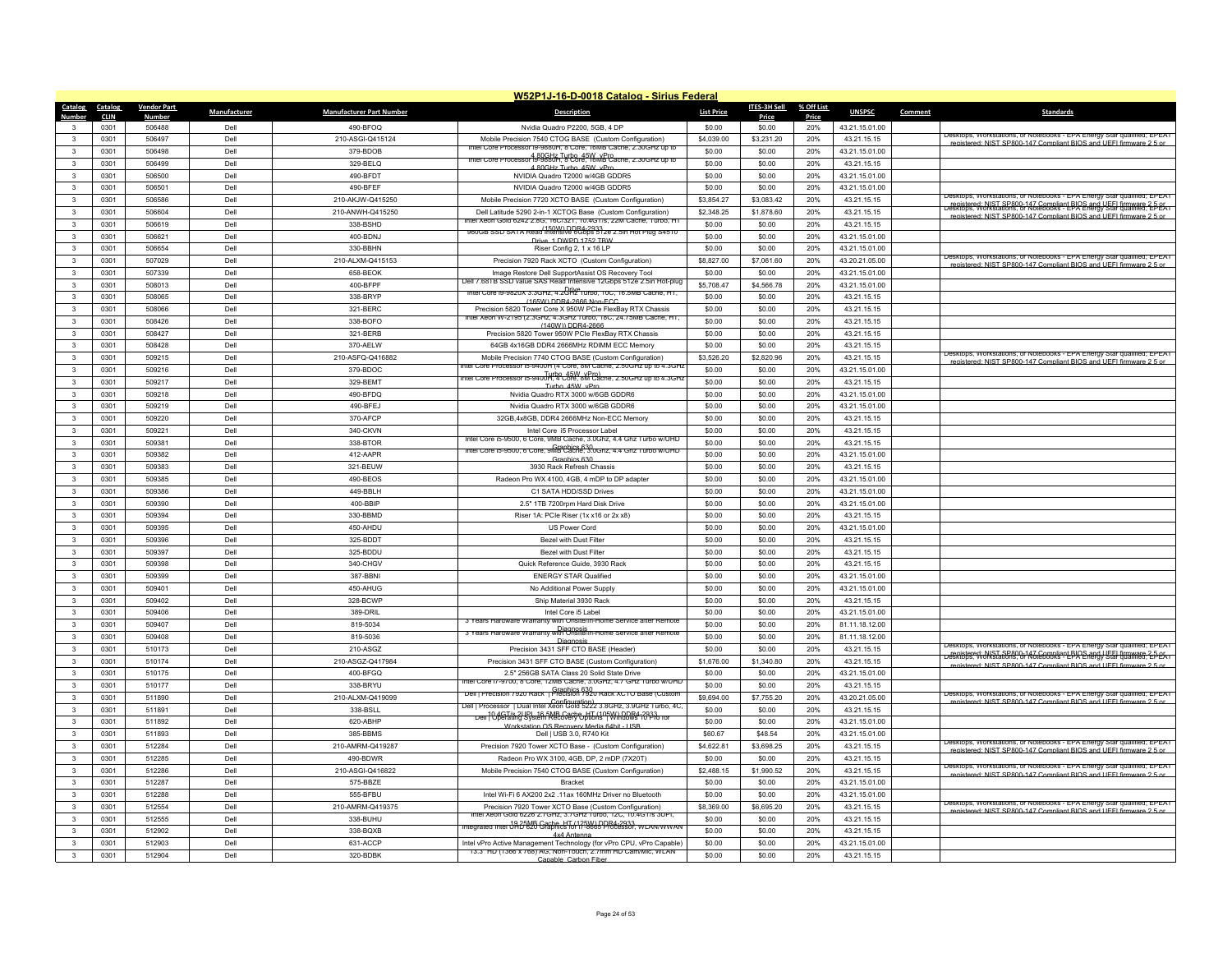|                                         | W52P1J-16-D-0018 Catalog - Sirius Federal |                    |              |                                 |                                                                                                                                     |                       |                       |            |                                  |         |                                                                                                                                                  |
|-----------------------------------------|-------------------------------------------|--------------------|--------------|---------------------------------|-------------------------------------------------------------------------------------------------------------------------------------|-----------------------|-----------------------|------------|----------------------------------|---------|--------------------------------------------------------------------------------------------------------------------------------------------------|
| Catalog                                 | Catalog                                   | <b>Vendor Part</b> | Manufacturer | <b>Manufacturer Part Number</b> | <b>Description</b>                                                                                                                  | <b>List Price</b>     | <b>ITES-3H Sell</b>   | % Off List | <b>UNSPSC</b>                    | Comment | Standard:                                                                                                                                        |
| Numhei                                  | <b>CLIN</b>                               | Numbe<br>506488    | Dell         | 490-BFOO                        |                                                                                                                                     | \$0.00                | Price<br>\$0.00       | Price      |                                  |         |                                                                                                                                                  |
| $\mathbf{R}$                            | 0301<br>0301                              | 506497             | Dell         |                                 | Nvidia Quadro P2200, 5GB, 4 DP                                                                                                      | \$4,039.00            | \$3,231.20            | 20%<br>20% | 43.21.15.01.00                   |         | Desktops, Workstations, or Notebooks - EPA Energy Star qualified; EPEAT                                                                          |
| 3                                       | 0301                                      | 506498             | Dell         | 210-ASGI-Q415124<br>379-BDOB    | Mobile Precision 7540 CTOG BASE (Custom Configuration)<br>Intel Core Processor i9-9880H, 8 Core, 16MB Cache, 2.30GHz up to          | \$0.00                | \$0.00                | 20%        | 43.21.15.15<br>43.21.15.01.00    |         | ered: NIST SP800-147 Compliant BIOS and LIFFL firm                                                                                               |
| $\mathbf{3}$                            | 0301                                      | 506499             | Dell         | 329-BELO                        | Intel Core Processor 19-9880Hz Turbo, 45W, vPro-                                                                                    | \$0.00                | \$0.00                | 20%        | 43.21.15.15                      |         |                                                                                                                                                  |
| $\mathbf{R}$                            | 0301                                      | 506500             | Dell         | 490-BFDT                        | 4 80GHz Turbo 45W vPro<br>NVIDIA Quadro T2000 w/4GB GDDR5                                                                           | \$0.00                | \$0.00                | 20%        | 43.21.15.01.00                   |         |                                                                                                                                                  |
| $\mathbf{R}$                            | 0301                                      | 506501             | Dell         | 490-REEF                        | NVIDIA Quadro T2000 w/4GB GDDR5                                                                                                     | \$0.00                | \$0.00                | 20%        | 43 21 15 01 00                   |         |                                                                                                                                                  |
| $\mathbf{3}$                            | 0301                                      | 506586             | Dell         | 210-AKJW-Q415250                | Mobile Precision 7720 XCTO BASE (Custom Configuration)                                                                              | \$3,854.27            | \$3,083.42            | 20%        | 43.21.15.15                      |         | Desktops, Workstations, or Notebooks - EPA Energy Star qualified; EPEAT                                                                          |
| $\mathbf{3}$                            | 0301                                      | 506604             | Dell         | 210-ANWH-Q415250                | Dell Latitude 5290 2-in-1 XCTOG Base (Custom Configuration)                                                                         | \$2,348.25            | \$1,878.60            | 20%        | 43.21.15.15                      |         | registered: NIST SP800-147 Compliant BIOS and UFEL firmware 2-5-05.<br>Desktops, Workstations, or Notebooks - EPA Energy Stal dualities: 2-5-05. |
| 3                                       | 0301                                      | 506619             | Dell         | 338-BSHD                        | Intel Xeon Gold 6242 2.8G, 16C/32T, 10.4GT/s, 22M Cache, Turbo, HT                                                                  | \$0.00                | \$0.00                | 20%        | 43.21.15.15                      |         | registered: NIST SP800-147 Compliant BIOS and UFFI firmware 2.5 or                                                                               |
| $\overline{\mathbf{3}}$                 | 0301                                      | 506621             | Dell         | 400-BDNJ                        | 150W) DDR4-2933<br>960GB SSD SATA Read Intensive 6Gbps 512e 2.5in Hot Plug S4510                                                    | \$0.00                | \$0.00                | 20%        | 43.21.15.01.00                   |         |                                                                                                                                                  |
|                                         |                                           |                    |              |                                 | Drive 1 DWPD 1752 TBW                                                                                                               |                       |                       |            |                                  |         |                                                                                                                                                  |
| 3<br>$\mathbf{R}$                       | 0301<br>0301                              | 506654<br>507029   | Del<br>Dell  | 330-BBHN<br>210-ALXM-Q415153    | Riser Config 2, 1 x 16 LP<br>Precision 7920 Rack XCTO (Custom Configuration)                                                        | \$0.00<br>\$8,827.00  | \$0.00<br>\$7,061.60  | 20%<br>20% | 43.21.15.01.00<br>43.20.21.05.00 |         | Desktops, Workstations, or Notebooks - EPA Energy Star qualified; EPEAT                                                                          |
| $\mathbf{R}$                            | 0301                                      | 507339             | Dell         | 658-BEOK                        | Image Restore Dell SupportAssist OS Recovery Tool                                                                                   | \$0.00                | \$0.00                | 20%        | 43.21.15.01.00                   |         | registered: NIST SP800-147 Compliant BIOS and HEEL firmware 2.5 or                                                                               |
| 3                                       | 0301                                      | 508013             | Del          | 400-BFPF                        | Dell 7.68TB SSD value SAS Read Intensive 12Gbps 512e 2.5in Hot-plug                                                                 | \$5,708.47            | \$4,566.78            | 20%        |                                  |         |                                                                                                                                                  |
|                                         |                                           | 508065             | Del          |                                 | Thtel Core 19-9820X 3.3GHz, 4.2GHz Turbo, 10C, 16.5MB Cache, HT,                                                                    |                       |                       |            | 43.21.15.01.00                   |         |                                                                                                                                                  |
| $\mathbf{3}$<br>$\mathbf{3}$            | 0301                                      | 508066             | Dell         | 338-BRYP                        | (165W) DDR4-2666 Non-ECC<br>Precision 5820 Tower Core X 950W PCIe FlexBay RTX Chassis                                               | \$0.00                | \$0.00                | 20%        | 43.21.15.15                      |         |                                                                                                                                                  |
| 3                                       | 0301<br>0301                              | 508426             | Dell         | 321-BERC<br>338-BOFO            | intel Xeon W-2195 (2.3GHz, 4.3GHz Turbo, 18C, 24.75MB Cache, HT                                                                     | \$0.00<br>\$0.00      | \$0.00<br>\$0.00      | 20%<br>20% | 43.21.15.15<br>43.21.15.15       |         |                                                                                                                                                  |
|                                         |                                           | 508427             | Dell         | 321-BERB                        | (140W)) DDR4-2666                                                                                                                   | \$0.00                | \$0.00                |            |                                  |         |                                                                                                                                                  |
| 3                                       | 0301<br>0301                              | 508428             | Dell         |                                 | Precision 5820 Tower 950W PCIe FlexBay RTX Chassis<br>64GB 4x16GB DDR4 2666MHz RDIMM FCC Memory                                     | \$0.00                | \$0.00                | 20%<br>20% | 43.21.15.15                      |         |                                                                                                                                                  |
| 3                                       |                                           |                    |              | 370-AELW                        |                                                                                                                                     |                       |                       |            | 43.21.15.15                      |         | Desktops, Workstations, or Notebooks - EPA Energy Star qualified; EPEA I                                                                         |
| 3                                       | 0301                                      | 509215             | Dell         | 210-ASFQ-Q416882                | Mobile Precision 7740 CTOG BASE (Custom Configuration)<br>tel Core Processor in-9400H (4 Core, 8M Cache, 2,50GHz up to 4,3GF        | \$3,526.20            | \$2,820.96            | 20%        | 43.21.15.15                      |         | registered: NIST SP800-147 Compliant BIOS and UFFI firmware 2.5 or                                                                               |
| $\mathbf{3}$<br>3                       | 0301                                      | 509216             | Dell<br>Dell | 379-BDOC                        | ntel Core Processor is-940UH, 4 Core, 8M Cache, 2.50GHz up to 4.3GH.                                                                | \$0.00                | \$0.00                | 20%        | 43.21.15.01.00                   |         |                                                                                                                                                  |
|                                         | 0301                                      | 509217             |              | 329-BEMT                        | Turbo 45W vPn                                                                                                                       | \$0.00                | \$0.00                | 20%        | 43.21.15.15                      |         |                                                                                                                                                  |
| 3                                       | 0301                                      | 509218             | Dell         | 490-BFDQ                        | Nvidia Quadro RTX 3000 w/6GB GDDR6                                                                                                  | \$0.00                | \$0.00                | 20%        | 43.21.15.01.00                   |         |                                                                                                                                                  |
| 3                                       | 0301                                      | 509219             | Dell         | 490-BFEJ                        | Nvidia Quadro RTX 3000 w/6GB GDDR6                                                                                                  | \$0.00                | \$0.00                | 20%        | 43.21.15.01.00                   |         |                                                                                                                                                  |
| 3                                       | 0301<br>0301                              | 509220             | Dell<br>Dell | 370-AFCP<br>340-CKVN            | 32GB,4x8GB, DDR4 2666MHz Non-ECC Memory<br>Intel Core i5 Processor Label                                                            | \$0.00<br>\$0.00      | \$0.00<br>\$0.00      | 20%<br>20% | 43.21.15.15<br>43 21 15 15       |         |                                                                                                                                                  |
| 3<br>$\mathbf{3}$                       | 0301                                      | 509221<br>509381   | Dell         | 338-BTOR                        | Intel Core ib-9500, 6 Core, 9MB Cache, 3.0Ghz, 4.4 Ghz Turbo w/UHD                                                                  | \$0.00                | \$0.00                | 20%        |                                  |         |                                                                                                                                                  |
| 3                                       |                                           |                    |              |                                 | Intel Core is-9500, 6 Core, 9MB Cache, 3.0Ghz, 4.4 Ghz Turbo w/UHD                                                                  |                       |                       |            | 43.21.15.15                      |         |                                                                                                                                                  |
|                                         | 0301<br>0301                              | 509382<br>509383   | Del<br>Dell  | 412-AAPR                        | Graphics 630<br>3930 Rack Refresh Chassis                                                                                           | \$0.00<br>\$0.00      | \$0.00<br>\$0.00      | 20%<br>20% | 43.21.15.01.00                   |         |                                                                                                                                                  |
| 3<br>$\mathbf{3}$                       |                                           |                    |              | 321-BEUW                        |                                                                                                                                     |                       |                       |            | 43.21.15.15                      |         |                                                                                                                                                  |
|                                         | 0301                                      | 509385             | Dell         | 490-BEOS                        | Radeon Pro WX 4100, 4GB, 4 mDP to DP adapter                                                                                        | \$0.00                | \$0.00                | 20%        | 43.21.15.01.00                   |         |                                                                                                                                                  |
| 3<br>3                                  | 0301<br>0301                              | 509386<br>509390   | Del<br>Dell  | 449-BBLH<br>400-BBIP            | C1 SATA HDD/SSD Drives<br>2.5" 1TB 7200mm Hard Disk Drive                                                                           | \$0.00<br>\$0.00      | \$0.00<br>\$0.00      | 20%<br>20% | 43.21.15.01.00<br>43.21.15.01.00 |         |                                                                                                                                                  |
| $\mathbf{3}$                            | 0301                                      | 509394             | Dell         | 330-BBMD                        | Riser 1A: PCle Riser (1x x16 or 2x x8)                                                                                              | \$0.00                | \$0.00                | 20%        | 43.21.15.15                      |         |                                                                                                                                                  |
| 3                                       | 0301                                      | 509395             | Dell         | 450-AHDU                        | <b>US Power Cord</b>                                                                                                                | \$0.00                | \$0.00                | 20%        | 43.21.15.01.00                   |         |                                                                                                                                                  |
| 3                                       | 0301                                      | 509396             | Dell         | 325-BDDT                        | Bezel with Dust Filter                                                                                                              | \$0.00                | \$0.00                | 20%        | 43.21.15.15                      |         |                                                                                                                                                  |
| $\mathbf{3}$                            | 0301                                      | 509397             | Dell         | 325-BDDU                        | Bezel with Dust Filter                                                                                                              | \$0.00                | \$0.00                | 20%        | 43.21.15.15                      |         |                                                                                                                                                  |
| 3                                       | 0301                                      | 509398             | Del          | 340-CHGV                        | Quick Reference Guide, 3930 Rack                                                                                                    | \$0.00                | \$0.00                | 20%        | 43.21.15.15                      |         |                                                                                                                                                  |
| 3                                       | 0301                                      | 509399             | Dell         | 387-BBN                         | <b>ENERGY STAR Qualified</b>                                                                                                        | \$0.00                | \$0.00                | 20%        | 43.21.15.01.00                   |         |                                                                                                                                                  |
| $\mathbf{3}$                            | 0301                                      | 509401             | Dell         | 450-AHUG                        | No Additional Power Supply                                                                                                          | \$0.00                | \$0.00                | 20%        | 43.21.15.01.00                   |         |                                                                                                                                                  |
| 3                                       | 0301                                      | 509402             | Dell         | 328-BCWP                        | Ship Material 3930 Rack                                                                                                             | \$0.00                | \$0.00                | 20%        | 43.21.15.15                      |         |                                                                                                                                                  |
|                                         |                                           |                    |              |                                 |                                                                                                                                     |                       |                       |            |                                  |         |                                                                                                                                                  |
| 3<br>$\mathbf{3}$                       | 0301<br>0301                              | 509406<br>509407   | Dell<br>Dell | 389-DRIL<br>819-5034            | Intel Core i5 Label<br>3 Years Hardware War<br>anty with Onsite/In-Home                                                             | \$0.00<br>\$0.00      | \$0.00<br>\$0.00      | 20%<br>20% | 43.21.15.01.00<br>81.11.18.12.00 |         |                                                                                                                                                  |
| 3                                       |                                           |                    |              |                                 | 3 Years Hardware Warranty with Onsite/In-Home Service after Remote                                                                  |                       |                       |            |                                  |         |                                                                                                                                                  |
| $\mathbf{3}$                            | 0301<br>0301                              | 509408<br>510173   | Dell<br>Dell | 819-5036<br>210-ASGZ            | Diagnosis<br>Precision 3431 SFF CTO BASE (Header)                                                                                   | \$0.00<br>\$0.00      | \$0.00<br>\$0.00      | 20%<br>20% | 81.11.18.12.00<br>43.21.15.15    |         | Desktops, Workstations, or Notebooks - EPA Energy Star qualified; EPEAT                                                                          |
| $\mathbf{R}$                            | 0301                                      | 510174             | Dell         | 210-ASGZ-Q417984                |                                                                                                                                     | \$1,676.00            | \$1,340.80            | 20%        | 43.21.15.15                      |         | registered: NIST SP800-147 Compliant BIOS and UEEL firmware 2-5-25<br>Desktops, Workstations, or Notebooks - EPA Energy Star qualified; 2-5-25   |
| 3                                       | 0301                                      | 510175             | Dell         | 400-BFGQ                        | Precision 3431 SFF CTO BASE (Custom Configuration)<br>2.5" 256GB SATA Class 20 Solid State Drive                                    | \$0.00                | \$0.00                | 20%        | 43.21.15.01.00                   |         | registered: NIST SP800-147 Compliant BIOS and LIFFL firmul                                                                                       |
| $\mathbf{3}$                            | 0301                                      | 510177             | Dell         | 338-BRYU                        | Intel Core 17-9700, 8 Core, 12MB Cache, 3.0GHz, 4.7 GHz Turbo w/UHD                                                                 | \$0.00                | \$0.00                | 20%        | 43.21.15.15                      |         |                                                                                                                                                  |
| $\mathbf{R}$                            | 0301                                      | 511890             | Dell         | 210-ALXM-Q419099                | Dell   Precision 7920 Rack   Precision 7920 Rack XCTO Base (Custom                                                                  | \$9,694.00            | \$7,755.20            | 20%        | 43.20.21.05.00                   |         | Desktops, Workstations, or Notebooks - EPA Energy Star qualified; EPEAT                                                                          |
|                                         | 0301                                      | 511891             | Dell         | 338-BSLL                        | Configuration)<br>Dell   Processor   Dual Intel Xeon Gold 5222 3.8GHz, 3.9GHz Turbo, 4C                                             | \$0.00                | \$0.00                | 20%        | 43.21.15.15                      |         | registered: NIST SP800-147 Compliant BIOS and UFFI firmware 2.5 or                                                                               |
| 3                                       |                                           |                    |              |                                 | .<br>Dell 10.4GT/s.2UPL 16.5MB Cache, HT (105W) DDR4-2933.<br>Dell Operating System Recovery Options   Windows 10 Pro for           |                       |                       |            |                                  |         |                                                                                                                                                  |
| $\mathbf{3}$<br>$\mathbf{3}$            | 0301                                      | 511892             | Dell         | 620-ABHP                        | Workstation OS Recovery Media 64bit - USB                                                                                           | \$0.00                | \$0.00                | 20%        | 43.21.15.01.00                   |         |                                                                                                                                                  |
|                                         | 0301<br>0301                              | 511893<br>512284   | Dell<br>Dell | 385-BBMS<br>210-AMRM-Q419287    | Dell   USB 3.0, R740 Kit<br>Precision 7920 Tower XCTO Base - (Custom Configuration)                                                 | \$60.67<br>\$4,622.81 | \$48.54<br>\$3.698.25 | 20%<br>20% | 43.21.15.01.00<br>43.21.15.15    |         | Desktops, Workstations, or Notebooks - EPA Energy Star qualified; EPEAT                                                                          |
| $\mathbf{3}$<br>$\mathbf{3}$            | 0301                                      |                    | Dell         | 490-BDWR                        |                                                                                                                                     |                       | \$0.00                | 20%        |                                  |         | I: NIST SP800-147 Compliant RIOS and LIFFLfill                                                                                                   |
| $\mathbf{3}$                            |                                           | 512285             |              |                                 | Radeon Pro WX 3100, 4GB, DP, 2 mDP (7X20T)                                                                                          | \$0.00                |                       |            | 43.21.15.15                      |         | Desktops, Workstations, or Notebooks - EPA Energy Star qualified; EPEAT                                                                          |
|                                         | 0301<br>0301                              | 512286<br>512287   | Dell<br>Dell | 210-ASGI-Q416822<br>575-BB7F    | Mobile Precision 7540 CTOG BASE (Custom Configuration)                                                                              | \$2,488.15<br>\$0.00  | \$1,990.52<br>\$0.00  | 20%<br>20% | 43.21.15.15                      |         | registered: NIST SP800-147 Compliant BIOS and UFFI firmware 2.5 or                                                                               |
| 3                                       |                                           |                    |              | 555-BEBU                        | <b>Bracket</b><br>Intel Wi-Fi 6 AX200 2x2 11ax 160MHz Driver no Bluetooth                                                           | \$0.00                |                       |            | 43.21.15.01.00                   |         |                                                                                                                                                  |
| $\overline{\mathbf{3}}$<br>$\mathbf{R}$ | 0301                                      | 512288             | Dell         |                                 |                                                                                                                                     |                       | \$0.00                | 20%        | 43.21.15.01.00                   |         | Desktops, Workstations, or Notebooks - EPA Energy Star qualified; EPEAT                                                                          |
|                                         | 0301<br>0301                              | 512554             | Dell<br>Dell | 210-AMRM-Q419375<br>338-BUHU    | Precision 7920 Tower XCTO Base (Custom Configuration)<br>itel Xeon Gold 6226 2.7GHz, 3.7GHz Turbo, 12C, 10.4GT/s 3UPI,              | \$8,369.00<br>\$0.00  | \$6,695.20<br>\$0.00  | 20%<br>20% | 43.21.15.15                      |         | registered: NIST SP800-147 Compliant BIOS and UEEI firmware 2.5 or                                                                               |
| $\mathbf{R}$<br>$\mathbf{R}$            | 0301                                      | 512555<br>512902   | Dell         | 338-BQXB                        | ntegrated inter 19 25MB Cache, HT (125W) DDR4-2933.<br>Tregrated inter UHD 620 Graphics for i7-8665 Processor, WLAN/WWAN            | \$0.00                | \$0.00                | 20%        | 43.21.15.15<br>43.21.15.15       |         |                                                                                                                                                  |
|                                         | 0301                                      | 512903             | Del          | 631-ACCP                        | 4x4 Antenna                                                                                                                         | \$0.00                | \$0.00                | 20%        |                                  |         |                                                                                                                                                  |
|                                         |                                           |                    |              |                                 | Intel vPro Active Management Technology (for vPro CPU, vPro Capable)<br>13.3" HD (1366 x /68) AG, Non-Touch, 2./mm HD Cam/Mic, WLAN |                       |                       |            | 43.21.15.01.00                   |         |                                                                                                                                                  |
| 3                                       | 0301                                      | 512904             | Dell         | 320-BDBK                        | Canable, Carbon Fiber                                                                                                               | \$0.00                | \$0.00                | 20%        | 43.21.15.15                      |         |                                                                                                                                                  |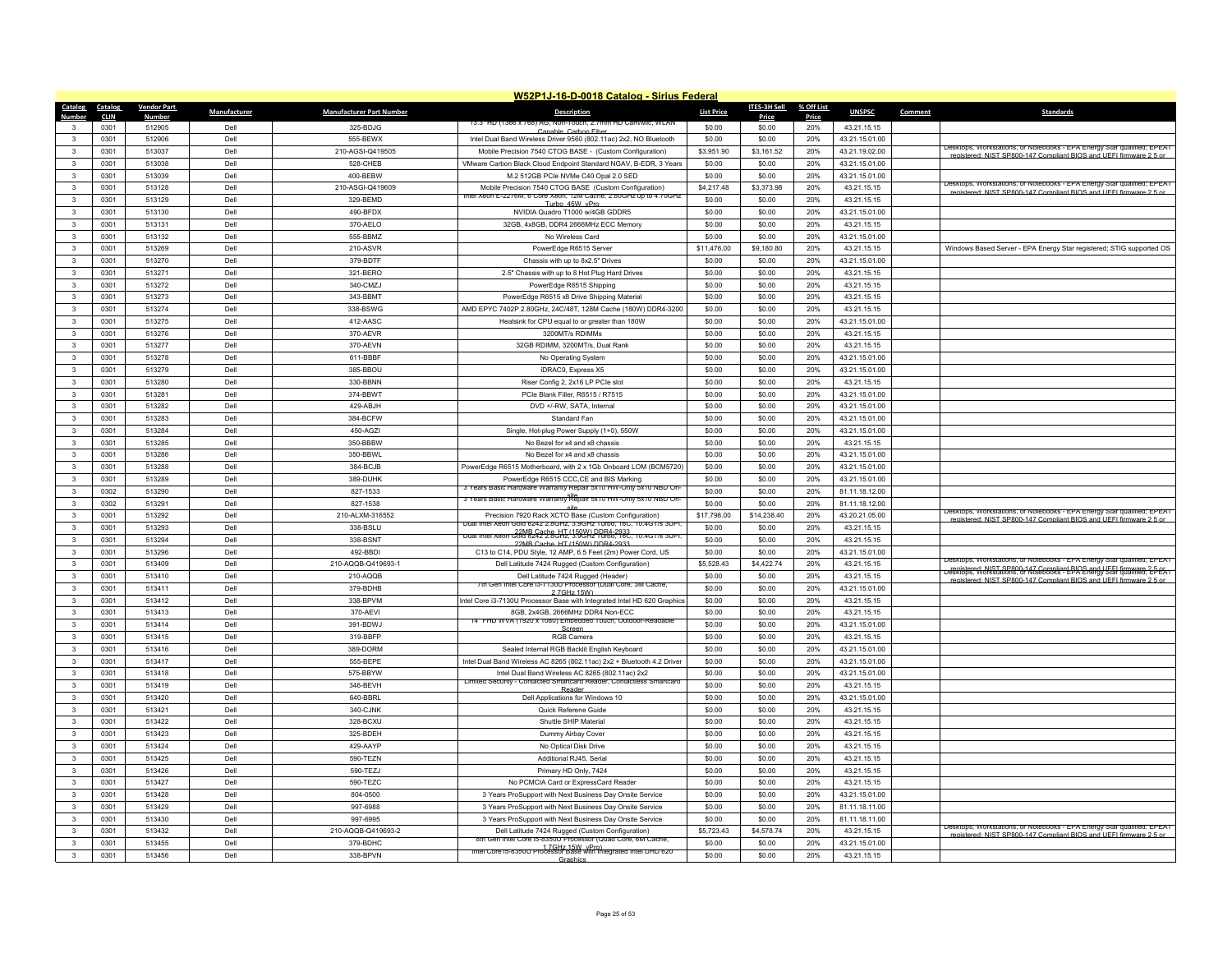|                   |             |                    |              |                                 | W52P1J-16-D-0018 Catalog - Sirius Federal                                                                                      |                   |              |            |                |         |                                                                                                                                               |
|-------------------|-------------|--------------------|--------------|---------------------------------|--------------------------------------------------------------------------------------------------------------------------------|-------------------|--------------|------------|----------------|---------|-----------------------------------------------------------------------------------------------------------------------------------------------|
| Catalog           | Catalog     | <b>Vendor Part</b> | Manufacturer | <b>Manufacturer Part Number</b> | <b>Description</b>                                                                                                             | <b>List Price</b> | ITES-3H Sell | % Off List | <b>UNSPSC</b>  | Comment | <b>Standards</b>                                                                                                                              |
| Number            | <b>CLIN</b> | <b>Number</b>      |              |                                 | 13.3" HD (1366 X 768) AG, NON-TOUCH, 2.7mm HD Cam/MIC, WEAN                                                                    |                   | <b>Price</b> | Price      |                |         |                                                                                                                                               |
| 3<br>$\mathbf{3}$ | 0301        | 512905             | Dell         | 325-BDJG                        | Canable, Carbon Fib                                                                                                            | \$0.00            | \$0.00       | 20%        | 43.21.15.15    |         |                                                                                                                                               |
|                   | 0301        | 512906             | Dell         | 555-BEWX                        | Intel Dual Band Wireless Driver 9560 (802.11ac) 2x2, NO Bluetooth                                                              | \$0.00            | \$0.00       | 20%        | 43.21.15.01.00 |         | Jesktops, Workstations, or Notebooks - FPA Energy Star qualified: FPEAT                                                                       |
| 3                 | 0301        | 513037             | Dell         | 210-AGSI-Q419505                | Mobile Precision 7540 CTOG BASE - (Custom Configuration)                                                                       | \$3,951.90        | \$3,161.52   | 20%        | 43.21.19.02.00 |         | registered: NIST SP800-147 Compliant BIOS and UFFI firmware 2.5 or                                                                            |
| 3                 | 0301        | 513038             | Dell         | 528-CHEB                        | VMware Carbon Black Cloud Endpoint Standard NGAV, B-EDR, 3 Years                                                               | \$0.00            | \$0.00       | 20%        | 43.21.15.01.00 |         |                                                                                                                                               |
| $\mathbf{3}$      | 0301        | 513039             | Dell         | 400-BEBW                        | M.2 512GB PCIe NVMe C40 Opal 2.0 SED                                                                                           | \$0.00            | \$0.00       | 20%        | 43.21.15.01.00 |         | <b>Jeskions, Workstations, or Noteppoks - FPA FREQV Star qualities: FPFAT</b>                                                                 |
| $\mathbf{3}$      | 0301        | 513128             | Dell         | 210-ASGI-Q419609                | Mobile Precision 7540 CTOG BASE (Custom Configuration)<br>Intel Xeon E-2276M, 6 Core Xeon, 12M Cache, 2.80GHz up to 4.70GHz    | \$4,217.48        | \$3,373.98   | 20%        | 43.21.15.15    |         | registered: NIST SP800-147 Compliant BIOS and UEEL firmware 2.5 or                                                                            |
| 3                 | 0301        | 513129             | Dell         | 329-BEMD                        | Turbo 45W vPro                                                                                                                 | \$0.00            | \$0.00       | 20%        | 43.21.15.15    |         |                                                                                                                                               |
| $\mathbf{3}$      | 0301        | 513130             | Dell         | 490-BFDX                        | NVIDIA Quadro T1000 w/4GB GDDR5                                                                                                | \$0.00            | \$0.00       | 20%        | 43.21.15.01.00 |         |                                                                                                                                               |
| $\mathbf{3}$      | 0301        | 513131             | Dell         | 370-AELO                        | 32GB, 4x8GB, DDR4 2666MHz ECC Memory                                                                                           | \$0.00            | \$0.00       | 20%        | 43.21.15.15    |         |                                                                                                                                               |
| $\mathbf{3}$      | 0301        | 513132             | Dell         | 555-BBMZ                        | No Wireless Card                                                                                                               | \$0.00            | \$0.00       | 20%        | 43.21.15.01.00 |         |                                                                                                                                               |
| $\mathbf{3}$      | 0301        | 513269             | Del          | 210-ASVR                        | PowerEdge R6515 Server                                                                                                         | \$11,476.00       | \$9,180.80   | 20%        | 43.21.15.15    |         | Windows Based Server - EPA Energy Star registered; STIG supported OS                                                                          |
| $\mathbf{3}$      | 0301        | 513270             | Dell         | 379-BDTF                        | Chassis with up to 8x2.5" Drives                                                                                               | \$0.00            | \$0.00       | 20%        | 43.21.15.01.00 |         |                                                                                                                                               |
| $\mathbf{3}$      | 0301        | 513271             | Dell         | 321-BERO                        | 2.5" Chassis with up to 8 Hot Plug Hard Drives                                                                                 | \$0.00            | \$0.00       | 20%        | 43.21.15.15    |         |                                                                                                                                               |
| $\mathbf{3}$      | 0301        | 513272             | Dell         | 340-CMZJ                        | PowerEdge R6515 Shipping                                                                                                       | \$0.00            | \$0.00       | 20%        | 43.21.15.15    |         |                                                                                                                                               |
| 3                 | 0301        | 513273             | Dell         | 343-BBMT                        | PowerEdge R6515 x8 Drive Shipping Material                                                                                     | \$0.00            | \$0.00       | 20%        | 43 21 15 15    |         |                                                                                                                                               |
| $\mathbf{3}$      | 0301        | 513274             | Dell         | 338-BSWG                        | AMD EPYC 7402P 2.80GHz, 24C/48T, 128M Cache (180W) DDR4-3200                                                                   | \$0.00            | \$0.00       | 20%        | 43.21.15.15    |         |                                                                                                                                               |
| $\mathbf{3}$      | 0301        | 513275             | Dell         | 412-AASC                        | Heatsink for CPU equal to or greater than 180W                                                                                 | \$0.00            | \$0.00       | 20%        | 43.21.15.01.00 |         |                                                                                                                                               |
| 3                 | 0301        | 513276             | Dell         | 370-AEVR                        | 3200MT/s RDIMMs                                                                                                                | \$0.00            | \$0.00       | 20%        | 43 21 15 15    |         |                                                                                                                                               |
| $\mathbf{3}$      | 0301        | 513277             | Dell         | 370-AEVN                        | 32GB RDIMM, 3200MT/s, Dual Rank                                                                                                | \$0.00            | \$0.00       | 20%        | 43.21.15.15    |         |                                                                                                                                               |
| 3                 | 0301        | 513278             | Dell         | 611-BBBF                        | No Operating System                                                                                                            | \$0.00            | \$0.00       | 20%        | 43.21.15.01.00 |         |                                                                                                                                               |
| 3                 | 0301        | 513279             | Dell         | 385-BBOU                        | iDRAC9, Express X5                                                                                                             | \$0.00            | \$0.00       | 20%        | 43.21.15.01.00 |         |                                                                                                                                               |
| $\mathbf{3}$      | 0301        | 513280             | Dell         | 330-BBNN                        | Riser Config 2, 2x16 LP PCIe slot                                                                                              | \$0.00            | \$0.00       | 20%        | 43.21.15.15    |         |                                                                                                                                               |
| 3                 | 0301        | 513281             | Dell         | 374-BBWT                        | PCIe Blank Filler, R6515 / R7515                                                                                               | \$0.00            | \$0.00       | 20%        | 43.21.15.01.00 |         |                                                                                                                                               |
| 3                 | 0301        | 513282             | Dell         | 429-ABJH                        | DVD +/-RW, SATA, Internal                                                                                                      | \$0.00            | \$0.00       | 20%        | 43.21.15.01.00 |         |                                                                                                                                               |
| $\mathbf{3}$      | 0301        | 513283             | Dell         | 384-BCFW                        | Standard Fan                                                                                                                   | \$0.00            | \$0.00       | 20%        | 43.21.15.01.00 |         |                                                                                                                                               |
| 3                 | 0301        | 513284             | Dell         | 450-AGZI                        | Single, Hot-plug Power Supply (1+0), 550W                                                                                      | \$0.00            | \$0.00       | 20%        | 43.21.15.01.00 |         |                                                                                                                                               |
| $\mathbf{3}$      | 0301        | 513285             | Dell         | 350-BBBW                        | No Bezel for x4 and x8 chassis                                                                                                 | \$0.00            | \$0.00       | 20%        | 43.21.15.15    |         |                                                                                                                                               |
| $\mathbf{3}$      | 0301        | 513286             | Dell         | 350-BBWL                        | No Bezel for x4 and x8 chassis                                                                                                 | \$0.00            | \$0.00       | 20%        | 43.21.15.01.00 |         |                                                                                                                                               |
| $\mathbf{3}$      |             |                    |              |                                 |                                                                                                                                |                   |              |            |                |         |                                                                                                                                               |
|                   | 0301        | 513288             | Dell         | 384-BCJB                        | PowerEdge R6515 Motherboard, with 2 x 1Gb Onboard LOM (BCM5720)                                                                | \$0.00            | \$0.00       | 20%        | 43.21.15.01.00 |         |                                                                                                                                               |
| 3                 | 0301        | 513289             | Dell         | 389-DUHK                        | PowerEdge R6515 CCC,CE and BIS Marking<br>3 Years Basic Hardware Warranty Repair 5x10 HW-Only 5x10 NBD On                      | \$0.00            | \$0.00       | 20%        | 43.21.15.01.00 |         |                                                                                                                                               |
| $\mathbf{3}$      | 0302        | 513290             | Del          | 827-1533                        | 3 Years Basic Hardware Warranty Repair 5x10 HW-Only 5x10 NBD On-                                                               | \$0.00            | \$0.00       | 20%        | 81.11.18.12.00 |         |                                                                                                                                               |
| 3                 | 0302        | 513291             | Dell         | 827-1538                        |                                                                                                                                | \$0.00            | \$0.00       | 20%        | 81.11.18.12.00 |         | Desktops, Workstations, or Notebooks - EPA Energy Star qualified; EPEAT                                                                       |
| $\mathbf{3}$      | 0301        | 513292             | Dell         | 210-ALXM-316552                 | Precision 7920 Rack XCTO Base (Custom Configuration)<br>Dual Intel Xeon Gold 6242 2.8GHz, 3.9GHz Turbo, 16C, 10.4GT/s 3UPT     | \$17,798.00       | \$14,238.40  | 20%        | 43.20.21.05.00 |         | registered: NIST SP800-147 Compliant BIOS and UFFI firmware 2.5 or                                                                            |
| $\mathbf{3}$      | 0301        | 513293             | Dell         | 338-BSLU                        | Dual Intel Xeon Gold 6242 2.8GHz (150W) DDR4-2933<br>العام 16C, 10.4G I/Is 30PI, 2006 242 2.8GHz (3.9GHz Turbo, 16C, 10.4G I/s | \$0.00            | \$0.00       | 20%        | 43.21.15.15    |         |                                                                                                                                               |
| 3                 | 0301        | 513294             | Dell         | 338-BSNT                        | 22MR Cache HT (150W) DDR4-2933                                                                                                 | \$0.00            | \$0.00       | 20%        | 43 21 15 15    |         |                                                                                                                                               |
| $\mathbf{3}$      | 0301        | 513296             | Dell         | 492-BBDI                        | C13 to C14, PDU Style, 12 AMP, 6.5 Feet (2m) Power Cord, US                                                                    | \$0.00            | \$0.00       | 20%        | 43.21.15.01.00 |         | Desktops, Workstations, or Notebooks - EPA Energy Star qualified: EPEAT                                                                       |
| $\mathbf{3}$      | 0301        | 513409             | Del          | 210-AQQB-Q419693-1              | Dell Latitude 7424 Rugged (Custom Configuration)                                                                               | \$5,528.43        | \$4,422.74   | 20%        | 43.21.15.15    |         | registered: NIST SP800-147 Compliant BIOS and UEEL firmware 2-DEA Level of New Yorkstations, or Notebooks - EPA Energy Star qualified; EDEA L |
| 3                 | 0301        | 513410             | Dell         | 210-AQQB                        | Dell Latitude 7424 Rugged (Header)<br>th Gen Intel Core i3-7130U Processor (Dual Core, 3M Cache                                | \$0.00            | \$0.00       | 20%        | 43.21.15.15    |         | ered: NIST SP800-147 Compliant BIOS and UFFI firmware 2.5                                                                                     |
| $\mathbf{3}$      | 0301        | 513411             | Dell         | 379-BDHB                        | 27GHz 15W                                                                                                                      | \$0.00            | \$0.00       | 20%        | 43.21.15.01.00 |         |                                                                                                                                               |
| 3                 | 0301        | 513412             | Dell         | 338-BPVM                        | ntel Core i3-7130U Processor Base with Integrated Intel HD 620 Graphics                                                        | \$0.00            | \$0.00       | 20%        | 43.21.15.15    |         |                                                                                                                                               |
| 3                 | 0301        | 513413             | Dell         | 370-AEVI                        | 8GB, 2x4GB, 2666MHz DDR4 Non-ECC                                                                                               | \$0.00            | \$0.00       | 20%        | 43.21.15.15    |         |                                                                                                                                               |
| $\mathbf{3}$      | 0301        | 513414             | Dell         | 391-BDWJ                        | 14" FHD WVA (1920 x 1080) Embedded Touch, Outdoor-Readable<br>Scree                                                            | \$0.00            | \$0.00       | 20%        | 43.21.15.01.00 |         |                                                                                                                                               |
| 3                 | 0301        | 513415             | Dell         | 319-BBFP                        | <b>RGB Camera</b>                                                                                                              | \$0.00            | \$0.00       | 20%        | 43.21.15.15    |         |                                                                                                                                               |
| $\mathbf{3}$      | 0301        | 513416             | Dell         | 389-DORM                        | Sealed Internal RGB Backlit English Keyboard                                                                                   | \$0.00            | \$0.00       | 20%        | 43.21.15.01.00 |         |                                                                                                                                               |
| $\mathbf{3}$      | 0301        | 513417             | Dell         | 555-BEPE                        | Intel Dual Band Wireless AC 8265 (802.11ac) 2x2 + Bluetooth 4.2 Driver                                                         | \$0.00            | \$0.00       | 20%        | 43.21.15.01.00 |         |                                                                                                                                               |
| 3                 | 0301        | 513418             | Dell         | 575-BBYW                        | Intel Dual Band Wireless AC 8265 (802.11ac) 2x2                                                                                | \$0.00            | \$0.00       | 20%        | 43.21.15.01.00 |         |                                                                                                                                               |
| 3                 | 0301        | 513419             | Dell         | 346-BEVH                        | Limited Security - Contacted Smartcard Reader, Contactless Smartcard<br>Poodc                                                  | \$0.00            | \$0.00       | 20%        | 43.21.15.15    |         |                                                                                                                                               |
| $\mathbf{3}$      | 0301        | 513420             | Dell         | 640-BBRL                        | Dell Applications for Windows 10                                                                                               | \$0.00            | \$0.00       | 20%        | 43.21.15.01.00 |         |                                                                                                                                               |
| 3                 | 0301        | 513421             | Dell         | 340-CJNK                        | Quick Referene Guide                                                                                                           | \$0.00            | \$0.00       | 20%        | 43.21.15.15    |         |                                                                                                                                               |
| $\mathbf{3}$      | 0301        | 513422             | Dell         | 328-BCXU                        | Shuttle SHIP Material                                                                                                          | \$0.00            | \$0.00       | 20%        | 43.21.15.15    |         |                                                                                                                                               |
| $\mathbf{3}$      | 0301        | 513423             | Dell         | 325-BDEH                        | Dummy Airbay Cover                                                                                                             | \$0.00            | \$0.00       | 20%        | 43.21.15.15    |         |                                                                                                                                               |
| 3                 | 0301        | 513424             | Dell         | 429-AAYP                        | No Optical Disk Drive                                                                                                          | \$0.00            | \$0.00       | 20%        | 43.21.15.15    |         |                                                                                                                                               |
| 3                 | 0301        | 513425             | Dell         | 590-TEZN                        | Additional RJ45, Serial                                                                                                        | \$0.00            | \$0.00       | 20%        | 43.21.15.15    |         |                                                                                                                                               |
| 3                 | 0301        | 513426             | Del          | 590-TEZJ                        | Primary HD Only, 7424                                                                                                          | \$0.00            | \$0.00       | 20%        | 43.21.15.15    |         |                                                                                                                                               |
| $\mathbf{R}$      | 0301        | 513427             | Dell         | 590-TEZC                        | No PCMCIA Card or ExpressCard Reader                                                                                           | \$0.00            | \$0.00       | 20%        | 43.21.15.15    |         |                                                                                                                                               |
| $\mathbf{3}$      | 0301        | 513428             | Dell         | 804-0500                        | 3 Years ProSupport with Next Business Day Onsite Service                                                                       | \$0.00            | \$0.00       | 20%        | 43.21.15.01.00 |         |                                                                                                                                               |
| $\mathbf{R}$      | 0301        | 513429             | Dell         | 997-6988                        | 3 Years ProSupport with Next Business Day Onsite Service                                                                       | \$0.00            | \$0.00       | 20%        | 81.11.18.11.00 |         |                                                                                                                                               |
| $\mathbf{R}$      | 0301        | 513430             | Dell         | 997-6995                        | 3 Years ProSupport with Next Business Day Onsite Service                                                                       | \$0.00            | \$0.00       | 20%        | 81.11.18.11.00 |         |                                                                                                                                               |
| $\mathbf{R}$      | 0301        | 513432             | Dell         | 210-AQQB-Q419693-2              | Dell Latitude 7424 Rugged (Custom Configuration)                                                                               | \$5,723.43        | \$4,578.74   | 20%        | 43.21.15.15    |         | Desktops, Workstations, or Notebooks - EPA Energy Star qualified; EPEAT                                                                       |
|                   | 0301        | 513455             | Del          | 379-BDHC                        | 8th Gen Intel Core ib-8350U Processor (Quad Core, 6M Cache                                                                     | \$0.00            | \$0.00       | 20%        | 43.21.15.01.00 |         | registered: NIST SP800-147 Compliant BIOS and UFFI firmware 2.5 or                                                                            |
| 3                 | 0301        | 513456             | Dell         | 338-BPVN                        | Intel Core is-8350U Processor Base with Integrated Intel UHD 620                                                               | \$0.00            | \$0.00       | 20%        | 43.21.15.15    |         |                                                                                                                                               |
|                   |             |                    |              |                                 | Graphics                                                                                                                       |                   |              |            |                |         |                                                                                                                                               |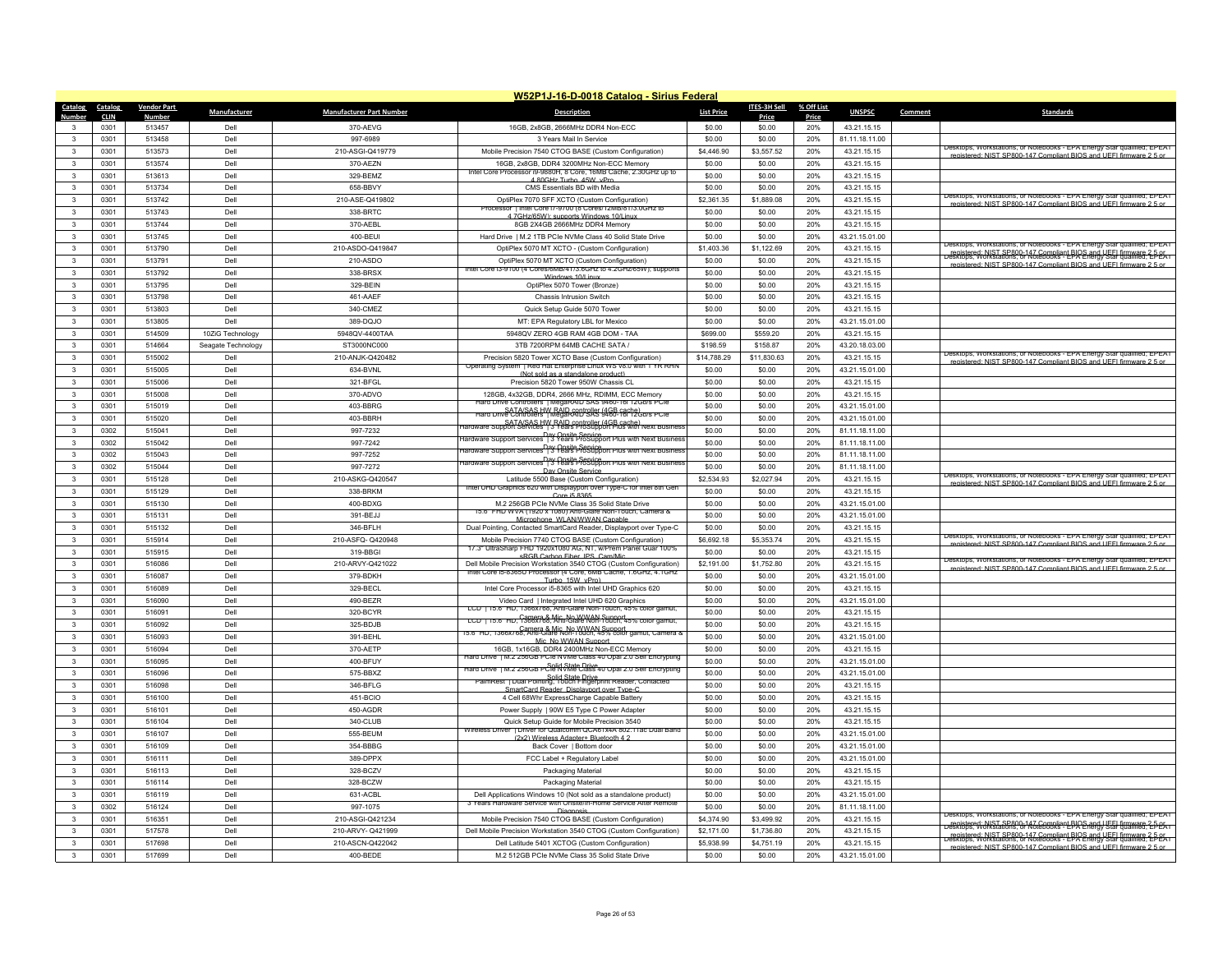|                         | W52P1J-16-D-0018 Catalog - Sirius Federal |                        |                    |                                 |                                                                                                                                      |                   |                     |              |                                  |         |                                                                                                                                                                                                              |
|-------------------------|-------------------------------------------|------------------------|--------------------|---------------------------------|--------------------------------------------------------------------------------------------------------------------------------------|-------------------|---------------------|--------------|----------------------------------|---------|--------------------------------------------------------------------------------------------------------------------------------------------------------------------------------------------------------------|
| Catalog                 | Catalog                                   | <b>Vendor Part</b>     | Manufacturer       | <b>Manufacturer Part Number</b> | <b>Description</b>                                                                                                                   | <b>List Price</b> | <b>ITES-3H Sell</b> | % Off List   | <b>UNSPSC</b>                    | Comment | <b>Standards</b>                                                                                                                                                                                             |
| Numhei                  | <b>CLIN</b><br>0301                       | <b>Numbe</b><br>513457 | Dell               | 370-AEVG                        | 16GB, 2x8GB, 2666MHz DDR4 Non-ECC                                                                                                    | \$0.00            | Price<br>\$0.00     | Price<br>20% | 43.21.15.15                      |         |                                                                                                                                                                                                              |
| $\mathbf{R}$            | 0301                                      | 513458                 | Del                | 997-6989                        | 3 Years Mail In Service                                                                                                              | \$0.00            | \$0.00              | 20%          | 81.11.18.11.00                   |         |                                                                                                                                                                                                              |
| $\mathbf{3}$            | 0301                                      | 513573                 | Dell               | 210-ASGI-Q419779                | Mobile Precision 7540 CTOG BASE (Custom Configuration)                                                                               | \$4,446.90        | \$3.557.52          | 20%          | 43.21.15.15                      |         | Jesktops, Workstations, or Notebooks - EPA Energy Star qualified; EPEAT                                                                                                                                      |
| $\mathbf{3}$            | 0301                                      | 513574                 | Dell               | 370-AFZN                        | 16GB, 2x8GB, DDR4 3200MHz Non-ECC Memory                                                                                             | \$0.00            | \$0.00              | 20%          | 43.21.15.15                      |         | registered: NIST SP800-147 Compliant BIOS and UFFI firmware 2.5 or                                                                                                                                           |
| $\mathbf{3}$            | 0301                                      | 513613                 | Dell               | 329-BEMZ                        | Intel Core Processor (9-9880H, 8 Core, 16MB Cache, 2,30GHz up to                                                                     | \$0.00            | \$0.00              | 20%          | 43.21.15.15                      |         |                                                                                                                                                                                                              |
| $\mathbf{R}$            | 0301                                      | 513734                 | Dell               | 658-BBVY                        | 4 80GHz Turbo 45W vPro<br>CMS Essentials BD with Media                                                                               | \$0.00            | \$0.00              | 20%          | 43 21 15 15                      |         |                                                                                                                                                                                                              |
| $\mathbf{3}$            | 0301                                      | 513742                 | Dell               | 210-ASE-Q419802                 | OptiPlex 7070 SFF XCTO (Custom Configuration)                                                                                        | \$2,361.35        | \$1,889.08          | 20%          | 43.21.15.15                      |         | Desktops, Workstations, or Notebooks - EPA Energy Star qualified; EPEAT                                                                                                                                      |
| $\mathbf{3}$            | 0301                                      | 513743                 | Dell               | 338-BRTC                        | rocessor I Intel Core (7-9700 (8 Cores/12MB/81/3.0GHz to<br>4 7GHz/65W): supports Windows 10/Linux                                   | \$0.00            | \$0.00              | 20%          | 43.21.15.15                      |         | registered: NIST SP800-147 Compliant BIOS and LIFFI firmware 2.5 or                                                                                                                                          |
| $\mathbf{3}$            | 0301                                      | 513744                 | Dell               | 370-AEBL                        | 8GB 2X4GB 2666MHz DDR4 Memory                                                                                                        | \$0.00            | \$0.00              | 20%          | 43.21.15.15                      |         |                                                                                                                                                                                                              |
| $\overline{\mathbf{3}}$ | 0301                                      | 513745                 | Dell               | 400-BFU                         | Hard Drive   M.2 1TB PCIe NVMe Class 40 Solid State Drive                                                                            | \$0.00            | \$0.00              | 20%          | 43.21.15.01.00                   |         |                                                                                                                                                                                                              |
| $\mathbf{3}$            | 0301                                      | 513790                 | Dell               | 210-ASDO-Q419847                | OptiPlex 5070 MT XCTO - (Custom Configuration)                                                                                       | \$1,403.36        | \$1,122.69          | 20%          | 43.21.15.15                      |         | Desktops, workstations, or Notebooks - EPA Energy Star qualified; EPEAT                                                                                                                                      |
| $\mathbf{3}$            | 0301                                      | 513791                 | Dell               | 210-ASDO                        | OptiPlex 5070 MT XCTO (Custom Configuration)                                                                                         | \$0.00            | \$0.00              | 20%          | 43.21.15.15                      |         | registered: NIST SP800-147 Compliant BIOS and UFEL firmware 2-DeSktops, Workstations, or Notebooks - EPA Energy Star qualified; EDEAT<br>registered: NIST SP800-147 Compliant RIOS and LIFFI firmware 2.5 or |
| $\mathbf{R}$            | 0301                                      | 513792                 | Dell               | 338-BRSX                        | intel Core i3-9100 (4 Cores/6MB/41/3.6GHz to 4.2GHz/65W); supports<br>Windows 10/Linux                                               | \$0.00            | \$0.00              | 20%          | 43.21.15.15                      |         |                                                                                                                                                                                                              |
| $\mathbf{3}$            | 0301                                      | 513795                 | Del                | 329-BEIN                        | OptiPlex 5070 Tower (Bronze)                                                                                                         | \$0.00            | \$0.00              | 20%          | 43.21.15.15                      |         |                                                                                                                                                                                                              |
| $\mathbf{3}$            | 0301                                      | 513798                 | Dell               | 461-AAEF                        | Chassis Intrusion Switch                                                                                                             | \$0.00            | \$0.00              | 20%          | 43.21.15.15                      |         |                                                                                                                                                                                                              |
| $\mathbf{A}$            | 0301                                      | 513803                 | Dell               | 340-CMEZ                        | Quick Setup Guide 5070 Tower                                                                                                         | \$0.00            | \$0.00              | 20%          | 43.21.15.15                      |         |                                                                                                                                                                                                              |
| $\mathbf{3}$            | 0301                                      | 513805                 | Dell               | 389-DOJO                        | MT: EPA Regulatory LBL for Mexico                                                                                                    | \$0.00            | \$0.00              | 20%          | 43.21.15.01.00                   |         |                                                                                                                                                                                                              |
| 3                       | 0301                                      | 514509                 | 10ZiG Technology   | 5948QV-4400TAA                  | 5948QV ZERO 4GB RAM 4GB DOM - TAA                                                                                                    | \$699.00          | \$559.20            | 20%          | 43.21.15.15                      |         |                                                                                                                                                                                                              |
| $\mathbf{R}$            | 0301                                      | 514664                 | Seagate Technology | ST3000NC000                     | 3TB 7200RPM 64MB CACHE SATA                                                                                                          | \$198.59          | \$158.87            | 20%          | 43.20.18.03.00                   |         | Jesktops, Workstations, or Notebooks - EPA Energy Star qualified; EPEAT                                                                                                                                      |
| 3                       | 0301                                      | 515002                 | Dell               | 210-ANJK-Q420482                | Precision 5820 Tower XCTO Base (Custom Configuration)<br>ung System   Red Hat Enterprise Linux WS V8.0 With 1 YR RHP                 | \$14,788.29       | \$11,830.63         | 20%          | 43.21.15.15                      |         | registered: NIST SP800-147 Compliant BIOS and UFFI firmware 2.5 or                                                                                                                                           |
| $\mathbf{3}$            | 0301                                      | 515005                 | Del                | 634-BVNL                        | (Not sold as a standalone product)                                                                                                   | \$0.00            | \$0.00              | 20%          | 43.21.15.01.00                   |         |                                                                                                                                                                                                              |
| $\mathbf{R}$            | 0301                                      | 515006                 | Dell               | 321-BFGL                        | Precision 5820 Tower 950W Chassis CI                                                                                                 | \$0.00            | \$0.00              | 20%          | 43.21.15.15                      |         |                                                                                                                                                                                                              |
| 3                       | 0301                                      | 515008                 | Dell               | 370-ADVO                        | 128GB, 4x32GB, DDR4, 2666 MHz, RDIMM, ECC Memory<br>Hard Drive Controllers   MegaRAID SAS 9460-16i 12Gb/s PCIe                       | \$0.00            | \$0.00              | 20%          | 43.21.15.15                      |         |                                                                                                                                                                                                              |
| $\mathbf{3}$            | 0301                                      | 515019                 | Dell               | 403-BBRG                        | SATA/SAS HW RAID controller (4GB cache)<br>Hard Drive Controllers   MegaRAID SAS (460-16112Gb/s PC1e                                 | \$0.00            | \$0.00              | 20%          | 43.21.15.01.00                   |         |                                                                                                                                                                                                              |
| $\mathbf{3}$            | 0301                                      | 515020                 | Dell               | 403-BBRH                        | SATA/SAS HW RAID controller (4GB cache)<br>Tardware Support Services   3 Years ProSupport Plus with Next Busines                     | \$0.00            | \$0.00              | 20%          | 43.21.15.01.00                   |         |                                                                                                                                                                                                              |
| 3<br>$\mathbf{3}$       | 0302                                      | 515041                 | Dell<br>Dell       | 997-7232                        | nay Onsite Service<br>Throughout Services 13 Years ProSupport Plus with Next Business                                                | \$0.00            | \$0.00              | 20%          | 81.11.18.11.00                   |         |                                                                                                                                                                                                              |
| $\mathbf{R}$            | 0302                                      | 515042                 |                    | 997-7242                        | Day Onsite Service<br>Hardware Support Services   3 Years ProSupport Plus with Next Busines                                          | \$0.00            | \$0.00              | 20%          | 81.11.18.11.00                   |         |                                                                                                                                                                                                              |
| $\mathbf{R}$            | 0302<br>0302                              | 515043<br>515044       | Dell<br>Dell       | 997-7252                        | Day Onsite Service<br>Hardware Support Services   3 Years ProSupport Plus with Next Busines                                          | \$0.00<br>\$0.00  | \$0.00<br>\$0.00    | 20%<br>20%   | 81.11.18.11.00                   |         |                                                                                                                                                                                                              |
| $\mathbf{3}$            | 0301                                      | 515128                 | Dell               | 997-7272<br>210-ASKG-Q420547    | Day Onsite Service<br>Latitude 5500 Base (Custom Configuration)                                                                      | \$2,534.93        | \$2,027.94          | 20%          | 81.11.18.11.00<br>43.21.15.15    |         | Desktops, Workstations, or Notebooks - EPA Energy Star qualified; EPEAT                                                                                                                                      |
| $\mathbf{3}$            | 0301                                      | 515129                 | Dell               | 338-BRKM                        | Intel UHD Graphics 620 with Displayport over Type-C for Intel 8th Gen                                                                | \$0.00            | \$0.00              | 20%          | 43.21.15.15                      |         | enistered: NIST SP800-147 Compliant RIOS and LIFFL firmware 2.5                                                                                                                                              |
| 3                       | 0301                                      | 515130                 | Dell               | 400-BDXG                        | Core i5 8365<br>M.2 256GB PCIe NVMe Class 35 Solid State Drive                                                                       | \$0.00            | \$0.00              | 20%          | 43.21.15.01.00                   |         |                                                                                                                                                                                                              |
| $\overline{\mathbf{3}}$ | 0301                                      | 515131                 | Dell               | 391-BE.I.I                      | VVA (1920 x 1080) Anti-Glare Non-Touch, Camera &                                                                                     | \$0.00            | \$0.00              | 20%          | 43.21.15.01.00                   |         |                                                                                                                                                                                                              |
| $\mathbf{3}$            | 0301                                      | 515132                 | <b>Del</b>         | 346-BFI H                       | Microphone WI AN/WWAN Capabl<br>Dual Pointing, Contacted SmartCard Reader, Displayport over Type-C                                   | \$0.00            | \$0.00              | 20%          | 43.21.15.15                      |         |                                                                                                                                                                                                              |
| 3                       | 0301                                      | 515914                 | Dell               | 210-ASFQ-Q420948                | Mobile Precision 7740 CTOG BASE (Custom Configuration)                                                                               | \$6,692.18        | \$5,353.74          | 20%          | 43.21.15.15                      |         | Desktops, Workstations, or Notebooks - EPA Energy Star qualified; EPEAT<br>NIST SP800-147 Compliant BIOS and LIFFL firm                                                                                      |
| $\mathbf{R}$            | 0301                                      | 515915                 | Dell               | 319-BBGI                        | 17.3" UltraSharp FHD 1920x1080 AG, NT, w/Prem Panel Guar 100%<br>sRGB Carbon Fiber, IPS, Cam/Mio                                     | \$0.00            | \$0.00              | 20%          | 43.21.15.15                      |         |                                                                                                                                                                                                              |
| $\mathbf{3}$            | 0301                                      | 516086                 | Dell               | 210-ARVY-Q421022                | Dell Mobile Precision Workstation 3540 CTOG (Custom Configuration)                                                                   | \$2,191.00        | \$1,752.80          | 20%          | 43.21.15.15                      |         | Desktops, Workstations, or Notebooks - EPA Energy Star qualified; EPEAT<br>nistered: NIST SP800-147 Compliant BIOS and LIFFL firm                                                                            |
| $\mathbf{3}$            | 0301                                      | 516087                 | Dell               | 379-BDKH                        | Intel Core ib-8365U Processor (4 Core, 6MB Cache, 1.6GHz, 4.1GHz<br>Turbo 15W vPro)                                                  | \$0.00            | \$0.00              | 20%          | 43.21.15.01.00                   |         |                                                                                                                                                                                                              |
| $\mathbf{R}$            | 0301                                      | 516089                 | Dell               | 329-BFCL                        | Intel Core Processor i5-8365 with Intel UHD Graphics 620                                                                             | \$0.00            | \$0.00              | 20%          | 43.21.15.15                      |         |                                                                                                                                                                                                              |
| $\mathbf{R}$            | 0301                                      | 516090                 | Dell               | 490-BEZR                        | Video Card   Integrated Intel UHD 620 Graphics                                                                                       | \$0.00            | \$0.00              | 20%          | 43.21.15.01.00                   |         |                                                                                                                                                                                                              |
| 3                       | 0301                                      | 516091                 | Dell               | 320-BCYR                        | LCD   15.6" HD, 1366x/68, Anti-Glare Non-Touch, 45% color gamut.<br>LCD   15.6" HD, 1366X768, Anti-Glare Non-Touch, 45% color gamut, | \$0.00            | \$0.00              | 20%          | 43.21.15.15                      |         |                                                                                                                                                                                                              |
| $\mathbf{R}$            | 0301                                      | 516092                 | Dell               | 325-BD.IB                       | 15.6" HD, 1366x/68, Anti-Glare Non-Touch, 45% color gamut, Camera &                                                                  | \$0.00            | \$0.00              | 20%          | 43.21.15.15                      |         |                                                                                                                                                                                                              |
| 3                       | 0301                                      | 516093                 | Dell               | 391-BEHL                        | Mic. No WWAN Support.                                                                                                                | \$0.00            | \$0.00              | 20%          | 43.21.15.01.00                   |         |                                                                                                                                                                                                              |
| $\mathbf{3}$            | 0301                                      | 516094                 | Dell               | 370-AETP                        | 16GB, 1x16GB, DDR4 2400MHz Non-ECC Memory<br>Hard Drive   M.2 256GB PCIe NVMe Class 40 Opal 2.0 Self Encrypting                      | \$0.00            | \$0.00              | 20%          | 43.21.15.15                      |         |                                                                                                                                                                                                              |
| 3                       | 0301                                      | 516095                 | Dell               | 400-BFUY                        | Hard Drive   M.2 256GB PCR NVMe Class 40 Opal 2.0 Self Encrypting                                                                    | \$0.00            | \$0.00              | 20%          | 43.21.15.01.00                   |         |                                                                                                                                                                                                              |
| $\mathbf{R}$            | 0301                                      | 516096                 | Dell               | 575-BBXZ                        | PalmRest   Dual Pointing, Colid State Drive<br>PalmRest   Dual Pointing, Couch Finderprint Reader, Contacted                         | \$0.00            | \$0.00              | 20%          | 43.21.15.01.00                   |         |                                                                                                                                                                                                              |
| $\mathbf{3}$            | 0301                                      | 516098                 | Dell               | 346-BFLG                        | SmartCard Reader, Disnlaynort over Tyne C                                                                                            | \$0.00            | \$0.00              | 20%          | 43.21.15.15                      |         |                                                                                                                                                                                                              |
| 3                       | 0301                                      | 516100                 | Dell               | 451-BCIO                        | 4 Cell 68Whr ExpressCharge Capable Battery                                                                                           | \$0.00            | \$0.00              | 20%          | 43.21.15.15                      |         |                                                                                                                                                                                                              |
| 3                       | 0301                                      | 516101                 | Dell               | 450-AGDR                        | Power Supply   90W E5 Type C Power Adapter                                                                                           | \$0.00            | \$0.00              | 20%          | 43.21.15.15                      |         |                                                                                                                                                                                                              |
| $\mathbf{3}$            | 0301                                      | 516104                 | Dell               | 340-CLUB                        | Quick Setup Guide for Mobile Precision 3540<br>Wireless Driver   Driver for Qualcomm QCA61x4A 802.11ac Dual Band                     | \$0.00            | \$0.00              | 20%          | 43.21.15.15                      |         |                                                                                                                                                                                                              |
| 3                       | 0301<br>0301                              | 516107<br>516109       | Dell<br>Dell       | 555-BEUM<br>354-BBBG            | (2x2) Wireless Adapter+ Bluetooth 4.2                                                                                                | \$0.00<br>\$0.00  | \$0.00<br>\$0.00    | 20%<br>20%   | 43.21.15.01.00                   |         |                                                                                                                                                                                                              |
| 3<br>$\mathbf{A}$       | 0301                                      | 516111                 | Dell               | 389-DPPX                        | Back Cover   Bottom door<br>FCC Label + Regulatory Label                                                                             | \$0.00            | \$0.00              | 20%          | 43.21.15.01.00<br>43.21.15.01.00 |         |                                                                                                                                                                                                              |
| 3                       | 0301                                      | 516113                 | Del                | 328-BCZV                        | Packaging Material                                                                                                                   | \$0.00            | \$0.00              | 20%          | 43.21.15.15                      |         |                                                                                                                                                                                                              |
| $\mathbf{3}$            | 0301                                      | 516114                 | Dell               | 328-BCZW                        | <b>Packaging Material</b>                                                                                                            | \$0.00            | \$0.00              | 20%          | 43.21.15.15                      |         |                                                                                                                                                                                                              |
| $\mathbf{3}$            | 0301                                      | 516119                 | Dell               | 631-ACBL                        | Dell Applications Windows 10 (Not sold as a standalone product)                                                                      | \$0.00            | \$0.00              | 20%          | 43.21.15.01.00                   |         |                                                                                                                                                                                                              |
| 3                       | 0302                                      | 516124                 | Dell               | 997-1075                        | 3 Years Hardware Service with Onsite/In-Home Service After Remote                                                                    | \$0.00            | \$0.00              | 20%          | 81.11.18.11.00                   |         |                                                                                                                                                                                                              |
| 3                       | 0301                                      | 516351                 | Dell               | 210-ASGI-Q421234                | Diganos<br>Mobile Precision 7540 CTOG BASE (Custom Configuration)                                                                    | \$4,374.90        | \$3,499.92          | 20%          | 43.21.15.15                      |         | Desktops, Workstations, or Notebooks - EPA Energy Star qualified; EPEAT                                                                                                                                      |
| $\mathbf{r}$            | 0301                                      | 517578                 | Dell               | 210-ARVY-Q421999                | Dell Mobile Precision Workstation 3540 CTOG (Custom Configuration)                                                                   | \$2,171.00        | \$1,736.80          | 20%          | 43.21.15.15                      |         | Legistered: NIST SP800-147 Compliant BIOS and UFEL firmware 2-D-PA I                                                                                                                                         |
|                         | 0301                                      | 517698                 | Dell               | 210-ASCN-Q422042                | Dell Latitude 5401 XCTOG (Custom Configuration)                                                                                      | \$5,938.99        | \$4,751.19          | 20%          | 43.21.15.15                      |         | registered: NIST SP800-147 Compliant BIOS and UEEL firmware 2-5-PK<br>registered: NIST SP800-147 Compliant BIOS and LIFFI firmware 2.5 or                                                                    |
| 3                       | 0301                                      | 517699                 | Dell               | 400-BEDE                        | M.2 512GB PCIe NVMe Class 35 Solid State Drive                                                                                       | \$0.00            | \$0.00              | 20%          | 43.21.15.01.00                   |         |                                                                                                                                                                                                              |
|                         |                                           |                        |                    |                                 |                                                                                                                                      |                   |                     |              |                                  |         |                                                                                                                                                                                                              |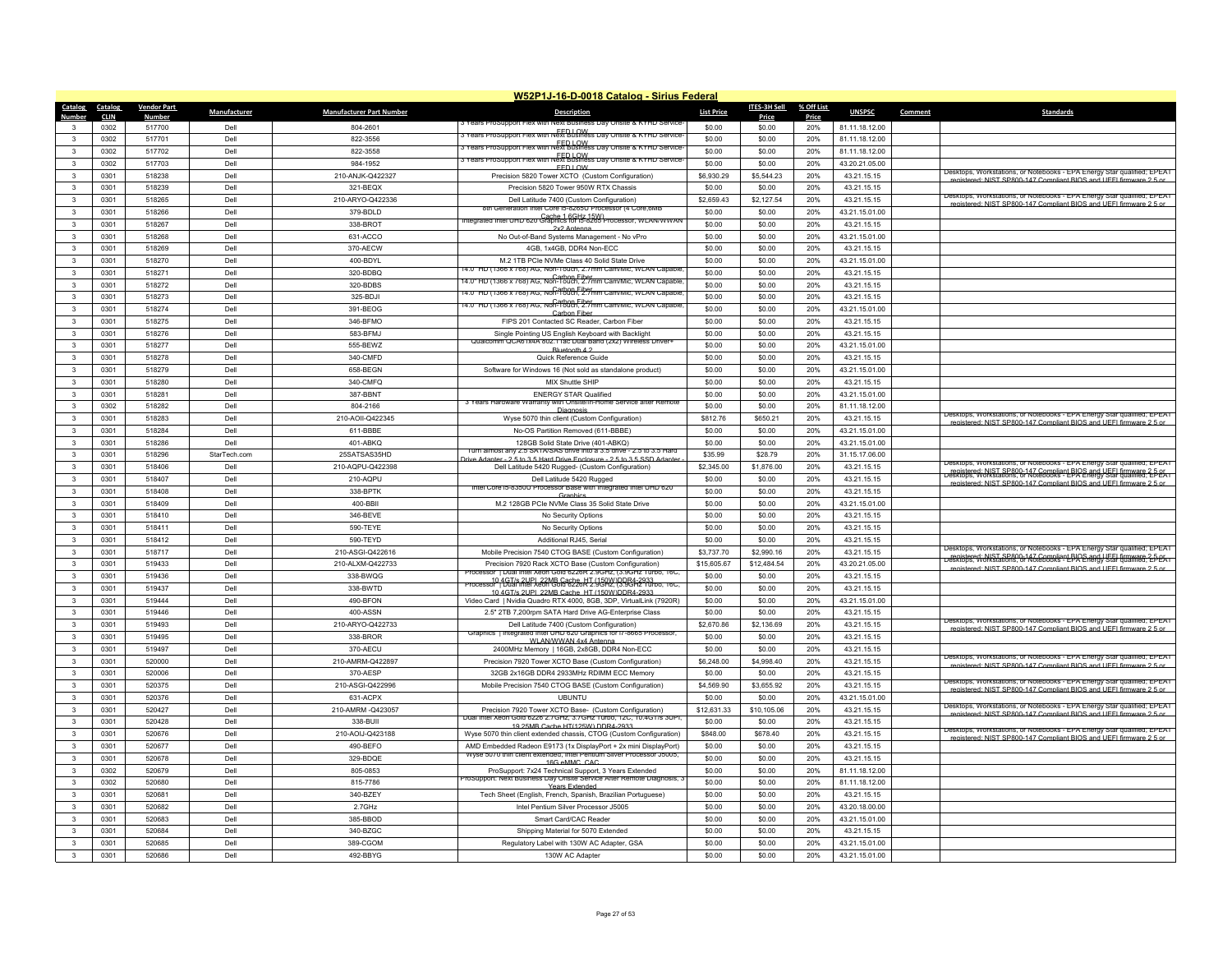|                              |                     |                         |              |                                 | W52P1J-16-D-0018 Catalog - Sirius Federal                                                                                                        |                   |                      |              |                               |        |                                                                                                                                                                                                                       |
|------------------------------|---------------------|-------------------------|--------------|---------------------------------|--------------------------------------------------------------------------------------------------------------------------------------------------|-------------------|----------------------|--------------|-------------------------------|--------|-----------------------------------------------------------------------------------------------------------------------------------------------------------------------------------------------------------------------|
| Catalog                      | Catalog             | <b>Vendor Part</b>      | Manufacturer | <b>Manufacturer Part Number</b> | <b>Description</b>                                                                                                                               | <b>List Price</b> | ITES-3H Sell         | % Off List   | <b>UNSPSC</b>                 | Commen | <b>Standards</b>                                                                                                                                                                                                      |
| Number<br>3                  | <b>CLIN</b><br>0302 | <b>Number</b><br>517700 | Dell         | 804-2601                        | rears ProSupport Fiex with Next B<br>ss Dav Onsite & KYHD Si                                                                                     | \$0.00            | Price<br>\$0.00      | Price<br>20% | 81.11.18.12.00                |        |                                                                                                                                                                                                                       |
| $\mathbf{3}$                 | 0302                | 517701                  | Dell         | 822-3556                        | 3 Years ProSupport Flex with Next Business Day Onsite & KYHD Service                                                                             | \$0.00            | \$0.00               | 20%          | 81.11.18.12.00                |        |                                                                                                                                                                                                                       |
| 3                            | 0302                | 517702                  | Del          | 822-3558                        | FED LOW FED LOW STRING & KYHD Service                                                                                                            | \$0.00            | \$0.00               | 20%          | 81.11.18.12.00                |        |                                                                                                                                                                                                                       |
| 3                            | 0302                | 517703                  | Dell         | 984-1952                        | FED LOW FROM UNITED STATES TO SUPPORT THE STATES OF STATES TO SERVICE                                                                            | \$0.00            | \$0.00               | 20%          | 43.20.21.05.00                |        |                                                                                                                                                                                                                       |
| $\mathbf{3}$                 | 0301                | 518238                  | Dell         | 210-AN.IK-Q422327               | FFD LOW                                                                                                                                          | \$6,930.29        | \$5,544.23           | 20%          | 43.21.15.15                   |        | Jesktops, Workstations, or Notebooks - EPA Energy<br>Star qualified: EPEAT                                                                                                                                            |
| $\mathbf{3}$                 | 0301                | 518239                  | Dell         | 321-BFOX                        | Precision 5820 Tower XCTO (Custom Configuration)<br>Precision 5820 Tower 950W RTX Chassis                                                        | \$0.00            | \$0.00               | 20%          | 43.21.15.15                   |        | registered: NIST SP800-147 Compliant BIOS and UFFI firmware 2.5 or                                                                                                                                                    |
| 3                            | 0301                | 518265                  | Dell         | 210-ARYO-Q422336                | Dell Latitude 7400 (Custom Configuration)                                                                                                        | \$2,659.43        |                      | 20%          |                               |        | Desktops, Workstations, or Notebooks - EPA Energy Star qualified; EPEAT                                                                                                                                               |
| $\mathbf{3}$                 | 0301                | 518266                  | Dell         | 379-BDI D                       | eration Intel Core is-8265U Processor (4 Core,6ME                                                                                                | \$0.00            | \$2,127.54<br>\$0.00 | 20%          | 43.21.15.15<br>43.21.15.01.00 |        | registered: NIST SP800-147 Compliant BIOS and LIFEL firmware 2.5 or                                                                                                                                                   |
| $\mathbf{3}$                 |                     |                         |              |                                 | ntegrated Intel UHD 620 Graphics for b-8265 Processor, WLAN/WWAN                                                                                 |                   |                      |              |                               |        |                                                                                                                                                                                                                       |
|                              | 0301                | 518267                  | Dell         | 338-BROT                        | 2x2 Antenna                                                                                                                                      | \$0.00            | \$0.00               | 20%          | 43.21.15.15                   |        |                                                                                                                                                                                                                       |
| $\mathbf{3}$                 | 0301                | 518268                  | Dell         | 631-ACCO                        | No Out-of-Band Systems Management - No vPro                                                                                                      | \$0.00            | \$0.00               | 20%          | 43.21.15.01.00                |        |                                                                                                                                                                                                                       |
| $\mathbf{3}$                 | 0301                | 518269                  | Dell         | 370-AECW                        | 4GB, 1x4GB, DDR4 Non-ECC                                                                                                                         | \$0.00            | \$0.00               | 20%          | 43.21.15.15                   |        |                                                                                                                                                                                                                       |
| $\mathbf{3}$                 | 0301                | 518270                  | Dell         | 400-BDYL                        | M.2 1TB PCIe NVMe Class 40 Solid State Drive<br>14.0" HD (1366 x /68) AG. Non-Touch, 2./mm Cam/Mic, WLAN Capable                                 | \$0.00            | \$0.00               | 20%          | 43.21.15.01.00                |        |                                                                                                                                                                                                                       |
| 3                            | 0301                | 518271                  | Dell         | 320-BDBQ                        | A.U" HD (1366 x 768) AG, Non-Touch, 2.7mm Cam/Mic, WLAN Capable                                                                                  | \$0.00            | \$0.00               | 20%          | 43.21.15.15                   |        |                                                                                                                                                                                                                       |
| $\mathbf{3}$                 | 0301                | 518272                  | Dell         | 320-BDBS                        |                                                                                                                                                  | \$0.00            | \$0.00               | 20%          | 43.21.15.15                   |        |                                                                                                                                                                                                                       |
| 3                            | 0301                | 518273                  | Dell         | 325-BDJI                        | 4.0" HD (1366 X /68) AG. Non-1000 Fiber Cam/Mic. WLAN Capable                                                                                    | \$0.00            | \$0.00               | 20%          | 43 21 15 15                   |        |                                                                                                                                                                                                                       |
| $\mathbf{3}$                 | 0301                | 518274                  | Dell         | 391-BEOG                        | Carbon Fiber                                                                                                                                     | \$0.00            | \$0.00               | 20%          | 43.21.15.01.00                |        |                                                                                                                                                                                                                       |
| $\mathbf{3}$                 | 0301                | 518275                  | Dell         | 346-BFMO                        | FIPS 201 Contacted SC Reader, Carbon Fiber                                                                                                       | \$0.00            | \$0.00               | 20%          | 43.21.15.15                   |        |                                                                                                                                                                                                                       |
| 3                            | 0301                | 518276                  | Dell         | 583-BFMJ                        | Single Pointing US English Keyboard with Backlight<br>Qualcomm QCA61x4A 802.11ac Dual Band (2x2) Wireless Driver+                                | \$0.00            | \$0.00               | 20%          | 43 21 15 15                   |        |                                                                                                                                                                                                                       |
| $\mathbf{3}$                 | 0301                | 518277                  | Dell         | 555-BEWZ                        | Bluetooth 4.2                                                                                                                                    | \$0.00            | \$0.00               | 20%          | 43.21.15.01.00                |        |                                                                                                                                                                                                                       |
| 3                            | 0301                | 518278                  | Del          | 340-CMFD                        | Quick Reference Guide                                                                                                                            | \$0.00            | \$0.00               | 20%          | 43.21.15.15                   |        |                                                                                                                                                                                                                       |
| 3                            | 0301                | 518279                  | Dell         | 658-BEGN                        | Software for Windows 16 (Not sold as standalone product)                                                                                         | \$0.00            | \$0.00               | 20%          | 43.21.15.01.00                |        |                                                                                                                                                                                                                       |
| $\mathbf{3}$                 | 0301                | 518280                  | Dell         | 340-CMFQ                        | MIX Shuttle SHIP                                                                                                                                 | \$0.00            | \$0.00               | 20%          | 43.21.15.15                   |        |                                                                                                                                                                                                                       |
| 3                            | 0301                | 518281                  | Del          | 387-BBNT                        | <b>ENERGY STAR Qualified</b>                                                                                                                     | \$0.00            | \$0.00               | 20%          | 43.21.15.01.00                |        |                                                                                                                                                                                                                       |
| 3                            | 0302                | 518282                  | Dell         | 804-2166                        | 3 Years Hardware Warranty with Onsite/In-Home Service after Remote<br>Diagnosis                                                                  | \$0.00            | \$0.00               | 20%          | 81.11.18.12.00                |        |                                                                                                                                                                                                                       |
| $\mathbf{3}$                 | 0301                | 518283                  | Dell         | 210-AOII-Q422345                | Wyse 5070 thin client (Custom Configuration)                                                                                                     | \$812.76          | \$650.21             | 20%          | 43.21.15.15                   |        | Desktops, Workstations, or Notebooks - EPA Energy Star qualified; EPEAT<br>d: NIST SP800-147 Compliant BIOS and LIFFL firm                                                                                            |
| 3                            | 0301                | 518284                  | Dell         | 611-BBBE                        | No-OS Partition Removed (611-BBBE)                                                                                                               | \$0.00            | \$0.00               | 20%          | 43.21.15.01.00                |        |                                                                                                                                                                                                                       |
| $\mathbf{3}$                 | 0301                | 518286                  | Dell         | 401-ABKQ                        | 128GB Solid State Drive (401-ABKQ)                                                                                                               | \$0.00            | \$0.00               | 20%          | 43.21.15.01.00                |        |                                                                                                                                                                                                                       |
| $\mathbf{3}$                 | 0301                | 518296                  | StarTech.com | 25SATSAS35HD                    | Turn almost any 2.5 SATA/SAS drive into a 3.5 drive - 2.5 to 3.5 Hard<br>Drive Adapter - 2.5 to 3.5 Hard Drive Enclosure - 2.5 to 3.5 SSD Adapte | \$35.99           | \$28.79              | 20%          | 31.15.17.06.00                |        |                                                                                                                                                                                                                       |
| $\mathbf{3}$                 | 0301                | 518406                  | Del          | 210-AQPU-Q422398                | Dell Latitude 5420 Rugged- (Custom Configuration)                                                                                                | \$2,345.00        | \$1,876.00           | 20%          | 43.21.15.15                   |        | Desktops, Workstations, or Notebooks - EPA Energy Star qualified; EPEAT                                                                                                                                               |
| 3                            | 0301                | 518407                  | Dell         | 210-AQPU                        | Dell Latitude 5420 Rugged                                                                                                                        | \$0.00            | \$0.00               | 20%          | 43.21.15.15                   |        | registered: NIST SP800-147 Compliant BIOS and UFEL firmware 2.5 or<br>Desktops, Workstations, or Notebooks - EPA Energy Star qualified: EPEA i<br>registered: NIST SP800-147 Compliant BIOS and LIFFL firm            |
| $\mathbf{3}$                 | 0301                | 518408                  | Del          | 338-BPTK                        | Intel Core i5-8350U Processor Base with Integrated Intel UHD 620<br>Granhic                                                                      | \$0.00            | \$0.00               | 20%          | 43.21.15.15                   |        |                                                                                                                                                                                                                       |
| 3                            | 0301                | 518409                  | Dell         | 400-BBII                        | M.2 128GB PCIe NVMe Class 35 Solid State Drive                                                                                                   | \$0.00            | \$0.00               | 20%          | 43.21.15.01.00                |        |                                                                                                                                                                                                                       |
| $\mathbf{3}$                 | 0301                | 518410                  | Del          | 346-BEVE                        | No Security Options                                                                                                                              | \$0.00            | \$0.00               | 20%          | 43.21.15.15                   |        |                                                                                                                                                                                                                       |
| $\mathbf{3}$                 | 0301                | 518411                  | Dell         | 590-TEYE                        | No Security Options                                                                                                                              | \$0.00            | \$0.00               | 20%          | 43.21.15.15                   |        |                                                                                                                                                                                                                       |
| 3                            | 0301                | 518412                  | Dell         | 590-TFYD                        | Additional RJ45, Serial                                                                                                                          | \$0.00            | \$0.00               | 20%          | 43 21 15 15                   |        |                                                                                                                                                                                                                       |
| $\mathbf{3}$                 | 0301                | 518717                  | Dell         | 210-ASGI-Q422616                | Mobile Precision 7540 CTOG BASE (Custom Configuration)                                                                                           | \$3,737.70        | \$2,990.16           | 20%          | 43.21.15.15                   |        | Desktops, Workstations, or Notebooks - EPA Energy Star qualified; EPEAT                                                                                                                                               |
| $\mathbf{3}$                 | 0301                | 519433                  | Del          | 210-ALXM-Q422733                | Precision 7920 Rack XCTO Base (Custom Configuration)                                                                                             | \$15,605.67       | \$12,484.54          | 20%          | 43.20.21.05.00                |        | registered: NIST SP800-147 Compliant BIOS and UFEL firmware 2-5-05.<br>Desktops, Workstations, or Notebooks - EPA Energy Star qualified; EPEAT<br>registered: NIST SP800-147 Compliant BIOS and LIFFI firmware 2.5 or |
| 3                            | 0301                | 519436                  | Dell         | 338-BWQG                        | ssor 1 Dual Intel Xeon Gold 6226R 2.9GHz, (3.9GHz, lurbo, 16C                                                                                    | \$0.00            | \$0.00               | 20%          | 43.21.15.15                   |        |                                                                                                                                                                                                                       |
| $\mathbf{3}$                 | 0301                | 519437                  | Dell         | 338-BWTD                        |                                                                                                                                                  | \$0.00            | \$0.00               | 20%          | 43.21.15.15                   |        |                                                                                                                                                                                                                       |
| 3                            | 0301                | 519444                  | Dell         | 490-BFON                        | 10 4GT/s 2UPI 22MB Cache HT (150W)DDR4-2933<br>Video Card   Nvidia Quadro RTX 4000, 8GB, 3DP, VirtualLink (7920R)                                | \$0.00            | \$0.00               | 20%          | 43.21.15.01.00                |        |                                                                                                                                                                                                                       |
| 3                            | 0301                | 519446                  | Dell         | 400-ASSN                        | 2.5" 2TB 7,200rpm SATA Hard Drive AG-Enterprise Class                                                                                            | \$0.00            | \$0.00               | 20%          | 43.21.15.15                   |        |                                                                                                                                                                                                                       |
| $\mathbf{3}$                 | 0301                | 519493                  | Dell         | 210-ARYO-Q422733                | Dell Latitude 7400 (Custom Configuration)                                                                                                        | \$2,670.86        | \$2,136.69           | 20%          | 43.21.15.15                   |        | Desktops, Workstations, or Notebooks - EPA Energy Star qualified; EPEAT                                                                                                                                               |
| 3                            | 0301                | 519495                  | Dell         | 338-BROR                        | Graphics   Integrated Intel UHD 620 Graphics for i/-8665 Processor,                                                                              | \$0.00            | \$0.00               | 20%          | 43.21.15.15                   |        | registered: NIST SP800-147 Compliant BIOS and LIFFL firmula                                                                                                                                                           |
| $\mathbf{3}$                 | 0301                | 519497                  | Dell         | 370-AECU                        | WI AN/WWAN 4x4 Antenna<br>2400MHz Memory   16GB, 2x8GB, DDR4 Non-ECC                                                                             | \$0.00            | \$0.00               | 20%          | 43.21.15.15                   |        |                                                                                                                                                                                                                       |
| $\mathbf{3}$                 | 0301                | 520000                  | Dell         | 210-AMRM-Q422897                | Precision 7920 Tower XCTO Base (Custom Configuration)                                                                                            | \$6,248.00        | \$4,998.40           | 20%          | 43.21.15.15                   |        | Desktops, Workstations, or Notebooks - EPA Energy Star qualified: EPEAT                                                                                                                                               |
| 3                            | 0301                | 520006                  | Dell         | 370-AESP                        | 32GB 2x16GB DDR4 2933MHz RDIMM ECC Memory                                                                                                        | \$0.00            | \$0.00               | 20%          | 43.21.15.15                   |        | red: NIST SP800-147 Compliant BIOS and LIFFL firm                                                                                                                                                                     |
| 3                            | 0301                | 520375                  | Dell         | 210-ASGI-Q422996                | Mobile Precision 7540 CTOG BASE (Custom Configuration)                                                                                           | \$4,569.90        | \$3,655.92           | 20%          | 43.21.15.15                   |        | Desktops, Workstations, or Notebooks - EPA Energy Star qualified; EPEAT                                                                                                                                               |
| $\mathbf{3}$                 | 0301                | 520376                  | Dell         | 631-ACPX                        | <b>UBUNTU</b>                                                                                                                                    | \$0.00            | \$0.00               | 20%          | 43.21.15.01.00                |        | registered: NIST SP800-147 Compliant BIOS and LIFFL firms                                                                                                                                                             |
| 3                            | 0301                | 520427                  | Dell         | 210-AMRM -Q423057               | Precision 7920 Tower XCTO Base- (Custom Configuration)                                                                                           | \$12,631.33       | \$10,105.06          | 20%          | 43.21.15.15                   |        | Jesktops, Workstations, or Notebooks - EPA Energy Star qualified; EPEAT                                                                                                                                               |
| $\mathbf{3}$                 | 0301                | 520428                  | Dell         | 338-BUI                         | Dual Intel Xeon Gold 6226 2.7GHz. 3.7GHz Turbo, 12C, 10.4GT/s 3UP                                                                                | \$0.00            | \$0.00               | 20%          | 43.21.15.15                   |        | registered: NIST SP800-147 Compliant BIOS and UFFI firmware 2.5 or                                                                                                                                                    |
| $\mathbf{3}$                 | 0301                | 520676                  | Dell         | 210-AOIJ-Q423188                | 19 25MR Cache HT(125W) DDR4-2933<br>Wyse 5070 thin client extended chassis, CTOG (Custom Configuration)                                          | \$848.00          | \$678.40             | 20%          | 43.21.15.15                   |        | Desktops, Workstations, or Notebooks - EPA Energy Star qualified; EPEAT                                                                                                                                               |
| $\mathbf{R}$                 | 0301                | 520677                  | Dell         | 490-BEFO                        | AMD Embedded Radeon E9173 (1x DisplayPort + 2x mini DisplayPort)                                                                                 | \$0.00            | \$0.00               | 20%          | 43.21.15.15                   |        | tered: NIST SP800-147 Compliant BIOS and LIFFI firm                                                                                                                                                                   |
| 3                            | 0301                | 520678                  | Dell         | 329-BDQE                        | Wyse 5070 thin client extended, Intel Pentium Silver Processor J5005,                                                                            | \$0.00            | \$0.00               | 20%          | 43.21.15.15                   |        |                                                                                                                                                                                                                       |
| 3                            | 0302                | 520679                  | Del          | 805-0853                        | 16G eMMC CAC<br>ProSupport: 7x24 Technical Support, 3 Years Extended                                                                             | \$0.00            | \$0.00               | 20%          | 81.11.18.12.00                |        |                                                                                                                                                                                                                       |
| $\mathbf{R}$                 | 0302                | 520680                  | Dell         | 815-7786                        | roSupport: Next Business Day Onsite Service After Remote Diagnosis, 3                                                                            | \$0.00            | \$0.00               | 20%          | 81.11.18.12.00                |        |                                                                                                                                                                                                                       |
|                              |                     |                         |              |                                 | <b>Years Extended</b>                                                                                                                            |                   |                      |              |                               |        |                                                                                                                                                                                                                       |
| $\mathbf{3}$<br>$\mathbf{R}$ | 0301                | 520681                  | Dell         | 340-BZEY                        | Tech Sheet (English, French, Spanish, Brazilian Portuguese)                                                                                      | \$0.00            | \$0.00               | 20%          | 43.21.15.15                   |        |                                                                                                                                                                                                                       |
|                              | 0301                | 520682                  | Dell<br>Dell | 2.7GHz                          | Intel Pentium Silver Processor J5005                                                                                                             | \$0.00            | \$0.00               | 20%          | 43.20.18.00.00                |        |                                                                                                                                                                                                                       |
| $\mathbf{R}$<br>$\mathbf{R}$ | 0301                | 520683                  |              | 385-BBOD                        | Smart Card/CAC Reader                                                                                                                            | \$0.00            | \$0.00               | 20%          | 43.21.15.01.00                |        |                                                                                                                                                                                                                       |
|                              | 0301                | 520684                  | Dell         | 340-BZGC                        | Shipping Material for 5070 Extended                                                                                                              | \$0.00            | \$0.00               | 20%          | 43.21.15.15                   |        |                                                                                                                                                                                                                       |
|                              | 0301                | 520685                  | Del          | 389-CGOM                        | Regulatory Label with 130W AC Adapter, GSA                                                                                                       | \$0.00            | \$0.00               | 20%          | 43.21.15.01.00                |        |                                                                                                                                                                                                                       |
| 3                            | 0301                | 520686                  | Dell         | 492-BBYG                        | 130W AC Adapter                                                                                                                                  | \$0.00            | \$0.00               | 20%          | 43.21.15.01.00                |        |                                                                                                                                                                                                                       |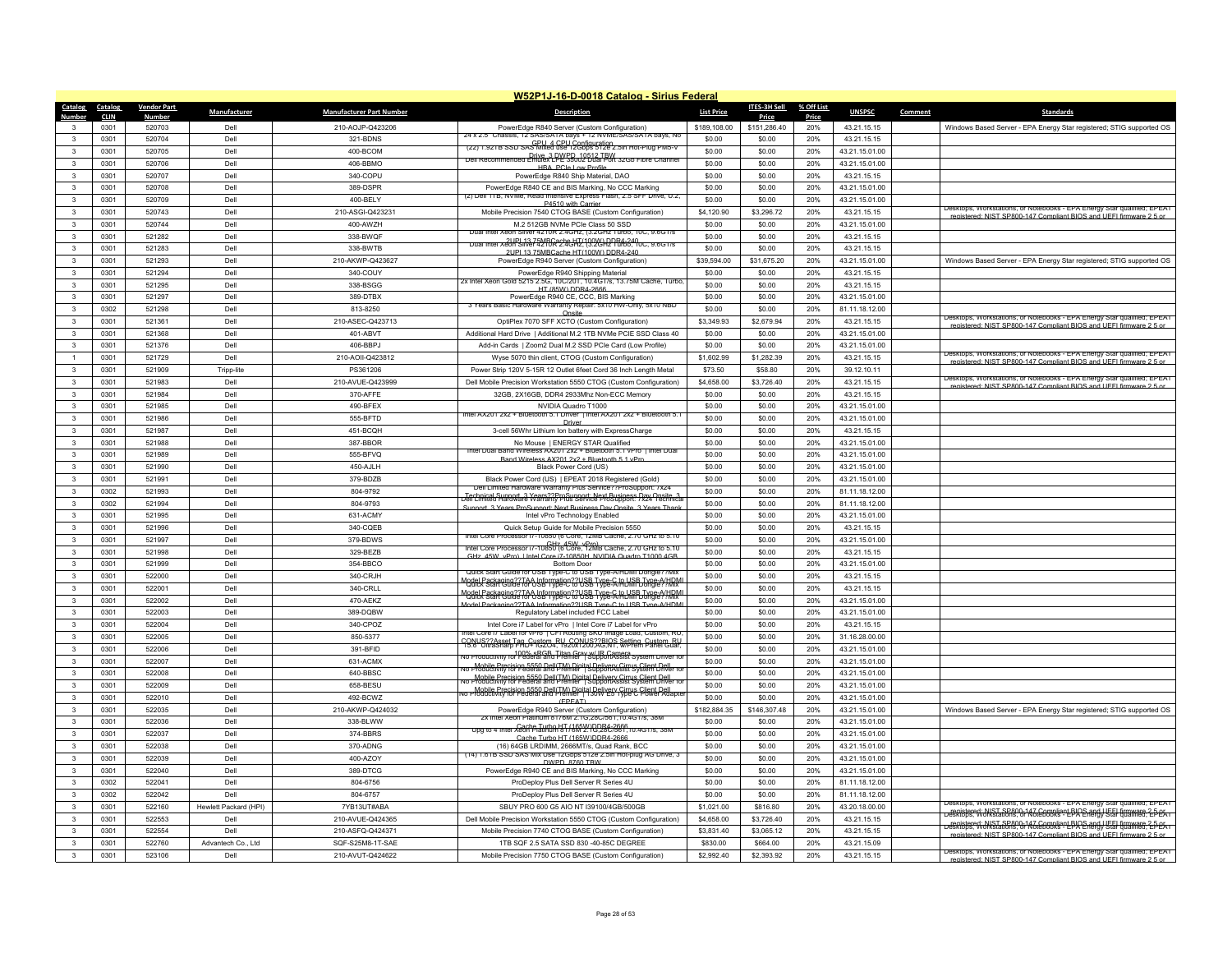|                              |              |                    |                       |                                 | W52P1J-16-D-0018 Catalog - Sirius Federal                                                                                                          |                       |                       |            |                                  |                                                                                                                                                  |
|------------------------------|--------------|--------------------|-----------------------|---------------------------------|----------------------------------------------------------------------------------------------------------------------------------------------------|-----------------------|-----------------------|------------|----------------------------------|--------------------------------------------------------------------------------------------------------------------------------------------------|
| Catalog                      | Catalog      | <b>Vendor Part</b> | Manufacturer          | <b>Manufacturer Part Number</b> | <b>Description</b>                                                                                                                                 | <b>List Price</b>     | ITES-3H Sell          | % Off List | <b>UNSPSC</b>                    | Comment<br><b>Standards</b>                                                                                                                      |
| Number                       | <b>CLIN</b>  | <u>Number</u>      |                       |                                 |                                                                                                                                                    |                       | <b>Price</b>          | Price      |                                  |                                                                                                                                                  |
| 3<br>$\mathbf{3}$            | 0301         | 520703             | Dell                  | 210-AOJP-Q423206                | PowerEdge R840 Server (Custom Configuration)<br>24 x 2.5" Chassis, 12 SAS/SATA bays + 12 NVME/SAS/SATA bays, No                                    | \$189,108.00          | \$151,286.40          | 20%        | 43.21.15.15                      | Windows Based Server - EPA Energy Star registered; STIG supported OS                                                                             |
|                              | 0301         | 520704             | Dell                  | 321-BDNS                        | (22) 1.92TB SSD SAS Mixed GSe 12Configuration                                                                                                      | \$0.00                | \$0.00                | 20%        | 43.21.15.15                      |                                                                                                                                                  |
| 3                            | 0301         | 520705             | Dell                  | 400-BCOM                        | Dell Recommended Emulex LPL 3002 Dual Port 32Gb Fibre Channel                                                                                      | \$0.00<br>\$0.00      | \$0.00                | 20%        | 43.21.15.01.00                   |                                                                                                                                                  |
| 3                            | 0301         | 520706             | Dell                  | 406-BBMO                        | <b>HBA PCIe Low Profile</b>                                                                                                                        |                       | \$0.00                | 20%        | 43.21.15.01.00                   |                                                                                                                                                  |
| $\mathbf{3}$                 | 0301         | 520707             | Dell                  | 340-COPU                        | PowerEdge R840 Ship Material, DAO                                                                                                                  | \$0.00                | \$0.00                | 20%        | 43.21.15.15                      |                                                                                                                                                  |
| $\mathbf{3}$                 | 0301         | 520708             | Dell                  | 389-DSPR                        | PowerEdge R840 CE and BIS Marking, No CCC Marking<br>(2) Dell 11B. NVMe. Read Intensive Express Flash, 2.5 SFF Drive, U.2.                         | \$0.00                | \$0.00                | 20%        | 43.21.15.01.00                   |                                                                                                                                                  |
| 3                            | 0301<br>0301 | 520709<br>520743   | Dell<br>Dell          | 400-BELY                        | P4510 with Carrier                                                                                                                                 | \$0.00                | \$0.00                | 20%<br>20% | 43.21.15.01.00                   | esktops, Workstations, or Notebooks - EPA Energy Star qualified; EPEAT                                                                           |
| $\mathbf{3}$                 |              |                    |                       | 210-ASGI-Q423231                | Mobile Precision 7540 CTOG BASE (Custom Configuration)                                                                                             | \$4,120.90            | \$3,296.72            |            | 43.21.15.15                      | registered: NIST SP800-147 Compliant BIOS and UFFI firmware 2.5 or                                                                               |
| $\mathbf{3}$                 | 0301         | 520744             | Dell                  | 400-AWZH                        | M.2 512GB NVMe PCle Class 50 SSD<br>Dual Intel Xeon Silver 4210R 2 4GHz (3 2GHz Turbo, 10C, 9 6GT/s                                                | \$0.00                | \$0.00                | 20%        | 43.21.15.01.00                   |                                                                                                                                                  |
| $\mathbf{3}$<br>$\mathbf{3}$ | 0301         | 521282             | Dell                  | 338-BWQF                        | <u>Duar inter xeoff SiMe7 4246R2.4GHZ 1992GH2 R84-249 oc., 9.6GT/s</u>                                                                             | \$0.00                | \$0.00                | 20%        | 43.21.15.15                      |                                                                                                                                                  |
| $\mathbf{3}$                 | 0301<br>0301 | 521283<br>521293   | Dell<br>Dell          | 338-BWTB<br>210-AKWP-Q423627    | 2LIPL13 75MBCache HT/100W) DDR4-240<br>PowerEdge R940 Server (Custom Configuration)                                                                | \$0.00<br>\$39,594.00 | \$0.00<br>\$31,675.20 | 20%<br>20% | 43.21.15.15<br>43.21.15.01.00    |                                                                                                                                                  |
| $\mathbf{3}$                 | 0301         | 521294             | Dell                  | 340-COUY                        | PowerEdge R940 Shipping Material                                                                                                                   | \$0.00                | \$0.00                | 20%        | 43.21.15.15                      | Windows Based Server - EPA Energy Star registered; STIG supported OS                                                                             |
| $\mathbf{3}$                 | 0301         |                    | Dell                  |                                 | 2x Intel Xeon Gold 5215 2.5G, 10C/201, 10.4G1/s, 13./5M Cache, Turbo,                                                                              | \$0.00                |                       | 20%        |                                  |                                                                                                                                                  |
| 3                            | 0301         | 521295<br>521297   | Dell                  | 338-BSGG<br>389-DTBX            | HT (85W) DDR4-2666                                                                                                                                 | \$0.00                | \$0.00<br>\$0.00      | 20%        | 43.21.15.15<br>43.21.15.01.00    |                                                                                                                                                  |
|                              |              |                    |                       |                                 | PowerEdge R940 CE, CCC, BIS Marking<br>3 Years Basic Hardware warranty Repair: 5X10 HW-Only, 5X10 NBD                                              |                       |                       |            |                                  |                                                                                                                                                  |
| $\mathbf{3}$<br>$\mathbf{3}$ | 0302<br>0301 | 521298<br>521361   | Dell<br>Dell          | 813-8250<br>210-ASEC-Q423713    | Oneite                                                                                                                                             | \$0.00                | \$0.00<br>\$2,679.94  | 20%<br>20% | 81.11.18.12.00                   | Desktops, Workstations, or Notebooks - EPA Energy Star qualified; EPEAT                                                                          |
| 3                            | 0301         | 521368             | Dell                  | 401-ABVT                        | OptiPlex 7070 SFF XCTO (Custom Configuration)<br>Additional Hard Drive   Additional M.2 1TB NVMe PCIE SSD Class 40                                 | \$3,349.93<br>\$0.00  | \$0.00                | 20%        | 43.21.15.15<br>43.21.15.01.00    | registered: NIST SP800-147 Compliant BIOS and UEEL firm<br>vare 2.5 or                                                                           |
| $\mathbf{3}$                 |              |                    |                       |                                 |                                                                                                                                                    |                       |                       |            |                                  |                                                                                                                                                  |
|                              | 0301         | 521376             | Dell                  | 406-BBPJ                        | Add-in Cards   Zoom2 Dual M.2 SSD PCIe Card (Low Profile)                                                                                          | \$0.00                | \$0.00                | 20%        | 43.21.15.01.00                   | Jesktops, Workstations, or Notebooks - FPA Energy Star qualified: FPEAT                                                                          |
|                              | 0301         | 521729             | Dell                  | 210-AOII-Q423812                | Wyse 5070 thin client, CTOG (Custom Configuration)                                                                                                 | \$1,602.99            | \$1,282.39            | 20%        | 43.21.15.15                      | registered: NIST SP800-147 Compliant BIOS and UFFI firmware 2.5 or                                                                               |
| 3<br>$\mathbf{3}$            | 0301         | 521909             | Tripp-lite            | PS361206                        | Power Strip 120V 5-15R 12 Outlet 6feet Cord 36 Inch Length Metal                                                                                   | \$73.50               | \$58.80               | 20%        | 39.12.10.11                      | Desktops, Workstations, or Notebooks - EPA Energy Star qualified; EPEAT                                                                          |
|                              | 0301         | 521983             | Dell                  | 210-AVUE-Q423999                | Dell Mobile Precision Workstation 5550 CTOG (Custom Configuration)                                                                                 | \$4,658.00            | \$3,726.40            | 20%        | 43.21.15.15                      | red: NIST SP800-147 Compliant RIOS and LIFFI firmware 2.5 or                                                                                     |
| 3                            | 0301         | 521984             | Dell                  | 370-AFFE                        | 32GB, 2X16GB, DDR4 2933Mhz Non-ECC Memory                                                                                                          | \$0.00                | \$0.00                | 20%        | 43.21.15.15                      |                                                                                                                                                  |
| 3                            | 0301<br>0301 | 521985             | Dell                  | 490-BFEX                        | NVIDIA Quadro T1000<br>ntel AX201 2x2 + Bluetooth 5.1 Driver   Intel AX201 2x2 + Bluetooth 5.1                                                     | \$0.00                | \$0.00                | 20%        | 43.21.15.01.00                   |                                                                                                                                                  |
| 3                            |              | 521986             | Dell                  | 555-BFTD                        | Driver                                                                                                                                             | \$0.00                | \$0.00                | 20%        | 43.21.15.01.00                   |                                                                                                                                                  |
| $\mathbf{3}$                 | 0301         | 521987             | Dell                  | 451-BCQH                        | 3-cell 56Whr Lithium Ion battery with ExpressCharge                                                                                                | \$0.00                | \$0.00                | 20%        | 43.21.15.15                      |                                                                                                                                                  |
| $\mathbf{3}$<br>$\mathbf{3}$ | 0301         | 521988             | Dell<br>Dell          | 387-BBOR                        | No Mouse   ENERGY STAR Qualified<br>el Dual Band Wireless AX201 2x2 + Bluetooth 5.1 vPro Tintel Dua                                                | \$0.00                | \$0.00                | 20%        | 43.21.15.01.00                   |                                                                                                                                                  |
|                              | 0301         | 521989             |                       | 555-BFVQ                        | Band Wireless AX201 2x2 + Bluetooth 5 1 vPro                                                                                                       | \$0.00                | \$0.00                | 20%        | 43.21.15.01.00                   |                                                                                                                                                  |
| $\mathbf{3}$                 | 0301         | 521990             | Dell                  | 450-AJLH                        | Black Power Cord (US)                                                                                                                              | \$0.00                | \$0.00                | 20%        | 43.21.15.01.00                   |                                                                                                                                                  |
| 3                            | 0301         | 521991             | Dell                  | 379-BDZB                        | Black Power Cord (US)   EPEAT 2018 Registered (Gold)<br>Dell Limited Hardware Warranty Plus Service??ProSupport: /x2-                              | \$0.00                | \$0.00                | 20%        | 43.21.15.01.00                   |                                                                                                                                                  |
| $\mathbf{3}$<br>3            | 0302<br>0302 | 521993<br>521994   | Dell<br>Dell          | 804-9792<br>804-9793            | Technical Support, 3 Years 22ProSupport: Next Business Day Onsite, 3<br>Dell'Umited Hardware Warranty Pius Service ProSupport: /x24   echnici      | \$0.00<br>\$0.00      | \$0.00<br>\$0.00      | 20%<br>20% | 81.11.18.12.00<br>81.11.18.12.00 |                                                                                                                                                  |
| $\mathbf{3}$                 | 0301         |                    | Dell                  | 631-ACMY                        | Sunnort 3 Years ProSunnort: Next Rusiness Day Onsite 3 Years Than                                                                                  | \$0.00                |                       | 20%        |                                  |                                                                                                                                                  |
| $\mathbf{3}$                 |              | 521995             |                       |                                 | Intel vPro Technology Enabled                                                                                                                      |                       | \$0.00                |            | 43.21.15.01.00                   |                                                                                                                                                  |
| 3                            | 0301<br>0301 | 521996<br>521997   | Dell<br>Dell          | 340-CQEB<br>379-BDWS            | Quick Setup Guide for Mobile Precision 5550<br>ntel Core Processor (/-10850 (6 Core, 12MB Cache, 2./0 GHz to 5.10                                  | \$0.00<br>\$0.00      | \$0.00<br>\$0.00      | 20%<br>20% | 43.21.15.15<br>43.21.15.01.00    |                                                                                                                                                  |
| $\mathbf{3}$                 | 0301         | 521998             | Dell                  | 329-BEZB                        | Intel Core Processor (7-1085076 Core, 12MB Cache, 2.70 GHz to 5.10                                                                                 | \$0.00                | \$0.00                | 20%        | 43.21.15.15                      |                                                                                                                                                  |
| 3                            | 0301         | 521999             | Dell                  | 354-BBCO                        | GHz 45W vPro) Lintel Core i7-10850H NVIDIA Quadro T1000 4GB<br><b>Bottom Door</b>                                                                  | \$0.00                | \$0.00                | 20%        | 43.21.15.01.00                   |                                                                                                                                                  |
| 3                            | 0301         | 522000             | Dell                  | 340-CRJH                        | Quick Start Guide for USB Type-C to USB Type-A/HDMI Dongle??Mix                                                                                    | \$0.00                | \$0.00                | 20%        | 43.21.15.15                      |                                                                                                                                                  |
| $\mathbf{3}$                 | 0301         | 522001             | Dell                  | 340-CRLL                        | Model Packaging??TAA Information??USB Type-C to USB Type-A/HDM<br>Modick Start Guide for USB Type-C to USB Type-A/HDMI Dongle??Mix                 | \$0.00                | \$0.00                | 20%        | 43.21.15.15                      |                                                                                                                                                  |
| 3                            | 0301         | 522002             | Dell                  | 470-AEKZ                        | Model Packaging??TAA Information??USB Type-C to USB Type-A/HDML                                                                                    | \$0.00                | \$0.00                | 20%        | 43.21.15.01.00                   |                                                                                                                                                  |
| 3                            | 0301         | 522003             | Dell                  | 389-DQBW                        | ng22TAA Information22LISB Type-C to LISB Type-A/HDM<br>Model Packa<br>Regulatory Label included FCC Label                                          | \$0.00                | \$0.00                | 20%        | 43.21.15.01.00                   |                                                                                                                                                  |
| $\mathbf{3}$                 | 0301         | 522004             | Dell                  | 340-CPOZ                        | Intel Core i7 Label for vPro   Intel Core i7 Label for vPro                                                                                        | \$0.00                | \$0.00                | 20%        | 43.21.15.15                      |                                                                                                                                                  |
| 3                            | 0301         | 522005             | Dell                  | 850-5377                        | Intel Core i/ Label for vPro TCFI Routing SKU Image Load, Custom, RU                                                                               | \$0.00                | \$0.00                | 20%        | 31.16.28.00.00                   |                                                                                                                                                  |
| $\mathbf{3}$                 | 0301         | 522006             | Dell                  | 391-BFID                        | CONUS??Asset Tag_Custom_RU_CONUS??BIOS Setting_Custom_RU<br>15.6" UltraSharp FHD+ IG2O4. 1920x1200.AG.NT. WiPrem Panel Guar.                       | \$0.00                | \$0.00                | 20%        | 43.21.15.01.00                   |                                                                                                                                                  |
| $\mathbf{3}$                 | 0301         | 522007             | Dell                  | 631-ACMX                        | No Productivity tor Federal and Premier   SupportAssist System Driver to                                                                           | \$0.00                | \$0.00                | 20%        | 43.21.15.01.00                   |                                                                                                                                                  |
| 3                            | 0301         | 522008             | Dell                  | 640-BBSC                        | No Mobile Precision 5550 Dell(TM) Digital Delivery Circus Client Dell<br>No Productivity for Federal and Premier   SupportAssist System Univer for | \$0.00                | \$0.00                | 20%        | 43.21.15.01.00                   |                                                                                                                                                  |
| 3                            | 0301         | 522009             | Dell                  | 658-BESU                        | Mobile Precision 5550 Dell/TM) Digital Delivery Cirrus Client Dell<br>No Productivity for Federal and Premier   SupportAssist System Univer for    | \$0.00                | \$0.00                | 20%        | 43.21.15.01.00                   |                                                                                                                                                  |
| 3                            | 0301         | 522010             | Dell                  | 492-BCWZ                        | No Productivity for Pederal and Premier   1300 Levi Circus Client Dell<br>No Productivity for Pederal and Premier   1300 Levi Cype C Power Adapte  | \$0.00                | \$0.00                | 20%        | 43.21.15.01.00                   |                                                                                                                                                  |
| 3                            | 0301         | 522035             | Dell                  | 210-AKWP-Q424032                | (FPFAT)<br>PowerEdge R940 Server (Custom Configuration)                                                                                            | \$182,884.35          | \$146,307.48          | 20%        | 43.21.15.01.00                   | Windows Based Server - EPA Energy Star registered; STIG supported OS                                                                             |
| $\mathbf{3}$                 | 0301         | 522036             | Dell                  | 338-BLWW                        | 2x Intel Xeon Platinum 8176M 2.1G,28C/561,10.4G1/s, 38M                                                                                            | \$0.00                | \$0.00                | 20%        | 43.21.15.01.00                   |                                                                                                                                                  |
| $\mathbf{3}$                 | 0301         | 522037             | Dell                  | 374-BBRS                        | Upg to 4 Intel Xeon Platinum 81/86MVDDR4-2666, 10.4GT/s, 38M                                                                                       | \$0.00                | \$0.00                | 20%        | 43.21.15.01.00                   |                                                                                                                                                  |
| $\mathbf{R}$                 | 0301         | 522038             | Dell                  | 370-ADNG                        | Cache Turbo HT (165W)DDR4-2666<br>(16) 64GB LRDIMM, 2666MT/s, Quad Rank, BCC                                                                       | \$0.00                | \$0.00                | 20%        | 43.21.15.01.00                   |                                                                                                                                                  |
| 3                            | 0301         | 522039             | Dell                  | 400-AZOY                        | (14) 1.61B SSD SAS Mix Use 12Gbps 512e 2.5in Hot-plug AG Drive, 3                                                                                  | \$0.00                | \$0.00                | 20%        | 43.21.15.01.00                   |                                                                                                                                                  |
| $\mathbf{3}$                 | 0301         | 522040             | Dell                  | 389-DTCG                        | DWPD 8760 TBW<br>PowerEdge R940 CE and BIS Marking, No CCC Marking                                                                                 | \$0.00                | \$0.00                | 20%        | 43.21.15.01.00                   |                                                                                                                                                  |
| 3                            | 0302         | 522041             | Dell                  | 804-6756                        | ProDeploy Plus Dell Server R Series 4U                                                                                                             | \$0.00                | \$0.00                | 20%        | 81.11.18.12.00                   |                                                                                                                                                  |
| $\mathbf{3}$                 | 0302         | 522042             | Dell                  | 804-6757                        | ProDeploy Plus Dell Server R Series 4U                                                                                                             | \$0.00                | \$0.00                | 20%        | 81.11.18.12.00                   |                                                                                                                                                  |
| $\mathbf{R}$                 | 0301         | 522160             | Hewlett Packard (HPI) | 7YB13UT#ABA                     | SBUY PRO 600 G5 AIO NT I39100/4GB/500GB                                                                                                            | \$1,021.00            | \$816.80              | 20%        | 43.20.18.00.00                   | Desktops, Workstations, or Notebooks - EPA Energy Star qualified; EPEAT                                                                          |
| 3                            | 0301         | 522553             | Dell                  | 210-AVUE-Q424365                | Dell Mobile Precision Workstation 5550 CTOG (Custom Configuration)                                                                                 | \$4,658.00            | \$3,726.40            | 20%        | 43.21.15.15                      | registered: NIST SP800-147 Compliant BIOS and UEEL firmware 2-DEA Lessktops, Workstations, or Notebooks - LPA Energy Star qualified; LPEA L      |
| $\mathbf{R}$                 | 0301         | 522554             | Dell                  | 210-ASFQ-Q424371                | Mobile Precision 7740 CTOG BASE (Custom Configuration)                                                                                             | \$3,831.40            | \$3,065.12            | 20%        | 43.21.15.15                      | registered: NIST SP800-147 Compliant BIOS and UFFI firmware 2-5-PAT<br>Desktops, Workstations, or Notebooks - LPA Energy Star qualified; 2-5-PAT |
|                              | 0301         | 522760             | Advantech Co., Ltd    | SQF-S25M8-1T-SAE                | 1TB SQF 2.5 SATA SSD 830-40-85C DEGREE                                                                                                             | \$830.00              | \$664.00              | 20%        | 43.21.15.09                      | registered: NIST SP800-147 Compliant BIOS and UFFI firmware 2.5 or                                                                               |
| 3                            | 0301         | 523106             | Dell                  | 210-AVUT-Q424622                | Mobile Precision 7750 CTOG BASE (Custom Configuration)                                                                                             | \$2,992.40            | \$2,393.92            | 20%        | 43.21.15.15                      | Desktops, Workstations, or Notebooks - EPA Energy Star qualified; EPEAT                                                                          |
|                              |              |                    |                       |                                 |                                                                                                                                                    |                       |                       |            |                                  | registered: NIST SP800-147 Compliant BIOS and LIFFI firmware 2.5 or                                                                              |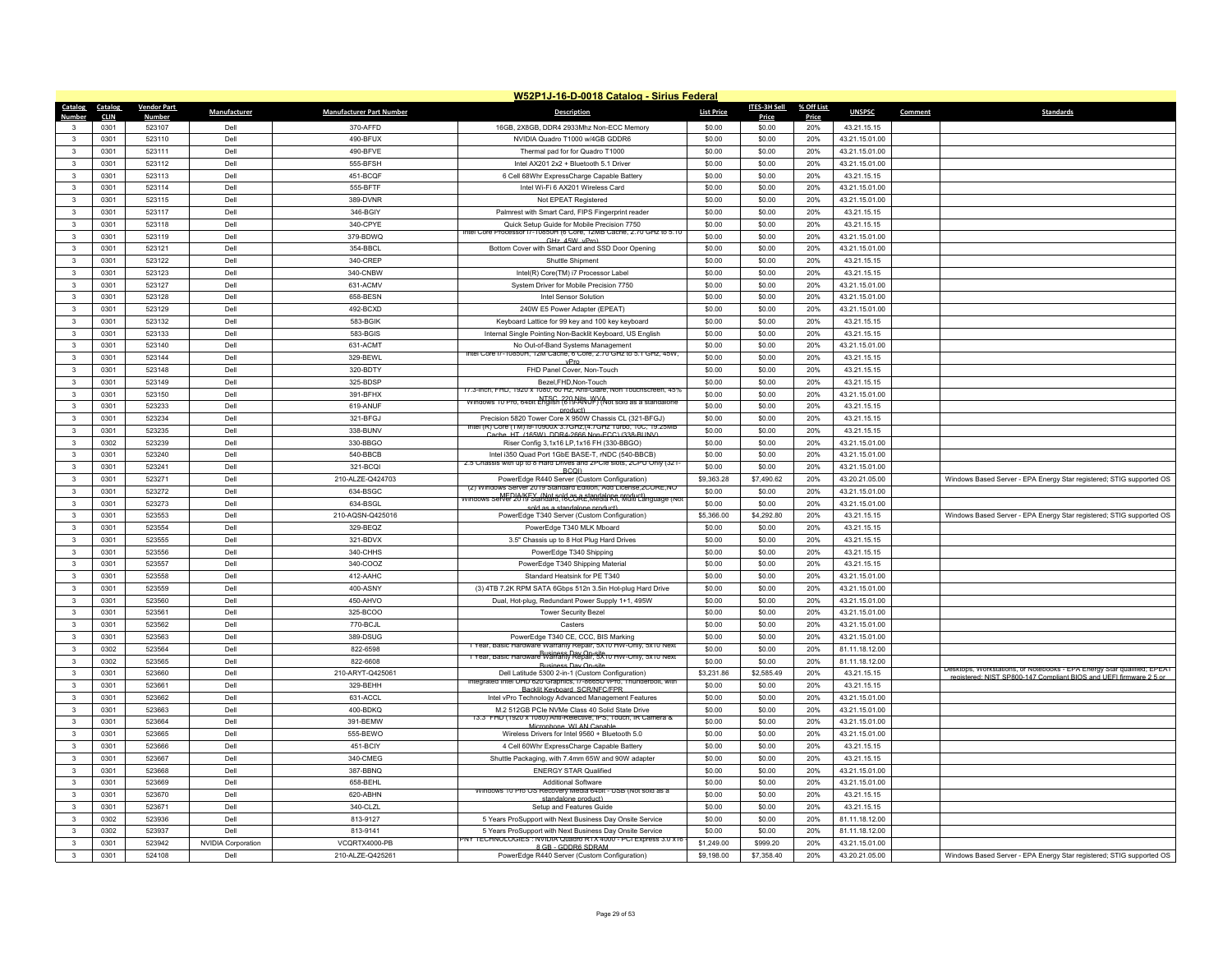|                         |              |                    |                           |                                 | W52P1J-16-D-0018 Catalog - Sirius Federal                                                                   |                   |                  |            |                                  |                                                                         |
|-------------------------|--------------|--------------------|---------------------------|---------------------------------|-------------------------------------------------------------------------------------------------------------|-------------------|------------------|------------|----------------------------------|-------------------------------------------------------------------------|
| Catalog Catalog         |              | <b>Vendor Part</b> | Manufacturer              | <b>Manufacturer Part Number</b> | <b>Description</b>                                                                                          | <b>List Price</b> | ITES-3H Sell     | % Off List | <b>UNSPSC</b>                    | <b>Standards</b><br>Comment                                             |
| Number                  | <b>CLIN</b>  | <b>Number</b>      |                           |                                 |                                                                                                             |                   | Price            | Price      |                                  |                                                                         |
| $\mathbf{3}$            | 0301         | 523107             | Dell                      | 370-AFFD                        | 16GB, 2X8GB, DDR4 2933Mhz Non-ECC Memory                                                                    | \$0.00            | \$0.00           | 20%        | 43.21.15.15                      |                                                                         |
| $\mathbf{3}$            | 0301         | 523110             | Dell                      | 490-BFUX                        | NVIDIA Quadro T1000 w/4GB GDDR6                                                                             | \$0.00            | \$0.00           | 20%        | 43.21.15.01.00                   |                                                                         |
| $\mathbf{3}$            | 0301         | 523111             | Dell                      | 490-BFVE                        | Thermal pad for for Quadro T1000                                                                            | \$0.00            | \$0.00           | 20%        | 43.21.15.01.00                   |                                                                         |
| $\mathbf{3}$            | 0301         | 523112             | Dell                      | 555-BFSH                        | Intel AX201 2x2 + Bluetooth 5.1 Driver                                                                      | \$0.00            | \$0.00           | 20%        | 43.21.15.01.00                   |                                                                         |
| $\mathbf{3}$            | 0301         | 523113             | Dell                      | 451-BCQF                        | 6 Cell 68Whr ExpressCharge Capable Battery                                                                  | \$0.00            | \$0.00           | 20%        | 43.21.15.15                      |                                                                         |
| 3                       | 0301         | 523114             | Dell                      | 555-BFTF                        | Intel Wi-Fi 6 AX201 Wireless Card                                                                           | \$0.00            | \$0.00           | 20%        | 43.21.15.01.00                   |                                                                         |
| 3                       | 0301         | 523115             | Dell                      | 389-DVNR                        | Not EPEAT Registered                                                                                        | \$0.00            | \$0.00           | 20%        | 43.21.15.01.00                   |                                                                         |
| $\mathbf{R}$            | 0301         | 523117             | Dell                      | 346-BGIY                        | Palmrest with Smart Card, FIPS Fingerprint reader                                                           | \$0.00            | \$0.00           | 20%        | 43.21.15.15                      |                                                                         |
| $\mathbf{3}$            | 0301         | 523118             | Dell                      | 340-CPYE                        | Quick Setup Guide for Mobile Precision 7750<br>ntel Core                                                    | \$0.00            | \$0.00           | 20%        | 43.21.15.15                      |                                                                         |
| $\mathbf{3}$            | 0301         | 523119             | Dell                      | 379-BDWQ                        | rocessor i/-10850H (6 Core, 12MB Cache, 2./0 GHz to 5.10<br>GHz 45W vPro                                    | \$0.00            | \$0.00           | 20%        | 43.21.15.01.00                   |                                                                         |
| $\mathbf{3}$            | 0301         | 523121             | Dell                      | 354-BBCL                        | Bottom Cover with Smart Card and SSD Door Opening                                                           | \$0.00            | \$0.00           | 20%        | 43.21.15.01.00                   |                                                                         |
| 3                       | 0301         | 523122             | Dell                      | 340-CREP                        | Shuttle Shinment                                                                                            | \$0.00            | \$0.00           | 20%        | 43.21.15.15                      |                                                                         |
| $\mathbf{3}$            | 0301         | 523123             | Dell                      | 340-CNBW                        | Intel(R) Core(TM) i7 Processor Label                                                                        | \$0.00            | \$0.00           | 20%        | 43.21.15.15                      |                                                                         |
| $\mathbf{3}$            | 0301         | 523127             | Dell                      | 631-ACMV                        | System Driver for Mobile Precision 7750                                                                     | \$0.00            | \$0.00           | 20%        | 43.21.15.01.00                   |                                                                         |
| $\mathbf{3}$            | 0301         | 523128             | Dell                      | 658-BESN                        | Intel Sensor Solution                                                                                       | \$0.00            | \$0.00           | 20%        | 43.21.15.01.00                   |                                                                         |
| $\overline{\mathbf{3}}$ | 0301         | 523129             | Dell                      | 492-BCXD                        | 240W E5 Power Adapter (EPEAT)                                                                               | \$0.00            | \$0.00           | 20%        | 43.21.15.01.00                   |                                                                         |
| $\mathbf{3}$            | 0301         | 523132             | Dell                      | 583-BGIK                        | Keyboard Lattice for 99 key and 100 key keyboard                                                            | \$0.00            | \$0.00           | 20%        | 43.21.15.15                      |                                                                         |
| 3                       | 0301         | 523133             | Dell                      | 583-BGIS                        | Internal Single Pointing Non-Backlit Keyboard, US English                                                   | \$0.00            | \$0.00           | 20%        | 43.21.15.15                      |                                                                         |
| $\mathbf{3}$            | 0301         | 523140             | Dell                      | 631-ACMT                        | No Out-of-Band Systems Management                                                                           | \$0.00            | \$0.00           | 20%        | 43.21.15.01.00                   |                                                                         |
| $\mathbf{3}$            | 0301         | 523144             | Dell                      | 329-BEWL                        | intel Core i7-10850H, 12M Cache, 6 Core, 2.70 GHz to 5.1 GHz, 45W,<br>vPro                                  | \$0.00            | \$0.00           | 20%        | 43.21.15.15                      |                                                                         |
| $\mathbf{3}$            | 0301         | 523148             | Dell                      | 320-BDTY                        | FHD Panel Cover, Non-Touch                                                                                  | \$0.00            | \$0.00           | 20%        | 43.21.15.15                      |                                                                         |
| $\mathbf{3}$            | 0301         | 523149             | Dell                      | 325-BDSF                        | Bezel.FHD.Non-Touch                                                                                         | \$0.00            | \$0.00           | 20%        | 43.21.15.15                      |                                                                         |
| $\mathbf{3}$            | 0301         | 523150             | Dell                      | 391-BFHX                        | 17.3-inch, FHD, 1920 x 1080, 60 Hz, Anti-Glare, Non Touchscreen, 45%                                        | \$0.00            | \$0.00           | 20%        | 43.21.15.01.00                   |                                                                         |
| $\mathbf{3}$            | 0301         | 523233             | Dell                      | 619-ANUF                        | NTSC 220 Nits WVA<br>Windows 10 Pro, 64bit English (619-ANUF) (Not sold as a standalone                     | \$0.00            | \$0.00           | 20%        | 43.21.15.15                      |                                                                         |
| $\mathbf{R}$            | 0301         | 523234             | Dell                      | 321-BFGJ                        | product)<br>Precision 5820 Tower Core X 950W Chassis CL (321-BFGJ)                                          | \$0.00            | \$0.00           | 20%        | 43.21.15.15                      |                                                                         |
| $\mathbf{3}$            | 0301         | 523235             | Dell                      | 338-BUNV                        | Intel (R) Core (TM) i9-10900X 3.7GHz,(4.7GHz Turbo, 10C, 19.25Mb                                            | \$0.00            | \$0.00           | 20%        | 43.21.15.15                      |                                                                         |
| $\mathbf{3}$            | 0302         | 523239             | Dell                      | 330-BBGO                        | he. HT. (165W). DDR4-2666 Non-ECC) (338-RUN)<br>Riser Config 3,1x16 LP,1x16 FH (330-BBGO)                   | \$0.00            | \$0.00           | 20%        | 43.21.15.01.00                   |                                                                         |
| $\mathbf{R}$            | 0301         | 523240             | Dell                      | 540-BBCB                        | Intel i350 Quad Port 1GbE BASE-T, rNDC (540-BBCB)                                                           | \$0.00            | \$0.00           | 20%        | 43.21.15.01.00                   |                                                                         |
| 3                       | 0301         | 523241             | Dell                      | 321-BCQI                        | 2.5 Chassis with up to 8 Hard Drives and 2PCle slots, 2CPU Only (321                                        | \$0.00            | \$0.00           | 20%        | 43.21.15.01.00                   |                                                                         |
| $\mathbf{3}$            | 0301         | 523271             | Dell                      | 210-ALZE-Q424703                | BCOI)<br>PowerEdge R440 Server (Custom Configuration)                                                       | \$9,363.28        | \$7,490.62       | 20%        | 43.20.21.05.00                   | Windows Based Server - EPA Energy Star registered; STIG supported OS    |
| $\mathbf{3}$            |              |                    | Dell                      |                                 | (2) Windows Server 2019 Standard Edition, Add License, 2CORE, NO                                            |                   |                  |            |                                  |                                                                         |
| $\mathbf{3}$            | 0301<br>0301 | 523272<br>523273   | Dell                      | 634-BSGC<br>634-BSGL            | Windows Server 2019 Standard, 16CORE, Media Rit, Multi Language (Not                                        | \$0.00<br>\$0.00  | \$0.00<br>\$0.00 | 20%<br>20% | 43.21.15.01.00<br>43.21.15.01.00 |                                                                         |
| $\mathbf{3}$            |              |                    |                           | 210-AQSN-Q425016                | sold as a standalone product)                                                                               | \$5,366.00        | \$4,292.80       | 20%        | 43.21.15.15                      |                                                                         |
| $\mathbf{3}$            | 0301         | 523553             | Dell                      |                                 | PowerEdge T340 Server (Custom Configuration)                                                                |                   |                  |            |                                  | Windows Based Server - EPA Energy Star registered; STIG supported OS    |
|                         | 0301         | 523554             | Dell                      | 329-BEQZ                        | PowerEdge T340 MLK Mboard                                                                                   | \$0.00            | \$0.00           | 20%        | 43.21.15.15                      |                                                                         |
| 3                       | 0301         | 523555             | Dell                      | $321-BDVX$                      | 3.5" Chassis up to 8 Hot Plug Hard Drives                                                                   | \$0.00            | \$0.00           | 20%        | 43.21.15.15                      |                                                                         |
| $\overline{\mathbf{3}}$ | 0301         | 523556             | Dell                      | 340-CHHS                        | PowerEdge T340 Shipping                                                                                     | \$0.00            | \$0.00           | 20%        | 43.21.15.15                      |                                                                         |
| $\mathbf{3}$            | 0301         | 523557             | Dell                      | 340-COOZ                        | PowerEdge T340 Shipping Material                                                                            | \$0.00            | \$0.00           | 20%        | 43.21.15.15                      |                                                                         |
| 3                       | 0301         | 523558             | Dell                      | 412-AAHC                        | Standard Heatsink for PF T340                                                                               | \$0.00            | \$0.00           | 20%        | 43.21.15.01.00                   |                                                                         |
| $\overline{\mathbf{3}}$ | 0301         | 523559             | Dell                      | 400-ASNY                        | (3) 4TB 7.2K RPM SATA 6Gbps 512n 3.5in Hot-plug Hard Drive                                                  | \$0.00            | \$0.00           | 20%        | 43.21.15.01.00                   |                                                                         |
| $\mathbf{3}$            | 0301         | 523560             | Dell                      | 450-AHVO                        | Dual, Hot-plug, Redundant Power Supply 1+1, 495W                                                            | \$0.00            | \$0.00           | 20%        | 43.21.15.01.00                   |                                                                         |
| 3                       | 0301         | 523561             | Dell                      | 325-BCOO                        | <b>Tower Security Bezel</b>                                                                                 | \$0.00            | \$0.00           | 20%        | 43.21.15.01.00                   |                                                                         |
| $\mathbf{3}$            | 0301         | 523562             | Dell                      | 770-BCJL                        | Casters                                                                                                     | \$0.00            | \$0.00           | 20%        | 43.21.15.01.00                   |                                                                         |
| $\mathbf{3}$            | 0301         | 523563             | Del                       | 389-DSUG                        | PowerEdge T340 CE, CCC, BIS Marking<br>1 Year, Basic Hardware Warranty Repair, 5X10 HW-Only, 5x10 Next      | \$0.00            | \$0.00           | 20%        | 43.21.15.01.00                   |                                                                         |
| $\mathbf{3}$            | 0302         | 523564             | Dell                      | 822-6598                        | Rusiness Day On-site<br>T Year, Basic Hardware Warranty Repair, 5X10 HW-Only, 5x10 Next                     | \$0.00            | \$0.00           | 20%        | 81.11.18.12.00                   |                                                                         |
| $\mathbf{A}$            | 0302         | 523565             | Dell                      | 822-6608                        | <b>Business Day On-site</b>                                                                                 | \$0.00            | \$0.00           | 20%        | 81.11.18.12.00                   | Desktops, Workstations, or Notebooks - EPA Energy Star qualified; EPEAT |
| 3                       | 0301         | 523660             | Dell                      | 210-ARYT-Q425061                | Dell Latitude 5300 2-in-1 (Custom Configuration)                                                            | \$3,231.86        | \$2,585.49       | 20%        | 43.21.15.15                      | red: NIST SP800-147 Compliant BIOS and LIFFI firmware 2.5 o             |
| $\mathbf{3}$            | 0301         | 523661             | Dell                      | 329-BEHH                        | Integrated Intel UHD 620 Graphics, 17-8665U vPro, 1 hunderbolt, with<br><b>Backlit Keyhoard SCR/NEC/EPR</b> | \$0.00            | \$0.00           | 20%        | 43.21.15.15                      |                                                                         |
| $\mathbf{R}$            | 0301         | 523662             | Dell                      | 631-ACCL                        | Intel vPro Technology Advanced Management Features                                                          | \$0.00            | \$0.00           | 20%        | 43.21.15.01.00                   |                                                                         |
| 3                       | 0301         | 523663             | Dell                      | 400-BDKQ                        | M.2 512GB PCIe NVMe Class 40 Solid State Drive                                                              | \$0.00            | \$0.00           | 20%        | 43.21.15.01.00                   |                                                                         |
| $\mathbf{3}$            | 0301         | 523664             | Dell                      | 391-BEMW                        | 13.3" FHD (1920 x 1080) Anti-Relective, IPS, Touch, IR Camera &<br>Microphone, WI AN Canabl                 | \$0.00            | \$0.00           | 20%        | 43.21.15.01.00                   |                                                                         |
| $\mathbf{3}$            | 0301         | 523665             | Dell                      | 555-BEWO                        | Wireless Drivers for Intel 9560 + Bluetooth 5.0                                                             | \$0.00            | \$0.00           | 20%        | 43.21.15.01.00                   |                                                                         |
| 3                       | 0301         | 523666             | Dell                      | 451-BCIY                        | 4 Cell 60Whr ExpressCharge Capable Battery                                                                  | \$0.00            | \$0.00           | 20%        | 43.21.15.15                      |                                                                         |
| $\mathbf{3}$            | 0301         | 523667             | Dell                      | 340-CMEG                        | Shuttle Packaging, with 7.4mm 65W and 90W adapter                                                           | \$0.00            | \$0.00           | 20%        | 43.21.15.15                      |                                                                         |
| $\mathbf{3}$            | 0301         | 523668             | Dell                      | 387-BBNQ                        | <b>ENERGY STAR Qualified</b>                                                                                | \$0.00            | \$0.00           | 20%        | 43.21.15.01.00                   |                                                                         |
| 3                       | 0301         | 523669             | Dell                      | 658-BEHL                        | Additional Software                                                                                         | \$0.00            | \$0.00           | 20%        | 43.21.15.01.00                   |                                                                         |
| $\overline{\mathbf{3}}$ | 0301         | 523670             | Dell                      | 620-ABHN                        | Windows 10 Pro OS Recovery Media 64bit - USB (Not sold as a<br>standalone product)                          | \$0.00            | \$0.00           | 20%        | 43.21.15.15                      |                                                                         |
| $\mathbf{3}$            | 0301         | 523671             | Dell                      | 340-CLZL                        | Setup and Features Guide                                                                                    | \$0.00            | \$0.00           | 20%        | 43.21.15.15                      |                                                                         |
| 3                       | 0302         | 523936             | Dell                      | 813-9127                        | 5 Years ProSupport with Next Business Day Onsite Service                                                    | \$0.00            | \$0.00           | 20%        | 81.11.18.12.00                   |                                                                         |
| $\mathbf{R}$            | 0302         | 523937             | Dell                      | 813-9141                        | 5 Years ProSupport with Next Business Day Onsite Service                                                    | \$0.00            | \$0.00           | 20%        | 81.11.18.12.00                   |                                                                         |
| 3                       | 0301         | 523942             | <b>NVIDIA Corporation</b> | VCQRTX4000-PB                   | NY TECHNOLOGIES : NVIDIA Quadro RTX 4000 - PCI Express 3.0 x1                                               | \$1,249.00        | \$999.20         | 20%        | 43.21.15.01.00                   |                                                                         |
| 3                       | 0301         | 524108             | Dell                      | 210-ALZE-Q425261                | 8 GB - GDDR6 SDRAM<br>PowerEdge R440 Server (Custom Configuration)                                          | \$9,198.00        | \$7,358.40       | 20%        | 43.20.21.05.00                   | Windows Based Server - EPA Energy Star registered; STIG supported OS    |
|                         |              |                    |                           |                                 |                                                                                                             |                   |                  |            |                                  |                                                                         |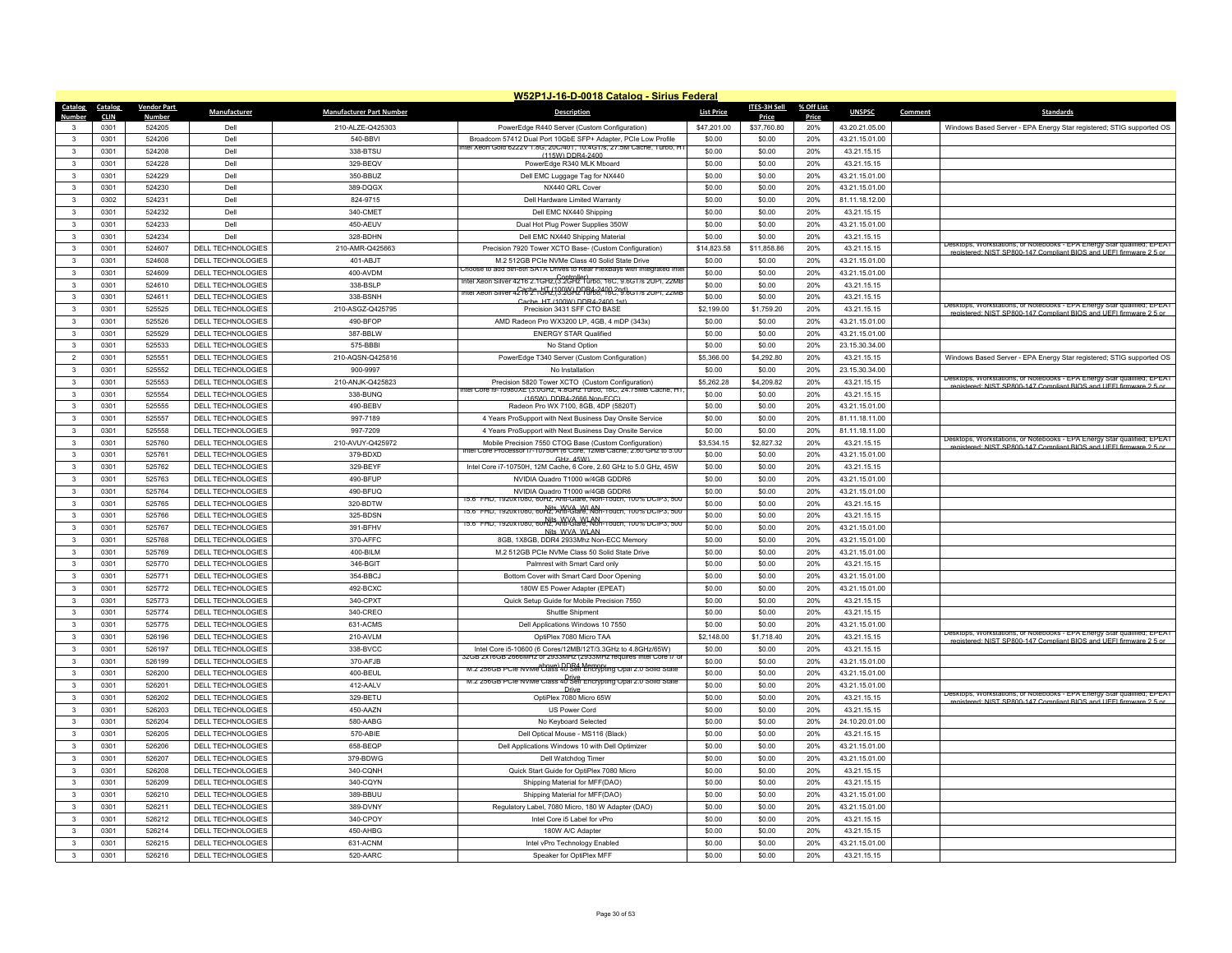|                   |              |                    |                                               |                                 | W52P1J-16-D-0018 Catalog - Sirius Federal                                                                                                                   |                   |                  |            |                                  |         |                                                                                                                                                |
|-------------------|--------------|--------------------|-----------------------------------------------|---------------------------------|-------------------------------------------------------------------------------------------------------------------------------------------------------------|-------------------|------------------|------------|----------------------------------|---------|------------------------------------------------------------------------------------------------------------------------------------------------|
| Catalog           | Catalog      | <b>Vendor Part</b> | Manufacturer                                  | <b>Manufacturer Part Number</b> | <b>Description</b>                                                                                                                                          | <b>List Price</b> | ITES-3H Sell     | % Off List | <b>UNSPSC</b>                    | Comment | Standards                                                                                                                                      |
| Number            | <b>CLIN</b>  | <b>Number</b>      |                                               |                                 |                                                                                                                                                             |                   | Price            | Price      |                                  |         |                                                                                                                                                |
|                   | 0301         | 524205             | Dell                                          | 210-ALZE-Q425303                | PowerEdge R440 Server (Custom Configuration)                                                                                                                | \$47,201.00       | \$37,760.80      | 20%        | 43.20.21.05.00                   |         | Windows Based Server - EPA Energy Star registered; STIG supported OS                                                                           |
| $\mathbf{R}$      | 0301         | 524206             | Dell                                          | 540-BBVI                        | Broadcom 57412 Dual Port 10GbE SFP+ Adapter, PCIe Low Profile<br>itel Xeon Gold 6222V 1.8G, 20C/401, 10.4G1/s, 27.5M Cache, Turbo, H                        | \$0.00            | \$0.00           | 20%        | 43.21.15.01.00                   |         |                                                                                                                                                |
| $\mathbf{3}$      | 0301         | 524208             | Del                                           | 338-BTSU                        | (115W) DDR4-2400                                                                                                                                            | \$0.00            | \$0.00           | 20%        | 43.21.15.15                      |         |                                                                                                                                                |
| $\mathbf{3}$      | 0301         | 524228             | Dell                                          | 329-BEQV                        | PowerEdge R340 MLK Mboard                                                                                                                                   | \$0.00            | \$0.00           | 20%        | 43.21.15.15                      |         |                                                                                                                                                |
| $\mathbf{R}$      | 0301         | 524229             | Dell                                          | 350-BBUZ                        | Dell EMC Luggage Tag for NX440                                                                                                                              | \$0.00            | \$0.00           | 20%        | 43.21.15.01.00                   |         |                                                                                                                                                |
| 3                 | 0301         | 524230             | Dell                                          | 389-DQGX                        | NX440 ORI Cover                                                                                                                                             | \$0.00            | \$0.00           | 20%        | 43.21.15.01.00                   |         |                                                                                                                                                |
| 3                 | 0302         | 524231             | Dell                                          | 824-9715                        | Dell Hardware Limited Warranty                                                                                                                              | \$0.00            | \$0.00           | 20%        | 81.11.18.12.00                   |         |                                                                                                                                                |
| $\mathbf{R}$      | 0301         | 524232             | Dell                                          | 340-CMFT                        | Dell EMC NX440 Shipping                                                                                                                                     | \$0.00            | \$0.00           | 20%        | 43.21.15.15                      |         |                                                                                                                                                |
| 3                 | 0301         | 524233             | Dell                                          | 450-AEUV                        | Dual Hot Plug Power Supplies 350W                                                                                                                           | \$0.00            | \$0.00           | 20%        | 43.21.15.01.00                   |         |                                                                                                                                                |
| $\mathbf{3}$      | 0301         | 524234             | Dell                                          | 328-BDHN                        | Dell EMC NX440 Shipping Material                                                                                                                            | \$0.00            | \$0.00           | 20%        | 43.21.15.15                      |         | Desktops, Workstations, or Notepooks - EPA Energy Star qualified: EPEAT                                                                        |
| $\mathbf{3}$      | 0301         | 524607             | DELL TECHNOLOGIES                             | 210-AMR-Q425663                 | Precision 7920 Tower XCTO Base- (Custom Configuration)                                                                                                      | \$14,823.58       | \$11,858.86      | 20%        | 43.21.15.15                      |         | registered: NIST SP800-147 Compliant RIOS and LIFFL firmware 2.5 or                                                                            |
| 3                 | 0301         | 524608             | DELL TECHNOLOGIES                             | 401-ABJT                        | M.2 512GB PCIe NVMe Class 40 Solid State Drive                                                                                                              | \$0.00            | \$0.00           | 20%        | 43.21.15.01.00                   |         |                                                                                                                                                |
| $\mathbf{3}$      | 0301         | 524609             | DELL TECHNOLOGIES                             | 400-AVDM                        | hoose to add 5th-8th SATA Drives to Rear FlexBays with Integrated Inte<br>ntel Xeon Silver 4216 2.1GHz, <mark>(3.2GHz Turbo, 16C, 9.6GT/s 2UPI, 22MB</mark> | \$0.00            | \$0.00           | 20%        | 43.21.15.01.00                   |         |                                                                                                                                                |
| 3                 | 0301         | 524610             | DELL TECHNOLOGIES                             | 338-BSLP                        | nter xeon Silver 4216 2.15Hz.(3.2GHz Turbo, 16C, 3.6GT/s 2UPI, 22ME                                                                                         | \$0.00            | \$0.00           | 20%        | 43.21.15.15                      |         |                                                                                                                                                |
| 3                 | 0301         | 524611             | <b>DELL TECHNOLOGIES</b>                      | 338-BSNH                        | ache HT (100W) DDR4-2400 1st                                                                                                                                | \$0.00            | \$0.00           | 20%        | 43.21.15.15                      |         |                                                                                                                                                |
| $\mathbf{3}$      | 0301         | 525525             | DELL TECHNOLOGIES                             | 210-ASGZ-Q425795                | Precision 3431 SFF CTO BASE                                                                                                                                 | \$2,199.00        | \$1,759.20       | 20%        | 43.21.15.15                      |         | Jesktops, workstations, or Notebooks - EPA Energy Star qualified; EPEAT<br>registered: NIST SP800-147 Compliant RIOS and LIFFI firmware 2.5 or |
| 3                 | 0301         | 525526             | DELL TECHNOLOGIES                             | 490-BFOP                        | AMD Radeon Pro WX3200 LP, 4GB, 4 mDP (343x)                                                                                                                 | \$0.00            | \$0.00           | 20%        | 43.21.15.01.00                   |         |                                                                                                                                                |
| $\mathbf{R}$      | 0301         | 525529             | <b>DELL TECHNOLOGIES</b>                      | 387-BBLW                        | <b>ENERGY STAR Qualified</b>                                                                                                                                | \$0.00            | \$0.00           | 20%        | 43.21.15.01.00                   |         |                                                                                                                                                |
| $\mathbf{3}$      | 0301         | 525533             | DELL TECHNOLOGIES                             | 575-BBBI                        | No Stand Option                                                                                                                                             | \$0.00            | \$0.00           | 20%        | 23.15.30.34.00                   |         |                                                                                                                                                |
| $\overline{2}$    | 0301         | 525551             | DELL TECHNOLOGIES                             | 210-AQSN-Q425816                | PowerEdge T340 Server (Custom Configuration)                                                                                                                | \$5,366.00        | \$4.292.80       | 20%        | 43.21.15.15                      |         | Windows Based Server - EPA Energy Star registered; STIG supported OS                                                                           |
| 3                 | 0301         | 525552             | DELL TECHNOLOGIES                             | 900-9997                        | No Installation                                                                                                                                             | \$0.00            | \$0.00           | 20%        | 23.15.30.34.00                   |         |                                                                                                                                                |
| $\mathbf{3}$      | 0301         | 525553             | DELL TECHNOLOGIES                             | 210-ANJK-Q425823                | Precision 5820 Tower XCTO (Custom Configuration)                                                                                                            | \$5,262.28        | \$4,209.82       | 20%        | 43.21.15.15                      |         | Jesktops, Workstations, or Notebooks - EPA Energy Star qualified; EPEAT<br>tered: NIST SP800-147 Compliant RIOS and LIFFL firm                 |
| 3                 | 0301         | 525554             | DELL TECHNOLOGIES                             | 338-BUNQ                        | ntel Core I9-10980XE (3.0GHz, 4.8GHz Turbo, 18C, 24.75MB Cache, HT<br>(165W) DDR4-2666 Non-ECC                                                              | \$0.00            | \$0.00           | 20%        | 43.21.15.15                      |         |                                                                                                                                                |
| 3                 | 0301         | 525555             | DELL TECHNOLOGIES                             | 490-BEBV                        | Radeon Pro WX 7100, 8GB, 4DP (5820T)                                                                                                                        | \$0.00            | \$0.00           | 20%        | 43.21.15.01.00                   |         |                                                                                                                                                |
| 3                 | 0301         | 525557             | DELL TECHNOLOGIES                             | 997-7189                        | 4 Years ProSupport with Next Business Day Onsite Service                                                                                                    | \$0.00            | \$0.00           | 20%        | 81.11.18.11.00                   |         |                                                                                                                                                |
| $\mathbf{3}$      | 0301         | 525558             | DELL TECHNOLOGIES                             | 997-7209                        | 4 Years ProSupport with Next Business Day Onsite Service                                                                                                    | \$0.00            | \$0.00           | 20%        | 81.11.18.11.00                   |         |                                                                                                                                                |
| $\mathbf{3}$      | 0301         | 525760             | DELL TECHNOLOGIES                             | 210-AVUY-Q425972                | Mobile Precision 7550 CTOG Base (Custom Configuration)                                                                                                      | \$3,534.15        | \$2,827.32       | 20%        | 43.21.15.15                      |         | Desktops, Workstations, or Notebooks - EPA Energy Star qualified; EPEAT<br>registered: NIST SP800-147 Compliant BIOS and LIFFI firmware 2.5 or |
| $\mathbf{3}$      | 0301         | 525761             | DELL TECHNOLOGIES                             | 379-BDXD                        | Core Processor (/-10/50H (6 Core, 12MB Cache, 2.60 GHz to 5.0)<br>GHz 45W)                                                                                  | \$0.00            | \$0.00           | 20%        | 43.21.15.01.00                   |         |                                                                                                                                                |
| $\mathbf{3}$      | 0301         | 525762             | DELL TECHNOLOGIES                             | 329-BEYF                        | Intel Core i7-10750H, 12M Cache, 6 Core, 2.60 GHz to 5.0 GHz, 45W                                                                                           | \$0.00            | \$0.00           | 20%        | 43.21.15.15                      |         |                                                                                                                                                |
| 3                 | 0301         | 525763             | DELL TECHNOLOGIES                             | 490-BFUP                        | NVIDIA Quadro T1000 w/4GB GDDR6                                                                                                                             | \$0.00            | \$0.00           | 20%        | 43.21.15.01.00                   |         |                                                                                                                                                |
| $\mathbf{R}$      | 0301         | 525764             | DELL TECHNOLOGIES                             | 490-BFUQ                        | NVIDIA Quadro T1000 w/4GB GDDR6                                                                                                                             | \$0.00            | \$0.00           | 20%        | 43.21.15.01.00                   |         |                                                                                                                                                |
| $\mathbf{3}$      | 0301         | 525765             | DELL TECHNOLOGIES                             | 320-BDTW                        | 15.6" FHD, 1920x1080, 60Hz, Anti-Glare, Non-Touch, 100% DCIP3, 500                                                                                          | \$0.00            | \$0.00           | 20%        | 43.21.15.15                      |         |                                                                                                                                                |
| $\mathbf{3}$      | 0301         | 525766             | DELL TECHNOLOGIES                             | 325-BDSN                        | 15.6" FHD, 1920x1080, 60Hz, Anti-Glare, Non-Touch, 100% DCIP3, 500                                                                                          | \$0.00            | \$0.00           | 20%        | 43.21.15.15                      |         |                                                                                                                                                |
| $\mathbf{3}$      | 0301         | 525767             | DELL TECHNOLOGIES                             | 391-BFHV                        | 15.6" FHD. 1920x1080. 60Hz. Anti-Glare. Non-Touch. 100% DCIP3. 500<br>15.6" FHD. 1920x1080. 60Hz. Anti-Glare. Non-Touch. 100% DCIP3. 500                    | \$0.00            | \$0.00           | 20%        | 43.21.15.01.00                   |         |                                                                                                                                                |
| 3                 | 0301         | 525768             | DELL TECHNOLOGIES                             | 370-AFFC                        | Nits WVA WI AN<br>8GB, 1X8GB, DDR4 2933Mhz Non-ECC Memory                                                                                                   | \$0.00            | \$0.00           | 20%        | 43.21.15.01.00                   |         |                                                                                                                                                |
| $\mathbf{3}$      | 0301         | 525769             | DELL TECHNOLOGIES                             | 400-BILM                        | M.2 512GB PCIe NVMe Class 50 Solid State Drive                                                                                                              | \$0.00            | \$0.00           | 20%        | 43.21.15.01.00                   |         |                                                                                                                                                |
| $\mathbf{3}$      | 0301         | 525770             | DELL TECHNOLOGIES                             | 346-BGIT                        | Palmrest with Smart Card only                                                                                                                               | \$0.00            | \$0.00           | 20%        | 43.21.15.15                      |         |                                                                                                                                                |
| 3                 | 0301         | 525771             | <b>DELL TECHNOLOGIES</b>                      | 354-BBCJ                        | Bottom Cover with Smart Card Door Opening                                                                                                                   | \$0.00            | \$0.00           | 20%        | 43.21.15.01.00                   |         |                                                                                                                                                |
| $\mathbf{3}$      | 0301         | 525772             | DELL TECHNOLOGIES                             | 492-BCXC                        | 180W E5 Power Adapter (EPEAT)                                                                                                                               | \$0.00            | \$0.00           | 20%        | 43.21.15.01.00                   |         |                                                                                                                                                |
| 3                 | 0301         | 525773             | DELL TECHNOLOGIES                             | 340-CPXT                        | Quick Setup Guide for Mobile Precision 7550                                                                                                                 | \$0.00            | \$0.00           | 20%        | 43.21.15.15                      |         |                                                                                                                                                |
| 3                 | 0301         | 525774             | DELL TECHNOLOGIES                             | 340-CREO                        | Shuttle Shipment                                                                                                                                            | \$0.00            | \$0.00           | 20%        | 43.21.15.15                      |         |                                                                                                                                                |
| $\mathbf{3}$      | 0301         | 525775             | DELL TECHNOLOGIES                             | 631-ACMS                        | Dell Applications Windows 10 7550                                                                                                                           | \$0.00            | \$0.00           | 20%        | 43.21.15.01.00                   |         |                                                                                                                                                |
| 3                 | 0301         | 526196             | DELL TECHNOLOGIES                             | 210-AVLM                        | OptiPlex 7080 Micro TAA                                                                                                                                     | \$2,148.00        | \$1,718.40       | 20%        | 43.21.15.15                      |         | Desktops, Workstations, or Notebooks - FPA Energy Star qualified: FPEAT                                                                        |
| 3                 | 0301         | 526197             | DELL TECHNOLOGIES                             | 338-BVCC                        | Intel Core i5-10600 (6 Cores/12MB/12T/3 3GHz to 4 8GHz/65W)                                                                                                 | \$0.00            | \$0.00           | 20%        | 43.21.15.15                      |         | registered: NIST SP800-147 Compliant BIOS and UFFI firmware 2.5 or                                                                             |
| $\mathbf{3}$      | 0301         | 526199             | DELL TECHNOLOGIES                             | 370-AFJB                        | 32GB 2x16GB 2666MHz or 2933MHz (2933MHz requires Intel Core i/                                                                                              | \$0.00            | \$0.00           | 20%        | 43.21.15.01.00                   |         |                                                                                                                                                |
| $\mathbf{3}$      | 0301         | 526200             | DELL TECHNOLOGIES                             | 400-BEUL                        | M.2 256GB PCIe NVMe Class 40 Self Encrypting Opal 2.0 Solid State                                                                                           | \$0.00            | \$0.00           | 20%        | 43.21.15.01.00                   |         |                                                                                                                                                |
| 3                 | 0301         | 526201             | <b>DELL TECHNOLOGIES</b>                      | 412-AALV                        | M.2 256GB PCIe NVMe Class 40 Self Encrypting Opal 2.0 Solid State                                                                                           | \$0.00            | \$0.00           | 20%        | 43.21.15.01.00                   |         |                                                                                                                                                |
| $\mathbf{3}$      | 0301         | 526202             | DELL TECHNOLOGIES                             | 329-BETU                        | Driv<br>OptiPlex 7080 Micro 65W                                                                                                                             | \$0.00            | \$0.00           | 20%        | 43.21.15.15                      |         | Jesktops, Workstations, or Notebooks - EPA Energy Star qualified; EPEAT                                                                        |
| $\mathbf{3}$      | 0301         | 526203             | DELL TECHNOLOGIES                             | 450-AAZN                        | US Power Cord                                                                                                                                               | \$0.00            | \$0.00           | 20%        | 43.21.15.15                      |         | registered: NIST SP800-147 Compliant BIOS and UFFI firmware 2.5 or                                                                             |
| $\mathbf{3}$      | 0301         | 526204             | DELL TECHNOLOGIES                             | 580-AABG                        | No Keyboard Selected                                                                                                                                        | \$0.00            | \$0.00           | 20%        | 24.10.20.01.00                   |         |                                                                                                                                                |
| $\mathbf{R}$      | 0301         | 526205             | DELL TECHNOLOGIES                             | 570-ABIE                        | Dell Optical Mouse - MS116 (Black)                                                                                                                          | \$0.00            | \$0.00           | 20%        | 43.21.15.15                      |         |                                                                                                                                                |
| $\mathbf{3}$      | 0301         | 526206             | DELL TECHNOLOGIES                             | 658-BEQP                        | Dell Applications Windows 10 with Dell Optimizer                                                                                                            | \$0.00            | \$0.00           | 20%        | 43.21.15.01.00                   |         |                                                                                                                                                |
| 3                 | 0301         | 526207             | DELL TECHNOLOGIES                             | 379-BDWG                        | Dell Watchdog Timer                                                                                                                                         | \$0.00            | \$0.00           | 20%        | 43.21.15.01.00                   |         |                                                                                                                                                |
| $\mathbf{R}$      | 0301         | 526208             | DELL TECHNOLOGIES                             | 340-CQNH                        | Quick Start Guide for OptiPlex 7080 Micro                                                                                                                   | \$0.00            | \$0.00           | 20%        |                                  |         |                                                                                                                                                |
|                   | 0301         | 526209             | <b>DELL TECHNOLOGIES</b>                      | 340-CQYN                        | Shipping Material for MFF(DAO)                                                                                                                              | \$0.00            | \$0.00           | 20%        | 43.21.15.15<br>43.21.15.15       |         |                                                                                                                                                |
| 3<br>$\mathbf{3}$ |              |                    |                                               |                                 |                                                                                                                                                             |                   |                  |            |                                  |         |                                                                                                                                                |
| $\mathbf{R}$      | 0301<br>0301 | 526210<br>526211   | DELL TECHNOLOGIES                             | 389-BBUU<br>389-DVNY            | Shipping Material for MFF(DAO)                                                                                                                              | \$0.00<br>\$0.00  | \$0.00<br>\$0.00 | 20%<br>20% | 43.21.15.01.00<br>43.21.15.01.00 |         |                                                                                                                                                |
| $\mathbf{R}$      | 0301         | 526212             | DELL TECHNOLOGIES<br><b>DELL TECHNOLOGIES</b> | 340-CPOY                        | Regulatory Label, 7080 Micro, 180 W Adapter (DAO)<br>Intel Core i5 Label for vPro                                                                           | \$0.00            | \$0.00           | 20%        | 43.21.15.15                      |         |                                                                                                                                                |
| $\mathbf{3}$      | 0301         | 526214             |                                               |                                 |                                                                                                                                                             | \$0.00            | \$0.00           | 20%        |                                  |         |                                                                                                                                                |
|                   |              |                    | DELL TECHNOLOGIES                             | 450-AHBG                        | 180W A/C Adapter                                                                                                                                            |                   |                  |            | 43.21.15.15                      |         |                                                                                                                                                |
| $\mathbf{R}$      | 0301         | 526215             | DELL TECHNOLOGIES                             | 631-ACNM                        | Intel vPro Technology Enabled                                                                                                                               | \$0.00            | \$0.00           | 20%        | 43.21.15.01.00                   |         |                                                                                                                                                |
| $\mathbf{R}$      | 0301         | 526216             | DELL TECHNOLOGIES                             | 520-AARC                        | Speaker for OptiPlex MFF                                                                                                                                    | \$0.00            | \$0.00           | 20%        | 43.21.15.15                      |         |                                                                                                                                                |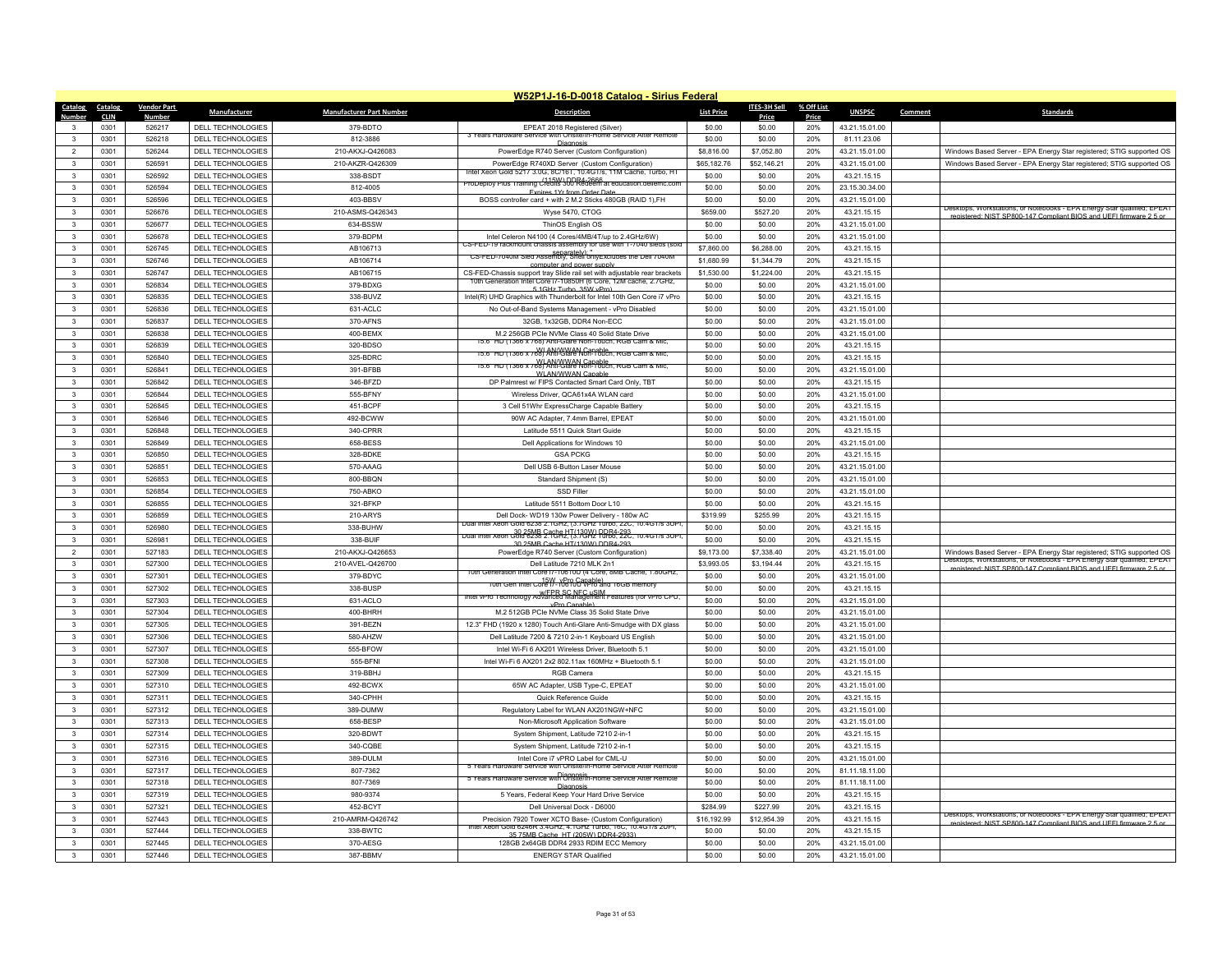|                                           |                         |                          |                                 | W52P1J-16-D-0018 Catalog - Sirius Federal                                                                                                                       |                   |                     |              |                |                                                                                                                                                 |
|-------------------------------------------|-------------------------|--------------------------|---------------------------------|-----------------------------------------------------------------------------------------------------------------------------------------------------------------|-------------------|---------------------|--------------|----------------|-------------------------------------------------------------------------------------------------------------------------------------------------|
| Catalog<br>Catalog                        | <b>Vendor Part</b>      | <b>Manufacturer</b>      | <b>Manufacturer Part Number</b> | <b>Description</b>                                                                                                                                              | <b>List Price</b> | <b>ITES-3H Sell</b> | % Off List   | <b>UNSPSC</b>  | <b>Standards</b><br>Comment                                                                                                                     |
| <b>Number</b><br><b>CLIN</b><br>0301<br>3 | <b>Number</b><br>526217 | DELL TECHNOLOGIES        | 379-BDTO                        | EPEAT 2018 Registered (Silver)                                                                                                                                  | \$0.00            | Price<br>\$0.00     | Price<br>20% | 43.21.15.01.00 |                                                                                                                                                 |
| $\mathbf{3}$<br>0301                      | 526218                  | <b>DELL TECHNOLOGIES</b> | 812-3886                        | 3 Years Hardware Service with Onsite/In-Home Service After Remote                                                                                               | \$0.00            | \$0.00              | 20%          | 81.11.23.06    |                                                                                                                                                 |
| $\overline{2}$<br>0301                    | 526244                  | <b>DELL TECHNOLOGIES</b> | 210-AKXJ-Q426083                | Diannosis<br>PowerEdge R740 Server (Custom Configuration)                                                                                                       | \$8,816.00        | \$7,052.80          | 20%          | 43.21.15.01.00 | Windows Based Server - EPA Energy Star registered; STIG supported OS                                                                            |
| $\mathbf{3}$<br>0301                      | 526591                  | DELL TECHNOLOGIES        | 210-AKZR-Q426309                | PowerEdge R740XD Server (Custom Configuration)                                                                                                                  | \$65,182.76       | \$52,146.21         | 20%          | 43.21.15.01.00 | Windows Based Server - EPA Energy Star registered; STIG supported OS                                                                            |
| $\mathbf{3}$<br>0301                      | 526592                  | DELL TECHNOLOGIES        | 338-BSDT                        | Intel Xeon Gold 5217 3.0G, 8C/161, 10.4G1/s, 11M Cache, Turbo, HT                                                                                               | \$0.00            | \$0.00              | 20%          | 43.21.15.15    |                                                                                                                                                 |
| 0301<br>$\mathbf{3}$                      | 526594                  | <b>DELL TECHNOLOGIES</b> | 812-4005                        | <u>115W) DDR4-2666.</u><br>ProDeploy Plus Training Credits 300 Redeem at equcation.deliemc.com                                                                  | \$0.00            | \$0.00              | 20%          | 23.15.30.34.00 |                                                                                                                                                 |
| 0301<br>$\mathbf{3}$                      | 526596                  | DELL TECHNOLOGIES        | 403-BBSV                        | Expires 1Yr from Order Dat<br>BOSS controller card + with 2 M.2 Sticks 480GB (RAID 1), FH                                                                       | \$0.00            | \$0.00              | 20%          | 43.21.15.01.00 |                                                                                                                                                 |
| $\mathbf{3}$<br>0301                      | 526676                  | DELL TECHNOLOGIES        | 210-ASMS-Q426343                | Wyse 5470, CTOG                                                                                                                                                 | \$659.00          | \$527.20            | 20%          | 43.21.15.15    | Desktops, Workstations, or Notebooks - EPA Energy Star qualified; EPEAT                                                                         |
| 0301<br>$\mathbf{3}$                      | 526677                  | <b>DELL TECHNOLOGIES</b> | 634-BSSW                        | ThinOS English OS                                                                                                                                               | \$0.00            | \$0.00              | 20%          | 43.21.15.01.00 | registered: NIST SP800-147 Compliant BIOS and UFFI firmware 2.5 or                                                                              |
| $\mathbf{3}$<br>0301                      | 526678                  | DELL TECHNOLOGIES        | 379-BDPM                        | Intel Celeron N4100 (4 Cores/4MB/4T/up to 2.4GHz/6W)                                                                                                            | \$0.00            | \$0.00              | 20%          | 43.21.15.01.00 |                                                                                                                                                 |
| $\mathbf{3}$<br>0301                      | 526745                  | DELL TECHNOLOGIES        | AB106713                        | hount chassis assembly for use with 1-7040<br>∪S-FED-19 rackr                                                                                                   | \$7,860.00        | \$6,288.00          | 20%          | 43.21.15.15    |                                                                                                                                                 |
| 0301<br>3                                 | 526746                  | <b>DELL TECHNOLOGIES</b> | AB106714                        | CS-FED-7040M Sled Assembly, Shell only Excludes the Dell 7040M                                                                                                  | \$1,680.99        | \$1,344.79          | 20%          | 43 21 15 15    |                                                                                                                                                 |
| $\mathbf{3}$<br>0301                      | 526747                  | DELL TECHNOLOGIES        | AB106715                        | computer and nower supply<br>CS-FED-Chassis support tray Slide rail set with adjustable rear brackets                                                           | \$1,530.00        | \$1,224.00          | 20%          | 43.21.15.15    |                                                                                                                                                 |
| $\mathbf{3}$<br>0301                      | 526834                  | DELL TECHNOLOGIES        | 379-BDXG                        | 10th Generation Intel Core (7-10850H (6 Core, 12M cache, 2./GHz,                                                                                                | \$0.00            | \$0.00              | 20%          | 43.21.15.01.00 |                                                                                                                                                 |
| 0301<br>$\mathbf{3}$                      | 526835                  | DELL TECHNOLOGIES        | 338-BUVZ                        | 5 1GHz Turbo 35W vPro)                                                                                                                                          | \$0.00            | \$0.00              | 20%          | 43.21.15.15    |                                                                                                                                                 |
| $\overline{\mathbf{3}}$<br>0301           | 526836                  | DELL TECHNOLOGIES        | 631-ACLC                        | Intel(R) UHD Graphics with Thunderbolt for Intel 10th Gen Core i7 vPro<br>No Out-of-Band Systems Management - vPro Disabled                                     | \$0.00            | \$0.00              | 20%          | 43.21.15.01.00 |                                                                                                                                                 |
| $\mathbf{3}$<br>0301                      | 526837                  | DELL TECHNOLOGIES        | 370-AFNS                        | 32GB, 1x32GB, DDR4 Non-ECC                                                                                                                                      | \$0.00            | \$0.00              | 20%          | 43.21.15.01.00 |                                                                                                                                                 |
| 0301<br>$\mathbf{3}$                      | 526838                  | DELL TECHNOLOGIES        | 400-BEMX                        | M.2 256GB PCIe NVMe Class 40 Solid State Drive                                                                                                                  | \$0.00            | \$0.00              | 20%          | 43.21.15.01.00 |                                                                                                                                                 |
| 0301<br>$\mathbf{3}$                      | 526839                  | <b>DELL TECHNOLOGIES</b> | 320-BDSO                        | 5.6" HD (1366 x /68) Anti-Glare Non-Touch, RGB Cam & Mio                                                                                                        | \$0.00            | \$0.00              | 20%          | 43.21.15.15    |                                                                                                                                                 |
|                                           |                         |                          |                                 | WI AN/WWAN Canable<br>15.6" HD (1366 x 768) Anti-Glare Non-Touch, RGB Cam & Mic,                                                                                |                   |                     |              |                |                                                                                                                                                 |
| $\mathbf{3}$<br>0301                      | 526840                  | DELL TECHNOLOGIES        | 325-BDRC                        | <del>oo HD (1366 x 768) ANNWAN Capable , RGB Cam &amp; Mic</del>                                                                                                | \$0.00            | \$0.00              | 20%          | 43.21.15.15    |                                                                                                                                                 |
| 0301<br>$\mathbf{3}$                      | 526841                  | DELL TECHNOLOGIES        | 391-BFBB                        | WI AN/WWAN Canable                                                                                                                                              | \$0.00            | \$0.00              | 20%          | 43.21.15.01.00 |                                                                                                                                                 |
| $\overline{\mathbf{3}}$<br>0301           | 526842                  | DELL TECHNOLOGIES        | 346-BFZD                        | DP Palmrest w/ FIPS Contacted Smart Card Only, TBT                                                                                                              | \$0.00            | \$0.00              | 20%          | 43.21.15.15    |                                                                                                                                                 |
| $\mathbf{3}$<br>0301                      | 526844                  | DELL TECHNOLOGIES        | 555-BFNY                        | Wireless Driver, QCA61x4A WLAN card                                                                                                                             | \$0.00            | \$0.00              | 20%          | 43.21.15.01.00 |                                                                                                                                                 |
| $\mathbf{3}$<br>0301                      | 526845                  | DELL TECHNOLOGIES        | 451-BCPF                        | 3 Cell 51Whr ExpressCharge Capable Battery                                                                                                                      | \$0.00            | \$0.00              | 20%          | 43.21.15.15    |                                                                                                                                                 |
| $\overline{\mathbf{3}}$<br>0301           | 526846                  | DELL TECHNOLOGIES        | 492-BCWW                        | 90W AC Adapter, 7.4mm Barrel, EPEAT                                                                                                                             | \$0.00            | \$0.00              | 20%          | 43.21.15.01.00 |                                                                                                                                                 |
| 0301<br>$\mathbf{3}$                      | 526848                  | <b>DELL TECHNOLOGIES</b> | 340-CPRR                        | Latitude 5511 Quick Start Guide                                                                                                                                 | \$0.00            | \$0.00              | 20%          | 43.21.15.15    |                                                                                                                                                 |
| $\mathbf{3}$<br>0301                      | 526849                  | DELL TECHNOLOGIES        | 658-BESS                        | Dell Applications for Windows 10                                                                                                                                | \$0.00            | \$0.00              | 20%          | 43.21.15.01.00 |                                                                                                                                                 |
| $\mathbf 3$<br>0301                       | 526850                  | DELL TECHNOLOGIES        | 328-BDKE                        | <b>GSA PCKG</b>                                                                                                                                                 | \$0.00            | \$0.00              | 20%          | 43.21.15.15    |                                                                                                                                                 |
| 0301<br>$\mathbf{3}$                      | 526851                  | DELL TECHNOLOGIES        | 570-AAAG                        | Dell USB 6-Button Laser Mouse                                                                                                                                   | \$0.00            | \$0.00              | 20%          | 43.21.15.01.00 |                                                                                                                                                 |
| $\mathbf{3}$<br>0301                      | 526853                  | DELL TECHNOLOGIES        | 800-BBQN                        | Standard Shipment (S)                                                                                                                                           | \$0.00            | \$0.00              | 20%          | 43.21.15.01.00 |                                                                                                                                                 |
| $\mathbf{3}$<br>0301                      | 526854                  | <b>DELL TECHNOLOGIES</b> | 750-ABKO                        | <b>SSD Filler</b>                                                                                                                                               | \$0.00            | \$0.00              | 20%          | 43.21.15.01.00 |                                                                                                                                                 |
| 0301<br>$\mathbf{3}$                      | 526855                  | <b>DELL TECHNOLOGIES</b> | 321-BFKP                        | Latitude 5511 Bottom Door L10                                                                                                                                   | \$0.00            | \$0.00              | 20%          | 43.21.15.15    |                                                                                                                                                 |
| 0301<br>$\mathbf{3}$                      | 526859                  | DELL TECHNOLOGIES        | 210-ARYS                        | Dell Dock- WD19 130w Power Delivery - 180w AC<br>Dual Intel Xeon Gold 6238 2.1GHz, (3.7GHz, 1urbo, 22C, 10.4G1/s 3UP)                                           | \$319.99          | \$255.99            | 20%          | 43.21.15.15    |                                                                                                                                                 |
| $\mathbf{3}$<br>0301                      | 526980                  | DELL TECHNOLOGIES        | 338-BUHW                        | 30 25MB Cache HT(130W) DDR4-293<br>Dual Intel Xeon Gold 6238 2.1GHz, (3.7GHz Turbo, 22C, 10.4GT/s 3OPT                                                          | \$0.00            | \$0.00              | 20%          | 43.21.15.15    |                                                                                                                                                 |
| 0301<br>3                                 | 526981                  | DELL TECHNOLOGIES        | 338-BUIF                        | 30.25MB Cache HT/130W) DDR4-29                                                                                                                                  | \$0.00            | \$0.00              | 20%          | 43.21.15.15    |                                                                                                                                                 |
| $\overline{2}$<br>0301                    | 527183                  | DELL TECHNOLOGIES        | 210-AKXJ-Q426653                | PowerEdge R740 Server (Custom Configuration)                                                                                                                    | \$9,173.00        | \$7,338.40          | 20%          | 43.21.15.01.00 | Windows Based Server - EPA Energy Star registered; STIG supported OS<br>Desktops, Workstations, or Notebooks - EPA Energy Star qualified; EPEAT |
| $\mathbf{3}$<br>0301                      | 527300                  | <b>DELL TECHNOLOGIES</b> | 210-AVEL-Q426700                | Dell Latitude 7210 MLK 2n1                                                                                                                                      | \$3,993.05        | \$3,194.44          | 20%          | 43.21.15.15    | registered: NIST SP800-147 Compliant RIOS and LIEEL firmware 2.5 or                                                                             |
| 0301<br>3                                 | 527301                  | DELL TECHNOLOGIES        | 379-BDYC                        | 10th Generation Intel Core i/-10610U (4 Core, 8MB Cache, 1.80GHz,<br>oth Gen Intel Core ו-15W Yero Capable)<br>דער Gen Intel Core ו-106100 VPro and 16GB memory | \$0.00            | \$0.00              | 20%          | 43.21.15.01.00 |                                                                                                                                                 |
| $\overline{\mathbf{3}}$<br>0301           | 527302                  | DELL TECHNOLOGIES        | 338-BUSP                        | wFPR SC NFC uSIM<br>Intel vPro Technology Advanced Management Features (for vPro CPU)                                                                           | \$0.00            | \$0.00              | 20%          | 43.21.15.15    |                                                                                                                                                 |
| $\mathbf{3}$<br>0301                      | 527303                  | DELL TECHNOLOGIES        | 631-ACLO                        | vPro Canable)                                                                                                                                                   | \$0.00            | \$0.00              | 20%          | 43.21.15.01.00 |                                                                                                                                                 |
| 0301<br>3                                 | 527304                  | <b>DELL TECHNOLOGIES</b> | 400-BHRH                        | M.2 512GB PCIe NVMe Class 35 Solid State Drive                                                                                                                  | \$0.00            | \$0.00              | 20%          | 43.21.15.01.00 |                                                                                                                                                 |
| 0301<br>$\mathbf{3}$                      | 527305                  | <b>DELL TECHNOLOGIES</b> | 391-BEZN                        | 12.3" FHD (1920 x 1280) Touch Anti-Glare Anti-Smudge with DX glass                                                                                              | \$0.00            | \$0.00              | 20%          | 43.21.15.01.00 |                                                                                                                                                 |
| 0301<br>$\mathbf{3}$                      | 527306                  | <b>DELL TECHNOLOGIES</b> | 580-AHZW                        | Dell Latitude 7200 & 7210 2-in-1 Keyboard US English                                                                                                            | \$0.00            | \$0.00              | 20%          | 43.21.15.01.00 |                                                                                                                                                 |
| $\mathbf{3}$<br>0301                      | 527307                  | DELL TECHNOLOGIES        | 555-BFOW                        | Intel Wi-Fi 6 AX201 Wireless Driver, Bluetooth 5.1                                                                                                              | \$0.00            | \$0.00              | 20%          | 43.21.15.01.00 |                                                                                                                                                 |
| $\mathbf{3}$<br>0301                      | 527308                  | DELL TECHNOLOGIES        | 555-BFNI                        | Intel Wi-Fi 6 AX201 2x2 802.11ax 160MHz + Bluetooth 5.1                                                                                                         | \$0.00            | \$0.00              | 20%          | 43.21.15.01.00 |                                                                                                                                                 |
| $\mathbf{3}$<br>0301                      | 527309                  | <b>DELL TECHNOLOGIES</b> | 319-BBHJ                        | <b>RGB Camera</b>                                                                                                                                               | \$0.00            | \$0.00              | 20%          | 43.21.15.15    |                                                                                                                                                 |
| $\mathbf{3}$<br>0301                      | 527310                  | DELL TECHNOLOGIES        | 492-BCWX                        | 65W AC Adapter, USB Type-C, EPEAT                                                                                                                               | \$0.00            | \$0.00              | 20%          | 43.21.15.01.00 |                                                                                                                                                 |
| $\mathbf{3}$<br>0301                      | 527311                  | DELL TECHNOLOGIES        | 340-CPHH                        | Quick Reference Guide                                                                                                                                           | \$0.00            | \$0.00              | 20%          | 43.21.15.15    |                                                                                                                                                 |
| 0301<br>$\mathbf{3}$                      | 527312                  | <b>DELL TECHNOLOGIES</b> | 389-DUMW                        | Regulatory Label for WLAN AX201NGW+NFC                                                                                                                          | \$0.00            | \$0.00              | 20%          | 43.21.15.01.00 |                                                                                                                                                 |
| 0301<br>$\mathbf{3}$                      | 527313                  | DELL TECHNOLOGIES        | 658-BESP                        | Non-Microsoft Application Software                                                                                                                              | \$0.00            | \$0.00              | 20%          | 43.21.15.01.00 |                                                                                                                                                 |
| $\mathbf 3$<br>0301                       | 527314                  | DELL TECHNOLOGIES        | 320-BDWT                        | System Shipment, Latitude 7210 2-in-1                                                                                                                           | \$0.00            | \$0.00              | 20%          | 43.21.15.15    |                                                                                                                                                 |
| 0301<br>3                                 | 527315                  | DELL TECHNOLOGIES        | 340-CQBE                        | System Shipment, Latitude 7210 2-in-1                                                                                                                           | \$0.00            | \$0.00              | 20%          | 43.21.15.15    |                                                                                                                                                 |
| 0301<br>$\mathbf{3}$                      | 527316                  | DELL TECHNOLOGIES        | 389-DULM                        | Intel Core i7 vPRO Label for CML-U                                                                                                                              | \$0.00            | \$0.00              | 20%          | 43.21.15.01.00 |                                                                                                                                                 |
| $\mathbf{3}$<br>0301                      | 527317                  | DELL TECHNOLOGIES        | 807-7362                        | 5 Years Hardware Service with Onsite/In-Home Service After Remote<br>b Years Hardware Service with Onsite/In-Home Service After Remote                          | \$0.00            | \$0.00              | 20%          | 81.11.18.11.00 |                                                                                                                                                 |
| 0301<br>$\mathbf{3}$                      | 527318                  | DELL TECHNOLOGIES        | 807-7369                        | Diagnosi                                                                                                                                                        | \$0.00            | \$0.00              | 20%          | 81.11.18.11.00 |                                                                                                                                                 |
| $\mathbf{3}$<br>0301                      | 527319                  | DELL TECHNOLOGIES        | 980-9374                        | 5 Years, Federal Keep Your Hard Drive Service                                                                                                                   | \$0.00            | \$0.00              | 20%          | 43.21.15.15    |                                                                                                                                                 |
| $\mathbf{3}$<br>0301                      | 527321                  | DELL TECHNOLOGIES        | 452-BCYT                        | Dell Universal Dock - D6000                                                                                                                                     | \$284.99          | \$227.99            | 20%          | 43.21.15.15    |                                                                                                                                                 |
| 0301<br>$\mathbf{3}$                      | 527443                  | DELL TECHNOLOGIES        | 210-AMRM-Q426742                | Precision 7920 Tower XCTO Base- (Custom Configuration)                                                                                                          | \$16,192.99       | \$12,954.39         | 20%          | 43.21.15.15    | Desktops, Workstations, or Notebooks - EPA Energy Star qualified; EPEAT<br>registered: NIST SP800-147 Compliant BIOS and UFFI firmware 2.5 or   |
| $\mathbf{3}$<br>0301                      | 527444                  | DELL TECHNOLOGIES        | 338-BWTC                        | Gold 6246R 3.4GHz, 4.1GHz Turbo, 16C, 10.4GT/s 2UF<br>35 75MB Cache HT (205W) DDR4-2933)                                                                        | \$0.00            | \$0.00              | 20%          | 43.21.15.15    |                                                                                                                                                 |
| $\overline{\mathbf{3}}$<br>0301           | 527445                  | DELL TECHNOLOGIES        | 370-AESG                        | 128GB 2x64GB DDR4 2933 RDIM ECC Memory                                                                                                                          | \$0.00            | \$0.00              | 20%          | 43.21.15.01.00 |                                                                                                                                                 |
| 0301<br>$\mathbf{3}$                      | 527446                  | DELL TECHNOLOGIES        | 387-BBMV                        | <b>ENERGY STAR Qualified</b>                                                                                                                                    | \$0.00            | \$0.00              | 20%          | 43.21.15.01.00 |                                                                                                                                                 |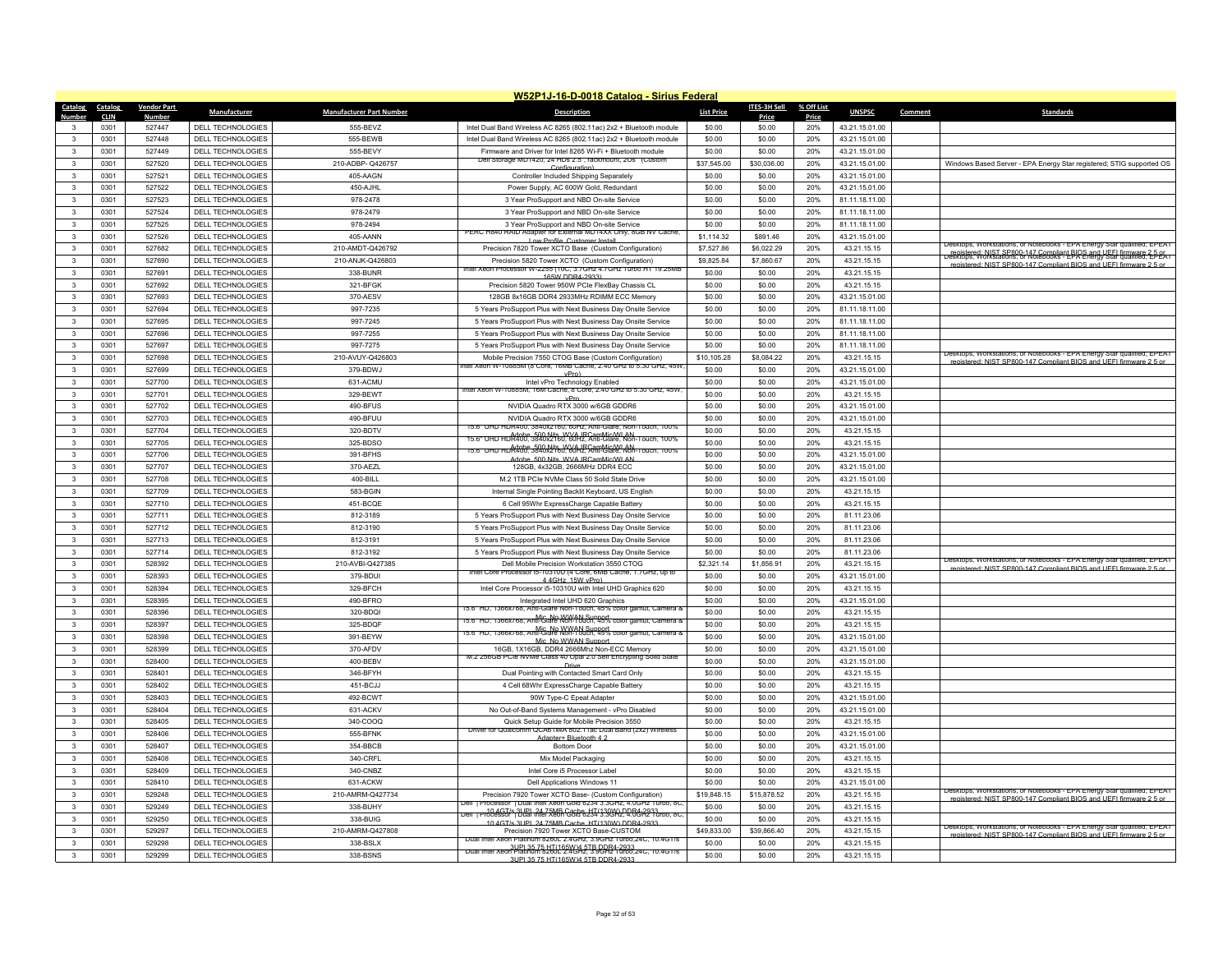|                              |              |                    |                                               |                                 | W52P1J-16-D-0018 Catalog - Sirius Federal                                                                                              |                   |                  |            |                                  |         |                                                                                                                                                |
|------------------------------|--------------|--------------------|-----------------------------------------------|---------------------------------|----------------------------------------------------------------------------------------------------------------------------------------|-------------------|------------------|------------|----------------------------------|---------|------------------------------------------------------------------------------------------------------------------------------------------------|
| Catalog                      | Catalog      | <b>Vendor Part</b> | <b>Manufacturer</b>                           | <b>Manufacturer Part Number</b> | <b>Description</b>                                                                                                                     | <b>List Price</b> | ITES-3H Sell     | % Off List | <b>UNSPSC</b>                    | Comment | <b>Standards</b>                                                                                                                               |
| Number                       | <b>CLIN</b>  | <b>Number</b>      |                                               |                                 |                                                                                                                                        |                   | Price            | Price      |                                  |         |                                                                                                                                                |
|                              | 0301         | 527447             | DELL TECHNOLOGIES                             | 555-BEVZ                        | Intel Dual Band Wireless AC 8265 (802.11ac) 2x2 + Bluetooth module                                                                     | \$0.00            | \$0.00           | 20%        | 43.21.15.01.00                   |         |                                                                                                                                                |
| $\mathbf{R}$                 | 0301         | 527448<br>527449   | <b>DELL TECHNOLOGIES</b><br>DELL TECHNOLOGIES | 555-BEWB                        | Intel Dual Band Wireless AC 8265 (802.11ac) 2x2 + Bluetooth module                                                                     | \$0.00            | \$0.00           | 20%<br>20% | 43.21.15.01.00                   |         |                                                                                                                                                |
| $\mathbf{3}$                 | 0301         |                    |                                               | 555-BEVY                        | Firmware and Driver for Intel 8265 Wi-Fi + Bluetooth module<br>Dell Storage MD1420, 24 HDs 2.5", rackmount, 2Us (Custom                | \$0.00            | \$0.00           |            | 43.21.15.01.00                   |         |                                                                                                                                                |
| $\mathbf{3}$<br>$\mathbf{3}$ | 0301         | 527520             | DELL TECHNOLOGIES                             | 210-ADBP-Q426757<br>405-AAGN    | Configuration)                                                                                                                         | \$37,545.00       | \$30,036.00      | 20%        | 43.21.15.01.00                   |         | Windows Based Server - EPA Energy Star registered; STIG supported OS                                                                           |
|                              | 0301<br>0301 | 527521             | DELL TECHNOLOGIES<br>DELL TECHNOLOGIES        | 450-AJHI                        | Controller Included Shipping Separately                                                                                                | \$0.00<br>\$0.00  | \$0.00<br>\$0.00 | 20%<br>20% | 43.21.15.01.00<br>43 21 15 01 00 |         |                                                                                                                                                |
| 3<br>3                       | 0301         | 527522<br>527523   | DELL TECHNOLOGIES                             | 978-2478                        | Power Supply, AC 600W Gold, Redundant<br>3 Year ProSupport and NBD On-site Service                                                     | \$0.00            | \$0.00           | 20%        | 81.11.18.11.00                   |         |                                                                                                                                                |
| $\mathbf{R}$                 | 0301         | 527524             | DELL TECHNOLOGIES                             | 978-2479                        | 3 Year ProSupport and NBD On-site Service                                                                                              | \$0.00            | \$0.00           | 20%        | 81.11.18.11.00                   |         |                                                                                                                                                |
| 3                            | 0301         | 527525             | <b>DELL TECHNOLOGIES</b>                      | 978-2494                        | 3 Year ProSupport and NBD On-site Service                                                                                              | \$0.00            | \$0.00           | 20%        | 81.11.18.11.00                   |         |                                                                                                                                                |
| $\mathbf{3}$                 | 0301         | 527526             | DELL TECHNOLOGIES                             | 405-AANN                        | PERC H840 RAID Adapter for External MD14XX Only, 8GB NV Cache                                                                          | \$1,114.32        | \$891.46         | 20%        | 43.21.15.01.00                   |         |                                                                                                                                                |
| $\mathbf{3}$                 | 0301         | 527682             | DELL TECHNOLOGIES                             | 210-AMDT-Q426792                | Low Profile, Customer Instal<br>Precision 7820 Tower XCTO Base (Custom Configuration)                                                  | \$7,527.86        | \$6,022.29       | 20%        | 43.21.15.15                      |         | Jesktops, workstations, or Notebooks - EPA Energy Star qualified; EPEAT                                                                        |
| 3                            | 0301         | 527690             | DELL TECHNOLOGIES                             | 210-ANJK-Q426803                | Precision 5820 Tower XCTO (Custom Configuration)                                                                                       | \$9,825.84        | \$7,860.67       | 20%        | 43.21.15.15                      |         | Fenistered: NIST SP800-147 Compliant BIOS and UFFI firmware 2-DEAT<br>Desktops: Workstations, or Notebooks - EPA Energy Star qualified; EDEAT  |
| $\mathbf{3}$                 | 0301         | 527691             | DELL TECHNOLOGIES                             | 338-BUNR                        | Intel Xeon Processor W-2255 (10C, 3.7GHz 4.7GHz Turbo HT 19.25MB                                                                       | \$0.00            | \$0.00           | 20%        | 43.21.15.15                      |         | registered: NIST SP800-147 Compliant BIOS and LIFEL firmware 2.5 o                                                                             |
| $\mathbf{3}$                 | 0301         | 527692             | DELL TECHNOLOGIES                             | 321-BFGK                        | 165W DDR4-2933)<br>Precision 5820 Tower 950W PCIe FlexBay Chassis CL                                                                   | \$0.00            | \$0.00           | 20%        | 43.21.15.15                      |         |                                                                                                                                                |
| $\mathbf{3}$                 | 0301         | 527693             | DELL TECHNOLOGIES                             | 370-AFSV                        | 128GB 8x16GB DDR4 2933MHz RDIMM FCC Memory                                                                                             | \$0.00            | \$0.00           | 20%        | 43.21.15.01.00                   |         |                                                                                                                                                |
| $\mathbf{3}$                 | 0301         | 527694             | <b>DELL TECHNOLOGIES</b>                      | 997-7235                        | 5 Years ProSupport Plus with Next Business Day Onsite Service                                                                          | \$0.00            | \$0.00           | 20%        | 81.11.18.11.00                   |         |                                                                                                                                                |
| $\mathbf{3}$                 | 0301         | 527695             | DELL TECHNOLOGIES                             | 997-7245                        | 5 Years ProSupport Plus with Next Business Day Onsite Service                                                                          | \$0.00            | \$0.00           | 20%        | 81.11.18.11.00                   |         |                                                                                                                                                |
| 3                            | 0301         | 527696             | DELL TECHNOLOGIES                             | 997-7255                        | 5 Years ProSupport Plus with Next Business Day Onsite Service                                                                          | \$0.00            | \$0.00           | 20%        | 81.11.18.11.00                   |         |                                                                                                                                                |
| $\mathbf{3}$                 | 0301         | 527697             | DELL TECHNOLOGIES                             | 997-7275                        | 5 Years ProSupport Plus with Next Business Day Onsite Service                                                                          | \$0.00            | \$0.00           | 20%        | 81.11.18.11.00                   |         |                                                                                                                                                |
| $\mathbf{3}$                 | 0301         | 527698             | DELL TECHNOLOGIES                             | 210-AVUY-Q426803                | Mobile Precision 7550 CTOG Base (Custom Configuration)                                                                                 | \$10,105.28       | \$8,084.22       | 20%        | 43.21.15.15                      |         | Jesktops, Workstations, or Notebooks - EPA Energy Star qualified; EPEAT                                                                        |
| $\mathbf{3}$                 | 0301         | 527699             | DELL TECHNOLOGIES                             | 379-BDWJ                        | tel xeon W-10885M (8 Core, 16MB Cache, 2.40 GHZ to 5.30 GHZ, 45W                                                                       | \$0.00            | \$0.00           | 20%        | 43.21.15.01.00                   |         | registered: NIST SP800-147 Compliant BIOS and LIFFI firmware 2.5                                                                               |
| $\mathbf{3}$                 | 0301         | 527700             | DELL TECHNOLOGIES                             | 631-ACMU                        | vPr()<br>Intel vPro Technology Enabled                                                                                                 | \$0.00            | \$0.00           | 20%        | 43.21.15.01.00                   |         |                                                                                                                                                |
| $\mathbf{3}$                 | 0301         | 527701             | DELL TECHNOLOGIES                             | 329-BEWT                        | ntel Xeon W-10885M, 16M Cache, 8 Core, 2.40 GHz to 5.30 GHz, 45W                                                                       | \$0.00            | \$0.00           | 20%        | 43.21.15.15                      |         |                                                                                                                                                |
| 3                            | 0301         | 527702             | DELL TECHNOLOGIES                             | 490-BFUS                        | vPro<br>NVIDIA Quadro RTX 3000 w/6GB GDDR6                                                                                             | \$0.00            | \$0.00           | 20%        | 43.21.15.01.00                   |         |                                                                                                                                                |
| $\mathbf{R}$                 | 0301         | 527703             | DELL TECHNOLOGIES                             | 490-BFUU                        | NVIDIA Quadro RTX 3000 w/6GB GDDR6                                                                                                     | \$0.00            | \$0.00           | 20%        | 43.21.15.01.00                   |         |                                                                                                                                                |
| 3                            | 0301         | 527704             | <b>DELL TECHNOLOGIES</b>                      | 320-BDTV                        | 15.6" UHD HDR400, 3840x2160, 60Hz, Anti-Glare, Non-Touch, 100%                                                                         | \$0.00            | \$0.00           | 20%        | 43.21.15.15                      |         |                                                                                                                                                |
| $\mathbf{3}$                 | 0301         | 527705             | DELL TECHNOLOGIES                             | 325-BDSO                        | 15.6" UHD HDR400, 3840x2160, 60Hz, Anti-Glare, Non-Touch, 100%                                                                         | \$0.00            | \$0.00           | 20%        | 43.21.15.15                      |         |                                                                                                                                                |
| $\mathbf{R}$                 | 0301         | 527706             | DELL TECHNOLOGIES                             | 391-BFHS                        | 15.6" UHD HDR400; 3840x2160, 60Hz, Anti-Glare, Non-Touch, 100%                                                                         | \$0.00            | \$0.00           | 20%        | 43.21.15.01.00                   |         |                                                                                                                                                |
| 3                            | 0301         | 527707             | <b>DELL TECHNOLOGIES</b>                      | 370-AEZL                        | Adobe 500 Nits WVA IRCamMic/WI AN<br>128GB, 4x32GB, 2666MHz DDR4 ECC                                                                   | \$0.00            | \$0.00           | 20%        | 43 21 15 01 00                   |         |                                                                                                                                                |
| $\mathbf{3}$                 | 0301         | 527708             | DELL TECHNOLOGIES                             | 400-BILL                        | M.2 1TB PCIe NVMe Class 50 Solid State Drive                                                                                           | \$0.00            | \$0.00           | 20%        | 43.21.15.01.00                   |         |                                                                                                                                                |
| $\mathbf{3}$                 | 0301         | 527709             | DELL TECHNOLOGIES                             | 583-BGIN                        | Internal Single Pointing Backlit Keyboard, US English                                                                                  | \$0.00            | \$0.00           | 20%        | 43.21.15.15                      |         |                                                                                                                                                |
| $\mathbf{3}$                 | 0301         | 527710             | <b>DELL TECHNOLOGIES</b>                      | 451-BCQE                        | 6 Cell 95Whr ExpressCharge Capable Battery                                                                                             | \$0.00            | \$0.00           | 20%        | 43.21.15.15                      |         |                                                                                                                                                |
| $\mathbf{3}$                 | 0301         | 527711             | DELL TECHNOLOGIES                             | 812-3189                        | 5 Years ProSupport Plus with Next Business Day Onsite Service                                                                          | \$0.00            | \$0.00           | 20%        | 81.11.23.06                      |         |                                                                                                                                                |
| $\mathbf{3}$                 | 0301         | 527712             | DELL TECHNOLOGIES                             | 812-3190                        | 5 Years ProSupport Plus with Next Business Day Onsite Service                                                                          | \$0.00            | \$0.00           | 20%        | 81.11.23.06                      |         |                                                                                                                                                |
| 3                            | 0301         | 527713             | DELL TECHNOLOGIES                             | 812-3191                        | 5 Years ProSupport Plus with Next Business Day Onsite Service                                                                          | \$0.00            | \$0.00           | 20%        | 81.11.23.06                      |         |                                                                                                                                                |
| $\overline{\mathbf{3}}$      | 0301         | 527714             | <b>DELL TECHNOLOGIES</b>                      | 812-3192                        | 5 Years ProSupport Plus with Next Business Day Onsite Service                                                                          | \$0.00            | \$0.00           | 20%        | 81.11.23.06                      |         |                                                                                                                                                |
| $\mathbf{3}$                 | 0301         | 528392             | DELL TECHNOLOGIES                             | 210-AVBI-Q427385                | Dell Mobile Precision Workstation 3550 CTOG                                                                                            | \$2,321.14        | \$1,856.91       | 20%        | 43.21.15.15                      |         | Desktops, Workstations, or Notebooks - EPA Energy Star qualified: EPEAT                                                                        |
| 3                            | 0301         | 528393             | DELL TECHNOLOGIES                             | 379-BDUI                        | Intel Core Processor i5-10310U (4 Core, 6MB Cache, 1.7GHz, up to<br>4 4 GHz 15W vPro)                                                  | \$0.00            | \$0.00           | 20%        | 43.21.15.01.00                   |         | registered: NIST SP800-147 Compliant BIOS and UEEL firmware 2.5 or                                                                             |
| $\overline{\mathbf{3}}$      | 0301         | 528394             | DELL TECHNOLOGIES                             | 329-BECH                        | Intel Core Processor i5-10310U with Intel UHD Graphics 620                                                                             | \$0.00            | \$0.00           | 20%        | 43.21.15.15                      |         |                                                                                                                                                |
| $\mathbf{3}$                 | 0301         | 528395             | DELL TECHNOLOGIES                             | 490-BFRO                        | Integrated Intel UHD 620 Graphics                                                                                                      | \$0.00            | \$0.00           | 20%        | 43.21.15.01.00                   |         |                                                                                                                                                |
| 3                            | 0301         | 528396             | DELL TECHNOLOGIES                             | 320-BDQI                        | 15.6" HD, 1366x/68, Anti-Glare Non-Touch, 45% color gamut, Camera &                                                                    | \$0.00            | \$0.00           | 20%        | 43.21.15.15                      |         |                                                                                                                                                |
| $\mathbf{3}$                 | 0301         | 528397             | DELL TECHNOLOGIES                             | 325-BDOF                        | it - HD, 1366x768, Anti-Glare Non-Touch, 45% color gamut, Camera &<br>אוני HD, 1366x768, Anti-Glare Non-Touch, 45% color gamut, Camera | \$0.00            | \$0.00           | 20%        | 43 21 15 15                      |         |                                                                                                                                                |
| $\mathbf{3}$                 | 0301         | 528398             | DELL TECHNOLOGIES                             | 391-BFYW                        | 15.6" HD. 1366x768, Anti-Glare Non-Touch, 45% color gamut, Camera &<br>Mic_No WWAN Support                                             | \$0.00            | \$0.00           | 20%        | 43.21.15.01.00                   |         |                                                                                                                                                |
| $\mathbf{3}$                 | 0301         | 528399             | DELL TECHNOLOGIES                             | 370-AFDV                        | 16GB, 1X16GB, DDR4 2666Mhz Non-ECC Memory                                                                                              | \$0.00            | \$0.00           | 20%        | 43.21.15.01.00                   |         |                                                                                                                                                |
| $\mathbf{A}$                 | 0301         | 528400             | DELL TECHNOLOGIES                             | 400-BEBV                        | M.2 256GB PCIe NVMe Class 40 Opal 2.0 Self Encrypting Solid State                                                                      | \$0.00            | \$0.00           | 20%        | 43.21.15.01.00                   |         |                                                                                                                                                |
| 3                            | 0301         | 528401             | DELL TECHNOLOGIES                             | 346-BFYH                        | Dual Pointing with Contacted Smart Card Only                                                                                           | \$0.00            | \$0.00           | 20%        | 43.21.15.15                      |         |                                                                                                                                                |
| 3                            | 0301         | 528402             | DELL TECHNOLOGIES                             | 451-BCJJ                        | 4 Cell 68Whr ExpressCharge Capable Battery                                                                                             | \$0.00            | \$0.00           | 20%        | 43.21.15.15                      |         |                                                                                                                                                |
| $\mathbf{R}$                 | 0301         | 528403             | DELL TECHNOLOGIES                             | 492-BCWT                        | 90W Type-C Epeat Adapter                                                                                                               | \$0.00            | \$0.00           | 20%        | 43.21.15.01.00                   |         |                                                                                                                                                |
| 3                            | 0301         | 528404             | DELL TECHNOLOGIES                             | 631-ACKV                        | No Out-of-Band Systems Management - vPro Disabled                                                                                      | \$0.00            | \$0.00           | 20%        | 43.21.15.01.00                   |         |                                                                                                                                                |
| $\mathbf{3}$                 | 0301         | 528405             | DELL TECHNOLOGIES                             | 340-COOQ                        | Quick Setup Guide for Mobile Precision 3550                                                                                            | \$0.00            | \$0.00           | 20%        | 43.21.15.15                      |         |                                                                                                                                                |
| $\mathbf{3}$                 | 0301         | 528406             | DELL TECHNOLOGIES                             | 555-BFNK                        | Driver for Qualcomm QCA61x4A 802.11ac Dual Band (2x2) Wireles<br>danter+ Bluetooth 4                                                   | \$0.00            | \$0.00           | 20%        | 43.21.15.01.00                   |         |                                                                                                                                                |
| 3                            | 0301         | 528407             | DELL TECHNOLOGIES                             | 354-BBCB                        | <b>Bottom Door</b>                                                                                                                     | \$0.00            | \$0.00           | 20%        | 43.21.15.01.00                   |         |                                                                                                                                                |
| $\mathbf{3}$                 | 0301         | 528408             | DELL TECHNOLOGIES                             | 340-CRFI                        | Mix Model Packaging                                                                                                                    | \$0.00            | \$0.00           | 20%        | 43 21 15 15                      |         |                                                                                                                                                |
| $\mathbf{3}$                 | 0301         | 528409             | DELL TECHNOLOGIES                             | 340-CNBZ                        | Intel Core i5 Processor Label                                                                                                          | \$0.00            | \$0.00           | 20%        | 43.21.15.15                      |         |                                                                                                                                                |
| 3                            | 0301         | 528410             | DELL TECHNOLOGIES                             | 631-ACKW                        | Dell Applications Windows 11                                                                                                           | \$0.00            | \$0.00           | 20%        | 43.21.15.01.00                   |         |                                                                                                                                                |
| $\overline{\mathbf{3}}$      | 0301         | 529248             | DELL TECHNOLOGIES                             | 210-AMRM-Q427734                | Precision 7920 Tower XCTO Base- (Custom Configuration)                                                                                 | \$19,848.15       | \$15,878.52      | 20%        | 43.21.15.15                      |         | Desktops, Workstations, or Notebooks - EPA Energy Star qualified; EPEAT<br>registered: NIST SP800-147 Compliant BIOS and LIFFL firmware 2.5 or |
| $\mathbf{3}$                 | 0301         | 529249             | DELL TECHNOLOGIES                             | 338-BUHY                        | Dell TProcessor TDual Intel Xeon Gold 6234 3.3GHz, 4.0GHz Turbo, 8C                                                                    | \$0.00            | \$0.00           | 20%        | 43.21.15.15                      |         |                                                                                                                                                |
| 3                            | 0301         | 529250             | DELL TECHNOLOGIES                             | 338-BUIG                        | pell   Processor   Dual Intel 24 25MB Cache H3 433443.30442, 4.0GHz 1 uno, 8C<br>10 4GT/s 3UPL 24 75MB Cache HT(130W) DDR4-293         | \$0.00            | \$0.00           | 20%        | 43.21.15.15                      |         |                                                                                                                                                |
| $\mathbf{R}$                 | 0301         | 529297             | <b>DELL TECHNOLOGIES</b>                      | 210-AMRM-Q427808                | Precision 7920 Tower XCTO Base-CUSTOM                                                                                                  | \$49,833.00       | \$39,866.40      | 20%        | 43.21.15.15                      |         | Jesktops, Workstations, or Notebooks - EPA Energy Star qualified; EPEAT<br>registered: NIST SP800-147 Compliant BIOS and UFFI firmware 2.5 or  |
|                              | 0301         | 529298             | <b>DELL TECHNOLOGIES</b>                      | 338-BSLX                        | Dual Intel Xeon Platinum 8260L 2.4GHz, 3.9GHz 1urbo.24C, 10.4G1/9                                                                      | \$0.00            | \$0.00           | 20%        | 43.21.15.15                      |         |                                                                                                                                                |
| 3                            | 0301         | 529299             | DELL TECHNOLOGIES                             | 338-BSNS                        | Dual Intel Xeon Platinum 82601 2:4GHz, 3.9GHz 1urbo, 24C, 10.4G1/s<br>3LIPL35 75 HT/165WV4 5TB DDR4-2933                               | \$0.00            | \$0.00           | 20%        | 43.21.15.15                      |         |                                                                                                                                                |
|                              |              |                    |                                               |                                 |                                                                                                                                        |                   |                  |            |                                  |         |                                                                                                                                                |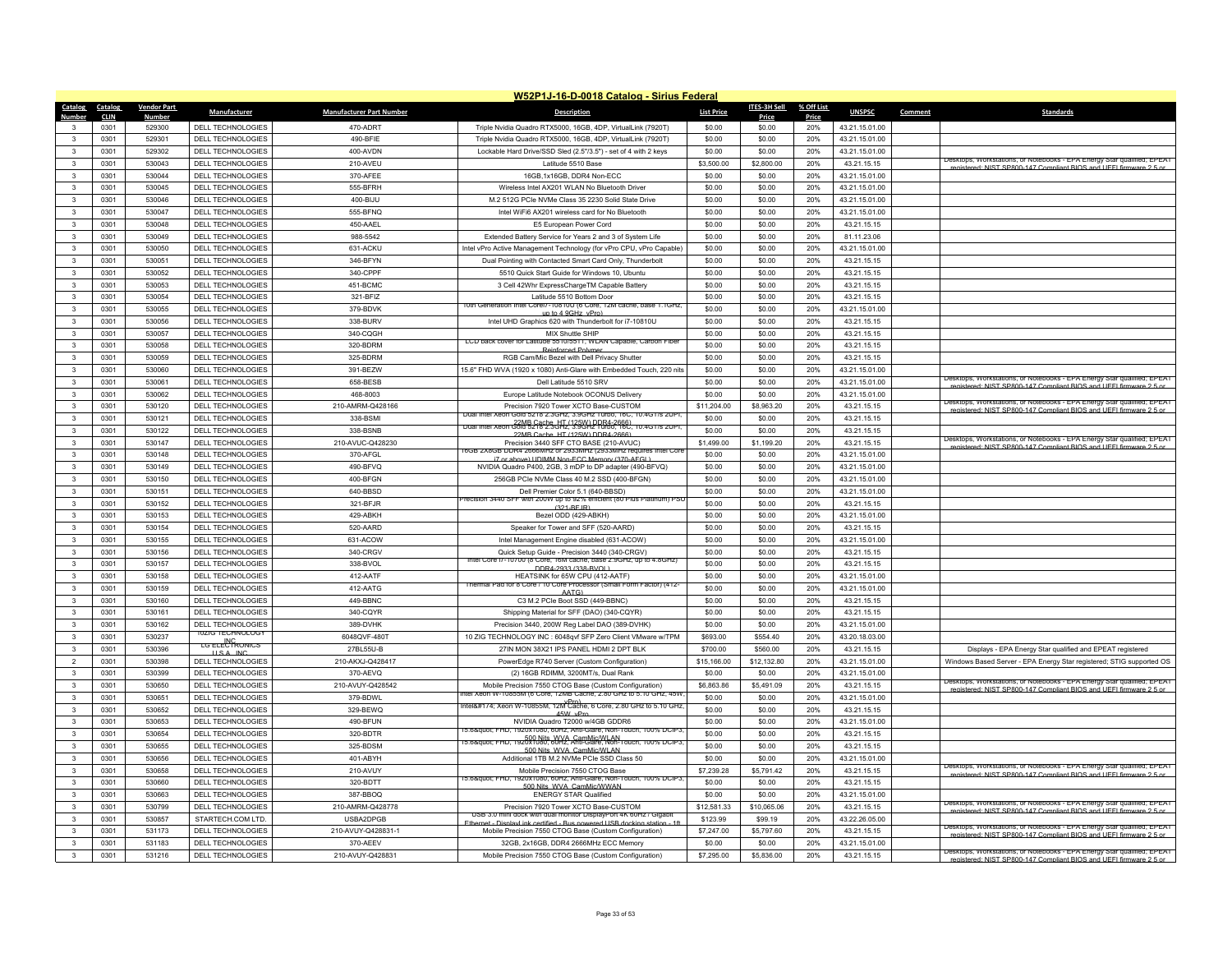|                                   |                    |                                                     |                                 | W52P1J-16-D-0018 Catalog - Sirius Federal                                                                                                 |                   |                     |            |                |         |                                                                                                                                                   |
|-----------------------------------|--------------------|-----------------------------------------------------|---------------------------------|-------------------------------------------------------------------------------------------------------------------------------------------|-------------------|---------------------|------------|----------------|---------|---------------------------------------------------------------------------------------------------------------------------------------------------|
| Catalog<br>Catalog                | <b>Vendor Part</b> | Manufacturer                                        | <b>Manufacturer Part Number</b> | <b>Description</b>                                                                                                                        | <b>List Price</b> | <b>ITES-3H Sell</b> | % Off List | <b>UNSPSC</b>  | Comment | <b>Standards</b>                                                                                                                                  |
| <b>CLIN</b>                       | Numbe<br>529300    |                                                     | 470-ADRT                        |                                                                                                                                           |                   | Price<br>\$0.00     | Price      |                |         |                                                                                                                                                   |
| 0301<br>3<br>0301<br>$\mathbf{R}$ | 529301             | DELL TECHNOLOGIES                                   | 490-BFIF                        | Triple Nvidia Quadro RTX5000, 16GB, 4DP, VirtualLink (7920T)                                                                              | \$0.00            |                     | 20%        | 43.21.15.01.00 |         |                                                                                                                                                   |
|                                   |                    | DELL TECHNOLOGIES                                   |                                 | Triple Nvidia Quadro RTX5000, 16GB, 4DP, VirtualLink (7920T)                                                                              | \$0.00            | \$0.00              | 20%        | 43.21.15.01.00 |         |                                                                                                                                                   |
| 0301<br>$\mathbf{3}$              | 529302             | <b>DELL TECHNOLOGIES</b>                            | 400-AVDN                        | Lockable Hard Drive/SSD Sled (2.5"/3.5") - set of 4 with 2 keys                                                                           | \$0.00            | \$0.00              | 20%        | 43.21.15.01.00 |         | Desktops, Workstations, or Notebooks - EPA Energy Star qualified; EPEAT                                                                           |
| 0301<br>$\mathbf{3}$              | 530043             | DELL TECHNOLOGIES                                   | 210-AVEU                        | Latitude 5510 Base                                                                                                                        | \$3,500.00        | \$2,800.00          | 20%        | 43.21.15.15    |         | registered: NIST SP800-147 Compliant BIOS and UFFI firmware 2.5 or                                                                                |
| $\mathbf{3}$<br>0301              | 530044             | DELL TECHNOLOGIES                                   | 370-AFEE                        | 16GB, 1x16GB, DDR4 Non-ECC                                                                                                                | \$0.00            | \$0.00              | 20%        | 43.21.15.01.00 |         |                                                                                                                                                   |
| 0301<br>$\mathbf{3}$              | 530045             | DELL TECHNOLOGIES                                   | 555-RFRH                        | Wireless Intel AX201 WLAN No Bluetooth Driver                                                                                             | \$0.00            | \$0.00              | 20%        | 43.21.15.01.00 |         |                                                                                                                                                   |
| $\mathbf{3}$<br>0301              | 530046             | DELL TECHNOLOGIES                                   | 400-BIJU                        | M.2 512G PCle NVMe Class 35 2230 Solid State Drive                                                                                        | \$0.00            | \$0.00              | 20%        | 43.21.15.01.00 |         |                                                                                                                                                   |
| $\mathbf{3}$<br>0301              | 530047             | DELL TECHNOLOGIES                                   | 555-BFNQ                        | Intel WiFi6 AX201 wireless card for No Bluetooth                                                                                          | \$0.00            | \$0.00              | 20%        | 43.21.15.01.00 |         |                                                                                                                                                   |
| 0301<br>3                         | 530048             | DELL TECHNOLOGIES                                   | 450-AAEL                        | E5 European Power Cord                                                                                                                    | \$0.00            | \$0.00              | 20%        | 43.21.15.15    |         |                                                                                                                                                   |
| $\mathbf{3}$<br>0301              | 530049             | DELL TECHNOLOGIES                                   | 988-5542                        | Extended Battery Service for Years 2 and 3 of System Life                                                                                 | \$0.00            | \$0.00              | 20%        | 81.11.23.06    |         |                                                                                                                                                   |
| $\mathbf{3}$<br>0301              | 530050             | DELL TECHNOLOGIES                                   | 631-ACKU                        | Intel vPro Active Management Technology (for vPro CPU, vPro Capable)                                                                      | \$0.00            | \$0.00              | 20%        | 43.21.15.01.00 |         |                                                                                                                                                   |
| 0301<br>3                         | 530051             | DELL TECHNOLOGIES                                   | 346-BFYN                        | Dual Pointing with Contacted Smart Card Only, Thunderbolt                                                                                 | \$0.00            | \$0.00              | 20%        | 43.21.15.15    |         |                                                                                                                                                   |
| $\mathbf{3}$<br>0301              | 530052             | DELL TECHNOLOGIES                                   | 340-CPPF                        | 5510 Quick Start Guide for Windows 10, Ubuntu                                                                                             | \$0.00            | \$0.00              | 20%        | 43.21.15.15    |         |                                                                                                                                                   |
| 0301<br>$\mathbf{3}$              | 530053             | <b>DELL TECHNOLOGIES</b>                            | 451-BCMC                        | 3 Cell 42Whr ExpressChargeTM Capable Battery                                                                                              | \$0.00            | \$0.00              | 20%        | 43.21.15.15    |         |                                                                                                                                                   |
| $\mathbf{3}$<br>0301              | 530054             | DELL TECHNOLOGIES                                   | 321-BFIZ                        | Latitude 5510 Bottom Door                                                                                                                 | \$0.00            | \$0.00              | 20%        | 43.21.15.15    |         |                                                                                                                                                   |
| $\mathbf{3}$<br>0301              | 530055             | DELL TECHNOLOGIES                                   | 379-BDVK                        | Intel Corei / - 108100 (6 Core, 12M cache, base 1.1GH<br>un to 4.9GHz, vPro                                                               | \$0.00            | \$0.00              | 20%        | 43.21.15.01.00 |         |                                                                                                                                                   |
| $\mathbf{3}$<br>0301              | 530056             | <b>DELL TECHNOLOGIES</b>                            | 338-BURV                        | Intel UHD Graphics 620 with Thunderbolt for i7-10810U                                                                                     | \$0.00            | \$0.00              | 20%        | 43.21.15.15    |         |                                                                                                                                                   |
| $\mathbf{3}$<br>0301              | 530057             | DELL TECHNOLOGIES                                   | 340-CQGH                        | MIX Shuttle SHIP                                                                                                                          | \$0.00            | \$0.00              | 20%        | 43.21.15.15    |         |                                                                                                                                                   |
| $\mathbf{3}$<br>0301              | 530058             | DELL TECHNOLOGIES                                   | 320-BDRM                        | LCD back cover for Latitude 5510/5511, WLAN Capable, Carbon Fiber<br><b>Reinforced Polymer</b>                                            | \$0.00            | \$0.00              | 20%        | 43.21.15.15    |         |                                                                                                                                                   |
| 0301<br>3                         | 530059             | DELL TECHNOLOGIES                                   | 325-BDRM                        | RGB Cam/Mic Bezel with Dell Privacy Shutter                                                                                               | \$0.00            | \$0.00              | 20%        | 43.21.15.15    |         |                                                                                                                                                   |
| 0301<br>$\mathbf{3}$              | 530060             | DELL TECHNOLOGIES                                   | 391-BEZW                        | 15.6" FHD WVA (1920 x 1080) Anti-Glare with Embedded Touch, 220 nits                                                                      | \$0.00            | \$0.00              | 20%        | 43.21.15.01.00 |         |                                                                                                                                                   |
| $\mathbf{3}$<br>0301              | 530061             | DELL TECHNOLOGIES                                   | 658-BESB                        | Dell Latitude 5510 SRV                                                                                                                    | \$0.00            | \$0.00              | 20%        | 43.21.15.01.00 |         | Desktops, Workstations, or Notebooks - EPA Energy Star qualified: EPEAT<br>istered: NIST SP800-147 Compliant BIOS and LIFFL firm                  |
| 0301<br>$\mathbf{3}$              | 530062             | DELL TECHNOLOGIES                                   | 468-8003                        | Europe Latitude Notebook OCONUS Delivery                                                                                                  | \$0.00            | \$0.00              | 20%        | 43.21.15.01.00 |         |                                                                                                                                                   |
| 0301<br>$\mathbf{3}$              | 530120             | DELL TECHNOLOGIES                                   | 210-AMRM-Q428166                | Precision 7920 Tower XCTO Base-CUSTOM                                                                                                     | \$11,204.00       | \$8,963.20          | 20%        | 43.21.15.15    |         | Desktops, Workstations, or Notebooks - EPA Energy Star qualified; EPEAT                                                                           |
| 0301<br>$\mathbf{3}$              | 530121             | DELL TECHNOLOGIES                                   | 338-BSMI                        | Dual Intel Xeon Gold 5218 2.3GHz, 3.9GHz Turbo, 16C, 10.4GT/s 2UPT                                                                        | \$0.00            | \$0.00              | 20%        | 43.21.15.15    |         | registered: NIST SP800-147 Compliant BIOS and UFFI firmware 2.5 or                                                                                |
| 0301<br>$\mathbf{3}$              | 530122             | DELL TECHNOLOGIES                                   | 338-BSNB                        | puar inter xeon Gold 5218 2.3 GHz (1258) PDR4-2666), 10.4G 1/s 2UPT.                                                                      | \$0.00            | \$0.00              | 20%        | 43.21.15.15    |         |                                                                                                                                                   |
| $\mathbf{3}$<br>0301              | 530147             | DELL TECHNOLOGIES                                   | 210-AVUC-Q428230                | 22MR Cache HT (125W) DDR4-2666<br>Precision 3440 SFF CTO BASE (210-AVUC)                                                                  | \$1,499.00        | \$1,199.20          | 20%        | 43.21.15.15    |         | Desktops, Workstations, or Notebooks - EPA Energy Star qualified; EPEAT                                                                           |
| $\mathbf{3}$<br>0301              | 530148             | DELL TECHNOLOGIES                                   | 370-AFGL                        | 16GB 2X8GB DDR4 2666MHz or 2933MHz (2933MHz requires Intel Con                                                                            | \$0.00            | \$0.00              | 20%        | 43.21.15.01.00 |         | registered: NIST SP800-147 Compliant RIOS and LIFFI firmware 2.5 of                                                                               |
| 0301<br>$\mathbf{3}$              | 530149             | DELL TECHNOLOGIES                                   | 490-BFVO                        | i7 or above) UDIMM Non-FCC Memory (370-AFGL)<br>NVIDIA Quadro P400, 2GB, 3 mDP to DP adapter (490-BFVQ)                                   | \$0.00            | \$0.00              | 20%        | 43.21.15.01.00 |         |                                                                                                                                                   |
| $\mathbf{3}$<br>0301              | 530150             | DELL TECHNOLOGIES                                   | 400-BFGN                        | 256GB PCIe NVMe Class 40 M.2 SSD (400-BFGN)                                                                                               | \$0.00            | \$0.00              | 20%        | 43.21.15.01.00 |         |                                                                                                                                                   |
|                                   |                    |                                                     |                                 |                                                                                                                                           |                   |                     |            |                |         |                                                                                                                                                   |
| $\mathbf{3}$<br>0301<br>0301      | 530151<br>530152   | <b>DELL TECHNOLOGIES</b>                            | 640-BBSD<br>321-BFJR            | Dell Premier Color 5.1 (640-BBSD)<br>recision 3440 SFF with 200W up to 92% efficient (80 Plus Platinum) PS                                | \$0.00<br>\$0.00  | \$0.00              | 20%<br>20% | 43.21.15.01.00 |         |                                                                                                                                                   |
| $\mathbf{3}$                      |                    | DELL TECHNOLOGIES                                   |                                 | $(321 - REJR)$                                                                                                                            |                   | \$0.00              |            | 43.21.15.15    |         |                                                                                                                                                   |
| $\mathbf{3}$<br>0301              | 530153             | DELL TECHNOLOGIES                                   | 429-ABKH                        | Bezel ODD (429-ABKH)                                                                                                                      | \$0.00            | \$0.00              | 20%        | 43.21.15.01.00 |         |                                                                                                                                                   |
| $\mathbf{3}$<br>0301              | 530154             | DELL TECHNOLOGIES                                   | 520-AARD                        | Speaker for Tower and SFF (520-AARD)                                                                                                      | \$0.00            | \$0.00              | 20%        | 43.21.15.15    |         |                                                                                                                                                   |
| 0301<br>$\mathbf{3}$              | 530155             | DELL TECHNOLOGIES                                   | 631-ACOW                        | Intel Management Engine disabled (631-ACOW)                                                                                               | \$0.00            | \$0.00              | 20%        | 43.21.15.01.00 |         |                                                                                                                                                   |
| 0301<br>$\mathbf{3}$              | 530156             | DELL TECHNOLOGIES                                   | 340-CRGV                        | Quick Setup Guide - Precision 3440 (340-CRGV)<br>Intel Core 17-10700 (8 Core, 16M cache, base 2.9GHz, up to 4.8GHz)                       | \$0.00            | \$0.00              | 20%        | 43.21.15.15    |         |                                                                                                                                                   |
| 0301<br>$\mathbf{3}$              | 530157             | DELL TECHNOLOGIES                                   | 338-BVOL                        | DDR4-2933 (338-RVOL)                                                                                                                      | \$0.00            | \$0.00              | 20%        | 43.21.15.15    |         |                                                                                                                                                   |
| 0301<br>$\mathbf{3}$              | 530158             | DELL TECHNOLOGIES                                   | 412-AATF                        | HEATSINK for 65W CPU (412-AATF)<br>hermal Pad                                                                                             | \$0.00            | \$0.00              | 20%        | 43.21.15.01.00 |         |                                                                                                                                                   |
| $\mathbf{3}$<br>0301              | 530159             | DELL TECHNOLOGIES                                   | 412-AATG                        | AATG)                                                                                                                                     | \$0.00            | \$0.00              | 20%        | 43.21.15.01.00 |         |                                                                                                                                                   |
| $\mathbf{3}$<br>0301              | 530160             | <b>DELL TECHNOLOGIES</b>                            | 449-BBNC                        | C3 M.2 PCle Boot SSD (449-BBNC                                                                                                            | \$0.00            | \$0.00              | 20%        | 43.21.15.15    |         |                                                                                                                                                   |
| 0301<br>$\mathbf{3}$              | 530161             | DELL TECHNOLOGIES                                   | 340-CQYR                        | Shipping Material for SFF (DAO) (340-CQYR)                                                                                                | \$0.00            | \$0.00              | 20%        | 43.21.15.15    |         |                                                                                                                                                   |
| $\mathbf{3}$<br>0301              | 530162             | <b>DELL TECHNOLOGIES</b><br><b>10ZIG TECHNOLOGY</b> | 389-DVHK                        | Precision 3440, 200W Reg Label DAO (389-DVHK)                                                                                             | \$0.00            | \$0.00              | 20%        | 43.21.15.01.00 |         |                                                                                                                                                   |
| $\mathbf{3}$<br>0301              | 530237             | <b>LG ELECTRONICS</b>                               | 6048OVF-4801                    | 10 ZIG TECHNOLOGY INC : 6048qvf SFP Zero Client VMware w/TPM                                                                              | \$693.00          | \$554.40            | 20%        | 43.20.18.03.00 |         |                                                                                                                                                   |
| $\mathbf{3}$<br>0301              | 530396             | USA INC                                             | 27BL55U-B                       | 27IN MON 38X21 IPS PANEL HDMI 2 DPT BLK                                                                                                   | \$700.00          | \$560.00            | 20%        | 43.21.15.15    |         | Displays - EPA Energy Star qualified and EPEAT registered                                                                                         |
| $\overline{2}$<br>0301            | 530398             | DELL TECHNOLOGIES                                   | 210-AKXJ-Q428417                | PowerEdge R740 Server (Custom Configuration)                                                                                              | \$15,166.00       | \$12,132.80         | 20%        | 43.21.15.01.00 |         | Windows Based Server - EPA Energy Star registered; STIG supported OS                                                                              |
| $\mathbf{3}$<br>0301              | 530399             | DELL TECHNOLOGIES                                   | 370-AFVO                        | (2) 16GB RDIMM, 3200MT/s, Dual Rank                                                                                                       | \$0.00            | \$0.00              | 20%        | 43.21.15.01.00 |         | Desktops, Workstations, or Notebooks - EPA Energy Star qualified; EPEAT                                                                           |
| 0301<br>$\mathbf{3}$              | 530650             | DELL TECHNOLOGIES                                   | 210-AVUY-Q428542                | Mobile Precision 7550 CTOG Base (Custom Configuration)                                                                                    | \$6,863.86        | \$5,491.09          | 20%        | 43.21.15.15    |         | registered: NIST SP800-147 Compliant BIOS and LIEEL firmware 2.5 o                                                                                |
| $\mathbf{3}$<br>0301              | 530651             | DELL TECHNOLOGIES                                   | 379-BDWL                        | htel Xeon W-10855M (6 Core, 12MB Cache, 2.80 GHz to 5.10 GHz, 45W<br>Dro)<br>htel® Xeon W-10855M, 12M Cache, 6 Core, 2.80 GHz to 5.10 GHz | \$0.00            | \$0.00              | 20%        | 43.21.15.01.00 |         |                                                                                                                                                   |
| 0301<br>$\mathbf{3}$              | 530652             | <b>DELL TECHNOLOGIES</b>                            | 329-BEWQ                        | 45W vPro                                                                                                                                  | \$0.00            | \$0.00              | 20%        | 43.21.15.15    |         |                                                                                                                                                   |
| $\mathbf{3}$<br>0301              | 530653             | DELL TECHNOLOGIES                                   | 490-BFUN                        | NVIDIA Quadro T2000 w/4GB GDDR6                                                                                                           | \$0.00            | \$0.00              | 20%        | 43.21.15.01.00 |         |                                                                                                                                                   |
| $\mathbf{3}$<br>0301              | 530654             | <b>DELL TECHNOLOGIES</b>                            | 320-BDTR                        | 15.6" FHD, 1920x1080, 60Hz, Anti-Glare, Non-Touch, 100% DCIP3                                                                             | \$0.00            | \$0.00              | 20%        | 43.21.15.15    |         |                                                                                                                                                   |
| 0301<br>3                         | 530655             | DELL TECHNOLOGIES                                   | 325-BDSM                        | 15.6" FHD, 1920X1080; 60Hz, Anti-Glare, Non-Touch, 100% DCIP;<br>500 Nits, WVA, CamMic/WLAN                                               | \$0.00            | \$0.00              | 20%        | 43.21.15.15    |         |                                                                                                                                                   |
| $\mathbf{3}$<br>0301              | 530656             | <b>DELL TECHNOLOGIES</b>                            | 401-ABYH                        | Additional 1TB M.2 NVMe PCIe SSD Class 50                                                                                                 | \$0.00            | \$0.00              | 20%        | 43.21.15.01.00 |         |                                                                                                                                                   |
| $\mathbf{3}$<br>0301              | 530658             | DELL TECHNOLOGIES                                   | 210-AVUY                        | Mobile Precision 7550 CTOG Base                                                                                                           | \$7,239.28        | \$5,791.42          | 20%        | 43.21.15.15    |         | Desktops, Workstations, or Notebooks - EPA Energy Star qualified; EPEAT<br>registered: NIST SP800-147 Compliant BIOS and UFFI firmware 2.5 or     |
| 0301<br>$\mathbf{3}$              | 530660             | DELL TECHNOLOGIES                                   | 320-BDTT                        | 15.6" FHD, 1920x1080, 60Hz, Anti-Glare, Non-Touch, 100% DCIP3<br>500 Nits WVA CamMic/WWA                                                  | \$0.00            | \$0.00              | 20%        | 43.21.15.15    |         |                                                                                                                                                   |
| $\overline{\mathbf{3}}$<br>0301   | 530663             | DELL TECHNOLOGIES                                   | 387-BBOQ                        | <b>ENERGY STAR Qualified</b>                                                                                                              | \$0.00            | \$0.00              | 20%        | 43.21.15.01.00 |         |                                                                                                                                                   |
| $\mathbf{3}$<br>0301              | 530799             | DELL TECHNOLOGIES                                   | 210-AMRM-Q428778                | Precision 7920 Tower XCTO Base-CUSTOM                                                                                                     | \$12,581.33       | \$10,065.06         | 20%        | 43.21.15.15    |         | Desktops, Workstations, or Notebooks - EPA Energy Star qualified: EPEAT<br>registered: NIST SP800-147 Compliant BIOS and LIFFL firm<br>ware 25 or |
| 0301<br>$\mathbf{3}$              | 530857             | STARTECH.COM LTD.                                   | USBA2DPGB                       | USB 3.0 mini dock with dual monitor DisplayPort 4K 60Hz / Gigabit<br>et - DisplayLink certified - Bus powered USB docking st              | \$123.99          | \$99.19             | 20%        | 43.22.26.05.00 |         |                                                                                                                                                   |
| $\mathbf{3}$<br>0301              | 531173             | <b>DELL TECHNOLOGIES</b>                            | 210-AVUY-Q428831-1              | Mobile Precision 7550 CTOG Base (Custom Configuration)                                                                                    | \$7,247.00        | \$5,797.60          | 20%        | 43.21.15.15    |         | Desktops, Workstations, or Notebooks - EPA Energy Star qualified; EPEAT                                                                           |
| $\mathbf{3}$<br>0301              | 531183             | DELL TECHNOLOGIES                                   | 370-AEEV                        | 32GB, 2x16GB, DDR4 2666MHz ECC Memory                                                                                                     | \$0.00            | \$0.00              | 20%        | 43 21 15 01 00 |         | registered: NIST SP800-147 Compliant BIOS and UFFI firmware 2.5 or                                                                                |
| 0301<br>$\mathbf{3}$              | 531216             | DELL TECHNOLOGIES                                   | 210-AVUY-Q428831                | Mobile Precision 7550 CTOG Base (Custom Configuration)                                                                                    | \$7,295.00        | \$5,836.00          | 20%        | 43.21.15.15    |         | Desktops, Workstations, or Notebooks - EPA Energy Star qualified; EPEAT                                                                           |
|                                   |                    |                                                     |                                 |                                                                                                                                           |                   |                     |            |                |         | registered: NIST SP800-147 Compliant BIOS and LIFFI firmware 2.5 or                                                                               |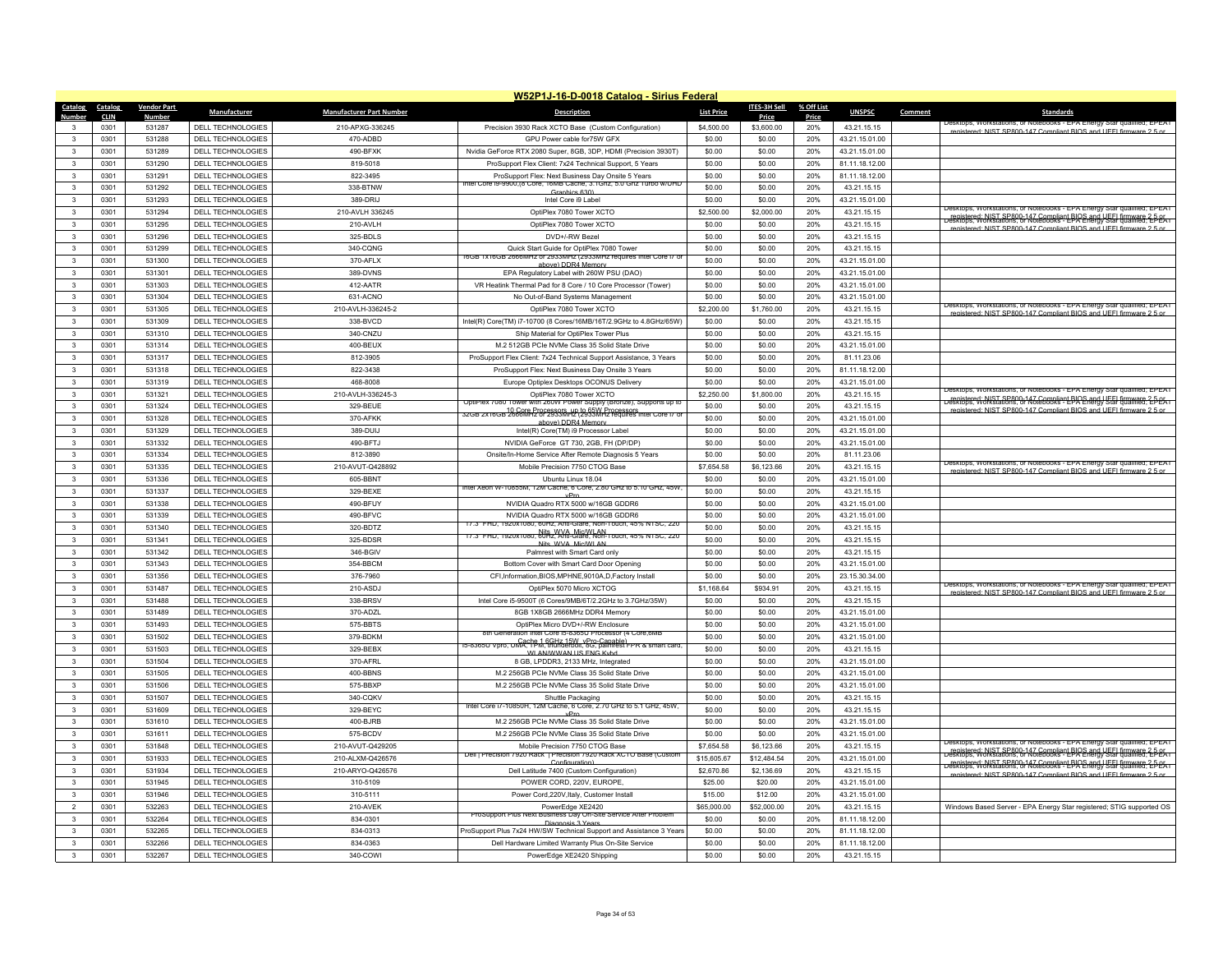|                                              |                    |                                                      |                                 | W52P1J-16-D-0018 Catalog - Sirius Federal                                                                                  |                   |                     |            |                               |         |                                                                                                                                                                                                                                                                                                        |
|----------------------------------------------|--------------------|------------------------------------------------------|---------------------------------|----------------------------------------------------------------------------------------------------------------------------|-------------------|---------------------|------------|-------------------------------|---------|--------------------------------------------------------------------------------------------------------------------------------------------------------------------------------------------------------------------------------------------------------------------------------------------------------|
| Catalog<br>Catalog                           | <b>Vendor Part</b> | Manufacturer                                         | <b>Manufacturer Part Number</b> | <b>Description</b>                                                                                                         | <b>List Price</b> | <b>ITES-3H Sell</b> | % Off List | <b>UNSPSC</b>                 | Comment | Standards                                                                                                                                                                                                                                                                                              |
| <b>CLIN</b>                                  | <b>Numbe</b>       |                                                      |                                 |                                                                                                                            |                   | Price               | Price      |                               |         |                                                                                                                                                                                                                                                                                                        |
| 0301<br>3<br>$\mathbf{R}$                    | 531287             | DELL TECHNOLOGIES                                    | 210-APXG-336245                 | Precision 3930 Rack XCTO Base (Custom Configuration)                                                                       | \$4,500.00        | \$3,600.00          | 20%        | 43.21.15.15                   |         | registered: NIST SP800-147 Compliant BIOS and LIFFI firmware 2.5 or                                                                                                                                                                                                                                    |
| 0301                                         | 531288             | <b>DELL TECHNOLOGIES</b>                             | 470-ADBD                        | GPU Power cable for75W GFX                                                                                                 | \$0.00            | \$0.00              | 20%        | 43.21.15.01.00                |         |                                                                                                                                                                                                                                                                                                        |
| 0301<br>$\mathbf{3}$                         | 531289             | <b>DELL TECHNOLOGIES</b>                             | 490-BFXK                        | Nvidia GeForce RTX 2080 Super, 8GB, 3DP, HDMI (Precision 3930T)                                                            | \$0.00            | \$0.00              | 20%        | 43.21.15.01.00                |         |                                                                                                                                                                                                                                                                                                        |
| 0301<br>$\mathbf{3}$                         | 531290             | DELL TECHNOLOGIES                                    | 819-5018                        | ProSupport Flex Client: 7x24 Technical Support, 5 Years                                                                    | \$0.00            | \$0.00              | 20%        | 81.11.18.12.00                |         |                                                                                                                                                                                                                                                                                                        |
| $\mathbf{3}$<br>0301                         | 531291             | <b>DELL TECHNOLOGIES</b>                             | 822-3495                        | ProSupport Flex: Next Business Day Onsite 5 Years<br>ntel Core is subject of Core, Tomb Cache, 3.1Ghz, 5.0 Ghz Turbo w/UHD | \$0.00            | \$0.00              | 20%        | 81.11.18.12.00                |         |                                                                                                                                                                                                                                                                                                        |
| 0301<br>3                                    | 531292             | DELL TECHNOLOGIES                                    | 338-BTNW                        | Graphics 630)                                                                                                              | \$0.00            | \$0.00              | 20%        | 43.21.15.15                   |         |                                                                                                                                                                                                                                                                                                        |
| $\mathbf{3}$<br>0301                         | 531293             | DELL TECHNOLOGIES                                    | 389-DRIJ                        | Intel Core i9 Labe                                                                                                         | \$0.00            | \$0.00              | 20%        | 43.21.15.01.00                |         | Desktops, Workstations, or Notebooks - EPA Energy Star qualified: EPEAT                                                                                                                                                                                                                                |
| $\mathbf{3}$<br>0301                         | 531294             | DELL TECHNOLOGIES                                    | 210-AVLH 336245                 | OptiPlex 7080 Tower XCTO                                                                                                   | \$2,500.00        | \$2,000.00          | 20%        | 43.21.15.15                   |         | registered: NIST SP800-147 Compliant BIOS and UFFL firmware 2-5-05.<br>Jesktops, Workstations, or Notebooks - EPA Energy Star qualified: 2-5-05.                                                                                                                                                       |
| 0301<br>3                                    | 531295             | DELL TECHNOLOGIES                                    | 210-AVLH                        | OptiPlex 7080 Tower XCTO                                                                                                   | \$0.00            | \$0.00              | 20%        | 43.21.15.15                   |         | registered: NIST SP800-147 Compliant BIOS and UFFI firmware 2.5 or                                                                                                                                                                                                                                     |
| $\mathbf{3}$<br>0301                         | 531296             | DELL TECHNOLOGIES                                    | 325-BDLS                        | DVD+/-RW Bezel                                                                                                             | \$0.00            | \$0.00              | 20%        | 43.21.15.15                   |         |                                                                                                                                                                                                                                                                                                        |
| $\mathbf{3}$<br>0301                         | 531299             | <b>DELL TECHNOLOGIES</b>                             | 340-CQNG                        | Quick Start Guide for OptiPlex 7080 Tower<br>16GB 1x16GB 2666MHz or 2933MHz (2933MHz requires Intel Core I/ c              | \$0.00            | \$0.00              | 20%        | 43.21.15.15                   |         |                                                                                                                                                                                                                                                                                                        |
| 0301<br>3                                    | 531300             | DELL TECHNOLOGIES                                    | 370-AFI X                       | above) DDR4 Memo                                                                                                           | \$0.00            | \$0.00              | 20%        | 43.21.15.01.00                |         |                                                                                                                                                                                                                                                                                                        |
| $\mathbf{3}$<br>0301                         | 531301             | DELL TECHNOLOGIES                                    | 389-DVNS                        | EPA Regulatory Label with 260W PSU (DAO)                                                                                   | \$0.00            | \$0.00              | 20%        | 43.21.15.01.00                |         |                                                                                                                                                                                                                                                                                                        |
| 0301<br>$\mathbf{3}$                         | 531303             | <b>DELL TECHNOLOGIES</b>                             | 412-AATR                        | VR Heatink Thermal Pad for 8 Core / 10 Core Processor (Tower)                                                              | \$0.00            | \$0.00              | 20%        | 43.21.15.01.00                |         |                                                                                                                                                                                                                                                                                                        |
| 0301<br>$\mathbf{3}$                         | 531304             | <b>DELL TECHNOLOGIES</b>                             | 631-ACNO                        | No Out-of-Band Systems Management                                                                                          | \$0.00            | \$0.00              | 20%        | 43.21.15.01.00                |         |                                                                                                                                                                                                                                                                                                        |
| $\mathbf{3}$<br>0301                         | 531305             | DELL TECHNOLOGIES                                    | 210-AVLH-336245-2               | OptiPlex 7080 Tower XCTO                                                                                                   | \$2,200.00        | \$1,760.00          | 20%        | 43.21.15.15                   |         | esktops, workstations, or ivotebooks - EPA Energy Star qualified; EPEAT<br>ered: NIST SP800-147 Compliant BIOS and LIFFI firm                                                                                                                                                                          |
| $\mathbf{3}$<br>0301                         | 531309             | DELL TECHNOLOGIES                                    | 338-BVCD                        | Intel(R) Core(TM) i7-10700 (8 Cores/16MB/16T/2.9GHz to 4.8GHz/65W)                                                         | \$0.00            | \$0.00              | 20%        | 43.21.15.15                   |         |                                                                                                                                                                                                                                                                                                        |
| 0301<br>$\mathbf{3}$                         | 531310             | <b>DELL TECHNOLOGIES</b>                             | 340-CNZU                        | Ship Material for OptiPlex Tower Plus                                                                                      | \$0.00            | \$0.00              | 20%        | 43.21.15.15                   |         |                                                                                                                                                                                                                                                                                                        |
| $\mathbf{3}$<br>0301                         | 531314             | DELL TECHNOLOGIES                                    | 400-BFUX                        | M.2 512GB PCIe NVMe Class 35 Solid State Drive                                                                             | \$0.00            | \$0.00              | 20%        | 43.21.15.01.00                |         |                                                                                                                                                                                                                                                                                                        |
| $\mathbf{3}$<br>0301                         | 531317             | <b>DELL TECHNOLOGIES</b>                             | 812-3905                        | ProSupport Flex Client: 7x24 Technical Support Assistance, 3 Years                                                         | \$0.00            | \$0.00              | 20%        | 81.11.23.06                   |         |                                                                                                                                                                                                                                                                                                        |
| 0301<br>$\mathbf{3}$                         | 531318             | DELL TECHNOLOGIES                                    | 822-3438                        | ProSupport Flex: Next Business Day Onsite 3 Years                                                                          | \$0.00            | \$0.00              | 20%        | 81.11.18.12.00                |         |                                                                                                                                                                                                                                                                                                        |
| $\mathbf{3}$<br>0301                         | 531319             | DELL TECHNOLOGIES                                    | 468-8008                        | Europe Optiplex Desktops OCONUS Delivery                                                                                   | \$0.00            | \$0.00              | 20%        | 43.21.15.01.00                |         |                                                                                                                                                                                                                                                                                                        |
| $\mathbf{3}$<br>0301                         | 531321             | <b>DELL TECHNOLOGIES</b>                             | 210-AVLH-336245-3               | OptiPlex 7080 Tower XCTO                                                                                                   | \$2,250.00        | \$1,800.00          | 20%        | 43.21.15.15                   |         | Desktops, Workstations, or Notebooks - EPA Energy Star qualified; EPEAT                                                                                                                                                                                                                                |
| 0301<br>$\mathbf{3}$                         | 531324             | DELL TECHNOLOGIES                                    | 329-BEUE                        | OptiPlex 7080 Tower with 260W Power Supply (Bronze), Supports up to                                                        | \$0.00            | \$0.00              | 20%        | 43.21.15.15                   |         | registered: NIST SP800-147 Compliant BIOS and UEEL firmware 2.5 or<br>Desktops, Workstations, or Notebooks - EPA Energy Star qualified; EPEA I                                                                                                                                                         |
| $\mathbf{3}$<br>0301                         | 531328             | DELL TECHNOLOGIES                                    | 370-AFKK                        | 32GB 2x16GB 2666MHz or 2933MHz (2933MHz requires intel Core 17 or                                                          | \$0.00            | \$0.00              | 20%        | 43.21.15.01.00                |         | registered: NIST SP800-147 Compliant BIOS and UFFI firmware 2.5 or                                                                                                                                                                                                                                     |
| 0301<br>$\mathbf{3}$                         | 531329             | <b>DELL TECHNOLOGIES</b>                             | 389-DUIJ                        | above) DDR4 Memor<br>Intel(R) Core(TM) i9 Processor Label                                                                  | \$0.00            | \$0.00              | 20%        | 43.21.15.01.00                |         |                                                                                                                                                                                                                                                                                                        |
| $\mathbf{3}$<br>0301                         | 531332             | DELL TECHNOLOGIES                                    | 490-BFTJ                        | NVIDIA GeForce GT 730, 2GB, FH (DP/DP)                                                                                     | \$0.00            | \$0.00              | 20%        | 43.21.15.01.00                |         |                                                                                                                                                                                                                                                                                                        |
| $\mathbf{3}$<br>0301                         | 531334             | DELL TECHNOLOGIES                                    | 812-3890                        | Onsite/In-Home Service After Remote Diagnosis 5 Years                                                                      | \$0.00            | \$0.00              | 20%        | 81.11.23.06                   |         |                                                                                                                                                                                                                                                                                                        |
| 0301<br>$\mathbf{3}$                         | 531335             | DELL TECHNOLOGIES                                    | 210-AVUT-Q428892                | Mobile Precision 7750 CTOG Base                                                                                            | \$7,654.58        | \$6,123.66          | 20%        | 43.21.15.15                   |         | Jesktops, Workstations, or Notebooks - EPA Energy Star qualified; EPEAT                                                                                                                                                                                                                                |
| $\mathbf{3}$<br>0301                         | 531336             | DELL TECHNOLOGIES                                    | 605-BBNT                        | Ubuntu Linux 18.04                                                                                                         | \$0.00            | \$0.00              | 20%        | 43.21.15.01.00                |         | registered: NIST SP800-147 Compliant BIOS and UFFI firmware 2.5 or                                                                                                                                                                                                                                     |
|                                              |                    |                                                      |                                 | intel Xeon W-10855M, 12M Cache, 6 Core, 2.80 GHz to 5.10 GHz, 45W,                                                         |                   |                     |            |                               |         |                                                                                                                                                                                                                                                                                                        |
| $\mathbf{3}$<br>0301<br>0301<br>$\mathbf{3}$ | 531337<br>531338   | <b>DELL TECHNOLOGIES</b><br><b>DELL TECHNOLOGIES</b> | 329-BEXE<br>490-BFUY            | vPm<br>NVIDIA Quadro RTX 5000 w/16GB GDDR6                                                                                 | \$0.00<br>\$0.00  | \$0.00<br>\$0.00    | 20%<br>20% | 43.21.15.15<br>43.21.15.01.00 |         |                                                                                                                                                                                                                                                                                                        |
| 0301                                         |                    |                                                      | 490-BFVC                        | NVIDIA Quadro RTX 5000 w/16GB GDDR6                                                                                        |                   |                     |            |                               |         |                                                                                                                                                                                                                                                                                                        |
| $\mathbf{3}$                                 | 531339             | DELL TECHNOLOGIES                                    |                                 | 17.3" FHD, 1920x1080, 60Hz, Anti-Glare, Non-Touch, 45% NTSC, 220                                                           | \$0.00            | \$0.00              | 20%        | 43.21.15.01.00                |         |                                                                                                                                                                                                                                                                                                        |
| $\mathbf{3}$<br>0301                         | 531340             | <b>DELL TECHNOLOGIES</b>                             | 320-BDTZ                        | Nits WVA Mic/WI AN<br>17.3" FHD, 1920x1080, 60Hz, Anti-Glare, Non-Touch, 45% NTSC, 220                                     | \$0.00            | \$0.00              | 20%        | 43.21.15.15                   |         |                                                                                                                                                                                                                                                                                                        |
| 0301<br>$\mathcal{R}$                        | 531341             | DELL TECHNOLOGIES                                    | 325-BDSR                        | Nits WVA MicANLAN                                                                                                          | \$0.00            | \$0.00              | 20%        | 43.21.15.15                   |         |                                                                                                                                                                                                                                                                                                        |
| $\mathbf{3}$<br>0301                         | 531342             | DELL TECHNOLOGIES                                    | 346-BGIV                        | Palmrest with Smart Card only                                                                                              | \$0.00            | \$0.00              | 20%        | 43.21.15.15                   |         |                                                                                                                                                                                                                                                                                                        |
| $\mathbf{3}$<br>0301                         | 531343             | <b>DELL TECHNOLOGIES</b>                             | 354-BBCM                        | Bottom Cover with Smart Card Door Opening                                                                                  | \$0.00            | \$0.00              | 20%        | 43.21.15.01.00                |         |                                                                                                                                                                                                                                                                                                        |
| 0301<br>3                                    | 531356             | DELL TECHNOLOGIES                                    | 376-7960                        | CFI, Information, BIOS, MPHNE, 9010A, D, Factory Install                                                                   | \$0.00            | \$0.00              | 20%        | 23.15.30.34.00                |         | Desktops, Workstations, or Notebooks - EPA Energy Star qualified; EPEAT                                                                                                                                                                                                                                |
| $\mathbf{3}$<br>0301                         | 531487             | DELL TECHNOLOGIES                                    | 210-ASDJ                        | OptiPlex 5070 Micro XCTOG                                                                                                  | \$1,168.64        | \$934.91            | 20%        | 43.21.15.15                   |         | registered: NIST SP800-147 Compliant BIOS and UFFI firmware 2.5 or                                                                                                                                                                                                                                     |
| $\mathbf{3}$<br>0301                         | 531488             | <b>DELL TECHNOLOGIES</b>                             | 338-BRSV                        | Intel Core i5-9500T (6 Cores/9MB/6T/2.2GHz to 3.7GHz/35W)                                                                  | \$0.00            | \$0.00              | 20%        | 43.21.15.15                   |         |                                                                                                                                                                                                                                                                                                        |
| $\mathbf{3}$<br>0301                         | 531489             | DELL TECHNOLOGIES                                    | 370-ADZL                        | 8GB 1X8GB 2666MHz DDR4 Memory                                                                                              | \$0.00            | \$0.00              | 20%        | 43.21.15.01.00                |         |                                                                                                                                                                                                                                                                                                        |
| $\mathbf{3}$<br>0301                         | 531493             | DELL TECHNOLOGIES                                    | 575-BBTS                        | OptiPlex Micro DVD+/-RW Enclosure<br>8th Generation Intel Core in-8365U Processor (4 Core 6MF                              | \$0.00            | \$0.00              | 20%        | 43.21.15.01.00                |         |                                                                                                                                                                                                                                                                                                        |
| 0301<br>$\mathbf{3}$                         | 531502             | <b>DELL TECHNOLOGIES</b>                             | 379-BDKM                        | 15-8365U Vpro, UMA, TPM, thunderbolt, 8G, palmrest FPR & smart card.                                                       | \$0.00            | \$0.00              | 20%        | 43.21.15.01.00                |         |                                                                                                                                                                                                                                                                                                        |
| 0301<br>$\mathbf{3}$                         | 531503             | <b>DELL TECHNOLOGIES</b>                             | 329-BEBX                        | WI AN/WWAN US FNG Kybd                                                                                                     | \$0.00            | \$0.00              | 20%        | 43.21.15.15                   |         |                                                                                                                                                                                                                                                                                                        |
| $\mathbf{3}$<br>0301                         | 531504             | DELL TECHNOLOGIES                                    | 370-AFRL                        | 8 GB, LPDDR3, 2133 MHz, Integrated                                                                                         | \$0.00            | \$0.00              | 20%        | 43.21.15.01.00                |         |                                                                                                                                                                                                                                                                                                        |
| $\mathbf{3}$<br>0301                         | 531505             | DELL TECHNOLOGIES                                    | 400-BBNS                        | M.2 256GB PCIe NVMe Class 35 Solid State Drive                                                                             | \$0.00            | \$0.00              | 20%        | 43.21.15.01.00                |         |                                                                                                                                                                                                                                                                                                        |
| $\mathbf{3}$<br>0301                         | 531506             | DELL TECHNOLOGIES                                    | 575-BBXP                        | M.2 256GB PCIe NVMe Class 35 Solid State Drive                                                                             | \$0.00            | \$0.00              | 20%        | 43.21.15.01.00                |         |                                                                                                                                                                                                                                                                                                        |
| $\mathbf{3}$<br>0301                         | 531507             | DELL TECHNOLOGIES                                    | 340-CQKV                        | Shuttle Packaging                                                                                                          | \$0.00            | \$0.00              | 20%        | 43.21.15.15                   |         |                                                                                                                                                                                                                                                                                                        |
| $\mathbf{3}$<br>0301                         | 531609             | <b>DELL TECHNOLOGIES</b>                             | 329-BEYC                        | Intel Core i/-10850H, 12M Cache, 6 Core, 2.70 GHz to 5.1 GHz, 45W<br>vPro                                                  | \$0.00            | \$0.00              | 20%        | 43.21.15.15                   |         |                                                                                                                                                                                                                                                                                                        |
| 0301<br>$\mathbf{3}$                         | 531610             | DELL TECHNOLOGIES                                    | 400-BJRB                        | M.2 256GB PCIe NVMe Class 35 Solid State Drive                                                                             | \$0.00            | \$0.00              | 20%        | 43.21.15.01.00                |         |                                                                                                                                                                                                                                                                                                        |
| $\mathbf{3}$<br>0301                         | 531611             | <b>DELL TECHNOLOGIES</b>                             | 575-BCDV                        | M.2 256GB PCIe NVMe Class 35 Solid State Drive                                                                             | \$0.00            | \$0.00              | 20%        | 43.21.15.01.00                |         |                                                                                                                                                                                                                                                                                                        |
| $\mathbf{3}$<br>0301                         | 531848             | <b>DELL TECHNOLOGIES</b>                             | 210-AVUT-Q429205                | Mobile Precision 7750 CTOG Base                                                                                            | \$7,654.58        | \$6,123.66          | 20%        | 43.21.15.15                   |         | Desktops, Workstations, or Notebooks - EPA Energy Star qualified; EPEAT                                                                                                                                                                                                                                |
| 0301<br>$\mathbf{3}$                         | 531933             | DELL TECHNOLOGIES                                    | 210-ALXM-Q426576                | Dell   Precision / 920 Rack   Precision / 920 Rack XCTO Base (Custom<br>Configuration)                                     | \$15,605.67       | \$12,484.54         | 20%        | 43.21.15.01.00                |         | registered: NIST SP800-147 Compliant BIOS and UEEL firmward; 2-DEA I<br>Desktops, Workstations, or Notebooks - EPA Energy Star qualified; 2-DEA I<br>Legistered: NIST SP800-147 Compliant BIOS and UFFI firmware. 2-PEAT-<br>Desktops, Workstations, or Notebooks - EPA Energy Star qualified; 2-PEAT- |
| 0301<br>$\mathbf{3}$                         | 531934             | DELL TECHNOLOGIES                                    | 210-ARYO-Q426576                | Dell Latitude 7400 (Custom Configuration)                                                                                  | \$2,670.86        | \$2,136.69          | 20%        | 43.21.15.15                   |         | registered: NIST SP800-147 Compliant BIOS and UFFI firmware 2.5 or                                                                                                                                                                                                                                     |
| 0301<br>$\mathbf{3}$                         | 531945             | DELL TECHNOLOGIES                                    | 310-5109                        | POWER CORD, 220V, EUROPE                                                                                                   | \$25.00           | \$20.00             | 20%        | 43.21.15.01.00                |         |                                                                                                                                                                                                                                                                                                        |
| $\mathbf{3}$<br>0301                         | 531946             | DELL TECHNOLOGIES                                    | 310-5111                        | Power Cord, 220V, Italy, Customer Install                                                                                  | \$15.00           | \$12.00             | 20%        | 43.21.15.01.00                |         |                                                                                                                                                                                                                                                                                                        |
| $\overline{2}$<br>0301                       | 532263             | DELL TECHNOLOGIES                                    | 210-AVEK                        | PowerEdge XE2420                                                                                                           | \$65,000.00       | \$52,000.00         | 20%        | 43.21.15.15                   |         | Windows Based Server - EPA Energy Star registered: STIG supported OS                                                                                                                                                                                                                                   |
| 0301<br>3                                    | 532264             | <b>DELL TECHNOLOGIES</b>                             | 834-0301                        | roSupport Plus Next Business Day On-Site Service After Problen<br>Diagnosis 3 Years                                        | \$0.00            | \$0.00              | 20%        | 81.11.18.12.00                |         |                                                                                                                                                                                                                                                                                                        |
| $\mathbf{3}$<br>0301                         | 532265             | <b>DELL TECHNOLOGIES</b>                             | 834-0313                        | ProSupport Plus 7x24 HW/SW Technical Support and Assistance 3 Years                                                        | \$0.00            | \$0.00              | 20%        | 81.11.18.12.00                |         |                                                                                                                                                                                                                                                                                                        |
| 3<br>0301                                    | 532266             | DELL TECHNOLOGIES                                    | 834-0363                        | Dell Hardware Limited Warranty Plus On-Site Service                                                                        | \$0.00            | \$0.00              | 20%        | 81.11.18.12.00                |         |                                                                                                                                                                                                                                                                                                        |
| 0301<br>3                                    | 532267             | DELL TECHNOLOGIES                                    | 340-COWI                        | PowerEdge XE2420 Shipping                                                                                                  | \$0.00            | \$0.00              | 20%        | 43.21.15.15                   |         |                                                                                                                                                                                                                                                                                                        |
|                                              |                    |                                                      |                                 |                                                                                                                            |                   |                     |            |                               |         |                                                                                                                                                                                                                                                                                                        |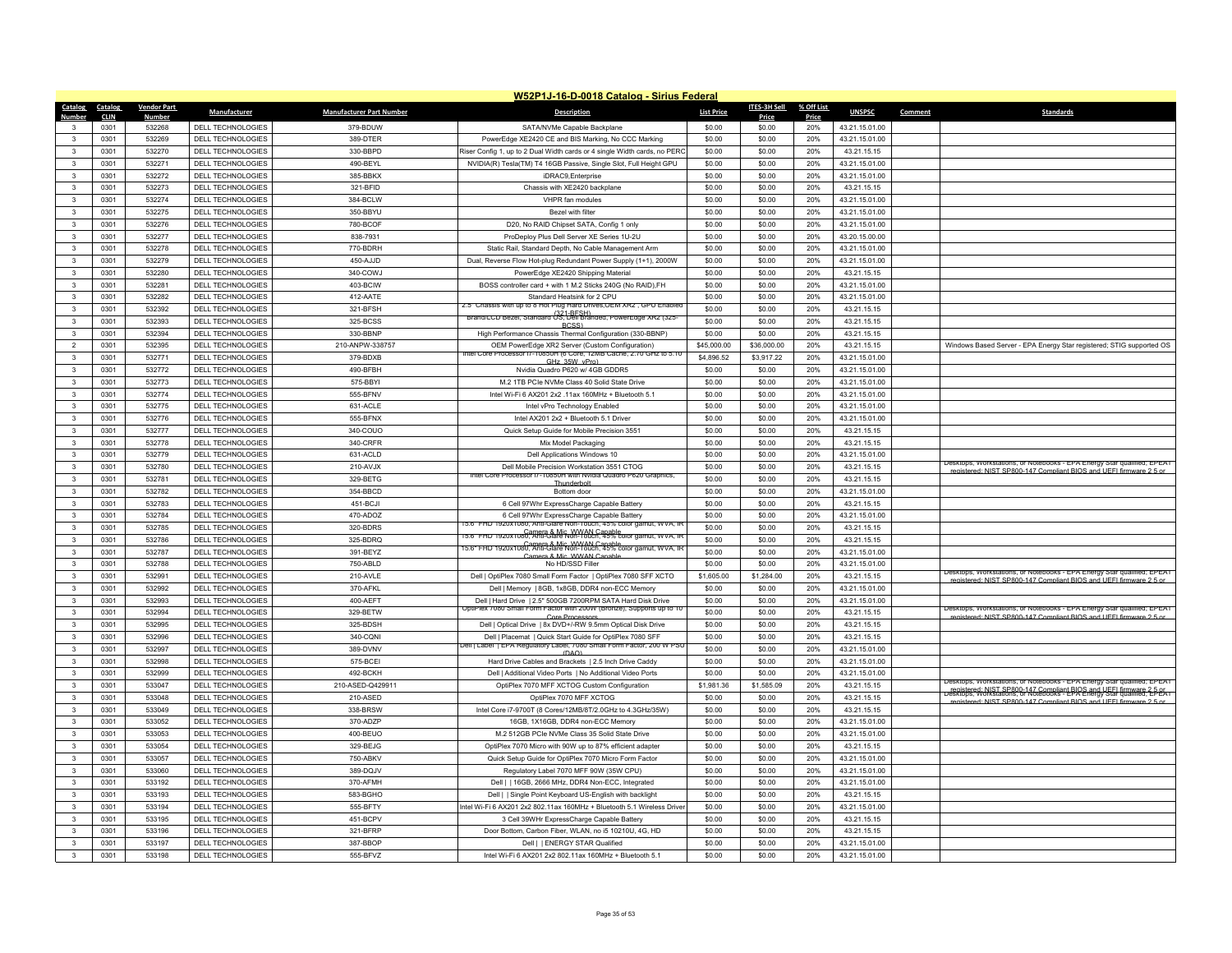|                                              |                    |                          |                                 | W52P1J-16-D-0018 Catalog - Sirius Federal                                                                                             |                   |                     |            |                |         |                                                                                                                                       |
|----------------------------------------------|--------------------|--------------------------|---------------------------------|---------------------------------------------------------------------------------------------------------------------------------------|-------------------|---------------------|------------|----------------|---------|---------------------------------------------------------------------------------------------------------------------------------------|
| Catalog<br>Catalog                           | <b>Vendor Part</b> | Manufacturer             | <b>Manufacturer Part Number</b> | <b>Description</b>                                                                                                                    | <b>List Price</b> | <b>ITES-3H Sell</b> | % Off List | <b>UNSPSC</b>  | Comment | <b>Standards</b>                                                                                                                      |
| <b>CLIN</b>                                  | <b>Numbe</b>       |                          |                                 |                                                                                                                                       |                   | Price               | Price      |                |         |                                                                                                                                       |
| 0301<br>3<br>0301<br>$\mathbf{R}$            | 532268<br>532269   | DELL TECHNOLOGIES        | 379-BDUW                        | SATA/NVMe Capable Backplane                                                                                                           | \$0.00            | \$0.00              | 20%        | 43.21.15.01.00 |         |                                                                                                                                       |
|                                              |                    | DELL TECHNOLOGIES        | 389-DTER                        | PowerEdge XE2420 CE and BIS Marking, No CCC Marking                                                                                   | \$0.00            | \$0.00              | 20%        | 43.21.15.01.00 |         |                                                                                                                                       |
| 0301<br>$\mathbf{3}$                         | 532270             | <b>DELL TECHNOLOGIES</b> | 330-BBPD                        | Riser Config 1, up to 2 Dual Width cards or 4 single Width cards, no PER                                                              | \$0.00            | \$0.00              | 20%        | 43.21.15.15    |         |                                                                                                                                       |
| $\mathbf{3}$<br>0301                         | 532271             | DELL TECHNOLOGIES        | 490-BEYL                        | NVIDIA(R) Tesla(TM) T4 16GB Passive, Single Slot, Full Height GPU                                                                     | \$0.00            | \$0.00              | 20%        | 43.21.15.01.00 |         |                                                                                                                                       |
| $\mathbf{3}$<br>0301                         | 532272             | <b>DELL TECHNOLOGIES</b> | 385-BBKX                        | iDRAC9,Enterprise                                                                                                                     | \$0.00            | \$0.00              | 20%        | 43.21.15.01.00 |         |                                                                                                                                       |
| 0301<br>$\mathbf{3}$                         | 532273             | DELL TECHNOLOGIES        | 321-BFID                        | Chassis with XE2420 backplane                                                                                                         | \$0.00            | \$0.00              | 20%        | 43.21.15.15    |         |                                                                                                                                       |
| $\mathbf{3}$<br>0301                         | 532274             | DELL TECHNOLOGIES        | 384-BCLW                        | VHPR fan modules                                                                                                                      | \$0.00            | \$0.00              | 20%        | 43.21.15.01.00 |         |                                                                                                                                       |
| $\mathbf{3}$<br>0301                         | 532275             | DELL TECHNOLOGIES        | 350-BBYU                        | Bezel with filte                                                                                                                      | \$0.00            | \$0.00              | 20%        | 43.21.15.01.00 |         |                                                                                                                                       |
| 0301<br>$\mathbf{3}$                         | 532276             | DELL TECHNOLOGIES        | 780-BCOF                        | D20, No RAID Chipset SATA, Config 1 only                                                                                              | \$0.00            | \$0.00              | 20%        | 43.21.15.01.00 |         |                                                                                                                                       |
| $\overline{\mathbf{3}}$<br>0301              | 532277             | DELL TECHNOLOGIES        | 838-7931                        | ProDeploy Plus Dell Server XE Series 1U-2U                                                                                            | \$0.00            | \$0.00              | 20%        | 43.20.15.00.00 |         |                                                                                                                                       |
| $\mathbf{3}$<br>0301                         | 532278             | DELL TECHNOLOGIES        | 770-BDRH                        | Static Rail, Standard Depth, No Cable Management Arm                                                                                  | \$0.00            | \$0.00              | 20%        | 43.21.15.01.00 |         |                                                                                                                                       |
| 0301<br>$\mathbf{3}$                         | 532279             | DELL TECHNOLOGIES        | 450-AJJD                        | Dual, Reverse Flow Hot-plug Redundant Power Supply (1+1), 2000W                                                                       | \$0.00            | \$0.00              | 20%        | 43.21.15.01.00 |         |                                                                                                                                       |
| $\overline{\mathbf{3}}$<br>0301              | 532280             | DELL TECHNOLOGIES        | 340-COWJ                        | PowerEdge XE2420 Shipping Material                                                                                                    | \$0.00            | \$0.00              | 20%        | 43.21.15.15    |         |                                                                                                                                       |
| $\mathbf{3}$<br>0301                         | 532281             | <b>DELL TECHNOLOGIES</b> | 403-BCIW                        | BOSS controller card + with 1 M.2 Sticks 240G (No RAID), FH                                                                           | \$0.00            | \$0.00              | 20%        | 43.21.15.01.00 |         |                                                                                                                                       |
| $\mathbf{3}$<br>0301                         | 532282             | DELL TECHNOLOGIES        | 412-AATE                        | Standard Heatsink for 2 CPU                                                                                                           | \$0.00            | \$0.00              | 20%        | 43.21.15.01.00 |         |                                                                                                                                       |
| $\mathbf{3}$<br>0301                         | 532392             | DELL TECHNOLOGIES        | 321-BFSH                        | 5.5" Chassis with up to 8 Hot Plug Hard Drives,OEM XRZ , GPU Enabl<br>Brand/LCD Bezel, Standard OS, Dell Branded, PowerEdge XR2 (325- | \$0.00            | \$0.00              | 20%        | 43.21.15.15    |         |                                                                                                                                       |
| $\mathbf{3}$<br>0301                         | 532393             | DELL TECHNOLOGIES        | 325-BCSS                        | BCSS)                                                                                                                                 | \$0.00            | \$0.00              | 20%        | 43.21.15.15    |         |                                                                                                                                       |
| 0301<br>3                                    | 532394             | DELL TECHNOLOGIES        | 330-BBNP                        | High Performance Chassis Thermal Configuration (330-BBNP)                                                                             | \$0.00            | \$0.00              | 20%        | 43.21.15.15    |         |                                                                                                                                       |
| $\overline{2}$<br>0301                       | 532395             | DELL TECHNOLOGIES        | 210-ANPW-338757                 | OEM PowerEdge XR2 Server (Custom Configuration)                                                                                       | \$45,000.00       | \$36,000.00         | 20%        | 43.21.15.15    |         | Windows Based Server - EPA Energy Star registered; STIG supported OS                                                                  |
| 0301<br>$\mathbf{3}$                         | 532771             | DELL TECHNOLOGIES        | 379-BDXB                        | ntel Core Processor i/-10850H (6 Core, 12MB Cache, 2./0 GHz to 5.10<br>GHz 35W vPro)                                                  | \$4,896.52        | \$3,917.22          | 20%        | 43.21.15.01.00 |         |                                                                                                                                       |
| 0301<br>$\mathbf{3}$                         | 532772             | DELL TECHNOLOGIES        | 490-BFBH                        | Nvidia Quadro P620 w/ 4GB GDDR5                                                                                                       | \$0.00            | \$0.00              | 20%        | 43.21.15.01.00 |         |                                                                                                                                       |
| $\overline{\mathbf{3}}$<br>0301              | 532773             | <b>DELL TECHNOLOGIES</b> | 575-BBYI                        | M.2 1TB PCIe NVMe Class 40 Solid State Drive                                                                                          | \$0.00            | \$0.00              | 20%        | 43.21.15.01.00 |         |                                                                                                                                       |
| 0301<br>$\mathbf{3}$                         | 532774             | <b>DELL TECHNOLOGIES</b> | 555-BFNV                        | Intel Wi-Fi 6 AX201 2x2 .11ax 160MHz + Bluetooth 5.1                                                                                  | \$0.00            | \$0.00              | 20%        | 43.21.15.01.00 |         |                                                                                                                                       |
| 0301<br>$\mathbf{3}$                         | 532775             | DELL TECHNOLOGIES        | 631-ACLE                        | Intel vPro Technology Enabled                                                                                                         | \$0.00            | \$0.00              | 20%        | 43.21.15.01.00 |         |                                                                                                                                       |
| $\mathbf{3}$<br>0301                         | 532776             | DELL TECHNOLOGIES        | 555-BFNX                        | Intel AX201 2x2 + Bluetooth 5.1 Driver                                                                                                | \$0.00            | \$0.00              | 20%        | 43.21.15.01.00 |         |                                                                                                                                       |
| 0301<br>3                                    | 532777             | DELL TECHNOLOGIES        | 340-COUO                        | Quick Setup Guide for Mobile Precision 3551                                                                                           | \$0.00            | \$0.00              | 20%        | 43 21 15 15    |         |                                                                                                                                       |
| $\mathbf{3}$<br>0301                         | 532778             | DELL TECHNOLOGIES        | 340-CRFR                        | Mix Model Packaging                                                                                                                   | \$0.00            | \$0.00              | 20%        | 43.21.15.15    |         |                                                                                                                                       |
| $\mathbf{3}$<br>0301                         | 532779             | DELL TECHNOLOGIES        | 631-ACLD                        | Dell Applications Windows 10                                                                                                          | \$0.00            | \$0.00              | 20%        | 43.21.15.01.00 |         |                                                                                                                                       |
| 0301<br>$\mathbf{3}$                         | 532780             | DELL TECHNOLOGIES        | 210-AVJX                        | Dell Mobile Precision Workstation 3551 CTOG                                                                                           | \$0.00            | \$0.00              | 20%        | 43.21.15.15    |         | Desktops, Workstations, or Notebooks - EPA Energy Star qualified; EPEAT                                                               |
| $\mathbf{3}$<br>0301                         | 532781             | DELL TECHNOLOGIES        | 329-BETG                        | Intel Core Processor i/-10850H with Nvidia Quadro P620 Graphics,                                                                      | \$0.00            | \$0.00              | 20%        | 43.21.15.15    |         | : NIST SP800-147 Compliant BIOS and UFFI firm                                                                                         |
| $\mathbf{3}$<br>0301                         | 532782             | <b>DELL TECHNOLOGIES</b> | 354-BBCD                        | Thunderbo<br>Bottom door                                                                                                              | \$0.00            | \$0.00              | 20%        | 43.21.15.01.00 |         |                                                                                                                                       |
| 0301<br>3                                    | 532783             | DELL TECHNOLOGIES        | 451-BCJI                        | 6 Cell 97Whr ExpressCharge Capable Battery                                                                                            | \$0.00            | \$0.00              | 20%        | 43 21 15 15    |         |                                                                                                                                       |
| $\mathbf{3}$<br>0301                         | 532784             | DELL TECHNOLOGIES        | 470-ADOZ                        | 6 Cell 97Whr ExpressCharge Capable Battery                                                                                            | \$0.00            | \$0.00              | 20%        | 43.21.15.01.00 |         |                                                                                                                                       |
| $\mathbf{3}$<br>0301                         | 532785             | DELL TECHNOLOGIES        | 320-BDRS                        | 5.6" FHD 1920x1080, Anti-Glare Non-Touch, 45% color gamut, WVA, IF                                                                    | \$0.00            | \$0.00              | 20%        | 43.21.15.15    |         |                                                                                                                                       |
| $\mathbf{3}$<br>0301                         | 532786             | DELL TECHNOLOGIES        | 325-BDRQ                        | 15.6" FHD 1920x1080, Anti-Glare Non-Touch, 45% color gamut, WVA, IF                                                                   | \$0.00            | \$0.00              | 20%        | 43.21.15.15    |         |                                                                                                                                       |
| $\mathbf{3}$<br>0301                         | 532787             | DELL TECHNOLOGIES        | 391-BEYZ                        | 15.6" FHD 1920x1080, Anti-Glare Non-Touch, 45% color gamut, WVA, IF                                                                   | \$0.00            | \$0.00              | 20%        | 43.21.15.01.00 |         |                                                                                                                                       |
| $\mathbf{3}$<br>0301                         | 532788             | <b>DELL TECHNOLOGIES</b> | 750-ABI D                       | Camera & Mic WWAN Ca<br>No HD/SSD Filler                                                                                              | \$0.00            | \$0.00              | 20%        | 43.21.15.01.00 |         |                                                                                                                                       |
|                                              |                    |                          |                                 |                                                                                                                                       |                   |                     |            |                |         | Desktops, Workstations, or Notebooks - EPA Energy Star qualified; EPEAT                                                               |
| $\mathbf{3}$<br>0301<br>$\mathbf{3}$<br>0301 | 532991<br>532992   | <b>DELL TECHNOLOGIES</b> | 210-AVLE<br>370-AFKL            | Dell   OptiPlex 7080 Small Form Factor   OptiPlex 7080 SFF XCTO                                                                       | \$1,605.00        | \$1,284.00          | 20%        | 43.21.15.15    |         | registered: NIST SP800-147 Compliant BIOS and UFFI firmware 2.5 or                                                                    |
|                                              |                    | <b>DELL TECHNOLOGIES</b> |                                 | Dell   Memory   8GB, 1x8GB, DDR4 non-ECC Memory                                                                                       | \$0.00            | \$0.00              | 20%        | 43.21.15.01.00 |         |                                                                                                                                       |
| 0301<br>3                                    | 532993             | DELL TECHNOLOGIES        | 400-AEFT                        | Dell   Hard Drive   2.5" 500GB 7200RPM SATA Hard Disk Drive<br>OptiPlex 7080 Small Form Factor with 200W (Bronze), Supports up to 10  | \$0.00            | \$0.00              | 20%        | 43.21.15.01.00 |         | Desktops, Workstations, or Notebooks - EPA Energy Star qualified; EPEAT                                                               |
| $\mathbf{3}$<br>0301                         | 532994             | DELL TECHNOLOGIES        | 329-BETW                        | Core Processo                                                                                                                         | \$0.00            | \$0.00              | 20%        | 43.21.15.15    |         | nistered: NIST SP800-147 Compliant BIOS and LIFFL firm                                                                                |
| $\mathbf{3}$<br>0301                         | 532995             | DELL TECHNOLOGIES        | 325-BDSH                        | Dell   Optical Drive   8x DVD+/-RW 9.5mm Optical Disk Drive                                                                           | \$0.00            | \$0.00              | 20%        | 43.21.15.15    |         |                                                                                                                                       |
| 0301<br>$\mathbf{3}$                         | 532996             | <b>DELL TECHNOLOGIES</b> | 340-CQNI                        | Dell   Placemat   Quick Start Guide for OptiPlex 7080 SFF<br>Dell   Label   EPA Regulatory Label, 7080 Small Form Factor, 200 W PSI   | \$0.00            | \$0.00              | 20%        | 43.21.15.15    |         |                                                                                                                                       |
| 0301<br>$\mathbf{3}$                         | 532997             | DELL TECHNOLOGIES        | 389-DVNV                        | (DAO)                                                                                                                                 | \$0.00            | \$0.00              | 20%        | 43.21.15.01.00 |         |                                                                                                                                       |
| $\mathbf{3}$<br>0301                         | 532998             | DELL TECHNOLOGIES        | 575-BCEI                        | Hard Drive Cables and Brackets   2.5 Inch Drive Caddy                                                                                 | \$0.00            | \$0.00              | 20%        | 43.21.15.01.00 |         |                                                                                                                                       |
| 0301<br>3                                    | 532999             | <b>DELL TECHNOLOGIES</b> | 492-BCKH                        | Dell   Additional Video Ports   No Additional Video Ports                                                                             | \$0.00            | \$0.00              | 20%        | 43.21.15.01.00 |         | Desktops, Workstations, or Notebooks - EPA Energy Star qualified; EPEAT                                                               |
| $\mathbf{3}$<br>0301                         | 533047             | DELL TECHNOLOGIES        | 210-ASED-Q429911                | OptiPlex 7070 MFF XCTOG Custom Configuration                                                                                          | \$1,981.36        | \$1,585.09          | 20%        | 43.21.15.15    |         | registered: NIST SP800-147 Compliant BIOS and UEEL firmware 2 DeSktops, Workstations, or Notebooks - LPA Energy Star qualified; LPEAT |
| $\mathbf{3}$<br>0301                         | 533048             | DELL TECHNOLOGIES        | 210-ASED                        | OptiPlex 7070 MFF XCTOG                                                                                                               | \$0.00            | \$0.00              | 20%        | 43.21.15.15    |         | registered: NIST SP800-147 Compliant BIOS and UFFI firmware 2.5 of                                                                    |
| 0301<br>$\mathbf{3}$                         | 533049             | DELL TECHNOLOGIES        | 338-BRSW                        | Intel Core i7-9700T (8 Cores/12MB/8T/2.0GHz to 4.3GHz/35W)                                                                            | \$0.00            | \$0.00              | 20%        | 43.21.15.15    |         |                                                                                                                                       |
| $\mathbf{3}$<br>0301                         | 533052             | DELL TECHNOLOGIES        | 370-ADZP                        | 16GB, 1X16GB, DDR4 non-ECC Memory                                                                                                     | \$0.00            | \$0.00              | 20%        | 43.21.15.01.00 |         |                                                                                                                                       |
| $\mathbf{3}$<br>0301                         | 533053             | DELL TECHNOLOGIES        | 400-BEUO                        | M.2 512GB PCIe NVMe Class 35 Solid State Drive                                                                                        | \$0.00            | \$0.00              | 20%        | 43.21.15.01.00 |         |                                                                                                                                       |
| 0301<br>3                                    | 533054             | DELL TECHNOLOGIES        | 329-BEJG                        | OptiPlex 7070 Micro with 90W up to 87% efficient adapter                                                                              | \$0.00            | \$0.00              | 20%        | 43.21.15.15    |         |                                                                                                                                       |
| $\mathbf{3}$<br>0301                         | 533057             | DELL TECHNOLOGIES        | 750-ABKV                        | Quick Setup Guide for OptiPlex 7070 Micro Form Factor                                                                                 | \$0.00            | \$0.00              | 20%        | 43.21.15.01.00 |         |                                                                                                                                       |
| 0301<br>$\mathbf{3}$                         | 533060             | <b>DELL TECHNOLOGIES</b> | 389-DQJV                        | Regulatory Label 7070 MFF 90W (35W CPU)                                                                                               | \$0.00            | \$0.00              | 20%        | 43.21.15.01.00 |         |                                                                                                                                       |
| $\mathbf{3}$<br>0301                         | 533192             | DELL TECHNOLOGIES        | 370-AFMH                        | Dell     16GB, 2666 MHz, DDR4 Non-ECC, Integrated                                                                                     | \$0.00            | \$0.00              | 20%        | 43.21.15.01.00 |         |                                                                                                                                       |
| $\mathbf{3}$<br>0301                         | 533193             | DELL TECHNOLOGIES        | 583-BGHO                        | Dell     Single Point Keyboard US-English with backlight                                                                              | \$0.00            | \$0.00              | 20%        | 43.21.15.15    |         |                                                                                                                                       |
| $\mathbf{3}$<br>0301                         | 533194             | DELL TECHNOLOGIES        | 555-BFTY                        | Intel Wi-Fi 6 AX201 2x2 802.11ax 160MHz + Bluetooth 5.1 Wireless Drive                                                                | \$0.00            | \$0.00              | 20%        | 43.21.15.01.00 |         |                                                                                                                                       |
| 0301<br>3                                    | 533195             | DELL TECHNOLOGIES        | 451-BCPV                        | 3 Cell 39WHr ExpressCharge Capable Battery                                                                                            | \$0.00            | \$0.00              | 20%        | 43.21.15.15    |         |                                                                                                                                       |
| $\mathbf{R}$<br>0301                         | 533196             | <b>DELL TECHNOLOGIES</b> | 321-BFRP                        | Door Bottom, Carbon Fiber, WLAN, no i5 10210U, 4G, HD                                                                                 | \$0.00            | \$0.00              | 20%        | 43.21.15.15    |         |                                                                                                                                       |
| 0301<br>3                                    | 533197             | <b>DELL TECHNOLOGIES</b> | 387-BBOP                        | Dell     ENERGY STAR Qualified                                                                                                        | \$0.00            | \$0.00              | 20%        | 43.21.15.01.00 |         |                                                                                                                                       |
| 0301<br>$\mathbf{3}$                         | 533198             | DELL TECHNOLOGIES        | 555-BFVZ                        | Intel Wi-Fi 6 AX201 2x2 802.11ax 160MHz + Bluetooth 5.1                                                                               | \$0.00            | \$0.00              | 20%        | 43.21.15.01.00 |         |                                                                                                                                       |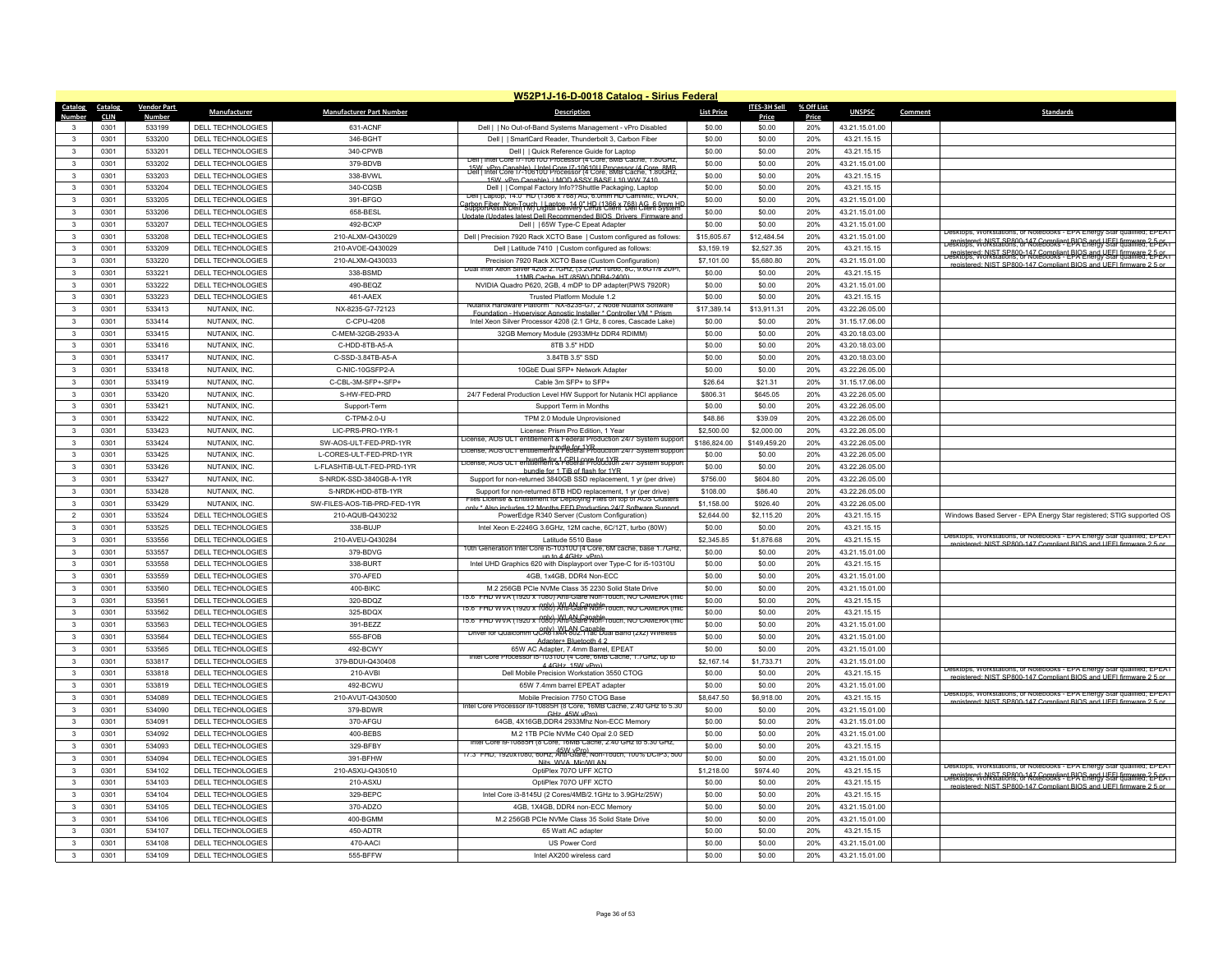|                       |                     |                    |                                        |                                 | W52P1J-16-D-0018 Catalog - Sirius Federal                                                                                                                                     |                      |                      |              |                               |         |                                                                                                                                                                                                                       |
|-----------------------|---------------------|--------------------|----------------------------------------|---------------------------------|-------------------------------------------------------------------------------------------------------------------------------------------------------------------------------|----------------------|----------------------|--------------|-------------------------------|---------|-----------------------------------------------------------------------------------------------------------------------------------------------------------------------------------------------------------------------|
| Catalog               | Catalog             | <b>Vendor Part</b> | Manufacturer                           | <b>Manufacturer Part Number</b> | <b>Description</b>                                                                                                                                                            | <b>List Price</b>    | <b>ITES-3H Sell</b>  | % Off List   | <b>UNSPSC</b>                 | Comment | Standards                                                                                                                                                                                                             |
| Numbe<br>$\mathbf{R}$ | <b>CLIN</b><br>0301 | Number<br>533199   | DELL TECHNOLOGIES                      | 631-ACNF                        | Dell     No Out-of-Band Systems Management - vPro Disabled                                                                                                                    | \$0.00               | Price<br>\$0.00      | Price<br>20% | 43.21.15.01.00                |         |                                                                                                                                                                                                                       |
| $\mathbf{R}$          | 0301                | 533200             | DELL TECHNOLOGIES                      | 346-BGHT                        | Dell     SmartCard Reader, Thunderbolt 3, Carbon Fiber                                                                                                                        | \$0.00               | \$0.00               | 20%          | 43.21.15.15                   |         |                                                                                                                                                                                                                       |
| 3                     | 0301                | 533201             | DELL TECHNOLOGIES                      | 340-CPWB                        | Dell     Quick Reference Guide for Laptop                                                                                                                                     | \$0.00               | \$0.00               | 20%          | 43.21.15.15                   |         |                                                                                                                                                                                                                       |
| $\mathbf{3}$          | 0301                | 533202             | DELL TECHNOLOGIES                      | 379-BDVB                        | Dell   Intel Core 17-10610U Processor (4 Core, 8MB Cache, 1.80GHz                                                                                                             | \$0.00               | \$0.00               | 20%          | 43.21.15.01.00                |         |                                                                                                                                                                                                                       |
| 3                     | 0301                | 533203             | DELL TECHNOLOGIES                      | 338-BVWL                        | 15W KPm Capable) Untel Core 17-10610U Processor (4 Core 8MB                                                                                                                   | \$0.00               | \$0.00               | 20%          | 43.21.15.15                   |         |                                                                                                                                                                                                                       |
| 3                     | 0301                | 533204             | DELL TECHNOLOGIES                      | 340-CQSB                        | 15W vPro Capable) I MOD ASSY BASE I 10 WW 7410<br>Dell     Compal Factory Info??Shuttle Packaging, Laptop                                                                     | \$0.00               | \$0.00               | 20%          | 43.21.15.15                   |         |                                                                                                                                                                                                                       |
| $\mathbf{3}$          | 0301                | 533205             | DELL TECHNOLOGIES                      | 391-BFGO                        | Dell   Laptop, 14.0" HD (1366 x 768) AG, 6.0mm HD Cam/Mic, WLAN                                                                                                               | \$0.00               | \$0.00               | 20%          | 43.21.15.01.00                |         |                                                                                                                                                                                                                       |
| 3                     | 0301                | 533206             | DELL TECHNOLOGIES                      | 658-BESL                        | arbon Fiber, Non-Touch Hanton, 14.0" HPL(1366 x 768) AG & Own HD:<br>SupportAssist Deli(1M) Haital Delivery CIPL(s Client, Del) Client System                                 | \$0.00               | \$0.00               | 20%          | 43.21.15.01.00                |         |                                                                                                                                                                                                                       |
| $\mathbf{3}$          | 0301                | 533207             | DELL TECHNOLOGIES                      | 492-BCXP                        | Undate (Undates latest Dell Recommended BIOS, Drivers, Firmware and<br>Dell     65W Type-C Epeat Adapter                                                                      | \$0.00               | \$0.00               | 20%          | 43.21.15.01.00                |         |                                                                                                                                                                                                                       |
| $\mathbf{3}$          | 0301                | 533208             | DELL TECHNOLOGIES                      | 210-AI XM-Q430029               | Dell   Precision 7920 Rack XCTO Base   Custom configured as follows:                                                                                                          | \$15,605.67          | \$12,484.54          | 20%          | 43.21.15.01.00                |         | Jesktops, Workstations, or Notebooks - EPA Energy Star qualified: EPEAT                                                                                                                                               |
|                       | 0301                | 533209             | DELL TECHNOLOGIES                      | 210-AVOE-Q430029                | Dell   Latitude 7410   Custom configured as follows:                                                                                                                          | \$3,159.19           | \$2,527.35           | 20%          | 43.21.15.15                   |         |                                                                                                                                                                                                                       |
| 3                     | 0301                | 533220             | DELL TECHNOLOGIES                      | 210-ALXM-Q430033                | Precision 7920 Rack XCTO Base (Custom Configuration)                                                                                                                          | \$7,101.00           | \$5,680.80           | 20%          | 43.21.15.01.00                |         | Legistered: NIST SP800-147 Compliant BIOS and UFEL firmware 2-5-05.<br>Desktops: Workstations. or Notebooks - EPA Energy Stal gualified: EPEAT<br>registered: NIST SP800-147 Compliant BIOS and LIFFL firmware 2.5 or |
| $\mathbf{3}$          | 0301                | 533221             | DELL TECHNOLOGIES                      | 338-BSMD                        | <b>Dual Intel Xeor</b><br>i Silver 4208 2.1GHz, (3.2GHz Turbo, 8C, 9.6GT/s 2UI<br>11MB Cache HT (85W) DDR4-2400)                                                              | \$0.00               | \$0.00               | 20%          | 43.21.15.15                   |         |                                                                                                                                                                                                                       |
| $\mathbf{3}$          | 0301                | 533222             | DELL TECHNOLOGIES                      | 490-BFQZ                        | NVIDIA Quadro P620, 2GB, 4 mDP to DP adapter(PWS 7920R)                                                                                                                       | \$0.00               | \$0.00               | 20%          | 43.21.15.01.00                |         |                                                                                                                                                                                                                       |
| $\mathbf{3}$          | 0301                | 533223             | DELL TECHNOLOGIES                      | 461-AAEX                        | Trusted Platform Module 1.2                                                                                                                                                   | \$0.00               | \$0.00               | 20%          | 43.21.15.15                   |         |                                                                                                                                                                                                                       |
| $\mathbf{R}$          | 0301                | 533413             | NUTANIX, INC.                          | NX-8235-G7-72123                | Nutanix Hardware Platform * NX-8235-G7, 2 Node Nutanix Softw<br>Foundation - Hypervisor Agnostic Installer * Controller VM * Priso                                            | \$17,389.14          | \$13,911.31          | 20%          | 43.22.26.05.00                |         |                                                                                                                                                                                                                       |
| $\mathbf{3}$          | 0301                | 533414             | NUTANIX, INC.                          | C-CPU-4208                      | Intel Xeon Silver Processor 4208 (2.1 GHz, 8 cores, Cascade Lake)                                                                                                             | \$0.00               | \$0.00               | 20%          | 31.15.17.06.00                |         |                                                                                                                                                                                                                       |
| 3                     | 0301                | 533415             | NUTANIX, INC.                          | C-MEM-32GB-2933-A               | 32GB Memory Module (2933MHz DDR4 RDIMM)                                                                                                                                       | \$0.00               | \$0.00               | 20%          | 43.20.18.03.00                |         |                                                                                                                                                                                                                       |
| $\mathbf{R}$          | 0301                | 533416             | NUTANIX, INC.                          | C-HDD-8TB-A5-A                  | 8TB 3.5" HDD                                                                                                                                                                  | \$0.00               | \$0.00               | 20%          | 43.20.18.03.00                |         |                                                                                                                                                                                                                       |
| 3                     | 0301                | 533417             | NUTANIX, INC.                          | C-SSD-3.84TB-A5-A               | 3.84TB 3.5" SSD                                                                                                                                                               | \$0.00               | \$0.00               | 20%          | 43.20.18.03.00                |         |                                                                                                                                                                                                                       |
| 3                     | 0301                | 533418             | NUTANIX, INC.                          | C-NIC-10GSFP2-A                 | 10GbE Dual SFP+ Network Adapter                                                                                                                                               | \$0.00               | \$0.00               | 20%          | 43.22.26.05.00                |         |                                                                                                                                                                                                                       |
| $\mathbf{R}$          | 0301                | 533419             | NUTANIX, INC.                          | C-CBI-3M-SFP+-SFP+              | Cable 3m SFP+ to SFP+                                                                                                                                                         | \$26.64              | \$21.31              | 20%          | 31.15.17.06.00                |         |                                                                                                                                                                                                                       |
| $\mathbf{R}$          | 0301                | 533420             | NUTANIX, INC.                          | S-HW-FED-PRD                    | 24/7 Federal Production Level HW Support for Nutanix HCI appliance                                                                                                            | \$806.31             | \$645.05             | 20%          | 43.22.26.05.00                |         |                                                                                                                                                                                                                       |
| 3                     | 0301                | 533421             | NUTANIX, INC.                          | Support-Term                    | Support Term in Months                                                                                                                                                        | \$0.00               | \$0.00               | 20%          | 43.22.26.05.00                |         |                                                                                                                                                                                                                       |
| $\mathbf{3}$          | 0301                | 533422             | NUTANIX, INC                           | C-TPM-2.0-U                     | TPM 2.0 Module Unprovisioned                                                                                                                                                  | \$48.86              | \$39.09              | 20%          | 43.22.26.05.00                |         |                                                                                                                                                                                                                       |
| 3                     | 0301                | 533423             | NUTANIX, INC.                          | LIC-PRS-PRO-1YR-1               | License: Prism Pro Edition, 1 Year                                                                                                                                            | \$2,500.00           | \$2,000.00           | 20%          | 43.22.26.05.00                |         |                                                                                                                                                                                                                       |
| $\mathbf{3}$          | 0301                | 533424             | NUTANIX, INC.                          | SW-AOS-ULT-FED-PRD-1YR          | ricense, AOS UL Lentitlement & Federal Production 24// System support                                                                                                         | \$186,824.00         | \$149,459.20         | 20%          | 43.22.26.05.00                |         |                                                                                                                                                                                                                       |
| $\mathbf{3}$          | 0301                | 533425             | NUTANIX, INC.                          | L-CORES-ULT-FED-PRD-1YR         | icense, AOS ULT entitlement & Federal Production 24/7 System suppor<br>bundle for 1 CPLI core for 1YR<br>Icense, AOS UL I entitlement & Federal Production 24/7 System suppor | \$0.00               | \$0.00               | 20%          | 43.22.26.05.00                |         |                                                                                                                                                                                                                       |
| 3                     | 0301                | 533426             | NUTANIX, INC.                          | I-FI ASHTIB-UI T-FFD-PRD-1YR    | bundle for 1 TiB of flash for 1YR                                                                                                                                             | \$0.00               | \$0.00               | 20%          | 43.22.26.05.00                |         |                                                                                                                                                                                                                       |
| $\mathbf{3}$          | 0301                | 533427             | NUTANIX, INC.                          | S-NRDK-SSD-3840GB-A-1YR         | Support for non-returned 3840GB SSD replacement, 1 yr (per drive)                                                                                                             | \$756.00             | \$604.80             | 20%          | 43.22.26.05.00                |         |                                                                                                                                                                                                                       |
| 3                     | 0301                | 533428             | NUTANIX, INC.                          | S-NRDK-HDD-8TB-1YR              | Support for non-returned 8TB HDD replacement, 1 yr (per drive)                                                                                                                | \$108.00             | \$86.40              | 20%          | 43.22.26.05.00                |         |                                                                                                                                                                                                                       |
| 3                     | 0301                | 533429             | NUTANIX INC                            | SW-FILES-AOS-TiB-PRD-FED-1YR    | les License & Entitlement for Deploying Files on top of AOS Cluster<br>Iv * Also includes 12 Months FED Production 24/7 Software Sunnor                                       | \$1.158.00           | \$926.40             | 20%          | 43.22.26.05.00                |         |                                                                                                                                                                                                                       |
| $\overline{2}$        | 0301                | 533524             | DELL TECHNOLOGIES                      | 210-AQUB-Q430232                | PowerEdge R340 Server (Custom Configuration)                                                                                                                                  | \$2,644.00           | \$2,115.20           | 20%          | 43.21.15.15                   |         | Windows Based Server - EPA Energy Star registered; STIG supported OS                                                                                                                                                  |
| $\mathbf{3}$          | 0301                | 533525             | DELL TECHNOLOGIES                      | 338-BUJF                        | Intel Xeon E-2246G 3.6GHz, 12M cache, 6C/12T, turbo (80W)                                                                                                                     | \$0.00               | \$0.00               | 20%          | 43.21.15.15                   |         | Desktops, Workstations, or Notebooks - EPA Energy Star qualified; EPEAT                                                                                                                                               |
| 3                     | 0301                | 533556             | DELL TECHNOLOGIES                      | 210-AVEU-Q430284                | Latitude 5510 Base                                                                                                                                                            | \$2,345.85           | \$1,876.68           | 20%          | 43.21.15.15                   |         | registered: NIST SP800-147 Compliant RIOS and LIFFL firmware 2                                                                                                                                                        |
| $\mathbf{3}$          | 0301                | 533557             | DELL TECHNOLOGIES                      | 379-BDVG                        | 10th Generation Intel Core i5-10310U (4 Core, 6M cache, base 1.7GHz,<br>un to 4 4GHz vPro                                                                                     | \$0.00               | \$0.00               | 20%          | 43.21.15.01.00                |         |                                                                                                                                                                                                                       |
| 3                     | 0301                | 533558             | DELL TECHNOLOGIES                      | 338-BURT                        | Intel UHD Graphics 620 with Displayport over Type-C for i5-10310U                                                                                                             | \$0.00               | \$0.00               | 20%          | 43.21.15.15                   |         |                                                                                                                                                                                                                       |
| 3                     | 0301                | 533559             | DELL TECHNOLOGIES                      | 370-AFED                        | 4GB, 1x4GB, DDR4 Non-ECC                                                                                                                                                      | \$0.00               | \$0.00               | 20%          | 43.21.15.01.00                |         |                                                                                                                                                                                                                       |
| $\mathbf{3}$          | 0301                | 533560             | DELL TECHNOLOGIES                      | 400-BIKC                        | M.2 256GB PCIe NVMe Class 35 2230 Solid State Drive<br>15.6" FHD WVA (1920 x 1080) Anti-Glare Non-Touch, NO CAMERA (mi                                                        | \$0.00               | \$0.00               | 20%          | 43.21.15.01.00                |         |                                                                                                                                                                                                                       |
|                       | 0301                | 533561             | DELL TECHNOLOGIES                      | 320-BDQZ                        | 15.6" FHD WVA (1920 x 1080) Anti-Glare Non-Touch, NO CAMERA (mio                                                                                                              | \$0.00               | \$0.00               | 20%          | 43.21.15.15                   |         |                                                                                                                                                                                                                       |
| 3                     | 0301                | 533562             | DELL TECHNOLOGIES                      | 325-BDQX                        |                                                                                                                                                                               | \$0.00               | \$0.00               | 20%          | 43.21.15.15                   |         |                                                                                                                                                                                                                       |
| $\mathbf{R}$          | 0301                | 533563             | <b>DELL TECHNOLOGIES</b>               | 391-BEZZ                        | Driver for Qualcomm QCAB x4A 802.11ac Dual Band (2x2) Wireless                                                                                                                | \$0.00               | \$0.00               | 20%          | 43.21.15.01.00                |         |                                                                                                                                                                                                                       |
| 3                     | 0301                | 533564             | <b>DELL TECHNOLOGIES</b>               | 555-BFOB                        | Adapter+ Bluetooth 4.2                                                                                                                                                        | \$0.00               | \$0.00               | 20%          | 43.21.15.01.00                |         |                                                                                                                                                                                                                       |
| $\mathbf{3}$          | 0301                | 533565             | DELL TECHNOLOGIES                      | 492-BCWY                        | 65W AC Adapter, 7.4mm Barrel, EPEAT<br>ntel Core Processor ib-103100 (4 Core, 6MB Cache, 1, /GHz, up to                                                                       | \$0.00               | \$0.00               | 20%          | 43.21.15.01.00                |         |                                                                                                                                                                                                                       |
| $\mathbf{3}$          | 0301                | 533817             | DELL TECHNOLOGIES                      | 379-BDUI-Q430408                | 4 4 GHz 15 W vPro                                                                                                                                                             | \$2,167.14           | \$1,733.71           | 20%          | 43.21.15.01.00                |         | Desktops, Workstations, or Notebooks - EPA Energy Star qualified; EPEAT                                                                                                                                               |
| $\mathbf{3}$          | 0301                | 533818             | DELL TECHNOLOGIES                      | 210-AVBI                        | Dell Mobile Precision Workstation 3550 CTOG                                                                                                                                   | \$0.00               | \$0.00               | 20%          | 43.21.15.15                   |         | stered: NIST SP800-147 Compliant BIOS and LIFFL firm                                                                                                                                                                  |
| 3<br>$\mathbf{3}$     | 0301<br>0301        | 533819<br>534089   | DELL TECHNOLOGIES                      | 492-BCWU<br>210-AVUT-Q430500    | 65W 7.4mm barrel EPEAT adapter                                                                                                                                                | \$0.00<br>\$8,647.50 | \$0.00<br>\$6,918.00 | 20%<br>20%   | 43.21.15.01.00<br>43.21.15.15 |         | Jesktops, Workstations, or Notebooks - EPA Energy Star qualified; EPEAT                                                                                                                                               |
| $\mathbf{3}$          | 0301                | 534090             | DELL TECHNOLOGIES<br>DELL TECHNOLOGIES | 379-BDWR                        | Mobile Precision 7750 CTOG Base<br>Intel Core Processor i9-10885H (8 Core, 16MB Cache, 2.40 GHz to 5.30                                                                       | \$0.00               | \$0.00               | 20%          | 43.21.15.01.00                |         | egistered: NIST SP800-147 Compliant BIOS and UFFI firmware 2.5 or                                                                                                                                                     |
| 3                     | 0301                | 534091             | DELL TECHNOLOGIES                      | 370-AFGU                        | GHz 45W vPro)                                                                                                                                                                 | \$0.00               | \$0.00               | 20%          | 43.21.15.01.00                |         |                                                                                                                                                                                                                       |
| $\mathbf{3}$          | 0301                | 534092             | DELL TECHNOLOGIES                      | 400-BEBS                        | 64GB, 4X16GB, DDR4 2933Mhz Non-ECC Memory<br>M.2 1TB PCIe NVMe C40 Opal 2.0 SED                                                                                               | \$0.00               | \$0.00               | 20%          | 43.21.15.01.00                |         |                                                                                                                                                                                                                       |
| $\mathbf{3}$          | 0301                | 534093             | DELL TECHNOLOGIES                      | 329-BFBY                        | Intel Core i9-10885H (8 Core, 16MB Cache, 2,40 GHz to 5,30 GHz,                                                                                                               | \$0.00               | \$0.00               | 20%          | 43.21.15.15                   |         |                                                                                                                                                                                                                       |
| $\mathbf{3}$          | 0301                | 534094             | DELL TECHNOLOGIES                      | 391-BFHW                        | 17.3" FHD. 1920x1080. 60Hz. Anti-Glare. Non-Touch. 100% DCIP3. 500                                                                                                            | \$0.00               | \$0.00               | 20%          | 43.21.15.01.00                |         |                                                                                                                                                                                                                       |
| $\mathbf{3}$          | 0301                | 534102             | DELL TECHNOLOGIES                      | 210-ASXU-Q430510                | Nits WVA Mic/WI AN<br>OptiPlex 707O UFF XCTO                                                                                                                                  | \$1,218.00           | \$974.40             | 20%          | 43.21.15.15                   |         | Desktops, Workstations, or Notebooks - EPA Energy Star qualified; EPEAT                                                                                                                                               |
| 3                     | 0301                | 534103             | DELL TECHNOLOGIES                      | 210-ASXU                        | OptiPlex 707O UFF XCTO                                                                                                                                                        | \$0.00               | \$0.00               | 20%          | 43.21.15.15                   |         |                                                                                                                                                                                                                       |
| $\mathbf{3}$          | 0301                | 534104             | DELL TECHNOLOGIES                      | 329-BEPC                        | Intel Core i3-8145U (2 Cores/4MB/2.1GHz to 3.9GHz/25W)                                                                                                                        | \$0.00               | \$0.00               | 20%          | 43.21.15.15                   |         | I: NIST SP800-147 Compliant BIOS and LIFFL fir                                                                                                                                                                        |
| $\mathbf{R}$          | 0301                | 534105             | DELL TECHNOLOGIES                      | 370-ADZO                        | 4GB, 1X4GB, DDR4 non-ECC Memory                                                                                                                                               | \$0.00               | \$0.00               | 20%          | 43.21.15.01.00                |         |                                                                                                                                                                                                                       |
| 3                     | 0301                | 534106             | DELL TECHNOLOGIES                      | 400-BGMM                        | M.2 256GB PCIe NVMe Class 35 Solid State Drive                                                                                                                                | \$0.00               | \$0.00               | 20%          | 43 21 15 01 00                |         |                                                                                                                                                                                                                       |
| $\mathbf{3}$          | 0301                | 534107             | DELL TECHNOLOGIES                      | 450-ADTR                        | 65 Watt AC adapte                                                                                                                                                             | \$0.00               | \$0.00               | 20%          | 43.21.15.15                   |         |                                                                                                                                                                                                                       |
| $\mathbf{3}$          | 0301                | 534108             | DELL TECHNOLOGIES                      | 470-AACI                        | US Power Cord                                                                                                                                                                 | \$0.00               | \$0.00               | 20%          | 43.21.15.01.00                |         |                                                                                                                                                                                                                       |
| $\mathbf{3}$          | 0301                | 534109             | DELL TECHNOLOGIES                      | 555-BFFW                        | Intel AX200 wireless card                                                                                                                                                     | \$0.00               | \$0.00               | 20%          | 43.21.15.01.00                |         |                                                                                                                                                                                                                       |
|                       |                     |                    |                                        |                                 |                                                                                                                                                                               |                      |                      |              |                               |         |                                                                                                                                                                                                                       |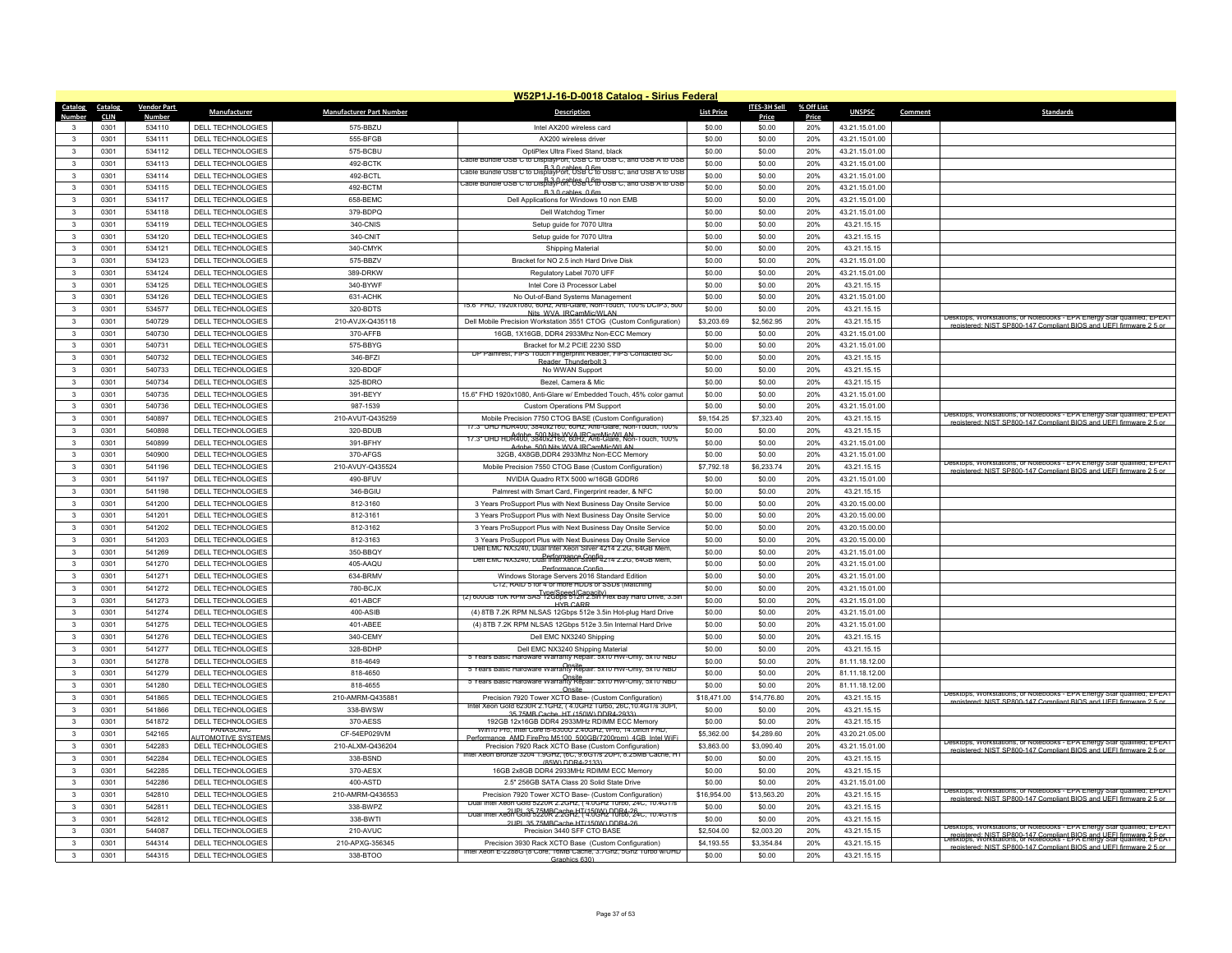|                                   |                    |                                        |                                 | W52P1J-16-D-0018 Catalog - Sirius Federal                                                                                         |                      |                      |            |                                  |         |                                                                                                                                                                                                                          |
|-----------------------------------|--------------------|----------------------------------------|---------------------------------|-----------------------------------------------------------------------------------------------------------------------------------|----------------------|----------------------|------------|----------------------------------|---------|--------------------------------------------------------------------------------------------------------------------------------------------------------------------------------------------------------------------------|
| Catalog<br>Catalog                | <b>Vendor Part</b> | Manufacturer                           | <b>Manufacturer Part Number</b> | <b>Description</b>                                                                                                                | <b>List Price</b>    | ITES-3H Sell         | % Off List | <b>UNSPSC</b>                    | Comment | <b>Standards</b>                                                                                                                                                                                                         |
| <b>Number</b><br><b>CLIN</b>      | <b>Number</b>      |                                        |                                 |                                                                                                                                   |                      | Price                | Price      |                                  |         |                                                                                                                                                                                                                          |
| 0301<br>3<br>0301<br>$\mathbf{3}$ | 534110<br>534111   | DELL TECHNOLOGIES<br>DELL TECHNOLOGIES | 575-BBZU<br>555-BEGB            | Intel AX200 wireless card<br>AX200 wireless driver                                                                                | \$0.00<br>\$0.00     | \$0.00<br>\$0.00     | 20%<br>20% | 43.21.15.01.00<br>43.21.15.01.00 |         |                                                                                                                                                                                                                          |
| $\mathbf{3}$<br>0301              | 534112             | <b>DELL TECHNOLOGIES</b>               | 575-BCBU                        | OptiPlex Ultra Fixed Stand, black                                                                                                 | \$0.00               | \$0.00               | 20%        | 43.21.15.01.00                   |         |                                                                                                                                                                                                                          |
| 0301<br>$\mathbf{3}$              | 534113             | DELL TECHNOLOGIES                      | 492-BCTK                        | Cable Bundle USB C to DisplayPort, USB C to USB C, and USB A to USI                                                               | \$0.00               | \$0.00               | 20%        | 43.21.15.01.00                   |         |                                                                                                                                                                                                                          |
| $\mathbf{3}$<br>0301              | 534114             | <b>DELL TECHNOLOGIES</b>               | 492-BCTL                        | B 3.0 cables ( 6m   able ) able bundle USB C to DisplayPort, USB C to USB C, and USB A to USB.                                    | \$0.00               | \$0.00               | 20%        | 43.21.15.01.00                   |         |                                                                                                                                                                                                                          |
| 0301<br>3                         | 534115             | DELL TECHNOLOGIES                      | 492-BCTM                        | to UISBave Bay Bables Bay USB USB USB AT TO USB                                                                                   | \$0.00               | \$0.00               | 20%        | 43 21 15 01 00                   |         |                                                                                                                                                                                                                          |
| 0301<br>$\mathbf{3}$              | 534117             | DELL TECHNOLOGIES                      | 658-BEMC                        | B.3.0 cables, 0.6<br>Dell Applications for Windows 10 non EMB                                                                     | \$0.00               | \$0.00               | 20%        | 43.21.15.01.00                   |         |                                                                                                                                                                                                                          |
| 0301<br>$\mathbf{3}$              | 534118             | DELL TECHNOLOGIES                      | 379-BDPQ                        | Dell Watchdog Timer                                                                                                               | \$0.00               | \$0.00               | 20%        | 43.21.15.01.00                   |         |                                                                                                                                                                                                                          |
| 0301<br>$\mathbf{3}$              | 534119             | DELL TECHNOLOGIES                      | 340-CNIS                        | Setup quide for 7070 Ultra                                                                                                        | \$0.00               | \$0.00               | 20%        | 43 21 15 15                      |         |                                                                                                                                                                                                                          |
| $\mathbf{3}$<br>0301              | 534120             | DELL TECHNOLOGIES                      | 340-CNIT                        | Setup guide for 7070 Ultra                                                                                                        | \$0.00               | \$0.00               | 20%        | 43.21.15.15                      |         |                                                                                                                                                                                                                          |
| $\mathbf{3}$<br>0301              | 534121             | <b>DELL TECHNOLOGIES</b>               | 340-CMYK                        | Shipping Material                                                                                                                 | \$0.00               | \$0.00               | 20%        | 43.21.15.15                      |         |                                                                                                                                                                                                                          |
| 0301<br>3                         | 534123             | <b>DELL TECHNOLOGIES</b>               | 575-BBZV                        | Bracket for NO 2.5 inch Hard Drive Disk                                                                                           | \$0.00               | \$0.00               | 20%        | 43.21.15.01.00                   |         |                                                                                                                                                                                                                          |
| $\mathbf{3}$<br>0301              | 534124             | DELL TECHNOLOGIES                      | 389-DRKW                        | Regulatory Label 7070 UFF                                                                                                         | \$0.00               | \$0.00               | 20%        | 43.21.15.01.00                   |         |                                                                                                                                                                                                                          |
| $\mathbf{3}$<br>0301              | 534125             | <b>DELL TECHNOLOGIES</b>               | 340-BYWF                        | Intel Core i3 Processor Labe                                                                                                      | \$0.00               | \$0.00               | 20%        | 43.21.15.15                      |         |                                                                                                                                                                                                                          |
| 0301<br>$\mathbf{3}$              | 534126             | DELL TECHNOLOGIES                      | 631-ACHK                        |                                                                                                                                   | \$0.00               | \$0.00               | 20%        | 43.21.15.01.00                   |         |                                                                                                                                                                                                                          |
| $\mathbf{3}$<br>0301              |                    |                                        |                                 | No Out-of-Band Systems Management<br>U80, 60HZ, Anti-Glare, Non-Touch, 100% DCIP3, 500                                            | \$0.00               |                      | 20%        |                                  |         |                                                                                                                                                                                                                          |
| $\mathbf{3}$<br>0301              | 534577<br>540729   | DELL TECHNOLOGIES                      | 320-BDTS<br>210-AVJX-Q435118    | Nits WVA IRCamMic/WLAN                                                                                                            |                      | \$0.00<br>\$2,562.95 | 20%        | 43.21.15.15                      |         | Desktops, Workstations, or Notebooks - EPA Energy Star qualified: EPEAT                                                                                                                                                  |
| $\mathbf{3}$                      | 540730             | <b>DELL TECHNOLOGIES</b>               | 370-AFFB                        | Dell Mobile Precision Workstation 3551 CTOG (Custom Configuration)<br>16GB, 1X16GB, DDR4 2933Mhz Non-ECC Memory                   | \$3,203.69<br>\$0.00 |                      | 20%        | 43.21.15.15                      |         | registered: NIST SP800-147 Compliant RIOS and LIFFI firmware 2.5 of                                                                                                                                                      |
| 0301<br>$\mathbf{3}$<br>0301      | 540731             | <b>DELL TECHNOLOGIES</b>               |                                 |                                                                                                                                   |                      | \$0.00               | 20%        | 43.21.15.01.00                   |         |                                                                                                                                                                                                                          |
|                                   |                    | DELL TECHNOLOGIES                      | 575-BBYG                        | Bracket for M.2 PCIE 2230 SSD<br>DP Palmrest, FIPS Touch Fingerprint Reader, FIPS Contacted SC                                    | \$0.00               | \$0.00               |            | 43.21.15.01.00                   |         |                                                                                                                                                                                                                          |
| $\mathbf{3}$<br>0301              | 540732             | <b>DELL TECHNOLOGIES</b>               | 346-BFZI                        | Reader Thunderbolt 3                                                                                                              | \$0.00               | \$0.00               | 20%        | 43.21.15.15                      |         |                                                                                                                                                                                                                          |
| 0301<br>$\mathbf{3}$              | 540733             | DELL TECHNOLOGIES                      | 320-BDQF                        | No WWAN Support                                                                                                                   | \$0.00               | \$0.00               | 20%        | 43.21.15.15                      |         |                                                                                                                                                                                                                          |
| $\mathbf{3}$<br>0301              | 540734             | DELL TECHNOLOGIES                      | 325-BDRO                        | Bezel, Camera & Mic                                                                                                               | \$0.00               | \$0.00               | 20%        | 43.21.15.15                      |         |                                                                                                                                                                                                                          |
| 3<br>0301                         | 540735             | <b>DELL TECHNOLOGIES</b>               | 391-BEYY                        | 15.6" FHD 1920x1080, Anti-Glare w/ Embedded Touch, 45% color gamut                                                                | \$0.00               | \$0.00               | 20%        | 43.21.15.01.00                   |         |                                                                                                                                                                                                                          |
| 0301<br>$\mathbf{3}$              | 540736             | DELL TECHNOLOGIES                      | 987-1539                        | <b>Custom Operations PM Support</b>                                                                                               | \$0.00               | \$0.00               | 20%        | 43.21.15.01.00                   |         | Desktops, Workstations, or Notebooks - EPA Energy Star qualified; EPEA1                                                                                                                                                  |
| $\mathbf{3}$<br>0301              | 540897             | DELL TECHNOLOGIES                      | 210-AVUT-Q435259                | Mobile Precision 7750 CTOG BASE (Custom Configuration)<br>17.3" UHD HDR400, 3840x2160, 60Hz, Anti-Glare, Non-Touch, 100%          | \$9,154.25           | \$7,323.40           | 20%        | 43.21.15.15                      |         | registered: NIST SP800-147 Compliant BIOS and LIFFI firmware 2.5 of                                                                                                                                                      |
| 0301<br>$\mathbf{3}$              | 540898             | DELL TECHNOLOGIES                      | 320-BDUB                        | 17.3" UHD HDR400" 3840x2460" 60Hz, Anti-Glare, Non-Touch, 100%                                                                    | \$0.00               | \$0.00               | 20%        | 43.21.15.15                      |         |                                                                                                                                                                                                                          |
| $\mathbf{3}$<br>0301              | 540899             | DELL TECHNOLOGIES                      | 391-BFHY                        | Adobe, 500 Nits WVA IRCamMic/WLAN                                                                                                 | \$0.00               | \$0.00               | 20%        | 43.21.15.01.00                   |         |                                                                                                                                                                                                                          |
| $\mathbf{3}$<br>0301              | 540900             | <b>DELL TECHNOLOGIES</b>               | 370-AFGS                        | 32GB, 4X8GB, DDR4 2933Mhz Non-ECC Memory                                                                                          | \$0.00               | \$0.00               | 20%        | 43.21.15.01.00                   |         | Desktops, Workstations, or Notebooks - EPA Energy Star qualified; EPEAT                                                                                                                                                  |
| 0301<br>3                         | 541196             | <b>DELL TECHNOLOGIES</b>               | 210-AVUY-Q435524                | Mobile Precision 7550 CTOG Base (Custom Configuration)                                                                            | \$7,792.18           | \$6,233.74           | 20%        | 43.21.15.15                      |         | registered: NIST SP800-147 Compliant BIOS and UFFI firmware 2.5 or                                                                                                                                                       |
| $\mathbf{3}$<br>0301              | 541197             | DELL TECHNOLOGIES                      | 490-BFUV                        | NVIDIA Quadro RTX 5000 w/16GB GDDR6                                                                                               | \$0.00               | \$0.00               | 20%        | 43.21.15.01.00                   |         |                                                                                                                                                                                                                          |
| $\overline{3}$<br>0301            | 541198             | <b>DELL TECHNOLOGIES</b>               | 346-BGIU                        | Palmrest with Smart Card, Fingerprint reader, & NFC                                                                               | \$0.00               | \$0.00               | 20%        | 43.21.15.15                      |         |                                                                                                                                                                                                                          |
| 0301<br>3                         | 541200             | DELL TECHNOLOGIES                      | 812-3160                        | 3 Years ProSupport Plus with Next Business Day Onsite Service                                                                     | \$0.00               | \$0.00               | 20%        | 43.20.15.00.00                   |         |                                                                                                                                                                                                                          |
| $\mathbf{3}$<br>0301              | 541201             | <b>DELL TECHNOLOGIES</b>               | 812-3161                        | 3 Years ProSupport Plus with Next Business Day Onsite Service                                                                     | \$0.00               | \$0.00               | 20%        | 43.20.15.00.00                   |         |                                                                                                                                                                                                                          |
| $\mathbf{3}$<br>0301              | 541202             | <b>DELL TECHNOLOGIES</b>               | 812-3162                        | 3 Years ProSupport Plus with Next Business Day Onsite Service                                                                     | \$0.00               | \$0.00               | 20%        | 43.20.15.00.00                   |         |                                                                                                                                                                                                                          |
| $\mathbf{3}$<br>0301              | 541203             | DELL TECHNOLOGIES                      | 812-3163                        | 3 Years ProSupport Plus with Next Business Day Onsite Service<br>Dell EMC NX3240, Dual Intel Xeon Silver 4214 2.2G, 64GB Mem      | \$0.00               | \$0.00               | 20%        | 43.20.15.00.00                   |         |                                                                                                                                                                                                                          |
| $\mathbf{3}$<br>0301              | 541269             | DELL TECHNOLOGIES                      | 350-BBQY                        | Dell EMC NX3240, Dual Intel Xeon Silver 4214 2.2G, 64GB Mem                                                                       | \$0.00               | \$0.00               | 20%        | 43.21.15.01.00                   |         |                                                                                                                                                                                                                          |
| 0301<br>$\mathbf{3}$              | 541270             | <b>DELL TECHNOLOGIES</b>               | 405-AAQU                        | Performance Confi                                                                                                                 | \$0.00               | \$0.00               | 20%        | 43.21.15.01.00                   |         |                                                                                                                                                                                                                          |
| $\mathbf{3}$<br>0301              | 541271             | DELL TECHNOLOGIES                      | 634-BRMV                        | Windows Storage Servers 2016 Standard Edition<br>C12. RAID 5 for 4 or more HDDs or SSDs (Matchin                                  | \$0.00               | \$0.00               | 20%        | 43.21.15.01.00                   |         |                                                                                                                                                                                                                          |
| $\mathbf{3}$<br>0301              | 541272             | DELL TECHNOLOGIES                      | 780-BCJX                        | (2) 600GB 10K RPM SAS 12Gbps 512n 2.5in Flex Bay Hard Drive, 3.5in                                                                | \$0.00               | \$0.00               | 20%        | 43.21.15.01.00                   |         |                                                                                                                                                                                                                          |
| 0301<br>3                         | 541273             | DELL TECHNOLOGIES                      | 401-ABCF                        | <b>HYR CARR</b>                                                                                                                   | \$0.00               | \$0.00               | 20%        | 43.21.15.01.00                   |         |                                                                                                                                                                                                                          |
| $\mathbf{3}$<br>0301              | 541274             | DELL TECHNOLOGIES                      | 400-ASIB                        | (4) 8TB 7.2K RPM NLSAS 12Gbps 512e 3.5in Hot-plug Hard Drive                                                                      | \$0.00               | \$0.00               | 20%        | 43.21.15.01.00                   |         |                                                                                                                                                                                                                          |
| $\mathbf{3}$<br>0301              | 541275             | DELL TECHNOLOGIES                      | 401-ABEE                        | (4) 8TB 7.2K RPM NLSAS 12Gbps 512e 3.5in Internal Hard Drive                                                                      | \$0.00               | \$0.00               | 20%        | 43.21.15.01.00                   |         |                                                                                                                                                                                                                          |
| $\mathbf{3}$<br>0301              | 541276             | <b>DELL TECHNOLOGIES</b>               | 340-CEMY                        | Dell EMC NX3240 Shipping                                                                                                          | \$0.00               | \$0.00               | 20%        | 43.21.15.15                      |         |                                                                                                                                                                                                                          |
| 0301<br>$\mathbf{3}$              | 541277             | DELL TECHNOLOGIES                      | 328-BDHP                        | Dell EMC NX3240 Shipping Materia<br>5 Years Basic Hardware Warranty Repair: 5x10 HW-Only, 5x10 NBD                                | \$0.00               | \$0.00               | 20%        | 43.21.15.15                      |         |                                                                                                                                                                                                                          |
| $\overline{\mathbf{3}}$<br>0301   | 541278             | <b>DELL TECHNOLOGIES</b>               | 818-4649                        | 5 Years Basic Hardware Warranty Repair: 5x10 HW-Only, 5x10 NBD                                                                    | \$0.00               | \$0.00               | 20%        | 81.11.18.12.00                   |         |                                                                                                                                                                                                                          |
| 0301<br>3                         | 541279             | <b>DELL TECHNOLOGIES</b>               | 818-4650                        | 5 Years Basic Hardware Warranty Repair: 5x10 HW-Only, 5x10 NBD                                                                    | \$0.00               | \$0.00               | 20%        | 81.11.18.12.00                   |         |                                                                                                                                                                                                                          |
| $\mathbf{3}$<br>0301              | 541280             | <b>DELL TECHNOLOGIES</b>               | 818-4655                        | Oneite                                                                                                                            | \$0.00               | \$0.00               | 20%        | 81.11.18.12.00                   |         | Desktops, Workstations, or Notebooks - EPA Energy Star qualified; EPEAT                                                                                                                                                  |
| $\mathbf{3}$<br>0301              | 541865             | <b>DELL TECHNOLOGIES</b>               | 210-AMRM-Q435881                | Precision 7920 Tower XCTO Base- (Custom Configuration)<br>Xeon Gold 6230R 2.1GHz, (4.0GHz Turbo, 26C, 10.4GT/s 3UPI,              | \$18,471.00          | \$14,776.80          | 20%        | 43.21.15.15                      |         | registered: NIST SP800-147 Compliant BIOS and UFFI firmware 2.5 or                                                                                                                                                       |
| 0301<br>3                         | 541866             | DELL TECHNOLOGIES                      | 338-BWSW                        | 35 75MB Cache HT (150W) DDR4-2933)                                                                                                | \$0.00               | \$0.00               | 20%        | 43.21.15.15                      |         |                                                                                                                                                                                                                          |
| $\mathbf{3}$<br>0301              | 541872             | DELL TECHNOLOGIES<br>PANASONIC         | 370-AESS                        | 192GB 12x16GB DDR4 2933MHz RDIMM ECC Memory<br>Win10 Pro. Intel Core i5-63000 2.40GHz, vPro. 14.0inch FHD                         | \$0.00               | \$0.00               | 20%        | 43.21.15.15                      |         |                                                                                                                                                                                                                          |
| 3<br>0301                         | 542165             | <b>UTOMOTIVE SYSTEM</b>                | CF-54EP029VM                    | ormance, AMD FirePro M5100, 500GB(7200rpm), 4GB, Intel WiF                                                                        | \$5,362.00           | \$4,289.60           | 20%        | 43.20.21.05.00                   |         |                                                                                                                                                                                                                          |
| 0301<br>3                         | 542283             | DELL TECHNOLOGIES                      | 210-ALXM-Q436204                | Precision 7920 Rack XCTO Base (Custom Configuration)                                                                              | \$3,863.00           | \$3,090.40           | 20%        | 43.21.15.01.00                   |         | Desktops, Workstations, or Notebooks - EPA Energy Star qualified; EPEAT<br>registered: NIST SP800-147 Compliant BIOS and LIFFL firmware 2.5 or                                                                           |
| $\mathbf{3}$<br>0301              | 542284             | DELL TECHNOLOGIES                      | 338-BSND                        | intel Xeon Bronze 3204 1.9GHz, (6C, 9.6GT/s 2UPI, 8.25MB Cache, H<br>(85W) DDR4-2133)                                             | \$0.00               | \$0.00               | 20%        | 43.21.15.15                      |         |                                                                                                                                                                                                                          |
| 0301<br>$\mathbf{3}$              | 542285             | <b>DELL TECHNOLOGIES</b>               | 370-AESX                        | 16GB 2x8GB DDR4 2933MHz RDIMM ECC Memory                                                                                          | \$0.00               | \$0.00               | 20%        | 43.21.15.15                      |         |                                                                                                                                                                                                                          |
| $\mathbf{3}$<br>0301              | 542286             | <b>DELL TECHNOLOGIES</b>               | 400-ASTD                        | 2.5" 256GB SATA Class 20 Solid State Drive                                                                                        | \$0.00               | \$0.00               | 20%        | 43.21.15.01.00                   |         |                                                                                                                                                                                                                          |
| $\mathbf{3}$<br>0301              | 542810             | DELL TECHNOLOGIES                      | 210-AMRM-Q436553                | Precision 7920 Tower XCTO Base- (Custom Configuration)                                                                            | \$16,954.00          | \$13,563.20          | 20%        | 43.21.15.15                      |         | Desktops, Workstations, or Notebooks - EPA Energy Star qualified; EPEAT<br>stered: NIST SP800-147 Compliant RIOS and LIFFL firm<br>are $2.5$ or                                                                          |
| $\mathbf{3}$<br>0301              | 542811             | <b>DELL TECHNOLOGIES</b>               | 338-BWPZ                        | Dual Intel Xeon Gold 5220R 2.2GHz, (4.0GHz Turbo, 24C, 10.4G1/s<br>Dual Intel Xeon Gold 5220R 2:20BHZ 74.0000 PDR4-26 . 10.4G 1/s | \$0.00               | \$0.00               | 20%        | 43.21.15.15                      |         |                                                                                                                                                                                                                          |
| 0301<br>3                         | 542812             | DELL TECHNOLOGIES                      | 338-BWTI                        | 2UPL 35 75MBCache HT(150W) DDR4-26                                                                                                | \$0.00               | \$0.00               | 20%        | 43.21.15.15                      |         |                                                                                                                                                                                                                          |
| $\mathbf{3}$<br>0301              | 544087             | DELL TECHNOLOGIES                      | 210-AVUC                        | Precision 3440 SFF CTO BASE                                                                                                       | \$2,504.00           | \$2,003.20           | 20%        | 43.21.15.15                      |         | Desktops, Workstations, or Notebooks - EPA Energy Star qualified; EPEAT<br>registered: NIST SP800-147 Compliant BIOS and UEEL firmware 2-5-PK<br>Desktops, Workstations, or Notebooks - EPA Energy Star qualified: EPEAT |
| 0301<br>3                         | 544314             | <b>DELL TECHNOLOGIES</b>               | 210-APXG-356345                 | Precision 3930 Rack XCTO Base (Custom Configuration)                                                                              | \$4,193.55           | \$3,354.84           | 20%        | 43.21.15.15                      |         | registered: NIST SP800-147 Compliant BIOS and LIFFL firmware 2.5 o                                                                                                                                                       |
| 0301<br>$\mathbf{3}$              | 544315             | DELL TECHNOLOGIES                      | 338-BTOO                        | Intel Xeon E-2288G (8 Core, 16MB Cache, 3.7Ghz, 5Ghz Turbo w/UHD<br>Graphics 630)                                                 | \$0.00               | \$0.00               | 20%        | 43.21.15.15                      |         |                                                                                                                                                                                                                          |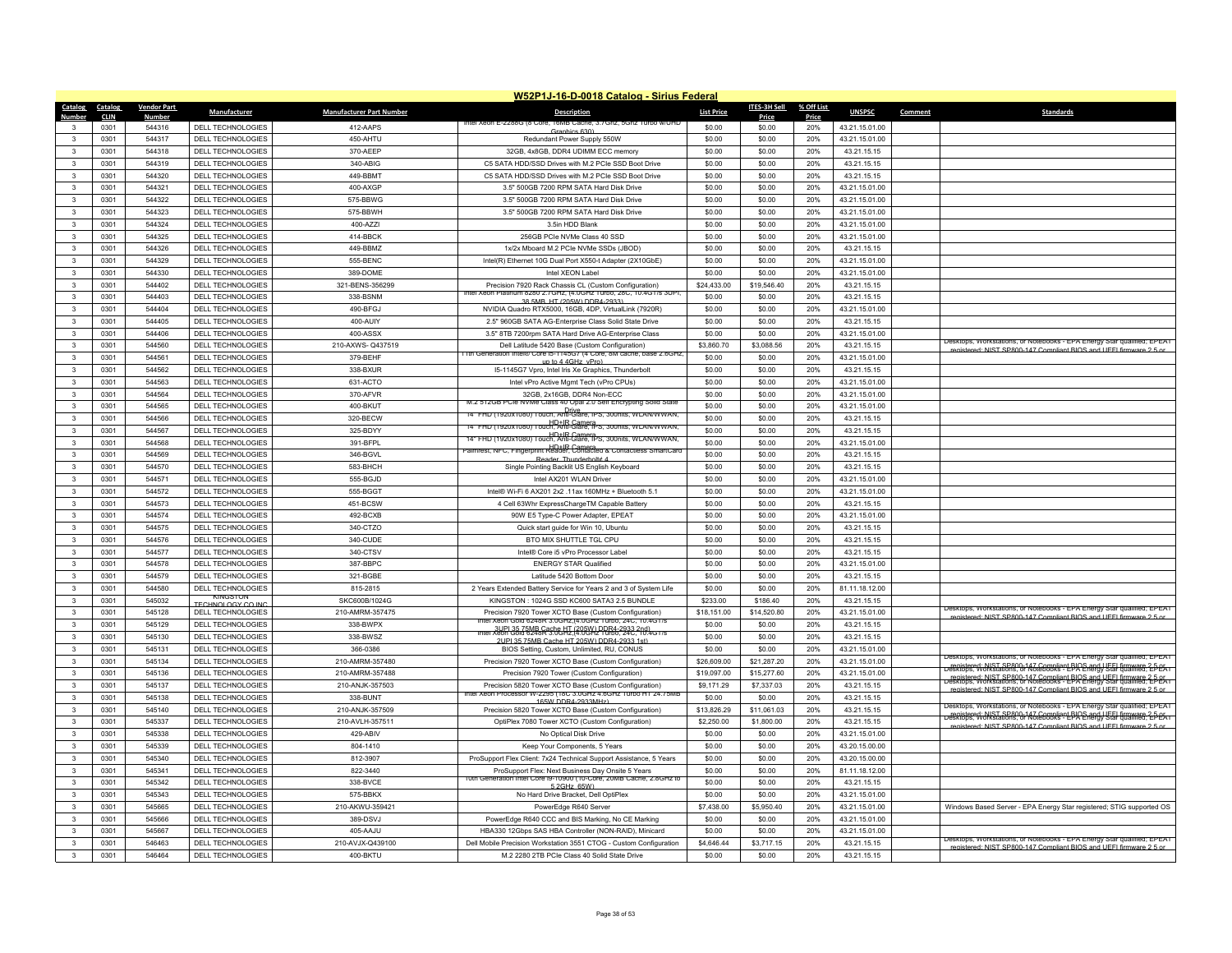|                                   |                    |                                               |                                 | W52P1J-16-D-0018 Catalog - Sirius Federal                                                                                |                   |                  |            |                               |         |                                                                                                                                                |
|-----------------------------------|--------------------|-----------------------------------------------|---------------------------------|--------------------------------------------------------------------------------------------------------------------------|-------------------|------------------|------------|-------------------------------|---------|------------------------------------------------------------------------------------------------------------------------------------------------|
| Catalog<br>Catalog                | <b>Vendor Part</b> | Manufacturer                                  | <b>Manufacturer Part Number</b> | <b>Description</b>                                                                                                       | <b>List Price</b> | ITES-3H Sell     | % Off List | <b>UNSPSC</b>                 | Comment | <b>Standards</b>                                                                                                                               |
| <b>CLIN</b>                       | Numbe              |                                               |                                 | intei ∧eon E-∠∠88G i                                                                                                     |                   | Price            | Price      |                               |         |                                                                                                                                                |
| 0301<br>3<br>0301<br>$\mathbf{R}$ | 544316<br>544317   | DELL TECHNOLOGIES                             | 412-AAPS<br>450-AHTU            | Graphics 630)                                                                                                            | \$0.00            | \$0.00           | 20%        | 43.21.15.01.00                |         |                                                                                                                                                |
|                                   |                    | DELL TECHNOLOGIES                             |                                 | Redundant Power Supply 550W                                                                                              | \$0.00            | \$0.00           | 20%        | 43.21.15.01.00                |         |                                                                                                                                                |
| 0301<br>$\mathbf{3}$              | 544318             | <b>DELL TECHNOLOGIES</b>                      | 370-AEEP                        | 32GB, 4x8GB, DDR4 UDIMM ECC memory                                                                                       | \$0.00            | \$0.00           | 20%        | 43.21.15.15                   |         |                                                                                                                                                |
| $\mathbf{3}$<br>0301              | 544319             | DELL TECHNOLOGIES                             | 340-ABIG                        | C5 SATA HDD/SSD Drives with M.2 PCIe SSD Boot Drive                                                                      | \$0.00            | \$0.00           | 20%        | 43.21.15.15                   |         |                                                                                                                                                |
| 0301<br>$\mathbf{3}$              | 544320             | DELL TECHNOLOGIES                             | 449-BBMT                        | C5 SATA HDD/SSD Drives with M.2 PCIe SSD Boot Drive                                                                      | \$0.00            | \$0.00           | 20%        | 43.21.15.15                   |         |                                                                                                                                                |
| 0301<br>$\mathbf{3}$              | 544321             | DELL TECHNOLOGIES                             | 400-AXGP                        | 3.5" 500GB 7200 RPM SATA Hard Disk Drive                                                                                 | \$0.00            | \$0.00           | 20%        | 43.21.15.01.00                |         |                                                                                                                                                |
| $\mathbf{3}$<br>0301              | 544322             | DELL TECHNOLOGIES                             | 575-BBWG                        | 3.5" 500GB 7200 RPM SATA Hard Disk Drive                                                                                 | \$0.00            | \$0.00           | 20%        | 43.21.15.01.00                |         |                                                                                                                                                |
| $\mathbf{3}$<br>0301              | 544323             | DELL TECHNOLOGIES                             | 575-BBWH                        | 3.5" 500GB 7200 RPM SATA Hard Disk Drive                                                                                 | \$0.00            | \$0.00           | 20%        | 43.21.15.01.00                |         |                                                                                                                                                |
| 0301<br>$\mathbf{3}$              | 544324             | DELL TECHNOLOGIES                             | 400-A77                         | 3.5in HDD Blank                                                                                                          | \$0.00            | \$0.00           | 20%        | 43.21.15.01.00                |         |                                                                                                                                                |
| 0301<br>$\mathbf{3}$              | 544325             | DELL TECHNOLOGIES                             | 414-BBCK                        | 256GB PCIe NVMe Class 40 SSD                                                                                             | \$0.00            | \$0.00           | 20%        | 43.21.15.01.00                |         |                                                                                                                                                |
| $\mathbf{3}$<br>0301              | 544326             | DELL TECHNOLOGIES                             | 449-BBMZ                        | 1x/2x Mboard M.2 PCle NVMe SSDs (JBOD)                                                                                   | \$0.00            | \$0.00           | 20%        | 43.21.15.15                   |         |                                                                                                                                                |
| 0301<br>$\mathbf{3}$              | 544329             | <b>DELL TECHNOLOGIES</b>                      | 555-BENC                        | Intel(R) Ethernet 10G Dual Port X550-t Adapter (2X10GbE)                                                                 | \$0.00            | \$0.00           | 20%        | 43.21.15.01.00                |         |                                                                                                                                                |
| $\mathbf{3}$<br>0301              | 544330             | DELL TECHNOLOGIES                             | 389-DOME                        | Intel XFON Label                                                                                                         | \$0.00            | \$0.00           | 20%        | 43.21.15.01.00                |         |                                                                                                                                                |
| $\mathbf{3}$<br>0301              | 544402             | DELL TECHNOLOGIES                             | 321-BENS-356299                 | Precision 7920 Rack Chassis CL (Custom Configuration)                                                                    | \$24,433.00       | \$19,546.40      | 20%        | 43.21.15.15                   |         |                                                                                                                                                |
| $\mathbf{3}$<br>0301              | 544403             | DELL TECHNOLOGIES                             | 338-BSNM                        | Keon Platinum 8280 2.7GHz (4.0GHz Turbo, 28C, 10.4GT/s 30P)<br>38 5MB HT (205W) DDR4-2933)                               | \$0.00            | \$0.00           | 20%        | 43.21.15.15                   |         |                                                                                                                                                |
| $\overline{\mathbf{3}}$<br>0301   | 544404             | DELL TECHNOLOGIES                             | 490-BFGJ                        | NVIDIA Quadro RTX5000, 16GB, 4DP, VirtualLink (7920R)                                                                    | \$0.00            | \$0.00           | 20%        | 43.21.15.01.00                |         |                                                                                                                                                |
| $\mathbf{3}$<br>0301              | 544405             | <b>DELL TECHNOLOGIES</b>                      | 400-AUIY                        | 2.5" 960GB SATA AG-Enterprise Class Solid State Drive                                                                    | \$0.00            | \$0.00           | 20%        | 43.21.15.15                   |         |                                                                                                                                                |
| 0301<br>$\mathbf{3}$              | 544406             | DELL TECHNOLOGIES                             | 400-ASSX                        | 3.5" 8TB 7200rpm SATA Hard Drive AG-Enterprise Class                                                                     | \$0.00            | \$0.00           | 20%        | 43.21.15.01.00                |         |                                                                                                                                                |
| $\mathbf{3}$<br>0301              | 544560             | DELL TECHNOLOGIES                             | 210-AXWS-Q437519                | Dell Latitude 5420 Base (Custom Configuration)                                                                           | \$3,860.70        | \$3,088.56       | 20%        | 43.21.15.15                   |         | Desktops, Workstations, or Notebooks - EPA Energy Star qualified; EPEAT<br>registered: NIST SP800-147 Compliant BIOS and UFFI firmware 2.5 or  |
| 0301<br>$\mathbf{3}$              | 544561             | DELL TECHNOLOGIES                             | 379-BEHF                        | 1th Generation Intel® Core is-1145G/ (4 Core, 8M cache, base 2.6GH;<br>up to 4 4GHz vPro)                                | \$0.00            | \$0.00           | 20%        | 43.21.15.01.00                |         |                                                                                                                                                |
| $\mathbf{3}$<br>0301              | 544562             | DELL TECHNOLOGIES                             | 338-BXUR                        | 15-1145G7 Vpro, Intel Iris Xe Graphics, Thunderbolt                                                                      | \$0.00            | \$0.00           | 20%        | 43.21.15.15                   |         |                                                                                                                                                |
| $\mathbf{3}$<br>0301              | 544563             | <b>DELL TECHNOLOGIES</b>                      | 631-ACTO                        | Intel vPro Active Mgmt Tech (vPro CPUs)                                                                                  | \$0.00            | \$0.00           | 20%        | 43.21.15.01.00                |         |                                                                                                                                                |
| 0301<br>$\mathbf{3}$              | 544564             | DELL TECHNOLOGIES                             | 370-AFVR                        | 32GB 2x16GB DDR4 Non-ECC                                                                                                 | \$0.00            | \$0.00           | 20%        | 43 21 15 01 00                |         |                                                                                                                                                |
| $\mathbf{3}$<br>0301              | 544565             | DELL TECHNOLOGIES                             | 400-BKUT                        | M.2 512GB PCIe NVMe Class 40 Opal 2.0 Self Encrypting Solid State                                                        | \$0.00            | \$0.00           | 20%        | 43.21.15.01.00                |         |                                                                                                                                                |
| 0301<br>$\mathbf{3}$              | 544566             | DELL TECHNOLOGIES                             | 320-BECW                        | Drive Drive<br>14" FHD (1920x1080) Touch, Anti-Glare, IPS, 300nits, WLAN/WWAN.                                           | \$0.00            | \$0.00           | 20%        | 43.21.15.15                   |         |                                                                                                                                                |
| 0301<br>$\mathbf{3}$              | 544567             | <b>DELL TECHNOLOGIES</b>                      | 325-BDYY                        | 14" FHD (1920x1080) Touch, Anti-Glare, IPS, 300nits, WLAN/WWAN,                                                          | \$0.00            | \$0.00           | 20%        | 43.21.15.15                   |         |                                                                                                                                                |
| $\mathbf{3}$<br>0301              | 544568             | DELL TECHNOLOGIES                             | 391-BFPL                        | 14" FHD (1920x1080) Touch, Anti-Glare, IPS, 300nits, WLAN/WWAN,                                                          | \$0.00            | \$0.00           | 20%        | 43.21.15.01.00                |         |                                                                                                                                                |
| $\mathbf{3}$<br>0301              | 544569             | DELL TECHNOLOGIES                             | 346-BGVL                        | Palmrest. NFC. Fingerprint Reader. Contacted & Contactless SmartCard                                                     | \$0.00            | \$0.00           | 20%        | 43.21.15.15                   |         |                                                                                                                                                |
| 0301<br>$\mathbf{3}$              | 544570             | <b>DELL TECHNOLOGIES</b>                      | 583-BHCH                        | Reader Thunderboltd 4<br>Single Pointing Backlit US English Keyboard                                                     | \$0.00            | \$0.00           | 20%        | 43.21.15.15                   |         |                                                                                                                                                |
| $\mathbf{3}$<br>0301              | 544571             | DELL TECHNOLOGIES                             | 555-BGJD                        | Intel AX201 WLAN Driver                                                                                                  | \$0.00            | \$0.00           | 20%        | 43.21.15.01.00                |         |                                                                                                                                                |
| $\mathbf{3}$<br>0301              | 544572             | <b>DELL TECHNOLOGIES</b>                      | 555-BGGT                        | Intel® Wi-Fi 6 AX201 2x2 .11ax 160MHz + Bluetooth 5.1                                                                    | \$0.00            | \$0.00           | 20%        | 43.21.15.01.00                |         |                                                                                                                                                |
| 0301<br>$\mathbf{3}$              | 544573             | DELL TECHNOLOGIES                             | 451-BCSW                        | 4 Cell 63Whr ExpressChargeTM Capable Battery                                                                             | \$0.00            | \$0.00           | 20%        | 43.21.15.15                   |         |                                                                                                                                                |
| $\mathbf{3}$<br>0301              | 544574             | DELL TECHNOLOGIES                             | 492-BCXB                        | 90W E5 Type-C Power Adapter, EPEAT                                                                                       | \$0.00            | \$0.00           | 20%        | 43.21.15.01.00                |         |                                                                                                                                                |
| $\mathbf{3}$<br>0301              | 544575             | DELL TECHNOLOGIES                             | 340-CTZO                        | Quick start guide for Win 10, Ubuntu                                                                                     | \$0.00            | \$0.00           | 20%        | 43.21.15.15                   |         |                                                                                                                                                |
| 0301<br>$\mathbf{3}$              | 544576             | DELL TECHNOLOGIES                             | 340-CUDE                        | BTO MIX SHUTTLE TGL CPU                                                                                                  | \$0.00            | \$0.00           | 20%        | 43.21.15.15                   |         |                                                                                                                                                |
| $\mathbf{3}$                      | 544577             |                                               |                                 |                                                                                                                          |                   |                  |            |                               |         |                                                                                                                                                |
| 0301<br>3<br>0301                 | 544578             | DELL TECHNOLOGIES<br><b>DELL TECHNOLOGIES</b> | 340-CTSV<br>387-BBPC            | Intel® Core i5 vPro Processor Label<br><b>ENERGY STAR Qualified</b>                                                      | \$0.00<br>\$0.00  | \$0.00<br>\$0.00 | 20%<br>20% | 43.21.15.15<br>43.21.15.01.00 |         |                                                                                                                                                |
|                                   |                    |                                               |                                 |                                                                                                                          |                   |                  |            |                               |         |                                                                                                                                                |
| $\mathbf{3}$<br>0301              | 544579             | DELL TECHNOLOGIES                             | 321-BGBE                        | Latitude 5420 Bottom Door                                                                                                | \$0.00            | \$0.00           | 20%        | 43.21.15.15                   |         |                                                                                                                                                |
| $\overline{3}$<br>0301            | 544580             | DELL TECHNOLOGIES                             | 815-2815                        | 2 Years Extended Battery Service for Years 2 and 3 of System Life                                                        | \$0.00            | \$0.00           | 20%        | 81.11.18.12.00                |         |                                                                                                                                                |
| 0301<br>3                         | 545032             | TECHNOLOGY CO INC                             | SKC600B/1024G                   | KINGSTON: 1024G SSD KC600 SATA3 2.5 BUNDLE                                                                               | \$233.00          | \$186.40         | 20%        | 43.21.15.15                   |         | Desktops, Workstations, or Notebooks - EPA Energy Star qualified; EPEAT                                                                        |
| $\mathbf{3}$<br>0301              | 545128             | DELL TECHNOLOGIES                             | 210-AMRM-357475                 | Precision 7920 Tower XCTO Base (Custom Configuration)<br>ntel Xeon Gold 6248R 3.0GHz,(4.0GHz Turbo, 24C, 10.4GT/s        | \$18,151.00       | \$14,520.80      | 20%        | 43.21.15.01.00                |         | registered: NIST SP800-147 Compliant RIOS and LIFFI firmware 2.5 of                                                                            |
| 0301<br>$\mathbf{3}$              | 545129             | DELL TECHNOLOGIES                             | 338-BWPX                        | ntel Xeon 35.75MB Cashc HT (205W) DDB4-2933 2nd)<br>http://www.cashchubban.com/240.710.4GT/s                             | \$0.00            | \$0.00           | 20%        | 43.21.15.15                   |         |                                                                                                                                                |
| 0301<br>$\mathbf{3}$              | 545130             | DELL TECHNOLOGIES                             | 338-BWSZ                        | 2UPL35 75MB Cache HT 205W) DDR4-2933 1st)                                                                                | \$0.00            | \$0.00           | 20%        | 43.21.15.15                   |         |                                                                                                                                                |
| $\mathbf{3}$<br>0301              | 545131             | DELL TECHNOLOGIES                             | 366-0386                        | BIOS Setting, Custom, Unlimited, RU, CONUS                                                                               | \$0.00            | \$0.00           | 20%        | 43.21.15.01.00                |         | Desktops, Workstations, or Notebooks - FPA Energy Star qualified: FPEAT                                                                        |
| $\mathbf{3}$<br>0301              | 545134             | <b>DELL TECHNOLOGIES</b>                      | 210-AMRM-357480                 | Precision 7920 Tower XCTO Base (Custom Configuration)                                                                    | \$26,609.00       | \$21,287.20      | 20%        | 43.21.15.01.00                |         | registered: NIST SP800-147 Compliant BIOS and UFEL firmware 2-DeSktops, Workstations, or Notebooks - LPA Energy Star qualified; EDEAT          |
| 0301<br>3                         | 545136             | <b>DELL TECHNOLOGIES</b>                      | 210-AMRM-357488                 | Precision 7920 Tower (Custom Configuration)                                                                              | \$19,097.00       | \$15,277.60      | 20%        | 43.21.15.01.00                |         | registered: NIST SP800-147 Compliant BIOS and UEEL firmware 2.5-EAT                                                                            |
| $\mathbf{3}$<br>0301              | 545137             | DELL TECHNOLOGIES                             | 210-ANJK-357503                 | Precision 5820 Tower XCTO Base (Custom Configuration)<br>Intel Xeon Processor W-2295 (18C 3.0GHz 4.6GHz 1urbo H1 24.75MB | \$9,171.29        | \$7,337.03       | 20%        | 43.21.15.15                   |         | egistered: NIST SP800-147 Compliant BIOS and LIFFI firm                                                                                        |
| 0301<br>$\mathbf{3}$              | 545138             | DELL TECHNOLOGIES                             | 338-BUNT                        | 165W DDR4-2933MHz)                                                                                                       | \$0.00            | \$0.00           | 20%        | 43.21.15.15                   |         | Desktops, Workstations, or Notebooks - EPA Energy Star qualified; EPEAT                                                                        |
| $\mathbf{3}$<br>0301              | 545140             | DELL TECHNOLOGIES                             | 210-ANJK-357509                 | Precision 5820 Tower XCTO Base (Custom Configuration)                                                                    | \$13,826.29       | \$11,061.03      | 20%        | 43.21.15.15                   |         | registered: NIST SP800-147 Compliant BIOS and UEEL firmware 2-5-05.<br>Desktops, Workstations, or Notebooks - EPA Energy Star qualified; EPEAT |
| $\mathbf{3}$<br>0301              | 545337             | DELL TECHNOLOGIES                             | 210-AVLH-357511                 | OptiPlex 7080 Tower XCTO (Custom Configuration)                                                                          | \$2,250.00        | \$1,800.00       | 20%        | 43.21.15.15                   |         | ed: NIST SP800-147 Compliant BIOS and LIFFL fir                                                                                                |
| 0301<br>$\mathbf{3}$              | 545338             | DELL TECHNOLOGIES                             | 429-ABIV                        | No Optical Disk Drive                                                                                                    | \$0.00            | \$0.00           | 20%        | 43.21.15.01.00                |         |                                                                                                                                                |
| $\mathbf{3}$<br>0301              | 545339             | <b>DELL TECHNOLOGIES</b>                      | 804-1410                        | Keep Your Components, 5 Years                                                                                            | \$0.00            | \$0.00           | 20%        | 43.20.15.00.00                |         |                                                                                                                                                |
| 0301<br>$\mathbf{3}$              | 545340             | DELL TECHNOLOGIES                             | 812-3907                        | ProSupport Flex Client: 7x24 Technical Support Assistance, 5 Years                                                       | \$0.00            | \$0.00           | 20%        | 43.20.15.00.00                |         |                                                                                                                                                |
| 0301<br>$\mathbf{3}$              | 545341             | DELL TECHNOLOGIES                             | 822-3440                        | ProSupport Flex: Next Business Day Onsite 5 Years                                                                        | \$0.00            | \$0.00           | 20%        | 81.11.18.12.00                |         |                                                                                                                                                |
| 0301<br>$\mathbf{3}$              | 545342             | DELL TECHNOLOGIES                             | 338-BVCE                        | Tuth Generation Intel Core I9-10900 (10-Core, 20MB Cache, 2.8GHz to<br>52GHz 65W)                                        | \$0.00            | \$0.00           | 20%        | 43.21.15.15                   |         |                                                                                                                                                |
| $\overline{\mathbf{3}}$<br>0301   | 545343             | <b>DELL TECHNOLOGIES</b>                      | 575-BBKX                        | No Hard Drive Bracket, Dell OptiPlex                                                                                     | \$0.00            | \$0.00           | 20%        | 43.21.15.01.00                |         |                                                                                                                                                |
| 0301<br>3                         | 545665             | <b>DELL TECHNOLOGIES</b>                      | 210-AKWU-359421                 | PowerEdge R640 Server                                                                                                    | \$7,438.00        | \$5,950.40       | 20%        | 43.21.15.01.00                |         | Windows Based Server - EPA Energy Star registered; STIG supported OS                                                                           |
| 0301<br>$\mathbf{3}$              | 545666             | DELL TECHNOLOGIES                             | 389-DSVJ                        | PowerEdge R640 CCC and BIS Marking, No CE Marking                                                                        | \$0.00            | \$0.00           | 20%        | 43.21.15.01.00                |         |                                                                                                                                                |
| $\overline{\mathbf{3}}$<br>0301   | 545667             | <b>DELL TECHNOLOGIES</b>                      | 405-AAJU                        | HBA330 12Gbps SAS HBA Controller (NON-RAID), Minicard                                                                    | \$0.00            | \$0.00           | 20%        | 43.21.15.01.00                |         |                                                                                                                                                |
| 0301<br>3                         | 546463             | DELL TECHNOLOGIES                             | 210-AVJX-Q439100                | Dell Mobile Precision Workstation 3551 CTOG - Custom Configuration                                                       | \$4,646.44        | \$3,717.15       | 20%        | 43.21.15.15                   |         | Desktops, Workstations, or Notebooks - EPA Energy Star qualified; EPEAT<br>registered: NIST SP800-147 Compliant BIOS and LIFFI firmware 2.5 or |
| $\mathbf{3}$<br>0301              | 546464             | DELL TECHNOLOGIES                             | 400-BKTU                        | M.2 2280 2TB PCIe Class 40 Solid State Drive                                                                             | \$0.00            | \$0.00           | 20%        | 43.21.15.15                   |         |                                                                                                                                                |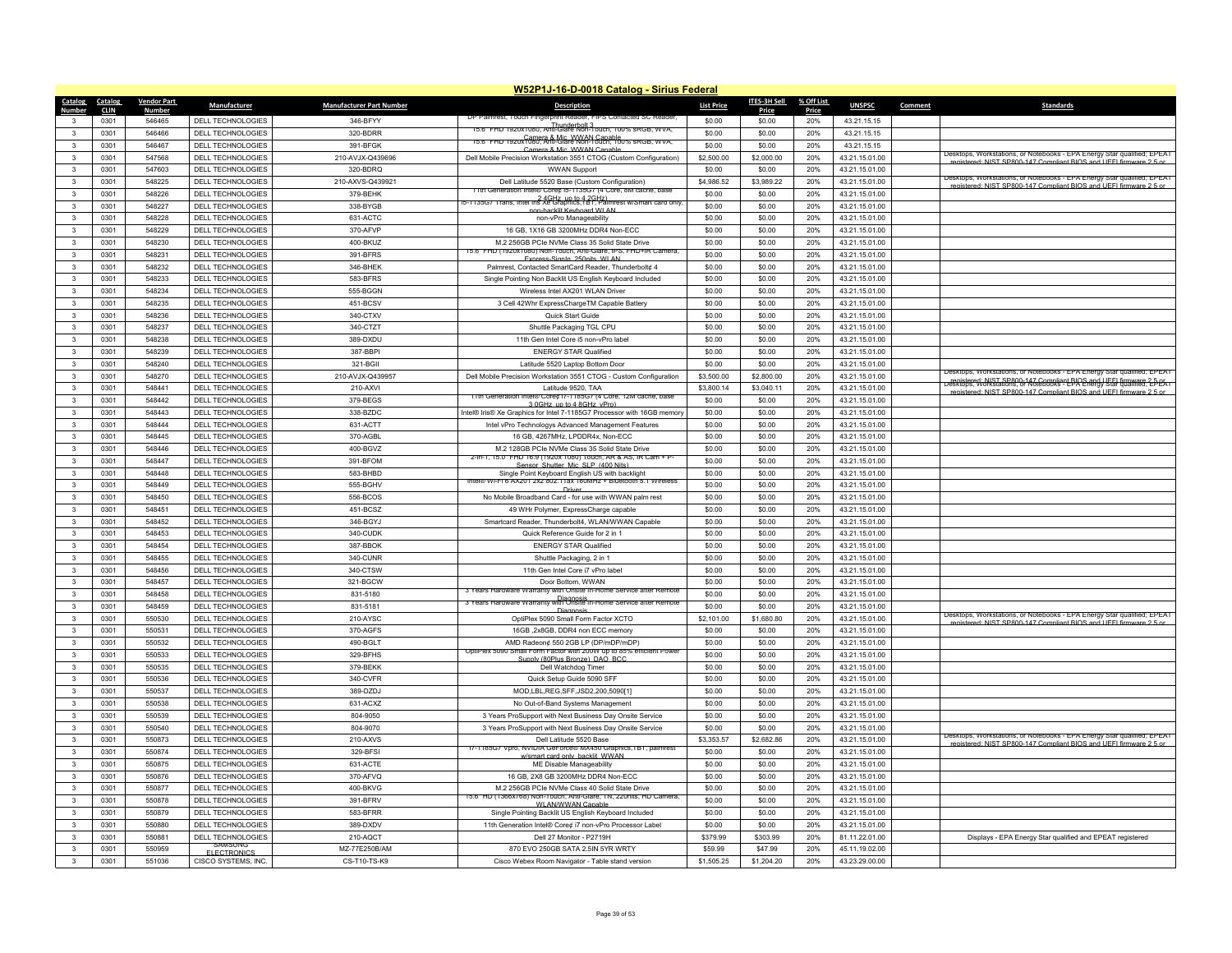|                         |             |                         |                          |                                 | W52P1J-16-D-0018 Catalog - Sirius Federal                                                                        |                   |                     |            |                |         |                                                                                                                                                 |
|-------------------------|-------------|-------------------------|--------------------------|---------------------------------|------------------------------------------------------------------------------------------------------------------|-------------------|---------------------|------------|----------------|---------|-------------------------------------------------------------------------------------------------------------------------------------------------|
| <b>Catalog</b>          | Catalog     | <b>Vendor Part</b>      | Manufacturer             | <b>Manufacturer Part Number</b> | <b>Description</b>                                                                                               | <b>List Price</b> | <b>ITES-3H Sell</b> | % Off List | <b>UNSPSC</b>  | Comment | Standards                                                                                                                                       |
| Number                  | <b>CLIN</b> | <b>Number</b><br>546465 |                          |                                 | DP Palmrest, Touch Fing<br>print Reader, FIPS Contacted SC Rea                                                   |                   | Price               | Price      |                |         |                                                                                                                                                 |
| 3                       | 0301        |                         | DELL TECHNOLOGIES        | 346-BFYY                        | 15.6" FRD 1920x1080, Anti-Glare Non-Touch, 100% sRGB, WVA,                                                       | \$0.00            | \$0.00              | 20%        | 43.21.15.15    |         |                                                                                                                                                 |
| 3                       | 0301        | 546466                  | DELL TECHNOLOGIES        | 320-BDRR                        | 15.6" FHD 1920x1080, Anti-Glare Non-Louch, 100% sRGB, WVA,                                                       | \$0.00            | \$0.00              | 20%        | 43.21.15.15    |         |                                                                                                                                                 |
| 3                       | 0301        | 546467                  | DELL TECHNOLOGIES        | 391-BFGK                        | Camera & Mic WWAN Capable                                                                                        | \$0.00            | \$0.00              | 20%        | 43.21.15.15    |         | Desktops, Workstations, or Notebooks - EPA Energy Star qualified; EPEAT                                                                         |
| 3                       | 0301        | 547568                  | DELL TECHNOLOGIES        | 210-AVJX-Q439696                | Dell Mobile Precision Workstation 3551 CTOG (Custom Configuration)                                               | \$2,500.00        | \$2,000.00          | 20%        | 43.21.15.01.00 |         | registered: NIST SP800-147 Compliant BIOS and UEEL firmware 2.5 or                                                                              |
| 3                       | 0301        | 547603                  | DELL TECHNOLOGIES        | 320-BDRQ                        | <b>WWAN Support</b>                                                                                              | \$0.00            | \$0.00              | 20%        | 43.21.15.01.00 |         | Desktops, Workstations, or Notebooks - EPA Energy Star qualified; EPEAT                                                                         |
| $\mathbf{3}$            | 0301        | 548225                  | DELL TECHNOLOGIES        | 210-AXVS-Q439921                | Dell Latitude 5520 Base (Custom Configuration)<br>11th Generation Intel® Core¢ ib-1135G/ (4 Core, 8M cache, base | \$4,986.52        | \$3,989.22          | 20%        | 43.21.15.01.00 |         | enistered: NIST SP800-147 Compliant RIOS and LIFEL firmware 2.5 or                                                                              |
| 3                       | 0301        | 548226                  | DELL TECHNOLOGIES        | 379-BEHK                        | anto 4 2 GHz up to 4 2 GHz)<br>15-1135G7 Trans, Intel Iris Xe Graphics, IBT, Palmrest w/Smart card only,         | \$0.00            | \$0.00              | 20%        | 43.21.15.01.00 |         |                                                                                                                                                 |
| 3                       | 0301        | 548227                  | <b>DELL TECHNOLOGIES</b> | 338-BYGB                        | non-backlit Keyboard WI AN                                                                                       | \$0.00            | \$0.00              | 20%        | 43.21.15.01.00 |         |                                                                                                                                                 |
| $\mathbf{R}$            | 0301        | 548228                  | DELL TECHNOLOGIES        | 631-ACTC                        | non-vPro Manageability                                                                                           | \$0.00            | \$0.00              | 20%        | 43.21.15.01.00 |         |                                                                                                                                                 |
| 3                       | 0301        | 548229                  | DELL TECHNOLOGIES        | 370-AFVP                        | 16 GB, 1X16 GB 3200MHz DDR4 Non-ECC                                                                              | \$0.00            | \$0.00              | 20%        | 43.21.15.01.00 |         |                                                                                                                                                 |
| 3                       | 0301        | 548230                  | DELL TECHNOLOGIES        | 400-BKUZ                        | M.2 256GB PCle NVMe Class 35 Solid State Drive                                                                   | \$0.00            | \$0.00              | 20%        | 43.21.15.01.00 |         |                                                                                                                                                 |
| $\mathbf{3}$            | 0301        | 548231                  | DELL TECHNOLOGIES        | 391-BFRS                        | 15.6" FHD (1920x1080) Non-Touch, Anti-Glare, IPS, FHD+IR Camera<br>Express-SignIn 250nits WI AN                  | \$0.00            | \$0.00              | 20%        | 43.21.15.01.00 |         |                                                                                                                                                 |
| 3                       | 0301        | 548232                  | DELL TECHNOLOGIES        | 346-BHEK                        | Palmrest, Contacted SmartCard Reader, Thunderbolt¢ 4                                                             | \$0.00            | \$0.00              | 20%        | 43.21.15.01.00 |         |                                                                                                                                                 |
| 3                       | 0301        | 548233                  | DELL TECHNOLOGIES        | 583-BFRS                        | Single Pointing Non Backlit US English Keyboard Included                                                         | \$0.00            | \$0.00              | 20%        | 43.21.15.01.00 |         |                                                                                                                                                 |
| $\mathbf{3}$            | 0301        | 548234                  | DELL TECHNOLOGIES        | 555-BGGN                        | Wireless Intel AX201 WLAN Driver                                                                                 | \$0.00            | \$0.00              | 20%        | 43.21.15.01.00 |         |                                                                                                                                                 |
| $\mathbf{R}$            | 0301        | 548235                  | DELL TECHNOLOGIES        | 451-BCSV                        | 3 Cell 42Whr ExpressChargeTM Capable Battery                                                                     | \$0.00            | \$0.00              | 20%        | 43.21.15.01.00 |         |                                                                                                                                                 |
| 3                       | 0301        | 548236                  | DELL TECHNOLOGIES        | 340-CTXV                        | Quick Start Guide                                                                                                | \$0.00            | \$0.00              | 20%        | 43.21.15.01.00 |         |                                                                                                                                                 |
| $\mathbf{3}$            | 0301        | 548237                  | DELL TECHNOLOGIES        | 340-CTZT                        | Shuttle Packaging TGL CPU                                                                                        | \$0.00            | \$0.00              | 20%        | 43.21.15.01.00 |         |                                                                                                                                                 |
| $\mathbf{R}$            | 0301        | 548238                  | DELL TECHNOLOGIES        | 389-DXDU                        | 11th Gen Intel Core i5 non-vPro label                                                                            | \$0.00            | \$0.00              | 20%        | 43.21.15.01.00 |         |                                                                                                                                                 |
| 3                       | 0301        | 548239                  | DELL TECHNOLOGIES        | 387-BBPI                        | <b>ENERGY STAR Qualified</b>                                                                                     | \$0.00            | \$0.00              | 20%        | 43.21.15.01.00 |         |                                                                                                                                                 |
| 3                       | 0301        | 548240                  | DELL TECHNOLOGIES        | 321-BGI                         | Latitude 5520 Laptop Bottom Door                                                                                 | \$0.00            | \$0.00              | 20%        | 43.21.15.01.00 |         |                                                                                                                                                 |
| 3                       | 0301        | 548270                  | DELL TECHNOLOGIES        | 210-AVJX-Q439957                | Dell Mobile Precision Workstation 3551 CTOG - Custom Configuration                                               | \$3,500.00        | \$2,800.00          | 20%        | 43.21.15.01.00 |         | Jesktops, Workstations, or Notebooks - EPA Energy Star qualified; EPEA1                                                                         |
| $\overline{\mathbf{3}}$ |             | 548441                  |                          |                                 | Latitude 9520, TAA                                                                                               | \$3,800.14        |                     | 20%        |                |         | registered: NIST SP800-147 Compliant BIOS and UFFL firmware 2-5-05.<br>Desktops, Workstations, or Notebooks - EPA Energy Star qualified: EPEA I |
|                         | 0301        |                         | DELL TECHNOLOGIES        | 210-AXVI                        | 11th Generation Intel® Core¢ i/-1185G/ (4 Core, 12M cache, base                                                  |                   | \$3,040.11          |            | 43.21.15.01.00 |         | registered: NIST SP800-147 Compliant BIOS and UEEI firmware 2.5 o                                                                               |
| 3                       | 0301        | 548442                  | DELL TECHNOLOGIES        | 379-BEGS                        | 3.0GHz up to 4.8GHz vPro                                                                                         | \$0.00            | \$0.00              | 20%        | 43.21.15.01.00 |         |                                                                                                                                                 |
| $\overline{\mathbf{3}}$ | 0301        | 548443                  | DELL TECHNOLOGIES        | 338-BZDC                        | Intel® Iris® Xe Graphics for Intel 7-1185G7 Processor with 16GB memory                                           | \$0.00            | \$0.00              | 20%        | 43.21.15.01.00 |         |                                                                                                                                                 |
| $\mathbf{3}$            | 0301        | 548444                  | DELL TECHNOLOGIES        | 631-ACTT                        | Intel vPro Technologys Advanced Management Features                                                              | \$0.00            | \$0.00              | 20%        | 43.21.15.01.00 |         |                                                                                                                                                 |
| 3                       | 0301        | 548445                  | DELL TECHNOLOGIES        | 370-AGBL                        | 16 GB. 4267MHz. LPDDR4x. Non-ECC                                                                                 | \$0.00            | \$0.00              | 20%        | 43.21.15.01.00 |         |                                                                                                                                                 |
| $\mathbf{3}$            | 0301        | 548446                  | DELL TECHNOLOGIES        | 400-BGVZ                        | M.2 128GB PCIe NVMe Class 35 Solid State Drive<br>2-in-1, 15.0" FHD 16:9 (1920x 1080) Touch, AR & AS, IR Cam + F | \$0.00            | \$0.00              | 20%        | 43.21.15.01.00 |         |                                                                                                                                                 |
| 3                       | 0301        | 548447                  | DELL TECHNOLOGIES        | 391-BFOM                        | Sensor Shutter Mic SLP (400 Nits)                                                                                | \$0.00            | \$0.00              | 20%        | 43.21.15.01.00 |         |                                                                                                                                                 |
| 3                       | 0301        | 548448                  | <b>DELL TECHNOLOGIES</b> | 583-BHBD                        | Single Point Keyboard English US with backlight                                                                  | \$0.00            | \$0.00              | 20%        | 43.21.15.01.00 |         |                                                                                                                                                 |
| $\mathbf{3}$            | 0301        | 548449                  | DELL TECHNOLOGIES        | 555-BGHV                        | ntel® Wi-Fi 6 AX201 2x2 802.11ax 160MHz + Bluetooth 5.1 Wireless<br>Driver                                       | \$0.00            | \$0.00              | 20%        | 43.21.15.01.00 |         |                                                                                                                                                 |
| $\mathbf{3}$            | 0301        | 548450                  | DELL TECHNOLOGIES        | 556-BCOS                        | No Mobile Broadband Card - for use with WWAN palm rest                                                           | \$0.00            | \$0.00              | 20%        | 43.21.15.01.00 |         |                                                                                                                                                 |
| $\mathbf{R}$            | 0301        | 548451                  | <b>DELL TECHNOLOGIES</b> | 451-BCSZ                        | 49 WHr Polymer, ExpressCharge capable                                                                            | \$0.00            | \$0.00              | 20%        | 43.21.15.01.00 |         |                                                                                                                                                 |
| 3                       | 0301        | 548452                  | DELL TECHNOLOGIES        | 346-BGYJ                        | Smartcard Reader, Thunderbolt4, WLAN/WWAN Capable                                                                | \$0.00            | \$0.00              | 20%        | 43.21.15.01.00 |         |                                                                                                                                                 |
| 3                       | 0301        | 548453                  | DELL TECHNOLOGIES        | 340-CUDK                        | Quick Reference Guide for 2 in 1                                                                                 | \$0.00            | \$0.00              | 20%        | 43.21.15.01.00 |         |                                                                                                                                                 |
| $\mathbf{3}$            | 0301        | 548454                  | DELL TECHNOLOGIES        | 387-BBOK                        | <b>ENERGY STAR Qualified</b>                                                                                     | \$0.00            | \$0.00              | 20%        | 43.21.15.01.00 |         |                                                                                                                                                 |
| 3                       | 0301        | 548455                  | DELL TECHNOLOGIES        | 340-CUNR                        | Shuttle Packaging, 2 in 1                                                                                        | \$0.00            | \$0.00              | 20%        | 43.21.15.01.00 |         |                                                                                                                                                 |
| $\overline{\mathbf{3}}$ | 0301        | 548456                  | DELL TECHNOLOGIES        | 340-CTSW                        | 11th Gen Intel Core i7 vPro label                                                                                | \$0.00            | \$0.00              | 20%        | 43.21.15.01.00 |         |                                                                                                                                                 |
| $\mathbf{3}$            | 0301        | 548457                  | DELL TECHNOLOGIES        | 321-BGCW                        | Door Bottom, WWAN                                                                                                | \$0.00            | \$0.00              | 20%        | 43.21.15.01.00 |         |                                                                                                                                                 |
| 3                       | 0301        | 548458                  | DELL TECHNOLOGIES        | 831-5180                        | 3 Years Hardware Warranty with Onsite In-Home Service after Remote                                               | \$0.00            | \$0.00              | 20%        | 43.21.15.01.00 |         |                                                                                                                                                 |
| $\mathbf{3}$            | 0301        | 548459                  | DELL TECHNOLOGIES        | 831-5181                        | Diagnosis<br>3 Years Hardware Warranty with Onsite In-Home Service after Remote                                  | \$0.00            | \$0.00              | 20%        | 43.21.15.01.00 |         |                                                                                                                                                 |
| 3                       | 0301        | 550530                  | DELL TECHNOLOGIES        | 210-AYSC                        | Diagnosis<br>OptiPlex 5090 Small Form Factor XCTO                                                                | \$2,101.00        | \$1,680.80          | 20%        | 43.21.15.01.00 |         | Desktops, vvorkstations, or ivotepooks - EPA Energy Star qualified; EPEA                                                                        |
| $\mathbf{3}$            | 0301        | 550531                  | DELL TECHNOLOGIES        | 370-AGFS                        | 16GB, 2x8GB, DDR4 non ECC memory                                                                                 | \$0.00            | \$0.00              | 20%        | 43.21.15.01.00 |         | registered: NIST SP800-147 Compliant BIOS and LIFEL firmware 2.5 or                                                                             |
|                         |             |                         |                          |                                 |                                                                                                                  |                   |                     |            |                |         |                                                                                                                                                 |
| $\mathbf{3}$            | 0301        | 550532                  | DELL TECHNOLOGIES        | 490-BGLT                        | AMD Radeon¢ 550 2GB LP (DP/mDP/mDP)<br>OptiPlex 5090 Small Form Factor with 200W up to 85% efficient Power       | \$0.00            | \$0.00              | 20%        | 43.21.15.01.00 |         |                                                                                                                                                 |
| 3                       | 0301        | 550533                  | DELL TECHNOLOGIES        | 329-BFHS                        | Supply (80Plus Bronze) DAO BCC                                                                                   | \$0.00            | \$0.00              | 20%        | 43.21.15.01.00 |         |                                                                                                                                                 |
| $\mathbf{3}$            | 0301        | 550535                  | DELL TECHNOLOGIES        | 379-BFKK                        | Dell Watchdog Timer                                                                                              | \$0.00            | \$0.00              | 20%        | 43.21.15.01.00 |         |                                                                                                                                                 |
| 3                       | 0301        | 550536                  | DELL TECHNOLOGIES        | 340-CVFR                        | Quick Setup Guide 5090 SFF                                                                                       | \$0.00            | \$0.00              | 20%        | 43.21.15.01.00 |         |                                                                                                                                                 |
| 3                       | 0301        | 550537                  | DELL TECHNOLOGIES        | 389-DZDJ                        | MOD,LBL,REG,SFF,JSD2,200,5090[1]                                                                                 | \$0.00            | \$0.00              | 20%        | 43.21.15.01.00 |         |                                                                                                                                                 |
| $\mathbf{3}$            | 0301        | 550538                  | DELL TECHNOLOGIES        | 631-ACXZ                        | No Out-of-Band Systems Management                                                                                | \$0.00            | \$0.00              | 20%        | 43.21.15.01.00 |         |                                                                                                                                                 |
| $\mathbf{3}$            | 0301        | 550539                  | DELL TECHNOLOGIES        | 804-9050                        | 3 Years ProSupport with Next Business Day Onsite Service                                                         | \$0.00            | \$0.00              | 20%        | 43.21.15.01.00 |         |                                                                                                                                                 |
| $\mathbf{3}$            | 0301        | 550540                  | DELL TECHNOLOGIES        | 804-9070                        | 3 Years ProSupport with Next Business Day Onsite Service                                                         | \$0.00            | \$0.00              | 20%        | 43.21.15.01.00 |         |                                                                                                                                                 |
|                         | 0301        | 550873                  | DELL TECHNOLOGIES        | 210-AXVS                        | Dell Latitude 5520 Base                                                                                          | \$3,353.57        | \$2,682.86          | 20%        | 43.21.15.01.00 |         | Desktops, Workstations, or Notepooks - EPA Energy Star qualified; EPEAT<br>registered: NIST SP800-147 Compliant BIOS and LIFEL firmware 2.5 or  |
| 3                       | 0301        | 550874                  | DELL TECHNOLOGIES        | 329-BESI                        | 17-1185G/ Vpro, NVIDIA GeForce® MX450 Graphics, IBT, palmrest<br>ard only hacklit WWAN                           | \$0.00            | \$0.00              | 20%        | 43.21.15.01.00 |         |                                                                                                                                                 |
| $\mathbf{3}$            | 0301        | 550875                  | DELL TECHNOLOGIES        | 631-ACTE                        | <b>ME Disable Manageability</b>                                                                                  | \$0.00            | \$0.00              | 20%        | 43.21.15.01.00 |         |                                                                                                                                                 |
| 3                       | 0301        | 550876                  | DELL TECHNOLOGIES        | 370-AFVQ                        | 16 GB, 2X8 GB 3200MHz DDR4 Non-ECC                                                                               | \$0.00            | \$0.00              | 20%        | 43.21.15.01.00 |         |                                                                                                                                                 |
| 3                       | 0301        | 550877                  | DELL TECHNOLOGIES        | 400-BKVG                        | M.2 256GB PCle NVMe Class 40 Solid State Drive                                                                   | \$0.00            | \$0.00              | 20%        | 43.21.15.01.00 |         |                                                                                                                                                 |
| $\overline{\mathbf{3}}$ | 0301        | 550878                  | <b>DELL TECHNOLOGIES</b> | 391-BFRV                        | 15.6" HD (1366X/68) Non-Touch, Anti-Glare, TN, ZZUNIts, HD Camera                                                | \$0.00            | \$0.00              | 20%        | 43.21.15.01.00 |         |                                                                                                                                                 |
| 3                       | 0301        | 550879                  | DELL TECHNOLOGIES        | 583-BFRR                        | WI ANAWWAN Canable<br>Single Pointing Backlit US English Keyboard Included                                       | \$0.00            | \$0.00              | 20%        | 43.21.15.01.00 |         |                                                                                                                                                 |
| 3                       | 0301        | 550880                  | DELL TECHNOLOGIES        | 389-DXDV                        | 11th Generation Intel® Core¢ i7 non-vPro Processor Label                                                         | \$0.00            | \$0.00              | 20%        | 43.21.15.01.00 |         |                                                                                                                                                 |
| $\overline{\mathbf{3}}$ | 0301        | 550881                  | DELL TECHNOLOGIES        | 210-AQCT                        | Dell 27 Monitor - P2719H                                                                                         | \$379.99          | \$303.99            | 20%        | 81.11.22.01.00 |         | Displays - EPA Energy Star qualified and EPEAT registered                                                                                       |
| 3                       | 0301        | 550959                  | <b>SAMSUNG</b>           | MZ-77E250B/AM                   | 870 EVO 250GB SATA 2.5IN 5YR WRTY                                                                                | \$59.99           | \$47.99             | 20%        | 45.11.19.02.00 |         |                                                                                                                                                 |
|                         |             |                         | <b>FLECTRONICS</b>       |                                 |                                                                                                                  |                   |                     |            |                |         |                                                                                                                                                 |
| 3                       | 0301        | 551036                  | CISCO SYSTEMS, INC.      | CS-T10-TS-K9                    | Cisco Webex Room Navigator - Table stand version                                                                 | \$1,505.25        | \$1,204.20          | 20%        | 43.23.29.00.00 |         |                                                                                                                                                 |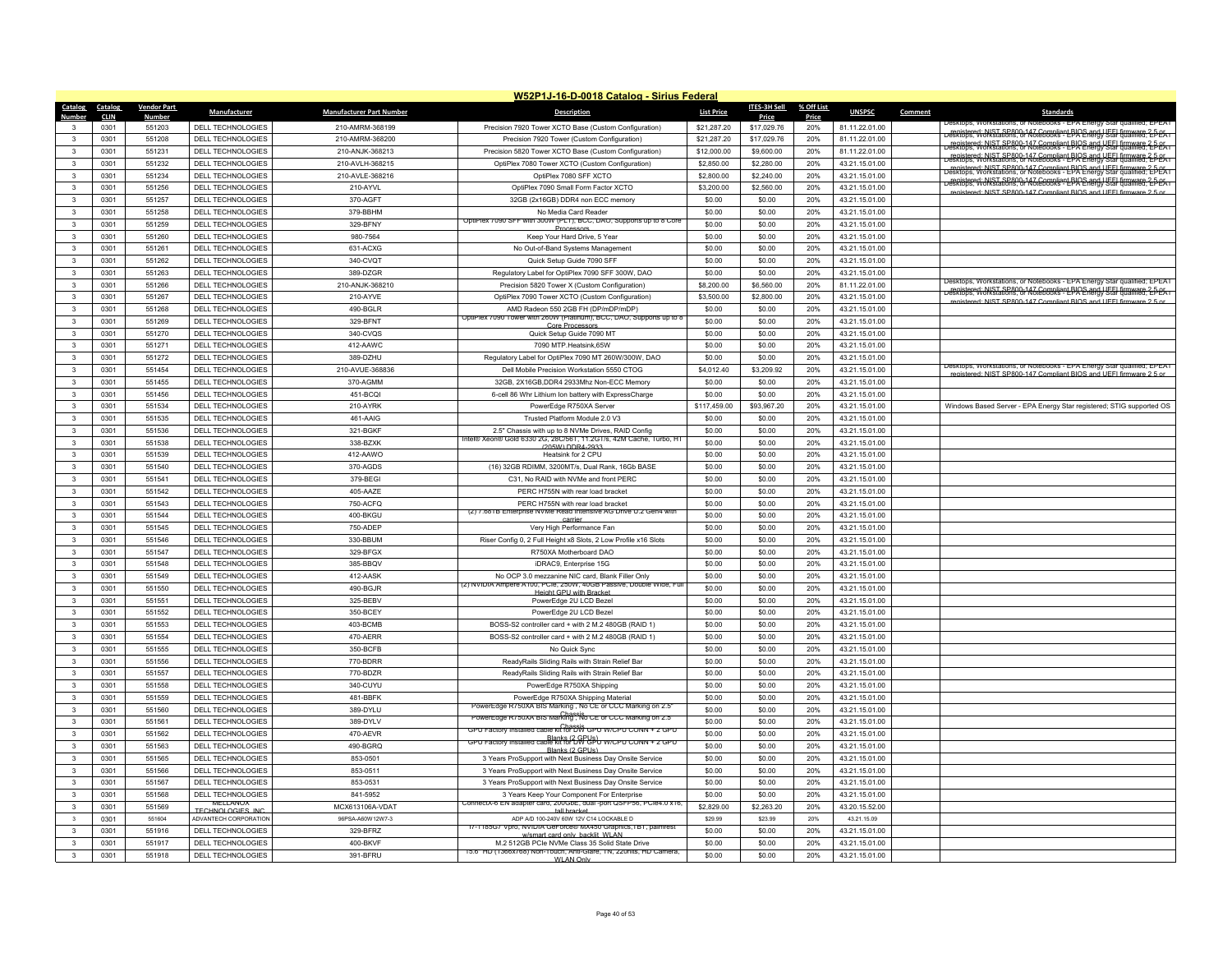|                                 |                    |                             |                                 | W52P1J-16-D-0018 Catalog - Sirius Federal                                                                  |                   |                     |            |                |         |                                                                                                                                                  |
|---------------------------------|--------------------|-----------------------------|---------------------------------|------------------------------------------------------------------------------------------------------------|-------------------|---------------------|------------|----------------|---------|--------------------------------------------------------------------------------------------------------------------------------------------------|
| Catalog<br>Catalog              | <b>Vendor Part</b> | <b>Manufacturer</b>         | <b>Manufacturer Part Number</b> | <b>Description</b>                                                                                         | <b>List Price</b> | <b>ITES-3H Sell</b> | % Off List | <b>UNSPSC</b>  | Comment | Standards                                                                                                                                        |
| <b>Number</b><br><b>CLIN</b>    | <b>Number</b>      |                             |                                 |                                                                                                            |                   | Price               | Price      |                |         | Jesktops vvorkstations or                                                                                                                        |
| 0301<br>3                       | 551203             | DELL TECHNOLOGIES           | 210-AMRM-368199                 | Precision 7920 Tower XCTO Base (Custom Configuration)                                                      | \$21,287.20       | \$17,029.76         | 20%        | 81.11.22.01.00 |         | Fenistered: NIST SP800-147 Compliant BIOS and UFEL firmware 2-DEA I                                                                              |
| 0301<br>$\mathbf{3}$            | 551208             | <b>DELL TECHNOLOGIES</b>    | 210-AMRM-368200                 | Precision 7920 Tower (Custom Configuration)                                                                | \$21,287.20       | \$17,029.76         | 20%        | 81.11.22.01.00 |         | registered: NIST SP800-147 Compliant BIOS and UFEL firmware 2-5-05.                                                                              |
| $\mathbf{3}$<br>0301            | 551231             | <b>DELL TECHNOLOGIES</b>    | 210-ANJK-368213                 | Precision 5820 Tower XCTO Base (Custom Configuration)                                                      | \$12,000.00       | \$9,600.00          | 20%        | 81.11.22.01.00 |         | registered: NIST SP800-147 Compliant BIOS and UFFI firmware 2-5-05.<br>Desktops, Workstations, or Notebooks - EPA Energy Star qualified: EPEAT   |
| $\mathbf{3}$<br>0301            | 551232             | DELL TECHNOLOGIES           | 210-AVLH-368215                 | OptiPlex 7080 Tower XCTO (Custom Configuration)                                                            | \$2,850.00        | \$2,280.00          | 20%        | 43.21.15.01.00 |         | registered: NIST SP800-147 Compliant BIOS and UEEL firmware 2-5-05.<br>Desktops, Workstations, or Notebooks - EPA Energy Star qualified; EPEAT   |
| 0301<br>$\mathbf{3}$            | 551234             | DELL TECHNOLOGIES           | 210-AVLE-368216                 | OptiPlex 7080 SFF XCTO                                                                                     | \$2,800.00        | \$2,240.00          | 20%        | 43.21.15.01.00 |         | registered: NIST SP800-147 Compliant BIOS and UFFL firmware 2-5-PL                                                                               |
| 0301<br>3                       | 551256             | <b>DELL TECHNOLOGIES</b>    | 210-AYVI                        | OptiPlex 7090 Small Form Factor XCTO                                                                       | \$3,200.00        | \$2,560.00          | 20%        | 43.21.15.01.00 |         | registered: NIST SP800-147 Compliant BIOS and LIFFL firm                                                                                         |
| 0301<br>$\mathbf{3}$            | 551257             | DELL TECHNOLOGIES           | 370-AGFT                        | 32GB (2x16GB) DDR4 non ECC memory                                                                          | \$0.00            | \$0.00              | 20%        | 43.21.15.01.00 |         |                                                                                                                                                  |
| $\mathbf{3}$<br>0301            | 551258             | DELL TECHNOLOGIES           | 379-BBHM                        | No Media Card Reader<br>OptiPlex 7090 SFF with 300W (PLT), BCC, DAO, Supports up to 8 Core                 | \$0.00            | \$0.00              | 20%        | 43.21.15.01.00 |         |                                                                                                                                                  |
| 0301<br>$\mathbf{3}$            | 551259             | <b>DELL TECHNOLOGIES</b>    | 329-BFNY                        | Processors                                                                                                 | \$0.00            | \$0.00              | 20%        | 43.21.15.01.00 |         |                                                                                                                                                  |
| $\mathbf{3}$<br>0301            | 551260             | DELL TECHNOLOGIES           | 980-7564                        | Keep Your Hard Drive, 5 Year                                                                               | \$0.00            | \$0.00              | 20%        | 43.21.15.01.00 |         |                                                                                                                                                  |
| $\mathbf{3}$<br>0301            | 551261             | <b>DELL TECHNOLOGIES</b>    | 631-ACXG                        | No Out-of-Band Systems Management                                                                          | \$0.00            | \$0.00              | 20%        | 43.21.15.01.00 |         |                                                                                                                                                  |
| 0301<br>3                       | 551262             | DELL TECHNOLOGIES           | 340-CVQT                        | Quick Setup Guide 7090 SFF                                                                                 | \$0.00            | \$0.00              | 20%        | 43.21.15.01.00 |         |                                                                                                                                                  |
| $\mathbf{3}$<br>0301            | 551263             | DELL TECHNOLOGIES           | 389-DZGR                        | Regulatory Label for OptiPlex 7090 SFF 300W, DAO                                                           | \$0.00            | \$0.00              | 20%        | 43.21.15.01.00 |         | Desktops, Workstations, or Notebooks - EPA Energy Star qualified: EPEAT                                                                          |
| $\mathbf{3}$<br>0301            | 551266             | DELL TECHNOLOGIES           | 210-ANJK-368210                 | Precision 5820 Tower X (Custom Configuration)                                                              | \$8,200.00        | \$6,560.00          | 20%        | 81.11.22.01.00 |         | Fegistered: NIST SP800-147 Compliant BIOS and UEEL firmware 2.5-PEAT<br>Desktops, Workstations, or Notebooks - EPA Energy Star qualified; EPEAT  |
| 0301<br>$\mathbf{3}$            | 551267             | DELL TECHNOLOGIES           | 210-AYVE                        | OptiPlex 7090 Tower XCTO (Custom Configuration)                                                            | \$3,500.00        | \$2,800.00          | 20%        | 43.21.15.01.00 |         | tered: NIST SP800-147 Compliant BIOS and UFFI firmware 2                                                                                         |
| $\overline{\mathbf{3}}$<br>0301 | 551268             | DELL TECHNOLOGIES           | 490-BGLR                        | AMD Radeon 550 2GB FH (DP/mDP/mDP)<br>OptiPlex 7090 Tower with 260W (Platinum), BCC, DAO, Supports up to 8 | \$0.00            | \$0.00              | 20%        | 43.21.15.01.00 |         |                                                                                                                                                  |
| $\mathbf{3}$<br>0301            | 551269             | <b>DELL TECHNOLOGIES</b>    | 329-BFNT                        | Core Processo                                                                                              | \$0.00            | \$0.00              | 20%        | 43.21.15.01.00 |         |                                                                                                                                                  |
| 0301<br>$\mathbf{3}$            | 551270             | DELL TECHNOLOGIES           | 340-CVQS                        | Quick Setup Guide 7090 MT                                                                                  | \$0.00            | \$0.00              | 20%        | 43.21.15.01.00 |         |                                                                                                                                                  |
| $\overline{\mathbf{3}}$<br>0301 | 551271             | DELL TECHNOLOGIES           | 412-AAWC                        | 7090 MTP.Heatsink.65W                                                                                      | \$0.00            | \$0.00              | 20%        | 43.21.15.01.00 |         |                                                                                                                                                  |
| $\mathbf{3}$<br>0301            | 551272             | <b>DELL TECHNOLOGIES</b>    | 389-DZHU                        | Regulatory Label for OptiPlex 7090 MT 260W/300W, DAO                                                       | \$0.00            | \$0.00              | 20%        | 43.21.15.01.00 |         |                                                                                                                                                  |
| $\mathbf{3}$<br>0301            | 551454             | DELL TECHNOLOGIES           | 210-AVUE-368836                 | Dell Mobile Precision Workstation 5550 CTOG                                                                | \$4,012.40        | \$3,209.92          | 20%        | 43.21.15.01.00 |         | Desktops, vvorkstations, or ivotebooks - EPA Energy Star qualified; EPEAT<br>registered: NIST SP800-147 Compliant BIOS and LIFFI firmware 2.5 or |
| $\mathbf{3}$<br>0301            | 551455             | DELL TECHNOLOGIES           | 370-AGMM                        | 32GB, 2X16GB, DDR4 2933Mhz Non-ECC Memory                                                                  | \$0.00            | \$0.00              | 20%        | 43.21.15.01.00 |         |                                                                                                                                                  |
| $\mathbf{3}$<br>0301            | 551456             | <b>DELL TECHNOLOGIES</b>    | 451-BCOI                        | 6-cell 86 Whr Lithium Ion battery with ExpressCharge                                                       | \$0.00            | \$0.00              | 20%        | 43.21.15.01.00 |         |                                                                                                                                                  |
| 0301<br>$\mathbf{3}$            | 551534             | <b>DELL TECHNOLOGIES</b>    | 210-AYRK                        | PowerEdge R750XA Server                                                                                    | \$117,459.00      | \$93,967.20         | 20%        | 43.21.15.01.00 |         | Windows Based Server - EPA Energy Star registered; STIG supported OS                                                                             |
| 0301<br>$\mathbf{3}$            | 551535             | DELL TECHNOLOGIES           | 461-AAIG                        | Trusted Platform Module 2.0 V3                                                                             | \$0.00            | \$0.00              | 20%        | 43.21.15.01.00 |         |                                                                                                                                                  |
| 0301<br>$\mathbf{3}$            | 551536             | DELL TECHNOLOGIES           | 321-BGKF                        | 2.5" Chassis with up to 8 NVMe Drives, RAID Config                                                         | \$0.00            | \$0.00              | 20%        | 43.21.15.01.00 |         |                                                                                                                                                  |
| $\mathbf{3}$<br>0301            | 551538             | DELL TECHNOLOGIES           | 338-BZXK                        | Intel® Xeon® Gold 6330 2G, 28C/561, 11.2G1/s, 42M Cache, Turbo, H<br>(205W) DDR4-2933                      | \$0.00            | \$0.00              | 20%        | 43.21.15.01.00 |         |                                                                                                                                                  |
| $\mathbf{3}$<br>0301            | 551539             | DELL TECHNOLOGIES           | 412-AAWO                        | Heatsink for 2 CPU                                                                                         | \$0.00            | \$0.00              | 20%        | 43.21.15.01.00 |         |                                                                                                                                                  |
| 0301<br>$\mathbf{3}$            | 551540             | <b>DELL TECHNOLOGIES</b>    | 370-AGDS                        | (16) 32GB RDIMM, 3200MT/s, Dual Rank, 16Gb BASE                                                            | \$0.00            | \$0.00              | 20%        | 43.21.15.01.00 |         |                                                                                                                                                  |
| 0301<br>$\mathbf{3}$            | 551541             | DELL TECHNOLOGIES           | 379-BEGI                        | C31, No RAID with NVMe and front PERC                                                                      | \$0.00            | \$0.00              | 20%        | 43.21.15.01.00 |         |                                                                                                                                                  |
| $\mathbf{3}$<br>0301            | 551542             | <b>DELL TECHNOLOGIES</b>    | 405-AAZE                        | PERC H755N with rear load bracket                                                                          | \$0.00            | \$0.00              | 20%        | 43.21.15.01.00 |         |                                                                                                                                                  |
| 0301<br>$\mathbf{3}$            | 551543             | <b>DELL TECHNOLOGIES</b>    | 750-ACFQ                        | PERC H755N with rear load bracket                                                                          | \$0.00            | \$0.00              | 20%        | 43.21.15.01.00 |         |                                                                                                                                                  |
| 0301<br>$\mathbf{3}$            | 551544             | DELL TECHNOLOGIES           | 400-BKGU                        | (2) 7.68TB Enterprise NVMe Read Intensive AG Drive U.2 Gen4 with<br>carrier                                | \$0.00            | \$0.00              | 20%        | 43.21.15.01.00 |         |                                                                                                                                                  |
| $\mathbf{3}$<br>0301            | 551545             | <b>DELL TECHNOLOGIES</b>    | 750-ADEP                        | Very High Performance Fan                                                                                  | \$0.00            | \$0.00              | 20%        | 43.21.15.01.00 |         |                                                                                                                                                  |
| 0301<br>$\mathbf{3}$            | 551546             | DELL TECHNOLOGIES           | 330-BBUM                        | Riser Config 0, 2 Full Height x8 Slots, 2 Low Profile x16 Slots                                            | \$0.00            | \$0.00              | 20%        | 43.21.15.01.00 |         |                                                                                                                                                  |
| $\mathbf{3}$<br>0301            | 551547             | DELL TECHNOLOGIES           | 329-BFGX                        | R750XA Motherboard DAO                                                                                     | \$0.00            | \$0.00              | 20%        | 43.21.15.01.00 |         |                                                                                                                                                  |
| $\mathbf{3}$<br>0301            | 551548             | DELL TECHNOLOGIES           | 385-BBQV                        | iDRAC9, Enterprise 15G                                                                                     | \$0.00            | \$0.00              | 20%        | 43.21.15.01.00 |         |                                                                                                                                                  |
| 0301<br>3                       | 551549             | DELL TECHNOLOGIES           | 412-AASK                        | No OCP 3.0 mezzanine NIC card, Blank Filler Only                                                           | \$0.00            | \$0.00              | 20%        | 43.21.15.01.00 |         |                                                                                                                                                  |
| $\overline{\mathbf{3}}$<br>0301 | 551550             | DELL TECHNOLOGIES           | 490-BGJR                        | 00, PCle, 250W, 40GB Passive, Dou<br>Height GPU with Bracke                                                | \$0.00            | \$0.00              | 20%        | 43.21.15.01.00 |         |                                                                                                                                                  |
| $\mathbf{3}$<br>0301            | 551551             | DELL TECHNOLOGIES           | 325-BEBV                        | PowerEdge 2U LCD Bezel                                                                                     | \$0.00            | \$0.00              | 20%        | 43.21.15.01.00 |         |                                                                                                                                                  |
| 0301<br>3                       | 551552             | DELL TECHNOLOGIES           | 350-BCEY                        | PowerEdge 2U LCD Bezel                                                                                     | \$0.00            | \$0.00              | 20%        | 43.21.15.01.00 |         |                                                                                                                                                  |
| 0301<br>$\mathbf{3}$            | 551553             | DELL TECHNOLOGIES           | 403-BCMB                        | BOSS-S2 controller card + with 2 M.2 480GB (RAID 1)                                                        | \$0.00            | \$0.00              | 20%        | 43.21.15.01.00 |         |                                                                                                                                                  |
| $\mathbf{3}$<br>0301            | 551554             | <b>DELL TECHNOLOGIES</b>    | 470-AERR                        | BOSS-S2 controller card + with 2 M.2 480GB (RAID 1)                                                        | \$0.00            | \$0.00              | 20%        | 43.21.15.01.00 |         |                                                                                                                                                  |
| $\mathbf{3}$<br>0301            | 551555             | DELL TECHNOLOGIES           | 350-BCFB                        | No Quick Sync                                                                                              | \$0.00            | \$0.00              | 20%        | 43.21.15.01.00 |         |                                                                                                                                                  |
| $\mathbf{3}$<br>0301            | 551556             | DELL TECHNOLOGIES           | 770-BDRR                        | ReadyRails Sliding Rails with Strain Relief Bar                                                            | \$0.00            | \$0.00              | 20%        | 43.21.15.01.00 |         |                                                                                                                                                  |
| 0301<br>$\mathbf{3}$            | 551557             | DELL TECHNOLOGIES           | 770-BDZR                        | ReadyRails Sliding Rails with Strain Relief Bar                                                            | \$0.00            | \$0.00              | 20%        | 43.21.15.01.00 |         |                                                                                                                                                  |
| 0301<br>3                       | 551558             | DELL TECHNOLOGIES           | 340-CUYU                        | PowerEdge R750XA Shipping                                                                                  | \$0.00            | \$0.00              | 20%        | 43.21.15.01.00 |         |                                                                                                                                                  |
| $\mathbf{3}$<br>0301            | 551559             | DELL TECHNOLOGIES           | 481-BBFK                        | PowerEdge R750XA Shipping Material                                                                         | \$0.00            | \$0.00              | 20%        | 43.21.15.01.00 |         |                                                                                                                                                  |
| 0301<br>$\mathbf{3}$            | 551560             | DELL TECHNOLOGIES           | 389-DYLU                        | PowerEdge R750XA BIS Marking , No CE or CCC Marking on 2.5                                                 | \$0.00            | \$0.00              | 20%        | 43.21.15.01.00 |         |                                                                                                                                                  |
| 0301<br>$\mathbf{3}$            | 551561             | DELL TECHNOLOGIES           | 389-DYLV                        | "PowerEdge R750XA BIS Marking, No CE or CCC Marking on 2.5                                                 | \$0.00            | \$0.00              | 20%        | 43.21.15.01.00 |         |                                                                                                                                                  |
| $\mathbf 3$<br>0301             | 551562             | <b>DELL TECHNOLOGIES</b>    | 470-AEVR                        | GPU Factory Installed cable kit for DW GPU W/CPU CONN + 2 GPU                                              | \$0.00            | \$0.00              | 20%        | 43.21.15.01.00 |         |                                                                                                                                                  |
| 0301<br>$\mathbf{3}$            | 551563             | <b>DELL TECHNOLOGIES</b>    | 490-BGRQ                        | GPU Factory Installed cable kit for DW UPU w/CPU CONN + 2 GPU<br>Blanks (2 GPHs)                           | \$0.00            | \$0.00              | 20%        | 43.21.15.01.00 |         |                                                                                                                                                  |
| 0301<br>$\mathbf{3}$            | 551565             | DELL TECHNOLOGIES           | 853-0501                        | 3 Years ProSupport with Next Business Day Onsite Service                                                   | \$0.00            | \$0.00              | 20%        | 43.21.15.01.00 |         |                                                                                                                                                  |
| $\mathbf{3}$<br>0301            | 551566             | DELL TECHNOLOGIES           | 853-0511                        | 3 Years ProSupport with Next Business Day Onsite Service                                                   | \$0.00            | \$0.00              | 20%        | 43.21.15.01.00 |         |                                                                                                                                                  |
| 0301<br>$\mathbf{3}$            | 551567             | DELL TECHNOLOGIES           | 853-0531                        | 3 Years ProSupport with Next Business Day Onsite Service                                                   | \$0.00            | \$0.00              | 20%        | 43.21.15.01.00 |         |                                                                                                                                                  |
| $\mathbf{3}$<br>0301            | 551568             | DELL TECHNOLOGIES           | 841-5952                        | 3 Years Keep Your Component For Enterprise                                                                 | \$0.00            | \$0.00              | 20%        | 43.21.15.01.00 |         |                                                                                                                                                  |
| $\mathbf{3}$<br>0301            | 551569             | MELLANOX<br>TECHNOLOGIES IN | MCX613106A-VDAT                 | ConnectX-6 EN adapter card. 200GbE. dual -port QSFP56. PCle4.0 x16<br>tall hracket                         | \$2,829.00        | \$2,263.20          | 20%        | 43.20.15.52.00 |         |                                                                                                                                                  |
| 0301<br>$\mathbf{3}$            | 551604             | ADVANTECH CORPORATION       | 96PSA-A60W12W7-3                | ADP A/D 100-240V 60W 12V C14 LOCKABLE D                                                                    | \$29.99           | \$23.99             | 20%        | 43 21 15 09    |         |                                                                                                                                                  |
| $\mathbf{3}$<br>0301            | 551916             | DELL TECHNOLOGIES           | 329-BFRZ                        | /pro, NVIDIA GeForce® MX450 Graphics, IBT, palmrest<br>17-1185G<br>w/smart card only backlit WI AN         | \$0.00            | \$0.00              | 20%        | 43.21.15.01.00 |         |                                                                                                                                                  |
| $\overline{\mathbf{3}}$<br>0301 | 551917             | <b>DELL TECHNOLOGIES</b>    | 400-BKVF                        | M.2 512GB PCIe NVMe Class 35 Solid State Drive                                                             | \$0.00            | \$0.00              | 20%        | 43.21.15.01.00 |         |                                                                                                                                                  |
| 0301<br>$\mathbf{3}$            | 551918             | DELL TECHNOLOGIES           | 391-BFRU                        | 15.6" HD (1366x/68) Non-Touch, Anti-Glare, TN, 220nits, HD Camera,<br>WI AN Only                           | \$0.00            | \$0.00              | 20%        | 43.21.15.01.00 |         |                                                                                                                                                  |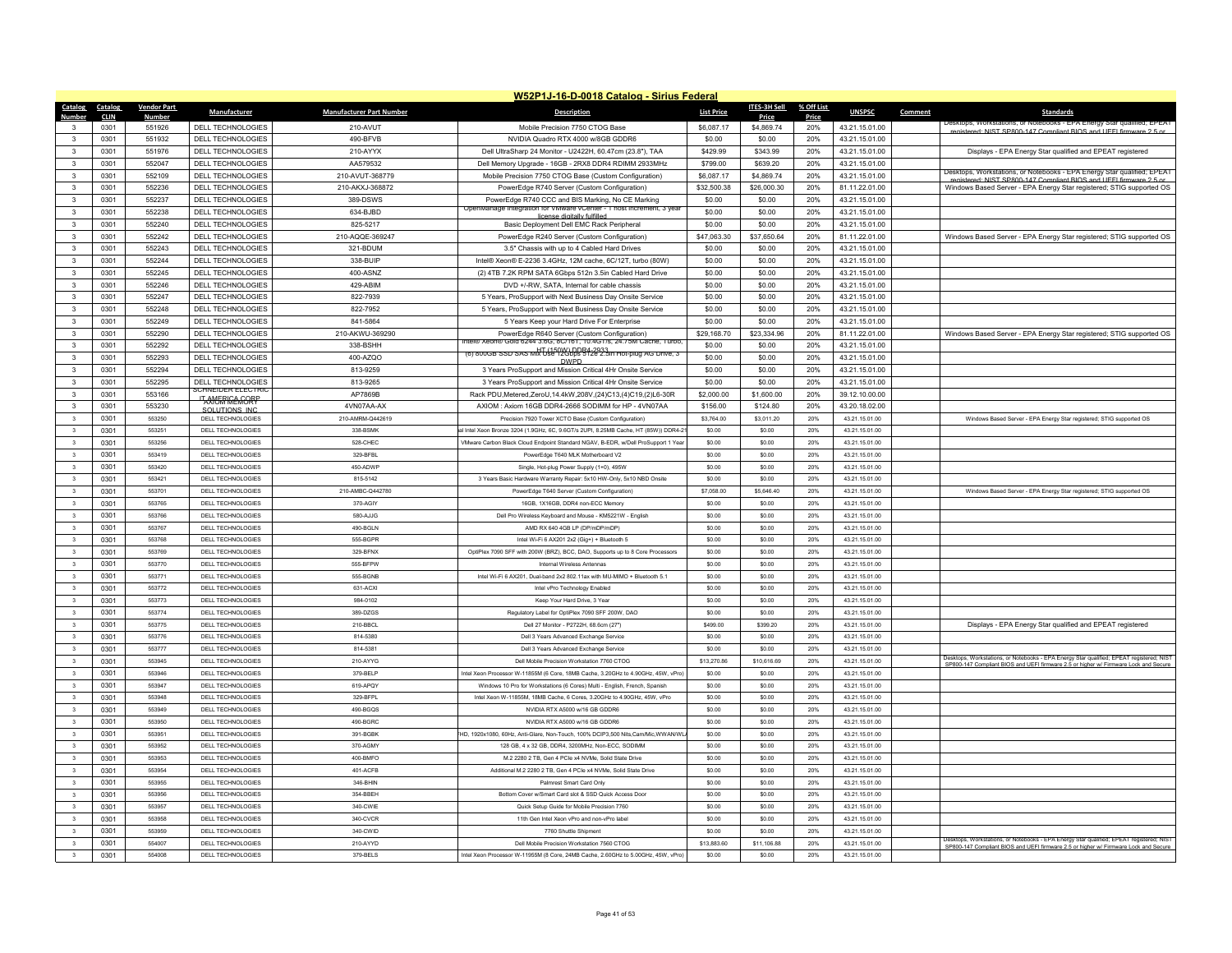|                                 |                    |                                               |                                 | W52P1J-16-D-0018 Catalog - Sirius Federal                                                                                 |                    |                     |            |                                  |         |                                                                                          |
|---------------------------------|--------------------|-----------------------------------------------|---------------------------------|---------------------------------------------------------------------------------------------------------------------------|--------------------|---------------------|------------|----------------------------------|---------|------------------------------------------------------------------------------------------|
| Catalog<br>Catalog              | <b>Vendor Part</b> | <b>Manufacturer</b>                           | <b>Manufacturer Part Number</b> | <b>Description</b>                                                                                                        | <b>List Price</b>  | <b>ITES-3H Sell</b> | % Off List | <b>UNSPSC</b>                    | Comment | <b>Standards</b>                                                                         |
| Numbe<br>CLIN<br>$\mathbf{R}$   | <b>Numbe</b>       |                                               |                                 |                                                                                                                           |                    | Price               | Price      |                                  |         |                                                                                          |
| 0301<br>$\mathbf{3}$            | 551926             | DELL TECHNOLOGIES                             | 210-AVUT                        | Mobile Precision 7750 CTOG Base                                                                                           | \$6,087.17         | \$4,869.74          | 20%        | 43.21.15.01.00                   |         | enistered: NIST SP800-147 Compliant RIOS and LIFEL firmware 2.5 or                       |
| 0301<br>0301                    | 551932<br>551976   | <b>DELL TECHNOLOGIES</b><br>DELL TECHNOLOGIES | 490-BFVB<br>210-AYYX            | NVIDIA Quadro RTX 4000 w/8GB GDDR6<br>Dell UltraSharp 24 Monitor - U2422H, 60.47cm (23.8"), TAA                           | \$0.00<br>\$429.99 | \$0.00<br>\$343.99  | 20%<br>20% | 43.21.15.01.00<br>43.21.15.01.00 |         | Displays - EPA Energy Star qualified and EPEAT registered                                |
| 3                               |                    |                                               |                                 |                                                                                                                           |                    |                     |            |                                  |         |                                                                                          |
| $\mathbf{3}$<br>0301            | 552047             | DELL TECHNOLOGIES                             | AA579532                        | Dell Memory Upgrade - 16GB - 2RX8 DDR4 RDIMM 2933MHz                                                                      | \$799.00           | \$639.20            | 20%        | 43.21.15.01.00                   |         | Desktops, Workstations, or Notebooks - FPA Energy Star qualitied: FPEAT                  |
| $\mathbf{3}$<br>0301            | 552109             | <b>DELL TECHNOLOGIES</b>                      | 210-AVUT-368779                 | Mobile Precision 7750 CTOG Base (Custom Configuration)                                                                    | \$6,087.17         | \$4,869.74          | 20%        | 43.21.15.01.00                   |         | registered: NIST SP800-147 Compliant BIOS and LIFFL firm                                 |
| $\mathbf{3}$<br>0301            | 552236             | <b>DELL TECHNOLOGIES</b>                      | 210-AKXJ-368872                 | PowerEdge R740 Server (Custom Configuration)                                                                              | \$32,500.38        | \$26,000.30         | 20%        | 81.11.22.01.00                   |         | Windows Based Server - EPA Energy Star registered; STIG supported OS                     |
| $\mathbf{3}$<br>0301            | 552237             | DELL TECHNOLOGIES                             | 389-DSWS                        | PowerEdge R740 CCC and BIS Marking, No CE Marking<br>OpenManage Integration for VMware vCenter - 1 host increment, 3 year | \$0.00             | \$0.00              | 20%        | 43.21.15.01.00                   |         |                                                                                          |
| 0301<br>$\mathbf{3}$            | 552238             | DELL TECHNOLOGIES                             | 634-BJBD                        | license digitally fulfiller                                                                                               | \$0.00             | \$0.00              | 20%        | 43.21.15.01.00                   |         |                                                                                          |
| $\mathbf{3}$<br>0301            | 552240             | <b>DELL TECHNOLOGIES</b>                      | 825-5217                        | Basic Deployment Dell EMC Rack Peripheral                                                                                 | \$0.00             | \$0.00              | 20%        | 43.21.15.01.00                   |         |                                                                                          |
| $\mathbf{3}$<br>0301            | 552242             | DELL TECHNOLOGIES                             | 210-AQQE-369247                 | PowerEdge R240 Server (Custom Configuration)                                                                              | \$47.063.30        | \$37,650.64         | 20%        | 81.11.22.01.00                   |         | Windows Based Server - EPA Energy Star registered; STIG supported OS                     |
| $\mathbf{3}$<br>0301            | 552243             | DELL TECHNOLOGIES                             | 321-BDUM                        | 3.5" Chassis with up to 4 Cabled Hard Drives                                                                              | \$0.00             | \$0.00              | 20%        | 43.21.15.01.00                   |         |                                                                                          |
| $\mathbf{3}$<br>0301            | 552244             | <b>DELL TECHNOLOGIES</b>                      | 338-BUIF                        | Intel® Xeon® E-2236 3.4GHz, 12M cache, 6C/12T, turbo (80W)                                                                | \$0.00             | \$0.00              | 20%        | 43.21.15.01.00                   |         |                                                                                          |
| 0301<br>$\mathbf{3}$            | 552245             | DELL TECHNOLOGIES                             | 400-ASNZ                        | (2) 4TB 7.2K RPM SATA 6Gbps 512n 3.5in Cabled Hard Drive                                                                  | \$0.00             | \$0.00              | 20%        | 43.21.15.01.00                   |         |                                                                                          |
| $\mathbf{3}$<br>0301            | 552246             | <b>DELL TECHNOLOGIES</b>                      | 429-ABIM                        | DVD +/-RW, SATA, Internal for cable chassis                                                                               | \$0.00             | \$0.00              | 20%        | 43.21.15.01.00                   |         |                                                                                          |
| $\mathbf{3}$<br>0301            | 552247             | DELL TECHNOLOGIES                             | 822-7939                        | 5 Years, ProSupport with Next Business Day Onsite Service                                                                 | \$0.00             | \$0.00              | 20%        | 43.21.15.01.00                   |         |                                                                                          |
| $\mathbf{3}$<br>0301            | 552248             | DELL TECHNOLOGIES                             | 822-7952                        | 5 Years, ProSupport with Next Business Day Onsite Service                                                                 | \$0.00             | \$0.00              | 20%        | 43.21.15.01.00                   |         |                                                                                          |
| $\mathbf{3}$<br>0301            | 552249             | DELL TECHNOLOGIES                             | 841-5864                        | 5 Years Keep your Hard Drive For Enterprise                                                                               | \$0.00             | \$0.00              | 20%        | 43.21.15.01.00                   |         |                                                                                          |
| 0301<br>$\mathbf{3}$            | 552290             | DELL TECHNOLOGIES                             | 210-AKWU-369290                 | PowerEdge R640 Server (Custom Configuration)<br>ntel® Xeon® Gold 6244 3.6G, 8C/161, 10.4G1/s, 24.75M Cache, Turbo,        | \$29,168.70        | \$23,334.96         | 20%        | 81.11.22.01.00                   |         | Windows Based Server - EPA Energy Star registered; STIG supported OS                     |
| $\mathbf{3}$<br>0301            | 552292             | DELL TECHNOLOGIES                             | 338-BSHH                        | HT (150W) DDR4-2933<br>(6) 800GB SSD SAS Mix Use 12Gbps 512e 2.5in Hot-plug AG Drive, 3                                   | \$0.00             | \$0.00              | 20%        | 43.21.15.01.00                   |         |                                                                                          |
| 0301<br>$\mathbf{3}$            | 552293             | <b>DELL TECHNOLOGIES</b>                      | 400-AZOO                        | <b>DWPD</b>                                                                                                               | \$0.00             | \$0.00              | 20%        | 43.21.15.01.00                   |         |                                                                                          |
| $\mathbf{3}$<br>0301            | 552294             | DELL TECHNOLOGIES                             | 813-9259                        | 3 Years ProSupport and Mission Critical 4Hr Onsite Service                                                                | \$0.00             | \$0.00              | 20%        | 43.21.15.01.00                   |         |                                                                                          |
| $\mathbf{3}$<br>0301            | 552295             | <b>DELL TECHNOLOGIES</b><br>SCHNEIDER ELECTRI | 813-9265                        | 3 Years ProSupport and Mission Critical 4Hr Onsite Service                                                                | \$0.00             | \$0.00              | 20%        | 43.21.15.01.00                   |         |                                                                                          |
| 0301<br>$\mathbf{3}$            | 553166             | <b>TANGRIGAGORP</b>                           | AP7869B                         | Rack PDU, Metered, ZeroU, 14.4kW, 208V, (24)C13, (4)C19, (2)L6-30R                                                        | \$2,000.00         | \$1,600.00          | 20%        | 39.12.10.00.00                   |         |                                                                                          |
| $\mathbf{3}$<br>0301            | 553230             | SOLUTIONS INC                                 | 4VN07AA-AX                      | AXIOM: Axiom 16GB DDR4-2666 SODIMM for HP - 4VN07AA                                                                       | \$156.00           | \$124.80            | 20%        | 43.20.18.02.00                   |         |                                                                                          |
| $\overline{\mathbf{3}}$<br>0301 | 553250             | DELL TECHNOLOGIES                             | 210-AMRM-Q442619                | Precision 7920 Tower XCTO Base (Custom Configuration)                                                                     | \$3,764.00         | \$3,011.20          | 20%        | 43.21.15.01.00                   |         | Windows Based Server - EPA Energy Star registered; STIG supported OS                     |
| 0301<br>$\overline{\mathbf{3}}$ | 553251             | DELL TECHNOLOGIES                             | 338-BSMK                        | I Intel Xeon Bronze 3204 (1.9GHz, 6C, 9.6GT/s 2UPI, 8.25MB Cache, HT (85W)) DDR4-                                         | \$0.00             | \$0.00              | 20%        | 43 21 15 01 00                   |         |                                                                                          |
| $_{3}$<br>0301                  | 553256             | <b>DELL TECHNOLOGIES</b>                      | 528-CHEC                        | VMware Carbon Black Cloud Endpoint Standard NGAV, B-EDR, w/Dell ProSupport 1 Yea                                          | \$0.00             | \$0.00              | 20%        | 43.21.15.01.00                   |         |                                                                                          |
| $\overline{\mathbf{3}}$<br>0301 | 553419             | DELL TECHNOLOGIES                             | 329-BFBL                        | PowerEdge T640 MLK Motherboard V2                                                                                         | \$0.00             | \$0.00              | 20%        | 43.21.15.01.00                   |         |                                                                                          |
| 0301<br>$\mathbf{3}$            | 553420             | DELL TECHNOLOGIES                             | 450-ADWP                        | Single, Hot-plug Power Supply (1+0), 495W                                                                                 | \$0.00             | \$0.00              | 20%        | 43 21 15 01 00                   |         |                                                                                          |
| $\mathbf 3$<br>0301             | 553421             | DELL TECHNOLOGIES                             | 815-5142                        | 3 Years Basic Hardware Warranty Repair: 5x10 HW-Only, 5x10 NBD Onsite                                                     | \$0.00             | \$0.00              | 20%        | 43.21.15.01.00                   |         |                                                                                          |
| $\overline{\mathbf{3}}$<br>0301 | 55370              | DELL TECHNOLOGIES                             | 210-AMBC-Q442780                | PowerEdge T640 Server (Custom Configuration)                                                                              | \$7,058.00         | \$5,646.40          | 20%        | 43.21.15.01.00                   |         | Windows Based Server - EPA Energy Star registered; STIG supported OS                     |
| 0301<br>$\overline{\mathbf{3}}$ | 553765             | DELL TECHNOLOGIES                             | 370-AGIY                        | 16GB, 1X16GB, DDR4 non-ECC Memory                                                                                         | \$0.00             | \$0.00              | 20%        | 43.21.15.01.00                   |         |                                                                                          |
| $_{3}$<br>0301                  | 553766             | <b>DELL TECHNOLOGIES</b>                      | 580-AJJG                        | Dell Pro Wireless Keyboard and Mouse - KM5221W - English                                                                  | \$0.00             | \$0.00              | 20%        | 43.21.15.01.00                   |         |                                                                                          |
| $\overline{\mathbf{3}}$<br>0301 | 553767             | DELL TECHNOLOGIES                             | 490-BGLN                        | AMD RX 640 4GB LP (DP/mDP/mDP)                                                                                            | \$0.00             | \$0.00              | 20%        | 43.21.15.01.00                   |         |                                                                                          |
| $\overline{\mathbf{3}}$<br>0301 | 553768             | DELL TECHNOLOGIES                             | 555-BGPR                        | Intel Wi-Fi 6 AX201 2x2 (Gig+) + Bluetooth 5                                                                              | \$0.00             | \$0.00              | 20%        | 43.21.15.01.00                   |         |                                                                                          |
| $\overline{\mathbf{3}}$<br>0301 | 553769             | <b>DELL TECHNOLOGIES</b>                      | 329-BFNX                        | OptiPlex 7090 SFF with 200W (BRZ), BCC, DAO, Supports up to 8 Core Processors                                             | \$0.00             | \$0.00              | 20%        | 43.21.15.01.00                   |         |                                                                                          |
| 0301<br>$\overline{\mathbf{3}}$ | 553770             | DELL TECHNOLOGIES                             | 555-BFPW                        | Internal Wireless Antennas                                                                                                | \$0.00             | \$0.00              | 20%        | 43.21.15.01.00                   |         |                                                                                          |
| $\overline{\mathbf{3}}$<br>0301 | 553771             | DELL TECHNOLOGIES                             | 555-BGNB                        | Intel Wi-Fi 6 AX201, Dual-band 2x2 802.11ax with MU-MIMO + Bluetooth 5.1                                                  | \$0.00             | \$0.00              | 20%        | 43.21.15.01.00                   |         |                                                                                          |
| $\overline{\mathbf{3}}$<br>0301 | 553772             | DELL TECHNOLOGIES                             | 631-ACXI                        | Intel vPro Technology Enabled                                                                                             | \$0.00             | \$0.00              | 20%        | 43.21.15.01.00                   |         |                                                                                          |
| $\overline{\mathbf{3}}$<br>0301 | 553773             | <b>DELL TECHNOLOGIES</b>                      | 984-0102                        | Keep Your Hard Drive, 3 Year                                                                                              | \$0.00             | \$0.00              | 20%        | 43.21.15.01.00                   |         |                                                                                          |
| 0301<br>$\overline{\mathbf{3}}$ | 553774             | DELL TECHNOLOGIES                             | 389-DZGS                        | Regulatory Label for OptiPlex 7090 SFF 200W, DAO                                                                          | \$0.00             | \$0.00              | 20%        | 43.21.15.01.00                   |         |                                                                                          |
| 0301<br>$\mathbf{3}$            | 553775             | DELL TECHNOLOGIES                             | 210-BBCL                        | Dell 27 Monitor - P2722H. 68.6cm (27")                                                                                    | \$499.00           | \$399.20            | 20%        | 43 21 15 01 00                   |         | Displays - EPA Energy Star qualified and EPEAT registered                                |
| $\overline{\mathbf{3}}$<br>0301 | 553776             | DELL TECHNOLOGIES                             | 814-5380                        | Dell 3 Years Advanced Exchange Service                                                                                    | \$0.00             | \$0.00              | 20%        | 43.21.15.01.00                   |         |                                                                                          |
| $\overline{\mathbf{3}}$<br>0301 | 553777             | DELL TECHNOLOGIES                             | 814-5381                        | Dell 3 Years Advanced Exchange Service                                                                                    | \$0.00             | \$0.00              | 20%        | 43.21.15.01.00                   |         | Desktops, Workstations, or Notebooks - EPA Energy Star qualified; EPEAT registered; NIST |
| $\mathbf{3}$<br>0301            | 553945             | DELL TECHNOLOGIES                             | 210-AYYG                        | Dell Mobile Precision Workstation 7760 CTOG                                                                               | \$13,270.86        | \$10,616.69         | 20%        | 43.21.15.01.00                   |         | SP800-147 Compliant BIOS and UEFI firmware 2.5 or higher w/ Firmware Lock and Secure     |
| 0301<br>$\overline{\mathbf{3}}$ | 553946             | DELL TECHNOLOGIES                             | 379-BELP                        | ntel Xeon Processor W-11855M (6 Core, 18MB Cache, 3.20GHz to 4.90GHz, 45W, vPro                                           | \$0.00             | \$0.00              | 20%        | 43.21.15.01.00                   |         |                                                                                          |
| 0301<br>$\overline{\mathbf{3}}$ | 553947             | <b>DELL TECHNOLOGIES</b>                      | 619-APQY                        | Windows 10 Pro for Workstations (6 Cores) Multi - English, French, Spanish                                                | \$0.00             | \$0.00              | 20%        | 43.21.15.01.00                   |         |                                                                                          |
| $\mathbf{3}$<br>0301            | 553948             | <b>DELL TECHNOLOGIES</b>                      | 329-BEPL                        | Intel Xeon W-11855M, 18MB Cache, 6 Cores, 3.20GHz to 4.90GHz, 45W, vPro                                                   | \$0.00             | \$0.00              | 20%        | 43.21.15.01.00                   |         |                                                                                          |
| 0301<br>$\overline{\mathbf{3}}$ | 553949             | DELL TECHNOLOGIES                             | 490-BGQS                        | NVIDIA RTX A5000 w/16 GB GDDR6                                                                                            | \$0.00             | \$0.00              | 20%        | 43.21.15.01.00                   |         |                                                                                          |
| $\overline{\mathbf{3}}$<br>0301 | 553950             | DELL TECHNOLOGIES                             | 490-BGRC                        | NVIDIA RTX A5000 w/16 GB GDDR6                                                                                            | \$0.00             | \$0.00              | 20%        | 43.21.15.01.00                   |         |                                                                                          |
| $\overline{\mathbf{3}}$<br>0301 | 553951             | DELL TECHNOLOGIES                             | 391-BGBK                        | HD, 1920x1080, 60Hz, Anti-Glare, Non-Touch, 100% DCIP3,500 Nits,Cam/Mic,WWAN/W                                            | \$0.00             | \$0.00              | 20%        | 43.21.15.01.00                   |         |                                                                                          |
| 0301<br>$\overline{\mathbf{3}}$ | 553952             | DELL TECHNOLOGIES                             | 370-AGMY                        | 128 GB, 4 x 32 GB, DDR4, 3200MHz, Non-ECC, SODIMM                                                                         | \$0.00             | \$0.00              | 20%        | 43 21 15 01 00                   |         |                                                                                          |
| $\overline{\mathbf{3}}$<br>0301 | 553953             | <b>DELL TECHNOLOGIES</b>                      | 400-BMFO                        | M.2 2280 2 TB. Gen 4 PCle x4 NVMe. Solid State Drive                                                                      | \$0.00             | \$0.00              | 20%        | 43.21.15.01.00                   |         |                                                                                          |
| $\overline{\mathbf{3}}$<br>0301 | 553954             | DELL TECHNOLOGIES                             | 401-ACFB                        | Additional M.2 2280 2 TB, Gen 4 PCle x4 NVMe, Solid State Drive                                                           | \$0.00             | \$0.00              | 20%        | 43.21.15.01.00                   |         |                                                                                          |
| 0301<br>$\overline{\mathbf{3}}$ | 553955             | DELL TECHNOLOGIES                             | 346-BHIN                        | Palmrest Smart Card Only                                                                                                  | \$0.00             | \$0.00              | 20%        | 43 21 15 01 00                   |         |                                                                                          |
| $\overline{\mathbf{3}}$<br>0301 | 553956             | <b>DELL TECHNOLOGIES</b>                      | 354-BBEH                        | Bottom Cover w/Smart Card slot & SSD Quick Access Door                                                                    | \$0.00             | \$0.00              | 20%        | 43.21.15.01.00                   |         |                                                                                          |
| 0301<br>$\overline{\mathbf{3}}$ | 553957             | <b>DELL TECHNOLOGIES</b>                      | 340-CWIE                        | Quick Setup Guide for Mobile Precision 7760                                                                               | \$0.00             | \$0.00              | 20%        | 43.21.15.01.00                   |         |                                                                                          |
| 0301<br>$\mathbf{3}$            | 553958             | DELL TECHNOLOGIES                             | 340-CVCR                        | 11th Gen Intel Xeon vPro and non-vPro label                                                                               | \$0.00             | \$0.00              | 20%        | 43 21 15 01 00                   |         |                                                                                          |
| $\overline{3}$<br>0301          | 553959             | <b>DELL TECHNOLOGIES</b>                      | 340-CWID                        | 7760 Shuttle Shinmen                                                                                                      | \$0.00             | \$0.00              | 20%        | 43.21.15.01.00                   |         | Desktops, Workstations, or Notebooks - EPA Energy Star qualified; EPEAT registered; NIST |
| $\overline{\mathbf{3}}$<br>0301 | 554007             | DELL TECHNOLOGIES                             | 210-AYYD                        | Dell Mobile Precision Workstation 7560 CTOG                                                                               | \$13,883.60        | \$11,106.88         | 20%        | 43.21.15.01.00                   |         | SP800-147 Compliant BIOS and UEFI firmware 2.5 or higher w/ Firmware Lock and Secure     |
| 0301<br>$\overline{\mathbf{3}}$ | 554008             | DELL TECHNOLOGIES                             | 379-BELS                        | Intel Xeon Processor W-11955M (8 Core, 24MB Cache, 2.60GHz to 5.00GHz, 45W, vPro                                          | \$0.00             | \$0.00              | 20%        | 43 21 15 01 00                   |         |                                                                                          |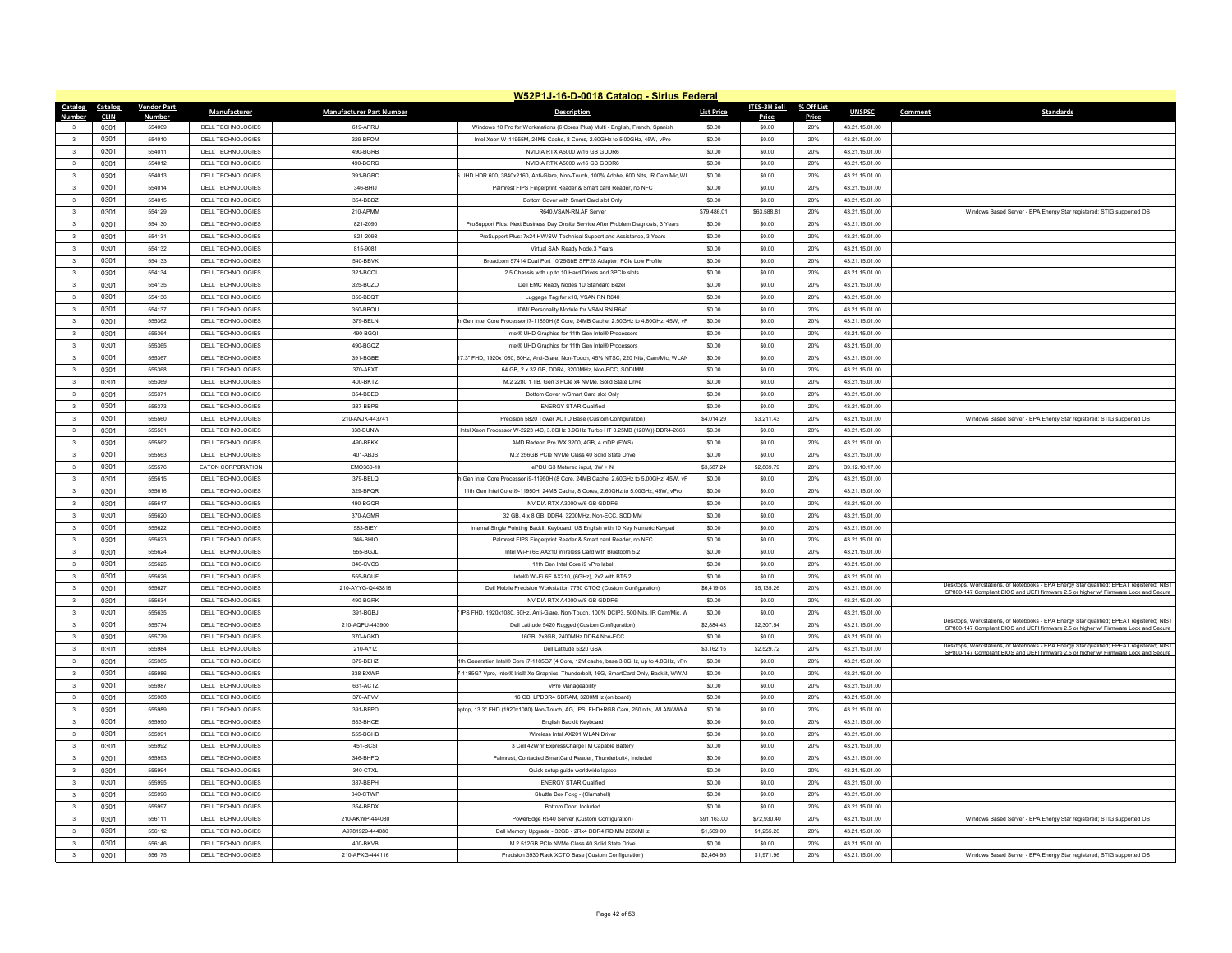|                                 |                    |                          |                                 | W52P1J-16-D-0018 Catalog - Sirius Federal                                             |                   |                     |            |                |         |                                                                                                                                                                        |
|---------------------------------|--------------------|--------------------------|---------------------------------|---------------------------------------------------------------------------------------|-------------------|---------------------|------------|----------------|---------|------------------------------------------------------------------------------------------------------------------------------------------------------------------------|
| Catalog<br>Catalog              | <b>Vendor Part</b> | <b>Manufacturer</b>      | <b>Manufacturer Part Number</b> | <b>Description</b>                                                                    | <b>List Price</b> | <b>ITES-3H Sell</b> | % Off List | <b>UNSPSC</b>  | Comment | Standard:                                                                                                                                                              |
| <b>CLIN</b><br>Number           | <b>Number</b>      |                          |                                 |                                                                                       |                   | <b>Price</b>        | Price      |                |         |                                                                                                                                                                        |
| 0301<br>$\overline{\mathbf{3}}$ | 554009             | DELL TECHNOLOGIES        | 619-APRU                        | Windows 10 Pro for Workstations (6 Cores Plus) Multi - English, French, Spanish       | \$0.00            | \$0.00              | 20%        | 43.21.15.01.00 |         |                                                                                                                                                                        |
| 0301<br>$\mathbf{3}$            | 554010             | <b>DELL TECHNOLOGIES</b> | 329-BFOM                        | Intel Xeon W-11955M, 24MB Cache, 8 Cores, 2,60GHz to 5,00GHz, 45W, vPro               | \$0.00            | \$0.00              | 20%        | 43.21.15.01.00 |         |                                                                                                                                                                        |
| $\overline{\mathbf{3}}$<br>0301 | 55401              | DELL TECHNOLOGIES        | 490-BGRB                        | NVIDIA RTX A5000 w/16 GB GDDR6                                                        | \$0.00            | \$0.00              | 20%        | 43.21.15.01.00 |         |                                                                                                                                                                        |
| 0301<br>$\overline{\mathbf{3}}$ | 554012             | DELL TECHNOLOGIES        | 490-BGRG                        | NVIDIA RTX A5000 w/16 GB GDDR6                                                        | \$0.00            | \$0.00              | 20%        | 43 21 15 01 00 |         |                                                                                                                                                                        |
| $\overline{\mathbf{3}}$<br>0301 | 554013             | DELL TECHNOLOGIES        | 391-BGBC                        | UHD HDR 600, 3840x2160, Anti-Glare, Non-Touch, 100% Adobe, 600 Nits, IR Cam/Mic.V     | \$0.00            | \$0.00              | 20%        | 43.21.15.01.00 |         |                                                                                                                                                                        |
| $\overline{\mathbf{3}}$<br>0301 | 554014             | DELL TECHNOLOGIES        | 346-BHIJ                        | Palmrest FIPS Fingerprint Reader & Smart card Reader, no NFC                          | \$0.00            | \$0.00              | 20%        | 43.21.15.01.00 |         |                                                                                                                                                                        |
| 0301<br>$\overline{\mathbf{3}}$ | 554015             | DELL TECHNOLOGIES        | 354-BBDZ                        | Bottom Cover with Smart Card slot Only                                                | \$0.00            | \$0.00              | 20%        | 43.21.15.01.00 |         |                                                                                                                                                                        |
| $\overline{\mathbf{3}}$<br>0301 | 554129             | <b>DELL TECHNOLOGIES</b> | 210-APMM                        | R640.VSAN-RN.AF Server                                                                | \$79,486.01       | \$63,588.81         | 20%        | 43.21.15.01.00 |         | Windows Based Server - EPA Energy Star registered: STIG supported OS                                                                                                   |
| $\overline{\mathbf{3}}$<br>0301 | 554130             | <b>DELL TECHNOLOGIES</b> | 821-2090                        | ProSupport Plus: Next Business Day Onsite Service After Problem Diagnosis, 3 Years    | \$0.00            | \$0.00              | 20%        | 43.21.15.01.00 |         |                                                                                                                                                                        |
| $\overline{\mathbf{3}}$<br>0301 | 554131             | DELL TECHNOLOGIES        | 821-2098                        | ProSupport Plus: 7x24 HW/SW Technical Support and Assistance, 3 Years                 | \$0.00            | \$0.00              | 20%        | 43.21.15.01.00 |         |                                                                                                                                                                        |
| $\mathbf{3}$<br>0301            | 554132             | DELL TECHNOLOGIES        | 815-9081                        | Virtual SAN Ready Node 3 Years                                                        | \$0.00            | \$0.00              | 20%        | 43.21.15.01.00 |         |                                                                                                                                                                        |
| 0301<br>$\overline{\mathbf{3}}$ | 554133             | DELL TECHNOLOGIES        | 540-BBVK                        | Broadcom 57414 Dual Port 10/25GbE SFP28 Adapter, PCle Low Profile                     | \$0.00            | \$0.00              | 20%        | 43.21.15.01.00 |         |                                                                                                                                                                        |
| 0301<br>$\overline{\mathbf{3}}$ | 554134             | DELL TECHNOLOGIES        | 321-BCQL                        | 2.5 Chassis with up to 10 Hard Drives and 3PCle slots                                 | \$0.00            | \$0.00              | 20%        | 43.21.15.01.00 |         |                                                                                                                                                                        |
| $\mathbf{3}$<br>0301            | 554135             | DELL TECHNOLOGIES        | 325-BCZO                        | Dell EMC Ready Nodes 1U Standard Bezel                                                | \$0.00            | \$0.00              | 20%        | 43.21.15.01.00 |         |                                                                                                                                                                        |
| 0301<br>$\overline{\mathbf{3}}$ | 554136             | DELL TECHNOLOGIES        | 350-BBQT                        | Luggage Tag for x10, VSAN RN R640                                                     | \$0.00            | \$0.00              | 20%        | 43.21.15.01.00 |         |                                                                                                                                                                        |
| $\overline{\mathbf{3}}$         | 554137             | <b>DELL TECHNOLOGIES</b> | 350-BBQU                        | IDM/ Personality Module for VSAN RN R640                                              | \$0.00            | \$0.00              | 20%        |                |         |                                                                                                                                                                        |
| 0301                            |                    |                          |                                 |                                                                                       |                   |                     |            | 43.21.15.01.00 |         |                                                                                                                                                                        |
| $\overline{\mathbf{3}}$<br>0301 | 555362             | DELL TECHNOLOGIES        | 379-BELN                        | Gen Intel Core Processor i7-11850H (8 Core, 24MB Cache, 2.50GHz to 4.80GHz, 45W,      | \$0.00            | \$0.00              | 20%        | 43.21.15.01.00 |         |                                                                                                                                                                        |
| 0301<br>$\overline{\mathbf{3}}$ | 555364             | DELL TECHNOLOGIES        | 490-BGQI                        | Intel® UHD Graphics for 11th Gen Intel® Processors                                    | \$0.00            | \$0.00              | 20%        | 43.21.15.01.00 |         |                                                                                                                                                                        |
| $\overline{\mathbf{3}}$<br>0301 | 555365             | DELL TECHNOLOGIES        | 490-BGQZ                        | Intel® UHD Graphics for 11th Gen Intel® Processors                                    | \$0.00            | \$0.00              | 20%        | 43.21.15.01.00 |         |                                                                                                                                                                        |
| 0301<br>$\overline{\mathbf{3}}$ | 555367             | DELL TECHNOLOGIES        | 391-BGBE                        | 7.3" FHD, 1920x1080, 60Hz, Anti-Glare, Non-Touch, 45% NTSC, 220 Nits, Cam/Mic, WLA    | \$0.00            | \$0.00              | 20%        | 43.21.15.01.00 |         |                                                                                                                                                                        |
| 0301<br>$\overline{\mathbf{3}}$ | 555368             | DELL TECHNOLOGIES        | 370-AFXT                        | 64 GB, 2 x 32 GB, DDR4, 3200MHz, Non-ECC, SODIMM                                      | \$0.00            | \$0.00              | 20%        | 43.21.15.01.00 |         |                                                                                                                                                                        |
| $\overline{\mathbf{3}}$<br>0301 | 555369             | <b>DELL TECHNOLOGIES</b> | 400-BKTZ                        | M.2 2280 1 TB. Gen 3 PCle x4 NVMe. Solid State Drive                                  | \$0.00            | \$0.00              | 20%        | 43.21.15.01.00 |         |                                                                                                                                                                        |
| $\overline{\mathbf{3}}$<br>0301 | 555371             | DELL TECHNOLOGIES        | 354-BBED                        | Bottom Cover w/Smart Card slot Only                                                   | \$0.00            | \$0.00              | 20%        | 43.21.15.01.00 |         |                                                                                                                                                                        |
| $\overline{\mathbf{3}}$<br>0301 | 555373             | DELL TECHNOLOGIES        | 387-BBPS                        | <b>ENERGY STAR Qualified</b>                                                          | \$0.00            | \$0.00              | 20%        | 43.21.15.01.00 |         |                                                                                                                                                                        |
| 0301<br>$\overline{\mathbf{3}}$ | 555560             | DELL TECHNOLOGIES        | 210-ANJK-443741                 | Precision 5820 Tower XCTO Base (Custom Configuration)                                 | \$4.014.29        | \$3.211.43          | 20%        | 43.21.15.01.00 |         | Windows Based Server - EPA Energy Star registered; STIG supported OS                                                                                                   |
| $\overline{\mathbf{3}}$<br>0301 | 555561             | DELL TECHNOLOGIES        | 338-BUNW                        | Intel Xeon Processor W-2223 (4C, 3.6GHz 3.9GHz Turbo HT 8.25MB (120W)) DDR4-2666      | \$0.00            | \$0.00              | 20%        | 43.21.15.01.00 |         |                                                                                                                                                                        |
| 0301<br>$\overline{\mathbf{3}}$ | 555562             | DELL TECHNOLOGIES        | 490-BFKK                        | AMD Radeon Pro WX 3200, 4GB, 4 mDP (FWS)                                              | \$0.00            | \$0.00              | 20%        | 43.21.15.01.00 |         |                                                                                                                                                                        |
| $\overline{\mathbf{3}}$<br>0301 | 555563             | DELL TECHNOLOGIES        | 401-ABJS                        | M.2 256GB PCle NVMe Class 40 Solid State Drive                                        | \$0.00            | \$0.00              | 20%        | 43.21.15.01.00 |         |                                                                                                                                                                        |
| $\overline{\mathbf{3}}$<br>0301 | 555576             | EATON CORPORATION        | EMO360-10                       | ePDU G3 Metered input, 3W + N                                                         | \$3,587.24        | \$2,869.79          | 20%        | 39.12.10.17.00 |         |                                                                                                                                                                        |
| $\overline{\mathbf{3}}$<br>0301 | 555615             | DELL TECHNOLOGIES        | 379-BELQ                        | Gen Intel Core Processor i9-11950H (8 Core, 24MB Cache, 2.60GHz to 5.00GHz, 45W, v    | \$0.00            | \$0.00              | 20%        | 43.21.15.01.00 |         |                                                                                                                                                                        |
|                                 |                    |                          |                                 |                                                                                       |                   |                     |            |                |         |                                                                                                                                                                        |
| $\overline{\mathbf{3}}$<br>0301 | 555616             | DELL TECHNOLOGIES        | 329-BFQR                        | 11th Gen Intel Core i9-11950H, 24MB Cache, 8 Cores, 2,60GHz to 5,00GHz, 45W, vPro     | \$0.00            | \$0.00              | 20%        | 43.21.15.01.00 |         |                                                                                                                                                                        |
| 0301<br>$\overline{\mathbf{3}}$ | 555617             | DELL TECHNOLOGIES        | 490-BGQR                        | NVIDIA RTX A3000 w/6 GB GDDR6                                                         | \$0.00            | \$0.00              | 20%        | 43.21.15.01.00 |         |                                                                                                                                                                        |
| $\overline{\mathbf{3}}$<br>0301 | 555620             | DELL TECHNOLOGIES        | 370-AGMR                        | 32 GB, 4 x 8 GB, DDR4, 3200MHz, Non-ECC, SODIMM                                       | \$0.00            | \$0.00              | 20%        | 43.21.15.01.00 |         |                                                                                                                                                                        |
| $\overline{\mathbf{3}}$<br>0301 | 555622             | DELL TECHNOLOGIES        | 583-BIEY                        | Internal Single Pointing Backlit Keyboard, US English with 10 Key Numeric Keypad      | \$0.00            | \$0.00              | 20%        | 43.21.15.01.00 |         |                                                                                                                                                                        |
| 0301<br>$\overline{\mathbf{3}}$ | 555623             | DELL TECHNOLOGIES        | 346-BHIO                        | Palmrest FIPS Fingerprint Reader & Smart card Reader, no NFC                          | \$0.00            | \$0.00              | 20%        | 43.21.15.01.00 |         |                                                                                                                                                                        |
| $\overline{\mathbf{3}}$<br>0301 | 555624             | DELL TECHNOLOGIES        | 555-BGJL                        | Intel Wi-Fi 6E AX210 Wireless Card with Bluetooth 5.2                                 | \$0.00            | \$0.00              | 20%        | 43.21.15.01.00 |         |                                                                                                                                                                        |
| 0301<br>$\overline{\mathbf{3}}$ | 555625             | DELL TECHNOLOGIES        | 340-CVCS                        | 11th Gen Intel Core i9 vPro label                                                     | \$0.00            | \$0.00              | 20%        | 43.21.15.01.00 |         |                                                                                                                                                                        |
| 0301<br>$\overline{\mathbf{3}}$ | 555626             | DELL TECHNOLOGIES        | 555-BGUF                        | Intel® Wi-Fi 6E AX210. (6GHz), 2x2 with BT5.2                                         | \$0.00            | \$0.00              | 20%        | 43.21.15.01.00 |         |                                                                                                                                                                        |
| $\overline{\mathbf{3}}$<br>0301 | 555627             | DELL TECHNOLOGIES        | 210-AYYG-Q443816                | Dell Mobile Precision Workstation 7760 CTOG (Custom Configuration)                    | \$6,419.08        | \$5,135.26          | 20%        | 43.21.15.01.00 |         | Workstations, or Notebooks - EPA Energy Star qualified; EPEAT registered; NIST<br>SP800-147 Compliant BIOS and UEFI firmware 2.5 or higher w/ Firmware Lock and Secure |
| $\overline{\mathbf{3}}$<br>0301 | 555634             | DELL TECHNOLOGIES        | 490-BGRK                        | NVIDIA RTX A4000 w/8 GB GDDR6                                                         | \$0.00            | \$0.00              | 20%        | 43.21.15.01.00 |         |                                                                                                                                                                        |
| $\overline{\mathbf{3}}$<br>0301 | 555635             | DELL TECHNOLOGIES        | 391-BGBJ                        | IPS FHD, 1920x1080, 60Hz, Anti-Glare, Non-Touch, 100% DCIP3, 500 Nits, IR Cam/Mic,    | \$0.00            | \$0.00              | 20%        | 43.21.15.01.00 |         |                                                                                                                                                                        |
| 0301<br>$\overline{\mathbf{3}}$ | 555774             | <b>DELL TECHNOLOGIES</b> | 210-AQPU-443900                 | Dell Latitude 5420 Rugged (Custom Configuration)                                      | \$2,884.43        | \$2,307.54          | 20%        | 43.21.15.01.00 |         | Desktops, Workstations, or Notebooks - EPA Energy Star qualified; EPEAT registered; NIST                                                                               |
| $\overline{\mathbf{3}}$<br>0301 | 555779             | DELL TECHNOLOGIES        | 370-AGKD                        | 16GB, 2x8GB, 2400MHz DDR4 Non-ECC                                                     | \$0.00            | \$0.00              | 20%        | 43.21.15.01.00 |         | SP800-147 Compliant BIOS and UEFI firmware 2.5 or higher w/ Firmware Lock and Secure                                                                                   |
| $\overline{\mathbf{3}}$<br>0301 | 555984             | DELL TECHNOLOGIES        | 210-AYIZ                        | Dell Latitude 5320 GSA                                                                | \$3,162.15        | \$2,529.72          | 20%        | 43.21.15.01.00 |         | Desktops, Workstations, or Notebooks - EPA Energy Star qualified; EPEAT registered; NIST                                                                               |
| $\overline{\mathbf{3}}$         |                    |                          |                                 |                                                                                       |                   |                     |            | 43.21.15.01.00 |         | SP800-147 Compliant BIOS and UEFI firmware 2.5 or higher w/ Firmware Lock and Secure                                                                                   |
| 0301                            | 555985             | <b>DELL TECHNOLOGIES</b> | 379-BEHZ                        | th Generation Intel® Core i7-1185G7 (4 Core, 12M cache, base 3.0GHz, up to 4.8GHz, vF | \$0.00            | \$0.00              | 20%        |                |         |                                                                                                                                                                        |
| 0301<br>$\overline{\mathbf{3}}$ | 555986             | DELL TECHNOLOGIES        | 338-BXWP                        | 1185G7 Vpro, Intel® Iris® Xe Graphics, Thunderbolt, 16G, SmartCard Only, Backlit, WWA | \$0.00            | \$0.00              | 20%        | 43.21.15.01.00 |         |                                                                                                                                                                        |
| 0301<br>$\overline{\mathbf{3}}$ | 555987             | DELL TECHNOLOGIES        | 631-ACTZ                        | vPro Manageability                                                                    | \$0.00            | \$0.00              | 20%        | 43.21.15.01.00 |         |                                                                                                                                                                        |
| $\overline{\mathbf{3}}$<br>0301 | 555988             | DELL TECHNOLOGIES        | 370-AFVV                        | 16 GB. LPDDR4 SDRAM, 3200MHz (on board)                                               | \$0.00            | \$0.00              | 20%        | 43.21.15.01.00 |         |                                                                                                                                                                        |
| 0301<br>$\overline{\mathbf{3}}$ | 555989             | DELL TECHNOLOGIES        | 391-BFPD                        | top, 13.3" FHD (1920x1080) Non-Touch, AG, IPS, FHD+RGB Cam, 250 nits, WLANWW.         | \$0.00            | \$0.00              | 20%        | 43.21.15.01.00 |         |                                                                                                                                                                        |
| $\overline{\mathbf{3}}$<br>0301 | 555990             | DELL TECHNOLOGIES        | 583-BHCE                        | English Backlit Keyboard                                                              | \$0.00            | \$0.00              | 20%        | 43.21.15.01.00 |         |                                                                                                                                                                        |
| $\overline{\mathbf{3}}$<br>0301 | 555991             | <b>DELL TECHNOLOGIES</b> | 555-BGHE                        | Wireless Intel AX201 WLAN Drive                                                       | \$0.00            | \$0.00              | 20%        | 43.21.15.01.00 |         |                                                                                                                                                                        |
| 0301<br>$\overline{\mathbf{3}}$ | 555992             | DELL TECHNOLOGIES        | 451-BCSI                        | 3 Cell 42Whr ExpressChargeTM Capable Battery                                          | \$0.00            | \$0.00              | 20%        | 43.21.15.01.00 |         |                                                                                                                                                                        |
| $\overline{\mathbf{3}}$<br>0301 | 555993             | DELL TECHNOLOGIES        | 346-BHFQ                        | Palmrest, Contacted SmartCard Reader, Thunderbolt4, Included                          | \$0.00            | \$0.00              | 20%        | 43.21.15.01.00 |         |                                                                                                                                                                        |
| $\overline{3}$<br>0301          | 555004             | DELL TECHNOLOGIES        | 340-CTXL                        | Quick setup guide worldwide laptop                                                    | \$0.00            | \$0.00              | 20%        | 43.21.15.01.00 |         |                                                                                                                                                                        |
| 0301<br>$\overline{\mathbf{3}}$ | 555995             | DELL TECHNOLOGIES        | 387-BBPH                        | <b>ENERGY STAR Qualified</b>                                                          | \$0.00            | \$0.00              | 20%        | 43 21 15 01 00 |         |                                                                                                                                                                        |
| $\overline{\mathbf{3}}$<br>0301 | 555996             | DELL TECHNOLOGIES        | 340-CTWP                        | Shuttle Box Pckg - (Clamshell)                                                        | \$0.00            | \$0.00              | 20%        | 43.21.15.01.00 |         |                                                                                                                                                                        |
| 0301<br>$\overline{\mathbf{3}}$ | 555997             | <b>DELL TECHNOLOGIES</b> | 354-BBDX                        | Bottom Door, Included                                                                 | \$0.00            | \$0.00              | 20%        | 43.21.15.01.00 |         |                                                                                                                                                                        |
| 0301<br>$\mathbf{3}$            | 556111             | DELL TECHNOLOGIES        | 210-AKWP-444080                 | PowerEdge R940 Server (Custom Configuration)                                          | \$91 163 00       | \$72,930.40         | 20%        | 43 21 15 01 00 |         | Windows Based Server - EPA Energy Star registered; STIG supported OS                                                                                                   |
| $\overline{3}$<br>0301          | 556112             | DELL TECHNOLOGIES        | A9781929-444080                 | Dell Memory Upgrade - 32GB - 2Rx4 DDR4 RDIMM 2666MHz                                  | \$1,569.00        | \$1,255.20          | 20%        | 43.21.15.01.00 |         |                                                                                                                                                                        |
|                                 |                    |                          |                                 |                                                                                       |                   |                     |            |                |         |                                                                                                                                                                        |
| $\overline{\mathbf{3}}$<br>0301 | 556146             | DELL TECHNOLOGIES        | 400-BKVB                        | M.2 512GB PCIe NVMe Class 40 Solid State Drive                                        | \$0.00            | \$0.00              | 20%        | 43.21.15.01.00 |         |                                                                                                                                                                        |
| 0301<br>$\overline{\mathbf{3}}$ | 556175             | DELL TECHNOLOGIES        | 210-APXG-444116                 | Precision 3930 Rack XCTO Base (Custom Configuration)                                  | \$2,464.95        | \$1,971.96          | 20%        | 43 21 15 01 00 |         | Windows Based Server - EPA Energy Star registered; STIG supported OS                                                                                                   |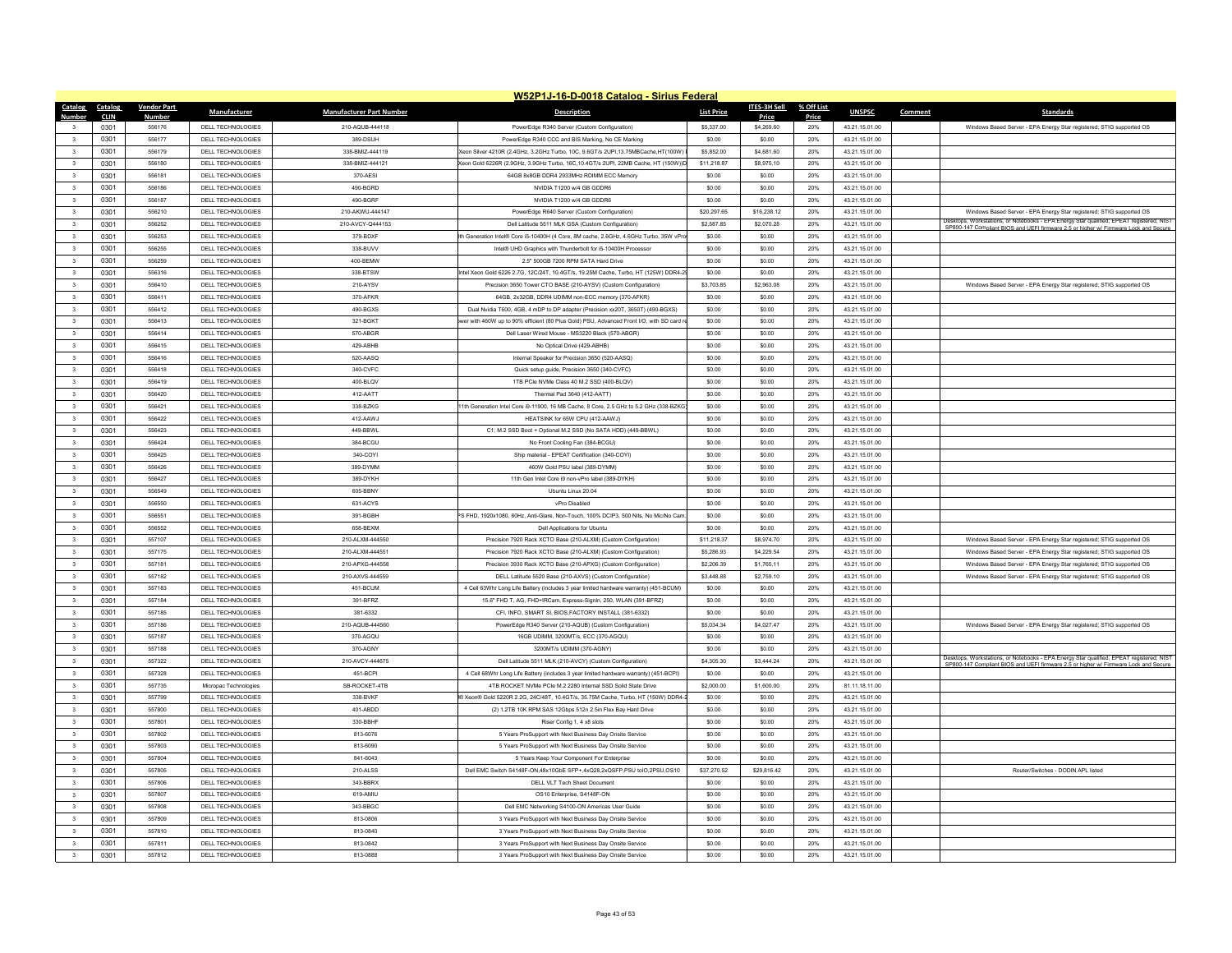|                                 |                    |                                               |                                 | W52P1J-16-D-0018 Catalog - Sirius Federal                                                                                           |                      |                      |              |                                  |         |                                                                                                                                                                                  |
|---------------------------------|--------------------|-----------------------------------------------|---------------------------------|-------------------------------------------------------------------------------------------------------------------------------------|----------------------|----------------------|--------------|----------------------------------|---------|----------------------------------------------------------------------------------------------------------------------------------------------------------------------------------|
| Catalog<br>Catalog              | <b>Vendor Part</b> | Manufacturer                                  | <b>Manufacturer Part Number</b> | <b>Description</b>                                                                                                                  | <b>List Price</b>    | ITES-3H Sell         | % Off List   | <b>UNSPSC</b>                    | Comment | Standards                                                                                                                                                                        |
| <b>CLIN</b>                     | Numbe<br>556176    | DELL TECHNOLOGIES                             | 210-AQUB-444118                 |                                                                                                                                     | \$5,337.00           | Price<br>\$4,269.60  | Price<br>20% | 43.21.15.01.00                   |         |                                                                                                                                                                                  |
| 0301<br>0301                    | 556177             |                                               | 389-DSUH                        | PowerEdge R340 Server (Custom Configuration)                                                                                        |                      |                      |              |                                  |         | Windows Based Server - EPA Energy Star registered; STIG supported OS                                                                                                             |
| 0301                            | 556179             | <b>DELL TECHNOLOGIES</b><br>DELL TECHNOLOGIES | 338-BMIZ-444119                 | PowerEdge R340 CCC and BIS Marking. No CE Marking<br>eon Silver 4210R (2.4GHz, 3.2GHz Turbo, 10C, 9.6GT/s 2UPI,13.75MBCache,HT(100W | \$0.00<br>\$5,852.00 | \$0.00<br>\$4,681.60 | 20%          | 43.21.15.01.00<br>43.21.15.01.00 |         |                                                                                                                                                                                  |
| $\overline{\mathbf{3}}$         |                    |                                               |                                 |                                                                                                                                     |                      |                      | 20%          |                                  |         |                                                                                                                                                                                  |
| $\overline{\mathbf{3}}$<br>0301 | 556180             | DELL TECHNOLOGIES                             | 338-BMIZ-444121                 | eon Gold 6226R (2.9GHz, 3.9GHz Turbo, 16C.10.4GT/s 2UPI, 22MB Cache, HT (150W))E                                                    | \$11,218.87          | \$8,975.10           | 20%          | 43.21.15.01.00                   |         |                                                                                                                                                                                  |
| 0301<br>$\overline{\mathbf{3}}$ | 556181             | DELL TECHNOLOGIES                             | 370-AESI                        | 64GB 8x8GB DDR4 2933MHz RDIMM ECC Memory                                                                                            | \$0.00               | \$0.00               | 20%          | 43.21.15.01.00                   |         |                                                                                                                                                                                  |
| 0301<br>$\mathbf{3}$            | 556186             | DELL TECHNOLOGIES                             | 490-BGRD                        | NVIDIA T1200 w/4 GB GDDR6                                                                                                           | \$0.00               | \$0.00               | 20%          | 43 21 15 01 00                   |         |                                                                                                                                                                                  |
| $_{3}$<br>0301                  | 556187             | DELL TECHNOLOGIES                             | 490-BGRF                        | NVIDIA T1200 w/4 GB GDDR6                                                                                                           | \$0.00               | \$0.00               | 20%          | 43.21.15.01.00                   |         |                                                                                                                                                                                  |
| $\overline{\mathbf{3}}$<br>0301 | 556210             | DELL TECHNOLOGIES                             | 210-AKWLI-444147                | PowerEdge R640 Server (Custom Configuration)                                                                                        | \$20,297.65          | \$16,238.12          | 20%          | 43.21.15.01.00                   |         | Windows Based Server - EPA Energy Star registered; STIG supported OS<br>Desktops, Workstations, or Notebooks - EPA Energy Star qualified; EPEAT registered; NIST                 |
| 0301<br>$\mathbf{3}$            | 556252             | DELL TECHNOLOGIES                             | 210-AVCY-0444153                | Dell Latitude 5511 MLK GSA (Custom Configuration)                                                                                   | \$2,587.85           | \$2,070.28           | 20%          | 43 21 15 01 00                   |         | SP800-147 Compliant BIOS and UEFI firmware 2.5 or higher w/ Firmware Lock and Secure                                                                                             |
| $_{3}$<br>0301                  | 556253             | DELL TECHNOLOGIES                             | 379-BDXF                        | th Generation Intel® Core i5-10400H (4 Core, 8M cache, 2.6GHz, 4.6GHz Turbo, 35W vPn                                                | \$0.00               | \$0.00               | 20%          | 43.21.15.01.00                   |         |                                                                                                                                                                                  |
| $\overline{\mathbf{3}}$<br>0301 | 556255             | DELL TECHNOLOGIES                             | 338-BUVV                        | Intel® UHD Graphics with Thunderbolt for i5-10400H Processor                                                                        | \$0.00               | \$0.00               | 20%          | 43.21.15.01.00                   |         |                                                                                                                                                                                  |
| 0301<br>$\overline{\mathbf{3}}$ | 556259             | DELL TECHNOLOGIES                             | 400-BEMW                        | 2.5" 500GB 7200 RPM SATA Hard Drive                                                                                                 | \$0.00               | \$0.00               | 20%          | 43.21.15.01.00                   |         |                                                                                                                                                                                  |
| $\overline{3}$<br>0301          | 556316             | DELL TECHNOLOGIES                             | 338-BTSW                        | Intel Xeon Gold 6226 2.7G, 12C/24T, 10.4GT/s, 19.25M Cache, Turbo, HT (125W) DDR4-2                                                 | \$0.00               | \$0.00               | 20%          | 43.21.15.01.00                   |         |                                                                                                                                                                                  |
| $\overline{\mathbf{3}}$<br>0301 | 556410             | DELL TECHNOLOGIES                             | 210-AYSV                        | Precision 3650 Tower CTO BASE (210-AYSV) (Custom Configuration)                                                                     | \$3,703.85           | \$2,963.08           | 20%          | 43.21.15.01.00                   |         | Windows Based Server - EPA Energy Star registered; STIG supported OS                                                                                                             |
| $\overline{\mathbf{3}}$<br>0301 | 556411             | DELL TECHNOLOGIES                             | 370-AFKR                        | 64GB, 2x32GB, DDR4 UDIMM non-ECC memory (370-AFKR)                                                                                  | \$0.00               | \$0.00               | 20%          | 43.21.15.01.00                   |         |                                                                                                                                                                                  |
| $\overline{\mathbf{3}}$<br>0301 | 556412             | DELL TECHNOLOGIES                             | 490-BGXS                        | Dual Nvidia T600, 4GB, 4 mDP to DP adapter (Precision xx20T, 3650T) (490-BGXS)                                                      | \$0.00               | \$0.00               | 20%          | 43.21.15.01.00                   |         |                                                                                                                                                                                  |
| $\overline{\mathbf{3}}$<br>0301 | 556413             | DELL TECHNOLOGIES                             | 321-BGKT                        | ver with 460W up to 90% efficient (80 Plus Gold) PSU, Advanced Front I/O, with SD card r                                            | \$0.00               | \$0.00               | 20%          | 43.21.15.01.00                   |         |                                                                                                                                                                                  |
| 0301<br>$\overline{\mathbf{3}}$ | 556414             | DELL TECHNOLOGIES                             | 570-ABGR                        | Dell Laser Wired Mouse - MS3220 Black (570-ABGR)                                                                                    | \$0.00               | \$0.00               | 20%          | 43.21.15.01.00                   |         |                                                                                                                                                                                  |
| $\overline{\mathbf{3}}$<br>0301 | 556415             | DELL TECHNOLOGIES                             | 429-ABHB                        | No Optical Drive (429-ABHB                                                                                                          | \$0.00               | \$0.00               | 20%          | 43.21.15.01.00                   |         |                                                                                                                                                                                  |
| 0301<br>$\overline{\mathbf{3}}$ | 556416             | DELL TECHNOLOGIES                             | 520-AASQ                        | Internal Speaker for Precision 3650 (520-AASQ)                                                                                      | \$0.00               | \$0.00               | 20%          | 43.21.15.01.00                   |         |                                                                                                                                                                                  |
| 0301<br>$\overline{\mathbf{3}}$ | 556418             | DELL TECHNOLOGIES                             | 340-CVFC                        | Quick setup guide, Precision 3650 (340-CVFC)                                                                                        | \$0.00               | \$0.00               | 20%          | 43.21.15.01.00                   |         |                                                                                                                                                                                  |
| 0301<br>$\mathbf{3}$            | 556419             | DELL TECHNOLOGIES                             | 400-BLOV                        | 1TB PCIe NVMe Class 40 M.2 SSD (400-BLQV)                                                                                           | \$0.00               | \$0.00               | 20%          | 43.21.15.01.00                   |         |                                                                                                                                                                                  |
| 0301<br>$\overline{\mathbf{3}}$ | 556420             | DELL TECHNOLOGIES                             | 412-AATT                        | Thermal Pad 3640 (412-AATT)                                                                                                         | \$0.00               | \$0.00               | 20%          | 43.21.15.01.00                   |         |                                                                                                                                                                                  |
| $\overline{\mathbf{3}}$<br>0301 | 556421             | DELL TECHNOLOGIES                             | 338-BZKG                        | 1th Generation Intel Core i9-11900, 16 MB Cache, 8 Core, 2.5 GHz to 5.2 GHz (338-BZKG                                               | \$0.00               | \$0.00               | 20%          | 43.21.15.01.00                   |         |                                                                                                                                                                                  |
| $\mathbf{3}$<br>0301            | 556422             | DELL TECHNOLOGIES                             | 412-AAW.                        | HEATSINK for 65W CPU (412-AAWJ)                                                                                                     | \$0.00               | \$0.00               | 20%          | 43.21.15.01.00                   |         |                                                                                                                                                                                  |
| 0301<br>$\overline{\mathbf{3}}$ | 556423             | DELL TECHNOLOGIES                             | 449-BBWL                        | C1: M.2 SSD Boot + Optional M.2 SSD (No SATA HDD) (449-BBWL)                                                                        | \$0.00               | \$0.00               | 20%          | 43.21.15.01.00                   |         |                                                                                                                                                                                  |
| 0301<br>$\overline{\mathbf{3}}$ | 556424             | DELL TECHNOLOGIES                             | 384-BCGU                        | No Front Cooling Fan (384-BCGU)                                                                                                     | \$0.00               | \$0.00               | 20%          | 43.21.15.01.00                   |         |                                                                                                                                                                                  |
| $\overline{3}$<br>0301          | 556425             | DELL TECHNOLOGIES                             | 340-COYI                        | Ship material - EPEAT Certification (340-COYI)                                                                                      | \$0.00               | \$0.00               | 20%          | 43.21.15.01.00                   |         |                                                                                                                                                                                  |
| 0301<br>$\overline{\mathbf{3}}$ | 556426             | DELL TECHNOLOGIES                             | 389-DYMM                        | 460W Gold PSU label (389-DYMM)                                                                                                      | \$0.00               | \$0.00               | 20%          | 43.21.15.01.00                   |         |                                                                                                                                                                                  |
| $\overline{\mathbf{3}}$<br>0301 | 556427             | DELL TECHNOLOGIES                             | 389-DYKH                        | 11th Gen Intel Core i9 non-vPro label (389-DYKH)                                                                                    | \$0.00               | \$0.00               | 20%          | 43.21.15.01.00                   |         |                                                                                                                                                                                  |
| 0301<br>$\overline{\mathbf{3}}$ | 556549             | DELL TECHNOLOGIES                             | 605-BBNY                        | Ubuntu Linux 20.04                                                                                                                  | \$0.00               | \$0.00               | 20%          | 43.21.15.01.00                   |         |                                                                                                                                                                                  |
| 0301<br>$\overline{\mathbf{3}}$ | 556550             | DELL TECHNOLOGIES                             | 631-ACYS                        | vPro Disabled                                                                                                                       | \$0.00               | \$0.00               | 20%          | 43.21.15.01.00                   |         |                                                                                                                                                                                  |
| $\overline{\mathbf{3}}$<br>0301 | 556551             | DELL TECHNOLOGIES                             | 391-BGBH                        | PS FHD, 1920x1080, 60Hz, Anti-Glare, Non-Touch, 100% DCIP3, 500 Nits, No Mic/No Cam                                                 | \$0.00               | \$0.00               | 20%          | 43.21.15.01.00                   |         |                                                                                                                                                                                  |
| $\overline{\mathbf{3}}$<br>0301 | 556552             | DELL TECHNOLOGIES                             | 658-BEXM                        | Dell Applications for Ubuntu                                                                                                        | \$0.00               | \$0.00               | 20%          | 43.21.15.01.00                   |         |                                                                                                                                                                                  |
| $\overline{\mathbf{3}}$<br>0301 | 557107             | DELL TECHNOLOGIES                             | 210-AI XM-444550                | Precision 7920 Rack XCTO Base (210-ALXM) (Custom Configuration)                                                                     | \$11,218.37          | \$8,974.70           | 20%          | 43.21.15.01.00                   |         | Windows Based Server - EPA Energy Star registered; STIG supported OS                                                                                                             |
| $\overline{\mathbf{3}}$<br>0301 | 557175             | DELL TECHNOLOGIES                             | 210-ALXM-444551                 | Precision 7920 Rack XCTO Base (210-ALXM) (Custom Configuration)                                                                     | \$5,286.93           | \$4,229.54           | 20%          | 43.21.15.01.00                   |         | Windows Based Server - EPA Energy Star registered; STIG supported OS                                                                                                             |
| 0301<br>$\overline{\mathbf{3}}$ | 557181             | <b>DELL TECHNOLOGIES</b>                      | 210-APXG-444558                 | Precision 3930 Rack XCTO Base (210-APXG) (Custom Configuration)                                                                     | \$2,206.39           | \$1,765.11           | 20%          | 43.21.15.01.00                   |         | Windows Based Server - EPA Energy Star registered; STIG supported OS                                                                                                             |
| 0301<br>$\overline{\mathbf{3}}$ | 557182             | DELL TECHNOLOGIES                             | 210-AXVS-444559                 | DELL Latitude 5520 Base (210-AXVS) (Custom Configuration)                                                                           | \$3,448.88           | \$2,759.10           | 20%          | 43.21.15.01.00                   |         | Windows Based Server - EPA Energy Star registered; STIG supported OS                                                                                                             |
| $\overline{\mathbf{3}}$<br>0301 | 557183             | DELL TECHNOLOGIES                             | 451-BCUM                        | 4 Cell 63Whr Long Life Battery (includes 3 year limited hardware warranty) (451-BCUM)                                               | \$0.00               | \$0.00               | 20%          | 43.21.15.01.00                   |         |                                                                                                                                                                                  |
| $\overline{\mathbf{3}}$<br>0301 | 557184             | <b>DELL TECHNOLOGIES</b>                      | 391-BFRZ                        | 15.6" FHD T, AG, FHD+IRCam, Express-SignIn, 250, WLAN (391-BFRZ)                                                                    | \$0.00               | \$0.00               | 20%          | 43.21.15.01.00                   |         |                                                                                                                                                                                  |
| 0301<br>$\overline{\mathbf{3}}$ | 557185             | DELL TECHNOLOGIES                             | 381-6332                        | CFI, INFO, SMART SI, BIOS, FACTORY INSTALL (381-6332)                                                                               | \$0.00               | \$0.00               | 20%          | 43.21.15.01.00                   |         |                                                                                                                                                                                  |
| 0301<br>$\mathbf{3}$            | 557186             | DELL TECHNOLOGIES                             | 210-AOUR-444560                 | PowerEdge R340 Server (210-AQUB) (Custom Configuration                                                                              | \$5,034,34           | \$4 027 47           | 20%          | 43 21 15 01 00                   |         | Windows Based Server - EPA Energy Star registered; STIG supported OS                                                                                                             |
| $\overline{\mathbf{3}}$<br>0301 | 557187             | <b>DELL TECHNOLOGIES</b>                      | 370-AGOU                        | 16GB UDIMM, 3200MT/s, ECC (370-AGQU)                                                                                                | \$0.00               | \$0.00               | 20%          | 43.21.15.01.00                   |         |                                                                                                                                                                                  |
| $\overline{\mathbf{3}}$<br>0301 | 557188             | DELL TECHNOLOGIES                             | 370-AGNY                        | 3200MT/s UDIMM (370-AGNY)                                                                                                           | \$0.00               | \$0.00               | 20%          | 43.21.15.01.00                   |         |                                                                                                                                                                                  |
| $\mathbf{3}$<br>0301            | 557322             | DELL TECHNOLOGIES                             | 210-AVCY-444675                 | Dell Latitude 5511 MLK (210-AVCY) (Custom Configuration)                                                                            | \$4,305.30           | \$3 444 24           | 20%          | 43.21.15.01.00                   |         | Desktops, Workstations, or Notebooks - EPA Energy Star qualified; EPEAT registered; NIST<br>SP800-147 Compliant BIOS and UEFI firmware 2.5 or higher w/ Firmware Lock and Secure |
| $\overline{\mathbf{3}}$<br>0301 | 557328             | DELL TECHNOLOGIES                             | 451-BCPI                        | 4 Cell 68Whr Long Life Battery (includes 3 year limited hardware warranty) (451-BCPI)                                               | \$0.00               | \$0.00               | 20%          | 43.21.15.01.00                   |         |                                                                                                                                                                                  |
| 0301<br>$\overline{\mathbf{3}}$ | 557735             | Micropac Technologies                         | SB-ROCKET-4TB                   | 4TB ROCKET NVMe PCIe M.2 2280 Internal SSD Solid State Drive                                                                        | \$2,000.00           | \$1,600.00           | 20%          | 81.11.18.11.00                   |         |                                                                                                                                                                                  |
| 0301<br>$\mathbf{3}$            | 557799             | DELL TECHNOLOGIES                             | 338-BVKF                        | ® Xeon® Gold 5220R 2.2G. 24C/48T. 10.4GT/s. 35.75M Cache. Turbo. HT (150W) DDR4-                                                    | \$0.00               | \$000                | 20%          | 43 21 15 01 00                   |         |                                                                                                                                                                                  |
| 0301<br>$\overline{\mathbf{3}}$ | 557800             | DELL TECHNOLOGIES                             | 401-ABDD                        | (2) 1.2TB 10K RPM SAS 12Gbps 512n 2.5in Flex Bay Hard Drive                                                                         | \$0.00               | \$0.00               | 20%          | 43.21.15.01.00                   |         |                                                                                                                                                                                  |
| $\overline{\mathbf{3}}$<br>0301 | 557801             | <b>DELL TECHNOLOGIES</b>                      | 330-BBHF                        | Riser Config 1, 4 x8 slots                                                                                                          | \$0.00               | \$0.00               | 20%          | 43.21.15.01.00                   |         |                                                                                                                                                                                  |
| $\overline{\mathbf{3}}$<br>0301 | 557802             | DELL TECHNOLOGIES                             | 813-6076                        | 5 Years ProSupport with Next Business Day Onsite Service                                                                            | \$0.00               | \$0.00               | 20%          | 43.21.15.01.00                   |         |                                                                                                                                                                                  |
| 0301<br>$\mathbf{3}$            | 557803             | DELL TECHNOLOGIES                             | 813-6090                        | 5 Years ProSupport with Next Business Day Onsite Service                                                                            | \$0.00               | \$0.00               | 20%          | 43 21 15 01 00                   |         |                                                                                                                                                                                  |
| $\overline{\mathbf{3}}$<br>0301 | 557804             | DELL TECHNOLOGIES                             | 841-6043                        | 5 Years Keep Your Component For Enterprise                                                                                          | \$0.00               | \$0.00               | 20%          | 43.21.15.01.00                   |         |                                                                                                                                                                                  |
| $\overline{\mathbf{3}}$<br>0301 | 557805             | DELL TECHNOLOGIES                             | 210-ALSS                        | Dell EMC Switch S4148F-ON.48x10GbE SFP+.4xQ28.2xQSFP.PSU tolO.2PSU.OS10                                                             | \$37,270.52          | \$29.816.42          | 20%          | 43.21.15.01.00                   |         | Router/Switches - DODIN APL listed                                                                                                                                               |
| 0301<br>$\overline{\mathbf{3}}$ | 557806             | DELL TECHNOLOGIES                             | 343-BBRX                        | DELL VLT Tech Sheet Document                                                                                                        | \$0.00               | \$0.00               | 20%          | 43 21 15 01 00                   |         |                                                                                                                                                                                  |
| $_{3}$<br>0301                  | 557807             | DELL TECHNOLOGIES                             | 619-AMIU                        | OS10 Enterprise, S4148F-ON                                                                                                          | \$0.00               | \$0.00               | 20%          | 43.21.15.01.00                   |         |                                                                                                                                                                                  |
| 0301<br>$\overline{\mathbf{3}}$ | 557808             | <b>DELL TECHNOLOGIES</b>                      | 343-BBGC                        | Dell EMC Networking S4100-ON Americas User Guide                                                                                    | \$0.00               | \$0.00               | 20%          | 43.21.15.01.00                   |         |                                                                                                                                                                                  |
| 0301<br>$\mathbf{3}$            | 557809             | DELL TECHNOLOGIES                             | 813-0806                        | 3 Years ProSupport with Next Business Day Onsite Service                                                                            | \$0.00               | \$0.00               | 20%          | 43 21 15 01 00                   |         |                                                                                                                                                                                  |
| $\overline{3}$<br>0301          | 557810             | <b>DELL TECHNOLOGIES</b>                      | 813-0840                        | 3 Years ProSupport with Next Business Day Onsite Service                                                                            | \$0.00               | \$0.00               | 20%          | 43.21.15.01.00                   |         |                                                                                                                                                                                  |
| $\overline{\mathbf{3}}$<br>0301 | 55781              | DELL TECHNOLOGIES                             | 813-0842                        | 3 Years ProSupport with Next Business Day Onsite Service                                                                            | \$0.00               | \$0.00               | 20%          | 43.21.15.01.00                   |         |                                                                                                                                                                                  |
| 0301<br>$\overline{\mathbf{3}}$ | 557812             | DELL TECHNOLOGIES                             | 813-0888                        | 3 Years ProSupport with Next Business Day Onsite Service                                                                            | \$0.00               | \$0.00               | 20%          | 43.21.15.01.00                   |         |                                                                                                                                                                                  |
|                                 |                    |                                               |                                 |                                                                                                                                     |                      |                      |              |                                  |         |                                                                                                                                                                                  |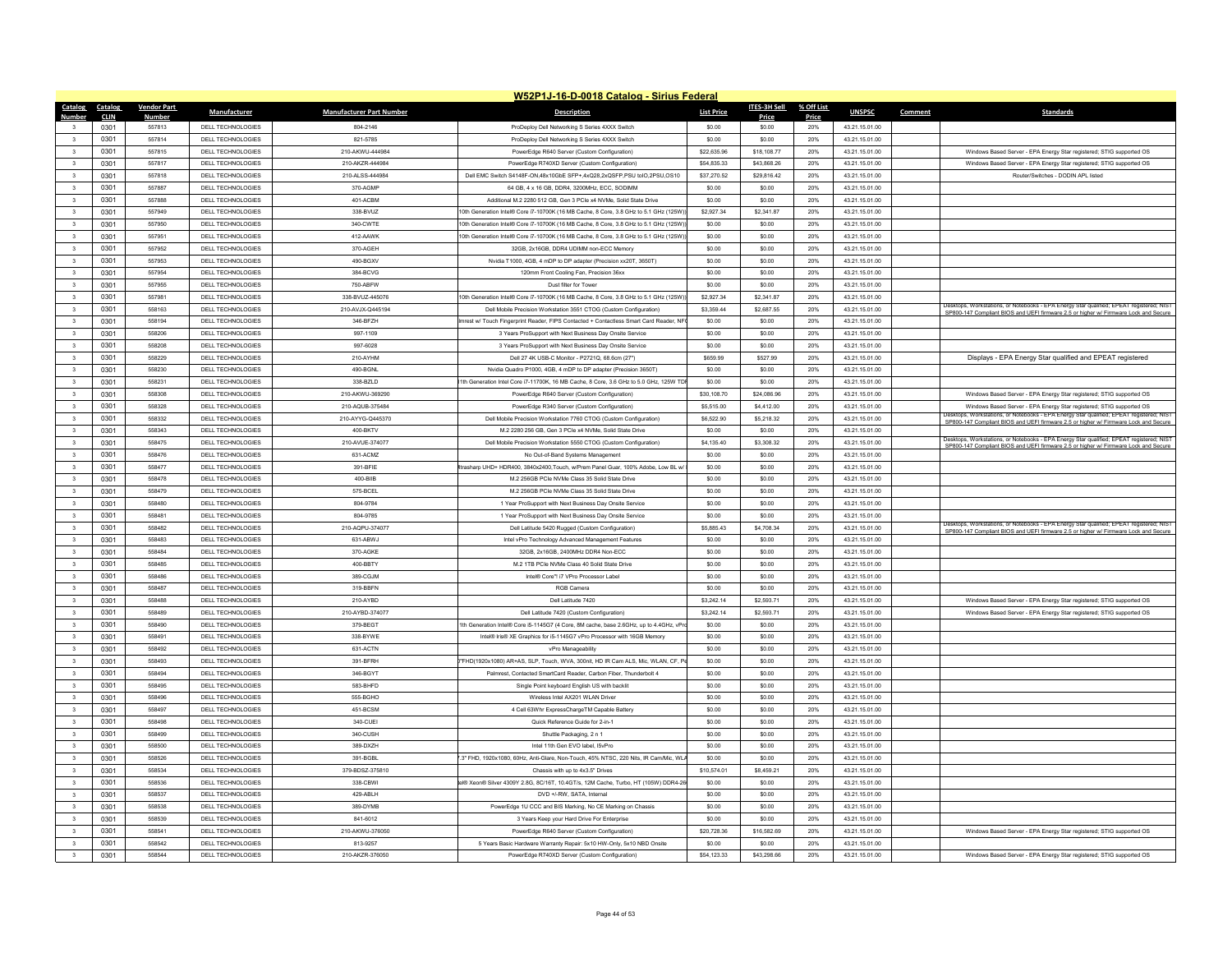|                         |             |                    |                                        |                                    | W52P1J-16-D-0018 Catalog - Sirius Federal                                                                                 |                            |                            |            |                                  |         |                                                                                                                                                                                  |
|-------------------------|-------------|--------------------|----------------------------------------|------------------------------------|---------------------------------------------------------------------------------------------------------------------------|----------------------------|----------------------------|------------|----------------------------------|---------|----------------------------------------------------------------------------------------------------------------------------------------------------------------------------------|
| Catalog                 | Catalog     | <b>Vendor Part</b> | <b>Manufacturer</b>                    | <b>Manufacturer Part Number</b>    | <b>Description</b>                                                                                                        | <b>List Price</b>          | ITES-3H Sell               | % Off List | <b>UNSPSC</b>                    | Comment | <b>Standards</b>                                                                                                                                                                 |
| Number                  | <b>CLIN</b> | <b>Number</b>      |                                        |                                    |                                                                                                                           |                            | Price                      | Price      |                                  |         |                                                                                                                                                                                  |
|                         | 0301        | 557813             | DELL TECHNOLOGIES                      | 804-2146                           | ProDeploy Dell Networking S Series 4XXX Switch                                                                            | \$0.00                     | \$0.00                     | 20%        | 43.21.15.01.00                   |         |                                                                                                                                                                                  |
|                         | 0301        | 557814             | DELL TECHNOLOGIES                      | 821-5785                           | ProDeploy Dell Networking S Series 4XXX Switch                                                                            | \$0.00                     | \$0.00                     | 20%        | 43 21 15 01 00                   |         |                                                                                                                                                                                  |
| $\overline{\mathbf{3}}$ | 0301        | 557815             | <b>DELL TECHNOLOGIES</b>               | 210-AKWU-444984                    | PowerEdge R640 Server (Custom Configuration)                                                                              | \$22,635.96                | \$18,108.77                | 20%        | 43.21.15.01.00                   |         | Windows Based Server - EPA Energy Star registered; STIG supported OS                                                                                                             |
| $\overline{\mathbf{3}}$ | 0301        | 557817<br>557818   | DELL TECHNOLOGIES<br>DELL TECHNOLOGIES | 210-AKZR-444984<br>210-ALSS-444984 | PowerEdge R740XD Server (Custom Configuration)<br>Dell EMC Switch S4148E-ON 48x10GbE SEP+ 4x028 2x0SEP PSU tolO 2PSU OS10 | \$54,835.33<br>\$37,270.52 | \$43,868.26<br>\$29,816.42 | 20%<br>20% | 43.21.15.01.00<br>43 21 15 01 00 |         | Windows Based Server - EPA Energy Star registered; STIG supported OS<br>Router/Switches - DODIN API lister                                                                       |
| $\overline{3}$          | 0301        |                    |                                        |                                    |                                                                                                                           |                            |                            |            |                                  |         |                                                                                                                                                                                  |
| $\mathbf{3}$            | 0301        | 557887             | <b>DELL TECHNOLOGIES</b>               | 370-AGMF                           | 64 GB, 4 x 16 GB, DDR4, 3200MHz, ECC, SODIMM                                                                              | \$0.00                     | \$0.00                     | 20%        | 43.21.15.01.00                   |         |                                                                                                                                                                                  |
| $\overline{\mathbf{3}}$ | 0301        | 557888             | <b>DELL TECHNOLOGIES</b>               | 401-ACBN                           | Additional M.2 2280 512 GB. Gen 3 PCle x4 NVMe. Solid State Drive                                                         | \$0.00                     | \$0.00                     | 20%        | 43.21.15.01.00                   |         |                                                                                                                                                                                  |
| $\mathbf{3}$            | 0301        | 557949             | DELL TECHNOLOGIES                      | 338-BVUZ                           | 0th Generation Intel® Core i7-10700K (16 MB Cache, 8 Core, 3.8 GHz to 5.1 GHz (125W)                                      | \$2,927.34                 | \$2,341.87                 | 20%        | 43 21 15 01 00                   |         |                                                                                                                                                                                  |
| 3                       | 0301        | 557950             | DELL TECHNOLOGIES                      | 340-CWTE                           | 0th Generation Intel® Core i7-10700K (16 MB Cache, 8 Core, 3.8 GHz to 5.1 GHz (125W                                       | \$0.00                     | \$0.00                     | 20%        | 43.21.15.01.00                   |         |                                                                                                                                                                                  |
| $\overline{\mathbf{3}}$ | 0301        | 557951             | <b>DELL TECHNOLOGIES</b>               | 412-AAWK                           | 10th Generation Intel® Core i7-10700K (16 MB Cache, 8 Core, 3.8 GHz to 5.1 GHz (125W                                      | \$0.00                     | \$0.00                     | 20%        | 43.21.15.01.00                   |         |                                                                                                                                                                                  |
| $\overline{\mathbf{3}}$ | 0301        | 557952             | DELL TECHNOLOGIES                      | 370-AGEH                           | 32GB, 2x16GB, DDR4 UDIMM non-ECC Memor                                                                                    | \$0.00                     | \$0.00                     | 20%        | 43.21.15.01.00                   |         |                                                                                                                                                                                  |
| $\mathbf{3}$            | 0301        | 557953             | DELL TECHNOLOGIES                      | 490-BGXV                           | Nvidia T1000, 4GB, 4 mDP to DP adapter (Precision xx20T, 3650T                                                            | \$0.00                     | \$0.00                     | 20%        | 43 21 15 01 00                   |         |                                                                                                                                                                                  |
| $\overline{\mathbf{3}}$ | 0301        | 557954             | <b>DELL TECHNOLOGIES</b>               | 384-BCVG                           | 120mm Front Cooling Fan, Precision 36xx                                                                                   | \$0.00                     | \$0.00                     | 20%        | 43.21.15.01.00                   |         |                                                                                                                                                                                  |
| $\overline{\mathbf{3}}$ | 0301        | 557955             | DELL TECHNOLOGIES                      | 750-ABFW                           | Dust filter for Towe                                                                                                      | \$0.00                     | \$0.00                     | 20%        | 43.21.15.01.00                   |         |                                                                                                                                                                                  |
| $\overline{3}$          | 0301        | 557981             | DELL TECHNOLOGIES                      | 338-BVUZ-445076                    | 0th Generation Intel® Core i7-10700K (16 MB Cache, 8 Core, 3 8 GHz to 5 1 GHz (125W)                                      | \$2,927.34                 | \$2,341.87                 | 20%        | 43 21 15 01 00                   |         | Desktops, Workstations, or Notebooks - EPA Energy Star qualified; EPEAT registered; NIST                                                                                         |
| $\overline{3}$          | 0301        | 558163             | <b>DELL TECHNOLOGIES</b>               | 210-AVJX-Q445194                   | Dell Mobile Precision Workstation 3551 CTOG (Custom Configuration                                                         | \$3,359.44                 | \$2,687.55                 | 20%        | 43.21.15.01.00                   |         | SP800-147 Compliant BIOS and UEFI firmware 2.5 or higher w/ Firmware Lock and Secure                                                                                             |
|                         | 0301        | 558194             | <b>DELL TECHNOLOGIES</b>               | 346-BFZH                           | vrest w/ Touch Fingerprint Reader, FIPS Contacted + Contactless Smart Card Reader, NF                                     | \$0.00                     | \$0.00                     | 20%        | 43.21.15.01.00                   |         |                                                                                                                                                                                  |
| $\mathbf{3}$            | 0301        | 558206             | DELL TECHNOLOGIES                      | 997-1109                           | 3 Years ProSupport with Next Business Day Onsite Service                                                                  | \$0.00                     | \$0.00                     | 20%        | 43 21 15 01 00                   |         |                                                                                                                                                                                  |
| $\overline{3}$          | 0301        | 558208             | <b>DELL TECHNOLOGIES</b>               | 997-6028                           | 3 Years ProSupport with Next Business Day Onsite Service                                                                  | \$0.00                     | \$0.00                     | 20%        | 43.21.15.01.00                   |         |                                                                                                                                                                                  |
| $\overline{\mathbf{3}}$ | 0301        | 558229             | <b>DELL TECHNOLOGIES</b>               | 210-AYHN                           | Dell 27 4K USB-C Monitor - P2721Q, 68,6cm (27")                                                                           | \$659.99                   | \$527.99                   | 20%        | 43.21.15.01.00                   |         | Displays - EPA Energy Star qualified and EPEAT registered                                                                                                                        |
| $\overline{\mathbf{3}}$ | 0301        | 558230             | <b>DELL TECHNOLOGIES</b>               | 490-BGNI                           | Nvidia Quadro P1000, 4GB, 4 mDP to DP adapter (Precision 3650T)                                                           | \$0.00                     | \$0.00                     | 20%        | 43.21.15.01.00                   |         |                                                                                                                                                                                  |
| $\mathbf{3}$            | 0301        | 558231             | DELL TECHNOLOGIES                      | 338-B7LD                           | 1th Generation Intel Core i7-11700K 16 MB Cache, 8 Core, 3.6 GHz to 5.0 GHz, 125W TD                                      | \$0.00                     | \$0.00                     | 20%        | 43 21 15 01 00                   |         |                                                                                                                                                                                  |
| $\overline{\mathbf{3}}$ | 0301        | 558308             | <b>DELL TECHNOLOGIES</b>               | 210-AKWU-369290                    | PowerEdge R640 Server (Custom Configuration)                                                                              | \$30,108.70                | \$24.086.96                | 20%        | 43.21.15.01.00                   |         | Windows Based Server - EPA Energy Star registered; STIG supported OS                                                                                                             |
| $\overline{\mathbf{3}}$ | 0301        | 558328             | DELL TECHNOLOGIES                      | 210-AQUB-375484                    | PowerEdge R340 Server (Custom Configuration)                                                                              | \$5,515.00                 | \$4,412.00                 | 20%        | 43.21.15.01.00                   |         | Windows Based Server - EPA Energy Star registered; STIG supported OS                                                                                                             |
| $\mathbf{R}$            | 0301        | 558332             | DELL TECHNOLOGIES                      | 210-AYYG-Q445370                   | Dell Mobile Precision Workstation 7760 CTOG (Custom Configuration)                                                        | \$6,522.90                 | \$5 218 32                 | 20%        | 43 21 15 01 00                   |         | Desktops, Workstations, or Notebooks - EPA Energy Star qualified; EPEAT registered; NIST<br>SP800-147 Compliant BIOS and UEFI firmware 2.5 or higher w/ Firmware Lock and Secure |
| $\mathbf{3}$            | 0301        | 558343             | <b>DELL TECHNOLOGIES</b>               | 400-BKTV                           | M.2 2280 256 GB. Gen 3 PCle x4 NVMe. Solid State Drive                                                                    | \$0.00                     | \$0.00                     | 20%        | 43.21.15.01.00                   |         |                                                                                                                                                                                  |
| $\overline{\mathbf{3}}$ | 0301        | 558475             | <b>DELL TECHNOLOGIES</b>               | 210-AVUE-37407                     | Dell Mobile Precision Workstation 5550 CTOG (Custom Configuration)                                                        | \$4,135.40                 | \$3,308.32                 | 20%        | 43.21.15.01.00                   |         | Desktops, Workstations, or Notebooks - EPA Energy Star qualified; EPEAT registered; NIST<br>SP800-147 Compliant BIOS and UEFI firmware 2.5 or higher w/ Firmware Lock and Secure |
| $\mathbf{R}$            | 0301        | 558476             | DELL TECHNOLOGIES                      | 631-ACMZ                           | No Out-of-Band Systems Management                                                                                         | \$0.00                     | \$0.00                     | 20%        | 43 21 15 01 00                   |         |                                                                                                                                                                                  |
| $\mathbf{3}$            | 0301        | 558477             | DELL TECHNOLOGIES                      | 391-BFIE                           | rasharp UHD+ HDR400, 3840x2400. Touch, w/Prem Panel Guar, 100% Adobe, Low BL w                                            | \$0.00                     | \$0.00                     | 20%        | 43.21.15.01.00                   |         |                                                                                                                                                                                  |
| $\overline{\mathbf{3}}$ | 0301        | 558478             | <b>DELL TECHNOLOGIES</b>               | 400-BIIE                           | M.2 256GB PCIe NVMe Class 35 Solid State Drive                                                                            | \$0.00                     | \$0.00                     | 20%        | 43.21.15.01.00                   |         |                                                                                                                                                                                  |
| $\mathbf{3}$            | 0301        | 558479             | DELL TECHNOLOGIES                      | 575-BCEL                           | M.2 256GB PCIe NVMe Class 35 Solid State Drive                                                                            | \$0.00                     | \$0.00                     | 20%        | 43.21.15.01.00                   |         |                                                                                                                                                                                  |
| $\mathbf{3}$            | 0301        | 558480             | DELL TECHNOLOGIES                      | 804-9784                           | 1 Year ProSupport with Next Business Day Onsite Service                                                                   | \$0.00                     | \$0.00                     | 20%        | 43 21 15 01 00                   |         |                                                                                                                                                                                  |
| $\overline{\mathbf{3}}$ | 0301        | 558481             | <b>DELL TECHNOLOGIES</b>               | 804-9785                           | 1 Year ProSupport with Next Business Day Onsite Service                                                                   | \$0.00                     | \$0.00                     | 20%        | 43.21.15.01.00                   |         |                                                                                                                                                                                  |
| $\mathbf{3}$            | 0301        | 558482             | DELL TECHNOLOGIES                      | 210-AQPU-374077                    | Dell Latitude 5420 Rugged (Custom Configuration)                                                                          | \$5,885.43                 | \$4,708.34                 | 20%        | 43.21.15.01.00                   |         | Desktops, Workstations, or Notebooks - EPA Energy Star qualified: EPEAT registered: NIST<br>SP800-147 Compliant BIOS and UEFI firmware 2.5 or higher w/ Firmware Lock and Secure |
| $\mathbf{3}$            | 0301        | 558483             | DELL TECHNOLOGIES                      | 631-ARW.                           | Intel vPro Technology Advanced Management Features                                                                        | \$0.00                     | \$0.00                     | 20%        | 43 21 15 01 00                   |         |                                                                                                                                                                                  |
| $\overline{3}$          | 0301        | 558484             | <b>DELL TECHNOLOGIES</b>               | 370-AGKE                           | 32GB, 2x16GB, 2400MHz DDR4 Non-ECC                                                                                        | \$0.00                     | \$0.00                     | 20%        | 43.21.15.01.00                   |         |                                                                                                                                                                                  |
|                         | 0301        | 558485             | <b>DELL TECHNOLOGIES</b>               | 400-BBTY                           | M.2 1TB PCIe NVMe Class 40 Solid State Drive                                                                              | \$0.00                     | \$0.00                     | 20%        | 43.21.15.01.00                   |         |                                                                                                                                                                                  |
| $\mathbf{3}$            | 0301        | 558486             | DELL TECHNOLOGIES                      | 389-CG.IM                          | Intel® Core"! i7 VPro Processor Label                                                                                     | \$0.00                     | \$0.00                     | 20%        | 43 21 15 01 00                   |         |                                                                                                                                                                                  |
| $\overline{3}$          | 0301        | 558487             | <b>DELL TECHNOLOGIES</b>               | 319-BBFN                           | <b>RGB Camera</b>                                                                                                         | \$0.00                     | \$0.00                     | 20%        | 43.21.15.01.00                   |         |                                                                                                                                                                                  |
| $\overline{\mathbf{3}}$ | 0301        | 558488             | <b>DELL TECHNOLOGIES</b>               | 210-AYBD                           | Dell Latitude 7420                                                                                                        | \$3,242.14                 | \$2,593.71                 | 20%        | 43.21.15.01.00                   |         | Windows Based Server - EPA Energy Star registered; STIG supported OS                                                                                                             |
| 3                       | 0301        | 558489             | <b>DELL TECHNOLOGIES</b>               | 210-AYBD-374077                    | Dell Latitude 7420 (Custom Configuration)                                                                                 | \$3,242.14                 | \$2,593.71                 | 20%        | 43.21.15.01.00                   |         | Windows Based Server - EPA Energy Star registered; STIG supported OS                                                                                                             |
| $\mathbf{R}$            | 0301        | 558490             | DELL TECHNOLOGIES                      | 379-BEGT                           | 1th Generation Intel® Core i5-1145G7 (4 Core, 8M cache, base 2.6GHz, up to 4.4GHz, vP                                     | \$0.00                     | \$0.00                     | 20%        | 43 21 15 01 00                   |         |                                                                                                                                                                                  |
| $\overline{\mathbf{3}}$ | 0301        | 558491             | <b>DELL TECHNOLOGIES</b>               | 338-BYWE                           | Intel® Iris® XE Graphics for i5-1145G7 vPro Processor with 16GB Memory                                                    | \$0.00                     | \$0.00                     | 20%        | 43.21.15.01.00                   |         |                                                                                                                                                                                  |
| $\overline{\mathbf{3}}$ | 0301        | 558492             | <b>DELL TECHNOLOGIES</b>               | 631-ACTN                           | vPro Manageability                                                                                                        | \$0.00                     | \$0.00                     | 20%        | 43.21.15.01.00                   |         |                                                                                                                                                                                  |
| $\overline{a}$          | 0301        | 558493             | DELL TECHNOLOGIES                      | 391-BERH                           | "FHD(1920x1080) AR+AS SLP Touch WVA 300nit HD IR Cam ALS Mic WLAN CF I                                                    | \$0.00                     | \$0.00                     | 20%        | 43 21 15 01 00                   |         |                                                                                                                                                                                  |
| $\mathbf{3}$            | 0301        | 558494             | <b>DELL TECHNOLOGIES</b>               | 346-BGYT                           | Palmrest, Contacted SmartCard Reader, Carbon Fiber, Thunderbolt 4                                                         | \$0.00                     | \$0.00                     | 20%        | 43.21.15.01.00                   |         |                                                                                                                                                                                  |
| $\overline{\mathbf{3}}$ | 0301        | 558495             | <b>DELL TECHNOLOGIES</b>               | 583-BHFD                           | Single Point keyboard English US with backlit                                                                             | \$0.00                     | \$0.00                     | 20%        | 43.21.15.01.00                   |         |                                                                                                                                                                                  |
| $\mathbf{3}$            | 0301        | 558496             | DELL TECHNOLOGIES                      | 555-BGHO                           | Wireless Intel AX201 WI AN Drive                                                                                          | \$0.00                     | \$0.00                     | 20%        | 43 21 15 01 00                   |         |                                                                                                                                                                                  |
| 3                       | 0301        | 558497             | <b>DELL TECHNOLOGIES</b>               | 451-BCSM                           | 4 Cell 63Whr ExpressChargeTM Capable Battery                                                                              | \$0.00                     | \$0.00                     | 20%        | 43.21.15.01.00                   |         |                                                                                                                                                                                  |
| $\overline{\mathbf{3}}$ | 0301        | 558498             | <b>DELL TECHNOLOGIES</b>               | 340-CUEI                           | Quick Reference Guide for 2-in-1                                                                                          | \$0.00                     | \$0.00                     | 20%        | 43.21.15.01.00                   |         |                                                                                                                                                                                  |
| $\mathbf{R}$            | 0301        | 558499             | DELL TECHNOLOGIES                      | 340-CUSH                           | Shuttle Packaging, 2 n 1                                                                                                  | \$0.00                     | \$0.00                     | 20%        | 43.21.15.01.00                   |         |                                                                                                                                                                                  |
| $\mathbf{3}$            | 0301        | 558500             | DELL TECHNOLOGIES                      | 389-DX7H                           | Intel 11th Gen EVO label 15vPro                                                                                           | \$0.00                     | \$0.00                     | 20%        | 43 21 15 01 00                   |         |                                                                                                                                                                                  |
| $\overline{\mathbf{3}}$ | 0301        | 558526             | <b>DELL TECHNOLOGIES</b>               | 391-BGBL                           | 3" FHD, 1920x1080, 60Hz, Anti-Glare, Non-Touch, 45% NTSC, 220 Nits, IR Cam/Mic, WL                                        | \$0.00                     | \$0.00                     | 20%        | 43.21.15.01.00                   |         |                                                                                                                                                                                  |
| $\mathbf{3}$            | 0301        | 558534             | DELL TECHNOLOGIES                      | 379-BDSZ-375810                    | Chassis with up to 4x3.5" Drive                                                                                           | \$10,574.01                | S8 459 21                  | 20%        | 43.21.15.01.00                   |         |                                                                                                                                                                                  |
| $\mathbf{3}$            | 0301        | 558536             | DELL TECHNOLOGIES                      | 338-CBWI                           | al® Xeon® Silver 4309Y 2.8G, 8C/16T, 10.4GT/s, 12M Cache, Turbo, HT (105W) DDR4-26                                        | \$0.00                     | \$0.00                     | 20%        | 43 21 15 01 00                   |         |                                                                                                                                                                                  |
| $\overline{3}$          | 0301        | 558537             | DELL TECHNOLOGIES                      | 429-ABLH                           | DVD +/-RW SATA Internal                                                                                                   | \$0.00                     | \$0.00                     | 20%        | 43.21.15.01.00                   |         |                                                                                                                                                                                  |
|                         | 0301        | 558538             | DELL TECHNOLOGIES                      | 389-DYME                           | PowerEdge 1U CCC and BIS Marking, No CE Marking on Chassis                                                                | \$0.00                     | \$0.00                     | 20%        | 43.21.15.01.00                   |         |                                                                                                                                                                                  |
| $\mathbf{3}$            | 0301        | 558539             | DELL TECHNOLOGIES                      | 841-6012                           | 3 Years Keep your Hard Drive For Enterprise                                                                               | \$0.00                     | \$0.00                     | 20%        | 43 21 15 01 00                   |         |                                                                                                                                                                                  |
| $\mathbf{3}$            | 0301        | 558541             | <b>DELL TECHNOLOGIES</b>               | 210-AKWU-376050                    | PowerEdge R640 Server (Custom Configuration)                                                                              | \$20,728.36                | \$16,582.69                | 20%        | 43.21.15.01.00                   |         | Windows Based Server - EPA Energy Star registered; STIG supported OS                                                                                                             |
|                         | 0301        | 558542             | DELL TECHNOLOGIES                      | 813-9257                           | 5 Years Basic Hardware Warranty Repair: 5x10 HW-Only, 5x10 NBD Onsite                                                     | \$0.00                     | \$0.00                     | 20%        | 43.21.15.01.00                   |         |                                                                                                                                                                                  |
| $\mathbf{3}$            | 0301        | 558544             | DELL TECHNOLOGIES                      | 210-AK7R-376050                    | PowerEdge R740XD Server (Custom Configuration)                                                                            | \$54 123 33                | \$43,298.66                | 20%        | 43 21 15 01 00                   |         | Windows Based Server - EPA Energy Star registered; STIG supported OS                                                                                                             |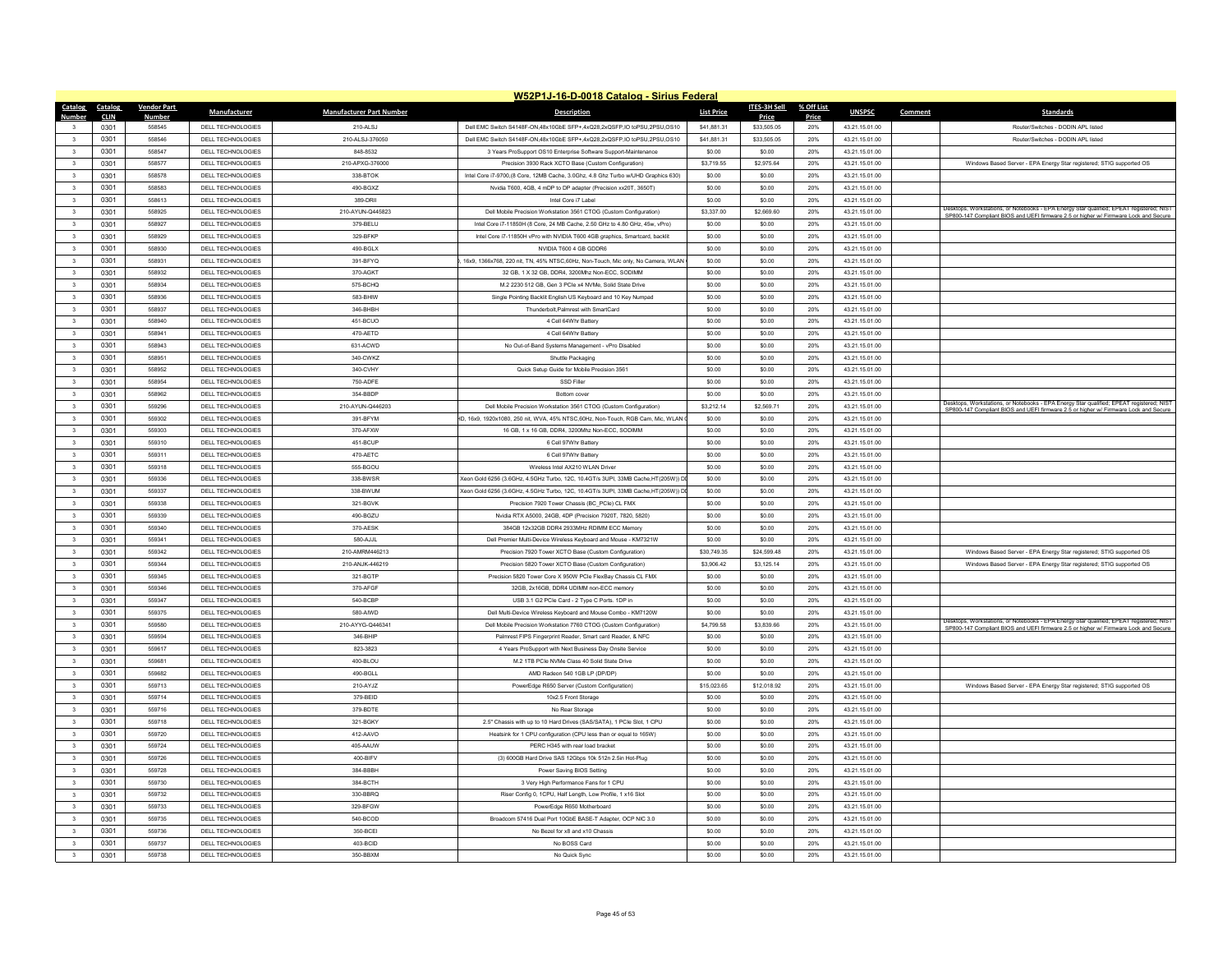|                                                    |              |                    |                                               |                                 | W52P1J-16-D-0018 Catalog - Sirius Federal                                         |                   |                  |            |                                  |         |                                                                                                                                                                               |
|----------------------------------------------------|--------------|--------------------|-----------------------------------------------|---------------------------------|-----------------------------------------------------------------------------------|-------------------|------------------|------------|----------------------------------|---------|-------------------------------------------------------------------------------------------------------------------------------------------------------------------------------|
| Catalog                                            | Catalog      | <b>Vendor Part</b> | <b>Manufacturer</b>                           | <b>Manufacturer Part Number</b> | <b>Description</b>                                                                | <b>List Price</b> | ITES-3H Sell     | % Off List | <b>UNSPSC</b>                    | Comment | <b>Standards</b>                                                                                                                                                              |
| Number                                             | <b>CLIN</b>  | <b>Number</b>      |                                               |                                 |                                                                                   |                   | Price            | Price      |                                  |         |                                                                                                                                                                               |
|                                                    | 0301         | 558545             | DELL TECHNOLOGIES                             | 210-ALS.I                       | Dell EMC Switch S4148E-ON 48x10GbE SEP+ 4x028 2x0SEP IO toPSU 2PSU OS10           | \$41,881.31       | \$33,505.05      | 20%        | 43.21.15.01.00                   |         | Router/Switches - DODIN APL listed                                                                                                                                            |
| $\overline{\mathbf{a}}$                            | 0301         | 558546             | DELL TECHNOLOGIES                             | 210-ALS 1-376050                | Dell EMC Switch S4148E-ON 48x10GbE SEP+ 4x028 2x0SEP IO toPSU 2PSU OS10           | \$41,881.31       | \$33,505.05      | 20%        | 43 21 15 01 00                   |         | Router/Switches - DODIN API listed                                                                                                                                            |
| $\overline{\mathbf{3}}$                            | 0301         | 558547             | <b>DELL TECHNOLOGIES</b>                      | 848-8532                        | 3 Years ProSupport OS10 Enterprise Software Support-Maintenance                   | \$0.00            | \$0.00           | 20%        | 43.21.15.01.00                   |         |                                                                                                                                                                               |
| $\overline{\mathbf{3}}$                            | 0301         | 558577             | DELL TECHNOLOGIES                             | 210-APXG-376000                 | Precision 3930 Rack XCTO Base (Custom Configuration)                              | \$3,719.55        | \$2,975.64       | 20%        | 43.21.15.01.00                   |         | Windows Based Server - EPA Energy Star registered; STIG supported OS                                                                                                          |
| $\overline{3}$                                     | 0301         | 558578             | DELL TECHNOLOGIES                             | 338-BTOK                        | Intel Core i7-9700 (8 Core 12MB Cache 3 0Ghz 4 8 Ghz Turbo w/UHD Graphics 630)    | \$0.00            | \$0.00           | 20%        | 43 21 15 01 00                   |         |                                                                                                                                                                               |
| $\mathbf{3}$                                       | 0301         | 558583             | <b>DELL TECHNOLOGIES</b>                      | 490-BGXZ                        | Nvidia T600, 4GB, 4 mDP to DP adapter (Precision xx20T, 3650T)                    | \$0.00            | \$0.00           | 20%        | 43.21.15.01.00                   |         |                                                                                                                                                                               |
| $\overline{\mathbf{3}}$                            | 0301         | 558613             | DELL TECHNOLOGIES                             | 389-DRI                         | Intel Core i7 Labe                                                                | \$0.00            | \$0.00           | 20%        | 43.21.15.01.00                   |         | Desktops, Workstations, or Notebooks - EPA Energy Star qualified; EPEAT registered; NIST                                                                                      |
| $\mathbf{3}$                                       | 0301         | 558925             | DELL TECHNOLOGIES                             | 210-AYUN-0445823                | Dell Mobile Precision Workstation 3561 CTOG (Custom Configuration)                | \$3,337.00        | \$2,669.60       | 20%        | 43 21 15 01 00                   |         | SP800-147 Compliant BIOS and UEFI firmware 2.5 or higher w/ Firmware Lock and Secure                                                                                          |
| 3                                                  | 0301         | 558927             | <b>DELL TECHNOLOGIES</b>                      | 379-BELU                        | Intel Core i7-11850H (8 Core, 24 MB Cache, 2.50 GHz to 4.80 GHz, 45w, vPro)       | \$0.00            | \$0.00           | 20%        | 43.21.15.01.00                   |         |                                                                                                                                                                               |
| $\overline{\mathbf{3}}$                            | 0301         | 558929             | <b>DELL TECHNOLOGIES</b>                      | 329-BFKP                        | Intel Core i7-11850H vPro with NVIDIA T600 4GB graphics. Smartcard, backlit       | \$0.00            | \$0.00           | 20%        | 43.21.15.01.00                   |         |                                                                                                                                                                               |
| 3                                                  | 0301         | 558930             | DELL TECHNOLOGIES                             | 490-BGI X                       | NVIDIA T600 4 GB GDDR                                                             | \$0.00            | \$0.00           | 20%        | 43.21.15.01.00                   |         |                                                                                                                                                                               |
| $\mathbf{3}$                                       | 0301         | 558931             | DELL TECHNOLOGIES                             | 391-RFYO                        | 16x9 1366x768 220 nit TN 45% NTSC 60Hz Non-Touch Mic only No Camera WI AN         | \$0.00            | \$0.00           | 20%        | 43 21 15 01 00                   |         |                                                                                                                                                                               |
| $\overline{\mathbf{3}}$                            | 0301         | 558932             | DELL TECHNOLOGIES                             | 370-AGKT                        | 32 GB, 1 X 32 GB, DDR4, 3200Mhz Non-ECC, SODIMM                                   | \$0.00            | \$0.00           | 20%        | 43.21.15.01.00                   |         |                                                                                                                                                                               |
| $\overline{3}$                                     | 0301         | 558034             | DELL TECHNOLOGIES                             | 575-BCHO                        | M.2 2230 512 GB, Gen 3 PCle x4 NVMe, Solid State Drive                            | \$0.00            | \$0.00           | 20%        | 43.21.15.01.00                   |         |                                                                                                                                                                               |
| $\mathbf{3}$                                       | 0301         | 558936             | DELL TECHNOLOGIES                             | 583-BHIW                        | Single Pointing Backlif English US Keyhoard and 10 Key Numpad                     | \$0.00            | \$0.00           | 20%        | 43 21 15 01 00                   |         |                                                                                                                                                                               |
| $\overline{\mathbf{3}}$                            | 0301         | 558937             | DELL TECHNOLOGIES                             | 346-BHBH                        | Thunderbolt, Palmrest with SmartCard                                              | \$0.00            | \$0.00           | 20%        | 43.21.15.01.00                   |         |                                                                                                                                                                               |
| $\overline{\mathbf{3}}$                            | 0301         | 558940             | DELL TECHNOLOGIES                             | 451-BCUO                        | 4 Cell 64Whr Battery                                                              | \$0.00            | \$0.00           | 20%        | 43.21.15.01.00                   |         |                                                                                                                                                                               |
| $\mathbf{3}$                                       | 0301         | 558941             | DELL TECHNOLOGIES                             | 470-AFTD                        | 4 Cell 64Whr Battery                                                              | \$0.00            | \$0.00           | 20%        | 43 21 15 01 00                   |         |                                                                                                                                                                               |
| $\overline{\mathbf{3}}$                            | 0301         | 558943             | DELL TECHNOLOGIES                             | 631-ACWD                        | No Out-of-Band Systems Management - vPro Disabled                                 | \$0.00            | \$0.00           | 20%        | 43.21.15.01.00                   |         |                                                                                                                                                                               |
| $\overline{\mathbf{3}}$                            | 0301         | 558951             | DELL TECHNOLOGIES                             | 340-CWKZ                        | Shuttle Packaging                                                                 | \$0.00            | \$0.00           | 20%        | 43.21.15.01.00                   |         |                                                                                                                                                                               |
| $\overline{\mathbf{3}}$                            | 0301         | 558052             | <b>DELL TECHNOLOGIES</b>                      | 340-CVHY                        | Quick Setup Guide for Mobile Precision 3561                                       | SO OD             | \$0.00           | 20%        | 43.21.15.01.00                   |         |                                                                                                                                                                               |
| $\overline{\mathbf{3}}$                            | 0301         | 558954             | <b>DELL TECHNOLOGIES</b>                      | 750-ADFE                        | SSD Filler                                                                        | \$0.00            | \$0.00           | 20%        | 43.21.15.01.00                   |         |                                                                                                                                                                               |
| $\overline{\mathbf{3}}$                            | 0301         | 558962             | DELL TECHNOLOGIES                             | 354-BBDP                        | Bottom cove                                                                       | \$0.00            | \$0.00           | 20%        | 43.21.15.01.00                   |         |                                                                                                                                                                               |
| 3                                                  | 0301         | 559296             | DELL TECHNOLOGIES                             | 210-AYUN-Q446203                | Dell Mobile Precision Workstation 3561 CTOG (Custom Configuration)                | \$3,212.14        | \$2,569.71       | 20%        | 43.21.15.01.00                   |         | Desktops, Workstations, or Notebooks - EPA Energy Star qualified; EPEAT registered; NIST                                                                                      |
| $\mathbf{3}$                                       | 0301         | 559302             | <b>DELL TECHNOLOGIES</b>                      | 391-BFYM                        | ID. 16x9. 1920x1080. 250 nit. WVA. 45% NTSC.60Hz. Non-Touch. RGB Cam. Mic. WLAN   | \$0.00            | \$0.00           | 20%        | 43.21.15.01.00                   |         | SP800-147 Compliant BIOS and UEFI firmware 2.5 or higher w/ Firmware Lock and Secure                                                                                          |
| $\overline{\mathbf{3}}$                            | 0301         | 559303             | DELL TECHNOLOGIES                             | 370-AFXW                        | 16 GB, 1 x 16 GB, DDR4, 3200Mhz Non-ECC, SODIMM                                   | \$0.00            | \$0.00           | 20%        | 43.21.15.01.00                   |         |                                                                                                                                                                               |
|                                                    |              |                    |                                               |                                 |                                                                                   |                   |                  |            |                                  |         |                                                                                                                                                                               |
| $\overline{\mathbf{3}}$<br>$\overline{\mathbf{3}}$ | 0301<br>0301 | 559310<br>559311   | DELL TECHNOLOGIES<br><b>DELL TECHNOLOGIES</b> | 451-BCUP<br>470-AETC            | 6 Cell 97Whr Battery<br>6 Cell 97Whr Battery                                      | \$0.00<br>\$0.00  | \$0.00<br>\$0.00 | 20%<br>20% | 43.21.15.01.00<br>43.21.15.01.00 |         |                                                                                                                                                                               |
|                                                    |              | 559318             | <b>DELL TECHNOLOGIES</b>                      | 555-BGOU                        | Wireless Intel AX210 WLAN Drive                                                   | \$0.00            | \$0.00           |            |                                  |         |                                                                                                                                                                               |
| $\overline{\mathbf{3}}$                            | 0301         |                    |                                               |                                 |                                                                                   |                   |                  | 20%        | 43.21.15.01.00                   |         |                                                                                                                                                                               |
| $\overline{\mathbf{3}}$                            | 0301         | 559336             | DELL TECHNOLOGIES                             | 338-BWSR                        | (eon Gold 6256 (3.6GHz, 4.5GHz Turbo, 12C, 10.4GT/s 3UPI, 33MB Cache, HT(205W)) D | \$0.00            | \$0.00           | 20%        | 43.21.15.01.00                   |         |                                                                                                                                                                               |
| $\mathbf{3}$                                       | 0301         | 559337             | <b>DELL TECHNOLOGIES</b>                      | 338-BWUM                        | (eon Gold 6256 (3.6GHz, 4.5GHz Turbo, 12C, 10.4GT/s 3UPI, 33MB Cache.HT(205W)) D  | \$0.00            | \$0.00           | 20%        | 43.21.15.01.00                   |         |                                                                                                                                                                               |
| 3                                                  | 0301         | 559338             | <b>DELL TECHNOLOGIES</b>                      | 321-BGVK                        | Precision 7920 Tower Chassis (BC PCle) CL FMX                                     | \$0.00            | \$0.00           | 20%        | 43.21.15.01.00                   |         |                                                                                                                                                                               |
| $\overline{\mathbf{3}}$                            | 0301         | 559339             | DELL TECHNOLOGIES                             | 490-BGZU                        | Nvidia RTX A5000, 24GB, 4DP (Precision 7920T, 7820, 5820)                         | \$0.00            | \$0.00           | 20%        | 43.21.15.01.00                   |         |                                                                                                                                                                               |
| $\overline{3}$                                     | 0301         | 559340             | <b>DELL TECHNOLOGIES</b>                      | 370-AFSK                        | 384GB 12x32GB DDR4 2933MHz RDIMM ECC Memor                                        | \$0.00            | \$0.00           | 20%        | 43.21.15.01.00                   |         |                                                                                                                                                                               |
| 3                                                  | 0301         | 559341             | <b>DELL TECHNOLOGIES</b>                      | 580-AJJL                        | Dell Premier Multi-Device Wireless Keyboard and Mouse - KM7321W                   | \$0.00            | \$0.00           | 20%        | 43.21.15.01.00                   |         |                                                                                                                                                                               |
| $\overline{\mathbf{3}}$                            | 0301         | 559342             | <b>DELL TECHNOLOGIES</b>                      | 210-AMRM446213                  | Precision 7920 Tower XCTO Base (Custom Configuration)                             | \$30,749.35       | \$24,599.48      | 20%        | 43.21.15.01.00                   |         | Windows Based Server - EPA Energy Star registered; STIG supported OS                                                                                                          |
| $\overline{\mathbf{3}}$                            | 0301         | 559344             | DELL TECHNOLOGIES                             | 210-ANJK-446219                 | Precision 5820 Tower XCTO Base (Custom Configuration)                             | \$3,906.42        | \$3,125.14       | 20%        | 43.21.15.01.00                   |         | Windows Based Server - EPA Energy Star registered; STIG supported OS                                                                                                          |
| 3                                                  | 0301         | 559345             | <b>DELL TECHNOLOGIES</b>                      | 321-BGTP                        | Precision 5820 Tower Core X 950W PCIe FlexBay Chassis CL FMX                      | \$0.00            | \$0.00           | 20%        | 43.21.15.01.00                   |         |                                                                                                                                                                               |
| $\overline{\mathbf{3}}$                            | 0301         | 559346             | DELL TECHNOLOGIES                             | 370-AFGF                        | 32GB, 2x16GB, DDR4 UDIMM non-ECC memory                                           | \$0.00            | \$0.00           | 20%        | 43.21.15.01.00                   |         |                                                                                                                                                                               |
| $\overline{\mathbf{3}}$                            | 0301         | 559347             | DELL TECHNOLOGIES                             | 540-BCBP                        | USB 3.1 G2 PCle Card - 2 Type C Ports. 1DP in                                     | \$0.00            | \$0.00           | 20%        | 43.21.15.01.00                   |         |                                                                                                                                                                               |
| $\mathbf{3}$                                       | 0301         | 559375             | <b>DELL TECHNOLOGIES</b>                      | 580-AIWD                        | Dell Multi-Device Wireless Keyboard and Mouse Combo - KM7120W                     | \$0.00            | \$0.00           | 20%        | 43.21.15.01.00                   |         |                                                                                                                                                                               |
| $\overline{3}$                                     | 0301         | 559580             | <b>DELL TECHNOLOGIES</b>                      | 210-AYYG-Q44634                 | Dell Mobile Precision Workstation 7760 CTOG (Custom Configuration)                | \$4,799.58        | \$3,839.66       | 20%        | 43.21.15.01.00                   |         | Desktops, Workstations, or Notebooks - EPA Energy Star qualified; EPEAT registered; NIST<br>SP800-147 Compliant BIOS and UEFI firmware 2.5 or higher w/ Firmware Lock and Sec |
| $\overline{\mathbf{3}}$                            | 0301         | 559594             | DELL TECHNOLOGIES                             | 346-BHIP                        | Palmrest FIPS Fingerprint Reader, Smart card Reader, & NFC                        | \$0.00            | \$0.00           | 20%        | 43.21.15.01.00                   |         |                                                                                                                                                                               |
| $\overline{\mathbf{3}}$                            | 0301         | 559617             | DELL TECHNOLOGIES                             | 823-3823                        | 4 Years ProSupport with Next Business Day Onsite Service                          | \$0.00            | \$0.00           | 20%        | 43.21.15.01.00                   |         |                                                                                                                                                                               |
| $\mathbf{3}$                                       | 0301         | 559681             | <b>DELL TECHNOLOGIES</b>                      | 400-BLOU                        | M.2 1TB PCIe NVMe Class 40 Solid State Drive                                      | \$0.00            | \$0.00           | 20%        | 43.21.15.01.00                   |         |                                                                                                                                                                               |
| $\overline{\mathbf{3}}$                            | 0301         | 559682             | DELL TECHNOLOGIES                             | 490-BGLL                        | AMD Radeon 540 1GB LP (DP/DP)                                                     | \$0.00            | \$0.00           | 20%        | 43.21.15.01.00                   |         |                                                                                                                                                                               |
| $\overline{\mathbf{3}}$                            | 0301         | 559713             | DELL TECHNOLOGIES                             | 210-AYJZ                        | PowerEdge R650 Server (Custom Configuration)                                      | \$15,023.65       | \$12,018.92      | 20%        | 43.21.15.01.00                   |         | Windows Based Server - EPA Energy Star registered; STIG supported OS                                                                                                          |
| $\overline{3}$                                     | 0301         | 559714             | <b>DELL TECHNOLOGIES</b>                      | 379-BEID                        | 10x2.5 Front Storage                                                              | \$0.00            | \$0.00           | 20%        | 43.21.15.01.00                   |         |                                                                                                                                                                               |
| $\overline{\mathbf{3}}$                            | 0301         | 559716             | <b>DELL TECHNOLOGIES</b>                      | 379-BDTE                        | No Rear Storage                                                                   | \$0.00            | \$0.00           | 20%        | 43.21.15.01.00                   |         |                                                                                                                                                                               |
| $\overline{\mathbf{3}}$                            | 0301         | 559718             | <b>DELL TECHNOLOGIES</b>                      | 321-BGKY                        | 2.5" Chassis with up to 10 Hard Drives (SAS/SATA), 1 PCle Slot, 1 CPU             | \$0.00            | \$0.00           | 20%        | 43.21.15.01.00                   |         |                                                                                                                                                                               |
| $\overline{3}$                                     | 0301         | 559720             | DELL TECHNOLOGIES                             | 412-AAVO                        | Heatsink for 1 CPU configuration (CPU less than or equal to 165W)                 | \$0.00            | \$0.00           | 20%        | 43 21 15 01 00                   |         |                                                                                                                                                                               |
| $\mathbf{3}$                                       | 0301         | 559724             | <b>DELL TECHNOLOGIES</b>                      | 405-AAUW                        | PERC H345 with rear load bracket                                                  | \$0.00            | \$0.00           | 20%        | 43.21.15.01.00                   |         |                                                                                                                                                                               |
| $\overline{\mathbf{3}}$                            | 0301         | 559726             | DELL TECHNOLOGIES                             | 400-BIFV                        | (3) 600GB Hard Drive SAS 12Gbps 10k 512n 2.5in Hot-Plug                           | \$0.00            | \$0.00           | 20%        | 43.21.15.01.00                   |         |                                                                                                                                                                               |
| $\overline{3}$                                     | 0301         | 559728             | DELL TECHNOLOGIES                             | 384-BBBH                        | Power Saving BIOS Setting                                                         | \$0.00            | \$0.00           | 20%        | 43 21 15 01 00                   |         |                                                                                                                                                                               |
| 3                                                  | 0301         | 559730             | <b>DELL TECHNOLOGIES</b>                      | 384-BCTH                        | 3 Very High Performance Fans for 1 CPU                                            | \$0.00            | \$0.00           | 20%        | 43.21.15.01.00                   |         |                                                                                                                                                                               |
| $\overline{\mathbf{3}}$                            | 0301         | 559732             | <b>DELL TECHNOLOGIES</b>                      | 330-BBRO                        | Riser Config 0, 1CPU, Half Length, Low Profile, 1 x16 Slot                        | \$0.00            | \$0.00           | 20%        | 43.21.15.01.00                   |         |                                                                                                                                                                               |
| $\ddot{\mathbf{z}}$                                | 0301         | 559733             | <b>DELL TECHNOLOGIES</b>                      | 329-BEGW                        | PowerEdge R650 Motherboard                                                        | \$0.00            | \$0.00           | 20%        | 43.21.15.01.00                   |         |                                                                                                                                                                               |
| -3.                                                | 0301         | 559735             | <b>DELL TECHNOLOGIES</b>                      | 540-BCOD                        | Broadcom 57416 Dual Port 10GbE BASE-T Adapter, OCP NIC 3.0                        | \$0.00            | \$0.00           | 20%        | 43.21.15.01.00                   |         |                                                                                                                                                                               |
| $\overline{\mathbf{3}}$                            | 0301         | 559736             | <b>DELL TECHNOLOGIES</b>                      | 350-BCEI                        | No Bezel for x8 and x10 Chassi                                                    | \$0.00            | \$0.00           | 20%        | 43.21.15.01.00                   |         |                                                                                                                                                                               |
|                                                    | 0301         | 559737             | DELL TECHNOLOGIES                             | 403-BCID                        | No BOSS Card                                                                      | \$0.00            | \$0.00           | 20%        | 43.21.15.01.00                   |         |                                                                                                                                                                               |
|                                                    |              | 559738             | DELL TECHNOLOGIES                             | 350-BBXM                        | No Quick Sync                                                                     | \$0.00            | \$0.00           | 20%        | 43 21 15 01 00                   |         |                                                                                                                                                                               |
| $\mathbf{3}$                                       | 0301         |                    |                                               |                                 |                                                                                   |                   |                  |            |                                  |         |                                                                                                                                                                               |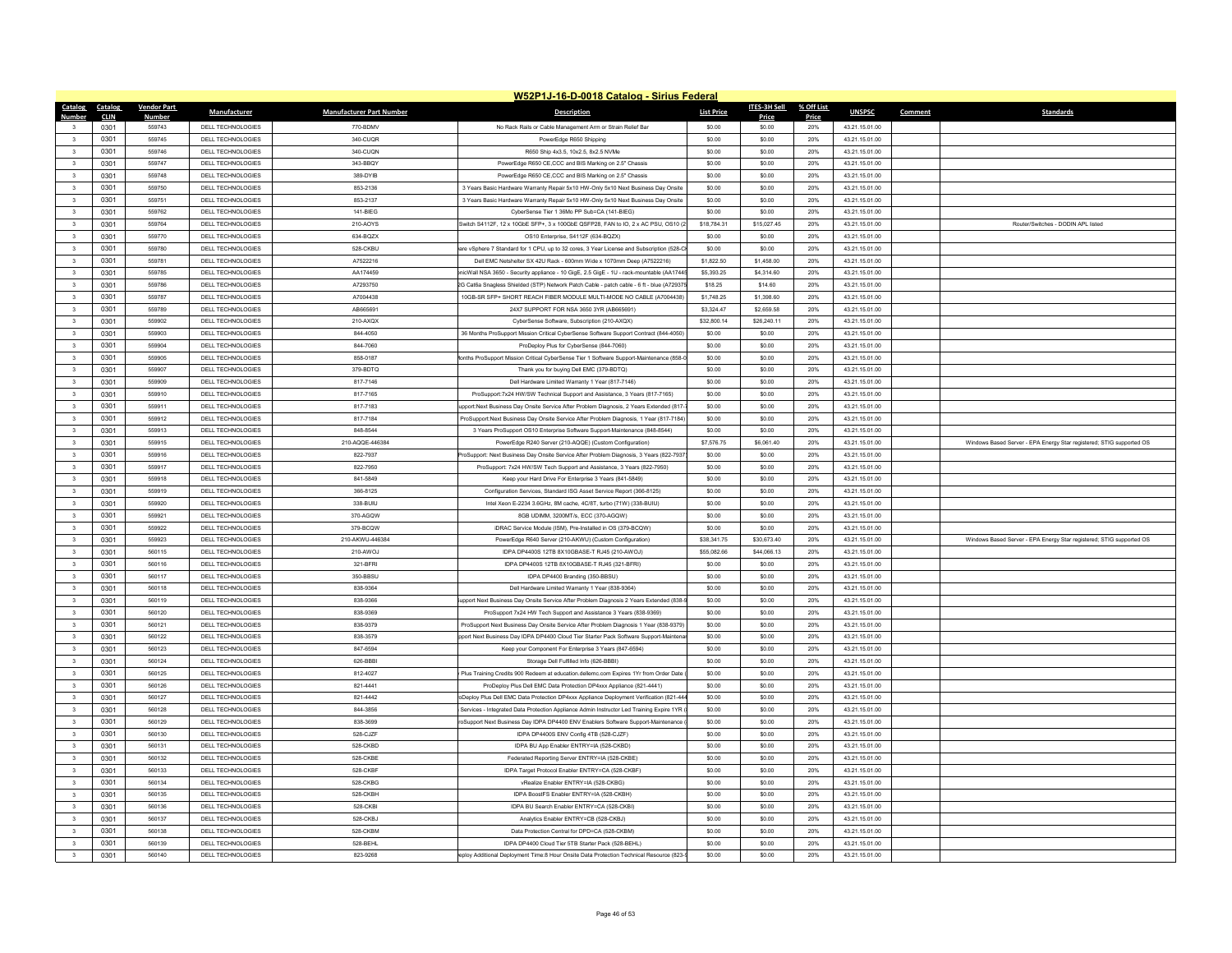|                                  |                    |                          |                                 | W52P1J-16-D-0018 Catalog - Sirius Federal                                                |                   |              |            |                |         |                                                                      |
|----------------------------------|--------------------|--------------------------|---------------------------------|------------------------------------------------------------------------------------------|-------------------|--------------|------------|----------------|---------|----------------------------------------------------------------------|
| Catalog<br>Catalog               | <b>Vendor Part</b> | <b>Manufacturer</b>      | <b>Manufacturer Part Number</b> | <b>Description</b>                                                                       | <b>List Price</b> | ITES-3H Sell | % Off List | <b>UNSPSC</b>  | Comment | <b>Standards</b>                                                     |
| <b>Number</b><br><b>CLIN</b>     | <b>Number</b>      |                          |                                 |                                                                                          |                   | Price        | Price      |                |         |                                                                      |
| 0301                             | 559743             | DELL TECHNOLOGIES        | 770-BDMV                        | No Rack Rails or Cable Management Arm or Strain Relief Bar                               | \$0.00            | \$0.00       | 20%        | 43.21.15.01.00 |         |                                                                      |
| 0301<br>$\mathbf{3}$             | 559745             | DELL TECHNOLOGIES        | 340-CUOR                        | PowerEdge R650 Shipping                                                                  | \$0.00            | \$0.00       | 20%        | 43 21 15 01 00 |         |                                                                      |
| $\overline{\mathbf{3}}$<br>0301  | 559746             | <b>DELL TECHNOLOGIES</b> | 340-CUQN                        | R650 Ship 4x3.5, 10x2.5, 8x2.5 NVMe                                                      | \$0.00            | \$0.00       | 20%        | 43.21.15.01.00 |         |                                                                      |
| $\overline{\mathbf{3}}$<br>0301  | 559747             | DELL TECHNOLOGIES        | 343-BBQY                        | PowerEdge R650 CE,CCC and BIS Marking on 2.5" Chassis                                    | \$0.00            | \$0.00       | 20%        | 43.21.15.01.00 |         |                                                                      |
| $\mathbf{3}$<br>0301             | 559748             | DELL TECHNOLOGIES        | 389-DYIB                        | PowerEdge R650 CE.CCC and BIS Marking on 2.5" Chassis                                    | \$0.00            | \$0.00       | 20%        | 43.21.15.01.00 |         |                                                                      |
| 0301<br>$\overline{\mathbf{3}}$  | 559750             | DELL TECHNOLOGIES        | 853-2136                        | 3 Years Basic Hardware Warranty Repair 5x10 HW-Only 5x10 Next Business Day Onsite        | \$0.00            | \$0.00       | 20%        | 43.21.15.01.00 |         |                                                                      |
| 0301<br>$\overline{\mathbf{3}}$  | 559751             | <b>DELL TECHNOLOGIES</b> | 853-2137                        | 3 Years Basic Hardware Warranty Repair 5x10 HW-Only 5x10 Next Business Day Onsite        | \$0.00            | \$0.00       | 20%        | 43.21.15.01.00 |         |                                                                      |
| 0301<br>$\mathbf{3}$             | 559762             | DELL TECHNOLOGIES        | 141-BIEG                        | CyberSense Tier 1.36Mo PP Sub=CA (141-BIEG)                                              | \$0.00            | \$0.00       | 20%        | 43.21.15.01.00 |         |                                                                      |
| 0301<br>$\overline{\mathbf{3}}$  | 559764             | DELL TECHNOLOGIES        | 210-AOYS                        | witch S4112F, 12 x 10GbE SFP+, 3 x 100GbE QSFP28, FAN to IO, 2 x AC PSU, OS10 (2         | \$18,784.31       | \$15,027.45  | 20%        | 43.21.15.01.00 |         | Router/Switches - DODIN APL listed                                   |
| $\overline{\mathbf{3}}$<br>0301  | 559770             | DELL TECHNOLOGIES        | 634-BQZX                        | OS10 Enterprise, S4112F (634-BQZX)                                                       | \$0.00            | \$0.00       | 20%        | 43.21.15.01.00 |         |                                                                      |
| 0301<br>$\overline{\mathbf{3}}$  | 559780             | DELL TECHNOLOGIES        | 528-CKBU                        | are vSphere 7 Standard for 1 CPU, up to 32 cores, 3 Year License and Subscription (528-0 | \$0.00            | \$0.00       | 20%        | 43.21.15.01.00 |         |                                                                      |
| 0301<br>$\overline{\mathbf{3}}$  | 559781             | DELL TECHNOLOGIES        | A7522216                        | Dell EMC Netshelter SX 42U Rack - 600mm Wide x 1070mm Deep (A7522216)                    | \$1,822.50        | \$1,458.00   | 20%        | 43 21 15 01 00 |         |                                                                      |
| $\overline{\mathbf{3}}$<br>0301  | 559785             | DELL TECHNOLOGIES        | AA174459                        | icWall NSA 3650 - Security appliance - 10 GigE, 2.5 GigE - 1U - rack-mountable (AA1744   | \$5,393.25        | \$4,314.60   | 20%        | 43.21.15.01.00 |         |                                                                      |
| $\overline{\mathbf{3}}$<br>0301  | 559786             | DELL TECHNOLOGIES        | A7293750                        | G Cat6a Snagless Shielded (STP) Network Patch Cable - patch cable - 6 ft - blue (A72937  | \$18.25           | \$14.60      | 20%        | 43.21.15.01.00 |         |                                                                      |
| 0301<br>$\overline{\mathbf{3}}$  | 559787             | DELL TECHNOLOGIES        | A7004438                        | 10GB-SR SEP+ SHORT REACH FIRER MODULE MULTI-MODE NO CABLE (A7004438)                     | \$1 748 25        | \$1,398.60   | 20%        | 43 21 15 01 00 |         |                                                                      |
| 0301<br>$\overline{\mathbf{3}}$  | 559789             | DELL TECHNOLOGIES        | AB665691                        | 24X7 SUPPORT FOR NSA 3650 3YR (AB665691)                                                 | \$3,324.47        | \$2,659.58   | 20%        | 43.21.15.01.00 |         |                                                                      |
| 0301<br>$\overline{\mathbf{3}}$  | 559902             | DELL TECHNOLOGIES        | 210-AXQX                        | CyberSense Software, Subscription (210-AXQX)                                             | \$32,800.14       | \$26,240.11  | 20%        | 43.21.15.01.00 |         |                                                                      |
| 0301<br>$\overline{\mathbf{3}}$  | 559903             | DELL TECHNOLOGIES        | 844-4050                        | 36 Months ProSupport Mission Critical CyberSense Software Support Contract (844-4050     | \$0.00            | \$0.00       | 20%        | 43 21 15 01 00 |         |                                                                      |
| $\overline{\mathbf{3}}$<br>0301  | 559904             | DELL TECHNOLOGIES        | 844-7060                        | ProDeploy Plus for CyberSense (844-7060)                                                 | \$0.00            | \$0.00       | 20%        | 43.21.15.01.00 |         |                                                                      |
| $\overline{\mathbf{3}}$<br>0301  | 559905             | DELL TECHNOLOGIES        | 858-0187                        | onths ProSupport Mission Critical CyberSense Tier 1 Software Support-Maintenance (858-   | \$0.00            | \$0.00       | 20%        | 43.21.15.01.00 |         |                                                                      |
| $\overline{\phantom{a}}$<br>0301 | 559907             | DELL TECHNOLOGIES        | 379-BDTQ                        | Thank you for buying Dell EMC (379-BDTQ)                                                 | \$0.00            | \$0.00       | 20%        | 43.21.15.01.00 |         |                                                                      |
| 0301<br>$\mathbf{3}$             | 559909             | DELL TECHNOLOGIES        | 817-7146                        | Dell Hardware Limited Warranty 1 Year (817-7146)                                         | \$0.00            | \$0.00       | 20%        | 43 21 15 01 00 |         |                                                                      |
| $\overline{\mathbf{3}}$<br>0301  | 559910             | <b>DELL TECHNOLOGIES</b> | 817-7165                        | ProSupport:7x24 HW/SW Technical Support and Assistance. 3 Years (817-7165)               | \$0.00            | \$0.00       | 20%        | 43.21.15.01.00 |         |                                                                      |
| 0301<br>$\overline{\mathbf{3}}$  | 559911             | DELL TECHNOLOGIES        | 817-7183                        | pport:Next Business Day Onsite Service After Problem Diagnosis, 2 Years Extended (817    | \$0.00            | \$0.00       | 20%        | 43.21.15.01.00 |         |                                                                      |
| 0301<br>$\mathbf{3}$             | 559912             | DELL TECHNOLOGIES        | 817-7184                        | ProSupport:Next Business Day Onsite Service After Problem Diagnosis, 1 Year (817-7184    | \$0.00            | \$0.00       | 20%        | 43.21.15.01.00 |         |                                                                      |
| $\overline{\mathbf{3}}$<br>0301  | 559913             | DELL TECHNOLOGIES        | 848-8544                        | 3 Years ProSupport OS10 Enterprise Software Support-Maintenance (848-8544)               | \$0.00            | \$0.00       | 20%        | 43.21.15.01.00 |         |                                                                      |
| 0301<br>$\overline{\mathbf{3}}$  | 559915             | <b>DELL TECHNOLOGIES</b> | 210-AQQE-446384                 | PowerEdge R240 Server (210-AQQE) (Custom Configuration)                                  | \$7,576.75        | \$6,061.40   | 20%        | 43.21.15.01.00 |         |                                                                      |
| $\mathbf{3}$<br>0301             | 559916             | DELL TECHNOLOGIES        | 822-7937                        | roSupport: Next Business Day Onsite Service After Problem Diagnosis, 3 Years (822-793    | \$0.00            | \$0.00       | 20%        | 43.21.15.01.00 |         | Windows Based Server - EPA Energy Star registered; STIG supported OS |
| 0301                             | 559917             | DELL TECHNOLOGIES        |                                 | ProSupport: 7x24 HW/SW Tech Support and Assistance. 3 Years (822-7950)                   |                   |              |            | 43.21.15.01.00 |         |                                                                      |
| $\mathbf{3}$                     |                    |                          | 822-7950                        |                                                                                          | \$0.00            | \$0.00       | 20%        |                |         |                                                                      |
| $\overline{\mathbf{3}}$<br>0301  | 559918             | DELL TECHNOLOGIES        | 841-5849                        | Keep your Hard Drive For Enterprise 3 Years (841-5849)                                   | \$0.00            | \$0.00       | 20%        | 43.21.15.01.00 |         |                                                                      |
| $\overline{\mathbf{3}}$<br>0301  | 559919             | DELL TECHNOLOGIES        | 366-8125                        | Configuration Services, Standard ISG Asset Service Report (366-8125)                     | \$0.00            | \$0.00       | 20%        | 43.21.15.01.00 |         |                                                                      |
| 0301<br>$\overline{\mathbf{3}}$  | 559920             | DELL TECHNOLOGIES        | 338-BUILL                       | Intel Xeon E-2234 3.6GHz. 8M cache. 4C/8T. turbo (71W) (338-BUIU)                        | \$0.00            | \$0.00       | 20%        | 43 21 15 01 00 |         |                                                                      |
| $\overline{\mathbf{3}}$<br>0301  | 559921             | DELL TECHNOLOGIES        | 370-AGOW                        | 8GB UDIMM, 3200MT/s, ECC (370-AGQW)                                                      | \$0.00            | \$0.00       | 20%        | 43.21.15.01.00 |         |                                                                      |
| $\overline{\mathbf{3}}$<br>0301  | 559922             | DELL TECHNOLOGIES        | 379-BCQW                        | iDRAC Service Module (ISM), Pre-Installed in OS (379-BCQW)                               | \$0.00            | \$0.00       | 20%        | 43.21.15.01.00 |         |                                                                      |
| 0301<br>$\overline{\mathbf{3}}$  | 559923             | DELL TECHNOLOGIES        | 210-AKWLI-446384                | PowerEdge R640 Server (210-AKWU) (Custom Configuration)                                  | \$38,341.75       | \$30,673.40  | 20%        | 43.21.15.01.00 |         | Windows Based Server - EPA Energy Star registered: STIG supported OS |
| $_{3}$<br>0301                   | 560115             | DELL TECHNOLOGIES        | 210-AWOJ                        | IDPA DP4400S 12TB 8X10GBASE-T RJ45 (210-AWOJ)                                            | \$55,082.66       | \$44,066.13  | 20%        | 43.21.15.01.00 |         |                                                                      |
| 0301<br>$\overline{\mathbf{3}}$  | 560116             | <b>DELL TECHNOLOGIES</b> | 321-BFRI                        | IDPA DP4400S 12TB 8X10GBASE-T RJ45 (321-BFRI)                                            | \$0.00            | \$0.00       | 20%        | 43.21.15.01.00 |         |                                                                      |
| 0301<br>$\overline{\mathbf{3}}$  | 560117             | DELL TECHNOLOGIES        | 350-BBSU                        | IDPA DP4400 Branding (350-BBSU)                                                          | \$0.00            | \$0.00       | 20%        | 43 21 15 01 00 |         |                                                                      |
| $\overline{\mathbf{3}}$<br>0301  | 560118             | <b>DELL TECHNOLOGIES</b> | 838-9364                        | Dell Hardware Limited Warranty 1 Year (838-9364)                                         | \$0.00            | \$0.00       | 20%        | 43.21.15.01.00 |         |                                                                      |
| $\overline{\mathbf{3}}$<br>0301  | 560119             | DELL TECHNOLOGIES        | 838-9366                        | upport Next Business Day Onsite Service After Problem Diagnosis 2 Years Extended (838-   | \$0.00            | \$0.00       | 20%        | 43.21.15.01.00 |         |                                                                      |
| $\overline{\mathbf{3}}$<br>0301  | 560120             | DELL TECHNOLOGIES        | 838-9369                        | ProSupport 7x24 HW Tech Support and Assistance 3 Years (838-9369)                        | \$0.00            | \$0.00       | 20%        | 43.21.15.01.00 |         |                                                                      |
| 0301<br>$\mathbf{3}$             | 560121             | DELL TECHNOLOGIES        | 838-9379                        | ProSupport Next Business Dav Onsite Service After Problem Diagnosis 1 Year (838-9379     | \$0.00            | \$0.00       | 20%        | 43 21 15 01 00 |         |                                                                      |
| $\overline{\mathbf{3}}$<br>0301  | 560122             | <b>DELL TECHNOLOGIES</b> | 838-3579                        | port Next Business Day IDPA DP4400 Cloud Tier Starter Pack Software Support-Mainten      | \$0.00            | \$0.00       | 20%        | 43.21.15.01.00 |         |                                                                      |
| $\overline{\mathbf{3}}$<br>0301  | 560123             | DELL TECHNOLOGIES        | 847-6594                        | Keep your Component For Enterprise 3 Years (847-6594)                                    | \$0.00            | \$0.00       | 20%        | 43.21.15.01.00 |         |                                                                      |
| $\mathbf{3}$<br>0301             | 560124             | <b>DELL TECHNOLOGIES</b> | 626-BBBI                        | Storage Dell Fulfilled Info (626-BBBI                                                    | \$0.00            | \$0.00       | 20%        | 43.21.15.01.00 |         |                                                                      |
| 0301<br>$\overline{\mathbf{3}}$  | 560125             | DELL TECHNOLOGIES        | 812-4027                        | Plus Training Credits 900 Redeem at education.dellemc.com Expires 1Yr from Order Date    | \$0.00            | \$0.00       | 20%        | 43.21.15.01.00 |         |                                                                      |
| 0301<br>$\overline{\mathbf{3}}$  | 560126             | DELL TECHNOLOGIES        | 821-4441                        | ProDeploy Plus Dell EMC Data Protection DP4xxx Appliance (821-4441)                      | \$0.00            | \$0.00       | 20%        | 43.21.15.01.00 |         |                                                                      |
| $\mathbf{3}$<br>0301             | 560127             | DELL TECHNOLOGIES        | 821-4442                        | Deploy Plus Dell EMC Data Protection DP4xxx Appliance Deployment Verification (821-44    | \$0.00            | \$0.00       | 20%        | 43.21.15.01.00 |         |                                                                      |
| 0301<br>$\overline{\mathbf{3}}$  | 560128             | DELL TECHNOLOGIES        | 844-3856                        | Services - Integrated Data Protection Appliance Admin Instructor Led Training Expire 1YR | \$0.00            | \$0.00       | 20%        | 43.21.15.01.00 |         |                                                                      |
| $\overline{\mathbf{3}}$<br>0301  | 560129             | <b>DELL TECHNOLOGIES</b> | 838-3699                        | oSupport Next Business Day IDPA DP4400 ENV Enablers Software Support-Maintenance         | \$0.00            | \$0.00       | 20%        | 43.21.15.01.00 |         |                                                                      |
| $\overline{\mathbf{3}}$<br>0301  | 560130             | DELL TECHNOLOGIES        | 528-CJZF                        | IDPA DP4400S ENV Config 4TB (528-CJZF)                                                   | \$0.00            | \$0.00       | 20%        | 43.21.15.01.00 |         |                                                                      |
| 0301<br>$\mathbf{3}$             | 560131             | DELL TECHNOLOGIES        | 528-CKBD                        | IDPA BU App Enabler ENTRY=IA (528-CKBD)                                                  | \$0.00            | \$0.00       | 20%        | 43 21 15 01 00 |         |                                                                      |
| $\overline{\mathbf{3}}$<br>0301  | 560132             | DELL TECHNOLOGIES        | 528-CKBE                        | Federated Reporting Server ENTRY=IA (528-CKBE)                                           | \$0.00            | \$0.00       | 20%        | 43.21.15.01.00 |         |                                                                      |
| $\overline{\mathbf{3}}$<br>0301  | 560133             | DELL TECHNOLOGIES        | 528-CKBF                        | IDPA Target Protocol Enabler ENTRY=CA (528-CKBF)                                         | \$0.00            | \$0.00       | 20%        | 43.21.15.01.00 |         |                                                                      |
| 0301<br>$\overline{\mathbf{3}}$  | 560134             | DELL TECHNOLOGIES        | 528-CKBG                        | vRealize Enabler ENTRY=IA (528-CKBG)                                                     | \$0.00            | \$0.00       | 20%        | 43 21 15 01 00 |         |                                                                      |
| $_{3}$<br>0301                   | 560135             | DELL TECHNOLOGIES        | 528-CKBH                        | IDPA BoostFS Enabler ENTRY=IA (528-CKBH)                                                 | \$0.00            | \$0.00       | 20%        | 43.21.15.01.00 |         |                                                                      |
| 0301<br>$\overline{\mathbf{3}}$  | 560136             | <b>DELL TECHNOLOGIES</b> | 528-CKBI                        | IDPA BU Search Enabler ENTRY=CA (528-CKBI)                                               | \$0.00            | \$0.00       | 20%        | 43.21.15.01.00 |         |                                                                      |
| 0301<br>$\mathbf{3}$             | 560137             | DELL TECHNOLOGIES        | 528-CKBJ                        | Analytics Enabler ENTRY=CB (528-CKBJ)                                                    | \$0.00            | \$0.00       | 20%        | 43 21 15 01 00 |         |                                                                      |
| $\overline{3}$<br>0301           | 560138             | DELL TECHNOLOGIES        | 528-CKBM                        | Data Protection Central for DPD=CA (528-CKBM)                                            | \$0.00            | \$0.00       | 20%        | 43.21.15.01.00 |         |                                                                      |
| $\overline{\mathbf{3}}$          | 560139             | DELL TECHNOLOGIES        | 528-BEHL                        | IDPA DP4400 Cloud Tier 5TB Starter Pack (528-BEHL)                                       | \$0.00            | \$0.00       | 20%        | 43.21.15.01.00 |         |                                                                      |
| 0301                             |                    |                          |                                 |                                                                                          |                   |              |            |                |         |                                                                      |
| 0301<br>$\overline{\mathbf{3}}$  | 560140             | DELL TECHNOLOGIES        | 823-9268                        | eploy Additional Deployment Time:8 Hour Onsite Data Protection Technical Resource (823-  | \$0.00            | \$0.00       | 20%        | 43.21.15.01.00 |         |                                                                      |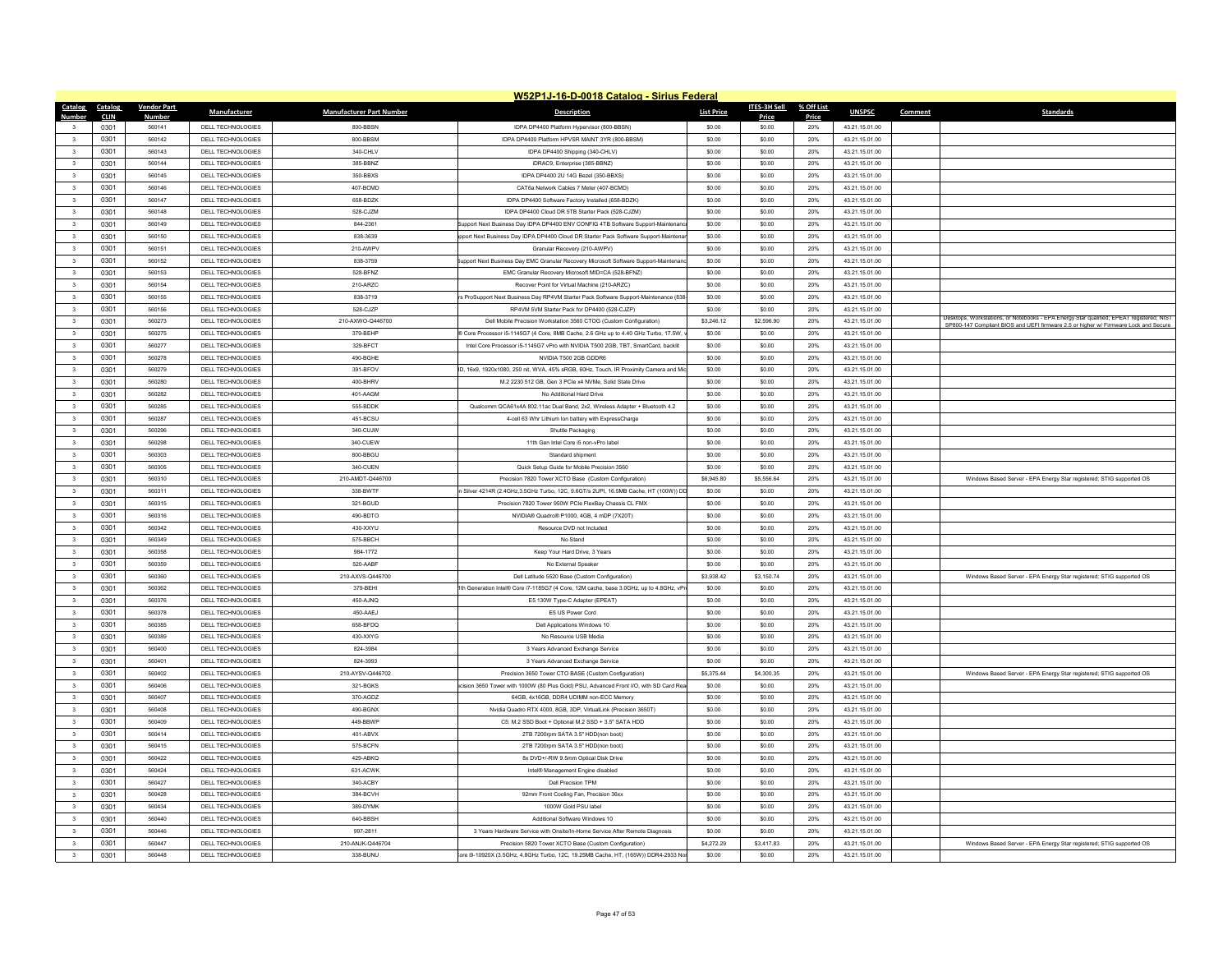|                         |             |                    |                          |                                 | W52P1J-16-D-0018 Catalog - Sirius Federal                                             |                   |              |            |                |         |                                                                                          |
|-------------------------|-------------|--------------------|--------------------------|---------------------------------|---------------------------------------------------------------------------------------|-------------------|--------------|------------|----------------|---------|------------------------------------------------------------------------------------------|
| Catalog                 | Catalog     | <b>Vendor Part</b> | <b>Manufacturer</b>      | <b>Manufacturer Part Number</b> | <b>Description</b>                                                                    | <b>List Price</b> | ITES-3H Sell | % Off List | <b>UNSPSC</b>  | Comment | <b>Standards</b>                                                                         |
| <b>Number</b>           | <b>CLIN</b> | <b>Number</b>      |                          |                                 |                                                                                       |                   | Price        | Price      |                |         |                                                                                          |
|                         | 0301        | 560141             | DELL TECHNOLOGIES        | 800-BBSN                        | IDPA DP4400 Platform Hypervisor (800-BBSN)                                            | \$0.00            | \$0.00       | 20%        | 43.21.15.01.00 |         |                                                                                          |
| $\overline{\mathbf{a}}$ | 0301        | 560142             | DELL TECHNOLOGIES        | 800-BBSM                        | IDPA DP4400 Platform HPVSR MAINT 3YR (800-BBSM)                                       | \$0.00            | \$0.00       | 20%        | 43 21 15 01 00 |         |                                                                                          |
| $\overline{\mathbf{3}}$ | 0301        | 560143             | <b>DELL TECHNOLOGIES</b> | 340-CHLV                        | IDPA DP4400 Shipping (340-CHLV)                                                       | \$0.00            | \$0.00       | 20%        | 43.21.15.01.00 |         |                                                                                          |
| $\overline{\mathbf{3}}$ | 0301        | 560144             | DELL TECHNOLOGIES        | 385-BBNZ                        | iDRAC9, Enterprise (385-BBNZ)<br>IDPA DP4400 2U 14G Bezel (350-BBXS)                  | \$0.00            | \$0.00       | 20%        | 43.21.15.01.00 |         |                                                                                          |
| $\overline{3}$          | 0301        | 560145             | <b>DELL TECHNOLOGIES</b> | 350-BBXS                        |                                                                                       | \$0.00            | \$0.00       | 20%        | 43.21.15.01.00 |         |                                                                                          |
| 3                       | 0301        | 560146             | <b>DELL TECHNOLOGIES</b> | 407-BCMD                        | CAT6a Network Cables 7 Meter (407-BCMD)                                               | \$0.00            | \$0.00       | 20%        | 43.21.15.01.00 |         |                                                                                          |
| $\overline{\mathbf{3}}$ | 0301        | 560147             | <b>DELL TECHNOLOGIES</b> | 658-BDZK                        | IDPA DP4400 Software Factory Installed (658-BDZK)                                     | \$0.00            | \$0.00       | 20%        | 43.21.15.01.00 |         |                                                                                          |
| $\overline{3}$          | 0301        | 560148             | DELL TECHNOLOGIES        | 528-C-IZM                       | IDPA DP4400 Cloud DR 5TB Starter Pack (528-CJZM)                                      | \$0.00            | \$0.00       | 20%        | 43 21 15 01 00 |         |                                                                                          |
| 3                       | 0301        | 560149             | <b>DELL TECHNOLOGIES</b> | 844-2361                        | upport Next Business Day IDPA DP4400 ENV CONFIG 4TB Software Support-Maintenar        | \$0.00            | \$0.00       | 20%        | 43.21.15.01.00 |         |                                                                                          |
| $\overline{\mathbf{3}}$ | 0301        | 560150             | <b>DELL TECHNOLOGIES</b> | 838-3639                        | port Next Business Day IDPA DP4400 Cloud DR Starter Pack Software Support-Mainten     | \$0.00            | \$0.00       | 20%        | 43.21.15.01.00 |         |                                                                                          |
| $\overline{\mathbf{3}}$ | 0301        | 560151             | DELL TECHNOLOGIES        | 210-AWPV                        | Granular Recovery (210-AWPV                                                           | \$0.00            | \$0.00       | 20%        | 43.21.15.01.00 |         |                                                                                          |
| $\mathbf{3}$            | 0301        | 560152             | <b>DELL TECHNOLOGIES</b> | 838-3759                        | ipport Next Business Day EMC Granular Recovery Microsoft Software Support-Maintenar   | \$0.00            | \$0.00       | 20%        | 43 21 15 01 00 |         |                                                                                          |
| $\overline{\mathbf{3}}$ | 0301        | 560153             | <b>DELL TECHNOLOGIES</b> | 528-BFNZ                        | EMC Granular Recovery Microsoft MID=CA (528-BFNZ)                                     | \$0.00            | \$0.00       | 20%        | 43.21.15.01.00 |         |                                                                                          |
| $\overline{\mathbf{3}}$ | 0301        | 560154             | DELL TECHNOLOGIES        | 210-ARZC                        | Recover Point for Virtual Machine (210-ARZC)                                          | \$0.00            | \$0.00       | 20%        | 43.21.15.01.00 |         |                                                                                          |
| $\overline{3}$          | 0301        | 560155             | DELL TECHNOLOGIES        | 838-3719                        | s ProSupport Next Business Day RP4VM Starter Pack Software Support-Maintenance (838   | \$0.00            | \$0.00       | 20%        | 43 21 15 01 00 |         |                                                                                          |
| $\overline{\mathbf{3}}$ | 0301        | 560156             | <b>DELL TECHNOLOGIES</b> | 528-CJZF                        | RP4VM 5VM Starter Pack for DP4400 (528-CJZP                                           | \$0.00            | \$0.00       | 20%        | 43.21.15.01.00 |         | Desktops, Workstations, or Notebooks - EPA Energy Star qualified; EPEAT registered; NIST |
| $\overline{\mathbf{3}}$ | 0301        | 560273             | DELL TECHNOLOGIES        | 210-AXWO-Q446700                | Dell Mobile Precision Workstation 3560 CTOG (Custom Configuration)                    | \$3,246.12        | \$2,596.90   | 20%        | 43.21.15.01.00 |         | SP800-147 Compliant BIOS and UEFI firmware 2.5 or higher w/ Firmware Lock and Secure     |
| $\overline{\mathbf{3}}$ | 0301        | 560275             | DELL TECHNOLOGIES        | 379-BEHP                        | Core Processor i5-1145G7 (4 Core, 8MB Cache, 2.6 GHz up to 4.40 GHz Turbo, 17.5W)     | \$0.00            | \$0.00       | 20%        | 43 21 15 01 00 |         |                                                                                          |
| $\overline{3}$          | 0301        | 560277             | <b>DELL TECHNOLOGIES</b> | 329-BFCT                        | Intel Core Processor i5-1145G7 vPro with NVIDIA T500 2GB, TBT, SmartCard, backlit     | \$0.00            | \$0.00       | 20%        | 43.21.15.01.00 |         |                                                                                          |
| $\overline{\mathbf{3}}$ | 0301        | 560278             | DELL TECHNOLOGIES        | 490-BGHE                        | NVIDIA T500 2GB GDDR6                                                                 | \$0.00            | \$0.00       | 20%        | 43.21.15.01.00 |         |                                                                                          |
| $\overline{\mathbf{3}}$ | 0301        | 560279             | <b>DELL TECHNOLOGIES</b> | 391-BFOV                        | 0, 16x9, 1920x1080, 250 nit, WVA, 45% sRGB, 60Hz, Touch, IR Proximity Camera and Mi   | \$0.00            | \$0.00       | 20%        | 43.21.15.01.00 |         |                                                                                          |
| $\overline{3}$          | 0301        | 560280             | DELL TECHNOLOGIES        | 400-BHRV                        | M.2 2230 512 GB. Gen 3 PCle x4 NVMe. Solid State Drive                                | \$0.00            | \$0.00       | 20%        | 43 21 15 01 00 |         |                                                                                          |
| $\overline{\mathbf{3}}$ | 0301        | 560282             | <b>DELL TECHNOLOGIES</b> | 401-AAGM                        | No Additional Hard Drive                                                              | \$0.00            | \$0.00       | 20%        | 43.21.15.01.00 |         |                                                                                          |
| $\overline{\mathbf{3}}$ | 0301        | 560285             | DELL TECHNOLOGIES        | 555-BDDK                        | Qualcomm QCA61x4A 802.11ac Dual Band, 2x2, Wireless Adapter + Bluetooth 4.2           | \$0.00            | \$0.00       | 20%        | 43.21.15.01.00 |         |                                                                                          |
| $\overline{3}$          | 0301        | 560287             | DELL TECHNOLOGIES        | 451-RCSU                        | 4-cell 63 Whr Lithium Ion battery with ExpressCharge                                  | \$0.00            | \$0.00       | 20%        | 43 21 15 01 00 |         |                                                                                          |
| $\overline{\mathbf{3}}$ | 0301        | 560296             | <b>DELL TECHNOLOGIES</b> | 340-CUJW                        | Shuttle Packaging                                                                     | \$0.00            | \$0.00       | 20%        | 43.21.15.01.00 |         |                                                                                          |
| $\overline{\mathbf{3}}$ | 0301        | 560298             | <b>DELL TECHNOLOGIES</b> | 340-CUEW                        | 11th Gen Intel Core i5 non-vPro label                                                 | \$0.00            | \$0.00       | 20%        | 43.21.15.01.00 |         |                                                                                          |
| $\overline{3}$          | 0301        | 560303             | <b>DELL TECHNOLOGIES</b> | 800-BBGU                        | Standard shinment                                                                     | \$0.00            | \$0.00       | 20%        | 43 21 15 01 00 |         |                                                                                          |
| 3                       | 0301        | 560305             | <b>DELL TECHNOLOGIES</b> | 340-CUEN                        | Quick Setup Guide for Mobile Precision 3560                                           | \$0.00            | \$0.00       | 20%        | 43.21.15.01.00 |         |                                                                                          |
| $\overline{\mathbf{3}}$ | 0301        | 560310             | <b>DELL TECHNOLOGIES</b> | 210-AMDT-Q446700                | Precision 7820 Tower XCTO Base (Custom Configuration)                                 | \$6,945.80        | \$5,556.64   | 20%        | 43.21.15.01.00 |         | Windows Based Server - EPA Energy Star registered; STIG supported OS                     |
| $\overline{\mathbf{3}}$ | 0301        | 560311             | DELL TECHNOLOGIES        | 338-BWTF                        | Silver 4214R (2.4GHz, 3.5GHz Turbo, 12C, 9.6GT/s 2UPI, 16.5MB Cache, HT (100W)) DI    | \$0.00            | \$0.00       | 20%        | 43.21.15.01.00 |         |                                                                                          |
| $\mathbf{3}$            | 0301        | 560315             | DELL TECHNOLOGIES        | 321-BGUD                        | Precision 7820 Tower 950W PCIe FlexBay Chassis CL EMX                                 | \$0.00            | \$0.00       | 20%        | 43 21 15 01 00 |         |                                                                                          |
| $\overline{\mathbf{3}}$ | 0301        | 560316             | <b>DELL TECHNOLOGIES</b> | 490-BDTO                        | NVIDIA® Quadro® P1000, 4GB, 4 mDP (7X20T)                                             | \$0.00            | \$0.00       | 20%        | 43.21.15.01.00 |         |                                                                                          |
| $\mathbf{3}$            | 0301        | 560342             | DELL TECHNOLOGIES        | 430-XXYU                        | Resource DVD not Included                                                             | \$0.00            | \$0.00       | 20%        | 43.21.15.01.00 |         |                                                                                          |
| $\mathbf{3}$            | 0301        | 560349             | <b>DELL TECHNOLOGIES</b> | 575-BBCH                        | No Stand                                                                              | \$0.00            | \$0.00       | 20%        | 43 21 15 01 00 |         |                                                                                          |
| $_{3}$                  | 0301        | 560358             | <b>DELL TECHNOLOGIES</b> | 984-1772                        | Keep Your Hard Drive, 3 Years                                                         | \$0.00            | \$0.00       | 20%        | 43.21.15.01.00 |         |                                                                                          |
| $\overline{\mathbf{3}}$ | 0301        | 560359             | <b>DELL TECHNOLOGIES</b> | 520-AABF                        | No External Speaker                                                                   | \$0.00            | \$0.00       | 20%        | 43.21.15.01.00 |         |                                                                                          |
| $\overline{\mathbf{3}}$ | 0301        | 560360             | DELL TECHNOLOGIES        | 210-AXVS-Q446700                | Dell Latitude 5520 Base (Custom Configuration)                                        | \$3,938.42        | \$3 150 74   | 20%        | 43 21 15 01 00 |         | Windows Based Server - EPA Energy Star registered; STIG supported OS                     |
| $\overline{\mathbf{3}}$ | 0301        | 560362             | <b>DELL TECHNOLOGIES</b> | 379-BEHI                        | th Generation Intel® Core i7-1185G7 (4 Core, 12M cache, base 3.0GHz, up to 4.8GHz, vP | \$0.00            | \$0.00       | 20%        | 43.21.15.01.00 |         |                                                                                          |
| $\overline{\mathbf{3}}$ | 0301        | 560376             | DELL TECHNOLOGIES        | 450-AJNO                        | E5 130W Type-C Adapter (EPEAT)                                                        | \$0.00            | \$0.00       | 20%        | 43.21.15.01.00 |         |                                                                                          |
| $\overline{\mathbf{3}}$ | 0301        | 560378             | <b>DELL TECHNOLOGIES</b> | 450-AAE.I                       | E5 US Power Cord                                                                      | \$0.00            | \$0.00       | 20%        | 43.21.15.01.00 |         |                                                                                          |
| $\mathbf{3}$            | 0301        | 560385             | DELL TECHNOLOGIES        | 658-BEDO                        | Dell Applications Windows 10                                                          | \$0.00            | \$0.00       | 20%        | 43 21 15 01 00 |         |                                                                                          |
| $\overline{\mathbf{3}}$ | 0301        | 560389             | <b>DELL TECHNOLOGIES</b> | 430-XXYG                        | No Resource USB Media                                                                 | \$0.00            | \$0.00       | 20%        | 43.21.15.01.00 |         |                                                                                          |
| $\overline{\mathbf{3}}$ | 0301        | 560400             | <b>DELL TECHNOLOGIES</b> | 824-3984                        | 3 Years Advanced Exchange Service                                                     | \$0.00            | \$0.00       | 20%        | 43.21.15.01.00 |         |                                                                                          |
| $\overline{3}$          | 0301        | 560401             | DELL TECHNOLOGIES        | 824-3993                        | 3 Years Advanced Exchange Service                                                     | \$0.00            | \$0.00       | 20%        | 43 21 15 01 00 |         |                                                                                          |
| 3                       | 0301        | 560402             | DELL TECHNOLOGIES        | 210-AYSV-Q446702                | Precision 3650 Tower CTO BASE (Custom Configuration)                                  | \$5,375.44        | \$4,300.35   | 20%        | 43.21.15.01.00 |         | Windows Based Server - EPA Energy Star registered; STIG supported OS                     |
| $\overline{\mathbf{3}}$ | 0301        | 560406             | DELL TECHNOLOGIES        | 321-BGKS                        | sion 3650 Tower with 1000W (80 Plus Gold) PSU. Advanced Front I/O, with SD Card Re    | \$0.00            | \$0.00       | 20%        | 43.21.15.01.00 |         |                                                                                          |
| $\mathbf{3}$            | 0301        | 560407             | DELL TECHNOLOGIES        | 370-AGDZ                        | 64GB 4x16GB DDR4 UDIMM non-ECC Memorr                                                 | \$0.00            | \$0.00       | 20%        | 43 21 15 01 00 |         |                                                                                          |
| 3                       | 0301        | 560408             | <b>DELL TECHNOLOGIES</b> | 490-BGNX                        | Nvidia Quadro RTX 4000, 8GB, 3DP, VirtualLink (Precision 3650T)                       | \$0.00            | \$0.00       | 20%        | 43.21.15.01.00 |         |                                                                                          |
| $\overline{\mathbf{3}}$ | 0301        | 560409             | <b>DELL TECHNOLOGIES</b> | 449-BBWP                        | C5: M.2 SSD Boot + Optional M.2 SSD + 3.5" SATA HDD                                   | \$0.00            | \$0.00       | 20%        | 43.21.15.01.00 |         |                                                                                          |
| $\mathbf{3}$            | 0301        | 560414             | DELL TECHNOLOGIES        | 401-ABVX                        | 2TB 7200rpm SATA 3.5" HDD(non boot                                                    | \$0.00            | \$0.00       | 20%        | 43.21.15.01.00 |         |                                                                                          |
| $\mathbf{3}$            | 0301        | 560415             | DELL TECHNOLOGIES        | 575-BCFN                        | 2TB 7200rpm SATA 3.5" HDD(non boot)                                                   | \$0.00            | \$0.00       | 20%        | 43 21 15 01 00 |         |                                                                                          |
| $\overline{\mathbf{3}}$ | 0301        | 560422             | <b>DELL TECHNOLOGIES</b> | 429-ABKQ                        | 8x DVD+/-RW 9.5mm Optical Disk Drive                                                  | \$0.00            | \$0.00       | 20%        | 43.21.15.01.00 |         |                                                                                          |
| $\overline{3}$          | 0301        | 560424             | DELL TECHNOLOGIES        | 631-ACWK                        | Intel® Management Engine disabled                                                     | \$0.00            | \$0.00       | 20%        | 43.21.15.01.00 |         |                                                                                          |
| $\mathbf{3}$            | 0301        | 560427             | DELL TECHNOLOGIES        | 340-ACBY                        | Dell Precision TPM                                                                    | \$0.00            | \$0.00       | 20%        | 43 21 15 01 00 |         |                                                                                          |
| $_{3}$                  | 0301        | 560428             | DELL TECHNOLOGIES        | 384-BCVH                        | 92mm Front Cooling Fan, Precision 36xx                                                | \$0.00            | \$0.00       | 20%        | 43.21.15.01.00 |         |                                                                                          |
| $\mathbf{3}$            | 0301        | 560434             | DELL TECHNOLOGIES        | 389-DYMK                        | 1000W Gold PSU labe                                                                   | \$0.00            | \$0.00       | 20%        | 43.21.15.01.00 |         |                                                                                          |
| $\mathbf{3}$            | 0301        | 560440             | DELL TECHNOLOGIES        | 640-BBSH                        | Additional Software Windows 10                                                        | \$0.00            | \$0.00       | 20%        | 43 21 15 01 00 |         |                                                                                          |
| $\overline{3}$          | 0301        | 560446             | DELL TECHNOLOGIES        | 997-2811                        | 3 Years Hardware Service with Onsite/In-Home Service After Remote Diagnosis           | \$0.00            | \$0.00       | 20%        | 43.21.15.01.00 |         |                                                                                          |
| $\mathbf{3}$            | 0301        | 560447             | DELL TECHNOLOGIES        | 210-ANJK-Q446704                | Precision 5820 Tower XCTO Base (Custom Configuration)                                 | \$4,272.29        | \$3,417.83   | 20%        | 43.21.15.01.00 |         | Windows Based Server - EPA Energy Star registered; STIG supported OS                     |
| $\overline{\mathbf{3}}$ | 0301        | 560448             | DELL TECHNOLOGIES        | 338-BUNU                        | re i9-10920X (3.5GHz, 4.8GHz Turbo, 12C, 19.25MB Cache, HT, (165W)) DDR4-2933 No      | \$0.00            | \$0.00       | 20%        | 43.21.15.01.00 |         |                                                                                          |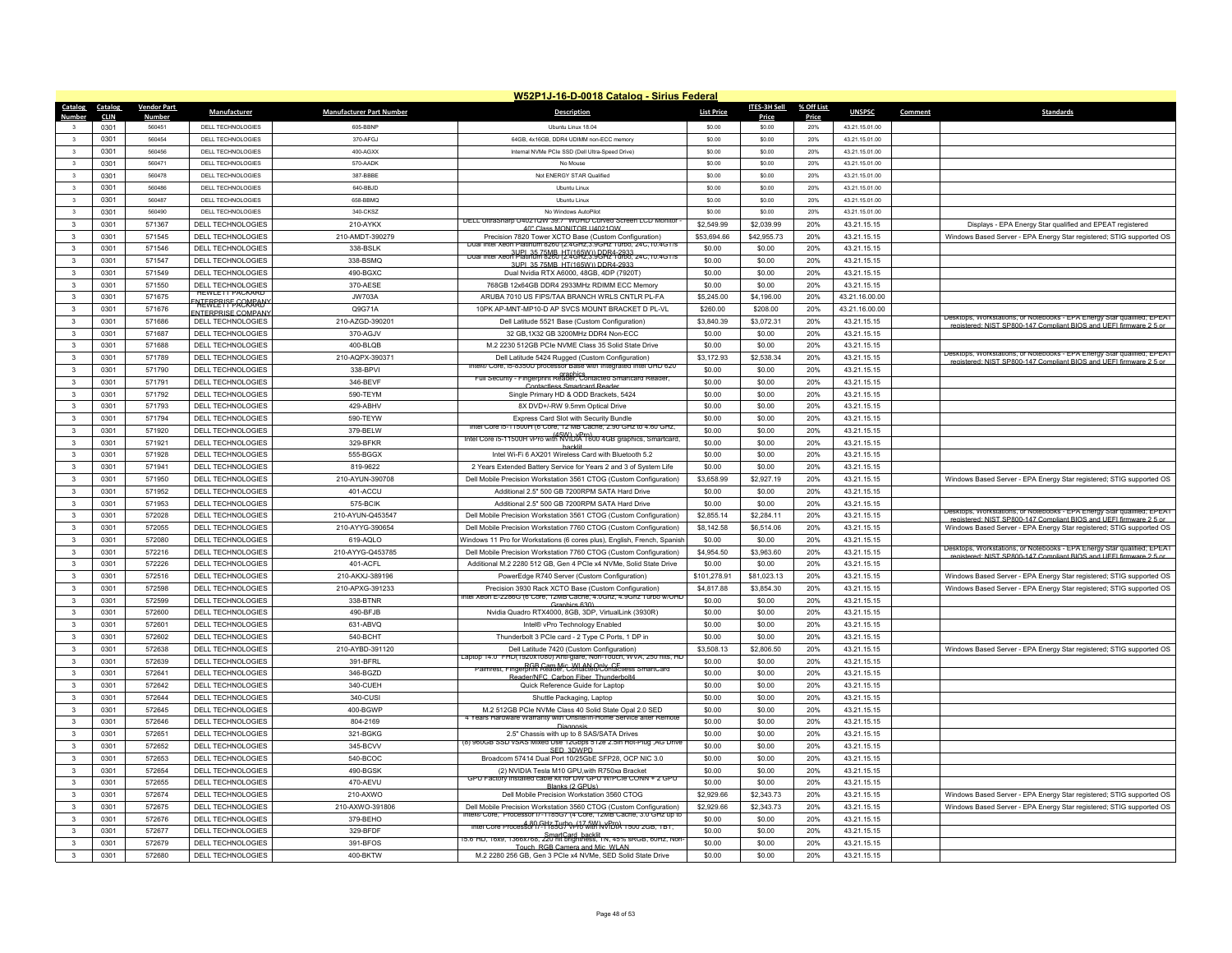|                               |                     |                         |                           |                                 | W52P1J-16-D-0018 Catalog - Sirius Federal                                                                                         |                   |                 |              |                |                                                                         |
|-------------------------------|---------------------|-------------------------|---------------------------|---------------------------------|-----------------------------------------------------------------------------------------------------------------------------------|-------------------|-----------------|--------------|----------------|-------------------------------------------------------------------------|
| Catalog                       | Catalog             | <b>Vendor Part</b>      | Manufacturer              | <b>Manufacturer Part Number</b> | <b>Description</b>                                                                                                                | <b>List Price</b> | ITES-3H Sell    | % Off List   | <b>UNSPSC</b>  | <b>Standards</b><br>Comment                                             |
| <b>Number</b><br>$\mathbf{3}$ | <b>CLIN</b><br>0301 | <b>Number</b><br>560451 | DELL TECHNOLOGIES         | 605-BBNP                        | Ubuntu Linux 18.04                                                                                                                | \$0.00            | Price<br>\$0.00 | Price<br>20% | 43.21.15.01.00 |                                                                         |
| $\mathbf{3}$                  | 0301                | 560454                  | DELL TECHNOLOGIES         | 370-AFG.I                       | 64GB, 4x16GB, DDR4 UDIMM non-ECC memory                                                                                           | \$0.00            | \$0.00          | 20%          | 43 21 15 01 00 |                                                                         |
| $\overline{\mathbf{3}}$       | 0301                | 560456                  | <b>DELL TECHNOLOGIES</b>  | 400-AGXX                        | Internal NVMe PCIe SSD (Dell Ultra-Speed Drive)                                                                                   | \$0.00            | \$0.00          | 20%          | 43.21.15.01.00 |                                                                         |
| $\overline{\mathbf{3}}$       | 0301                | 560471                  | DELL TECHNOLOGIES         | 570-AADK                        | No Mouse                                                                                                                          | \$0.00            | \$0.00          | 20%          | 43.21.15.01.00 |                                                                         |
| $\mathbf{3}$                  | 0301                | 560478                  | DELL TECHNOLOGIES         | 387-BBBF                        | Not ENERGY STAR Qualified                                                                                                         | \$0.00            | \$0.00          | 20%          | 43.21.15.01.00 |                                                                         |
| $\overline{\mathbf{3}}$       | 0301                | 560486                  | DELL TECHNOLOGIES         | 640-BBJD                        | Ubuntu Linux                                                                                                                      | \$0.00            | \$0.00          | 20%          | 43.21.15.01.00 |                                                                         |
| $\overline{\mathbf{3}}$       | 0301                | 560487                  | DELL TECHNOLOGIES         | 658-BBMQ                        | Ubuntu Linux                                                                                                                      | \$0.00            | \$0.00          | 20%          | 43.21.15.01.00 |                                                                         |
| $\mathbf{3}$                  | 0301                | 560490                  | DELL TECHNOLOGIES         | 340-CKSZ                        | No Windows AutoPilot                                                                                                              | \$0.00            | \$0.00          | 20%          | 43.21.15.01.00 |                                                                         |
| $\mathbf{3}$                  | 0301                | 571367                  | <b>DELL TECHNOLOGIES</b>  | 210-AYKX                        | DELL UltraSharp U4021QW 39.7" WUHD Curved Screen LCD Monitor                                                                      | \$2,549.99        | \$2,039.99      | 20%          | 43 21 15 15    | Displays - EPA Energy Star qualified and EPEAT registered               |
| $\mathbf{3}$                  | 0301                | 571545                  | <b>DELL TECHNOLOGIES</b>  | 210-AMDT-390279                 | 40" Class MONITOR U4021QW<br>Precision 7820 Tower XCTO Base (Custom Configuration)                                                | \$53,694.66       | \$42,955.73     | 20%          | 43.21.15.15    | Windows Based Server - EPA Energy Star registered; STIG supported OS    |
| $\overline{\mathbf{3}}$       | 0301                | 571546                  | <b>DELL TECHNOLOGIES</b>  | 338-BSLK                        | nter xeon Platinum 8260 (2.4GHZ,3.9GHZ Turbo, 24C, 10.4GT/8                                                                       | \$0.00            | \$0.00          | 20%          | 43.21.15.15    |                                                                         |
| $\mathbf{3}$                  | 0301                | 571547                  | <b>DELL TECHNOLOGIES</b>  | 338-BSMQ                        | Dual Intel Xeon Platinum 8260 (2740 http://www.com/20175/2400175/2400175                                                          | \$0.00            | \$0.00          | 20%          | 43 21 15 15    |                                                                         |
| $\mathbf{3}$                  | 0301                | 571549                  | DELL TECHNOLOGIES         | 490-BGXC                        | 3LIPL 35 75MR HT/165W)) DDR4-2933<br>Dual Nvidia RTX A6000, 48GB, 4DP (7920T)                                                     | \$0.00            | \$0.00          | 20%          | 43.21.15.15    |                                                                         |
| $\overline{\mathbf{3}}$       | 0301                | 571550                  | DELL TECHNOLOGIES         | 370-AESE                        | 768GB 12x64GB DDR4 2933MHz RDIMM ECC Memory                                                                                       | \$0.00            | \$0.00          | 20%          | 43.21.15.15    |                                                                         |
|                               | 0301                | 571675                  | <b>HEWLETT PACKARD</b>    | <b>JW703A</b>                   | ARUBA 7010 US FIPS/TAA BRANCH WRLS CNTLR PL-FA                                                                                    |                   |                 | 20%          | 43.21.16.00.00 |                                                                         |
| $\mathbf{3}$                  |                     |                         | <b>NERPRISE COMRANY</b>   |                                 |                                                                                                                                   | \$5,245.00        | \$4,196.00      |              |                |                                                                         |
| $\overline{\mathbf{3}}$       | 0301                | 571676                  | <b>ENTERPRISE COMPANY</b> | Q9G71A                          | 10PK AP-MNT-MP10-D AP SVCS MOUNT BRACKET D PL-VL                                                                                  | \$260.00          | \$208.00        | 20%          | 43.21.16.00.00 | Desktops, Workstations, or Notebooks - EPA Energy Star qualified: EPEAT |
| $\mathbf{3}$                  | 0301                | 571686                  | DELL TECHNOLOGIES         | 210-AZGD-390201                 | Dell Latitude 5521 Base (Custom Configuration)                                                                                    | \$3,840.39        | \$3,072.31      | 20%          | 43.21.15.15    | registered: NIST SP800-147 Compliant BIOS and LIFEL firmware 2.5 or     |
| 3                             | 0301                | 571687                  | DELL TECHNOLOGIES         | 370-AGJV                        | 32 GB, 1X32 GB 3200MHz DDR4 Non-ECC                                                                                               | \$0.00            | \$0.00          | 20%          | 43.21.15.15    |                                                                         |
| $\mathbf{3}$                  | 0301                | 571688                  | DELL TECHNOLOGIES         | 400-BLOB                        | M.2 2230 512GB PCIe NVME Class 35 Solid State Drive                                                                               | \$0.00            | \$0.00          | 20%          | 43.21.15.15    | Desktops, Workstations, or Notebooks - EPA Energy Star qualified: EPEAT |
| $\mathbf{3}$                  | 0301                | 571789                  | <b>DELL TECHNOLOGIES</b>  | 210-AQPX-390371                 | Dell Latitude 5424 Rugged (Custom Configuration)<br>intelle Core, ib-83500 processor Base with integrated inter UHD 620           | \$3,172.93        | \$2,538.34      | 20%          | 43.21.15.15    | registered: NIST SP800-147 Compliant BIOS and UFFI firm                 |
| $\mathbf{3}$                  | 0301                | 571790                  | DELL TECHNOLOGIES         | 338-BPVI                        | Full Security - Fingerprint Reader, Contacted Smartcard Reader                                                                    | \$0.00            | \$0.00          | 20%          | 43.21.15.15    |                                                                         |
| $\mathbf{3}$                  | 0301                | 571791                  | DELL TECHNOLOGIES         | 346-BFVF                        | Contactless Smartcard Reader                                                                                                      | \$0.00            | \$0.00          | 20%          | 43 21 15 15    |                                                                         |
| $\overline{3}$                | 0301                | 571792                  | <b>DELL TECHNOLOGIES</b>  | 590-TEYM                        | Single Primary HD & ODD Brackets, 5424                                                                                            | \$0.00            | \$0.00          | 20%          | 43.21.15.15    |                                                                         |
| $\mathbf{3}$                  | 0301                | 571793                  | DELL TECHNOLOGIES         | 429-ABHV                        | 8X DVD+/-RW 9.5mm Optical Drive                                                                                                   | \$0.00            | \$0.00          | 20%          | 43.21.15.15    |                                                                         |
| $\mathbf{3}$                  | 0301                | 571794                  | DELL TECHNOLOGIES         | 590-TEYW                        | Express Card Slot with Security Bundle<br>Intel Core is-11500H (6 Core, 12 MB Cache, 2.90 GHz to 4.60 GHz,                        | \$0.00            | \$0.00          | 20%          | 43.21.15.15    |                                                                         |
| $\mathbf{3}$                  | 0301                | 571920                  | DELL TECHNOLOGIES         | 379-BELW                        | Intel Core is-11500H vPro with NVIDIA 1600 4GB graphics, Smartcard,                                                               | \$0.00            | \$0.00          | 20%          | 43 21 15 15    |                                                                         |
| $\mathbf{3}$                  | 0301                | 571921                  | DELL TECHNOLOGIES         | 329-BFKR                        | hacklit                                                                                                                           | \$0.00            | \$0.00          | 20%          | 43.21.15.15    |                                                                         |
| $\mathbf{3}$                  | 0301                | 571928                  | DELL TECHNOLOGIES         | 555-BGGX                        | Intel Wi-Fi 6 AX201 Wireless Card with Bluetooth 5.2                                                                              | \$0.00            | \$0.00          | 20%          | 43.21.15.15    |                                                                         |
| $\mathbf{3}$                  | 0301                | 571941                  | <b>DELL TECHNOLOGIES</b>  | 819-9622                        | 2 Years Extended Battery Service for Years 2 and 3 of System Life                                                                 | \$0.00            | \$0.00          | 20%          | 43 21 15 15    |                                                                         |
| $\mathbf{3}$                  | 0301                | 571950                  | DELL TECHNOLOGIES         | 210-AYUN-390708                 | Dell Mobile Precision Workstation 3561 CTOG (Custom Configuration)                                                                | \$3,658.99        | \$2,927.19      | 20%          | 43.21.15.15    | Windows Based Server - EPA Energy Star registered; STIG supported OS    |
| $\overline{\mathbf{3}}$       | 0301                | 571952                  | <b>DELL TECHNOLOGIES</b>  | 401-ACCU                        | Additional 2.5" 500 GB 7200RPM SATA Hard Drive                                                                                    | \$0.00            | \$0.00          | 20%          | 43.21.15.15    |                                                                         |
| $\mathbf{3}$                  | 0301                | 571953                  | <b>DELL TECHNOLOGIES</b>  | 575-BCIK                        | Additional 2.5" 500 GB 7200RPM SATA Hard Drive                                                                                    | \$0.00            | \$0.00          | 20%          | 43.21.15.15    | Desktops, Workstations, or Notebooks - EPA Energy Star qualified; EPEAT |
| $\mathbf{3}$                  | 0301                | 572028                  | DELL TECHNOLOGIES         | 210-AYUN-Q453547                | Dell Mobile Precision Workstation 3561 CTOG (Custom Configuration)                                                                | \$2,855.14        | \$2,284.11      | 20%          | 43.21.15.15    | registered: NIST SP800-147 Compliant BIOS and UEEI firmware 2.5 or      |
| $\overline{\mathbf{3}}$       | 0301                | 572055                  | <b>DELL TECHNOLOGIES</b>  | 210-AYYG-390654                 | Dell Mobile Precision Workstation 7760 CTOG (Custom Configuration)                                                                | \$8,142.58        | \$6,514.06      | 20%          | 43.21.15.15    | Windows Based Server - EPA Energy Star registered; STIG supported OS    |
| $\mathbf{3}$                  | 0301                | 572080                  | DELL TECHNOLOGIES         | 619-AOI O                       | Windows 11 Pro for Workstations (6 cores plus), English, French, Spanish                                                          | \$0.00            | \$0.00          | 20%          | 43.21.15.15    | Desktops, Workstations, or Notebooks - EPA Energy Star qualified; EPEAT |
| $\mathbf{3}$                  | 0301                | 572216                  | <b>DELL TECHNOLOGIES</b>  | 210-AYYG-Q453785                | Dell Mobile Precision Workstation 7760 CTOG (Custom Configuration)                                                                | \$4,954.50        | \$3,963.60      | 20%          | 43.21.15.15    | registered: NIST SP800-147 Compliant BIOS and LIFFL firmware 2.5 or     |
| $\mathbf{3}$                  | 0301                | 572226                  | DELL TECHNOLOGIES         | 401-ACFL                        | Additional M.2 2280 512 GB, Gen 4 PCIe x4 NVMe, Solid State Drive                                                                 | \$0.00            | \$0.00          | 20%          | 43.21.15.15    |                                                                         |
| $\mathbf{3}$                  | 0301                | 572516                  | DELL TECHNOLOGIES         | 210-AKXJ-389196                 | PowerEdge R740 Server (Custom Configuration)                                                                                      | \$101,278.91      | \$81,023.13     | 20%          | 43.21.15.15    | Windows Based Server - EPA Energy Star registered; STIG supported OS    |
| $\overline{\mathbf{3}}$       | 0301                | 572598                  | DELL TECHNOLOGIES         | 210-APXG-391233                 | Precision 3930 Rack XCTO Base (Custom Configuration)<br>ntel Xeon E-2286G (6 Core, 12MB Cache, 4.0Ghz, 4.9Ghz Turbo w/UHL         | \$4,817.88        | \$3,854.30      | 20%          | 43.21.15.15    | Windows Based Server - EPA Energy Star registered; STIG supported OS    |
| $\mathbf{3}$                  | 0301                | 572599                  | DELL TECHNOLOGIES         | 338-BTNR                        | Graphics 630                                                                                                                      | \$0.00            | \$0.00          | 20%          | 43.21.15.15    |                                                                         |
| $\mathbf{3}$                  | 0301                | 572600                  | DELL TECHNOLOGIES         | 490-BFJB                        | Nvidia Quadro RTX4000, 8GB, 3DP, VirtualLink (3930R)                                                                              | \$0.00            | \$0.00          | 20%          | 43.21.15.15    |                                                                         |
| $\mathbf{3}$                  | 0301                | 572601                  | DELL TECHNOLOGIES         | 631-ABVO                        | Intel® vPro Technology Enabled                                                                                                    | \$0.00            | \$0.00          | 20%          | 43.21.15.15    |                                                                         |
| $\overline{3}$                | 0301                | 572602                  | <b>DELL TECHNOLOGIES</b>  | 540-BCHT                        | Thunderbolt 3 PCIe card - 2 Type C Ports, 1 DP in                                                                                 | \$0.00            | \$0.00          | 20%          | 43.21.15.15    |                                                                         |
| $\mathbf{3}$                  | 0301                | 572638                  | DELL TECHNOLOGIES         | 210-AYBD-391120                 | Dell Latitude 7420 (Custom Configuration)<br>Laptop 14.0" FHD(1920x1080) Anti-glare, Non-Touch, WVA, 250 nits, HD                 | \$3,508.13        | \$2,806.50      | 20%          | 43.21.15.15    | Windows Based Server - EPA Energy Star registered; STIG supported OS    |
| $\mathbf{3}$                  | 0301                | 572639                  | DELL TECHNOLOGIES         | 391-BFRL                        | Palmrest, Fingerprint Reader, Contacted/Contactless SmartCard                                                                     | \$0.00            | \$0.00          | 20%          | 43.21.15.15    |                                                                         |
| $\mathbf{3}$                  | 0301                | 572641                  | DELL TECHNOLOGIES         | 346-BGZD                        | ader/NEC, Carbon Eiber, Thunderbolt/                                                                                              | \$0.00            | \$0.00          | 20%          | 43 21 15 15    |                                                                         |
| 3                             | 0301                | 572642                  | DELL TECHNOLOGIES         | 340-CUEH                        | Quick Reference Guide for Laptop                                                                                                  | \$0.00            | \$0.00          | 20%          | 43.21.15.15    |                                                                         |
| $\mathbf{3}$                  | 0301                | 572644                  | DELL TECHNOLOGIES         | 340-CUS                         | Shuttle Packaging, Laptop                                                                                                         | \$0.00            | \$0.00          | 20%          | 43.21.15.15    |                                                                         |
| $\mathbf{3}$                  | 0301                | 572645                  | <b>DELL TECHNOLOGIES</b>  | 400-BGWP                        | M.2 512GB PCIe NVMe Class 40 Solid State Opal 2.0 SED<br>ears Hardware Warranty with Onsite/In-Home Service after Remote          | \$0.00            | \$0.00          | 20%          | 43.21.15.15    |                                                                         |
| $\overline{\mathbf{3}}$       | 0301                | 572646                  | DELL TECHNOLOGIES         | 804-2169                        |                                                                                                                                   | \$0.00            | \$0.00          | 20%          | 43.21.15.15    |                                                                         |
| $\overline{\mathbf{3}}$       | 0301                | 572651                  | <b>DELL TECHNOLOGIES</b>  | 321-BGKG                        | 2.5" Chassis with up to 8 SAS/SATA Drives<br>(8) 960GB SSD vSAS Mixed Use 12Gbps 512e 2.5in Hot-Plug ,AG Drive                    | \$0.00            | \$0.00          | 20%          | 43.21.15.15    |                                                                         |
| $\mathbf{3}$                  | 0301                | 572652                  | <b>DELL TECHNOLOGIES</b>  | 345-BCVV                        | SED 3DWPD                                                                                                                         | \$0.00            | \$0.00          | 20%          | 43.21.15.15    |                                                                         |
| $\mathbf{3}$                  | 0301                | 572653                  | DELL TECHNOLOGIES         | 540-BCOC                        | Broadcom 57414 Dual Port 10/25GbE SFP28, OCP NIC 3.0                                                                              | \$0.00            | \$0.00          | 20%          | 43.21.15.15    |                                                                         |
| 3                             | 0301                | 572654                  | <b>DELL TECHNOLOGIES</b>  | 490-BGSK                        | (2) NVIDIA Tesla M10 GPU, with R750xa Bracket                                                                                     | \$0.00            | \$0.00          | 20%          | 43.21.15.15    |                                                                         |
| $\mathbf{3}$                  | 0301                | 572655                  | DELL TECHNOLOGIES         | 470-AEVU                        | GPU Factory Installed cable kit for DW GPU W/PCIe CONN + 2 GPU<br>Blanks (2 GPHs                                                  | \$0.00            | \$0.00          | 20%          | 43.21.15.15    |                                                                         |
| $\overline{\mathbf{3}}$       | 0301                | 572674                  | <b>DELL TECHNOLOGIES</b>  | 210-AXWO                        | Dell Mobile Precision Workstation 3560 CTOG                                                                                       | \$2,929.66        | \$2,343.73      | 20%          | 43.21.15.15    | Windows Based Server - EPA Energy Star registered; STIG supported OS    |
| $\mathbf{3}$                  | 0301                | 572675                  | <b>DELL TECHNOLOGIES</b>  | 210-AXWO-391806                 | Dell Mobile Precision Workstation 3560 CTOG (Custom Configuration)                                                                | \$2,929.66        | \$2,343.73      | 20%          | 43.21.15.15    | Windows Based Server - EPA Energy Star registered; STIG supported OS    |
| 3                             | 0301                | 572676                  | DELL TECHNOLOGIES         | 379-BEHO                        | Intel® Core, Processor i/-1185G/ (4 Core, 12MB Cache, 3.0 GHz up to<br>Intel Core Processor   스타킹 U/P N-17 5W NVPDA 1500 2GB, 1BT | \$0.00            | \$0.00          | 20%          | 43.21.15.15    |                                                                         |
| $\mathbf{3}$                  | 0301                | 572677                  | <b>DELL TECHNOLOGIES</b>  | 329-BFDF                        | SmartCard_backlif<br>15.6"HD, 16x9, 1366x768, 220 nit brightness, IN, 45% sRGB, 60Hz, Non                                         | \$0.00            | \$0.00          | 20%          | 43.21.15.15    |                                                                         |
| 3                             | 0301                | 572679                  | <b>DELL TECHNOLOGIES</b>  | 391-BFOS                        | Touch, RGB Camera and Mic. WI AN                                                                                                  | \$0.00            | \$0.00          | 20%          | 43.21.15.15    |                                                                         |
| $\mathbf{3}$                  | 0301                | 572680                  | DELL TECHNOLOGIES         | 400-BKTW                        | M.2 2280 256 GB, Gen 3 PCIe x4 NVMe, SED Solid State Drive                                                                        | \$0.00            | \$0.00          | 20%          | 43.21.15.15    |                                                                         |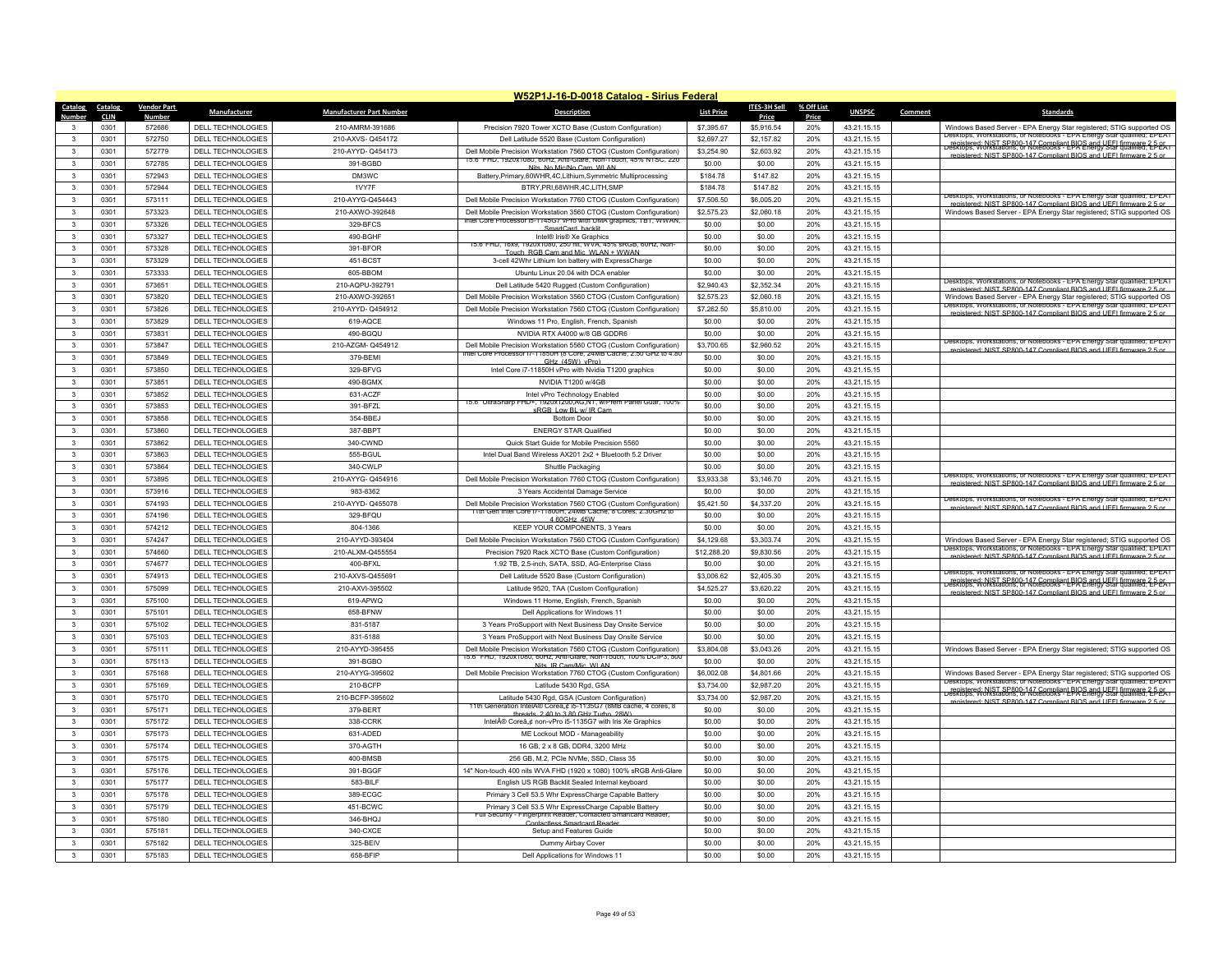| W52P1J-16-D-0018 Catalog - Sirius Federal                  |                    |                          |                                 |                                                                                                                                        |                   |                     |            |                            |         |                                                                                                                                                                                                                      |
|------------------------------------------------------------|--------------------|--------------------------|---------------------------------|----------------------------------------------------------------------------------------------------------------------------------------|-------------------|---------------------|------------|----------------------------|---------|----------------------------------------------------------------------------------------------------------------------------------------------------------------------------------------------------------------------|
| Catalog<br>Catalog                                         | <b>Vendor Part</b> | Manufacturer             | <b>Manufacturer Part Number</b> | <b>Description</b>                                                                                                                     | <b>List Price</b> | <b>ITES-3H Sell</b> | % Off List | <b>UNSPSC</b>              | Comment | Standard:                                                                                                                                                                                                            |
| <b>Number</b><br><b>CLIN</b>                               | <b>Number</b>      |                          |                                 |                                                                                                                                        |                   | Price               | Price      |                            |         |                                                                                                                                                                                                                      |
| 0301                                                       | 572686             | DELL TECHNOLOGIES        | 210-AMRM-391686                 | Precision 7920 Tower XCTO Base (Custom Configuration)                                                                                  | \$7,395.67        | \$5,916.54          | 20%        | 43.21.15.15                |         | Windows Based Server - EPA Energy Star registered; STIG supported OS<br>Jesktops, Workstations, or Notebooks - EPA Energy Star qualified; EPEAT                                                                      |
| 0301<br>$\mathbf{3}$                                       | 572750             | <b>DELL TECHNOLOGIES</b> | 210-AXVS-Q454172                | Dell Latitude 5520 Base (Custom Configuration)                                                                                         | \$2,697.27        | \$2,157.82          | 20%        | 43 21 15 15                |         | Legistered: NIST SP800-147 Compliant BIOS and UFEL firmware 2-5-05.<br>Desktops: Workstations. or Notebooks - EPA Energy Stal gualified: EPEAT                                                                       |
| $\overline{3}$<br>0301                                     | 572779             | <b>DELL TECHNOLOGIES</b> | 210-AYYD-Q454173                | Dell Mobile Precision Workstation 7560 CTOG (Custom Configuration)<br>15.6" FHD, 1920x1080, 60Hz, Anti-Glare, Non-Touch, 45% NTSC, 220 | \$3,254.90        | \$2,603.92          | 20%        | 43.21.15.15                |         | registered: NIST SP800-147 Compliant BIOS and UFFI firmware 2.5 or                                                                                                                                                   |
| $\mathbf{3}$<br>0301                                       | 572785             | DELL TECHNOLOGIES        | 391-BGBD                        | Nits No Mic/No Cam WI AN                                                                                                               | \$0.00            | \$0.00              | 20%        | 43.21.15.15                |         |                                                                                                                                                                                                                      |
| $\mathbf{3}$<br>0301                                       | 572943             | DELL TECHNOLOGIES        | DM3WC                           | Battery, Primary, 60WHR, 4C, Lithium, Symmetric Multiprocessing                                                                        | \$184.78          | \$147.82            | 20%        | 43.21.15.15                |         |                                                                                                                                                                                                                      |
| 0301<br>$\mathbf{3}$                                       | 572944             | <b>DELL TECHNOLOGIES</b> | 1VY7F                           | BTRY.PRI.68WHR.4C.LITH.SMP                                                                                                             | \$184.78          | \$147.82            | 20%        | 43 21 15 15                |         | Desktops, Workstations, or Notebooks - EPA Energy Star qualified; EPEAT                                                                                                                                              |
| 0301<br>$\overline{\mathbf{3}}$                            | 573111             | DELL TECHNOLOGIES        | 210-AYYG-Q454443                | Dell Mobile Precision Workstation 7760 CTOG (Custom Configuration)                                                                     | \$7,506.50        | \$6,005.20          | 20%        | 43.21.15.15                |         | registered: NIST SP800-147 Compliant BIOS and LIFEL firmware 2.5 or                                                                                                                                                  |
| $\mathbf{3}$<br>0301                                       | 573323             | DELL TECHNOLOGIES        | 210-AXWO-392648                 | Dell Mobile Precision Workstation 3560 CTOG (Custom Configuration)                                                                     | \$2,575.23        | \$2,060.18          | 20%        | 43.21.15.15                |         | Windows Based Server - EPA Energy Star registered; STIG supported OS                                                                                                                                                 |
| 0301<br>$\mathbf{3}$                                       | 573326             | <b>DELL TECHNOLOGIES</b> | 329-BFCS                        | Intel Core Processor ib-1145G/ vPro with UMA graphics, 1B1, WWAN<br>SmartCard backlit                                                  | \$0.00            | \$0.00              | 20%        | 43.21.15.15                |         |                                                                                                                                                                                                                      |
| $\mathbf{3}$<br>0301                                       | 573327             | DELL TECHNOLOGIES        | 490-BGHF                        | Intel® Iris® Xe Graphics                                                                                                               | \$0.00            | \$0.00              | 20%        | 43.21.15.15                |         |                                                                                                                                                                                                                      |
| $\mathbf{3}$<br>0301                                       | 573328             | <b>DELL TECHNOLOGIES</b> | 391-BFOR                        | 15.6 FHD, 16X9, 1920X1080, 250 filt, WVA, 45% SRGB, 60HZ, Nor<br>Touch, RGR Cam and Mic. WI AN + WWAN                                  | \$0.00            | \$0.00              | 20%        | 43.21.15.15                |         |                                                                                                                                                                                                                      |
| 0301<br>$\mathbf{3}$                                       | 573329             | DELL TECHNOLOGIES        | 451-BCST                        | 3-cell 42Whr Lithium Ion battery with ExpressCharge                                                                                    | \$0.00            | \$0.00              | 20%        | 43 21 15 15                |         |                                                                                                                                                                                                                      |
| $\mathbf{3}$<br>0301                                       | 573333             | DELL TECHNOLOGIES        | 605-BBOM                        | Ubuntu Linux 20.04 with DCA enable                                                                                                     | \$0.00            | \$0.00              | 20%        | 43.21.15.15                |         |                                                                                                                                                                                                                      |
| $\mathbf{3}$<br>0301                                       | 573651             | <b>DELL TECHNOLOGIES</b> | 210-AQPU-392791                 | Dell Latitude 5420 Rugged (Custom Configuration)                                                                                       | \$2,940.43        | \$2,352.34          | 20%        | 43.21.15.15                |         | Desktops, Workstations, or Notebooks - EPA Energy Star qualified: EPEAT<br>registered: NIST SP800-147 Compliant BIOS and UFFI firmware 2.5 or                                                                        |
| 0301<br>$\mathbf{3}$                                       | 573820             | DELL TECHNOLOGIES        | 210-AXWO-392651                 | Dell Mobile Precision Workstation 3560 CTOG (Custom Configuration)                                                                     | \$2,575.23        | \$2,060.18          | 20%        | 43.21.15.15                |         | Windows Based Server - EPA Energy Star registered; STIG supported OS                                                                                                                                                 |
| $\overline{\mathbf{3}}$<br>0301                            | 573826             | <b>DELL TECHNOLOGIES</b> | 210-AYYD- Q454912               | Dell Mobile Precision Workstation 7560 CTOG (Custom Configuration)                                                                     | \$7,262.50        | \$5,810.00          | 20%        | 43.21.15.15                |         | Jesktops, workstations, or Notebooks - EPA Energy Star qualified; EPEAT<br>enistered: NIST SP800-147 Compliant BIOS and LIFFI firmware 2.5 or                                                                        |
| $\mathbf{3}$<br>0301                                       | 573829             | DELL TECHNOLOGIES        | 619-AQCE                        | Windows 11 Pro, English, French, Spanish                                                                                               | \$0.00            | \$0.00              | 20%        | 43.21.15.15                |         |                                                                                                                                                                                                                      |
| 0301<br>3                                                  | 573831             | DELL TECHNOLOGIES        | 490-BGOU                        | NVIDIA RTX A4000 w/8 GB GDDR6                                                                                                          | \$0.00            | \$0.00              | 20%        | 43.21.15.15                |         |                                                                                                                                                                                                                      |
| $\overline{\mathbf{3}}$<br>0301                            | 573847             | DELL TECHNOLOGIES        | 210-AZGM-Q454912                | Dell Mobile Precision Workstation 5560 CTOG (Custom Configuration)                                                                     | \$3,700.65        | \$2,960.52          | 20%        | 43.21.15.15                |         | Jesktops, Workstations, or Notebooks - EPA Energy Star qualified; EPEAT                                                                                                                                              |
| $\mathbf{3}$<br>0301                                       | 573849             | <b>DELL TECHNOLOGIES</b> | 379-BEMI                        | Intel Core Processor (/-11850H (8 Core, 24MB Cache, 2.50 GHz to 4.80                                                                   | \$0.00            | \$0.00              | 20%        | 43.21.15.15                |         | registered: NIST SP800-147 Compliant BIOS and UFFI firmware 2.5 or                                                                                                                                                   |
| $\mathbf{3}$<br>0301                                       | 573850             | DELL TECHNOLOGIES        | 329-BFVG                        | GHz (45W) vPro)<br>Intel Core i7-11850H vPro with Nvidia T1200 graphics                                                                | \$0.00            | \$0.00              | 20%        | 43.21.15.15                |         |                                                                                                                                                                                                                      |
| $\mathbf{3}$<br>0301                                       | 573851             | DELL TECHNOLOGIES        | 490-BGMX                        | NVIDIA T1200 w/4GF                                                                                                                     | \$0.00            | \$0.00              | 20%        | 43.21.15.15                |         |                                                                                                                                                                                                                      |
| $\overline{3}$<br>0301                                     | 573852             | <b>DELL TECHNOLOGIES</b> | 631-ACZF                        | Intel vPro Technology Enabled                                                                                                          | \$0.00            | \$0.00              | 20%        | 43.21.15.15                |         |                                                                                                                                                                                                                      |
| $\mathbf{3}$<br>0301                                       | 573853             | <b>DELL TECHNOLOGIES</b> | 391-BFZL                        | 15.6" UltraSharp FHD+, 1920x1200.AG.NT, w/Prem Panel Guar, 100%                                                                        | \$0.00            | \$0.00              | 20%        | 43.21.15.15                |         |                                                                                                                                                                                                                      |
| $\mathbf{3}$<br>0301                                       | 573858             |                          |                                 | sRGB Low BL w/ IR Cam                                                                                                                  | \$0.00            |                     | 20%        |                            |         |                                                                                                                                                                                                                      |
|                                                            |                    | DELL TECHNOLOGIES        | 354-BBEJ                        | <b>Bottom Door</b>                                                                                                                     |                   | \$0.00              |            | 43.21.15.15                |         |                                                                                                                                                                                                                      |
| $\overline{\mathbf{3}}$<br>0301                            | 573860             | DELL TECHNOLOGIES        | 387-BBPT                        | <b>ENERGY STAR Qualified</b>                                                                                                           | \$0.00            | \$0.00              | 20%        | 43.21.15.15                |         |                                                                                                                                                                                                                      |
| $\mathbf{3}$<br>0301                                       | 573862             | DELL TECHNOLOGIES        | 340-CWND                        | Quick Start Guide for Mobile Precision 5560                                                                                            | \$0.00            | \$0.00              | 20%        | 43.21.15.15                |         |                                                                                                                                                                                                                      |
| $\mathbf{3}$<br>0301                                       | 573863             | DELL TECHNOLOGIES        | 555-BGUL                        | Intel Dual Band Wireless AX201 2x2 + Bluetooth 5.2 Driver                                                                              | \$0.00            | \$0.00              | 20%        | 43.21.15.15                |         |                                                                                                                                                                                                                      |
| 0301<br>$\mathbf{3}$                                       | 573864             | <b>DELL TECHNOLOGIES</b> | 340-CWLP                        | Shuttle Packaging                                                                                                                      | \$0.00            | \$0.00              | 20%        | 43.21.15.15                |         | Desktops, Workstations, or Notebooks - EPA Energy Star qualified; EPEAT                                                                                                                                              |
| 0301<br>$\mathbf{3}$                                       | 573895             | DELL TECHNOLOGIES        | 210-AYYG-Q454916                | Dell Mobile Precision Workstation 7760 CTOG (Custom Configuration)                                                                     | \$3,933.38        | \$3,146.70          | 20%        | 43.21.15.15                |         | registered: NIST SP800-147 Compliant BIOS and LIFFL firmware 2.5 or                                                                                                                                                  |
| $\overline{\mathbf{3}}$<br>0301                            | 573916             | <b>DELL TECHNOLOGIES</b> | 983-8362                        | 3 Years Accidental Damage Service                                                                                                      | \$0.00            | \$0.00              | 20%        | 43.21.15.15                |         | Jesktops, Workstations, or Notebooks - EPA Energy Star qualified; EPEAT                                                                                                                                              |
| 0301<br>$\mathbf{3}$                                       | 574193             | <b>DELL TECHNOLOGIES</b> | 210-AYYD- Q455078               | Dell Mobile Precision Workstation 7560 CTOG (Custom Configuration)<br>11th Gen Intel Core (/-11800H, 24MB Cache, 8 Cores, 2.30GHz to   | \$5,421.50        | \$4,337.20          | 20%        | 43.21.15.15                |         | registered: NIST SP800-147 Compliant RIOS and LIFFI firmware 2.5 or                                                                                                                                                  |
| 0301<br>$\mathbf{3}$                                       | 574196             | DELL TECHNOLOGIES        | 329-BFOU                        | 4 60GHz 45W                                                                                                                            | \$0.00            | \$0.00              | 20%        | 43.21.15.15                |         |                                                                                                                                                                                                                      |
| $\mathbf{3}$<br>0301                                       | 574212             | <b>DELL TECHNOLOGIES</b> | 804-1366                        | KEEP YOUR COMPONENTS, 3 Years                                                                                                          | \$0.00            | \$0.00              | 20%        | 43.21.15.15                |         |                                                                                                                                                                                                                      |
| 0301<br>3                                                  | 574247             | DELL TECHNOLOGIES        | 210-AYYD-393404                 | Dell Mobile Precision Workstation 7560 CTOG (Custom Configuration)                                                                     | \$4,129.68        | \$3,303.74          | 20%        | 43 21 15 15                |         | Windows Based Server - EPA Energy Star registered; STIG supported OS                                                                                                                                                 |
| $\mathbf{3}$<br>0301                                       | 574660             | DELL TECHNOLOGIES        | 210-ALXM-Q455554                | Precision 7920 Rack XCTO Base (Custom Configuration)                                                                                   | \$12,288.20       | \$9,830.56          | 20%        | 43.21.15.15                |         | Desktops, Workstations, or Notebooks - EPA Energy Star qualified; EPEAT<br>registered: NIST SP800-147 Compliant RIOS and LIFFL firmware 2.5 or                                                                       |
| $\mathbf{3}$<br>0301                                       | 574677             | DELL TECHNOLOGIES        | 400-BFXL                        | 1.92 TB, 2.5-inch, SATA, SSD, AG-Enterprise Class                                                                                      | \$0.00            | \$0.00              | 20%        | 43.21.15.15                |         |                                                                                                                                                                                                                      |
| 0301<br>$\mathbf{3}$                                       | 574913             | DELL TECHNOLOGIES        | 210-AXVS-Q455691                | Dell Latitude 5520 Base (Custom Configuration)                                                                                         | \$3,006.62        | \$2,405.30          | 20%        | 43.21.15.15                |         | Desktops, Workstations, or Notebooks - EPA Energy Star qualified; EPEAT<br>registered: NIST SP800-147 Compliant BIOS and UEEL firmware 2-D-PA resistered: NIST SP800-147 Compliant BIOS and UEEL firmware 2-D-PA     |
| $\overline{3}$<br>0301                                     | 575099             | DELL TECHNOLOGIES        | 210-AXVI-395502                 | Latitude 9520, TAA (Custom Configuration)                                                                                              | \$4,525.27        | \$3,620.22          | 20%        | 43.21.15.15                |         | registered: NIST SP800-147 Compliant BIOS and UFFI firmware 2.5 or                                                                                                                                                   |
| $\mathbf{3}$<br>0301                                       | 575100             | DELL TECHNOLOGIES        | 619-APWO                        | Windows 11 Home, English, French, Spanish                                                                                              | \$0.00            | \$0.00              | 20%        | 43.21.15.15                |         |                                                                                                                                                                                                                      |
| $\mathbf{3}$<br>0301                                       | 575101             | DELL TECHNOLOGIES        | 658-BFNW                        | Dell Applications for Windows 11                                                                                                       | \$0.00            | \$0.00              | 20%        | 43.21.15.15                |         |                                                                                                                                                                                                                      |
| 0301<br>$\mathbf{3}$                                       | 575102             | DELL TECHNOLOGIES        | 831-5187                        | 3 Years ProSupport with Next Business Day Onsite Service                                                                               | \$0.00            | \$0.00              | 20%        | 43.21.15.15                |         |                                                                                                                                                                                                                      |
| $\overline{3}$<br>0301                                     | 575103             | <b>DELL TECHNOLOGIES</b> | 831-5188                        | 3 Years ProSupport with Next Business Day Onsite Service                                                                               | \$0.00            | \$0.00              | 20%        | 43.21.15.15                |         |                                                                                                                                                                                                                      |
| $\mathbf{3}$<br>0301                                       | 575111             | DELL TECHNOLOGIES        | 210-AYYD-395455                 | Dell Mobile Precision Workstation 7560 CTOG (Custom Configuration)                                                                     | \$3,804.08        | \$3,043.26          | 20%        | 43.21.15.15                |         | Windows Based Server - EPA Energy Star registered; STIG supported OS                                                                                                                                                 |
| $\mathbf{3}$<br>0301                                       | 575113             | DELL TECHNOLOGIES        | 391-BGBO                        | 15.6" FHD, 1920x1080, 60Hz, Anti-Glare, Non-Touch, 100% DCIP3, 500<br>Nits IR Cam/Mic WI AN                                            | \$0.00            | \$0.00              | 20%        | 43.21.15.15                |         |                                                                                                                                                                                                                      |
| 0301<br>$\mathbf{3}$                                       | 575168             | DELL TECHNOLOGIES        | 210-AYYG-395602                 | Dell Mobile Precision Workstation 7760 CTOG (Custom Configuration)                                                                     | \$6,002.08        | \$4,801.66          | 20%        | 43.21.15.15                |         | Windows Based Server - EPA Energy Star registered; STIG supported OS                                                                                                                                                 |
| $\mathbf{3}$<br>0301                                       | 575169             | DELL TECHNOLOGIES        | 210-BCFP                        | Latitude 5430 Rgd, GSA                                                                                                                 | \$3,734.00        | \$2,987.20          | 20%        | 43.21.15.15                |         | Desktops, Workstations, or Notebooks - EPA Energy Star qualified; EPEAT                                                                                                                                              |
| $\mathbf{3}$<br>0301                                       | 575170             | DELL TECHNOLOGIES        | 210-BCFP-395602                 | Latitude 5430 Rgd, GSA (Custom Configuration)                                                                                          | \$3,734.00        | \$2,987.20          | 20%        | 43.21.15.15                |         | registered: NIST SP800-147 Compliant BIOS and UFEL firmware 2-5-05<br>Desktops, Workstations, or Notebooks - EPA Energy Star qualified; EPEA i<br>registered: NIST SP800-147 Compliant BIOS and UFFI firmware 2.5 or |
| 0301<br>$\mathbf{3}$                                       | 575171             | DELL TECHNOLOGIES        | 379-BERT                        | 1th Generation IntelA® Corea"¢ i5-1135G/ (8MB cache, 4 cores, 8                                                                        | \$0.00            | \$0.00              | 20%        | 43.21.15.15                |         |                                                                                                                                                                                                                      |
| 0301<br>$\overline{\mathbf{3}}$                            | 575172             | DELL TECHNOLOGIES        | 338-CCRK                        | threads 2.40 to 3.80 GHz Turbo 28W)<br>Intel® Coreâ,¢ non-vPro i5-1135G7 with Iris Xe Graphics                                         | \$0.00            | \$0.00              | 20%        | 43.21.15.15                |         |                                                                                                                                                                                                                      |
| $\overline{\mathbf{3}}$<br>0301                            | 575173             | <b>DELL TECHNOLOGIES</b> | 631-ADED                        | ME Lockout MOD - Manageability                                                                                                         | \$0.00            | \$0.00              | 20%        | 43.21.15.15                |         |                                                                                                                                                                                                                      |
| 0301<br>$\mathbf{3}$                                       | 575174             | <b>DELL TECHNOLOGIES</b> | 370-AGTH                        | 16 GB, 2 x 8 GB, DDR4, 3200 MHz                                                                                                        | \$0.00            | \$0.00              | 20%        | 43.21.15.15                |         |                                                                                                                                                                                                                      |
| 0301<br>$\mathbf{3}$                                       | 575175             | DELL TECHNOLOGIES        | 400-BMSB                        | 256 GB, M.2, PCIe NVMe, SSD, Class 35                                                                                                  | \$0.00            | \$0.00              | 20%        | 43.21.15.15                |         |                                                                                                                                                                                                                      |
| 3<br>0301                                                  | 575176             | DELL TECHNOLOGIES        | 391-BGGF                        | 14" Non-touch 400 nits WVA FHD (1920 x 1080) 100% sRGB Anti-Glare                                                                      | \$0.00            | \$0.00              | 20%        | 43.21.15.15                |         |                                                                                                                                                                                                                      |
| 0301                                                       | 575177             | DELL TECHNOLOGIES        | 583-BILE                        |                                                                                                                                        | \$0.00            | \$0.00              | 20%        |                            |         |                                                                                                                                                                                                                      |
| $\overline{\mathbf{3}}$<br>$\overline{\mathbf{3}}$<br>0301 | 575178             | DELL TECHNOLOGIES        | 389-ECGC                        | English US RGB Backlit Sealed Internal keyboard                                                                                        | \$0.00            | \$0.00              | 20%        | 43.21.15.15<br>43.21.15.15 |         |                                                                                                                                                                                                                      |
| $\mathbf{3}$<br>0301                                       | 575179             | <b>DELL TECHNOLOGIES</b> | 451-BCWC                        | Primary 3 Cell 53.5 Whr ExpressCharge Capable Battery<br>Primary 3 Cell 53.5 Whr ExpressCharge Capable Battery                         | \$0.00            | \$0.00              | 20%        | 43.21.15.15                |         |                                                                                                                                                                                                                      |
| 0301                                                       | 575180             | DELL TECHNOLOGIES        | 346-BHOJ                        | Full Security - Fingerprint Reader, Contacted Smartcard Reader,                                                                        | \$0.00            | \$0.00              | 20%        |                            |         |                                                                                                                                                                                                                      |
| 3<br>$\mathbf{3}$                                          |                    |                          |                                 | <b>Intactless Smartcard Reade</b>                                                                                                      |                   |                     |            | 43.21.15.15                |         |                                                                                                                                                                                                                      |
| 0301                                                       | 575181             | <b>DELL TECHNOLOGIES</b> | 340-CXCE                        | Setup and Features Guide                                                                                                               | \$0.00            | \$0.00              | 20%        | 43.21.15.15                |         |                                                                                                                                                                                                                      |
| 3<br>0301                                                  | 575182             | <b>DELL TECHNOLOGIES</b> | 325-BEIV                        | Dummy Airbay Cover                                                                                                                     | \$0.00            | \$0.00              | 20%        | 43.21.15.15                |         |                                                                                                                                                                                                                      |
| 0301<br>$\mathbf{3}$                                       | 575183             | DELL TECHNOLOGIES        | 658-BFIP                        | Dell Applications for Windows 11                                                                                                       | \$0.00            | \$0.00              | 20%        | 43.21.15.15                |         |                                                                                                                                                                                                                      |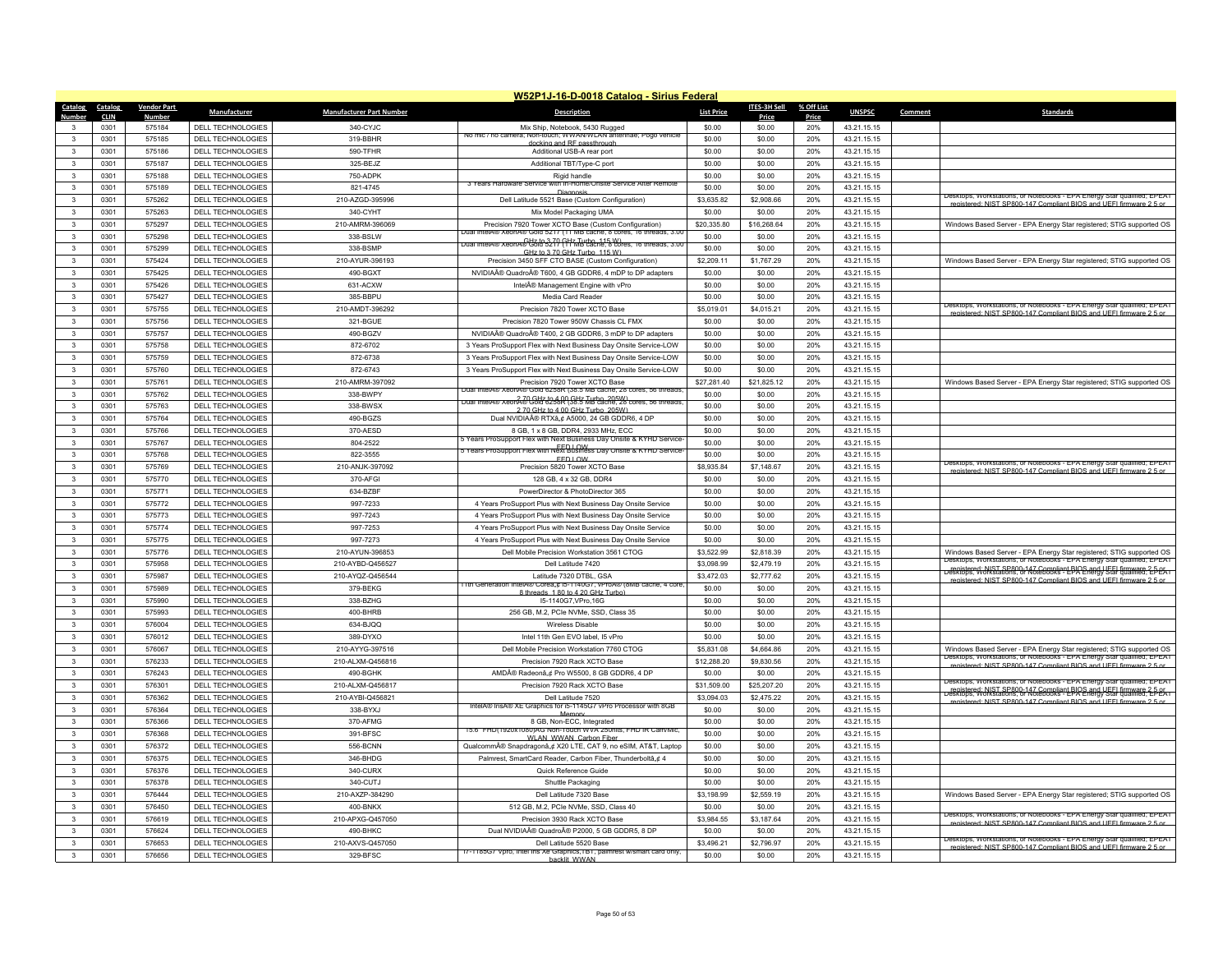| W52P1J-16-D-0018 Catalog - Sirius Federal |                    |                          |                                 |                                                                                                                                                                    |                   |              |            |               |         |                                                                                                                                                                                                                      |
|-------------------------------------------|--------------------|--------------------------|---------------------------------|--------------------------------------------------------------------------------------------------------------------------------------------------------------------|-------------------|--------------|------------|---------------|---------|----------------------------------------------------------------------------------------------------------------------------------------------------------------------------------------------------------------------|
| Catalog<br>Catalog                        | <b>Vendor Part</b> | Manufacturer             | <b>Manufacturer Part Number</b> | Description                                                                                                                                                        | <b>List Price</b> | ITES-3H Sell | % Off List | <b>UNSPSC</b> | Comment | <b>Standards</b>                                                                                                                                                                                                     |
| <b>Number</b><br><b>CLIN</b>              | <b>Number</b>      |                          |                                 |                                                                                                                                                                    |                   | Price        | Price      |               |         |                                                                                                                                                                                                                      |
| 0301<br>$\mathbf{3}$                      | 575184             | DELL TECHNOLOGIES        | 340-CYJC                        | Mix Ship, Notebook, 5430 Rugged<br>No mic / no camera; Non-touch; WWAN/WLAN antennae; Pogo vehicle                                                                 | \$0.00            | \$0.00       | 20%        | 43.21.15.15   |         |                                                                                                                                                                                                                      |
| 0301<br>$\mathbf{3}$                      | 575185             | <b>DELL TECHNOLOGIES</b> | 319-BBHR                        | docking and RE passthrough                                                                                                                                         | \$0.00            | \$0.00       | 20%        | 43 21 15 15   |         |                                                                                                                                                                                                                      |
| $\overline{3}$<br>0301                    | 575186             | <b>DELL TECHNOLOGIES</b> | 590-TFHR                        | Additional USB-A rear port                                                                                                                                         | \$0.00            | \$0.00       | 20%        | 43.21.15.15   |         |                                                                                                                                                                                                                      |
| $\mathbf{3}$<br>0301                      | 575187             | DELL TECHNOLOGIES        | 325-BEJZ                        | Additional TBT/Type-C port                                                                                                                                         | \$0.00            | \$0.00       | 20%        | 43.21.15.15   |         |                                                                                                                                                                                                                      |
| $\overline{3}$<br>0301                    | 575188             | DELL TECHNOLOGIES        | 750-ADPK                        | Rigid handle<br>3 Years Hardware<br>with in-Home/Unsite Service After Rem                                                                                          | \$0.00            | \$0.00       | 20%        | 43.21.15.15   |         |                                                                                                                                                                                                                      |
| 0301<br>$\mathbf{3}$                      | 575189             | <b>DELL TECHNOLOGIES</b> | 821-4745                        |                                                                                                                                                                    | \$0.00            | \$0.00       | 20%        | 43 21 15 15   |         | Desktops, Workstations, or Notebooks - EPA Energy Star qualified; EPEAT                                                                                                                                              |
| 0301<br>$\overline{\mathbf{3}}$           | 575262             | DELL TECHNOLOGIES        | 210-AZGD-395996                 | Dell Latitude 5521 Base (Custom Configuration)                                                                                                                     | \$3,635.82        | \$2,908.66   | 20%        | 43.21.15.15   |         | registered: NIST SP800-147 Compliant BIOS and LIFEL firmware 2.5 or                                                                                                                                                  |
| $\mathbf{3}$<br>0301                      | 575263             | DELL TECHNOLOGIES        | 340-CYHT                        | Mix Model Packaging UMA                                                                                                                                            | \$0.00            | \$0.00       | 20%        | 43.21.15.15   |         |                                                                                                                                                                                                                      |
| 0301<br>$\mathbf{3}$                      | 575297             | <b>DELL TECHNOLOGIES</b> | 210-AMRM-396069                 | Precision 7920 Tower XCTO Base (Custom Configuration)<br>Dual IntelA® XeonA® Gold 5217 (11 MB cache, 8 cores, 16 threads, 3.0                                      | \$20,335.80       | \$16,268.64  | 20%        | 43.21.15.15   |         | Windows Based Server - EPA Energy Star registered; STIG supported OS                                                                                                                                                 |
| $\mathbf{3}$<br>0301                      | 575298             | DELL TECHNOLOGIES        | 338-BSI W                       | iA@ xeonA@ਉਨੀ93279 (ਮੋ7ਨJY@2n115W)es, 16 mreads, 3.00                                                                                                              | \$0.00            | \$0.00       | 20%        | 43.21.15.15   |         |                                                                                                                                                                                                                      |
| $\mathbf{3}$<br>0301                      | 575299             | DELL TECHNOLOGIES        | 338-BSMP                        | GHz to 3.70 GHz Turbo, 115 W)                                                                                                                                      | \$0.00            | \$0.00       | 20%        | 43.21.15.15   |         |                                                                                                                                                                                                                      |
| 0301<br>$\mathbf{3}$                      | 575424             | DELL TECHNOLOGIES        | 210-AYUR-396193                 | Precision 3450 SFF CTO BASE (Custom Configuration)                                                                                                                 | \$2,209.11        | \$1,767.29   | 20%        | 43.21.15.15   |         | Windows Based Server - EPA Energy Star registered; STIG supported OS                                                                                                                                                 |
| $\mathbf{3}$<br>0301                      | 575425             | DELL TECHNOLOGIES        | 490-BGXT                        | NVIDIA® Quadro® T600, 4 GB GDDR6, 4 mDP to DP adapters                                                                                                             | \$0.00            | \$0.00       | 20%        | 43.21.15.15   |         |                                                                                                                                                                                                                      |
| $\mathbf{3}$<br>0301                      | 575426             | DELL TECHNOLOGIES        | 631-ACXW                        | Intel® Management Engine with vPro                                                                                                                                 | \$0.00            | \$0.00       | 20%        | 43.21.15.15   |         |                                                                                                                                                                                                                      |
| 0301<br>$\mathbf{3}$                      | 575427             | DELL TECHNOLOGIES        | 385-BBPLL                       | Media Card Reader                                                                                                                                                  | \$0.00            | \$0.00       | 20%        | 43.21.15.15   |         | Desktops, Workstations, or Notebooks - EPA Energy Star qualified; EPEAT                                                                                                                                              |
| $\overline{3}$<br>0301                    | 575755             | DELL TECHNOLOGIES        | 210-AMDT-396292                 | Precision 7820 Tower XCTO Base                                                                                                                                     | \$5,019.01        | \$4,015.21   | 20%        | 43.21.15.15   |         | registered: NIST SP800-147 Compliant RIOS and LIFFI firmware 2.5 or                                                                                                                                                  |
| $\mathbf{3}$<br>0301                      | 575756             | DELL TECHNOLOGIES        | 321-BGUE                        | Precision 7820 Tower 950W Chassis CL FMX                                                                                                                           | \$0.00            | \$0.00       | 20%        | 43.21.15.15   |         |                                                                                                                                                                                                                      |
| 0301<br>3                                 | 575757             | DELL TECHNOLOGIES        | 490-BGZV                        | NVIDIA® Quadro® T400, 2 GB GDDR6, 3 mDP to DP adapters                                                                                                             | \$0.00            | \$0.00       | 20%        | 43.21.15.15   |         |                                                                                                                                                                                                                      |
| $\overline{3}$<br>0301                    | 575758             | DELL TECHNOLOGIES        | 872-6702                        | 3 Years ProSupport Flex with Next Business Day Onsite Service-LOW                                                                                                  | \$0.00            | \$0.00       | 20%        | 43.21.15.15   |         |                                                                                                                                                                                                                      |
| $\mathbf{3}$<br>0301                      | 575759             | DELL TECHNOLOGIES        | 872-6738                        | 3 Years ProSupport Flex with Next Business Day Onsite Service-LOW                                                                                                  | \$0.00            | \$0.00       | 20%        | 43.21.15.15   |         |                                                                                                                                                                                                                      |
| $\mathbf{3}$<br>0301                      | 575760             | DELL TECHNOLOGIES        | 872-6743                        | 3 Years ProSupport Flex with Next Business Day Onsite Service-LOW                                                                                                  | \$0.00            | \$0.00       | 20%        | 43.21.15.15   |         |                                                                                                                                                                                                                      |
| $\mathbf{3}$<br>0301                      | 575761             | DELL TECHNOLOGIES        | 210-AMRM-397092                 | Precision 7920 Tower XCTO Base                                                                                                                                     | \$27,281.40       | \$21.825.12  | 20%        | 43 21 15 15   |         | Windows Based Server - EPA Energy Star registered; STIG supported OS                                                                                                                                                 |
| $\overline{3}$<br>0301                    | 575762             | DELL TECHNOLOGIES        | 338-BWPY                        | Dual IntelA® XeonA® Gold 6258R (38.5 MB cache, 28 cores, 56 threads<br>2.70 GHz to 4.00 GHz Turbo, 205W)<br>conA® Gold 6258R (38.5 MB cache, 28 cores, 56 threads, | \$0.00            | \$0.00       | 20%        | 43.21.15.15   |         |                                                                                                                                                                                                                      |
| $\mathbf{3}$<br>0301                      | 575763             | DELL TECHNOLOGIES        | 338-BWSX                        | Dual IntelA® X<br>2 70 GHz to 4 00 GHz Turbo 205W)                                                                                                                 | \$0.00            | \$0.00       | 20%        | 43.21.15.15   |         |                                                                                                                                                                                                                      |
| 0301<br>$\mathbf{3}$                      | 575764             | DELL TECHNOLOGIES        | 490-BGZS                        | Dual NVIDIA® RTX™ A5000, 24 GB GDDR6, 4 DP                                                                                                                         | \$0.00            | \$0.00       | 20%        | 43.21.15.15   |         |                                                                                                                                                                                                                      |
| 0301<br>$\mathbf{3}$                      | 575766             | DELL TECHNOLOGIES        | 370-AESD                        | 8 GB, 1 x 8 GB, DDR4, 2933 MHz, ECC                                                                                                                                | \$0.00            | \$0.00       | 20%        | 43.21.15.15   |         |                                                                                                                                                                                                                      |
| $\mathbf{3}$<br>0301                      | 575767             | DELL TECHNOLOGIES        | 804-2522                        | 5 Years ProSupport Flex with Next Business Day Onsite & KYHD Service<br>5 Years ProSupport Flex with Next Business Day Onsite & KYHD Service                       | \$0.00            | \$0.00       | 20%        | 43.21.15.15   |         |                                                                                                                                                                                                                      |
| $\mathbf{3}$<br>0301                      | 575768             | DELL TECHNOLOGIES        | 822-3555                        | FFD10W                                                                                                                                                             | \$0.00            | \$0.00       | 20%        | 43.21.15.15   |         |                                                                                                                                                                                                                      |
| 0301<br>$\mathbf{3}$                      | 575769             | <b>DELL TECHNOLOGIES</b> | 210-ANJK-397092                 | Precision 5820 Tower XCTO Base                                                                                                                                     | \$8,935.84        | \$7,148.67   | 20%        | 43.21.15.15   |         | Desktops, Workstations, or Notebooks - EPA Energy Star qualified; EPEAT<br>registered: NIST SP800-147 Compliant BIOS and UFFI firmware 2.5 or                                                                        |
| $\mathbf{3}$<br>0301                      | 575770             | DELL TECHNOLOGIES        | 370-AFGI                        | 128 GB, 4 x 32 GB, DDR4                                                                                                                                            | \$0.00            | \$0.00       | 20%        | 43.21.15.15   |         |                                                                                                                                                                                                                      |
| $\overline{\mathbf{3}}$<br>0301           | 575771             | <b>DELL TECHNOLOGIES</b> | 634-BZBF                        | PowerDirector & PhotoDirector 365                                                                                                                                  | \$0.00            | \$0.00       | 20%        | 43.21.15.15   |         |                                                                                                                                                                                                                      |
| 0301<br>$\mathbf{3}$                      | 575772             | <b>DELL TECHNOLOGIES</b> | 997-7233                        | 4 Years ProSupport Plus with Next Business Day Onsite Service                                                                                                      | \$0.00            | \$0.00       | 20%        | 43.21.15.15   |         |                                                                                                                                                                                                                      |
| 0301<br>$\mathbf{3}$                      | 575773             | DELL TECHNOLOGIES        | 997-7243                        | 4 Years ProSupport Plus with Next Business Day Onsite Service                                                                                                      | \$0.00            | \$0.00       | 20%        | 43.21.15.15   |         |                                                                                                                                                                                                                      |
| $\overline{\mathbf{3}}$<br>0301           | 575774             | <b>DELL TECHNOLOGIES</b> | 997-7253                        | 4 Years ProSupport Plus with Next Business Day Onsite Service                                                                                                      | \$0.00            | \$0.00       | 20%        | 43.21.15.15   |         |                                                                                                                                                                                                                      |
| 0301<br>$\mathbf{3}$                      | 575775             | DELL TECHNOLOGIES        | 997-7273                        | 4 Years ProSupport Plus with Next Business Day Onsite Service                                                                                                      | \$0.00            | \$0.00       | 20%        | 43 21 15 15   |         |                                                                                                                                                                                                                      |
| $\mathbf{3}$<br>0301                      | 575776             | <b>DELL TECHNOLOGIES</b> | 210-AYUN-396853                 | Dell Mobile Precision Workstation 3561 CTOG                                                                                                                        | \$3,522.99        | \$2,818.39   | 20%        | 43.21.15.15   |         | Windows Based Server - EPA Energy Star registered; STIG supported OS                                                                                                                                                 |
| $\mathbf{3}$<br>0301                      | 575958             | DELL TECHNOLOGIES        | 210-AYBD-Q456527                | Dell Latitude 7420                                                                                                                                                 | \$3,098.99        | \$2,479.19   | 20%        | 43.21.15.15   |         | Desktops, Workstations, or Notebooks - EPA Energy Star qualified: EPEAT                                                                                                                                              |
| 0301<br>$\mathbf{3}$                      | 575987             | DELL TECHNOLOGIES        | 210-AYQZ-Q456544                | Latitude 7320 DTBL, GSA                                                                                                                                            | \$3,472.03        | \$2,777.62   | 20%        | 43.21.15.15   |         | registered: NIST SP800-147 Compliant BIOS and UFEL firmware 2-DeCAT<br>Desktops, Workstations, or Notebooks - EPA Energy Stal qualified; EDEAT<br>registered: NIST SP800-147 Compliant BIOS and UFFI firmware 2.5 or |
| $\overline{3}$<br>0301                    | 575989             | DELL TECHNOLOGIES        | 379-BEKG                        | ntelA® Corea ¢ ib-1140G/, vProA@<br>0 (8MB cache, 4 cor<br>8 threads 1 80 to 4 20 GHz Turbo                                                                        | \$0.00            | \$0.00       | 20%        | 43.21.15.15   |         |                                                                                                                                                                                                                      |
| $\mathbf{3}$<br>0301                      | 575990             | DELL TECHNOLOGIES        | 338-BZHG                        | 15-1140G7 VPro 16G                                                                                                                                                 | \$0.00            | \$0.00       | 20%        | 43.21.15.15   |         |                                                                                                                                                                                                                      |
| $\mathbf{3}$<br>0301                      | 575993             | DELL TECHNOLOGIES        | 400-BHRB                        | 256 GB, M.2, PCIe NVMe, SSD, Class 35                                                                                                                              | \$0.00            | \$0.00       | 20%        | 43.21.15.15   |         |                                                                                                                                                                                                                      |
| $\mathbf{3}$<br>0301                      | 576004             | DELL TECHNOLOGIES        | 634-BJQQ                        | <b>Wireless Disable</b>                                                                                                                                            | \$0.00            | \$0.00       | 20%        | 43.21.15.15   |         |                                                                                                                                                                                                                      |
| $\overline{3}$<br>0301                    | 576012             | <b>DELL TECHNOLOGIES</b> | 389-DYXO                        | Intel 11th Gen EVO label, I5 vPro                                                                                                                                  | \$0.00            | \$0.00       | 20%        | 43.21.15.15   |         |                                                                                                                                                                                                                      |
| $\mathbf{3}$<br>0301                      | 576067             | DELL TECHNOLOGIES        | 210-AYYG-397516                 | Dell Mobile Precision Workstation 7760 CTOG                                                                                                                        | \$5,831.08        | \$4,664.86   | 20%        | 43.21.15.15   |         | Windows Based Server - EPA Energy Star registered; STIG supported OS                                                                                                                                                 |
| $\mathbf{3}$<br>0301                      | 576233             | DELL TECHNOLOGIES        | 210-ALXM-Q456816                | Precision 7920 Rack XCTO Base                                                                                                                                      | \$12,288.20       | \$9,830.56   | 20%        | 43.21.15.15   |         | Desktops, Workstations, or Notebooks - EPA Energy Star qualified; EPEAT<br>enistered: NIST SP800-147 Compliant BIOS and LIFFL fin                                                                                    |
| 0301<br>$\mathbf{3}$                      | 576243             | DELL TECHNOLOGIES        | 490-BGHK                        | AMD® Radeon™ Pro W5500, 8 GB GDDR6, 4 DP                                                                                                                           | \$0.00            | \$0.00       | 20%        | 43.21.15.15   |         |                                                                                                                                                                                                                      |
| 0301<br>3                                 | 576301             | DELL TECHNOLOGIES        | 210-ALXM-Q456817                | Precision 7920 Rack XCTO Base                                                                                                                                      | \$31,509.00       | \$25,207.20  | 20%        | 43.21.15.15   |         | Desktops, Workstations, or Notebooks - EPA Energy Star qualified; EPEAT                                                                                                                                              |
| $\mathbf{3}$<br>0301                      | 576362             | DELL TECHNOLOGIES        | 210-AYBI-Q456821                | Dell Latitude 7520                                                                                                                                                 | \$3,094.03        | \$2,475.22   | 20%        | 43.21.15.15   |         | registered: NIST SP800-147 Compliant BIOS and UFEL firmware 2-5-05<br>Desktops, Workstations, or Notebooks - EPA Energy Star qualified; EPEA i<br>registered: NIST SP800-147 Compliant BIOS and UFFI firmware 2.5 or |
| 0301<br>$\mathbf{3}$                      | 576364             | DELL TECHNOLOGIES        | 338-BYXJ                        | IntelA® IrisA® XE Graphics for ib-1145G/ vPro Processor with 8GB<br>Memory                                                                                         | \$0.00            | \$0.00       | 20%        | 43.21.15.15   |         |                                                                                                                                                                                                                      |
| $\overline{\mathbf{3}}$<br>0301           | 576366             | DELL TECHNOLOGIES        | 370-AFMG                        | 8 GB, Non-ECC, Integrated                                                                                                                                          | \$0.00            | \$0.00       | 20%        | 43.21.15.15   |         |                                                                                                                                                                                                                      |
| $\overline{\mathbf{3}}$<br>0301           | 576368             | <b>DELL TECHNOLOGIES</b> | 391-BFSC                        | 15.6" FHD(1920x1080)AG Non-Touch WVA 250nits, FHD IR Cam/Mic<br>WI AN WWAN Carbon Fibe                                                                             | \$0.00            | \$0.00       | 20%        | 43.21.15.15   |         |                                                                                                                                                                                                                      |
| 0301<br>$\mathbf{3}$                      | 576372             | <b>DELL TECHNOLOGIES</b> | 556-BCNN                        | Qualcomm® Snapdragon™ X20 LTE, CAT 9, no eSIM, AT&T, Laptop                                                                                                        | \$0.00            | \$0.00       | 20%        | 43.21.15.15   |         |                                                                                                                                                                                                                      |
| 0301<br>$\mathbf{3}$                      | 576375             | DELL TECHNOLOGIES        | 346-BHDG                        | Palmrest, SmartCard Reader, Carbon Fiber, Thunderboltâ, ¢ 4                                                                                                        | \$0.00            | \$0.00       | 20%        | 43.21.15.15   |         |                                                                                                                                                                                                                      |
| 3<br>0301                                 | 576376             | DELL TECHNOLOGIES        | 340-CURX                        | Quick Reference Guide                                                                                                                                              | \$0.00            | \$0.00       | 20%        | 43.21.15.15   |         |                                                                                                                                                                                                                      |
| 0301<br>$\overline{\mathbf{3}}$           | 576378             | DELL TECHNOLOGIES        | 340-CUTJ                        | Shuttle Packaging                                                                                                                                                  | \$0.00            | \$0.00       | 20%        | 43.21.15.15   |         |                                                                                                                                                                                                                      |
| $\overline{\mathbf{3}}$<br>0301           | 576444             | DELL TECHNOLOGIES        | 210-AXZP-384290                 | Dell Latitude 7320 Base                                                                                                                                            | \$3,198.99        | \$2,559.19   | 20%        | 43.21.15.15   |         | Windows Based Server - EPA Energy Star registered; STIG supported OS                                                                                                                                                 |
| $\mathbf{3}$<br>0301                      | 576450             | DELL TECHNOLOGIES        | 400-BNKX                        | 512 GB, M.2, PCIe NVMe, SSD, Class 40                                                                                                                              | \$0.00            | \$0.00       | 20%        | 43.21.15.15   |         |                                                                                                                                                                                                                      |
| 0301<br>3                                 | 576619             | <b>DELL TECHNOLOGIES</b> | 210-APXG-Q457050                | Precision 3930 Rack XCTO Base                                                                                                                                      | \$3,984.55        | \$3,187.64   | 20%        | 43.21.15.15   |         | Desktops, Workstations, or Notebooks - EPA Energy Star qualified; EPEAT<br>registered: NIST SP800-147 Compliant BIOS and UFFI firm                                                                                   |
| $\mathbf{3}$<br>0301                      | 576624             | DELL TECHNOLOGIES        | 490-BHKC                        | Dual NVIDIA® Quadro® P2000, 5 GB GDDR5, 8 DP                                                                                                                       | \$0.00            | \$0.00       | 20%        | 43.21.15.15   |         |                                                                                                                                                                                                                      |
| 3<br>0301                                 | 576653             | <b>DELL TECHNOLOGIES</b> | 210-AXVS-Q457050                | Dell Latitude 5520 Base                                                                                                                                            | \$3,496.21        | \$2,796.97   | 20%        | 43.21.15.15   |         | Desktops, Workstations, or Notebooks - EPA Energy Star qualified; EPEAT<br>registered: NIST SP800-147 Compliant BIOS and LIFFL firmware 2.5 or                                                                       |
| 0301<br>$\mathbf{3}$                      | 576656             | DELL TECHNOLOGIES        | 329-BFSC                        | 17-1185G7 Vpro, Intel Iris Xe Graphics, IBT, palmrest w/smart card only<br>hacklit WWAN                                                                            | \$0.00            | \$0.00       | 20%        | 43.21.15.15   |         |                                                                                                                                                                                                                      |
|                                           |                    |                          |                                 |                                                                                                                                                                    |                   |              |            |               |         |                                                                                                                                                                                                                      |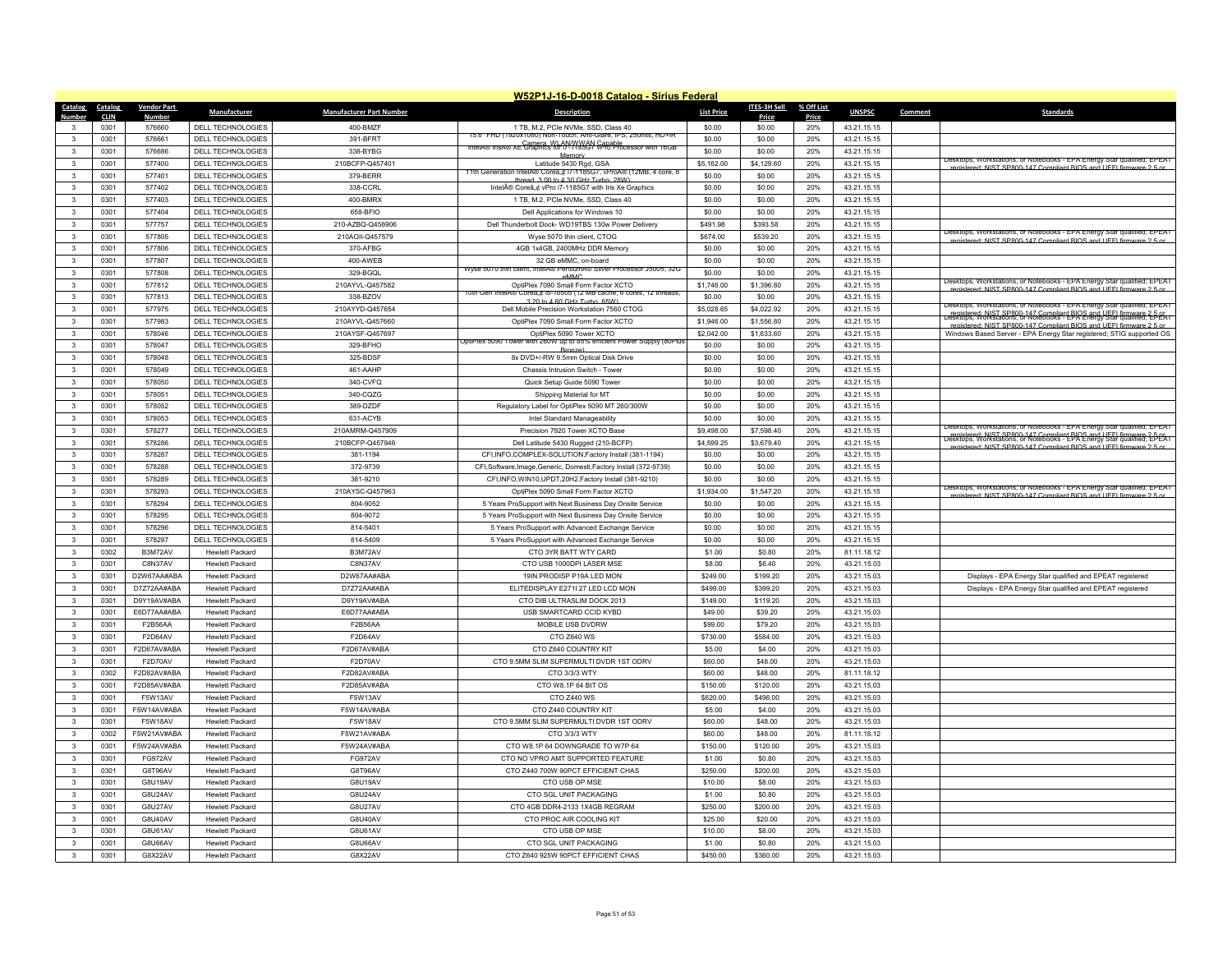| W52P1J-16-D-0018 Catalog - Sirius Federal |                    |                          |                                 |                                                                                                                    |                   |              |            |               |         |                                                                                                                                                                                                              |
|-------------------------------------------|--------------------|--------------------------|---------------------------------|--------------------------------------------------------------------------------------------------------------------|-------------------|--------------|------------|---------------|---------|--------------------------------------------------------------------------------------------------------------------------------------------------------------------------------------------------------------|
| Catalog<br>Catalog                        | <b>Vendor Part</b> | Manufacturer             | <b>Manufacturer Part Number</b> | <b>Description</b>                                                                                                 | <b>List Price</b> | ITES-3H Sell | % Off List | <b>UNSPSC</b> | Comment | <b>Standards</b>                                                                                                                                                                                             |
| <u>Number</u><br><b>CLIN</b>              | <b>Number</b>      |                          |                                 |                                                                                                                    |                   | Price        | Price      |               |         |                                                                                                                                                                                                              |
| 0301<br>$\mathbf{3}$                      | 576660             | DELL TECHNOLOGIES        | 400-BMZF                        | 1 TB, M.2, PCle NVMe, SSD, Class 40<br>15.6" FHD (1920x1080) Non-Touch, Anti-Glare, IPS, 250nits, HD+IR            | \$0.00            | \$0.00       | 20%        | 43.21.15.15   |         |                                                                                                                                                                                                              |
| 0301<br>$\mathbf{3}$                      | 576661             | <b>DELL TECHNOLOGIES</b> | 391-BERT                        | IntelA® IrisA® XE Camera, WI, ANAWWAN Canable<br>IntelA® IrisA® XE Craphics for i7-1185C7 VPro Processor with 16GB | \$0.00            | \$0.00       | 20%        | 43.21.15.15   |         |                                                                                                                                                                                                              |
| 3<br>0301                                 | 576686             | <b>DELL TECHNOLOGIES</b> | 338-BYBG                        | Memory                                                                                                             | \$0.00            | \$0.00       | 20%        | 43.21.15.15   |         | Desktops, Workstations, or Notebooks - EPA Energy Star qualified: EPEAT                                                                                                                                      |
| $\mathbf{3}$<br>0301                      | 577400             | DELL TECHNOLOGIES        | 210BCFP-Q457401                 | Latitude 5430 Rgd, GSA<br>11th Generation IntelA® Corea.c i/-1185G/, vProA® (12MB, 4 core, 8                       | \$5,162.00        | \$4,129.60   | 20%        | 43.21.15.15   |         | registered: NIST SP800-147 Compliant BIOS and UFFI firmware 2.5 or                                                                                                                                           |
| $\overline{3}$<br>0301                    | 577401             | DELL TECHNOLOGIES        | 379-BERR                        | thread 3.00 to 4.30 GHz Turbo 28W                                                                                  | \$0.00            | \$0.00       | 20%        | 43.21.15.15   |         |                                                                                                                                                                                                              |
| $\mathbf{3}$<br>0301                      | 577402             | <b>DELL TECHNOLOGIES</b> | 338-CCRI                        | Intel® Core™ vPro i7-1185G7 with Iris Xe Graphics                                                                  | \$0.00            | \$0.00       | 20%        | 43.21.15.15   |         |                                                                                                                                                                                                              |
| 0301<br>$\overline{\mathbf{3}}$           | 577403             | DELL TECHNOLOGIES        | 400-BMRX                        | 1 TB, M.2, PCle NVMe, SSD, Class 40                                                                                | \$0.00            | \$0.00       | 20%        | 43.21.15.15   |         |                                                                                                                                                                                                              |
| $\mathbf{3}$<br>0301                      | 577404             | DELL TECHNOLOGIES        | 658-BFIO                        | Dell Applications for Windows 10                                                                                   | \$0.00            | \$0.00       | 20%        | 43.21.15.15   |         |                                                                                                                                                                                                              |
| 0301<br>3                                 | 577757             | DELL TECHNOLOGIES        | 210-AZBQ-Q456906                | Dell Thunderbolt Dock-WD19TBS 130w Power Delivery                                                                  | \$491.98          | \$393.58     | 20%        | 43.21.15.15   |         |                                                                                                                                                                                                              |
| $\mathbf{3}$<br>0301                      | 577805             | DELL TECHNOLOGIES        | 210AOII-Q457579                 | Wyse 5070 thin client, CTOG                                                                                        | \$674.00          | \$539.20     | 20%        | 43.21.15.15   |         | Desktops, Workstations, or Notebooks - EPA Energy Star qualified; EPEAT<br>registered: NIST SP800-147 Compliant BIOS and UFFI firmware 2.5 or                                                                |
| 3<br>0301                                 | 577806             | <b>DELL TECHNOLOGIES</b> | 370-AFBG                        | 4GB 1x4GB, 2400MHz DDR Memory                                                                                      | \$0.00            | \$0.00       | 20%        | 43.21.15.15   |         |                                                                                                                                                                                                              |
| 0301<br>$\mathbf{3}$                      | 577807             | <b>DELL TECHNOLOGIES</b> | 400-AWEB                        | 32 GB eMMC, on-board                                                                                               | \$0.00            | \$0.00       | 20%        | 43.21.15.15   |         |                                                                                                                                                                                                              |
| $\mathbf{3}$<br>0301                      | 577808             | DELL TECHNOLOGIES        | 329-BGQL                        | Wyse 5070 thin client, IntelA® PentiumA® Silver Processor J5005, 32G<br>eMMC                                       | \$0.00            | \$0.00       | 20%        | 43.21.15.15   |         |                                                                                                                                                                                                              |
| 3<br>0301                                 | 577812             | <b>DELL TECHNOLOGIES</b> | 210AYVL-Q457582                 | OptiPlex 7090 Small Form Factor XCTO                                                                               | \$1,746.00        | \$1,396.80   | 20%        | 43.21.15.15   |         | Desktops, Workstations, or Notebooks - EPA Energy Star qualified: EPEAT<br>registered: NIST SP800-147 Compliant BIOS and UFFI firmware 2.5 or                                                                |
| $\overline{\mathbf{3}}$<br>0301           | 577813             | <b>DELL TECHNOLOGIES</b> | 338-BZOV                        | 10th Gen IntelA® Corea"¢ i5-10505 (12 MB cache, 6 cores, 12 threads<br>3.20 to 4.60 GHz Turbo, 65W)                | \$0.00            | \$0.00       | 20%        | 43.21.15.15   |         |                                                                                                                                                                                                              |
| $\mathbf{3}$<br>0301                      | 577975             | DELL TECHNOLOGIES        | 210AYYD-Q457654                 | Dell Mobile Precision Workstation 7560 CTOG                                                                        | \$5,028.65        | \$4,022.92   | 20%        | 43.21.15.15   |         | Desktops, workstations, or Notebooks - EPA Energy Star qualified; EPEAT                                                                                                                                      |
| $\mathbf{3}$<br>0301                      | 577983             | <b>DELL TECHNOLOGIES</b> | 210AYVL-Q457660                 | OptiPlex 7090 Small Form Factor XCTO                                                                               | \$1,946.00        | \$1,556.80   | 20%        | 43.21.15.15   |         | registered: NIST SP800-147 Compliant BIOS and USEL firmware 2-5-05.<br>Desktops, Workstations, or Notebooks - EPA Energy Stal qualified; 2-5-05.1<br>registered: NIST SP800-147 Compliant BIOS and LIFFL fir |
| 0301<br>3                                 | 578046             | <b>DELL TECHNOLOGIES</b> | 210AYSF-Q457697                 | OptiPlex 5090 Tower XCTO                                                                                           | \$2,042.00        | \$1,633.60   | 20%        | 43.21.15.15   |         | Windows Based Server - EPA Energy Star registered; STIG supported OS                                                                                                                                         |
| 3<br>0301                                 | 578047             | DELL TECHNOLOGIES        | 329-BFHO                        | JptiPlex 5090 Tower with 260W up to 85% efficient Power Supply (80Plt                                              | \$0.00            | \$0.00       | 20%        | 43.21.15.15   |         |                                                                                                                                                                                                              |
| $\mathbf{3}$<br>0301                      | 578048             | <b>DELL TECHNOLOGIES</b> | 325-BDSF                        | Bronze)<br>8x DVD+/-RW 9.5mm Optical Disk Drive                                                                    | \$0.00            | \$0.00       | 20%        | 43.21.15.15   |         |                                                                                                                                                                                                              |
| $\mathbf{3}$<br>0301                      | 578049             | <b>DELL TECHNOLOGIES</b> | 461-AAHP                        | Chassis Intrusion Switch - Tower                                                                                   | \$0.00            | \$0.00       | 20%        | 43.21.15.15   |         |                                                                                                                                                                                                              |
| $\mathbf{3}$<br>0301                      | 578050             | DELL TECHNOLOGIES        | 340-CVFQ                        | Quick Setup Guide 5090 Tower                                                                                       | \$0.00            | \$0.00       | 20%        | 43.21.15.15   |         |                                                                                                                                                                                                              |
| $\overline{\mathbf{3}}$<br>0301           | 578051             | <b>DELL TECHNOLOGIES</b> | 340-CQZG                        | Shipping Material for MT                                                                                           | \$0.00            | \$0.00       | 20%        | 43.21.15.15   |         |                                                                                                                                                                                                              |
| $\mathbf{3}$<br>0301                      | 578052             | DELL TECHNOLOGIES        | 389-DZDF                        | Regulatory Label for OptiPlex 5090 MT 260/300W                                                                     | \$0.00            | \$0.00       | 20%        | 43.21.15.15   |         |                                                                                                                                                                                                              |
| $\mathbf{3}$<br>0301                      | 578053             | DELL TECHNOLOGIES        | 631-ACYB                        | Intel Standard Manageability                                                                                       | \$0.00            | \$0.00       | 20%        | 43.21.15.15   |         |                                                                                                                                                                                                              |
| $\mathbf{3}$<br>0301                      | 578277             | DELL TECHNOLOGIES        | 210AMRM-Q457909                 | Precision 7920 Tower XCTO Base                                                                                     | \$9,498.00        | \$7,598.40   | 20%        | 43.21.15.15   |         | Desktops. Workstations, or Notebooks - EPA Energy Star qualified; EPEAT                                                                                                                                      |
| $\overline{\mathbf{3}}$<br>0301           | 578286             | <b>DELL TECHNOLOGIES</b> | 210BCFP-Q457946                 | Dell Latitude 5430 Rugged (210-BCFP)                                                                               | \$4,599.25        | \$3,679.40   | 20%        | 43.21.15.15   |         | registered: NIST SP800-147 Compliant BIOS and LIFEL firmware 2.5-PEAT<br>Desktops, Workstations, or Notebooks - EPA Energy Star qualified; EPEAT                                                             |
| $\mathbf{3}$<br>0301                      | 578287             |                          | 381-1194                        | CFI, INFO, COMPLEX-SOLUTION, Factory Install (381-1194)                                                            | \$0.00            | \$0.00       | 20%        |               |         | registered: NIST SP800-147 Compliant RIOS and LIFFL firm                                                                                                                                                     |
|                                           |                    | <b>DELL TECHNOLOGIES</b> |                                 |                                                                                                                    |                   |              |            | 43.21.15.15   |         |                                                                                                                                                                                                              |
| 0301<br>3                                 | 578288             | DELL TECHNOLOGIES        | 372-9739                        | CFI, Software, Image, Generic, Domesti, Factory Install (372-9739)                                                 | \$0.00            | \$0.00       | 20%        | 43.21.15.15   |         |                                                                                                                                                                                                              |
| $\overline{\mathbf{3}}$<br>0301           | 578289             | DELL TECHNOLOGIES        | 381-9210                        | CFI, INFO, WIN10, UPDT, 20H2. Factory Install (381-9210)                                                           | \$0.00            | \$0.00       | 20%        | 43.21.15.15   |         | Desktops, Workstations, or Notebooks - EPA Energy Star qualified; EPEAT                                                                                                                                      |
| 3<br>0301                                 | 578293             | DELL TECHNOLOGIES        | 210AYSC-Q457963                 | OptiPlex 5090 Small Form Factor XCTO                                                                               | \$1,934.00        | \$1,547.20   | 20%        | 43.21.15.15   |         | ristered: NIST SP800-147 Compliant RIOS and LIFFL firm                                                                                                                                                       |
| $\overline{3}$<br>0301                    | 578294             | <b>DELL TECHNOLOGIES</b> | 804-9052                        | 5 Years ProSupport with Next Business Day Onsite Service                                                           | \$0.00            | \$0.00       | 20%        | 43.21.15.15   |         |                                                                                                                                                                                                              |
| $\mathbf{3}$<br>0301                      | 578295             | DELL TECHNOLOGIES        | 804-9072                        | 5 Years ProSupport with Next Business Day Onsite Service                                                           | \$0.00            | \$0.00       | 20%        | 43.21.15.15   |         |                                                                                                                                                                                                              |
| 3<br>0301                                 | 578296             | <b>DELL TECHNOLOGIES</b> | 814-5401                        | 5 Years ProSupport with Advanced Exchange Service                                                                  | \$0.00            | \$0.00       | 20%        | 43.21.15.15   |         |                                                                                                                                                                                                              |
| 0301<br>3                                 | 578297             | DELL TECHNOLOGIES        | 814-5409                        | 5 Years ProSupport with Advanced Exchange Service                                                                  | \$0.00            | \$0.00       | 20%        | 43.21.15.15   |         |                                                                                                                                                                                                              |
| $\mathbf{3}$<br>0302                      | B3M72AV            | <b>Hewlett Packard</b>   | B3M72AV                         | CTO 3YR BATT WTY CARD                                                                                              | \$1.00            | \$0.80       | 20%        | 81.11.18.12   |         |                                                                                                                                                                                                              |
| $\overline{3}$<br>0301                    | C8N37AV            | <b>Hewlett Packard</b>   | C8N37AV                         | CTO USB 1000DPI LASER MSE                                                                                          | \$8.00            | \$6.40       | 20%        | 43.21.15.03   |         |                                                                                                                                                                                                              |
| 0301<br>$\mathbf{3}$                      | D2W67AA#ABA        | <b>Hewlett Packard</b>   | D2W67AA#ABA                     | 19IN PRODISP P19A I ED MON                                                                                         | \$249.00          | \$199.20     | 20%        | 43.21.15.03   |         | Displays - EPA Energy Star qualified and EPEAT registered                                                                                                                                                    |
| $\mathbf{3}$<br>0301                      | D7Z72AA#ABA        | <b>Hewlett Packard</b>   | D7Z72AA#ABA                     | ELITEDISPLAY E271I 27 LED LCD MON                                                                                  | \$499.00          | \$399.20     | 20%        | 43.21.15.03   |         | Displays - EPA Energy Star qualified and EPEAT registered                                                                                                                                                    |
| $\mathbf{3}$<br>0301                      | D9Y19AV#ABA        | <b>Hewlett Packard</b>   | D9Y19AV#ABA                     | CTO DIB ULTRASLIM DOCK 2013                                                                                        | \$149.00          | \$119.20     | 20%        | 43.21.15.03   |         |                                                                                                                                                                                                              |
| $\mathbf{3}$<br>0301                      | E6D77AA#ABA        | <b>Hewlett Packard</b>   | E6D77AA#ABA                     | USB SMARTCARD CCID KYBD                                                                                            | \$49.00           | \$39.20      | 20%        | 43.21.15.03   |         |                                                                                                                                                                                                              |
| $\mathbf{3}$<br>0301                      | F2B56AA            | <b>Hewlett Packard</b>   | <b>F2B56AA</b>                  | MOBILE USB DVDRW                                                                                                   | \$99.00           | \$79.20      | 20%        | 43.21.15.03   |         |                                                                                                                                                                                                              |
| 0301<br>$\mathbf{3}$                      | F2D64AV            | <b>Hewlett Packard</b>   | F2D64AV                         | CTO Z640 WS                                                                                                        | \$730.00          | \$584.00     | 20%        | 43.21.15.03   |         |                                                                                                                                                                                                              |
| 0301<br>$\mathbf{3}$                      | F2D67AV#ABA        | <b>Hewlett Packard</b>   | F2D67AV#ABA                     | CTO Z640 COUNTRY KIT                                                                                               | \$5.00            | \$4.00       | 20%        | 43.21.15.03   |         |                                                                                                                                                                                                              |
| $\mathbf{3}$<br>0301                      | F2D70AV            | <b>Hewlett Packard</b>   | F2D70AV                         | CTO 9.5MM SLIM SUPERMULTI DVDR 1ST ODRV                                                                            | \$60.00           | \$48.00      | 20%        | 43.21.15.03   |         |                                                                                                                                                                                                              |
| $\mathbf{3}$<br>0302                      | F2D82AV#ABA        | <b>Hewlett Packard</b>   | F2D82AV#ABA                     | CTO 3/3/3 WTY                                                                                                      | \$60.00           | \$48.00      | 20%        | 81.11.18.12   |         |                                                                                                                                                                                                              |
| $\mathbf{3}$<br>0301                      | F2D85AV#ABA        | <b>Hewlett Packard</b>   | F2D85AV#ABA                     | CTO W8.1P 64 BIT OS                                                                                                | \$150.00          | \$120.00     | 20%        | 43.21.15.03   |         |                                                                                                                                                                                                              |
| $\mathbf{3}$<br>0301                      | <b>F5W13AV</b>     | <b>Hewlett Packard</b>   | F5W13AV                         | CTO Z440 WS                                                                                                        | \$620.00          | \$496.00     | 20%        | 43.21.15.03   |         |                                                                                                                                                                                                              |
| 3<br>0301                                 | F5W14AV#ABA        | <b>Hewlett Packard</b>   | F5W14AV#ABA                     | CTO Z440 COUNTRY KIT                                                                                               | \$5.00            | \$4.00       | 20%        | 43.21.15.03   |         |                                                                                                                                                                                                              |
| 0301<br>$\mathbf{3}$                      | F5W18AV            | <b>Hewlett Packard</b>   | F5W18AV                         | CTO 9.5MM SLIM SUPERMULTI DVDR 1ST ODRV                                                                            | \$60.00           | \$48.00      | 20%        | 43.21.15.03   |         |                                                                                                                                                                                                              |
| $\mathbf{3}$<br>0302                      | F5W21AV#ABA        | <b>Hewlett Packard</b>   | F5W21AV#ABA                     | CTO 3/3/3 WTY                                                                                                      | \$60.00           | \$48.00      | 20%        | 81.11.18.12   |         |                                                                                                                                                                                                              |
| $\mathbf{3}$<br>0301                      | F5W24AV#ABA        | <b>Hewlett Packard</b>   | F5W24AV#ABA                     | CTO W8.1P 64 DOWNGRADE TO W7P 64                                                                                   | \$150.00          | \$120.00     | 20%        | 43.21.15.03   |         |                                                                                                                                                                                                              |
| 0301<br>$\mathbf{3}$                      | FG972AV            | <b>Hewlett Packard</b>   | FG972AV                         | CTO NO VPRO AMT SUPPORTED FEATURE                                                                                  | \$1.00            | \$0.80       | 20%        | 43.21.15.03   |         |                                                                                                                                                                                                              |
| $\mathbf{3}$<br>0301                      | G8T96AV            | <b>Hewlett Packard</b>   | G8T96AV                         | CTO Z440 700W 90PCT EFFICIENT CHAS                                                                                 | \$250.00          | \$200.00     | 20%        | 43.21.15.03   |         |                                                                                                                                                                                                              |
| 0301<br>3                                 | <b>G8U19AV</b>     | <b>Hewlett Packard</b>   | G8U19AV                         | CTO USB OP MSE                                                                                                     | \$10.00           | \$8.00       | 20%        | 43.21.15.03   |         |                                                                                                                                                                                                              |
| $\mathbf{3}$<br>0301                      | <b>G8U24AV</b>     | <b>Hewlett Packard</b>   | G8U24AV                         | CTO SGL UNIT PACKAGING                                                                                             | \$1.00            | \$0.80       | 20%        | 43.21.15.03   |         |                                                                                                                                                                                                              |
| $\mathbf{R}$<br>0301                      | G8U27AV            | <b>Hewlett Packard</b>   | G8U27AV                         | CTO 4GB DDR4-2133 1X4GB REGRAM                                                                                     | \$250.00          | \$200.00     | 20%        | 43.21.15.03   |         |                                                                                                                                                                                                              |
| 0301<br>3                                 | <b>G8U40AV</b>     | <b>Hewlett Packard</b>   | G8U40AV                         | CTO PROC AIR COOLING KIT                                                                                           | \$25.00           | \$20.00      | 20%        | 43.21.15.03   |         |                                                                                                                                                                                                              |
| $\mathbf{3}$<br>0301                      | G8U61AV            | <b>Hewlett Packard</b>   | G8U61AV                         | CTO USB OP MSE                                                                                                     | \$10.00           | \$8.00       | 20%        | 43.21.15.03   |         |                                                                                                                                                                                                              |
| 3<br>0301                                 | G8U66AV            | <b>Hewlett Packard</b>   | G8U66AV                         | CTO SGL UNIT PACKAGING                                                                                             | \$1.00            | \$0.80       | 20%        | 43.21.15.03   |         |                                                                                                                                                                                                              |
| 0301<br>3                                 | G8X22AV            | <b>Hewlett Packard</b>   | G8X22AV                         | CTO Z640 925W 90PCT EFFICIENT CHAS                                                                                 | \$450.00          | \$360.00     | 20%        | 43.21.15.03   |         |                                                                                                                                                                                                              |
|                                           |                    |                          |                                 |                                                                                                                    |                   |              |            |               |         |                                                                                                                                                                                                              |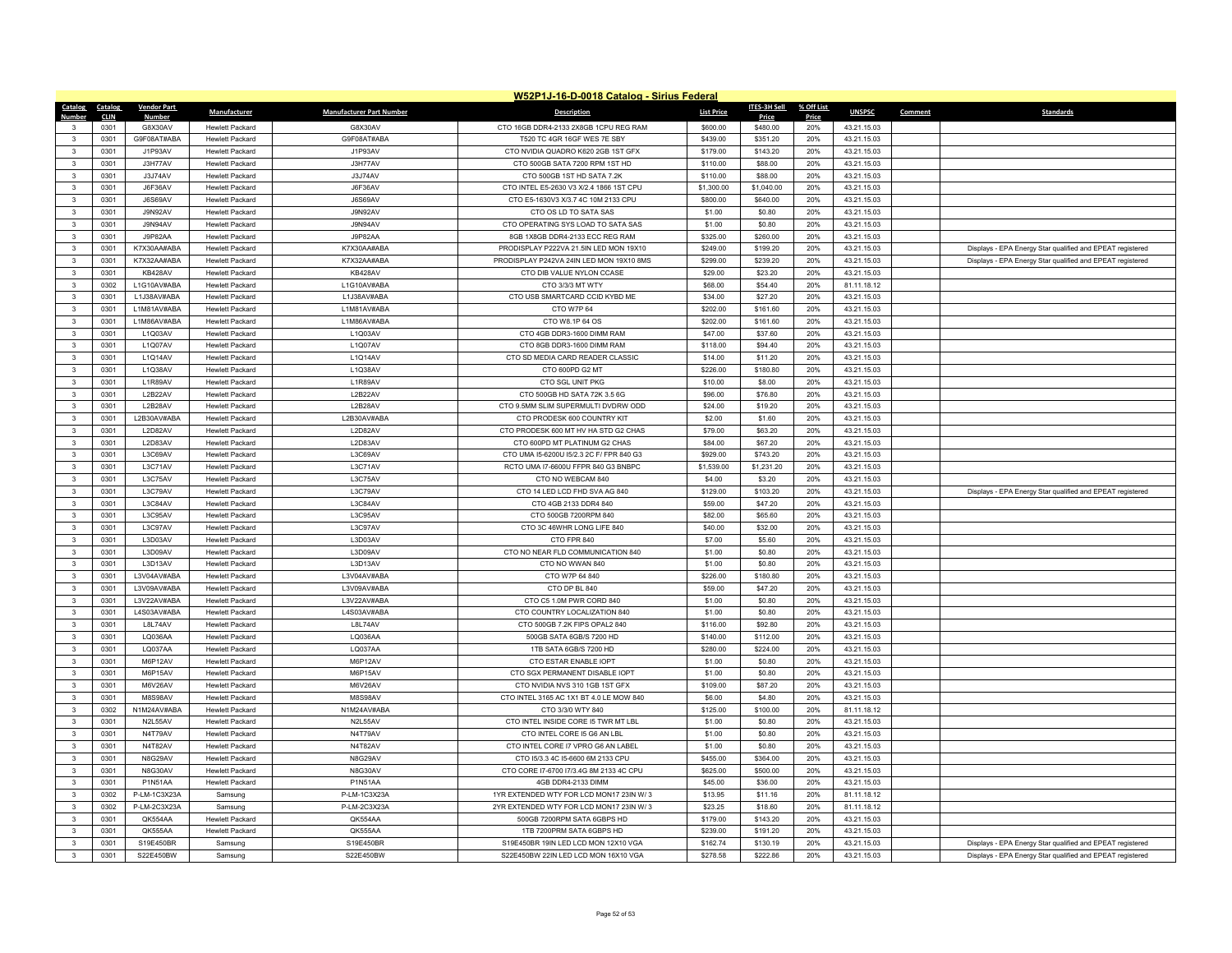| W52P1J-16-D-0018 Catalog - Sirius Federal |              |                           |                                                  |                                 |                                                                                |                        |                    |            |                            |         |                                                           |
|-------------------------------------------|--------------|---------------------------|--------------------------------------------------|---------------------------------|--------------------------------------------------------------------------------|------------------------|--------------------|------------|----------------------------|---------|-----------------------------------------------------------|
| Catalog                                   | Catalog      | <b>Vendor Part</b>        | Manufacturer                                     | <b>Manufacturer Part Number</b> | <b>Description</b>                                                             | <b>List Price</b>      | ITES-3H Sell       | % Off List | <b>UNSPSC</b>              | Comment | <b>Standards</b>                                          |
| Number                                    | <b>CLIN</b>  | <b>Number</b>             |                                                  |                                 |                                                                                |                        | Price              | Price      |                            |         |                                                           |
| $\mathbf{3}$                              | 0301         | G8X30AV                   | Hewlett Packard                                  | G8X30AV                         | CTO 16GB DDR4-2133 2X8GB 1CPU REG RAM                                          | \$600.00               | \$480.00           | 20%        | 43.21.15.03                |         |                                                           |
| $\mathbf{3}$                              | 0301         | G9F08AT#ABA               | <b>Hewlett Packard</b>                           | G9F08AT#ABA                     | T520 TC 4GR 16GF WES 7E SBY                                                    | \$439.00               | \$351.20           | 20%<br>20% | 43.21.15.03                |         |                                                           |
| $\mathbf{3}$                              | 0301         | J1P93AV                   | <b>Hewlett Packard</b>                           | J1P93AV                         | CTO NVIDIA QUADRO K620 2GB 1ST GFX                                             | \$179.00               | \$143.20           |            | 43.21.15.03                |         |                                                           |
| $\mathbf{3}$<br>$\mathbf{3}$              | 0301         | J3H77AV                   | <b>Hewlett Packard</b><br><b>Hewlett Packard</b> | J3H77AV                         | CTO 500GB SATA 7200 RPM 1ST HD                                                 | \$110.00               | \$88.00<br>\$88.00 | 20%<br>20% | 43.21.15.03                |         |                                                           |
|                                           | 0301<br>0301 | J3J74AV<br><b>J6F36AV</b> | <b>Hewlett Packard</b>                           | J3J74AV<br>J6F36AV              | CTO 500GB 1ST HD SATA 7.2K                                                     | \$110.00<br>\$1,300.00 | \$1,040.00         | 20%        | 43.21.15.03<br>43.21.15.03 |         |                                                           |
| -3<br>$\mathbf{3}$                        | 0301         | J6S69AV                   | <b>Hewlett Packard</b>                           | J6S69AV                         | CTO INTEL E5-2630 V3 X/2.4 1866 1ST CPU<br>CTO E5-1630V3 X/3.7 4C 10M 2133 CPU | \$800.00               | \$640.00           | 20%        | 43.21.15.03                |         |                                                           |
| $\mathbf{3}$                              | 0301         | J9N92AV                   | <b>Hewlett Packard</b>                           | J9N92AV                         | CTO OS LD TO SATA SAS                                                          | \$1.00                 | \$0.80             | 20%        | 43.21.15.03                |         |                                                           |
| $\mathbf{3}$                              | 0301         | <b>J9N94AV</b>            | <b>Hewlett Packard</b>                           | J9N94AV                         | CTO OPERATING SYS LOAD TO SATA SAS                                             | \$1.00                 | \$0.80             | 20%        | 43.21.15.03                |         |                                                           |
| $\mathbf{3}$                              | 0301         | J9P82AA                   | Hewlett Packard                                  | J9P82AA                         | 8GB 1X8GB DDR4-2133 ECC REG RAM                                                | \$325.00               | \$260.00           | 20%        | 43.21.15.03                |         |                                                           |
| $\overline{\mathbf{3}}$                   | 0301         | K7X30AA#ABA               | <b>Hewlett Packard</b>                           | K7X30AA#ABA                     | PRODISPLAY P222VA 21.5IN LED MON 19X10                                         | \$249.00               | \$199.20           | 20%        | 43.21.15.03                |         | Displays - EPA Energy Star qualified and EPEAT registered |
| $\mathbf{3}$                              | 0301         | K7X32AA#ABA               | <b>Hewlett Packard</b>                           | K7X32AA#ABA                     | PRODISPLAY P242VA 24IN LED MON 19X10 8MS                                       | \$299.00               | \$239.20           | 20%        | 43.21.15.03                |         | Displays - EPA Energy Star qualified and EPEAT registered |
| $\mathbf{3}$                              | 0301         | KB428AV                   | <b>Hewlett Packard</b>                           | KB428AV                         | CTO DIB VALUE NYLON CCASE                                                      | \$29.00                | \$23.20            | 20%        | 43.21.15.03                |         |                                                           |
| $\overline{\mathbf{3}}$                   | 0302         | L1G10AV#ABA               | <b>Hewlett Packard</b>                           | L1G10AV#ABA                     | CTO 3/3/3 MT WTY                                                               | \$68.00                | \$54.40            | 20%        | 81.11.18.12                |         |                                                           |
| $\mathbf{3}$                              | 0301         | L1J38AV#ABA               | <b>Hewlett Packard</b>                           | L1J38AV#ABA                     | CTO USB SMARTCARD CCID KYBD ME                                                 | \$34.00                | \$27.20            | 20%        | 43.21.15.03                |         |                                                           |
| $\overline{\mathbf{3}}$                   | 0301         | L1M81AV#ABA               | <b>Hewlett Packard</b>                           | L1M81AV#ABA                     | CTO W7P 64                                                                     | \$202.00               | \$161.60           | 20%        | 43.21.15.03                |         |                                                           |
| $\overline{\mathbf{3}}$                   | 0301         | L1M86AV#ABA               | <b>Hewlett Packard</b>                           | L1M86AV#ABA                     | CTO W8.1P 64 OS                                                                | \$202.00               | \$161.60           | 20%        | 43.21.15.03                |         |                                                           |
| $\mathbf{3}$                              | 0301         | L1Q03AV                   | <b>Hewlett Packard</b>                           | L1Q03AV                         | CTO 4GB DDR3-1600 DIMM RAM                                                     | \$47.00                | \$37.60            | 20%        | 43.21.15.03                |         |                                                           |
| $\mathbf{3}$                              | 0301         | <b>11007AV</b>            | <b>Hewlett Packard</b>                           | L1Q07AV                         | CTO 8GB DDR3-1600 DIMM RAM                                                     | \$118.00               | \$94.40            | 20%        | 43.21.15.03                |         |                                                           |
| $\overline{\mathbf{3}}$                   | 0301         | L1Q14AV                   | <b>Hewlett Packard</b>                           | L1Q14AV                         | CTO SD MEDIA CARD READER CLASSIC                                               | \$14.00                | \$11.20            | 20%        | 43.21.15.03                |         |                                                           |
| $\mathbf{3}$                              | 0301         | L1Q38AV                   | <b>Hewlett Packard</b>                           | L1Q38AV                         | CTO 600PD G2 MT                                                                | \$226.00               | \$180.80           | 20%        | 43.21.15.03                |         |                                                           |
| $\overline{\mathbf{3}}$                   | 0301         | L1R89AV                   | <b>Hewlett Packard</b>                           | L1R89AV                         | CTO SGL UNIT PKG                                                               | \$10.00                | \$8.00             | 20%        | 43.21.15.03                |         |                                                           |
| $\overline{\mathbf{3}}$                   | 0301         | L2B22AV                   | <b>Hewlett Packard</b>                           | L2B22AV                         | CTO 500GB HD SATA 72K 3.5 6G                                                   | \$96.00                | \$76.80            | 20%        | 43.21.15.03                |         |                                                           |
| $\mathbf{3}$                              | 0301         | L2B28AV                   | <b>Hewlett Packard</b>                           | L2B28AV                         | CTO 9.5MM SLIM SUPERMULTI DVDRW ODD                                            | \$24.00                | \$19.20            | 20%        | 43.21.15.03                |         |                                                           |
| $\mathbf{R}$                              | 0301         | L2B30AV#ABA               | <b>Hewlett Packard</b>                           | L2B30AV#ABA                     | CTO PRODESK 600 COUNTRY KIT                                                    | \$2.00                 | \$1.60             | 20%        | 43.21.15.03                |         |                                                           |
| $\mathbf{3}$                              | 0301         | L2D82AV                   | <b>Hewlett Packard</b>                           | L2D82AV                         | CTO PRODESK 600 MT HV HA STD G2 CHAS                                           | \$79.00                | \$63.20            | 20%        | 43.21.15.03                |         |                                                           |
| $\mathbf{3}$                              | 0301         | L2D83AV                   | Hewlett Packard                                  | L2D83AV                         | CTO 600PD MT PLATINUM G2 CHAS                                                  | \$84.00                | \$67.20            | 20%        | 43.21.15.03                |         |                                                           |
| $\overline{\mathbf{3}}$                   | 0301         | L3C69AV                   | Hewlett Packard                                  | L3C69AV                         | CTO UMA 15-6200U 15/2.3 2C F/ FPR 840 G3                                       | \$929.00               | \$743.20           | 20%        | 43.21.15.03                |         |                                                           |
| $\mathbf{3}$                              | 0301         | L3C71AV                   | <b>Hewlett Packard</b>                           | L3C71AV                         | RCTO UMA I7-6600U FFPR 840 G3 BNBPC                                            | \$1,539.00             | \$1,231.20         | 20%        | 43.21.15.03                |         |                                                           |
| $\mathbf{3}$                              | 0301         | L3C75AV                   | <b>Hewlett Packard</b>                           | L3C75AV                         | CTO NO WEBCAM 840                                                              | \$4.00                 | \$3.20             | 20%        | 43.21.15.03                |         |                                                           |
| $\overline{\mathbf{3}}$                   | 0301         | L3C79AV                   | <b>Hewlett Packard</b>                           | L3C79AV                         | CTO 14 LED LCD FHD SVA AG 840                                                  | \$129.00               | \$103.20           | 20%        | 43.21.15.03                |         | Displays - EPA Energy Star qualified and EPEAT registered |
| $\mathbf{3}$                              | 0301         | L3C84AV                   | <b>Hewlett Packard</b>                           | L3C84AV                         | CTO 4GB 2133 DDR4 840                                                          | \$59.00                | \$47.20            | 20%        | 43.21.15.03                |         |                                                           |
| $\mathbf{3}$                              | 0301         | L3C95AV                   | <b>Hewlett Packard</b>                           | L3C95AV                         | CTO 500GB 7200RPM 840                                                          | \$82.00                | \$65.60            | 20%        | 43.21.15.03                |         |                                                           |
| $\overline{\mathbf{3}}$                   | 0301         | L3C97AV                   | <b>Hewlett Packard</b>                           | L3C97AV                         | CTO 3C 46WHR LONG LIFE 840                                                     | \$40.00                | \$32.00            | 20%        | 43.21.15.03                |         |                                                           |
| $\mathbf{3}$                              | 0301         | L3D03AV                   | <b>Hewlett Packard</b>                           | L3D03AV                         | CTO FPR 840                                                                    | \$7.00                 | \$5.60             | 20%        | 43.21.15.03                |         |                                                           |
| $\mathbf{3}$                              | 0301         | L3D09AV                   | <b>Hewlett Packard</b>                           | L3D09AV                         | CTO NO NEAR FLD COMMUNICATION 840                                              | \$1.00                 | \$0.80             | 20%        | 43.21.15.03                |         |                                                           |
| $\mathbf{3}$                              | 0301         | L3D13AV                   | <b>Hewlett Packard</b>                           | L3D13AV                         | CTO NO WWAN 840                                                                | \$1.00                 | \$0.80             | 20%        | 43.21.15.03                |         |                                                           |
| $\mathbf{3}$                              | 0301         | L3V04AV#ABA               | <b>Hewlett Packard</b>                           | L3V04AV#ABA                     | CTO W7P 64 840                                                                 | \$226.00               | \$180.80           | 20%        | 43.21.15.03                |         |                                                           |
| $\overline{\mathbf{3}}$                   | 0301         | L3V09AV#ABA               | <b>Hewlett Packard</b>                           | L3V09AV#ABA                     | CTO DP BL 840                                                                  | \$59.00                | \$47.20            | 20%        | 43.21.15.03                |         |                                                           |
| $\mathbf{3}$                              | 0301         | L3V22AV#ABA               | Hewlett Packard                                  | L3V22AV#ABA                     | CTO C5 1.0M PWR CORD 840                                                       | \$1.00                 | \$0.80             | 20%        | 43.21.15.03                |         |                                                           |
| 3                                         | 0301         | L4S03AV#ABA               | <b>Hewlett Packard</b>                           | L4S03AV#ABA                     | CTO COUNTRY LOCALIZATION 840                                                   | \$1.00                 | \$0.80             | 20%        | 43.21.15.03                |         |                                                           |
| $\overline{\mathbf{3}}$                   | 0301         | <b>18174AV</b>            | <b>Hewlett Packard</b>                           | L8L74AV                         | CTO 500GB 7.2K FIPS OPAL2 840                                                  | \$116.00               | \$92.80            | 20%        | 43.21.15.03                |         |                                                           |
| $\overline{\mathbf{3}}$                   | 0301         | LQ036AA                   | <b>Hewlett Packard</b>                           | LQ036AA                         | 500GB SATA 6GB/S 7200 HD                                                       | \$140.00               | \$112.00           | 20%        | 43.21.15.03                |         |                                                           |
| $\mathbf{3}$                              | 0301         | LQ037AA                   | <b>Hewlett Packard</b>                           | LQ037AA                         | 1TB SATA 6GB/S 7200 HD                                                         | \$280.00               | \$224.00           | 20%        | 43.21.15.03                |         |                                                           |
| $\overline{\mathbf{3}}$                   | 0301         | M6P12AV                   | <b>Hewlett Packard</b>                           | M6P12AV                         | CTO ESTAR ENABLE IOPT                                                          | \$1.00                 | \$0.80             | 20%        | 43.21.15.03                |         |                                                           |
| $\mathbf{3}$                              | 0301         | M6P15AV                   | <b>Hewlett Packard</b>                           | M6P15AV                         | CTO SGX PERMANENT DISABLE IOPT                                                 | \$1.00                 | \$0.80             | 20%        | 43.21.15.03                |         |                                                           |
| $\mathbf{3}$                              | 0301         | M6V26AV                   | <b>Hewlett Packard</b>                           | M6V26AV                         | CTO NVIDIA NVS 310 1GB 1ST GFX                                                 | \$109.00               | \$87.20            | 20%        | 43.21.15.03                |         |                                                           |
| $\mathbf{3}$                              | 0301         | <b>M8S98AV</b>            | <b>Hewlett Packard</b>                           | M8S98AV                         | CTO INTEL 3165 AC 1X1 BT 4.0 LE MOW 840                                        | \$6.00                 | \$4.80             | 20%        | 43.21.15.03                |         |                                                           |
| $\mathbf{3}$                              | 0302         | N1M24AV#ABA               | Hewlett Packard                                  | N1M24AV#ABA                     | CTO 3/3/0 WTY 840                                                              | \$125.00               | \$100.00           | 20%        | 81.11.18.12                |         |                                                           |
| $\mathbf{3}$                              | 0301         | N2L55AV                   | Hewlett Packard                                  | N2L55AV                         | CTO INTEL INSIDE CORE I5 TWR MT LBL                                            | \$1.00                 | \$0.80             | 20%        | 43.21.15.03                |         |                                                           |
| $\mathbf{3}$                              | 0301         | N4T79AV                   | <b>Hewlett Packard</b>                           | N4T79AV                         | CTO INTEL CORE I5 G6 AN LBL                                                    | \$1.00                 | \$0.80             | 20%        | 43.21.15.03                |         |                                                           |
| $\mathbf{3}$                              | 0301         | N4T82AV                   | <b>Hewlett Packard</b>                           | N4T82AV                         | CTO INTEL CORE I7 VPRO G6 AN LABEL                                             | \$1.00                 | \$0.80             | 20%        | 43.21.15.03                |         |                                                           |
| $\mathbf{3}$                              | 0301         | N8G29AV                   | <b>Hewlett Packard</b>                           | N8G29AV                         | CTO 15/3.3 4C 15-6600 6M 2133 CPU                                              | \$455.00               | \$364.00           | 20%        | 43.21.15.03                |         |                                                           |
| $\mathbf{3}$                              | 0301         | N8G30AV                   | Hewlett Packard                                  | N8G30AV                         | CTO CORE 17-6700 17/3.4G 8M 2133 4C CPU                                        | \$625.00               | \$500.00           | 20%        | 43.21.15.03                |         |                                                           |
| $\mathbf{3}$                              | 0301         | <b>P1N51AA</b>            | <b>Hewlett Packard</b>                           | P1N51AA                         | 4GB DDR4-2133 DIMM                                                             | \$45.00                | \$36.00            | 20%        | 43.21.15.03                |         |                                                           |
| $\overline{\mathbf{3}}$                   | 0302         | P-LM-1C3X23A              | Samsung                                          | P-LM-1C3X23A                    | 1YR EXTENDED WTY FOR LCD MON17 23IN W/3                                        | \$13.95                | \$11.16            | 20%        | 81.11.18.12                |         |                                                           |
| $\mathbf{3}$                              | 0302         | P-LM-2C3X23A              | Samsung                                          | P-LM-2C3X23A                    | 2YR EXTENDED WTY FOR LCD MON17 23IN W/3                                        | \$23.25                | \$18.60            | 20%        | 81.11.18.12                |         |                                                           |
| $\mathbf{3}$                              | 0301         | <b>OK554AA</b>            | <b>Hewlett Packard</b>                           | QK554AA                         | 500GB 7200RPM SATA 6GBPS HD                                                    | \$179.00               | \$143.20           | 20%        | 43.21.15.03                |         |                                                           |
| $\mathbf{3}$                              | 0301         | QK555AA                   | <b>Hewlett Packard</b>                           | QK555AA                         | 1TB 7200PRM SATA 6GBPS HD                                                      | \$239.00               | \$191.20           | 20%        | 43.21.15.03                |         |                                                           |
| $\overline{\mathbf{3}}$                   | 0301         | S19E450BR                 | Samsung                                          | S19E450BR                       | S19E450BR 19IN LED LCD MON 12X10 VGA                                           | \$162.74               | \$130.19           | 20%        | 43.21.15.03                |         | Displays - EPA Energy Star qualified and EPEAT registered |
| $\mathbf{3}$                              | 0301         | S22E450BW                 | Samsung                                          | S22E450BW                       | S22E450BW 22IN LED LCD MON 16X10 VGA                                           | \$278.58               | \$222.86           | 20%        | 43.21.15.03                |         | Displays - EPA Energy Star qualified and EPEAT registered |